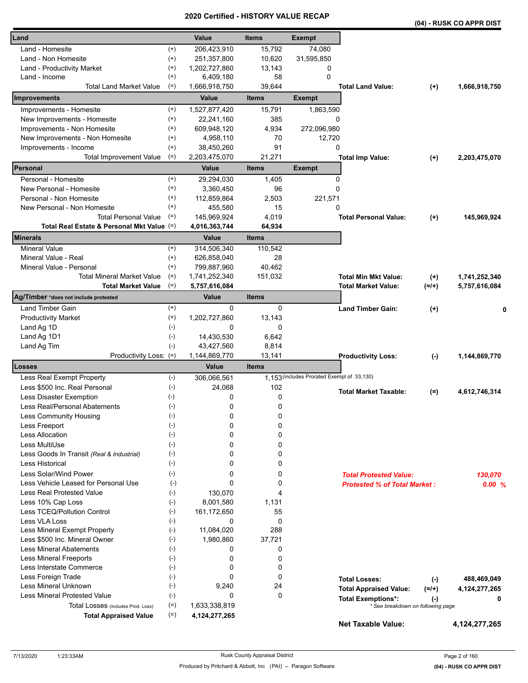|                                            |                    | a un cu                      | ו טווי<br>vn i |                                            |                                     |           | (04) - RUSK CO APPR DIST |
|--------------------------------------------|--------------------|------------------------------|----------------|--------------------------------------------|-------------------------------------|-----------|--------------------------|
| Land                                       |                    | Value                        | <b>Items</b>   | <b>Exempt</b>                              |                                     |           |                          |
| Land - Homesite                            | $^{(+)}$           | 206,423,910                  | 15,792         | 74,080                                     |                                     |           |                          |
| Land - Non Homesite                        | $^{(+)}$           | 251,357,800                  | 10,620         | 31,595,850                                 |                                     |           |                          |
| Land - Productivity Market                 | $^{(+)}$           | 1,202,727,860                | 13,143         | 0                                          |                                     |           |                          |
| Land - Income                              | $^{(+)}$           | 6,409,180                    | 58             | $\mathbf 0$                                |                                     |           |                          |
| <b>Total Land Market Value</b>             | $(=)$              | 1,666,918,750                | 39,644         |                                            | <b>Total Land Value:</b>            | $(+)$     | 1,666,918,750            |
| Improvements                               |                    | Value                        | <b>Items</b>   | <b>Exempt</b>                              |                                     |           |                          |
| Improvements - Homesite                    | $^{(+)}$           | 1,527,877,420                | 15,791         | 1,863,590                                  |                                     |           |                          |
| New Improvements - Homesite                | $^{(+)}$           | 22,241,160                   | 385            | 0                                          |                                     |           |                          |
| Improvements - Non Homesite                | $^{(+)}$           | 609,948,120                  | 4,934          | 272,096,980                                |                                     |           |                          |
| New Improvements - Non Homesite            | $^{(+)}$           | 4,958,110                    | 70             | 12,720                                     |                                     |           |                          |
| Improvements - Income                      | $^{(+)}$           | 38,450,260                   | 91             | 0                                          |                                     |           |                          |
| <b>Total Improvement Value</b>             | $(=)$              | 2,203,475,070                | 21,271         |                                            | <b>Total Imp Value:</b>             | $^{(+)}$  | 2,203,475,070            |
| Personal                                   |                    | Value                        | <b>Items</b>   | <b>Exempt</b>                              |                                     |           |                          |
| Personal - Homesite                        | $^{(+)}$           | 29,294,030                   | 1,405          | 0                                          |                                     |           |                          |
| New Personal - Homesite                    | $^{(+)}$           | 3,360,450                    | 96             | 0                                          |                                     |           |                          |
| Personal - Non Homesite                    | $^{(+)}$           | 112,859,864                  | 2,503          | 221,571                                    |                                     |           |                          |
| New Personal - Non Homesite                | $^{(+)}$           | 455,580                      | 15             | $\Omega$                                   |                                     |           |                          |
| <b>Total Personal Value</b>                | $(=)$              |                              | 4,019          |                                            |                                     |           |                          |
| Total Real Estate & Personal Mkt Value (=) |                    | 145,969,924<br>4,016,363,744 | 64,934         |                                            | <b>Total Personal Value:</b>        | $(+)$     | 145,969,924              |
| <b>Minerals</b>                            |                    | Value                        | <b>Items</b>   |                                            |                                     |           |                          |
| <b>Mineral Value</b>                       | $^{(+)}$           | 314,506,340                  | 110,542        |                                            |                                     |           |                          |
| Mineral Value - Real                       | $^{(+)}$           | 626,858,040                  | 28             |                                            |                                     |           |                          |
| Mineral Value - Personal                   | $^{(+)}$           | 799,887,960                  | 40,462         |                                            |                                     |           |                          |
| <b>Total Mineral Market Value</b>          | $(=)$              | 1,741,252,340                | 151,032        |                                            | <b>Total Min Mkt Value:</b>         | $^{(+)}$  | 1,741,252,340            |
| <b>Total Market Value</b>                  | $(=)$              | 5,757,616,084                |                |                                            | <b>Total Market Value:</b>          | $(=/+)$   | 5,757,616,084            |
| Ag/Timber *does not include protested      |                    | Value                        | <b>Items</b>   |                                            |                                     |           |                          |
| Land Timber Gain                           | $^{(+)}$           | 0                            | 0              |                                            | <b>Land Timber Gain:</b>            | $(+)$     | 0                        |
| <b>Productivity Market</b>                 | $^{(+)}$           | 1,202,727,860                | 13,143         |                                            |                                     |           |                          |
| Land Ag 1D                                 | $(-)$              | 0                            | 0              |                                            |                                     |           |                          |
| Land Ag 1D1                                | $(-)$              | 14,430,530                   | 6,642          |                                            |                                     |           |                          |
| Land Ag Tim                                | $(-)$              | 43,427,560                   | 8,814          |                                            |                                     |           |                          |
| Productivity Loss: (=)                     |                    | 1,144,869,770                | 13,141         |                                            | <b>Productivity Loss:</b>           | $(\cdot)$ | 1,144,869,770            |
| Losses                                     |                    | Value                        | <b>Items</b>   |                                            |                                     |           |                          |
| Less Real Exempt Property                  | $(-)$              | 306,066,561                  |                | 1,153 (includes Prorated Exempt of 33,130) |                                     |           |                          |
| Less \$500 Inc. Real Personal              | $(-)$              | 24,068                       | 102            |                                            |                                     |           |                          |
| Less Disaster Exemption                    | $(-)$              | 0                            | 0              |                                            | <b>Total Market Taxable:</b>        | (=)       | 4,612,746,314            |
| Less Real/Personal Abatements              | $(\textnormal{-})$ | 0                            | 0              |                                            |                                     |           |                          |
| <b>Less Community Housing</b>              | $(-)$              | 0                            | 0              |                                            |                                     |           |                          |
| Less Freeport                              | $(-)$              | 0                            | 0              |                                            |                                     |           |                          |
| <b>Less Allocation</b>                     | $(-)$              | 0                            | 0              |                                            |                                     |           |                          |
| Less MultiUse                              | $(-)$              | 0                            | 0              |                                            |                                     |           |                          |
| Less Goods In Transit (Real & Industrial)  | $(\cdot)$          | 0                            | 0              |                                            |                                     |           |                          |
| Less Historical                            | $(-)$              | 0                            | 0              |                                            |                                     |           |                          |
|                                            |                    |                              |                |                                            |                                     |           |                          |
| Less Solar/Wind Power                      | $(-)$              | 0                            | 0              |                                            | <b>Total Protested Value:</b>       |           | 130,070                  |
| Less Vehicle Leased for Personal Use       | $(-)$              | 0                            | 0              |                                            | <b>Protested % of Total Market:</b> |           | 0.00%                    |
| Less Real Protested Value                  | $(-)$              | 130,070                      | 4              |                                            |                                     |           |                          |
| Less 10% Cap Loss                          | $(-)$              | 8,001,580                    | 1,131          |                                            |                                     |           |                          |
| Less TCEQ/Pollution Control                | $(-)$              | 161,172,650                  | 55             |                                            |                                     |           |                          |
| Less VLA Loss                              | $(-)$              | 0                            | 0              |                                            |                                     |           |                          |
| Less Mineral Exempt Property               | $(-)$              | 11,084,020                   | 288            |                                            |                                     |           |                          |
| Less \$500 Inc. Mineral Owner              | $(-)$              | 1,980,860                    | 37,721         |                                            |                                     |           |                          |
| <b>Less Mineral Abatements</b>             | $(-)$              | 0                            | 0              |                                            |                                     |           |                          |
| <b>Less Mineral Freeports</b>              | $(-)$              | 0                            | 0              |                                            |                                     |           |                          |
| Less Interstate Commerce                   | $(-)$              | 0                            | 0              |                                            |                                     |           |                          |
| Less Foreign Trade                         | $(-)$              | 0                            | 0              |                                            | <b>Total Losses:</b>                | $(-)$     | 488,469,049              |
| Less Mineral Unknown                       | $(-)$              | 9,240                        | 24             |                                            | <b>Total Appraised Value:</b>       | $(=/+)$   | 4,124,277,265            |
| Less Mineral Protested Value               | $(-)$              | 0                            | 0              |                                            | <b>Total Exemptions*:</b>           | $(\cdot)$ | 0                        |
| Total Losses (includes Prod. Loss)         | $(=)$              | 1,633,338,819                |                |                                            | * See breakdown on following page   |           |                          |
| <b>Total Appraised Value</b>               | $(=)$              | 4, 124, 277, 265             |                |                                            | <b>Net Taxable Value:</b>           |           | 4, 124, 277, 265         |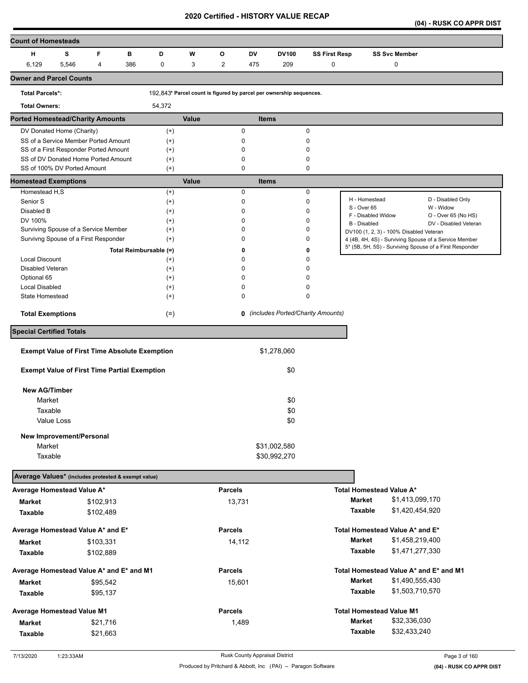**(04) - RUSK CO APPR DIST** 

| <b>Count of Homesteads</b>                          |                                                      |                |                        |          |       |                |              |                                                                     |                                   |                              |                                         |                                                         |
|-----------------------------------------------------|------------------------------------------------------|----------------|------------------------|----------|-------|----------------|--------------|---------------------------------------------------------------------|-----------------------------------|------------------------------|-----------------------------------------|---------------------------------------------------------|
|                                                     |                                                      |                |                        |          |       |                |              |                                                                     |                                   |                              |                                         |                                                         |
| н                                                   | s                                                    | F              | в                      | D        | W     | o              | DV           | <b>DV100</b>                                                        | <b>SS First Resp</b>              |                              | <b>SS Svc Member</b>                    |                                                         |
| 6,129                                               | 5,546                                                | $\overline{4}$ | 386                    | 0        | 3     | $\overline{2}$ | 475          | 209                                                                 | 0                                 |                              | 0                                       |                                                         |
| <b>Owner and Parcel Counts</b>                      |                                                      |                |                        |          |       |                |              |                                                                     |                                   |                              |                                         |                                                         |
| <b>Total Parcels*:</b>                              |                                                      |                |                        |          |       |                |              | 192,843* Parcel count is figured by parcel per ownership sequences. |                                   |                              |                                         |                                                         |
| <b>Total Owners:</b>                                |                                                      |                |                        | 54,372   |       |                |              |                                                                     |                                   |                              |                                         |                                                         |
| <b>Ported Homestead/Charity Amounts</b>             |                                                      |                |                        |          | Value |                | <b>Items</b> |                                                                     |                                   |                              |                                         |                                                         |
|                                                     | DV Donated Home (Charity)                            |                |                        | $^{(+)}$ |       |                | $\mathbf 0$  |                                                                     | $\mathbf 0$                       |                              |                                         |                                                         |
|                                                     | SS of a Service Member Ported Amount                 |                |                        | $^{(+)}$ |       |                | 0            |                                                                     | 0                                 |                              |                                         |                                                         |
|                                                     | SS of a First Responder Ported Amount                |                |                        | $^{(+)}$ |       |                | 0            |                                                                     | 0                                 |                              |                                         |                                                         |
|                                                     | SS of DV Donated Home Ported Amount                  |                |                        | $^{(+)}$ |       |                | 0            |                                                                     | 0                                 |                              |                                         |                                                         |
|                                                     | SS of 100% DV Ported Amount                          |                |                        | $(+)$    |       |                | 0            |                                                                     | 0                                 |                              |                                         |                                                         |
| <b>Homestead Exemptions</b>                         |                                                      |                |                        |          | Value |                | <b>Items</b> |                                                                     |                                   |                              |                                         |                                                         |
| Homestead H,S                                       |                                                      |                |                        | $^{(+)}$ |       |                | $\pmb{0}$    |                                                                     | $\mathbf 0$                       |                              |                                         | D - Disabled Only                                       |
| Senior S                                            |                                                      |                |                        | $^{(+)}$ |       |                | 0            |                                                                     | 0                                 | H - Homestead<br>S - Over 65 |                                         | W - Widow                                               |
| Disabled B                                          |                                                      |                |                        | $^{(+)}$ |       |                | $\mathbf 0$  |                                                                     | 0                                 | F - Disabled Widow           |                                         | O - Over 65 (No HS)                                     |
| DV 100%                                             |                                                      |                |                        | $^{(+)}$ |       |                | $\mathbf 0$  |                                                                     | 0                                 | B - Disabled                 |                                         | DV - Disabled Veteran                                   |
|                                                     | Surviving Spouse of a Service Member                 |                |                        | $^{(+)}$ |       |                | $\mathbf 0$  |                                                                     | 0                                 |                              | DV100 (1, 2, 3) - 100% Disabled Veteran |                                                         |
|                                                     | Survivng Spouse of a First Responder                 |                |                        | $^{(+)}$ |       |                | 0            |                                                                     | 0                                 |                              |                                         | 4 (4B, 4H, 4S) - Surviving Spouse of a Service Member   |
|                                                     |                                                      |                | Total Reimbursable (=) |          |       |                | 0            |                                                                     | 0                                 |                              |                                         | 5* (5B, 5H, 5S) - Surviving Spouse of a First Responder |
| <b>Local Discount</b>                               |                                                      |                |                        | $^{(+)}$ |       |                | $\Omega$     |                                                                     | 0                                 |                              |                                         |                                                         |
| Disabled Veteran                                    |                                                      |                |                        | $^{(+)}$ |       |                | 0            |                                                                     | 0                                 |                              |                                         |                                                         |
| Optional 65                                         |                                                      |                |                        | $^{(+)}$ |       |                | $\mathbf 0$  |                                                                     | 0                                 |                              |                                         |                                                         |
| <b>Local Disabled</b>                               |                                                      |                |                        | $^{(+)}$ |       |                | $\mathbf 0$  |                                                                     | 0                                 |                              |                                         |                                                         |
| State Homestead                                     |                                                      |                |                        | $^{(+)}$ |       |                | 0            |                                                                     | 0                                 |                              |                                         |                                                         |
| <b>Total Exemptions</b><br>$(=)$                    |                                                      |                |                        |          |       |                | 0            |                                                                     | (includes Ported/Charity Amounts) |                              |                                         |                                                         |
| <b>Special Certified Totals</b>                     |                                                      |                |                        |          |       |                |              |                                                                     |                                   |                              |                                         |                                                         |
|                                                     | <b>Exempt Value of First Time Absolute Exemption</b> |                |                        |          |       |                |              | \$1,278,060                                                         |                                   |                              |                                         |                                                         |
|                                                     |                                                      |                |                        |          |       |                |              |                                                                     |                                   |                              |                                         |                                                         |
|                                                     | <b>Exempt Value of First Time Partial Exemption</b>  |                |                        |          |       |                |              | \$0                                                                 |                                   |                              |                                         |                                                         |
| <b>New AG/Timber</b>                                |                                                      |                |                        |          |       |                |              |                                                                     |                                   |                              |                                         |                                                         |
| Market                                              |                                                      |                |                        |          |       |                |              | \$0                                                                 |                                   |                              |                                         |                                                         |
| Taxable                                             |                                                      |                |                        |          |       |                |              | \$0                                                                 |                                   |                              |                                         |                                                         |
|                                                     | Value Loss                                           |                |                        |          |       |                |              | \$0                                                                 |                                   |                              |                                         |                                                         |
|                                                     |                                                      |                |                        |          |       |                |              |                                                                     |                                   |                              |                                         |                                                         |
| Market                                              | New Improvement/Personal                             |                |                        |          |       |                |              |                                                                     |                                   |                              |                                         |                                                         |
|                                                     |                                                      |                |                        |          |       |                |              | \$31,002,580                                                        |                                   |                              |                                         |                                                         |
| Taxable                                             |                                                      |                |                        |          |       |                |              | \$30,992,270                                                        |                                   |                              |                                         |                                                         |
| Average Values* (includes protested & exempt value) |                                                      |                |                        |          |       |                |              |                                                                     |                                   |                              |                                         |                                                         |
| Average Homestead Value A*                          |                                                      |                |                        |          |       | <b>Parcels</b> |              |                                                                     |                                   |                              | <b>Total Homestead Value A*</b>         |                                                         |
| Market                                              |                                                      | \$102,913      |                        |          |       |                | 13,731       |                                                                     |                                   | <b>Market</b>                | \$1,413,099,170                         |                                                         |
| <b>Taxable</b>                                      |                                                      | \$102,489      |                        |          |       |                |              |                                                                     |                                   | Taxable                      | \$1,420,454,920                         |                                                         |
| Average Homestead Value A* and E*                   |                                                      |                |                        |          |       | <b>Parcels</b> |              |                                                                     |                                   |                              | Total Homestead Value A* and E*         |                                                         |
|                                                     |                                                      |                |                        |          |       |                |              |                                                                     |                                   | Market                       | \$1,458,219,400                         |                                                         |
| <b>Market</b>                                       |                                                      | \$103,331      |                        |          |       |                | 14,112       |                                                                     |                                   |                              |                                         |                                                         |
| Taxable                                             |                                                      | \$102,889      |                        |          |       |                |              |                                                                     |                                   | Taxable                      | \$1,471,277,330                         |                                                         |
| Average Homestead Value A* and E* and M1            |                                                      |                |                        |          |       | <b>Parcels</b> |              |                                                                     |                                   |                              | Total Homestead Value A* and E* and M1  |                                                         |
| <b>Market</b>                                       |                                                      | \$95,542       |                        |          |       |                | 15,601       |                                                                     |                                   | <b>Market</b>                | \$1,490,555,430                         |                                                         |
| Taxable                                             |                                                      | \$95,137       |                        |          |       |                |              |                                                                     |                                   | Taxable                      | \$1,503,710,570                         |                                                         |
|                                                     |                                                      |                |                        |          |       |                |              |                                                                     |                                   |                              |                                         |                                                         |
| <b>Average Homestead Value M1</b>                   |                                                      |                |                        |          |       | <b>Parcels</b> |              |                                                                     |                                   |                              | <b>Total Homestead Value M1</b>         |                                                         |
| Market                                              |                                                      | \$21,716       |                        |          |       |                | 1,489        |                                                                     |                                   | <b>Market</b>                | \$32,336,030                            |                                                         |
| <b>Taxable</b>                                      |                                                      | \$21,663       |                        |          |       |                |              |                                                                     |                                   | <b>Taxable</b>               | \$32,433,240                            |                                                         |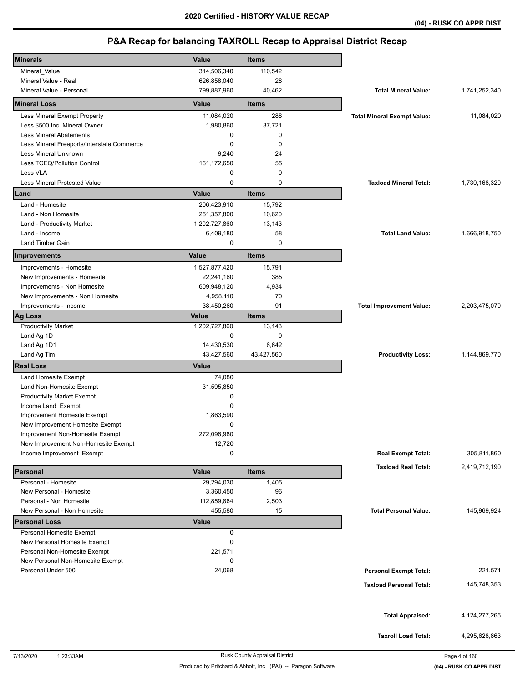| <b>Minerals</b>                                | Value                  | Items        |                                    |                  |
|------------------------------------------------|------------------------|--------------|------------------------------------|------------------|
| Mineral_Value                                  | 314,506,340            | 110,542      |                                    |                  |
| Mineral Value - Real                           | 626,858,040            | 28           |                                    |                  |
| Mineral Value - Personal                       | 799,887,960            | 40,462       | <b>Total Mineral Value:</b>        | 1,741,252,340    |
| <b>Mineral Loss</b>                            | <b>Value</b>           | <b>Items</b> |                                    |                  |
| Less Mineral Exempt Property                   | 11,084,020             | 288          | <b>Total Mineral Exempt Value:</b> | 11,084,020       |
| Less \$500 Inc. Mineral Owner                  | 1,980,860              | 37,721       |                                    |                  |
| <b>Less Mineral Abatements</b>                 | 0                      | 0            |                                    |                  |
| Less Mineral Freeports/Interstate Commerce     | 0                      | $\mathbf 0$  |                                    |                  |
| Less Mineral Unknown                           | 9,240                  | 24           |                                    |                  |
| Less TCEQ/Pollution Control                    | 161,172,650            | 55           |                                    |                  |
| Less VLA                                       | 0                      | 0            |                                    |                  |
| Less Mineral Protested Value                   | 0                      | $\mathbf 0$  | <b>Taxload Mineral Total:</b>      | 1,730,168,320    |
| Land                                           | Value                  | <b>Items</b> |                                    |                  |
| Land - Homesite                                | 206,423,910            | 15,792       |                                    |                  |
| Land - Non Homesite                            | 251,357,800            | 10,620       |                                    |                  |
| Land - Productivity Market                     | 1,202,727,860          | 13,143       |                                    |                  |
| Land - Income                                  | 6,409,180              | 58           | <b>Total Land Value:</b>           | 1.666.918.750    |
| Land Timber Gain                               | 0                      | 0            |                                    |                  |
| Improvements                                   | Value                  | <b>Items</b> |                                    |                  |
| Improvements - Homesite                        | 1,527,877,420          | 15,791       |                                    |                  |
| New Improvements - Homesite                    | 22,241,160             | 385          |                                    |                  |
| Improvements - Non Homesite                    | 609,948,120            | 4,934        |                                    |                  |
| New Improvements - Non Homesite                | 4,958,110              | 70           |                                    |                  |
| Improvements - Income                          | 38,450,260             | 91           | <b>Total Improvement Value:</b>    | 2,203,475,070    |
| <b>Ag Loss</b>                                 | Value                  | <b>Items</b> |                                    |                  |
| <b>Productivity Market</b>                     | 1,202,727,860          | 13,143       |                                    |                  |
| Land Ag 1D                                     | 0                      | 0            |                                    |                  |
| Land Ag 1D1                                    | 14,430,530             | 6,642        |                                    |                  |
|                                                |                        |              |                                    |                  |
| Land Ag Tim                                    | 43,427,560             | 43,427,560   | <b>Productivity Loss:</b>          | 1,144,869,770    |
| <b>Real Loss</b>                               | <b>Value</b>           |              |                                    |                  |
| Land Homesite Exempt                           | 74,080                 |              |                                    |                  |
| Land Non-Homesite Exempt                       | 31,595,850             |              |                                    |                  |
| <b>Productivity Market Exempt</b>              | 0                      |              |                                    |                  |
| Income Land Exempt                             | 0                      |              |                                    |                  |
| Improvement Homesite Exempt                    | 1,863,590              |              |                                    |                  |
| New Improvement Homesite Exempt                | 0                      |              |                                    |                  |
| Improvement Non-Homesite Exempt                | 272,096,980            |              |                                    |                  |
| New Improvement Non-Homesite Exempt            | 12,720                 |              |                                    |                  |
| Income Improvement Exempt                      | 0                      |              | <b>Real Exempt Total:</b>          | 305,811,860      |
|                                                |                        |              | <b>Taxload Real Total:</b>         | 2,419,712,190    |
| Personal                                       | Value                  | <b>Items</b> |                                    |                  |
| Personal - Homesite<br>New Personal - Homesite | 29,294,030             | 1,405        |                                    |                  |
| Personal - Non Homesite                        | 3,360,450              | 96           |                                    |                  |
| New Personal - Non Homesite                    | 112,859,864<br>455,580 | 2,503<br>15  | <b>Total Personal Value:</b>       | 145,969,924      |
| <b>Personal Loss</b>                           | <b>Value</b>           |              |                                    |                  |
| Personal Homesite Exempt                       | 0                      |              |                                    |                  |
| New Personal Homesite Exempt                   | 0                      |              |                                    |                  |
| Personal Non-Homesite Exempt                   | 221,571                |              |                                    |                  |
| New Personal Non-Homesite Exempt               | 0                      |              |                                    |                  |
| Personal Under 500                             | 24,068                 |              | <b>Personal Exempt Total:</b>      | 221,571          |
|                                                |                        |              | <b>Taxload Personal Total:</b>     |                  |
|                                                |                        |              |                                    | 145,748,353      |
|                                                |                        |              |                                    |                  |
|                                                |                        |              | <b>Total Appraised:</b>            | 4, 124, 277, 265 |
|                                                |                        |              | <b>Taxroll Load Total:</b>         | 4,295,628,863    |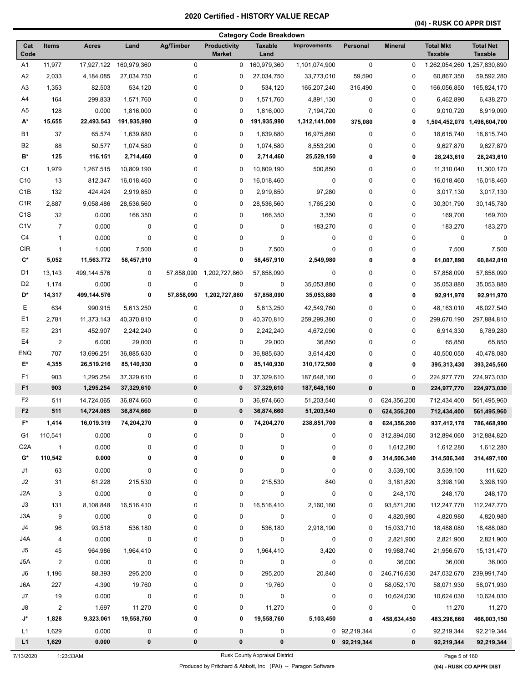## **(04) - RUSK CO APPR DIST**

|                      |                         |                    |                      |             |                                      | <b>Category Code Breakdown</b> |                     |              |                |                                    |                                    |
|----------------------|-------------------------|--------------------|----------------------|-------------|--------------------------------------|--------------------------------|---------------------|--------------|----------------|------------------------------------|------------------------------------|
| Cat<br>Code          | <b>Items</b>            | <b>Acres</b>       | Land                 | Ag/Timber   | <b>Productivity</b><br><b>Market</b> | <b>Taxable</b><br>Land         | <b>Improvements</b> | Personal     | <b>Mineral</b> | <b>Total Mkt</b><br><b>Taxable</b> | <b>Total Net</b><br><b>Taxable</b> |
| A1                   | 11,977                  | 17,927.122         | 160,979,360          | $\mathbf 0$ | 0                                    | 160,979,360                    | 1,101,074,900       | 0            | 0              | 1,262,054,260 1,257,830,890        |                                    |
| A <sub>2</sub>       | 2,033                   | 4,184.085          | 27,034,750           | 0           | 0                                    | 27,034,750                     | 33,773,010          | 59,590       | 0              | 60,867,350                         | 59,592,280                         |
| A <sub>3</sub>       | 1,353                   | 82.503             | 534,120              | 0           | 0                                    | 534,120                        | 165,207,240         | 315,490      | 0              | 166,056,850                        | 165,824,170                        |
| A4                   | 164                     | 299.833            | 1,571,760            | 0           | 0                                    | 1,571,760                      | 4,891,130           | 0            | 0              | 6,462,890                          | 6,438,270                          |
| A <sub>5</sub>       | 128                     | 0.000              | 1,816,000            | 0           | 0                                    | 1,816,000                      | 7,194,720           | 0            | 0              | 9,010,720                          | 8,919,090                          |
| A*                   | 15,655                  | 22,493.543         | 191,935,990          | 0           | 0                                    | 191,935,990                    | 1,312,141,000       | 375,080      | 0              | 1,504,452,070 1,498,604,700        |                                    |
| <b>B1</b>            | 37                      | 65.574             | 1,639,880            | 0           | 0                                    | 1,639,880                      | 16,975,860          | 0            | 0              | 18,615,740                         | 18,615,740                         |
| B <sub>2</sub>       | 88                      | 50.577             | 1,074,580            | 0           | 0                                    | 1,074,580                      | 8,553,290           | $\mathbf 0$  | 0              | 9,627,870                          | 9,627,870                          |
| B*                   | 125                     | 116.151            | 2,714,460            | 0           | 0                                    | 2,714,460                      | 25,529,150          | 0            | 0              | 28,243,610                         | 28,243,610                         |
| C <sub>1</sub>       | 1,979                   | 1,267.515          | 10,809,190           | 0           | 0                                    | 10,809,190                     | 500,850             | 0            | 0              | 11,310,040                         | 11,300,170                         |
| C <sub>10</sub>      | 13                      | 812.347            | 16,018,460           | 0           | 0                                    | 16,018,460                     | 0                   | $\mathbf 0$  | 0              | 16,018,460                         | 16,018,460                         |
| C <sub>1</sub> B     | 132                     | 424.424            | 2,919,850            | 0           | 0                                    | 2,919,850                      | 97,280              | 0            | 0              | 3,017,130                          | 3,017,130                          |
| C <sub>1</sub> R     | 2,887                   | 9,058.486          | 28,536,560           | 0           | $\mathbf 0$                          | 28,536,560                     | 1,765,230           | 0            | 0              | 30,301,790                         | 30,145,780                         |
| C <sub>1</sub> S     | 32                      | 0.000              | 166,350              | 0           | 0                                    | 166,350                        | 3,350               | 0            | 0              | 169,700                            | 169,700                            |
| C <sub>1</sub> V     | $\overline{7}$          | 0.000              | 0                    | 0           | 0                                    | 0                              | 183,270             | 0            | 0              | 183,270                            | 183,270                            |
| C <sub>4</sub>       | $\mathbf{1}$            | 0.000              | 0                    | 0           | 0                                    | 0                              | 0                   | 0            | 0              | 0                                  | 0                                  |
| <b>CIR</b>           | $\mathbf{1}$            | 1.000              | 7,500                | 0           | 0                                    | 7,500                          | 0                   | $\mathbf 0$  | 0              | 7,500                              | 7,500                              |
| $\mathbf{C}^{\star}$ | 5,052                   | 11,563.772         | 58,457,910           | 0           | 0                                    | 58,457,910                     | 2,549,980           | 0            | 0              | 61,007,890                         | 60,842,010                         |
| D <sub>1</sub>       | 13,143                  | 499,144.576        | 0                    | 57,858,090  | 1,202,727,860                        | 57,858,090                     | 0                   | 0            | 0              | 57,858,090                         | 57,858,090                         |
| D <sub>2</sub>       | 1,174                   | 0.000              | 0                    | $\mathbf 0$ | 0                                    | 0                              | 35,053,880          | $\mathbf 0$  | 0              | 35,053,880                         | 35,053,880                         |
| D*                   | 14,317                  | 499,144.576        | 0                    | 57,858,090  | 1,202,727,860                        | 57,858,090                     | 35,053,880          | 0            | 0              | 92,911,970                         | 92,911,970                         |
| Ε                    | 634                     | 990.915            | 5,613,250            | 0           | 0                                    | 5,613,250                      | 42,549,760          | 0            | 0              | 48,163,010                         | 48,027,540                         |
| E <sub>1</sub>       | 2,781                   | 11,373.143         | 40,370,810           | 0           | 0                                    | 40,370,810                     | 259,299,380         | $\mathbf 0$  | $\mathbf 0$    | 299,670,190                        | 297,884,810                        |
| E <sub>2</sub>       | 231                     | 452.907            | 2,242,240            | 0           | 0                                    | 2,242,240                      | 4,672,090           | $\mathbf 0$  | $\mathbf 0$    | 6,914,330                          | 6,789,280                          |
| E <sub>4</sub>       | $\overline{2}$          | 6.000              | 29,000               | 0           | 0                                    | 29,000                         | 36,850              | $\mathbf 0$  | 0              | 65,850                             | 65,850                             |
| <b>ENQ</b>           | 707                     | 13,696.251         | 36,885,630           | 0           | 0                                    | 36,885,630                     | 3,614,420           | 0            | 0              | 40,500,050                         | 40,478,080                         |
| E*                   | 4,355                   | 26,519.216         | 85,140,930           | 0           | 0                                    | 85,140,930                     | 310,172,500         | 0            | 0              | 395,313,430                        | 393,245,560                        |
| F <sub>1</sub>       | 903                     | 1,295.254          | 37,329,610           | 0           | 0                                    | 37,329,610                     | 187,648,160         | 0            | 0              | 224,977,770                        | 224,973,030                        |
| F <sub>1</sub>       | 903                     | 1,295.254          | 37,329,610           | $\pmb{0}$   | $\mathbf 0$                          | 37,329,610                     | 187,648,160         | 0            | $\bf{0}$       | 224,977,770                        | 224,973,030                        |
| F <sub>2</sub>       | 511                     | 14,724.065         | 36,874,660           | 0           | $\mathbf 0$                          | 36,874,660                     | 51,203,540          | 0            | 624,356,200    | 712,434,400                        | 561,495,960                        |
| F <sub>2</sub>       | 511                     | 14,724.065         | 36,874,660           | $\pmb{0}$   | $\mathbf 0$                          | 36,874,660                     | 51,203,540          | $\mathbf 0$  | 624,356,200    | 712,434,400                        | 561,495,960                        |
| F*                   | 1,414                   | 16,019.319         | 74,204,270           | 0           | 0                                    | 74,204,270                     | 238,851,700         | 0            | 624,356,200    | 937,412,170                        | 786,468,990                        |
| G <sub>1</sub>       | 110,541                 | 0.000              | 0                    | 0           | 0                                    | 0                              | 0                   | 0            | 312,894,060    | 312,894,060                        | 312,884,820                        |
| G <sub>2</sub> A     | $\mathbf{1}$            | 0.000              | 0                    | 0           | 0                                    | 0                              | 0                   | 0            | 1,612,280      | 1,612,280                          | 1,612,280                          |
| G*                   | 110,542                 | 0.000              | 0                    | 0           | 0                                    | 0                              | 0                   | 0            | 314,506,340    | 314,506,340                        | 314,497,100                        |
| J1                   | 63                      | 0.000              | 0                    | 0           | 0                                    | 0                              | 0                   | 0            | 3,539,100      | 3,539,100                          | 111,620                            |
| J2                   | 31                      | 61.228             | 215,530              | 0           | 0                                    | 215,530                        | 840                 | 0            | 3,181,820      | 3,398,190                          | 3,398,190                          |
| J <sub>2</sub> A     | 3                       | 0.000              | 0                    | 0           | 0                                    | 0                              | $\pmb{0}$           | 0            | 248,170        | 248,170                            | 248,170                            |
| J3                   | 131                     | 8,108.848          | 16,516,410           | 0           | 0                                    | 16,516,410                     | 2,160,160           | 0            | 93,571,200     | 112,247,770                        | 112,247,770                        |
| J3A                  | 9                       | 0.000              | 0                    | 0           | 0                                    | 0                              | 0                   | 0            | 4,820,980      | 4,820,980                          | 4,820,980                          |
| J <sub>4</sub>       | 96                      | 93.518             | 536,180              | 0           | 0                                    | 536,180                        | 2,918,190           | 0            | 15,033,710     | 18,488,080                         | 18,488,080                         |
| J4A                  | $\overline{\mathbf{4}}$ | 0.000              | 0                    | 0           | 0                                    | $\pmb{0}$                      | 0                   | 0            | 2,821,900      | 2,821,900                          | 2,821,900                          |
| J5                   | 45                      | 964.986            | 1,964,410            | 0           | 0                                    | 1,964,410                      | 3,420               | 0            | 19,988,740     | 21,956,570                         | 15,131,470                         |
| J5A                  | $\overline{c}$          | 0.000              | 0                    | 0           | 0                                    | 0                              | 0                   | 0            | 36,000         | 36,000                             | 36,000                             |
|                      |                         |                    |                      |             |                                      |                                |                     |              |                |                                    |                                    |
| J6<br>J6A            | 1,196                   | 88.393             | 295,200              | 0           | 0                                    | 295,200                        | 20,840              | 0<br>0       | 246,716,630    | 247,032,670                        | 239,991,740                        |
| J7                   | 227                     | 4.390<br>0.000     | 19,760               | 0<br>0      | 0<br>0                               | 19,760<br>0                    | 0<br>0              | 0            | 58,052,170     | 58,071,930                         | 58,071,930                         |
|                      | 19                      |                    | 0                    |             |                                      |                                |                     |              | 10,624,030     | 10,624,030                         | 10,624,030                         |
| J8<br>J*             | $\overline{2}$<br>1,828 | 1.697<br>9,323.061 | 11,270<br>19,558,760 | 0<br>0      | 0<br>0                               | 11,270<br>19,558,760           | 0<br>5,103,450      | 0<br>0       | 0              | 11,270                             | 11,270                             |
|                      |                         |                    |                      |             |                                      |                                |                     |              | 458,634,450    | 483,296,660                        | 466,003,150                        |
| L1                   | 1,629                   | 0.000              | 0                    | 0           | 0                                    | 0                              |                     | 0 92,219,344 | 0              | 92,219,344                         | 92,219,344                         |
| L1                   | 1,629                   | 0.000              | 0                    | 0           | 0                                    | 0                              |                     | 0 92,219,344 | 0              | 92,219,344                         | 92,219,344                         |

7/13/2020 1:23:33AM Rusk County Appraisal District Page 5 of 160

Produced by Pritchard & Abbott, Inc (PAI) -- Paragon Software **(04) - RUSK CO APPR DIST**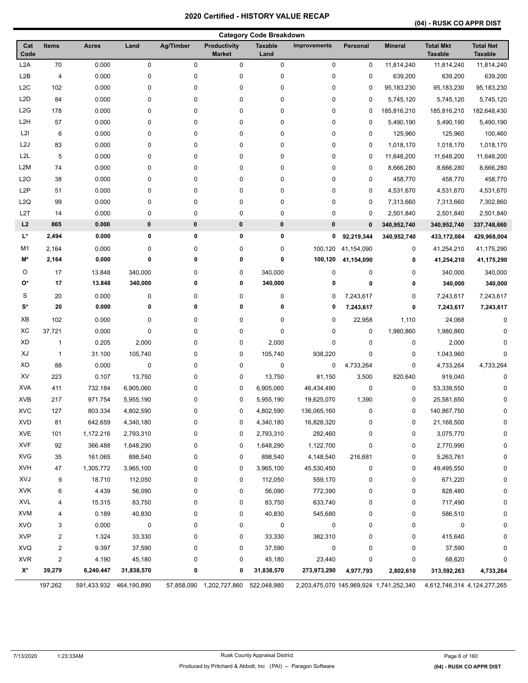## **(04) - RUSK CO APPR DIST**

|                  |                         |              |                         |           |                                      | <b>Category Code Breakdown</b> |                     |                    |                |                                                                     |                                    |
|------------------|-------------------------|--------------|-------------------------|-----------|--------------------------------------|--------------------------------|---------------------|--------------------|----------------|---------------------------------------------------------------------|------------------------------------|
| Cat<br>Code      | Items                   | <b>Acres</b> | Land                    | Ag/Timber | <b>Productivity</b><br><b>Market</b> | <b>Taxable</b><br>Land         | <b>Improvements</b> | Personal           | <b>Mineral</b> | <b>Total Mkt</b><br><b>Taxable</b>                                  | <b>Total Net</b><br><b>Taxable</b> |
| L2A              | 70                      | 0.000        | 0                       | 0         | 0                                    | 0                              | 0                   | 0                  | 11,814,240     | 11,814,240                                                          | 11,814,240                         |
| L2B              | 4                       | 0.000        | 0                       | 0         | 0                                    | 0                              | 0                   | 0                  | 639,200        | 639,200                                                             | 639,200                            |
| L <sub>2</sub> C | 102                     | 0.000        | 0                       | 0         | 0                                    | 0                              | 0                   | $\mathbf 0$        | 95,183,230     | 95,183,230                                                          | 95,183,230                         |
| L <sub>2</sub> D | 84                      | 0.000        | 0                       | 0         | 0                                    | 0                              | 0                   | 0                  | 5,745,120      | 5,745,120                                                           | 5,745,120                          |
| L2G              | 178                     | 0.000        | 0                       | 0         | 0                                    | 0                              | 0                   | $\mathbf 0$        | 185,816,210    | 185,816,210                                                         | 182,648,430                        |
| L <sub>2</sub> H | 57                      | 0.000        | 0                       | 0         | 0                                    | 0                              | 0                   | 0                  | 5,490,190      | 5,490,190                                                           | 5,490,190                          |
| L2I              | 6                       | 0.000        | 0                       | 0         | 0                                    | 0                              | 0                   | 0                  | 125,960        | 125,960                                                             | 100,460                            |
| L <sub>2</sub> J | 83                      | 0.000        | 0                       | 0         | 0                                    | 0                              | 0                   | $\mathbf 0$        | 1,018,170      | 1,018,170                                                           | 1,018,170                          |
| L <sub>2</sub> L | 5                       | 0.000        | 0                       | 0         | 0                                    | 0                              | 0                   | 0                  | 11,648,200     | 11,648,200                                                          | 11,648,200                         |
| L2M              | 74                      | 0.000        | 0                       | 0         | 0                                    | 0                              | 0                   | 0                  | 8,666,280      | 8,666,280                                                           | 8,666,280                          |
| L2O              | 38                      | 0.000        | 0                       | 0         | 0                                    | 0                              | 0                   | 0                  | 458,770        | 458,770                                                             | 458,770                            |
| L <sub>2</sub> P | 51                      | 0.000        | 0                       | 0         | 0                                    | 0                              | 0                   | 0                  | 4,531,670      | 4,531,670                                                           | 4,531,670                          |
| L <sub>2</sub> Q | 99                      | 0.000        | 0                       | 0         | 0                                    | 0                              | 0                   | 0                  | 7,313,660      | 7,313,660                                                           | 7,302,860                          |
| L <sub>2</sub> T | 14                      | 0.000        | 0                       | 0         | 0                                    | 0                              | 0                   | 0                  | 2,501,840      | 2,501,840                                                           | 2,501,840                          |
| L2               | 865                     | 0.000        | 0                       | 0         | $\pmb{0}$                            | 0                              | $\bf{0}$            | $\bf{0}$           | 340,952,740    | 340,952,740                                                         | 337,748,660                        |
| L*               | 2,494                   | 0.000        | 0                       | 0         | 0                                    | 0                              | 0                   | 92,219,344         | 340,952,740    | 433,172,084                                                         | 429,968,004                        |
| M1               | 2,164                   | 0.000        | 0                       | 0         | 0                                    | 0                              |                     | 100,120 41,154,090 | 0              | 41,254,210                                                          | 41,175,290                         |
| M*               | 2,164                   | 0.000        | 0                       | 0         | 0                                    | 0                              | 100,120             | 41,154,090         | 0              | 41,254,210                                                          | 41,175,290                         |
| O                | 17                      | 13.848       | 340,000                 | 0         | 0                                    | 340,000                        | 0                   | 0                  | 0              | 340,000                                                             | 340,000                            |
| О*               | 17                      | 13.848       | 340,000                 | 0         | 0                                    | 340,000                        | 0                   | $\bf{0}$           | 0              | 340,000                                                             | 340,000                            |
| S                | 20                      | 0.000        | 0                       | 0         | 0                                    | 0                              | 0                   | 7,243,617          | $\pmb{0}$      | 7,243,617                                                           | 7,243,617                          |
| $S^*$            | 20                      | 0.000        | 0                       | 0         | 0                                    | 0                              | 0                   | 7,243,617          | 0              | 7,243,617                                                           | 7,243,617                          |
| XB               | 102                     | 0.000        | 0                       | 0         | 0                                    | 0                              | 0                   | 22,958             | 1,110          | 24,068                                                              | 0                                  |
| ХC               | 37,721                  | 0.000        | 0                       | 0         | 0                                    | 0                              | 0                   | $\mathbf 0$        | 1,980,860      | 1,980,860                                                           | 0                                  |
| XD               | $\mathbf{1}$            | 0.205        | 2,000                   | 0         | 0                                    | 2,000                          | 0                   | 0                  | 0              | 2,000                                                               | 0                                  |
| XJ               | $\mathbf{1}$            | 31.100       | 105,740                 | 0         | 0                                    | 105,740                        | 938,220             | 0                  | 0              | 1,043,960                                                           | 0                                  |
| XO               | 88                      | 0.000        | 0                       | 0         | 0                                    | 0                              | 0                   | 4,733,264          | 0              | 4,733,264                                                           | 4,733,264                          |
| XV               | 223                     | 0.107        | 13,750                  | 0         | 0                                    | 13,750                         | 81,150              | 3,500              | 820,640        | 919,040                                                             | 0                                  |
| <b>XVA</b>       | 411                     | 732.184      | 6,905,060               | 0         | 0                                    | 6,905,060                      | 46,434,490          | $\mathbf 0$        | 0              | 53,339,550                                                          | 0                                  |
| <b>XVB</b>       | 217                     | 971.754      | 5,955,190               | 0         | 0                                    | 5,955,190                      | 19,625,070          | 1,390              | 0              | 25,581,650                                                          | 0                                  |
| <b>XVC</b>       | 127                     | 803.334      | 4,802,590               | 0         | 0                                    | 4,802,590                      | 136,065,160         | $\mathbf 0$        | 0              | 140,867,750                                                         | 0                                  |
| <b>XVD</b>       | 81                      | 642.659      | 4,340,180               | 0         | 0                                    | 4,340,180                      | 16,828,320          | 0                  | 0              | 21,168,500                                                          | 0                                  |
| XVE              | 101                     | 1,172.216    | 2,793,310               | 0         | 0                                    | 2,793,310                      | 282,460             | 0                  | 0              | 3,075,770                                                           | 0                                  |
| <b>XVF</b>       | 92                      | 366.488      | 1,648,290               | 0         | 0                                    | 1,648,290                      | 1,122,700           | $\mathbf 0$        | 0              | 2,770,990                                                           | 0                                  |
| <b>XVG</b>       | 35                      | 161.065      | 898,540                 | 0         | 0                                    | 898,540                        | 4,148,540           | 216,681            | 0              | 5,263,761                                                           | 0                                  |
| <b>XVH</b>       | 47                      | 1,305.772    | 3,965,100               | 0         | 0                                    | 3,965,100                      | 45,530,450          | $\pmb{0}$          | 0              | 49,495,550                                                          | 0                                  |
| XVJ              | 9                       | 18.710       | 112,050                 | 0         | 0                                    | 112,050                        | 559,170             | 0                  | 0              | 671,220                                                             | 0                                  |
| <b>XVK</b>       | 6                       | 4.439        | 56,090                  | 0         | 0                                    | 56,090                         | 772,390             | 0                  | 0              | 828,480                                                             | 0                                  |
| XVL              | 4                       | 15.315       | 83,750                  | 0         | 0                                    | 83,750                         | 633,740             | 0                  | 0              | 717,490                                                             | 0                                  |
| <b>XVM</b>       | 4                       | 0.189        | 40,830                  | 0         | 0                                    | 40,830                         | 545,680             | 0                  | 0              | 586,510                                                             | 0                                  |
| <b>XVO</b>       | 3                       | 0.000        | 0                       | 0         | 0                                    | 0                              | 0                   | 0                  | 0              | $\mathbf 0$                                                         |                                    |
| <b>XVP</b>       | 2                       | 1.324        | 33,330                  | 0         | 0                                    | 33,330                         | 382,310             | 0                  | 0              | 415,640                                                             | O                                  |
| <b>XVQ</b>       | $\overline{\mathbf{c}}$ | 9.397        | 37,590                  | 0         | 0                                    | 37,590                         | 0                   | 0                  | 0              | 37,590                                                              |                                    |
| <b>XVR</b>       | $\overline{\mathbf{c}}$ | 4.190        | 45,180                  | 0         | 0                                    | 45,180                         | 23,440              | 0                  | 0              | 68,620                                                              | 0                                  |
| X*               | 39,279                  | 6,240.447    | 31,838,570              | 0         | 0                                    | 31,838,570                     | 273,973,290         | 4,977,793          | 2,802,610      | 313,592,263                                                         | 4,733,264                          |
|                  | 197,262                 |              | 591,433.932 464,190,890 |           | 57,858,090 1,202,727,860 522,048,980 |                                |                     |                    |                | 2,203,475,070 145,969,924 1,741,252,340 4,612,746,314 4,124,277,265 |                                    |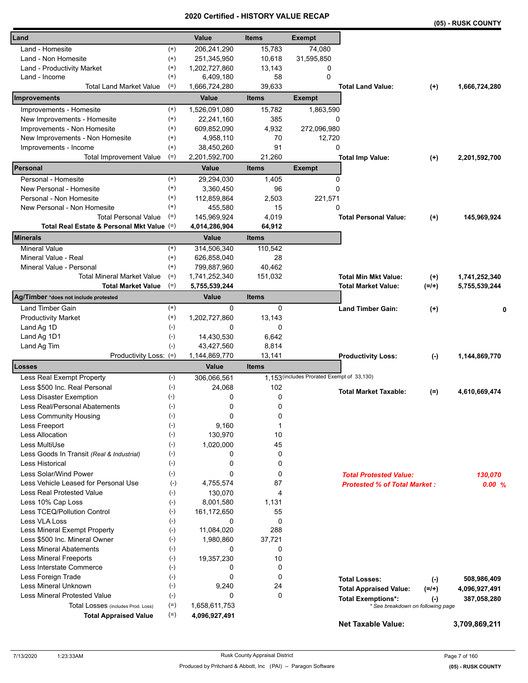|                                            |                    | cıulleu       | ו טווי<br>UNI VALU |                                            |                                     |           | (05) - RUSK COUNTY |
|--------------------------------------------|--------------------|---------------|--------------------|--------------------------------------------|-------------------------------------|-----------|--------------------|
| Land                                       |                    | <b>Value</b>  | <b>Items</b>       | <b>Exempt</b>                              |                                     |           |                    |
| Land - Homesite                            | $^{(+)}$           | 206,241,290   | 15,783             | 74,080                                     |                                     |           |                    |
| Land - Non Homesite                        | $^{(+)}$           | 251,345,950   | 10,618             | 31,595,850                                 |                                     |           |                    |
| Land - Productivity Market                 | $^{(+)}$           | 1,202,727,860 | 13,143             | 0                                          |                                     |           |                    |
| Land - Income                              | $^{(+)}$           | 6,409,180     | 58                 | 0                                          |                                     |           |                    |
| <b>Total Land Market Value</b>             | $(=)$              | 1,666,724,280 | 39,633             |                                            | <b>Total Land Value:</b>            | $(+)$     | 1,666,724,280      |
| Improvements                               |                    | Value         | <b>Items</b>       | <b>Exempt</b>                              |                                     |           |                    |
| Improvements - Homesite                    | $^{(+)}$           | 1,526,091,080 | 15,782             | 1,863,590                                  |                                     |           |                    |
| New Improvements - Homesite                | $^{(+)}$           | 22,241,160    | 385                |                                            | 0                                   |           |                    |
| Improvements - Non Homesite                | $^{(+)}$           | 609,852,090   | 4,932              | 272,096,980                                |                                     |           |                    |
| New Improvements - Non Homesite            | $^{(+)}$           | 4,958,110     | 70                 | 12,720                                     |                                     |           |                    |
| Improvements - Income                      | $^{(+)}$           | 38,450,260    | 91                 |                                            | 0                                   |           |                    |
| $(=)$<br><b>Total Improvement Value</b>    |                    | 2,201,592,700 | 21,260             |                                            | <b>Total Imp Value:</b>             | $(+)$     | 2,201,592,700      |
| Personal                                   |                    | Value         | <b>Items</b>       | <b>Exempt</b>                              |                                     |           |                    |
| Personal - Homesite                        | $^{(+)}$           | 29,294,030    | 1,405              | 0                                          |                                     |           |                    |
| New Personal - Homesite                    | $^{(+)}$           | 3,360,450     | 96                 |                                            | 0                                   |           |                    |
| Personal - Non Homesite                    | $^{(+)}$           | 112,859,864   | 2,503              | 221,571                                    |                                     |           |                    |
| New Personal - Non Homesite                | $^{(+)}$           | 455,580       | 15                 |                                            | $\Omega$                            |           |                    |
| <b>Total Personal Value</b><br>$(=)$       |                    | 145,969,924   | 4,019              |                                            | <b>Total Personal Value:</b>        | $(+)$     | 145,969,924        |
| Total Real Estate & Personal Mkt Value (=) |                    | 4,014,286,904 | 64,912             |                                            |                                     |           |                    |
| <b>Minerals</b>                            |                    | Value         | <b>Items</b>       |                                            |                                     |           |                    |
| <b>Mineral Value</b>                       | $^{(+)}$           | 314,506,340   | 110,542            |                                            |                                     |           |                    |
| Mineral Value - Real                       | $^{(+)}$           | 626,858,040   | 28                 |                                            |                                     |           |                    |
| Mineral Value - Personal                   | $^{(+)}$           | 799,887,960   | 40,462             |                                            |                                     |           |                    |
| <b>Total Mineral Market Value</b><br>$(=)$ |                    | 1,741,252,340 | 151,032            |                                            | <b>Total Min Mkt Value:</b>         | $^{(+)}$  | 1,741,252,340      |
| $(=)$<br><b>Total Market Value</b>         |                    | 5,755,539,244 |                    |                                            | <b>Total Market Value:</b>          | $(=/+)$   | 5,755,539,244      |
| Ag/Timber *does not include protested      |                    | Value         | <b>Items</b>       |                                            |                                     |           |                    |
| Land Timber Gain                           | $^{(+)}$           | 0             | 0                  |                                            | <b>Land Timber Gain:</b>            | $(+)$     | 0                  |
| <b>Productivity Market</b><br>$^{(+)}$     |                    | 1,202,727,860 | 13,143             |                                            |                                     |           |                    |
| Land Ag 1D                                 | $(-)$              | 0             | 0                  |                                            |                                     |           |                    |
| Land Ag 1D1                                | $(-)$              | 14,430,530    | 6,642              |                                            |                                     |           |                    |
| Land Ag Tim                                | $(-)$              | 43,427,560    | 8,814              |                                            |                                     |           |                    |
| Productivity Loss: (=)                     |                    | 1,144,869,770 | 13,141             |                                            | <b>Productivity Loss:</b>           | $(-)$     | 1,144,869,770      |
| Losses                                     |                    | Value         | <b>Items</b>       |                                            |                                     |           |                    |
| Less Real Exempt Property                  | $(-)$              | 306,066,561   |                    | 1,153 (includes Prorated Exempt of 33,130) |                                     |           |                    |
| Less \$500 Inc. Real Personal              | $(-)$              | 24,068        | 102                |                                            |                                     |           |                    |
| Less Disaster Exemption<br>$(\text{-})$    |                    | 0             | 0                  |                                            | <b>Total Market Taxable:</b>        | (=)       | 4,610,669,474      |
| Less Real/Personal Abatements              | $(\textnormal{-})$ | 0             | 0                  |                                            |                                     |           |                    |
| Less Community Housing                     | $(-)$              | 0             | 0                  |                                            |                                     |           |                    |
| Less Freeport                              | $(-)$              | 9,160         | 1                  |                                            |                                     |           |                    |
| <b>Less Allocation</b>                     | $(-)$              | 130,970       | 10                 |                                            |                                     |           |                    |
| Less MultiUse                              | $(-)$              | 1,020,000     | 45                 |                                            |                                     |           |                    |
| Less Goods In Transit (Real & Industrial)  | $(-)$              | 0             | 0                  |                                            |                                     |           |                    |
| <b>Less Historical</b>                     | $(-)$              | 0             | 0                  |                                            |                                     |           |                    |
| Less Solar/Wind Power                      | $(-)$              | 0             | 0                  |                                            | <b>Total Protested Value:</b>       |           | 130,070            |
| Less Vehicle Leased for Personal Use       | $(-)$              | 4,755,574     | 87                 |                                            | <b>Protested % of Total Market:</b> |           | 0.00%              |
| Less Real Protested Value                  | $(-)$              | 130,070       | 4                  |                                            |                                     |           |                    |
| Less 10% Cap Loss                          | $(-)$              | 8,001,580     | 1,131              |                                            |                                     |           |                    |
| Less TCEQ/Pollution Control                | $(-)$              | 161,172,650   | 55                 |                                            |                                     |           |                    |
| Less VLA Loss                              | $(-)$              | 0             | 0                  |                                            |                                     |           |                    |
| Less Mineral Exempt Property               | $(-)$              | 11,084,020    | 288                |                                            |                                     |           |                    |
| Less \$500 Inc. Mineral Owner              | $(-)$              | 1,980,860     | 37,721             |                                            |                                     |           |                    |
| <b>Less Mineral Abatements</b>             | $(-)$              | 0             | 0                  |                                            |                                     |           |                    |
| <b>Less Mineral Freeports</b>              | $(-)$              | 19,357,230    | 10                 |                                            |                                     |           |                    |
| Less Interstate Commerce                   | $(-)$              | 0             | 0                  |                                            |                                     |           |                    |
| Less Foreign Trade                         | $(-)$              | 0             | 0                  |                                            |                                     |           |                    |
| Less Mineral Unknown                       | $(-)$              | 9,240         | 24                 |                                            | <b>Total Losses:</b>                | $(-)$     | 508,986,409        |
| Less Mineral Protested Value               | $(-)$              | 0             | 0                  |                                            | <b>Total Appraised Value:</b>       | $(=/+)$   | 4,096,927,491      |
| Total Losses (includes Prod. Loss)         | $(=)$              | 1,658,611,753 |                    |                                            | <b>Total Exemptions*:</b>           | $(\cdot)$ | 387,058,280        |
| <b>Total Appraised Value</b>               | $(=)$              | 4,096,927,491 |                    |                                            | * See breakdown on following page   |           |                    |
|                                            |                    |               |                    |                                            | <b>Net Taxable Value:</b>           |           | 3,709,869,211      |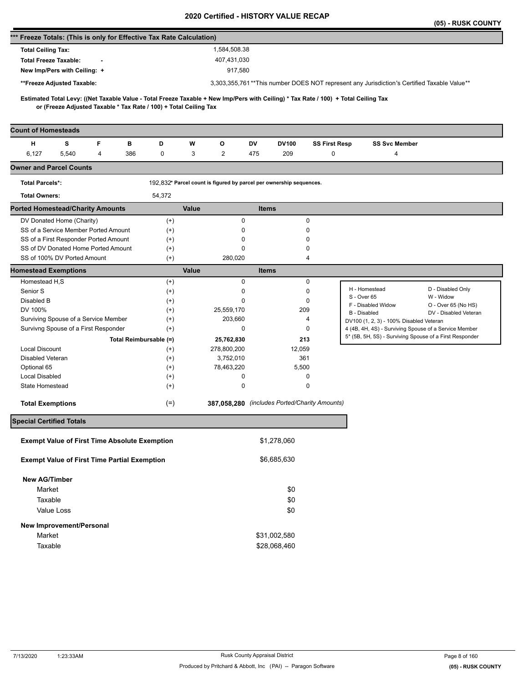|                                                                                                                                                                                                          |                        |                                                                     |                                               |                      |                                                                                            | (05) - RUSK COUNTY |
|----------------------------------------------------------------------------------------------------------------------------------------------------------------------------------------------------------|------------------------|---------------------------------------------------------------------|-----------------------------------------------|----------------------|--------------------------------------------------------------------------------------------|--------------------|
| *** Freeze Totals: (This is only for Effective Tax Rate Calculation)                                                                                                                                     |                        |                                                                     |                                               |                      |                                                                                            |                    |
| <b>Total Ceiling Tax:</b>                                                                                                                                                                                |                        | 1,584,508.38                                                        |                                               |                      |                                                                                            |                    |
| <b>Total Freeze Taxable:</b>                                                                                                                                                                             |                        | 407,431,030                                                         |                                               |                      |                                                                                            |                    |
| New Imp/Pers with Ceiling: +                                                                                                                                                                             |                        | 917,580                                                             |                                               |                      |                                                                                            |                    |
| **Freeze Adjusted Taxable:                                                                                                                                                                               |                        |                                                                     |                                               |                      | 3,303,355,761**This number DOES NOT represent any Jurisdiction's Certified Taxable Value** |                    |
|                                                                                                                                                                                                          |                        |                                                                     |                                               |                      |                                                                                            |                    |
| Estimated Total Levy: ((Net Taxable Value - Total Freeze Taxable + New Imp/Pers with Ceiling) * Tax Rate / 100) + Total Ceiling Tax<br>or (Freeze Adjusted Taxable * Tax Rate / 100) + Total Ceiling Tax |                        |                                                                     |                                               |                      |                                                                                            |                    |
| <b>Count of Homesteads</b>                                                                                                                                                                               |                        |                                                                     |                                               |                      |                                                                                            |                    |
| н<br>s<br>F<br>в                                                                                                                                                                                         | D                      | W<br>o                                                              | DV<br><b>DV100</b>                            | <b>SS First Resp</b> | <b>SS Svc Member</b>                                                                       |                    |
| 6,127<br>5,540<br>4<br>386                                                                                                                                                                               | 0                      | 3<br>2                                                              | 475<br>209                                    | 0                    | 4                                                                                          |                    |
| <b>Owner and Parcel Counts</b>                                                                                                                                                                           |                        |                                                                     |                                               |                      |                                                                                            |                    |
| <b>Total Parcels*:</b>                                                                                                                                                                                   |                        | 192,832* Parcel count is figured by parcel per ownership sequences. |                                               |                      |                                                                                            |                    |
| <b>Total Owners:</b>                                                                                                                                                                                     | 54,372                 |                                                                     |                                               |                      |                                                                                            |                    |
| <b>Ported Homestead/Charity Amounts</b>                                                                                                                                                                  |                        | Value                                                               | <b>Items</b>                                  |                      |                                                                                            |                    |
| DV Donated Home (Charity)                                                                                                                                                                                | $^{(+)}$               | 0                                                                   |                                               | 0                    |                                                                                            |                    |
| SS of a Service Member Ported Amount                                                                                                                                                                     | $^{(+)}$               | 0                                                                   |                                               | 0                    |                                                                                            |                    |
| SS of a First Responder Ported Amount                                                                                                                                                                    | $^{(+)}$               | 0                                                                   |                                               | 0                    |                                                                                            |                    |
| SS of DV Donated Home Ported Amount                                                                                                                                                                      | $^{(+)}$               | 0                                                                   |                                               | 0                    |                                                                                            |                    |
| SS of 100% DV Ported Amount                                                                                                                                                                              | $(+)$                  | 280,020                                                             |                                               | 4                    |                                                                                            |                    |
| <b>Homestead Exemptions</b>                                                                                                                                                                              |                        | Value                                                               | <b>Items</b>                                  |                      |                                                                                            |                    |
| Homestead H,S                                                                                                                                                                                            | $^{(+)}$               | 0                                                                   |                                               | 0                    |                                                                                            |                    |
| Senior S                                                                                                                                                                                                 | $^{(+)}$               | 0                                                                   |                                               | 0                    | D - Disabled Only<br>H - Homestead<br>S - Over 65<br>W - Widow                             |                    |
| Disabled B                                                                                                                                                                                               | $^{(+)}$               | 0                                                                   |                                               | 0                    | F - Disabled Widow<br>O - Over 65 (No HS)                                                  |                    |
| DV 100%                                                                                                                                                                                                  | $^{(+)}$               | 25,559,170                                                          | 209                                           |                      | B - Disabled<br>DV - Disabled Veteran                                                      |                    |
| Surviving Spouse of a Service Member                                                                                                                                                                     | $^{(+)}$               | 203,660                                                             |                                               | 4                    | DV100 (1, 2, 3) - 100% Disabled Veteran                                                    |                    |
| Survivng Spouse of a First Responder                                                                                                                                                                     | $^{(+)}$               | 0                                                                   |                                               | 0                    | 4 (4B, 4H, 4S) - Surviving Spouse of a Service Member                                      |                    |
|                                                                                                                                                                                                          | Total Reimbursable (=) | 25,762,830                                                          | 213                                           |                      | 5* (5B, 5H, 5S) - Surviving Spouse of a First Responder                                    |                    |
| <b>Local Discount</b>                                                                                                                                                                                    | $^{(+)}$               | 278,800,200                                                         | 12,059                                        |                      |                                                                                            |                    |
| Disabled Veteran                                                                                                                                                                                         | $^{(+)}$               | 3,752,010                                                           | 361                                           |                      |                                                                                            |                    |
| Optional 65                                                                                                                                                                                              | $^{(+)}$               | 78,463,220                                                          | 5,500                                         |                      |                                                                                            |                    |
| <b>Local Disabled</b><br>State Homestead                                                                                                                                                                 | $^{(+)}$<br>$^{(+)}$   | 0<br>0                                                              |                                               | 0<br>0               |                                                                                            |                    |
|                                                                                                                                                                                                          |                        |                                                                     |                                               |                      |                                                                                            |                    |
| <b>Total Exemptions</b>                                                                                                                                                                                  | $(=)$                  |                                                                     | 387,058,280 (includes Ported/Charity Amounts) |                      |                                                                                            |                    |
| <b>Special Certified Totals</b>                                                                                                                                                                          |                        |                                                                     |                                               |                      |                                                                                            |                    |
| <b>Exempt Value of First Time Absolute Exemption</b>                                                                                                                                                     |                        |                                                                     | \$1,278,060                                   |                      |                                                                                            |                    |
| <b>Exempt Value of First Time Partial Exemption</b>                                                                                                                                                      |                        |                                                                     | \$6,685,630                                   |                      |                                                                                            |                    |
| <b>New AG/Timber</b>                                                                                                                                                                                     |                        |                                                                     |                                               |                      |                                                                                            |                    |
| Market                                                                                                                                                                                                   |                        |                                                                     | \$0                                           |                      |                                                                                            |                    |
| Taxable                                                                                                                                                                                                  |                        |                                                                     | \$0                                           |                      |                                                                                            |                    |
| Value Loss                                                                                                                                                                                               |                        |                                                                     | \$0                                           |                      |                                                                                            |                    |
|                                                                                                                                                                                                          |                        |                                                                     |                                               |                      |                                                                                            |                    |
| New Improvement/Personal                                                                                                                                                                                 |                        |                                                                     |                                               |                      |                                                                                            |                    |
| Market                                                                                                                                                                                                   |                        |                                                                     | \$31,002,580                                  |                      |                                                                                            |                    |
| Taxable                                                                                                                                                                                                  |                        |                                                                     | \$28,068,460                                  |                      |                                                                                            |                    |
|                                                                                                                                                                                                          |                        |                                                                     |                                               |                      |                                                                                            |                    |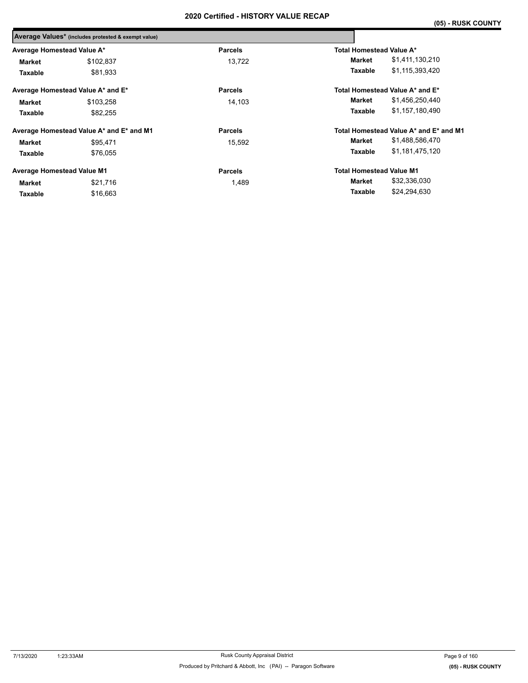|                                   | Average Values* (includes protested & exempt value) |                |                                 |                                        |
|-----------------------------------|-----------------------------------------------------|----------------|---------------------------------|----------------------------------------|
| Average Homestead Value A*        |                                                     | <b>Parcels</b> | Total Homestead Value A*        |                                        |
| Market                            | \$102,837                                           | 13.722         | Market                          | \$1,411,130,210                        |
| Taxable                           | \$81,933                                            |                | Taxable                         | \$1,115,393,420                        |
|                                   | Average Homestead Value A* and E*                   | <b>Parcels</b> |                                 | Total Homestead Value A* and E*        |
| Market                            | \$103,258                                           | 14,103         | Market                          | \$1,456,250,440                        |
| Taxable                           | \$82.255                                            |                | Taxable                         | \$1.157.180.490                        |
|                                   | Average Homestead Value A* and E* and M1            | <b>Parcels</b> |                                 | Total Homestead Value A* and E* and M1 |
| Market                            | \$95,471                                            | 15.592         | Market                          | \$1,488,586,470                        |
| Taxable                           | \$76,055                                            |                | Taxable                         | \$1,181,475,120                        |
| <b>Average Homestead Value M1</b> |                                                     | <b>Parcels</b> | <b>Total Homestead Value M1</b> |                                        |
| Market                            | \$21,716                                            | 1,489          | Market                          | \$32,336,030                           |
| Taxable                           | \$16.663                                            |                | Taxable                         | \$24,294,630                           |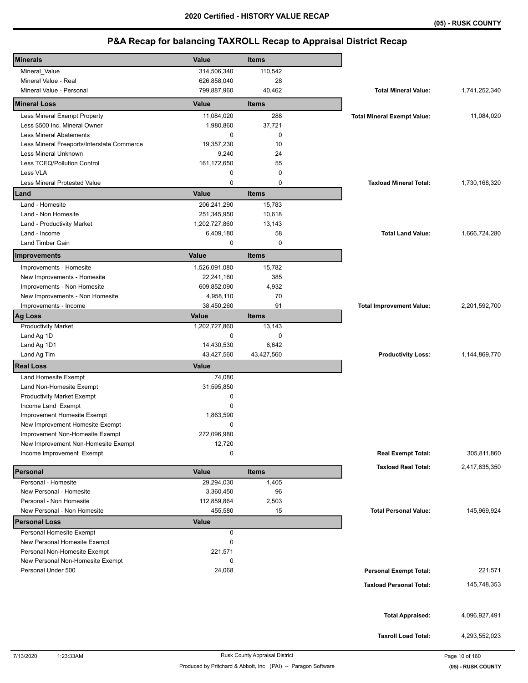| <b>Minerals</b>                                                  | Value         | Items        |                                    |               |
|------------------------------------------------------------------|---------------|--------------|------------------------------------|---------------|
| Mineral_Value                                                    | 314,506,340   | 110,542      |                                    |               |
| Mineral Value - Real                                             | 626,858,040   | 28           |                                    |               |
| Mineral Value - Personal                                         | 799,887,960   | 40,462       | <b>Total Mineral Value:</b>        | 1,741,252,340 |
| <b>Mineral Loss</b>                                              | Value         | <b>Items</b> |                                    |               |
| Less Mineral Exempt Property                                     | 11,084,020    | 288          | <b>Total Mineral Exempt Value:</b> | 11,084,020    |
| Less \$500 Inc. Mineral Owner                                    | 1,980,860     | 37,721       |                                    |               |
| <b>Less Mineral Abatements</b>                                   | 0             | 0            |                                    |               |
| Less Mineral Freeports/Interstate Commerce                       | 19,357,230    | 10           |                                    |               |
| Less Mineral Unknown                                             | 9,240         | 24           |                                    |               |
| Less TCEQ/Pollution Control                                      | 161,172,650   | 55           |                                    |               |
| Less VLA                                                         | 0             | 0            |                                    |               |
| Less Mineral Protested Value                                     | 0             | $\mathbf 0$  | <b>Taxload Mineral Total:</b>      | 1,730,168,320 |
| Land                                                             | Value         | <b>Items</b> |                                    |               |
| Land - Homesite                                                  | 206,241,290   | 15,783       |                                    |               |
| Land - Non Homesite                                              | 251,345,950   | 10,618       |                                    |               |
| Land - Productivity Market                                       | 1,202,727,860 | 13,143       |                                    |               |
| Land - Income                                                    | 6,409,180     | 58           | <b>Total Land Value:</b>           | 1,666,724,280 |
| Land Timber Gain                                                 | 0             | 0            |                                    |               |
| Improvements                                                     | Value         | <b>Items</b> |                                    |               |
| Improvements - Homesite                                          | 1,526,091,080 | 15,782       |                                    |               |
| New Improvements - Homesite                                      | 22,241,160    | 385          |                                    |               |
| Improvements - Non Homesite                                      | 609,852,090   | 4,932        |                                    |               |
| New Improvements - Non Homesite                                  | 4,958,110     | 70           |                                    |               |
| Improvements - Income                                            | 38,450,260    | 91           | <b>Total Improvement Value:</b>    | 2,201,592,700 |
| <b>Ag Loss</b>                                                   | Value         | <b>Items</b> |                                    |               |
| <b>Productivity Market</b>                                       | 1,202,727,860 | 13,143       |                                    |               |
| Land Ag 1D                                                       | 0             | 0            |                                    |               |
| Land Ag 1D1                                                      | 14,430,530    | 6,642        |                                    |               |
| Land Ag Tim                                                      | 43,427,560    | 43,427,560   | <b>Productivity Loss:</b>          | 1,144,869,770 |
| <b>Real Loss</b>                                                 | <b>Value</b>  |              |                                    |               |
| Land Homesite Exempt                                             | 74,080        |              |                                    |               |
| Land Non-Homesite Exempt                                         | 31,595,850    |              |                                    |               |
| <b>Productivity Market Exempt</b>                                | 0             |              |                                    |               |
| Income Land Exempt                                               | 0             |              |                                    |               |
| Improvement Homesite Exempt                                      | 1,863,590     |              |                                    |               |
| New Improvement Homesite Exempt                                  | 0             |              |                                    |               |
| Improvement Non-Homesite Exempt                                  | 272,096,980   |              |                                    |               |
| New Improvement Non-Homesite Exempt<br>Income Improvement Exempt | 12,720<br>0   |              | <b>Real Exempt Total:</b>          | 305,811,860   |
|                                                                  |               |              |                                    |               |
| Personal                                                         | Value         | <b>Items</b> | <b>Taxload Real Total:</b>         | 2,417,635,350 |
| Personal - Homesite                                              | 29,294,030    | 1,405        |                                    |               |
| New Personal - Homesite                                          | 3,360,450     | 96           |                                    |               |
| Personal - Non Homesite                                          | 112,859,864   | 2,503        |                                    |               |
| New Personal - Non Homesite                                      | 455,580       | 15           | <b>Total Personal Value:</b>       | 145,969,924   |
| <b>Personal Loss</b>                                             | <b>Value</b>  |              |                                    |               |
| Personal Homesite Exempt                                         | 0             |              |                                    |               |
| New Personal Homesite Exempt                                     | 0             |              |                                    |               |
| Personal Non-Homesite Exempt                                     | 221,571       |              |                                    |               |
| New Personal Non-Homesite Exempt                                 | 0             |              |                                    |               |
| Personal Under 500                                               | 24,068        |              | <b>Personal Exempt Total:</b>      | 221,571       |
|                                                                  |               |              | <b>Taxload Personal Total:</b>     | 145,748,353   |
|                                                                  |               |              |                                    |               |
|                                                                  |               |              |                                    |               |
|                                                                  |               |              | <b>Total Appraised:</b>            | 4,096,927,491 |
|                                                                  |               |              |                                    |               |
|                                                                  |               |              | <b>Taxroll Load Total:</b>         | 4,293,552,023 |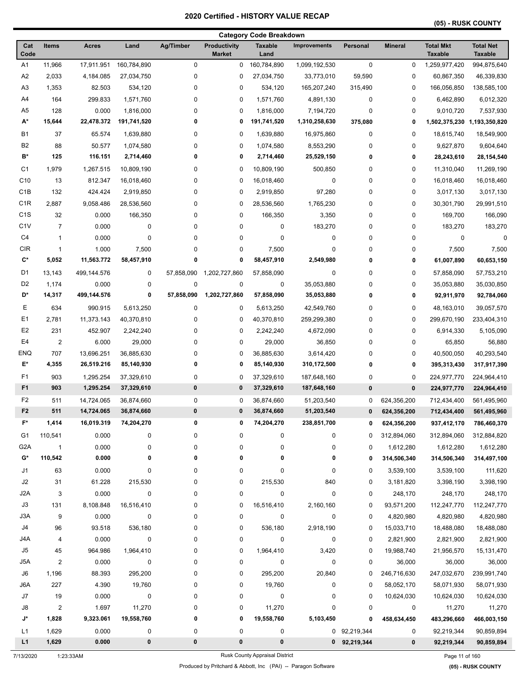### **(05) - RUSK COUNTY**

|                    |                         |                          |             |                |                               | <b>Category Code Breakdown</b> |                            |              |                            |                                    |                                    |
|--------------------|-------------------------|--------------------------|-------------|----------------|-------------------------------|--------------------------------|----------------------------|--------------|----------------------------|------------------------------------|------------------------------------|
| Cat<br>Code        | Items                   | <b>Acres</b>             | Land        | Ag/Timber      | Productivity<br><b>Market</b> | <b>Taxable</b><br>Land         | <b>Improvements</b>        | Personal     | <b>Mineral</b>             | <b>Total Mkt</b><br><b>Taxable</b> | <b>Total Net</b><br><b>Taxable</b> |
| A1                 | 11,966                  | 17,911.951               | 160,784,890 | $\mathbf 0$    | 0                             | 160,784,890                    | 1,099,192,530              | $\mathbf 0$  | 0                          | 1,259,977,420                      | 994,875,640                        |
| A <sub>2</sub>     | 2,033                   | 4,184.085                | 27,034,750  | 0              | 0                             | 27,034,750                     | 33,773,010                 | 59,590       | 0                          | 60,867,350                         | 46,339,830                         |
| A3                 | 1,353                   | 82.503                   | 534,120     | 0              | 0                             | 534,120                        | 165,207,240                | 315,490      | 0                          | 166,056,850                        | 138,585,100                        |
| A4                 | 164                     | 299.833                  | 1,571,760   | 0              | 0                             | 1,571,760                      | 4,891,130                  | 0            | 0                          | 6,462,890                          | 6,012,320                          |
| A5                 | 128                     | 0.000                    | 1,816,000   | 0              | 0                             | 1,816,000                      | 7,194,720                  | 0            | 0                          | 9,010,720                          | 7,537,930                          |
| A*                 | 15,644                  | 22,478.372               | 191,741,520 | 0              | 0                             | 191,741,520                    | 1,310,258,630              | 375,080      | 0                          | 1,502,375,230 1,193,350,820        |                                    |
| <b>B1</b>          | 37                      | 65.574                   | 1,639,880   | 0              | 0                             | 1,639,880                      | 16,975,860                 | 0            | 0                          | 18,615,740                         | 18,549,900                         |
| B <sub>2</sub>     | 88                      | 50.577                   | 1,074,580   | 0              | 0                             | 1,074,580                      | 8,553,290                  | $\mathbf 0$  | 0                          | 9,627,870                          | 9,604,640                          |
| в*                 | 125                     | 116.151                  | 2,714,460   | 0              | 0                             | 2,714,460                      | 25,529,150                 | 0            | 0                          | 28,243,610                         | 28,154,540                         |
| C <sub>1</sub>     | 1,979                   | 1,267.515                | 10,809,190  | 0              | 0                             | 10,809,190                     | 500,850                    | 0            | 0                          | 11,310,040                         | 11,269,190                         |
| C <sub>10</sub>    | 13                      | 812.347                  | 16,018,460  | 0              | 0                             | 16,018,460                     | 0                          | $\mathbf 0$  | 0                          | 16,018,460                         | 16,018,460                         |
| C <sub>1</sub> B   | 132                     | 424.424                  | 2,919,850   | 0              | 0                             | 2,919,850                      | 97,280                     | $\mathbf 0$  | 0                          | 3,017,130                          | 3,017,130                          |
| C <sub>1</sub> R   | 2,887                   | 9,058.486                | 28,536,560  | 0              | 0                             | 28,536,560                     | 1,765,230                  | 0            | 0                          | 30,301,790                         | 29,991,510                         |
| C <sub>1</sub> S   | 32                      | 0.000                    | 166,350     | 0              | 0                             | 166,350                        | 3,350                      | $\mathbf 0$  | 0                          | 169,700                            | 166,090                            |
| C <sub>1</sub> V   | 7                       | 0.000                    | 0           | 0              | 0                             | 0                              | 183,270                    | 0            | 0                          | 183,270                            | 183,270                            |
| C <sub>4</sub>     | $\mathbf{1}$            | 0.000                    | 0           | 0              | 0                             | 0                              | 0                          | $\mathbf 0$  | 0                          | 0                                  | $\mathbf 0$                        |
| <b>CIR</b>         | 1                       | 1.000                    | 7,500       | 0              | 0                             | 7,500                          | 0                          | $\mathbf 0$  | 0                          | 7,500                              | 7,500                              |
| C*                 | 5,052                   | 11,563.772               | 58,457,910  | 0              | 0                             | 58,457,910                     | 2,549,980                  | 0            | 0                          | 61,007,890                         | 60,653,150                         |
| D <sub>1</sub>     | 13,143                  | 499,144.576              | 0           | 57,858,090     | 1,202,727,860                 | 57,858,090                     | 0                          | $\mathbf 0$  | 0                          | 57,858,090                         | 57,753,210                         |
| D <sub>2</sub>     | 1,174                   | 0.000                    | 0           | 0              | 0                             | 0                              | 35,053,880                 | $\mathbf 0$  | 0                          | 35,053,880                         | 35,030,850                         |
| D*                 | 14,317                  | 499,144.576              | 0           | 57,858,090     | 1,202,727,860                 | 57,858,090                     | 35,053,880                 | 0            | 0                          | 92,911,970                         | 92,784,060                         |
| Ε                  | 634                     | 990.915                  | 5,613,250   | 0              | 0                             | 5,613,250                      | 42,549,760                 | 0            | 0                          | 48,163,010                         | 39,057,570                         |
| E <sub>1</sub>     | 2,781                   | 11,373.143               | 40,370,810  | 0              | 0                             | 40,370,810                     | 259,299,380                | 0            | 0                          | 299,670,190                        | 233,404,310                        |
| E <sub>2</sub>     | 231                     | 452.907                  | 2,242,240   | 0              | 0                             | 2,242,240                      | 4,672,090                  | $\mathbf 0$  | 0                          | 6,914,330                          | 5,105,090                          |
| E <sub>4</sub>     | $\overline{\mathbf{c}}$ | 6.000                    | 29,000      | 0              | 0                             | 29,000                         | 36,850                     | $\mathbf 0$  | 0                          | 65,850                             | 56,880                             |
| ENQ                | 707                     | 13,696.251               | 36,885,630  | 0              | 0                             | 36,885,630                     | 3,614,420                  | 0            | 0                          | 40,500,050                         | 40,293,540                         |
| E*                 | 4,355                   | 26,519.216               | 85,140,930  | 0              | 0                             | 85,140,930                     | 310,172,500                | 0            | 0                          | 395,313,430                        | 317,917,390                        |
| F1                 | 903                     | 1,295.254                | 37,329,610  | 0              | 0                             | 37,329,610                     |                            | $\mathbf 0$  | 0                          |                                    |                                    |
| F <sub>1</sub>     | 903                     | 1,295.254                | 37,329,610  | $\pmb{0}$      | 0                             | 37,329,610                     | 187,648,160<br>187,648,160 | $\bf{0}$     | $\bf{0}$                   | 224,977,770<br>224,977,770         | 224,964,410<br>224,964,410         |
| F <sub>2</sub>     | 511                     |                          | 36,874,660  |                |                               |                                |                            | 0            |                            |                                    | 561,495,960                        |
| F2                 | 511                     | 14,724.065<br>14,724.065 | 36,874,660  | 0<br>$\pmb{0}$ | 0<br>0                        | 36,874,660<br>36,874,660       | 51,203,540<br>51,203,540   | $\mathbf 0$  | 624,356,200<br>624,356,200 | 712,434,400<br>712,434,400         | 561,495,960                        |
| F*                 | 1,414                   | 16,019.319               | 74,204,270  | 0              | 0                             | 74,204,270                     | 238,851,700                |              |                            |                                    |                                    |
|                    |                         |                          |             |                |                               |                                |                            | 0            | 624,356,200                | 937,412,170                        | 786,460,370                        |
| G <sub>1</sub>     | 110,541                 | 0.000                    | $\pmb{0}$   | $\pmb{0}$      | 0                             | 0                              | 0                          | $\mathbf 0$  | 312,894,060                | 312,894,060                        | 312,884,820                        |
| G <sub>2</sub> A   | $\overline{1}$          | 0.000                    | $\pmb{0}$   | $\pmb{0}$      | 0                             | 0                              | 0                          | $\mathbf 0$  | 1,612,280                  | 1,612,280                          | 1,612,280                          |
| G*                 | 110,542                 | 0.000                    | 0           | 0              | 0                             | 0                              | 0                          | 0            | 314,506,340                | 314,506,340                        | 314,497,100                        |
| J1                 | 63                      | 0.000                    | $\pmb{0}$   | $\mathbf 0$    | 0                             | 0                              | 0                          | $\mathbf 0$  | 3,539,100                  | 3,539,100                          | 111,620                            |
| J2                 | 31                      | 61.228                   | 215,530     | 0              | 0                             | 215,530                        | 840                        | $\mathbf 0$  | 3,181,820                  | 3,398,190                          | 3,398,190                          |
| J2A                | 3                       | 0.000                    | $\mathsf 0$ | $\pmb{0}$      | 0                             | $\pmb{0}$                      | 0                          | $\pmb{0}$    | 248,170                    | 248,170                            | 248,170                            |
| J3                 | 131                     | 8,108.848                | 16,516,410  | 0              | 0                             | 16,516,410                     | 2,160,160                  | 0            | 93,571,200                 | 112,247,770                        | 112,247,770                        |
| J3A                | 9                       | 0.000                    | $\pmb{0}$   | 0              | 0                             | 0                              | 0                          | 0            | 4,820,980                  | 4,820,980                          | 4,820,980                          |
| J4                 | 96                      | 93.518                   | 536,180     | 0              | 0                             | 536,180                        | 2,918,190                  | 0            | 15,033,710                 | 18,488,080                         | 18,488,080                         |
| J4A                | 4                       | 0.000                    | $\pmb{0}$   | 0              | 0                             | 0                              | 0                          | $\mathbf 0$  | 2,821,900                  | 2,821,900                          | 2,821,900                          |
| J5                 | 45                      | 964.986                  | 1,964,410   | $\pmb{0}$      | 0                             | 1,964,410                      | 3,420                      | 0            | 19,988,740                 | 21,956,570                         | 15,131,470                         |
| J5A                | $\overline{2}$          | 0.000                    | $\pmb{0}$   | $\pmb{0}$      | 0                             | $\mathbf 0$                    | 0                          | $\pmb{0}$    | 36,000                     | 36,000                             | 36,000                             |
| J6                 | 1,196                   | 88.393                   | 295,200     | 0              | 0                             | 295,200                        | 20,840                     | $\mathbf 0$  | 246,716,630                | 247,032,670                        | 239,991,740                        |
| J6A                | 227                     | 4.390                    | 19,760      | 0              | 0                             | 19,760                         | 0                          | $\mathbf 0$  | 58,052,170                 | 58,071,930                         | 58,071,930                         |
| $\sf J7$           | 19                      | 0.000                    | $\mathsf 0$ | $\pmb{0}$      | 0                             | $\mathsf 0$                    | 0                          | 0            | 10,624,030                 | 10,624,030                         | 10,624,030                         |
| ${\sf J}8$         | $\overline{2}$          | 1.697                    | 11,270      | $\pmb{0}$      | 0                             | 11,270                         | 0                          | $\mathbf 0$  | 0                          | 11,270                             | 11,270                             |
| $\mathsf{J}^\star$ | 1,828                   | 9,323.061                | 19,558,760  | 0              | 0                             | 19,558,760                     | 5,103,450                  | 0            | 458,634,450                | 483,296,660                        | 466,003,150                        |
| L1                 | 1,629                   | 0.000                    | 0           | 0              | 0                             | 0                              |                            | 0 92,219,344 | 0                          | 92,219,344                         | 90,859,894                         |
| L1                 | 1,629                   | 0.000                    | 0           | 0              | 0                             | 0                              |                            | 0 92,219,344 | 0                          | 92,219,344                         | 90,859,894                         |

7/13/2020 1:23:33AM Rusk County Appraisal District Page 11 of 160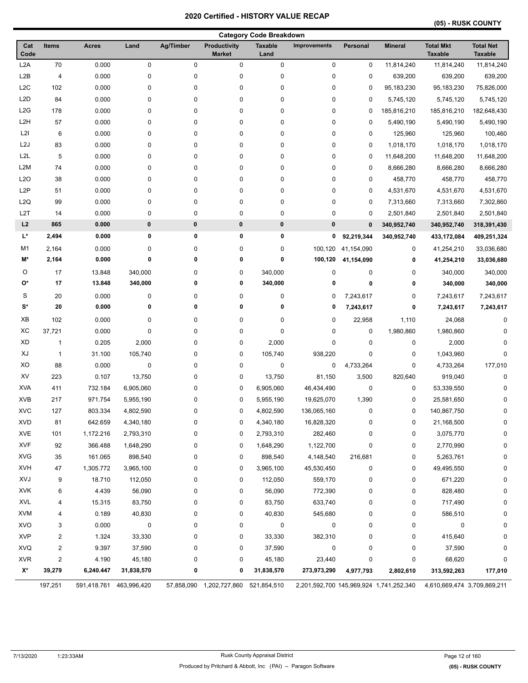**(05) - RUSK COUNTY** 

|                  |                |                         |            |             |                                      | <b>Category Code Breakdown</b> |                     |             |                                         |                                    |                                    |
|------------------|----------------|-------------------------|------------|-------------|--------------------------------------|--------------------------------|---------------------|-------------|-----------------------------------------|------------------------------------|------------------------------------|
| Cat<br>Code      | Items          | <b>Acres</b>            | Land       | Ag/Timber   | Productivity<br><b>Market</b>        | <b>Taxable</b><br>Land         | <b>Improvements</b> | Personal    | <b>Mineral</b>                          | <b>Total Mkt</b><br><b>Taxable</b> | <b>Total Net</b><br><b>Taxable</b> |
| L <sub>2</sub> A | 70             | 0.000                   | 0          | $\mathbf 0$ | $\mathsf 0$                          | $\mathsf{O}\xspace$            | $\mathsf 0$         | 0           | 11,814,240                              | 11,814,240                         | 11,814,240                         |
| L <sub>2</sub> B | 4              | 0.000                   | $\pmb{0}$  | $\pmb{0}$   | 0                                    | 0                              | 0                   | 0           | 639,200                                 | 639,200                            | 639,200                            |
| L2C              | 102            | 0.000                   | $\pmb{0}$  | 0           | 0                                    | 0                              | 0                   | $\mathbf 0$ | 95,183,230                              | 95,183,230                         | 75,826,000                         |
| L <sub>2</sub> D | 84             | 0.000                   | 0          | 0           | 0                                    | 0                              | 0                   | 0           | 5,745,120                               | 5,745,120                          | 5,745,120                          |
| L2G              | 178            | 0.000                   | 0          | 0           | 0                                    | 0                              | 0                   | 0           | 185,816,210                             | 185,816,210                        | 182,648,430                        |
| L <sub>2</sub> H | 57             | 0.000                   | 0          | 0           | 0                                    | 0                              | 0                   | 0           | 5,490,190                               | 5,490,190                          | 5,490,190                          |
| L2I              | 6              | 0.000                   | 0          | 0           | 0                                    | 0                              | 0                   | 0           | 125,960                                 | 125,960                            | 100,460                            |
| L <sub>2</sub> J | 83             | 0.000                   | $\pmb{0}$  | 0           | 0                                    | 0                              | 0                   | 0           | 1,018,170                               | 1,018,170                          | 1,018,170                          |
| L2L              | 5              | 0.000                   | $\pmb{0}$  | $\pmb{0}$   | 0                                    | 0                              | 0                   | 0           | 11,648,200                              | 11,648,200                         | 11,648,200                         |
| L <sub>2</sub> M | 74             | 0.000                   | 0          | $\pmb{0}$   | 0                                    | 0                              | 0                   | 0           | 8,666,280                               | 8,666,280                          | 8,666,280                          |
| L <sub>2</sub> O | 38             | 0.000                   | 0          | 0           | 0                                    | 0                              | 0                   | 0           | 458,770                                 | 458,770                            | 458,770                            |
| L <sub>2</sub> P | 51             | 0.000                   | 0          | 0           | 0                                    | 0                              | 0                   | 0           | 4,531,670                               | 4,531,670                          | 4,531,670                          |
| L2Q              | 99             | 0.000                   | 0          | 0           | 0                                    | 0                              | 0                   | 0           | 7,313,660                               | 7,313,660                          | 7,302,860                          |
| L2T              | 14             | 0.000                   | $\pmb{0}$  | $\pmb{0}$   | 0                                    | 0                              | 0                   | 0           | 2,501,840                               | 2,501,840                          | 2,501,840                          |
| L2               | 865            | 0.000                   | 0          | $\pmb{0}$   | $\pmb{0}$                            | $\pmb{0}$                      | $\pmb{0}$           | $\bf{0}$    | 340,952,740                             | 340,952,740                        | 318,391,430                        |
| L*               | 2,494          | 0.000                   | 0          | 0           | 0                                    | 0                              | 0                   | 92,219,344  | 340,952,740                             | 433,172,084                        | 409,251,324                        |
| M1               | 2,164          | 0.000                   | 0          | 0           | 0                                    | 0                              | 100,120             | 41,154,090  | 0                                       | 41,254,210                         | 33,036,680                         |
| M*               | 2,164          | 0.000                   | 0          | 0           | 0                                    | 0                              | 100,120             | 41,154,090  | 0                                       | 41,254,210                         | 33,036,680                         |
| O                | 17             | 13.848                  | 340,000    | 0           | 0                                    | 340,000                        | 0                   | 0           | 0                                       | 340,000                            | 340,000                            |
| О*               | 17             | 13.848                  | 340,000    | 0           | 0                                    | 340,000                        | 0                   | 0           | 0                                       | 340,000                            | 340,000                            |
|                  |                |                         |            |             |                                      |                                |                     |             |                                         |                                    |                                    |
| S                | 20<br>20       | 0.000                   | $\pmb{0}$  | 0           | 0                                    | 0                              | 0                   | 7,243,617   | 0                                       | 7,243,617                          | 7,243,617                          |
| S*               |                | 0.000                   | 0          | 0           | 0                                    | 0                              | 0                   | 7,243,617   | 0                                       | 7,243,617                          | 7,243,617                          |
| XB               | 102            | 0.000                   | $\pmb{0}$  | $\pmb{0}$   | 0                                    | 0                              | 0                   | 22,958      | 1,110                                   | 24,068                             | 0                                  |
| XC               | 37,721         | 0.000                   | $\pmb{0}$  | 0           | 0                                    | 0                              | 0                   | 0           | 1,980,860                               | 1,980,860                          | 0                                  |
| XD               | $\mathbf{1}$   | 0.205                   | 2,000      | 0           | 0                                    | 2,000                          | 0                   | 0           | 0                                       | 2,000                              | 0                                  |
| XJ               | $\mathbf{1}$   | 31.100                  | 105,740    | 0           | 0                                    | 105,740                        | 938,220             | $\mathbf 0$ | 0                                       | 1,043,960                          | 0                                  |
| XO               | 88             | 0.000                   | 0          | 0           | 0                                    | 0                              | 0                   | 4,733,264   | 0                                       | 4,733,264                          | 177,010                            |
| XV               | 223            | 0.107                   | 13,750     | 0           | 0                                    | 13,750                         | 81,150              | 3,500       | 820,640                                 | 919,040                            | 0                                  |
| <b>XVA</b>       | 411            | 732.184                 | 6,905,060  | 0           | 0                                    | 6,905,060                      | 46,434,490          | 0           | 0                                       | 53,339,550                         | O                                  |
| <b>XVB</b>       | 217            | 971.754                 | 5,955,190  | 0           | 0                                    | 5,955,190                      | 19,625,070          | 1,390       | 0                                       | 25,581,650                         | 0                                  |
| <b>XVC</b>       | 127            | 803.334                 | 4,802,590  | $\mathbf 0$ | 0                                    | 4,802,590                      | 136,065,160         | $\mathbf 0$ | 0                                       | 140,867,750                        | 0                                  |
| <b>XVD</b>       | 81             | 642.659                 | 4,340,180  | 0           | 0                                    | 4,340,180                      | 16,828,320          | 0           | 0                                       | 21,168,500                         | 0                                  |
| <b>XVE</b>       | 101            | 1,172.216               | 2,793,310  | 0           | 0                                    | 2,793,310                      | 282,460             | 0           | 0                                       | 3,075,770                          | 0                                  |
| <b>XVF</b>       | 92             | 366.488                 | 1,648,290  | 0           | 0                                    | 1,648,290                      | 1,122,700           | 0           | 0                                       | 2,770,990                          | 0                                  |
| <b>XVG</b>       | 35             | 161.065                 | 898,540    | 0           | 0                                    | 898,540                        | 4,148,540           | 216,681     | 0                                       | 5,263,761                          | 0                                  |
| <b>XVH</b>       | 47             | 1,305.772               | 3,965,100  | 0           | 0                                    | 3,965,100                      | 45,530,450          | 0           | 0                                       | 49,495,550                         | 0                                  |
| XVJ              | 9              | 18.710                  | 112,050    | 0           | 0                                    | 112,050                        | 559,170             | 0           | 0                                       | 671,220                            | 0                                  |
| <b>XVK</b>       | 6              | 4.439                   | 56,090     | 0           | 0                                    | 56,090                         | 772,390             | 0           | 0                                       | 828,480                            | 0                                  |
| <b>XVL</b>       | 4              | 15.315                  | 83,750     | 0           | 0                                    | 83,750                         | 633,740             | 0           | 0                                       | 717,490                            | 0                                  |
| <b>XVM</b>       | 4              | 0.189                   | 40,830     | 0           | 0                                    | 40,830                         | 545,680             | 0           | 0                                       | 586,510                            | 0                                  |
| <b>XVO</b>       | 3              | 0.000                   | 0          | 0           | 0                                    | 0                              | 0                   | 0           | 0                                       | 0                                  |                                    |
| <b>XVP</b>       | 2              | 1.324                   | 33,330     | 0           | 0                                    | 33,330                         | 382,310             | 0           | 0                                       | 415,640                            | 0                                  |
| <b>XVQ</b>       | $\overline{c}$ | 9.397                   | 37,590     | 0           | 0                                    | 37,590                         | 0                   | 0           | 0                                       | 37,590                             |                                    |
| <b>XVR</b>       | 2              | 4.190                   | 45,180     | 0           | 0                                    | 45,180                         | 23,440              | 0           | 0                                       | 68,620                             | 0                                  |
| X*               | 39,279         | 6,240.447               | 31,838,570 | 0           | 0                                    | 31,838,570                     | 273,973,290         | 4,977,793   | 2,802,610                               | 313,592,263                        | 177,010                            |
|                  | 197,251        | 591,418.761 463,996,420 |            |             | 57,858,090 1,202,727,860 521,854,510 |                                |                     |             | 2,201,592,700 145,969,924 1,741,252,340 | 4,610,669,474 3,709,869,211        |                                    |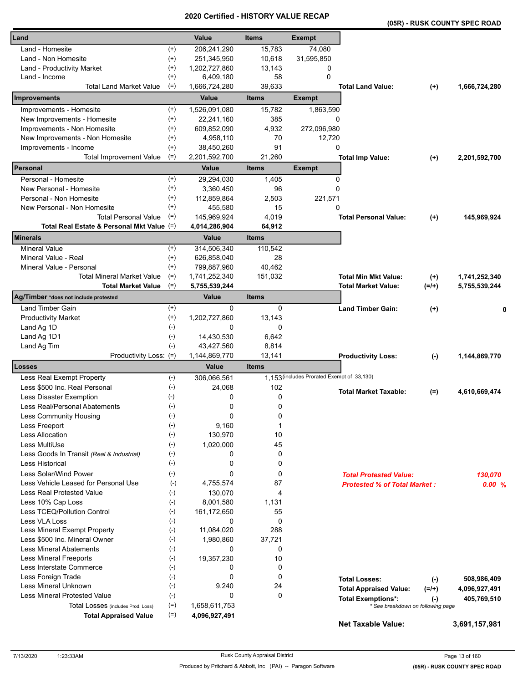|  | (05R) - RUSK COUNTY SPEC ROAD |  |
|--|-------------------------------|--|
|  |                               |  |

| Land                                       |              | Value                       | <b>Items</b>           | <b>Exempt</b>                              |                                     |           |               |
|--------------------------------------------|--------------|-----------------------------|------------------------|--------------------------------------------|-------------------------------------|-----------|---------------|
| Land - Homesite                            | $^{(+)}$     | 206,241,290                 | 15,783                 | 74,080                                     |                                     |           |               |
| Land - Non Homesite                        | $^{(+)}$     | 251,345,950                 | 10,618                 | 31,595,850                                 |                                     |           |               |
| Land - Productivity Market                 | $^{(+)}$     | 1,202,727,860               | 13,143                 | 0                                          |                                     |           |               |
| Land - Income                              | $^{(+)}$     | 6,409,180                   | 58                     | $\mathbf 0$                                |                                     |           |               |
| <b>Total Land Market Value</b>             | $(=)$        | 1,666,724,280               | 39,633                 |                                            | <b>Total Land Value:</b>            | $^{(+)}$  | 1,666,724,280 |
| <b>Improvements</b>                        |              | Value                       | <b>Items</b>           | <b>Exempt</b>                              |                                     |           |               |
| Improvements - Homesite                    | $^{(+)}$     | 1,526,091,080               | 15,782                 | 1,863,590                                  |                                     |           |               |
| New Improvements - Homesite                | $^{(+)}$     | 22,241,160                  | 385                    | 0                                          |                                     |           |               |
| Improvements - Non Homesite                | $^{(+)}$     | 609,852,090                 | 4,932                  | 272,096,980                                |                                     |           |               |
| New Improvements - Non Homesite            | $^{(+)}$     | 4,958,110                   | 70                     | 12,720                                     |                                     |           |               |
| Improvements - Income                      | $^{(+)}$     | 38,450,260                  | 91                     | 0                                          |                                     |           |               |
| <b>Total Improvement Value</b>             | $(=)$        | 2,201,592,700               | 21,260                 |                                            | <b>Total Imp Value:</b>             | $^{(+)}$  | 2,201,592,700 |
| Personal                                   |              | Value                       | <b>Items</b>           | <b>Exempt</b>                              |                                     |           |               |
| Personal - Homesite                        | $^{(+)}$     | 29,294,030                  | 1,405                  | 0                                          |                                     |           |               |
| New Personal - Homesite                    | $^{(+)}$     | 3,360,450                   | 96                     | 0                                          |                                     |           |               |
| Personal - Non Homesite                    | $^{(+)}$     | 112,859,864                 | 2,503                  | 221,571                                    |                                     |           |               |
| New Personal - Non Homesite                | $^{(+)}$     | 455,580                     | 15                     | 0                                          |                                     |           |               |
| <b>Total Personal Value</b>                | $(=)$        | 145,969,924                 | 4,019                  |                                            | <b>Total Personal Value:</b>        | $^{(+)}$  | 145,969,924   |
| Total Real Estate & Personal Mkt Value (=) |              | 4,014,286,904               | 64,912                 |                                            |                                     |           |               |
| <b>Minerals</b>                            |              | <b>Value</b>                | <b>Items</b>           |                                            |                                     |           |               |
| <b>Mineral Value</b>                       | $^{(+)}$     | 314,506,340                 | 110,542                |                                            |                                     |           |               |
| Mineral Value - Real                       | $(+)$        | 626,858,040                 | 28                     |                                            |                                     |           |               |
| Mineral Value - Personal                   | $(+)$        | 799,887,960                 | 40,462                 |                                            |                                     |           |               |
| Total Mineral Market Value                 | $(=)$        | 1,741,252,340               | 151,032                |                                            | <b>Total Min Mkt Value:</b>         | $^{(+)}$  | 1,741,252,340 |
| <b>Total Market Value</b>                  | $(=)$        | 5,755,539,244               |                        |                                            | <b>Total Market Value:</b>          | $(=/+)$   | 5,755,539,244 |
| Ag/Timber *does not include protested      |              | <b>Value</b>                | <b>Items</b>           |                                            |                                     |           |               |
| Land Timber Gain                           | $^{(+)}$     | 0                           | 0                      |                                            | <b>Land Timber Gain:</b>            | $^{(+)}$  | 0             |
| <b>Productivity Market</b>                 | $^{(+)}$     | 1,202,727,860               | 13,143                 |                                            |                                     |           |               |
| Land Ag 1D                                 | $(-)$        | 0                           | 0                      |                                            |                                     |           |               |
| Land Ag 1D1                                | $(-)$        | 14,430,530                  | 6,642                  |                                            |                                     |           |               |
| Land Ag Tim                                | $(-)$        | 43,427,560<br>1,144,869,770 | 8,814                  |                                            |                                     |           |               |
| Productivity Loss: (=)<br><b>Losses</b>    |              | Value                       | 13,141<br><b>Items</b> |                                            | <b>Productivity Loss:</b>           | $(-)$     | 1,144,869,770 |
| Less Real Exempt Property                  | $(-)$        | 306,066,561                 |                        | 1,153 (includes Prorated Exempt of 33,130) |                                     |           |               |
| Less \$500 Inc. Real Personal              | $(\text{-})$ | 24,068                      | 102                    |                                            |                                     |           |               |
| Less Disaster Exemption                    | $(\cdot)$    | 0                           | 0                      |                                            | <b>Total Market Taxable:</b>        | $(=)$     | 4,610,669,474 |
| Less Real/Personal Abatements              | $(-)$        | 0                           | 0                      |                                            |                                     |           |               |
| Less Community Housing                     | $(\text{-})$ | 0                           | 0                      |                                            |                                     |           |               |
| Less Freeport                              | $(\text{-})$ | 9,160                       | 1                      |                                            |                                     |           |               |
| <b>Less Allocation</b>                     | $(-)$        | 130,970                     | 10                     |                                            |                                     |           |               |
| Less MultiUse                              | $(-)$        | 1,020,000                   | 45                     |                                            |                                     |           |               |
| Less Goods In Transit (Real & Industrial)  | $(-)$        | 0                           | 0                      |                                            |                                     |           |               |
| <b>Less Historical</b>                     | $(\text{-})$ | 0                           | 0                      |                                            |                                     |           |               |
| Less Solar/Wind Power                      | $(-)$        | 0                           | 0                      |                                            | <b>Total Protested Value:</b>       |           | 130,070       |
| Less Vehicle Leased for Personal Use       | $(-)$        | 4,755,574                   | 87                     |                                            | <b>Protested % of Total Market:</b> |           | 0.00%         |
| <b>Less Real Protested Value</b>           | $(-)$        | 130,070                     | $\overline{4}$         |                                            |                                     |           |               |
| Less 10% Cap Loss                          | $(-)$        | 8,001,580                   | 1,131                  |                                            |                                     |           |               |
| Less TCEQ/Pollution Control                | $(-)$        | 161,172,650                 | 55                     |                                            |                                     |           |               |
| Less VLA Loss                              | $(-)$        | 0                           | $\mathbf 0$            |                                            |                                     |           |               |
| Less Mineral Exempt Property               | $(-)$        | 11,084,020                  | 288                    |                                            |                                     |           |               |
| Less \$500 Inc. Mineral Owner              | $(-)$        | 1,980,860                   | 37,721                 |                                            |                                     |           |               |
| <b>Less Mineral Abatements</b>             | $(-)$        | 0                           | 0                      |                                            |                                     |           |               |
| <b>Less Mineral Freeports</b>              | $(\cdot)$    | 19,357,230                  | 10                     |                                            |                                     |           |               |
| Less Interstate Commerce                   | $(-)$        | 0                           | 0                      |                                            |                                     |           |               |
| Less Foreign Trade                         | $(-)$        | 0                           | 0                      |                                            | <b>Total Losses:</b>                | $(-)$     | 508,986,409   |
| Less Mineral Unknown                       | $(-)$        | 9,240                       | 24                     |                                            | <b>Total Appraised Value:</b>       | $(=/+)$   | 4,096,927,491 |
| <b>Less Mineral Protested Value</b>        | $(\text{-})$ | 0                           | 0                      |                                            | <b>Total Exemptions*:</b>           | $(\cdot)$ | 405,769,510   |
| Total Losses (includes Prod. Loss)         | $(=)$        | 1,658,611,753               |                        |                                            | * See breakdown on following page   |           |               |
| <b>Total Appraised Value</b>               | $(=)$        | 4,096,927,491               |                        |                                            | <b>Net Taxable Value:</b>           |           | 3,691,157,981 |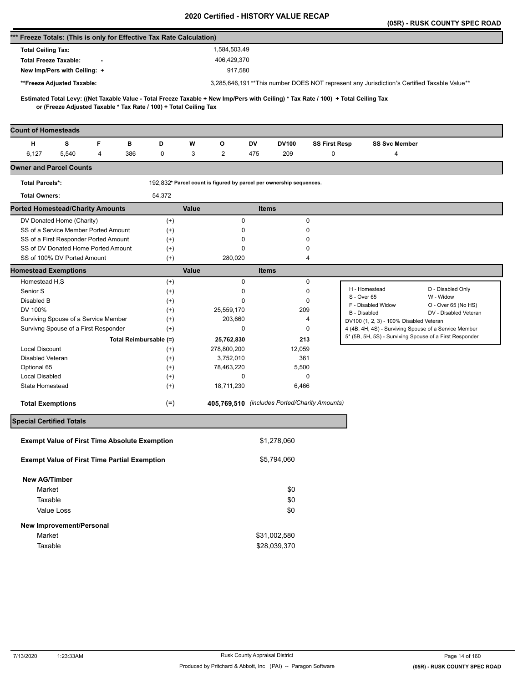|                                                                                                                                                                                                          |                        |                                                                     |                                               |                      |                                                                                                                  | (05R) - RUSK COUNTY SPEC ROAD |
|----------------------------------------------------------------------------------------------------------------------------------------------------------------------------------------------------------|------------------------|---------------------------------------------------------------------|-----------------------------------------------|----------------------|------------------------------------------------------------------------------------------------------------------|-------------------------------|
| *** Freeze Totals: (This is only for Effective Tax Rate Calculation)                                                                                                                                     |                        |                                                                     |                                               |                      |                                                                                                                  |                               |
| <b>Total Ceiling Tax:</b>                                                                                                                                                                                |                        | 1,584,503.49                                                        |                                               |                      |                                                                                                                  |                               |
| <b>Total Freeze Taxable:</b>                                                                                                                                                                             |                        | 406,429,370                                                         |                                               |                      |                                                                                                                  |                               |
| New Imp/Pers with Ceiling: +                                                                                                                                                                             |                        | 917,580                                                             |                                               |                      |                                                                                                                  |                               |
|                                                                                                                                                                                                          |                        |                                                                     |                                               |                      |                                                                                                                  |                               |
| **Freeze Adjusted Taxable:                                                                                                                                                                               |                        |                                                                     |                                               |                      | 3,285,646,191**This number DOES NOT represent any Jurisdiction's Certified Taxable Value**                       |                               |
| Estimated Total Levy: ((Net Taxable Value - Total Freeze Taxable + New Imp/Pers with Ceiling) * Tax Rate / 100) + Total Ceiling Tax<br>or (Freeze Adjusted Taxable * Tax Rate / 100) + Total Ceiling Tax |                        |                                                                     |                                               |                      |                                                                                                                  |                               |
|                                                                                                                                                                                                          |                        |                                                                     |                                               |                      |                                                                                                                  |                               |
| <b>Count of Homesteads</b>                                                                                                                                                                               |                        |                                                                     |                                               |                      |                                                                                                                  |                               |
| s<br>F<br>н                                                                                                                                                                                              | D<br>в                 | O<br>W                                                              | DV<br><b>DV100</b>                            | <b>SS First Resp</b> | <b>SS Svc Member</b>                                                                                             |                               |
| 6,127<br>5,540<br>4                                                                                                                                                                                      | 0<br>386               | 2<br>3                                                              | 475<br>209                                    | 0                    | 4                                                                                                                |                               |
| <b>Owner and Parcel Counts</b>                                                                                                                                                                           |                        |                                                                     |                                               |                      |                                                                                                                  |                               |
| <b>Total Parcels*:</b>                                                                                                                                                                                   |                        | 192,832* Parcel count is figured by parcel per ownership sequences. |                                               |                      |                                                                                                                  |                               |
| <b>Total Owners:</b>                                                                                                                                                                                     | 54,372                 |                                                                     |                                               |                      |                                                                                                                  |                               |
| <b>Ported Homestead/Charity Amounts</b>                                                                                                                                                                  |                        | Value                                                               | <b>Items</b>                                  |                      |                                                                                                                  |                               |
| DV Donated Home (Charity)                                                                                                                                                                                | $^{(+)}$               | 0                                                                   |                                               | 0                    |                                                                                                                  |                               |
| SS of a Service Member Ported Amount                                                                                                                                                                     | $^{(+)}$               | 0                                                                   |                                               | 0                    |                                                                                                                  |                               |
| SS of a First Responder Ported Amount                                                                                                                                                                    | $^{(+)}$               | 0                                                                   |                                               | $\Omega$             |                                                                                                                  |                               |
| SS of DV Donated Home Ported Amount                                                                                                                                                                      | $^{(+)}$               | 0                                                                   |                                               | 0                    |                                                                                                                  |                               |
| SS of 100% DV Ported Amount                                                                                                                                                                              | $^{(+)}$               | 280,020                                                             |                                               | 4                    |                                                                                                                  |                               |
| <b>Homestead Exemptions</b>                                                                                                                                                                              |                        | Value                                                               | <b>Items</b>                                  |                      |                                                                                                                  |                               |
| Homestead H,S                                                                                                                                                                                            | $^{(+)}$               | 0                                                                   |                                               | 0                    | H - Homestead                                                                                                    | D - Disabled Only             |
| Senior S                                                                                                                                                                                                 | $^{(+)}$               | 0                                                                   |                                               | $\Omega$             | S - Over 65                                                                                                      | W - Widow                     |
| Disabled B                                                                                                                                                                                               | $^{(+)}$               | 0                                                                   |                                               | $\Omega$             | F - Disabled Widow                                                                                               | O - Over 65 (No HS)           |
| DV 100%                                                                                                                                                                                                  | $^{(+)}$               | 25,559,170                                                          | 209                                           |                      | B - Disabled                                                                                                     | DV - Disabled Veteran         |
| Surviving Spouse of a Service Member<br>Survivng Spouse of a First Responder                                                                                                                             | $^{(+)}$<br>$^{(+)}$   | 203,660<br>0                                                        |                                               | 4<br>0               | DV100 (1, 2, 3) - 100% Disabled Veteran                                                                          |                               |
|                                                                                                                                                                                                          | Total Reimbursable (=) |                                                                     | 213                                           |                      | 4 (4B, 4H, 4S) - Surviving Spouse of a Service Member<br>5* (5B, 5H, 5S) - Surviving Spouse of a First Responder |                               |
| <b>Local Discount</b>                                                                                                                                                                                    | $^{(+)}$               | 25,762,830<br>278,800,200                                           | 12,059                                        |                      |                                                                                                                  |                               |
| Disabled Veteran                                                                                                                                                                                         | $^{(+)}$               | 3,752,010                                                           | 361                                           |                      |                                                                                                                  |                               |
| Optional 65                                                                                                                                                                                              | $^{(+)}$               | 78,463,220                                                          | 5,500                                         |                      |                                                                                                                  |                               |
| <b>Local Disabled</b>                                                                                                                                                                                    | $^{(+)}$               | 0                                                                   |                                               | 0                    |                                                                                                                  |                               |
| State Homestead                                                                                                                                                                                          | $^{(+)}$               | 18,711,230                                                          | 6,466                                         |                      |                                                                                                                  |                               |
| <b>Total Exemptions</b>                                                                                                                                                                                  | $(=)$                  |                                                                     | 405,769,510 (includes Ported/Charity Amounts) |                      |                                                                                                                  |                               |
|                                                                                                                                                                                                          |                        |                                                                     |                                               |                      |                                                                                                                  |                               |
| <b>Special Certified Totals</b>                                                                                                                                                                          |                        |                                                                     |                                               |                      |                                                                                                                  |                               |
| <b>Exempt Value of First Time Absolute Exemption</b>                                                                                                                                                     |                        |                                                                     | \$1,278,060                                   |                      |                                                                                                                  |                               |
| <b>Exempt Value of First Time Partial Exemption</b>                                                                                                                                                      |                        |                                                                     | \$5,794,060                                   |                      |                                                                                                                  |                               |
| <b>New AG/Timber</b>                                                                                                                                                                                     |                        |                                                                     |                                               |                      |                                                                                                                  |                               |
| Market                                                                                                                                                                                                   |                        |                                                                     | \$0                                           |                      |                                                                                                                  |                               |
| Taxable                                                                                                                                                                                                  |                        |                                                                     | \$0                                           |                      |                                                                                                                  |                               |
| Value Loss                                                                                                                                                                                               |                        |                                                                     | \$0                                           |                      |                                                                                                                  |                               |
|                                                                                                                                                                                                          |                        |                                                                     |                                               |                      |                                                                                                                  |                               |
| New Improvement/Personal                                                                                                                                                                                 |                        |                                                                     |                                               |                      |                                                                                                                  |                               |
| Market                                                                                                                                                                                                   |                        |                                                                     | \$31,002,580                                  |                      |                                                                                                                  |                               |
| Taxable                                                                                                                                                                                                  |                        |                                                                     | \$28,039,370                                  |                      |                                                                                                                  |                               |
|                                                                                                                                                                                                          |                        |                                                                     |                                               |                      |                                                                                                                  |                               |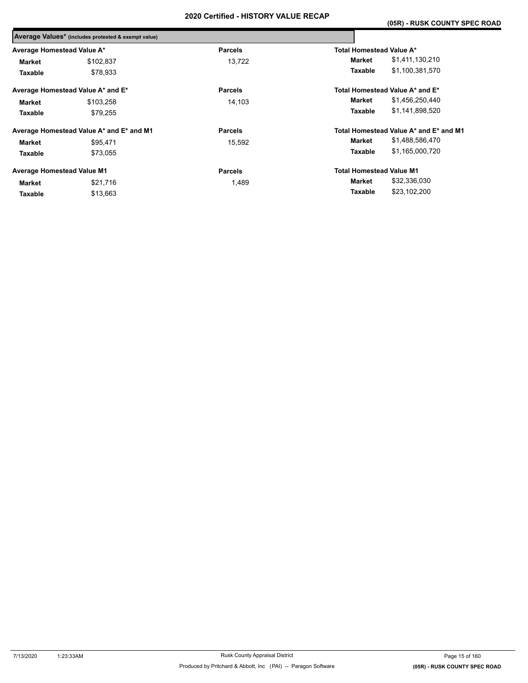| Total Homestead Value A*<br>\$1,411,130,210 |
|---------------------------------------------|
|                                             |
|                                             |
| \$1,100,381,570                             |
| Total Homestead Value A* and E*             |
| \$1,456,250,440                             |
| \$1,141,898,520                             |
| Total Homestead Value A* and E* and M1      |
| \$1,488,586,470                             |
| \$1,165,000,720                             |
| <b>Total Homestead Value M1</b>             |
| \$32,336,030                                |
| \$23,102,200                                |
|                                             |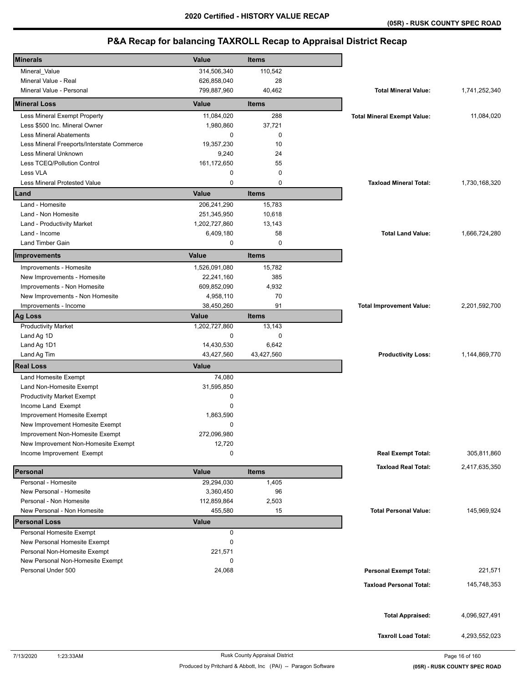| <b>Minerals</b>                                               | <b>Value</b>            | <b>Items</b> |                                    |               |
|---------------------------------------------------------------|-------------------------|--------------|------------------------------------|---------------|
| Mineral_Value                                                 | 314,506,340             | 110,542      |                                    |               |
| Mineral Value - Real                                          | 626,858,040             | 28           |                                    |               |
| Mineral Value - Personal                                      | 799,887,960             | 40,462       | <b>Total Mineral Value:</b>        | 1,741,252,340 |
| <b>Mineral Loss</b>                                           | Value                   | <b>Items</b> |                                    |               |
|                                                               |                         | 288          |                                    |               |
| Less Mineral Exempt Property<br>Less \$500 Inc. Mineral Owner | 11,084,020<br>1,980,860 | 37,721       | <b>Total Mineral Exempt Value:</b> | 11,084,020    |
| Less Mineral Abatements                                       | 0                       | 0            |                                    |               |
| Less Mineral Freeports/Interstate Commerce                    | 19,357,230              | 10           |                                    |               |
| Less Mineral Unknown                                          | 9,240                   | 24           |                                    |               |
| Less TCEQ/Pollution Control                                   | 161,172,650             | 55           |                                    |               |
| Less VLA                                                      | 0                       | 0            |                                    |               |
| <b>Less Mineral Protested Value</b>                           | 0                       | 0            | <b>Taxload Mineral Total:</b>      | 1,730,168,320 |
| Land                                                          | Value                   | <b>Items</b> |                                    |               |
| Land - Homesite                                               | 206,241,290             | 15,783       |                                    |               |
| Land - Non Homesite                                           | 251,345,950             | 10,618       |                                    |               |
| Land - Productivity Market                                    | 1,202,727,860           | 13,143       |                                    |               |
| Land - Income                                                 | 6,409,180               | 58           | <b>Total Land Value:</b>           | 1,666,724,280 |
| <b>Land Timber Gain</b>                                       | 0                       | $\mathbf 0$  |                                    |               |
| Improvements                                                  | Value                   | <b>Items</b> |                                    |               |
| Improvements - Homesite                                       | 1,526,091,080           | 15,782       |                                    |               |
| New Improvements - Homesite                                   | 22,241,160              | 385          |                                    |               |
| Improvements - Non Homesite                                   | 609,852,090             | 4,932        |                                    |               |
| New Improvements - Non Homesite                               | 4,958,110               | 70           |                                    |               |
| Improvements - Income                                         | 38,450,260              | 91           | <b>Total Improvement Value:</b>    | 2,201,592,700 |
| Ag Loss                                                       | Value                   | <b>Items</b> |                                    |               |
| <b>Productivity Market</b>                                    | 1,202,727,860           | 13,143       |                                    |               |
| Land Ag 1D                                                    | 0                       | 0            |                                    |               |
| Land Ag 1D1                                                   | 14,430,530              | 6,642        |                                    |               |
| Land Ag Tim                                                   | 43,427,560              | 43,427,560   | <b>Productivity Loss:</b>          | 1,144,869,770 |
| <b>Real Loss</b>                                              | <b>Value</b>            |              |                                    |               |
| Land Homesite Exempt                                          | 74,080                  |              |                                    |               |
| Land Non-Homesite Exempt                                      | 31,595,850              |              |                                    |               |
| <b>Productivity Market Exempt</b>                             | 0                       |              |                                    |               |
| Income Land Exempt                                            | 0                       |              |                                    |               |
| Improvement Homesite Exempt                                   | 1,863,590               |              |                                    |               |
| New Improvement Homesite Exempt                               | 0                       |              |                                    |               |
| Improvement Non-Homesite Exempt                               | 272,096,980             |              |                                    |               |
| New Improvement Non-Homesite Exempt                           | 12,720                  |              |                                    |               |
| Income Improvement Exempt                                     | 0                       |              | <b>Real Exempt Total:</b>          | 305,811,860   |
| Personal                                                      | Value                   | <b>Items</b> | <b>Taxload Real Total:</b>         | 2,417,635,350 |
| Personal - Homesite                                           | 29,294,030              | 1,405        |                                    |               |
| New Personal - Homesite                                       | 3,360,450               | 96           |                                    |               |
| Personal - Non Homesite                                       | 112,859,864             | 2,503        |                                    |               |
| New Personal - Non Homesite                                   | 455,580                 | 15           | <b>Total Personal Value:</b>       | 145,969,924   |
| <b>Personal Loss</b>                                          | <b>Value</b>            |              |                                    |               |
| Personal Homesite Exempt                                      | 0                       |              |                                    |               |
| New Personal Homesite Exempt                                  | 0                       |              |                                    |               |
| Personal Non-Homesite Exempt                                  | 221,571                 |              |                                    |               |
| New Personal Non-Homesite Exempt<br>Personal Under 500        | 0<br>24,068             |              |                                    |               |
|                                                               |                         |              | <b>Personal Exempt Total:</b>      | 221,571       |
|                                                               |                         |              | <b>Taxload Personal Total:</b>     | 145,748,353   |
|                                                               |                         |              |                                    |               |
|                                                               |                         |              |                                    |               |
|                                                               |                         |              | <b>Total Appraised:</b>            | 4,096,927,491 |
|                                                               |                         |              |                                    |               |
|                                                               |                         |              | <b>Taxroll Load Total:</b>         | 4,293,552,023 |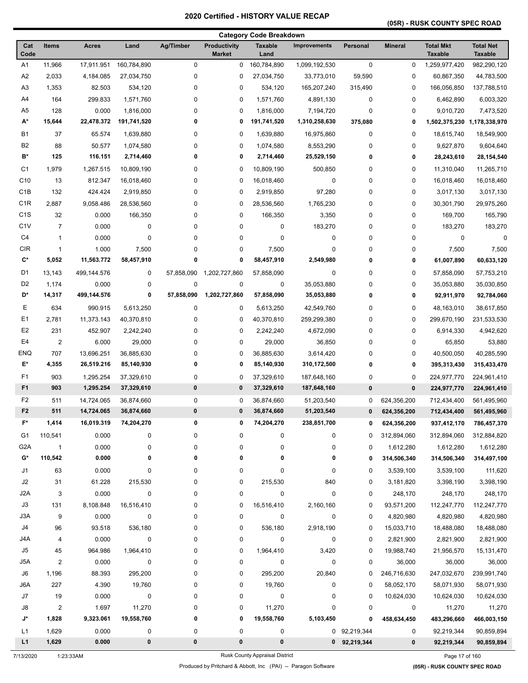### **(05R) - RUSK COUNTY SPEC ROAD**

| <b>Category Code Breakdown</b> |                         |              |             |             |                                      |                        |                     |              |                |                                    |                                    |
|--------------------------------|-------------------------|--------------|-------------|-------------|--------------------------------------|------------------------|---------------------|--------------|----------------|------------------------------------|------------------------------------|
| Cat<br>Code                    | <b>Items</b>            | <b>Acres</b> | Land        | Ag/Timber   | <b>Productivity</b><br><b>Market</b> | <b>Taxable</b><br>Land | <b>Improvements</b> | Personal     | <b>Mineral</b> | <b>Total Mkt</b><br><b>Taxable</b> | <b>Total Net</b><br><b>Taxable</b> |
| A1                             | 11,966                  | 17,911.951   | 160,784,890 | $\pmb{0}$   | 0                                    | 160,784,890            | 1,099,192,530       | $\pmb{0}$    | 0              | 1,259,977,420                      | 982,290,120                        |
| A <sub>2</sub>                 | 2,033                   | 4,184.085    | 27,034,750  | $\pmb{0}$   | 0                                    | 27,034,750             | 33,773,010          | 59,590       | $\pmb{0}$      | 60,867,350                         | 44,783,500                         |
| A <sub>3</sub>                 | 1,353                   | 82.503       | 534,120     | $\pmb{0}$   | 0                                    | 534,120                | 165,207,240         | 315,490      | 0              | 166,056,850                        | 137,788,510                        |
| A4                             | 164                     | 299.833      | 1,571,760   | 0           | 0                                    | 1,571,760              | 4,891,130           | 0            | 0              | 6,462,890                          | 6,003,320                          |
| A <sub>5</sub>                 | 128                     | 0.000        | 1,816,000   | 0           | 0                                    | 1,816,000              | 7,194,720           | 0            | 0              | 9,010,720                          | 7,473,520                          |
| A*                             | 15,644                  | 22,478.372   | 191,741,520 | 0           | 0                                    | 191,741,520            | 1,310,258,630       | 375,080      | 0              | 1,502,375,230 1,178,338,970        |                                    |
| <b>B1</b>                      | 37                      | 65.574       | 1,639,880   | 0           | 0                                    | 1,639,880              | 16,975,860          | 0            | 0              | 18,615,740                         | 18,549,900                         |
| B <sub>2</sub>                 | 88                      | 50.577       | 1,074,580   | 0           | 0                                    | 1,074,580              | 8,553,290           | 0            | 0              | 9,627,870                          | 9,604,640                          |
| B*                             | 125                     | 116.151      | 2,714,460   | 0           | 0                                    | 2,714,460              | 25,529,150          | 0            | 0              | 28,243,610                         | 28,154,540                         |
| C <sub>1</sub>                 | 1,979                   | 1,267.515    | 10,809,190  | 0           | 0                                    | 10,809,190             | 500,850             | 0            | 0              | 11,310,040                         | 11,265,710                         |
| C <sub>10</sub>                | 13                      | 812.347      | 16,018,460  | 0           | 0                                    | 16,018,460             | 0                   | 0            | 0              | 16,018,460                         | 16,018,460                         |
| C <sub>1</sub> B               | 132                     | 424.424      | 2,919,850   | 0           | 0                                    | 2,919,850              | 97,280              | $\mathbf 0$  | 0              | 3,017,130                          | 3,017,130                          |
| C <sub>1</sub> R               | 2,887                   | 9,058.486    | 28,536,560  | 0           | 0                                    | 28,536,560             | 1,765,230           | 0            | 0              | 30,301,790                         | 29,975,260                         |
| C <sub>1</sub> S               | 32                      | 0.000        | 166,350     | 0           | 0                                    | 166,350                | 3,350               | $\mathbf 0$  | 0              | 169,700                            | 165,790                            |
| C <sub>1</sub> V               | 7                       | 0.000        | $\pmb{0}$   | $\mathbf 0$ | 0                                    | 0                      | 183,270             | $\mathbf 0$  | 0              | 183,270                            | 183,270                            |
| C <sub>4</sub>                 | 1                       | 0.000        | $\pmb{0}$   | $\mathbf 0$ | 0                                    | 0                      | 0                   | $\mathbf 0$  | 0              | $\mathbf 0$                        | 0                                  |
| <b>CIR</b>                     | $\mathbf{1}$            | 1.000        | 7,500       | 0           | 0                                    | 7,500                  | 0                   | 0            | 0              | 7,500                              | 7,500                              |
| $\mathbf{C}^{\star}$           | 5,052                   | 11,563.772   | 58,457,910  | 0           | 0                                    | 58,457,910             | 2,549,980           | 0            | 0              | 61,007,890                         | 60,633,120                         |
| D <sub>1</sub>                 | 13,143                  | 499,144.576  | 0           | 57,858,090  | 1,202,727,860                        | 57,858,090             | 0                   | $\mathbf 0$  | 0              | 57,858,090                         | 57,753,210                         |
| D <sub>2</sub>                 | 1,174                   | 0.000        | 0           | $\mathbf 0$ | 0                                    | 0                      | 35,053,880          | 0            | 0              | 35,053,880                         | 35,030,850                         |
| D*                             | 14,317                  | 499,144.576  | 0           | 57,858,090  | 1,202,727,860                        | 57,858,090             | 35,053,880          | 0            | 0              | 92,911,970                         | 92,784,060                         |
| Ε                              | 634                     | 990.915      | 5,613,250   | 0           | 0                                    | 5,613,250              | 42,549,760          | $\mathbf 0$  | 0              | 48,163,010                         | 38,617,850                         |
| E <sub>1</sub>                 | 2,781                   | 11,373.143   | 40,370,810  | 0           | 0                                    | 40,370,810             | 259,299,380         | $\mathbf 0$  | 0              | 299,670,190                        | 231,533,530                        |
| E <sub>2</sub>                 | 231                     | 452.907      | 2,242,240   | 0           | 0                                    | 2,242,240              | 4,672,090           | 0            | 0              | 6,914,330                          | 4,942,620                          |
| E <sub>4</sub>                 | $\overline{\mathbf{c}}$ | 6.000        | 29,000      | 0           | 0                                    | 29,000                 | 36,850              | 0            | 0              | 65,850                             | 53,880                             |
| <b>ENQ</b>                     | 707                     | 13,696.251   | 36,885,630  | 0           | 0                                    | 36,885,630             | 3,614,420           | $\mathbf 0$  | 0              | 40,500,050                         | 40,285,590                         |
| E*                             | 4,355                   | 26,519.216   | 85,140,930  | 0           | 0                                    | 85,140,930             | 310,172,500         | 0            | 0              | 395,313,430                        | 315,433,470                        |
| F1                             | 903                     | 1,295.254    | 37,329,610  | 0           | 0                                    | 37,329,610             | 187,648,160         | 0            | 0              | 224,977,770                        | 224,961,410                        |
| F <sub>1</sub>                 | 903                     | 1,295.254    | 37,329,610  | $\pmb{0}$   | 0                                    | 37,329,610             | 187,648,160         | $\bf{0}$     | $\bf{0}$       | 224,977,770                        | 224,961,410                        |
| F <sub>2</sub>                 | 511                     | 14,724.065   | 36,874,660  | 0           | 0                                    | 36,874,660             | 51,203,540          | 0            | 624,356,200    | 712,434,400                        | 561,495,960                        |
| F2                             | 511                     | 14,724.065   | 36,874,660  | $\pmb{0}$   | 0                                    | 36,874,660             | 51,203,540          | $\bf{0}$     | 624,356,200    | 712,434,400                        | 561,495,960                        |
| F*                             | 1,414                   | 16,019.319   | 74,204,270  | 0           | 0                                    | 74,204,270             | 238,851,700         | 0            | 624,356,200    | 937,412,170                        | 786,457,370                        |
| G1                             | 110,541                 | 0.000        | 0           | 0           | 0                                    | 0                      | 0                   | 0            | 312,894,060    | 312,894,060                        | 312,884,820                        |
| G <sub>2</sub> A               | $\overline{1}$          | 0.000        | 0           | 0           | 0                                    | 0                      | 0                   | 0            | 1,612,280      | 1,612,280                          | 1,612,280                          |
| G*                             | 110,542                 | 0.000        | 0           | 0           | 0                                    | 0                      | 0                   | 0            | 314,506,340    | 314,506,340                        | 314,497,100                        |
| J1                             | 63                      | 0.000        | $\pmb{0}$   | $\pmb{0}$   | 0                                    | 0                      | 0                   | 0            | 3,539,100      | 3,539,100                          | 111,620                            |
| J2                             | 31                      | 61.228       | 215,530     | 0           | 0                                    | 215,530                | 840                 | 0            | 3,181,820      | 3,398,190                          | 3,398,190                          |
| J <sub>2</sub> A               | 3                       | 0.000        | $\mathbf 0$ | 0           | 0                                    | 0                      | 0                   | 0            | 248,170        | 248,170                            | 248,170                            |
| J3                             | 131                     | 8,108.848    | 16,516,410  | 0           | 0                                    | 16,516,410             | 2,160,160           | $\mathbf 0$  | 93,571,200     | 112,247,770                        | 112,247,770                        |
| J3A                            | 9                       | 0.000        | 0           | $\pmb{0}$   | 0                                    | 0                      | 0                   | $\pmb{0}$    | 4,820,980      | 4,820,980                          | 4,820,980                          |
| J <sub>4</sub>                 | 96                      | 93.518       | 536,180     | 0           | 0                                    | 536,180                | 2,918,190           | 0            | 15,033,710     | 18,488,080                         | 18,488,080                         |
| J4A                            | 4                       | 0.000        | $\pmb{0}$   | 0           | 0                                    | 0                      | 0                   | 0            | 2,821,900      | 2,821,900                          | 2,821,900                          |
| J5                             | 45                      | 964.986      | 1,964,410   | 0           | 0                                    | 1,964,410              | 3,420               | $\mathbf 0$  | 19,988,740     | 21,956,570                         | 15,131,470                         |
| J5A                            | 2                       | 0.000        | 0           | 0           | 0                                    | 0                      | 0                   | $\pmb{0}$    | 36,000         | 36,000                             | 36,000                             |
| J6                             | 1,196                   | 88.393       | 295,200     | 0           | 0                                    | 295,200                | 20,840              | 0            | 246,716,630    | 247,032,670                        | 239,991,740                        |
| J6A                            | 227                     | 4.390        | 19,760      | $\pmb{0}$   | 0                                    | 19,760                 | 0                   | 0            | 58,052,170     | 58,071,930                         | 58,071,930                         |
| J7                             | 19                      | 0.000        | 0           | $\pmb{0}$   | 0                                    | $\pmb{0}$              | 0                   | 0            | 10,624,030     | 10,624,030                         | 10,624,030                         |
| J8                             | $\overline{2}$          | 1.697        | 11,270      | 0           | 0                                    | 11,270                 | 0                   | $\mathbf 0$  | 0              | 11,270                             | 11,270                             |
| J*                             | 1,828                   | 9,323.061    | 19,558,760  | 0           | 0                                    | 19,558,760             | 5,103,450           | 0            | 458,634,450    | 483,296,660                        | 466,003,150                        |
| L1                             | 1,629                   | 0.000        | 0           | $\pmb{0}$   | 0                                    | 0                      |                     | 0 92,219,344 | 0              | 92,219,344                         | 90,859,894                         |
| L1                             | 1,629                   | 0.000        | 0           | $\pmb{0}$   | 0                                    | 0                      |                     | 0 92,219,344 | 0              | 92,219,344                         | 90,859,894                         |

7/13/2020 1:23:33AM Rusk County Appraisal District Page 17 of 160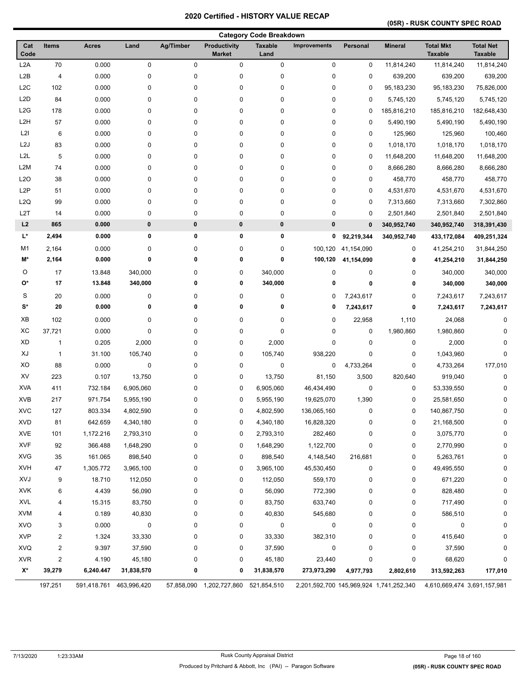## **(05R) - RUSK COUNTY SPEC ROAD**

| <b>Category Code Breakdown</b> |                                   |                         |                      |           |                                        |                        |                                                                     |                |                |                                    |                                    |
|--------------------------------|-----------------------------------|-------------------------|----------------------|-----------|----------------------------------------|------------------------|---------------------------------------------------------------------|----------------|----------------|------------------------------------|------------------------------------|
| Cat<br>Code                    | Items                             | <b>Acres</b>            | Land                 | Ag/Timber | Productivity<br><b>Market</b>          | <b>Taxable</b><br>Land | <b>Improvements</b>                                                 | Personal       | <b>Mineral</b> | <b>Total Mkt</b><br><b>Taxable</b> | <b>Total Net</b><br><b>Taxable</b> |
| L <sub>2</sub> A               | 70                                | 0.000                   | 0                    | 0         | 0                                      | 0                      | 0                                                                   | $\pmb{0}$      | 11,814,240     | 11,814,240                         | 11,814,240                         |
| L <sub>2</sub> B               | 4                                 | 0.000                   | 0                    | 0         | 0                                      | 0                      | 0                                                                   | 0              | 639,200        | 639,200                            | 639,200                            |
| L <sub>2</sub> C               | 102                               | 0.000                   | 0                    | 0         | 0                                      | 0                      | 0                                                                   | 0              | 95,183,230     | 95,183,230                         | 75,826,000                         |
| L <sub>2</sub> D               | 84                                | 0.000                   | 0                    | 0         | 0                                      | 0                      | 0                                                                   | 0              | 5,745,120      | 5,745,120                          | 5,745,120                          |
| L2G                            | 178                               | 0.000                   | 0                    | 0         | 0                                      | 0                      | 0                                                                   | 0              | 185,816,210    | 185,816,210                        | 182,648,430                        |
| L <sub>2</sub> H               | 57                                | 0.000                   | 0                    | 0         | 0                                      | 0                      | 0                                                                   | $\mathbf 0$    | 5,490,190      | 5,490,190                          | 5,490,190                          |
| L2I                            | 6                                 | 0.000                   | 0                    | 0         | 0                                      | 0                      | 0                                                                   | $\mathbf 0$    | 125,960        | 125,960                            | 100,460                            |
| L <sub>2</sub> J               | 83                                | 0.000                   | 0                    | 0         | 0                                      | 0                      | 0                                                                   | 0              | 1,018,170      | 1,018,170                          | 1,018,170                          |
| L <sub>2</sub> L               | 5                                 | 0.000                   | 0                    | 0         | 0                                      | 0                      | 0                                                                   | 0              | 11,648,200     | 11,648,200                         | 11,648,200                         |
| L2M                            | 74                                | 0.000                   | 0                    | 0         | 0                                      | 0                      | 0                                                                   | 0              | 8,666,280      | 8,666,280                          | 8,666,280                          |
| L2O                            | 38                                | 0.000                   | 0                    | 0         | 0                                      | 0                      | 0                                                                   | $\mathbf 0$    | 458,770        | 458,770                            | 458,770                            |
| L <sub>2</sub> P               | 51                                | 0.000                   | 0                    | 0         | 0                                      | 0                      | 0                                                                   | 0              | 4,531,670      | 4,531,670                          | 4,531,670                          |
| L <sub>2</sub> Q               | 99                                | 0.000                   | 0                    | 0         | 0                                      | 0                      | 0                                                                   | 0              | 7,313,660      | 7,313,660                          | 7,302,860                          |
| L <sub>2</sub> T               | 14                                | 0.000                   | 0                    | 0         | 0                                      | 0                      | 0                                                                   | $\mathbf 0$    | 2,501,840      | 2,501,840                          | 2,501,840                          |
| L2                             | 865                               | 0.000                   | 0                    | 0         | $\pmb{0}$                              | $\pmb{0}$              | $\pmb{0}$                                                           | $\bf{0}$       | 340,952,740    | 340,952,740                        | 318,391,430                        |
| L*                             | 2,494                             | 0.000                   | 0                    | 0         | 0                                      | 0                      | 0                                                                   | 92,219,344     | 340,952,740    | 433,172,084                        | 409,251,324                        |
| M1                             | 2,164                             | 0.000                   | 0                    | 0         | 0                                      | 0                      | 100,120                                                             | 41,154,090     | 0              | 41,254,210                         | 31,844,250                         |
| M*                             | 2,164                             | 0.000                   | 0                    | 0         | 0                                      | 0                      | 100,120                                                             | 41,154,090     | 0              | 41,254,210                         | 31,844,250                         |
| O                              | 17                                | 13.848                  | 340,000              | 0         | 0                                      | 340,000                | 0                                                                   | 0              | 0              | 340,000                            | 340,000                            |
| О*                             | 17                                | 13.848                  | 340,000              | 0         | 0                                      | 340,000                | 0                                                                   | $\bf{0}$       | 0              | 340,000                            | 340,000                            |
| S                              | 20                                | 0.000                   | 0                    | 0         | 0                                      | 0                      | 0                                                                   | 7,243,617      | 0              | 7,243,617                          | 7,243,617                          |
| $S^*$                          | 20                                | 0.000                   | 0                    | 0         | 0                                      | 0                      | 0                                                                   | 7,243,617      | 0              | 7,243,617                          | 7,243,617                          |
| XB                             | 102                               | 0.000                   | 0                    | 0         | 0                                      | 0                      | 0                                                                   | 22,958         | 1,110          | 24,068                             | 0                                  |
| ХC                             | 37,721                            | 0.000                   | 0                    | 0         | 0                                      | 0                      | 0                                                                   | 0              | 1,980,860      | 1,980,860                          | 0                                  |
| XD                             | 1                                 | 0.205                   | 2,000                | 0         | 0                                      | 2,000                  | 0                                                                   | $\mathbf 0$    | 0              | 2,000                              | 0                                  |
| XJ                             | $\mathbf{1}$                      | 31.100                  | 105,740              | 0         | 0                                      | 105,740                | 938,220                                                             | $\mathbf 0$    | 0              | 1,043,960                          | 0                                  |
| XO                             | 88                                | 0.000                   | 0                    | 0         | 0                                      | 0                      | 0                                                                   | 4,733,264      | 0              | 4,733,264                          | 177,010                            |
| XV                             | 223                               | 0.107                   | 13,750               | 0         | 0                                      | 13,750                 | 81,150                                                              | 3,500          | 820,640        | 919,040                            | 0                                  |
| <b>XVA</b>                     | 411                               | 732.184                 | 6,905,060            | 0         | 0                                      | 6,905,060              | 46,434,490                                                          | $\mathbf 0$    | 0              | 53,339,550                         | 0                                  |
| <b>XVB</b>                     | 217                               | 971.754                 | 5,955,190            | 0         | 0                                      | 5,955,190              | 19,625,070                                                          | 1,390          | 0              | 25,581,650                         | 0                                  |
| <b>XVC</b>                     | 127                               | 803.334                 | 4,802,590            | 0         | 0                                      | 4,802,590              | 136,065,160                                                         | $\mathbf 0$    | 0              | 140,867,750                        | 0                                  |
| <b>XVD</b>                     | 81                                | 642.659                 | 4,340,180            | 0         | 0                                      | 4,340,180              | 16,828,320                                                          | $\pmb{0}$      | 0              | 21,168,500                         | 0                                  |
| <b>XVE</b>                     | 101                               | 1,172.216               | 2,793,310            | 0         | 0                                      | 2,793,310              | 282,460                                                             | 0              | 0              | 3,075,770                          | 0                                  |
| <b>XVF</b>                     | 92                                | 366.488                 | 1,648,290            | 0         | 0                                      | 1,648,290              | 1,122,700                                                           | $\mathbf 0$    | 0              | 2,770,990                          | 0                                  |
| <b>XVG</b>                     | 35                                | 161.065                 | 898,540              | 0         | 0                                      | 898,540                | 4,148,540                                                           | 216,681        | 0              | 5,263,761                          | 0                                  |
| <b>XVH</b>                     | 47                                | 1,305.772               | 3,965,100            | 0         | 0                                      | 3,965,100              | 45,530,450                                                          | 0              | 0              | 49,495,550                         | 0                                  |
| XVJ                            | 9                                 | 18.710                  | 112,050              | 0         | 0                                      | 112,050                | 559,170                                                             | 0              | 0              | 671,220                            | 0                                  |
| <b>XVK</b>                     | 6                                 | 4.439                   | 56,090               | 0         | 0                                      | 56,090                 | 772,390                                                             | 0              | 0              | 828,480                            | 0                                  |
| <b>XVL</b>                     | 4                                 | 15.315                  | 83,750               | 0         | 0                                      | 83,750                 | 633,740                                                             | 0              | 0              | 717,490                            | 0                                  |
| <b>XVM</b>                     | 4                                 | 0.189                   | 40,830               | 0         | 0                                      | 40,830                 |                                                                     | 0              | 0              | 586,510                            | 0                                  |
|                                |                                   |                         |                      |           |                                        |                        | 545,680                                                             | 0              |                |                                    | 0                                  |
| <b>XVO</b><br><b>XVP</b>       | 3                                 | 0.000                   | $\mathbf 0$          | 0         | 0                                      | 0                      | 0                                                                   |                | 0              | 0                                  | 0                                  |
| <b>XVQ</b>                     | $\overline{c}$                    | 1.324                   | 33,330               | 0         | 0                                      | 33,330                 | 382,310                                                             | 0              | 0              | 415,640                            |                                    |
|                                | 2                                 | 9.397                   | 37,590               | 0         | 0                                      | 37,590                 | 0                                                                   | 0              | 0              | 37,590                             | 0                                  |
| <b>XVR</b><br>X*               | $\overline{\mathbf{c}}$<br>39,279 | 4.190<br>6,240.447      | 45,180<br>31,838,570 | 0<br>0    | 0<br>0                                 | 45,180<br>31,838,570   | 23,440<br>273,973,290                                               | 0<br>4,977,793 | 0              | 68,620                             |                                    |
|                                | 197,251                           | 591,418.761 463,996,420 |                      |           | 57,858,090  1,202,727,860  521,854,510 |                        | 2,201,592,700 145,969,924 1,741,252,340 4,610,669,474 3,691,157,981 |                | 2,802,610      | 313,592,263                        | 177,010                            |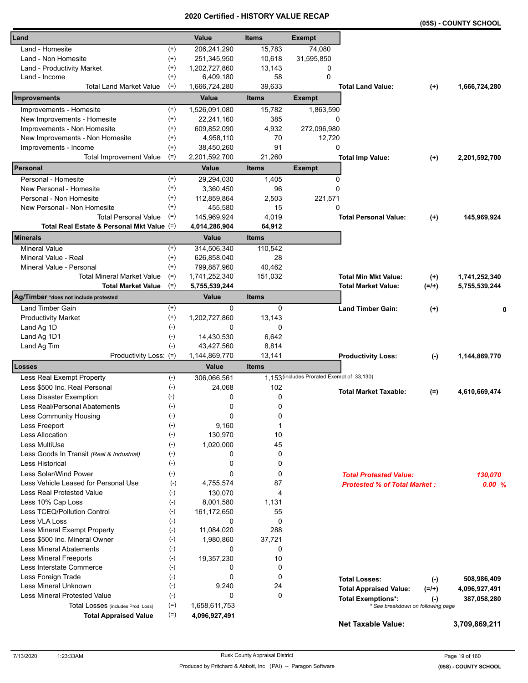|                                            |                    |                        | ו טווי<br>VN L         |                                            |                                     |           | (05S) - COUNTY SCHOOL |
|--------------------------------------------|--------------------|------------------------|------------------------|--------------------------------------------|-------------------------------------|-----------|-----------------------|
| Land                                       |                    | Value                  | <b>Items</b>           | <b>Exempt</b>                              |                                     |           |                       |
| Land - Homesite                            | $^{(+)}$           | 206,241,290            | 15,783                 | 74,080                                     |                                     |           |                       |
| Land - Non Homesite                        | $^{(+)}$           | 251,345,950            | 10,618                 | 31,595,850                                 |                                     |           |                       |
| Land - Productivity Market                 | $^{(+)}$           | 1,202,727,860          | 13,143                 | 0                                          |                                     |           |                       |
| Land - Income                              | $^{(+)}$           | 6,409,180              | 58                     | 0                                          |                                     |           |                       |
| Total Land Market Value                    | $(=)$              | 1,666,724,280          | 39,633                 |                                            | <b>Total Land Value:</b>            | $(+)$     | 1,666,724,280         |
| Improvements                               |                    | Value                  | <b>Items</b>           | <b>Exempt</b>                              |                                     |           |                       |
| Improvements - Homesite                    | $(+)$              | 1,526,091,080          | 15,782                 | 1,863,590                                  |                                     |           |                       |
| New Improvements - Homesite                | $(+)$              | 22,241,160             | 385                    | 0                                          |                                     |           |                       |
| Improvements - Non Homesite                | $^{(+)}$           | 609,852,090            | 4,932                  | 272,096,980                                |                                     |           |                       |
| New Improvements - Non Homesite            | $^{(+)}$           | 4,958,110              | 70                     | 12,720                                     |                                     |           |                       |
| Improvements - Income                      | $^{(+)}$           | 38,450,260             | 91                     | 0                                          |                                     |           |                       |
| <b>Total Improvement Value</b>             | $(=)$              | 2,201,592,700          | 21,260                 |                                            | <b>Total Imp Value:</b>             | $^{(+)}$  | 2,201,592,700         |
| Personal                                   |                    | Value                  | <b>Items</b>           | <b>Exempt</b>                              |                                     |           |                       |
| Personal - Homesite                        | $^{(+)}$           | 29,294,030             | 1,405                  |                                            | 0                                   |           |                       |
| New Personal - Homesite                    | $^{(+)}$           | 3,360,450              | 96                     | 0                                          |                                     |           |                       |
| Personal - Non Homesite                    | $^{(+)}$           | 112,859,864            | 2,503                  | 221,571                                    |                                     |           |                       |
| New Personal - Non Homesite                | $^{(+)}$           | 455,580                | 15                     | 0                                          |                                     |           |                       |
| <b>Total Personal Value</b>                | $(=)$              | 145,969,924            | 4,019                  |                                            | <b>Total Personal Value:</b>        | $(+)$     | 145,969,924           |
| Total Real Estate & Personal Mkt Value (=) |                    | 4,014,286,904          | 64,912                 |                                            |                                     |           |                       |
| <b>Minerals</b>                            |                    | Value                  | <b>Items</b>           |                                            |                                     |           |                       |
| <b>Mineral Value</b>                       | $^{(+)}$           | 314,506,340            | 110,542                |                                            |                                     |           |                       |
| Mineral Value - Real                       | $^{(+)}$           | 626,858,040            | 28                     |                                            |                                     |           |                       |
| Mineral Value - Personal                   | $^{(+)}$           | 799,887,960            | 40,462                 |                                            |                                     |           |                       |
| <b>Total Mineral Market Value</b>          | $(=)$              | 1,741,252,340          | 151,032                |                                            | <b>Total Min Mkt Value:</b>         | $^{(+)}$  | 1,741,252,340         |
| <b>Total Market Value</b>                  | $(=)$              | 5,755,539,244          |                        |                                            | Total Market Value:                 | $(=/+)$   | 5,755,539,244         |
| Ag/Timber *does not include protested      |                    | Value                  | <b>Items</b>           |                                            |                                     |           |                       |
| Land Timber Gain                           | $^{(+)}$           | 0                      | 0                      |                                            | <b>Land Timber Gain:</b>            | $(+)$     | 0                     |
| <b>Productivity Market</b>                 | $^{(+)}$           | 1,202,727,860          | 13,143                 |                                            |                                     |           |                       |
| Land Ag 1D                                 | $(\text{-})$       | 0                      | 0                      |                                            |                                     |           |                       |
| Land Ag 1D1                                | $(-)$              | 14,430,530             | 6,642                  |                                            |                                     |           |                       |
| Land Ag Tim                                | $(-)$              | 43,427,560             | 8,814                  |                                            |                                     |           |                       |
| Productivity Loss: (=)<br>Losses           |                    | 1,144,869,770<br>Value | 13,141<br><b>Items</b> |                                            | <b>Productivity Loss:</b>           | $(\cdot)$ | 1,144,869,770         |
| Less Real Exempt Property                  | $(-)$              | 306,066,561            |                        | 1,153 (includes Prorated Exempt of 33,130) |                                     |           |                       |
| Less \$500 Inc. Real Personal              | $(\text{-})$       | 24,068                 | 102                    |                                            |                                     |           |                       |
| Less Disaster Exemption                    | $(-)$              | 0                      | 0                      |                                            | <b>Total Market Taxable:</b>        | $(=)$     | 4,610,669,474         |
| Less Real/Personal Abatements              | $(\textnormal{-})$ | 0                      | 0                      |                                            |                                     |           |                       |
| Less Community Housing                     | $(\text{-})$       | 0                      | 0                      |                                            |                                     |           |                       |
| Less Freeport                              | $(-)$              | 9,160                  | 1                      |                                            |                                     |           |                       |
| <b>Less Allocation</b>                     | $(-)$              | 130,970                | 10                     |                                            |                                     |           |                       |
| Less MultiUse                              | $(-)$              | 1,020,000              | 45                     |                                            |                                     |           |                       |
| Less Goods In Transit (Real & Industrial)  | $(-)$              | 0                      | 0                      |                                            |                                     |           |                       |
| <b>Less Historical</b>                     | $(-)$              | 0                      | 0                      |                                            |                                     |           |                       |
| Less Solar/Wind Power                      | $(-)$              | 0                      | 0                      |                                            | <b>Total Protested Value:</b>       |           | 130,070               |
| Less Vehicle Leased for Personal Use       | $(-)$              | 4,755,574              | 87                     |                                            | <b>Protested % of Total Market:</b> |           | 0.00%                 |
| Less Real Protested Value                  | $(-)$              | 130,070                | $\overline{4}$         |                                            |                                     |           |                       |
| Less 10% Cap Loss                          | $(-)$              | 8,001,580              | 1,131                  |                                            |                                     |           |                       |
| Less TCEQ/Pollution Control                | $(-)$              | 161,172,650            | 55                     |                                            |                                     |           |                       |
| <b>Less VLA Loss</b>                       | $(-)$              | 0                      | 0                      |                                            |                                     |           |                       |
| Less Mineral Exempt Property               | $(-)$              | 11,084,020             | 288                    |                                            |                                     |           |                       |
| Less \$500 Inc. Mineral Owner              | $(-)$              | 1,980,860              | 37,721                 |                                            |                                     |           |                       |
| <b>Less Mineral Abatements</b>             | $(-)$              | 0                      | 0                      |                                            |                                     |           |                       |
| <b>Less Mineral Freeports</b>              | $(-)$              | 19,357,230             | 10                     |                                            |                                     |           |                       |
| Less Interstate Commerce                   | $(-)$              | 0                      | 0                      |                                            |                                     |           |                       |
| Less Foreign Trade                         | $(-)$              | 0                      | 0                      |                                            | <b>Total Losses:</b>                | $(-)$     | 508,986,409           |
| Less Mineral Unknown                       | $(-)$              | 9,240                  | 24                     |                                            | <b>Total Appraised Value:</b>       | $(=/+)$   | 4,096,927,491         |
| <b>Less Mineral Protested Value</b>        | $(-)$              | 0                      | 0                      |                                            | <b>Total Exemptions*:</b>           | $(-)$     | 387,058,280           |
| Total Losses (includes Prod. Loss)         | $(=)$              | 1,658,611,753          |                        |                                            | * See breakdown on following page   |           |                       |
| <b>Total Appraised Value</b>               | $(=)$              | 4,096,927,491          |                        |                                            | <b>Net Taxable Value:</b>           |           | 3,709,869,211         |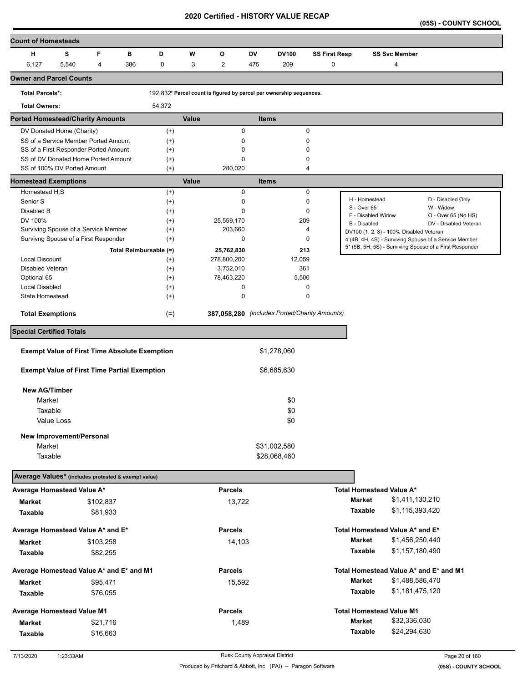**(05S) - COUNTY SCHOOL** 

| <b>Count of Homesteads</b>                           |       |           |                        |          |              |                |           |                                                                     |                      |                                         |                      |                                                         |
|------------------------------------------------------|-------|-----------|------------------------|----------|--------------|----------------|-----------|---------------------------------------------------------------------|----------------------|-----------------------------------------|----------------------|---------------------------------------------------------|
| н                                                    | s     | F         | в<br>D                 |          | W            | O              | <b>DV</b> | DV100                                                               | <b>SS First Resp</b> |                                         | <b>SS Svc Member</b> |                                                         |
| 6,127                                                | 5,540 | 4         | 386<br>0               |          | 3            | $\overline{c}$ | 475       | 209                                                                 | $\pmb{0}$            |                                         | 4                    |                                                         |
| <b>Owner and Parcel Counts</b>                       |       |           |                        |          |              |                |           |                                                                     |                      |                                         |                      |                                                         |
| <b>Total Parcels*:</b>                               |       |           |                        |          |              |                |           | 192.832* Parcel count is figured by parcel per ownership sequences. |                      |                                         |                      |                                                         |
| <b>Total Owners:</b>                                 |       |           | 54,372                 |          |              |                |           |                                                                     |                      |                                         |                      |                                                         |
| <b>Ported Homestead/Charity Amounts</b>              |       |           |                        |          | Value        |                |           | <b>Items</b>                                                        |                      |                                         |                      |                                                         |
| DV Donated Home (Charity)                            |       |           |                        | $^{(+)}$ |              | 0              |           | $\mathbf 0$                                                         |                      |                                         |                      |                                                         |
| SS of a Service Member Ported Amount                 |       |           |                        | $^{(+)}$ |              | 0              |           | $\Omega$                                                            |                      |                                         |                      |                                                         |
| SS of a First Responder Ported Amount                |       |           |                        | $^{(+)}$ |              | 0              |           | 0                                                                   |                      |                                         |                      |                                                         |
| SS of DV Donated Home Ported Amount                  |       |           |                        | $^{(+)}$ |              | 0              |           | 0                                                                   |                      |                                         |                      |                                                         |
| SS of 100% DV Ported Amount                          |       |           |                        | $^{(+)}$ |              | 280,020        |           | 4                                                                   |                      |                                         |                      |                                                         |
| <b>Homestead Exemptions</b>                          |       |           |                        |          | <b>Value</b> |                |           | <b>Items</b>                                                        |                      |                                         |                      |                                                         |
| Homestead H,S                                        |       |           |                        | $^{(+)}$ |              | 0              |           | $\mathbf 0$                                                         |                      |                                         |                      |                                                         |
| Senior S                                             |       |           |                        | $^{(+)}$ |              | 0              |           | 0                                                                   |                      | H - Homestead<br>S - Over 65            |                      | D - Disabled Only                                       |
| Disabled B                                           |       |           |                        | $^{(+)}$ |              | 0              |           | 0                                                                   |                      | F - Disabled Widow                      |                      | W - Widow<br>O - Over 65 (No HS)                        |
| DV 100%                                              |       |           |                        | $^{(+)}$ |              | 25,559,170     |           | 209                                                                 |                      | B - Disabled                            |                      | DV - Disabled Veteran                                   |
| Surviving Spouse of a Service Member                 |       |           |                        | $^{(+)}$ |              | 203,660        |           | 4                                                                   |                      | DV100 (1, 2, 3) - 100% Disabled Veteran |                      |                                                         |
| Survivng Spouse of a First Responder                 |       |           |                        | $^{(+)}$ |              | 0              |           | $\Omega$                                                            |                      |                                         |                      | 4 (4B, 4H, 4S) - Surviving Spouse of a Service Member   |
|                                                      |       |           | Total Reimbursable (=) |          |              | 25,762,830     |           | 213                                                                 |                      |                                         |                      | 5* (5B, 5H, 5S) - Surviving Spouse of a First Responder |
| <b>Local Discount</b>                                |       |           |                        | $^{(+)}$ |              | 278,800,200    |           | 12,059                                                              |                      |                                         |                      |                                                         |
| Disabled Veteran                                     |       |           |                        | $^{(+)}$ |              | 3,752,010      |           | 361                                                                 |                      |                                         |                      |                                                         |
| Optional 65                                          |       |           |                        | $^{(+)}$ |              | 78,463,220     |           | 5,500                                                               |                      |                                         |                      |                                                         |
| <b>Local Disabled</b>                                |       |           |                        | $^{(+)}$ |              | 0              |           | 0                                                                   |                      |                                         |                      |                                                         |
| State Homestead                                      |       |           |                        | $^{(+)}$ |              | 0              |           | 0                                                                   |                      |                                         |                      |                                                         |
| <b>Total Exemptions</b>                              |       |           |                        | $(=)$    |              |                |           | 387,058,280 (includes Ported/Charity Amounts)                       |                      |                                         |                      |                                                         |
| <b>Special Certified Totals</b>                      |       |           |                        |          |              |                |           |                                                                     |                      |                                         |                      |                                                         |
| <b>Exempt Value of First Time Absolute Exemption</b> |       |           |                        |          |              |                |           | \$1,278,060                                                         |                      |                                         |                      |                                                         |
|                                                      |       |           |                        |          |              |                |           |                                                                     |                      |                                         |                      |                                                         |
| <b>Exempt Value of First Time Partial Exemption</b>  |       |           |                        |          |              |                |           | \$6,685,630                                                         |                      |                                         |                      |                                                         |
| <b>New AG/Timber</b>                                 |       |           |                        |          |              |                |           |                                                                     |                      |                                         |                      |                                                         |
| Market                                               |       |           |                        |          |              |                |           | \$0                                                                 |                      |                                         |                      |                                                         |
| Taxable                                              |       |           |                        |          |              |                |           | \$0                                                                 |                      |                                         |                      |                                                         |
| Value Loss                                           |       |           |                        |          |              |                |           | \$0                                                                 |                      |                                         |                      |                                                         |
|                                                      |       |           |                        |          |              |                |           |                                                                     |                      |                                         |                      |                                                         |
| New Improvement/Personal<br>Market                   |       |           |                        |          |              |                |           | \$31,002,580                                                        |                      |                                         |                      |                                                         |
| Taxable                                              |       |           |                        |          |              |                |           | \$28,068,460                                                        |                      |                                         |                      |                                                         |
|                                                      |       |           |                        |          |              |                |           |                                                                     |                      |                                         |                      |                                                         |
| Average Values* (includes protested & exempt value)  |       |           |                        |          |              |                |           |                                                                     |                      |                                         |                      |                                                         |
| Average Homestead Value A*                           |       |           |                        |          |              | <b>Parcels</b> |           |                                                                     |                      | Total Homestead Value A*                |                      |                                                         |
| <b>Market</b>                                        |       | \$102,837 |                        |          |              | 13,722         |           |                                                                     |                      | <b>Market</b>                           | \$1,411,130,210      |                                                         |
| Taxable                                              |       | \$81,933  |                        |          |              |                |           |                                                                     |                      | <b>Taxable</b>                          | \$1,115,393,420      |                                                         |
| Average Homestead Value A* and E*                    |       |           |                        |          |              | <b>Parcels</b> |           |                                                                     |                      | Total Homestead Value A* and E*         |                      |                                                         |
| Market                                               |       | \$103,258 |                        |          |              | 14,103         |           |                                                                     |                      | Market                                  | \$1,456,250,440      |                                                         |
| Taxable                                              |       | \$82,255  |                        |          |              |                |           |                                                                     |                      | Taxable                                 | \$1,157,180,490      |                                                         |
|                                                      |       |           |                        |          |              |                |           |                                                                     |                      |                                         |                      |                                                         |
| Average Homestead Value A* and E* and M1             |       |           |                        |          |              | <b>Parcels</b> |           |                                                                     |                      | Total Homestead Value A* and E* and M1  |                      |                                                         |
| Market                                               |       | \$95,471  |                        |          |              | 15,592         |           |                                                                     |                      | <b>Market</b>                           | \$1,488,586,470      |                                                         |
| Taxable                                              |       | \$76,055  |                        |          |              |                |           |                                                                     |                      | Taxable                                 | \$1,181,475,120      |                                                         |
| <b>Average Homestead Value M1</b>                    |       |           |                        |          |              | <b>Parcels</b> |           |                                                                     |                      | <b>Total Homestead Value M1</b>         |                      |                                                         |
|                                                      |       |           |                        |          |              |                |           |                                                                     |                      | <b>Market</b>                           | \$32,336,030         |                                                         |
| <b>Market</b>                                        |       | \$21,716  |                        |          |              | 1,489          |           |                                                                     |                      |                                         |                      |                                                         |
| Taxable                                              |       | \$16,663  |                        |          |              |                |           |                                                                     |                      | Taxable                                 | \$24,294,630         |                                                         |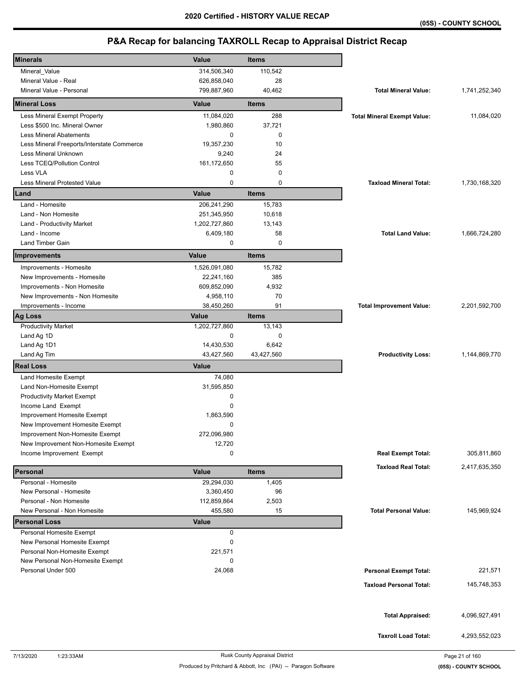| <b>Minerals</b>                            | <b>Value</b>  | <b>Items</b> |                                    |               |
|--------------------------------------------|---------------|--------------|------------------------------------|---------------|
| Mineral_Value                              | 314,506,340   | 110,542      |                                    |               |
| Mineral Value - Real                       | 626,858,040   | 28           |                                    |               |
| Mineral Value - Personal                   | 799,887,960   | 40,462       | <b>Total Mineral Value:</b>        | 1,741,252,340 |
| <b>Mineral Loss</b>                        | Value         | <b>Items</b> |                                    |               |
| Less Mineral Exempt Property               | 11,084,020    | 288          | <b>Total Mineral Exempt Value:</b> | 11,084,020    |
| Less \$500 Inc. Mineral Owner              | 1,980,860     | 37,721       |                                    |               |
| Less Mineral Abatements                    | 0             | 0            |                                    |               |
| Less Mineral Freeports/Interstate Commerce | 19,357,230    | 10           |                                    |               |
| <b>Less Mineral Unknown</b>                | 9,240         | 24           |                                    |               |
| Less TCEQ/Pollution Control                | 161,172,650   | 55           |                                    |               |
| Less VLA                                   | 0             | 0            |                                    |               |
| Less Mineral Protested Value               | 0             | 0            | <b>Taxload Mineral Total:</b>      | 1,730,168,320 |
| Land                                       | Value         | <b>Items</b> |                                    |               |
| Land - Homesite                            | 206,241,290   | 15,783       |                                    |               |
| Land - Non Homesite                        | 251,345,950   | 10,618       |                                    |               |
| Land - Productivity Market                 | 1,202,727,860 | 13,143       |                                    |               |
| Land - Income                              | 6,409,180     | 58           | <b>Total Land Value:</b>           | 1,666,724,280 |
| <b>Land Timber Gain</b>                    | 0             | $\mathbf 0$  |                                    |               |
| <b>Improvements</b>                        | Value         | <b>Items</b> |                                    |               |
|                                            |               |              |                                    |               |
| Improvements - Homesite                    | 1,526,091,080 | 15,782       |                                    |               |
| New Improvements - Homesite                | 22,241,160    | 385          |                                    |               |
| Improvements - Non Homesite                | 609,852,090   | 4,932        |                                    |               |
| New Improvements - Non Homesite            | 4,958,110     | 70           |                                    |               |
| Improvements - Income                      | 38,450,260    | 91           | <b>Total Improvement Value:</b>    | 2,201,592,700 |
| <b>Ag Loss</b>                             | Value         | <b>Items</b> |                                    |               |
| <b>Productivity Market</b>                 | 1,202,727,860 | 13,143       |                                    |               |
| Land Ag 1D                                 | 0             | $\mathbf 0$  |                                    |               |
| Land Ag 1D1                                | 14,430,530    | 6,642        |                                    |               |
| Land Ag Tim                                | 43,427,560    | 43,427,560   | <b>Productivity Loss:</b>          | 1,144,869,770 |
| <b>Real Loss</b>                           | Value         |              |                                    |               |
| Land Homesite Exempt                       | 74,080        |              |                                    |               |
| Land Non-Homesite Exempt                   | 31,595,850    |              |                                    |               |
| <b>Productivity Market Exempt</b>          | 0             |              |                                    |               |
| Income Land Exempt                         | 0             |              |                                    |               |
| Improvement Homesite Exempt                | 1,863,590     |              |                                    |               |
| New Improvement Homesite Exempt            | 0             |              |                                    |               |
| Improvement Non-Homesite Exempt            | 272,096,980   |              |                                    |               |
| New Improvement Non-Homesite Exempt        | 12,720        |              |                                    |               |
| Income Improvement Exempt                  | 0             |              | <b>Real Exempt Total:</b>          | 305,811,860   |
|                                            |               |              | <b>Taxload Real Total:</b>         | 2,417,635,350 |
| Personal                                   | Value         | <b>Items</b> |                                    |               |
| Personal - Homesite                        | 29,294,030    | 1,405        |                                    |               |
| New Personal - Homesite                    | 3,360,450     | 96           |                                    |               |
| Personal - Non Homesite                    | 112,859,864   | 2,503        |                                    |               |
| New Personal - Non Homesite                | 455,580       | 15           | <b>Total Personal Value:</b>       | 145,969,924   |
| <b>Personal Loss</b>                       | <b>Value</b>  |              |                                    |               |
| Personal Homesite Exempt                   | 0             |              |                                    |               |
| New Personal Homesite Exempt               | 0             |              |                                    |               |
| Personal Non-Homesite Exempt               | 221,571       |              |                                    |               |
| New Personal Non-Homesite Exempt           | 0             |              |                                    |               |
| Personal Under 500                         | 24,068        |              | <b>Personal Exempt Total:</b>      | 221,571       |
|                                            |               |              | <b>Taxload Personal Total:</b>     | 145,748,353   |
|                                            |               |              |                                    |               |
|                                            |               |              |                                    |               |
|                                            |               |              |                                    |               |
|                                            |               |              |                                    |               |
|                                            |               |              | <b>Total Appraised:</b>            | 4,096,927,491 |
|                                            |               |              | <b>Taxroll Load Total:</b>         | 4,293,552,023 |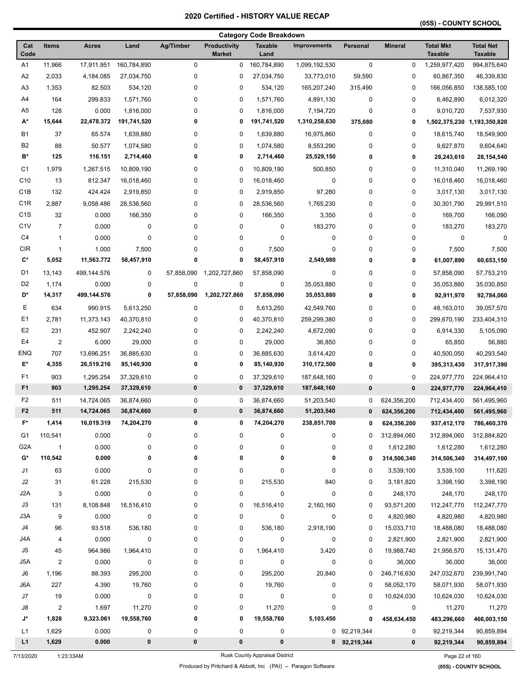## **(05S) - COUNTY SCHOOL**

|                  |                         |              |                  |             |                                      | <b>Category Code Breakdown</b> |                     |                |                |                                    |                                    |
|------------------|-------------------------|--------------|------------------|-------------|--------------------------------------|--------------------------------|---------------------|----------------|----------------|------------------------------------|------------------------------------|
| Cat<br>Code      | Items                   | <b>Acres</b> | Land             | Ag/Timber   | <b>Productivity</b><br><b>Market</b> | <b>Taxable</b><br>Land         | <b>Improvements</b> | Personal       | <b>Mineral</b> | <b>Total Mkt</b><br><b>Taxable</b> | <b>Total Net</b><br><b>Taxable</b> |
| A1               | 11,966                  | 17,911.951   | 160,784,890      | 0           | 0                                    | 160,784,890                    | 1,099,192,530       | $\pmb{0}$      | 0              | 1,259,977,420                      | 994,875,640                        |
| A <sub>2</sub>   | 2,033                   | 4,184.085    | 27,034,750       | 0           | 0                                    | 27,034,750                     | 33,773,010          | 59,590         | 0              | 60,867,350                         | 46,339,830                         |
| A <sub>3</sub>   | 1,353                   | 82.503       | 534,120          | 0           | 0                                    | 534,120                        | 165,207,240         | 315,490        | 0              | 166,056,850                        | 138,585,100                        |
| A4               | 164                     | 299.833      | 1,571,760        | 0           | 0                                    | 1,571,760                      | 4,891,130           | 0              | 0              | 6,462,890                          | 6,012,320                          |
| A <sub>5</sub>   | 128                     | 0.000        | 1,816,000        | 0           | 0                                    | 1,816,000                      | 7,194,720           | 0              | 0              | 9,010,720                          | 7,537,930                          |
| A*               | 15,644                  | 22,478.372   | 191,741,520      | 0           | 0                                    | 191,741,520                    | 1,310,258,630       | 375,080        | 0              | 1,502,375,230 1,193,350,820        |                                    |
| <b>B1</b>        | 37                      | 65.574       | 1,639,880        | 0           | 0                                    | 1,639,880                      | 16,975,860          | $\mathbf 0$    | 0              | 18,615,740                         | 18,549,900                         |
| B <sub>2</sub>   | 88                      | 50.577       | 1,074,580        | 0           | 0                                    | 1,074,580                      | 8,553,290           | $\mathbf 0$    | 0              | 9,627,870                          | 9,604,640                          |
| B*               | 125                     | 116.151      | 2,714,460        | 0           | 0                                    | 2,714,460                      | 25,529,150          | $\bf{0}$       | 0              | 28,243,610                         | 28,154,540                         |
| C <sub>1</sub>   | 1,979                   | 1,267.515    | 10,809,190       | 0           | 0                                    | 10,809,190                     | 500,850             | 0              | 0              | 11,310,040                         | 11,269,190                         |
| C <sub>10</sub>  | 13                      | 812.347      | 16,018,460       | 0           | 0                                    | 16,018,460                     | 0                   | $\mathbf 0$    | $\pmb{0}$      | 16,018,460                         | 16,018,460                         |
| C <sub>1</sub> B | 132                     | 424.424      | 2,919,850        | 0           | 0                                    | 2,919,850                      | 97,280              | 0              | 0              | 3,017,130                          | 3,017,130                          |
| C <sub>1</sub> R | 2,887                   | 9,058.486    | 28,536,560       | 0           | 0                                    | 28,536,560                     | 1,765,230           | 0              | 0              | 30,301,790                         | 29,991,510                         |
| C <sub>1</sub> S | 32                      | 0.000        | 166,350          | 0           | 0                                    | 166,350                        | 3,350               | 0              | 0              | 169,700                            | 166,090                            |
| C <sub>1</sub> V | $\overline{7}$          | 0.000        | 0                | 0           | 0                                    | 0                              | 183,270             | $\mathbf 0$    | 0              | 183,270                            | 183,270                            |
| C <sub>4</sub>   | 1                       | 0.000        | 0                | 0           | 0                                    | 0                              | 0                   | $\mathbf 0$    | 0              | 0                                  | 0                                  |
| <b>CIR</b>       | $\mathbf{1}$            | 1.000        | 7,500            | 0           | 0                                    | 7,500                          | 0                   | $\mathbf 0$    | 0              | 7,500                              | 7,500                              |
| C*               | 5,052                   | 11,563.772   | 58,457,910       | $\bf{0}$    | 0                                    | 58,457,910                     | 2,549,980           | $\bf{0}$       | 0              | 61,007,890                         | 60,653,150                         |
| D <sub>1</sub>   | 13,143                  | 499,144.576  | 0                | 57,858,090  | 1,202,727,860                        | 57,858,090                     | 0                   | $\mathbf 0$    | 0              | 57,858,090                         | 57,753,210                         |
| D <sub>2</sub>   | 1,174                   | 0.000        | 0                | $\mathbf 0$ | 0                                    | 0                              | 35,053,880          | $\mathbf 0$    | 0              | 35,053,880                         | 35,030,850                         |
| D*               | 14,317                  | 499,144.576  | 0                | 57,858,090  | 1,202,727,860                        | 57,858,090                     | 35,053,880          | $\bf{0}$       | 0              | 92,911,970                         | 92,784,060                         |
| Е                | 634                     | 990.915      | 5,613,250        | 0           | 0                                    | 5,613,250                      | 42,549,760          | 0              | 0              | 48,163,010                         | 39,057,570                         |
| E <sub>1</sub>   | 2,781                   | 11,373.143   | 40,370,810       | 0           | 0                                    | 40,370,810                     | 259,299,380         | $\mathbf 0$    | $\pmb{0}$      | 299,670,190                        | 233,404,310                        |
| E <sub>2</sub>   | 231                     | 452.907      | 2,242,240        | 0           | 0                                    | 2,242,240                      | 4,672,090           | $\mathbf 0$    | 0              | 6,914,330                          | 5,105,090                          |
| E <sub>4</sub>   | $\overline{\mathbf{c}}$ | 6.000        | 29,000           | 0           | 0                                    | 29,000                         | 36,850              | 0              | 0              | 65,850                             | 56,880                             |
| <b>ENQ</b>       | 707                     | 13,696.251   | 36,885,630       | 0           | 0                                    | 36,885,630                     | 3,614,420           | 0              | 0              | 40,500,050                         | 40,293,540                         |
| E*               | 4,355                   | 26,519.216   | 85,140,930       | 0           | 0                                    | 85,140,930                     | 310,172,500         | 0              | 0              | 395,313,430                        | 317,917,390                        |
| F <sub>1</sub>   | 903                     | 1,295.254    | 37,329,610       | 0           | 0                                    | 37,329,610                     | 187,648,160         | 0              | 0              | 224,977,770                        | 224,964,410                        |
| F <sub>1</sub>   | 903                     | 1,295.254    | 37,329,610       | 0           | 0                                    | 37,329,610                     | 187,648,160         | $\bf{0}$       | 0              | 224,977,770                        | 224,964,410                        |
| F <sub>2</sub>   | 511                     | 14,724.065   | 36,874,660       | 0           | 0                                    | 36,874,660                     | 51,203,540          | 0              | 624,356,200    | 712,434,400                        | 561,495,960                        |
| F <sub>2</sub>   | 511                     | 14,724.065   | 36,874,660       | 0           | 0                                    | 36,874,660                     | 51,203,540          | 0              | 624,356,200    | 712,434,400                        | 561,495,960                        |
| F*               | 1,414                   | 16,019.319   | 74,204,270       | 0           | 0                                    | 74,204,270                     | 238,851,700         | 0              | 624,356,200    | 937,412,170                        | 786,460,370                        |
| G1               | 110,541                 | 0.000        | 0                | 0           | 0                                    | 0                              | 0                   | 0              | 312,894,060    | 312,894,060                        | 312,884,820                        |
| G <sub>2</sub> A | $\overline{1}$          | 0.000        | 0                | 0           | 0                                    | 0                              | 0                   | 0              | 1,612,280      | 1,612,280                          | 1,612,280                          |
| G*               | 110,542                 | 0.000        | 0                | 0           | 0                                    | 0                              | 0                   | 0              | 314,506,340    | 314,506,340                        | 314,497,100                        |
| J1               | 63                      | 0.000        | 0                | 0           | 0                                    | 0                              | 0                   | 0              | 3,539,100      | 3,539,100                          | 111,620                            |
| J2               | 31                      | 61.228       | 215,530          | 0           | 0                                    | 215,530                        | 840                 | 0              | 3,181,820      | 3,398,190                          | 3,398,190                          |
| J <sub>2</sub> A | 3                       | 0.000        | $\boldsymbol{0}$ | 0           | 0                                    | 0                              | $\pmb{0}$           | 0              | 248,170        | 248,170                            | 248,170                            |
| J3               | 131                     | 8,108.848    | 16,516,410       | 0           | 0                                    | 16,516,410                     | 2,160,160           | 0              | 93,571,200     | 112,247,770                        | 112,247,770                        |
| J3A              | 9                       | 0.000        | 0                | 0           | 0                                    | 0                              | 0                   | 0              | 4,820,980      | 4,820,980                          | 4,820,980                          |
| J <sub>4</sub>   | 96                      | 93.518       | 536,180          | 0           | 0                                    | 536,180                        | 2,918,190           | 0              | 15,033,710     | 18,488,080                         | 18,488,080                         |
| J4A              | $\overline{4}$          | 0.000        | 0                | 0           | 0                                    | 0                              | 0                   | 0              | 2,821,900      | 2,821,900                          | 2,821,900                          |
| J5               | 45                      | 964.986      | 1,964,410        | 0           | 0                                    | 1,964,410                      | 3,420               | 0              | 19,988,740     | 21,956,570                         | 15, 131, 470                       |
| J5A              | 2                       | 0.000        | 0                | 0           | 0                                    | 0                              | 0                   | 0              | 36,000         | 36,000                             | 36,000                             |
| J6               | 1,196                   | 88.393       | 295,200          | 0           | 0                                    | 295,200                        | 20,840              | 0              | 246,716,630    | 247,032,670                        | 239,991,740                        |
| J6A              | 227                     | 4.390        | 19,760           | 0           | 0                                    | 19,760                         | 0                   | 0              | 58,052,170     | 58,071,930                         | 58,071,930                         |
| $\sf J7$         | 19                      | 0.000        | $\overline{0}$   | 0           | 0                                    | 0                              | 0                   | 0              | 10,624,030     | 10,624,030                         | 10,624,030                         |
| J8               | $\overline{2}$          | 1.697        | 11,270           | 0           | 0                                    | 11,270                         | 0                   | 0              | 0              | 11,270                             | 11,270                             |
| J*               | 1,828                   | 9,323.061    | 19,558,760       | 0           | 0                                    | 19,558,760                     | 5,103,450           | $\mathbf{0}$   | 458,634,450    | 483,296,660                        | 466,003,150                        |
| L1               | 1,629                   | 0.000        | 0                | 0           | 0                                    | 0                              |                     | 0 92,219,344   | 0              | 92,219,344                         | 90,859,894                         |
| L1               | 1,629                   | 0.000        | 0                | 0           | 0                                    | 0                              |                     | $0$ 92,219,344 | 0              | 92,219,344                         | 90,859,894                         |

7/13/2020 1:23:33AM Rusk County Appraisal District Page 22 of 160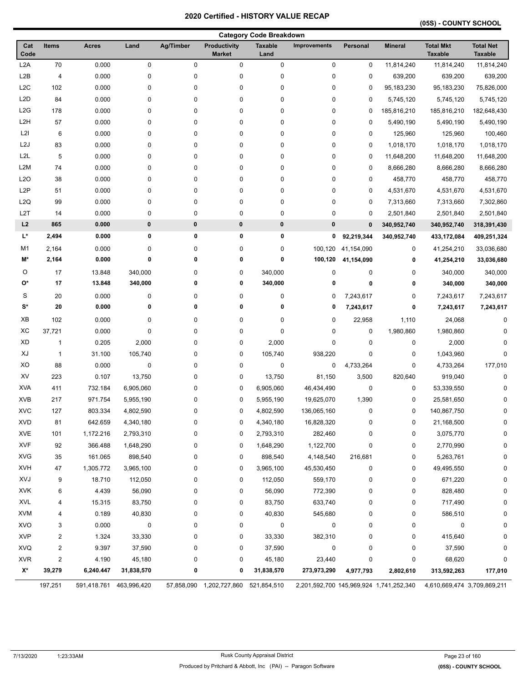**(05S) - COUNTY SCHOOL** 

| <b>Category Code Breakdown</b> |                         |                         |            |             |                                      |                        |                                         |             |                |                                    |                                    |
|--------------------------------|-------------------------|-------------------------|------------|-------------|--------------------------------------|------------------------|-----------------------------------------|-------------|----------------|------------------------------------|------------------------------------|
| Cat<br>Code                    | <b>Items</b>            | <b>Acres</b>            | Land       | Ag/Timber   | Productivity<br><b>Market</b>        | <b>Taxable</b><br>Land | <b>Improvements</b>                     | Personal    | <b>Mineral</b> | <b>Total Mkt</b><br><b>Taxable</b> | <b>Total Net</b><br><b>Taxable</b> |
| L <sub>2</sub> A               | 70                      | 0.000                   | 0          | $\mathbf 0$ | 0                                    | 0                      | 0                                       | 0           | 11,814,240     | 11,814,240                         | 11,814,240                         |
| L <sub>2</sub> B               | 4                       | 0.000                   | 0          | 0           | 0                                    | 0                      | 0                                       | 0           | 639,200        | 639,200                            | 639,200                            |
| L <sub>2</sub> C               | 102                     | 0.000                   | 0          | 0           | 0                                    | 0                      | 0                                       | $\mathbf 0$ | 95,183,230     | 95,183,230                         | 75,826,000                         |
| L <sub>2</sub> D               | 84                      | 0.000                   | $\pmb{0}$  | $\pmb{0}$   | 0                                    | 0                      | 0                                       | 0           | 5,745,120      | 5,745,120                          | 5,745,120                          |
| L <sub>2</sub> G               | 178                     | 0.000                   | $\pmb{0}$  | $\pmb{0}$   | 0                                    | 0                      | 0                                       | 0           | 185,816,210    | 185,816,210                        | 182,648,430                        |
| L <sub>2</sub> H               | 57                      | 0.000                   | 0          | $\pmb{0}$   | 0                                    | 0                      | 0                                       | 0           | 5,490,190      | 5,490,190                          | 5,490,190                          |
| L2I                            | 6                       | 0.000                   | 0          | 0           | 0                                    | 0                      | 0                                       | 0           | 125,960        | 125,960                            | 100,460                            |
| L <sub>2</sub> J               | 83                      | 0.000                   | 0          | 0           | 0                                    | 0                      | 0                                       | 0           | 1,018,170      | 1,018,170                          | 1,018,170                          |
| L2L                            | 5                       | 0.000                   | 0          | 0           | 0                                    | 0                      | 0                                       | 0           | 11,648,200     | 11,648,200                         | 11,648,200                         |
| L <sub>2</sub> M               | 74                      | 0.000                   | 0          | $\pmb{0}$   | 0                                    | 0                      | 0                                       | 0           | 8,666,280      | 8,666,280                          | 8,666,280                          |
| L2O                            | 38                      | 0.000                   | 0          | 0           | 0                                    | 0                      | 0                                       | 0           | 458,770        | 458,770                            | 458,770                            |
| L <sub>2</sub> P               | 51                      | 0.000                   | 0          | 0           | 0                                    | 0                      | 0                                       | 0           | 4,531,670      | 4,531,670                          | 4,531,670                          |
| L2Q                            | 99                      | 0.000                   | 0          | 0           | 0                                    | 0                      | 0                                       | 0           | 7,313,660      | 7,313,660                          | 7,302,860                          |
| L2T                            | 14                      | 0.000                   | 0          | 0           | 0                                    | 0                      | 0                                       | $\mathbf 0$ | 2,501,840      | 2,501,840                          | 2,501,840                          |
| L2                             | 865                     | 0.000                   | 0          | $\bf{0}$    | 0                                    | $\pmb{0}$              | 0                                       | $\bf{0}$    | 340,952,740    | 340,952,740                        | 318,391,430                        |
| L*                             | 2,494                   | 0.000                   | 0          | 0           | 0                                    | 0                      | 0                                       | 92,219,344  | 340,952,740    | 433,172,084                        | 409,251,324                        |
| M1                             | 2,164                   | 0.000                   | $\pmb{0}$  | $\pmb{0}$   | 0                                    | 0                      | 100,120                                 | 41,154,090  | 0              | 41,254,210                         | 33,036,680                         |
| M*                             | 2,164                   | 0.000                   | 0          | 0           | 0                                    | 0                      | 100,120                                 | 41,154,090  | 0              |                                    |                                    |
|                                |                         |                         |            |             |                                      |                        |                                         |             |                | 41,254,210                         | 33,036,680                         |
| O                              | 17                      | 13.848                  | 340,000    | 0           | 0                                    | 340,000                | 0                                       | 0           | 0              | 340,000                            | 340,000                            |
| О*                             | 17                      | 13.848                  | 340,000    | 0           | 0                                    | 340,000                | 0                                       | $\mathbf 0$ | 0              | 340,000                            | 340,000                            |
| S                              | 20                      | 0.000                   | 0          | 0           | 0                                    | 0                      | 0                                       | 7,243,617   | 0              | 7,243,617                          | 7,243,617                          |
| S*                             | 20                      | 0.000                   | 0          | 0           | 0                                    | 0                      | 0                                       | 7,243,617   | 0              | 7,243,617                          | 7,243,617                          |
| ХB                             | 102                     | 0.000                   | 0          | 0           | 0                                    | 0                      | 0                                       | 22,958      | 1,110          | 24,068                             | 0                                  |
| XC                             | 37,721                  | 0.000                   | 0          | 0           | 0                                    | 0                      | 0                                       | 0           | 1,980,860      | 1,980,860                          | 0                                  |
| <b>XD</b>                      | $\mathbf{1}$            | 0.205                   | 2,000      | $\pmb{0}$   | 0                                    | 2,000                  | 0                                       | 0           | 0              | 2,000                              | 0                                  |
| XJ                             | $\mathbf{1}$            | 31.100                  | 105,740    | $\pmb{0}$   | 0                                    | 105,740                | 938,220                                 | 0           | 0              | 1,043,960                          | 0                                  |
| XO                             | 88                      | 0.000                   | 0          | 0           | 0                                    | 0                      | 0                                       | 4,733,264   | 0              | 4,733,264                          | 177,010                            |
| XV                             | 223                     | 0.107                   | 13,750     | 0           | 0                                    | 13,750                 | 81,150                                  | 3,500       | 820,640        | 919,040                            | 0                                  |
| <b>XVA</b>                     | 411                     | 732.184                 | 6,905,060  | 0           | 0                                    | 6,905,060              | 46,434,490                              | 0           | 0              | 53,339,550                         | 0                                  |
| <b>XVB</b>                     | 217                     | 971.754                 | 5,955,190  | 0           | 0                                    | 5,955,190              | 19,625,070                              | 1,390       | 0              | 25,581,650                         | 0                                  |
| <b>XVC</b>                     | 127                     | 803.334                 | 4,802,590  | 0           | 0                                    | 4,802,590              | 136,065,160                             | 0           | 0              | 140,867,750                        | 0                                  |
| <b>XVD</b>                     | 81                      | 642.659                 | 4,340,180  | 0           | 0                                    | 4,340,180              | 16,828,320                              | 0           | 0              | 21,168,500                         | 0                                  |
| <b>XVE</b>                     | 101                     | 1,172.216               | 2,793,310  | 0           | 0                                    | 2,793,310              | 282,460                                 | 0           | 0              | 3,075,770                          | 0                                  |
| <b>XVF</b>                     | 92                      | 366.488                 | 1,648,290  | 0           | 0                                    | 1,648,290              | 1,122,700                               | 0           | 0              | 2,770,990                          | 0                                  |
| <b>XVG</b>                     | 35                      | 161.065                 | 898,540    | 0           | 0                                    | 898,540                | 4,148,540                               | 216,681     | 0              | 5,263,761                          | 0                                  |
| <b>XVH</b>                     | 47                      | 1,305.772               | 3,965,100  | 0           | 0                                    | 3,965,100              | 45,530,450                              | 0           | 0              | 49,495,550                         | 0                                  |
| XVJ                            | 9                       | 18.710                  | 112,050    | 0           | 0                                    | 112,050                | 559,170                                 | 0           | 0              | 671,220                            | 0                                  |
| <b>XVK</b>                     | 6                       | 4.439                   | 56,090     | 0           | 0                                    | 56,090                 | 772,390                                 | 0           | 0              | 828,480                            | 0                                  |
| <b>XVL</b>                     | 4                       | 15.315                  | 83,750     | 0           | 0                                    | 83,750                 | 633,740                                 | 0           | 0              | 717,490                            | 0                                  |
| <b>XVM</b>                     | 4                       | 0.189                   | 40,830     | 0           | 0                                    | 40,830                 | 545,680                                 | 0           | 0              | 586,510                            | 0                                  |
| XVO                            | 3                       | 0.000                   | 0          | 0           | 0                                    | 0                      | 0                                       | 0           | 0              | 0                                  | 0                                  |
| <b>XVP</b>                     | $\overline{\mathbf{c}}$ | 1.324                   | 33,330     | 0           | 0                                    | 33,330                 | 382,310                                 | 0           | 0              | 415,640                            | 0                                  |
| <b>XVQ</b>                     | $\overline{c}$          | 9.397                   | 37,590     | 0           | 0                                    | 37,590                 | 0                                       | 0           | 0              | 37,590                             | 0                                  |
| <b>XVR</b>                     | $\overline{\mathbf{c}}$ | 4.190                   | 45,180     | 0           | 0                                    | 45,180                 | 23,440                                  | 0           | 0              | 68,620                             | 0                                  |
| X*                             | 39,279                  | 6,240.447               | 31,838,570 | 0           | 0                                    | 31,838,570             | 273,973,290                             | 4,977,793   | 2,802,610      | 313,592,263                        | 177,010                            |
|                                | 197,251                 | 591,418.761 463,996,420 |            |             | 57,858,090 1,202,727,860 521,854,510 |                        | 2,201,592,700 145,969,924 1,741,252,340 |             |                | 4,610,669,474 3,709,869,211        |                                    |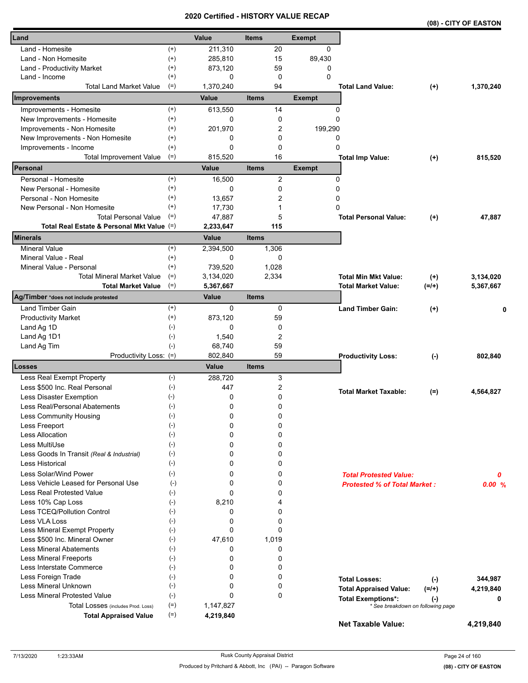|                                            |                    |             | <b>VEILIIIEU - NIJI URT VALUE REVAP</b> |               | (08) - CITY OF EASTON               |           |           |
|--------------------------------------------|--------------------|-------------|-----------------------------------------|---------------|-------------------------------------|-----------|-----------|
| Land                                       |                    | Value       | <b>Items</b>                            | <b>Exempt</b> |                                     |           |           |
| Land - Homesite                            | $^{(+)}$           | 211,310     | 20                                      | 0             |                                     |           |           |
| Land - Non Homesite                        | $^{(+)}$           | 285,810     | 15                                      | 89,430        |                                     |           |           |
| Land - Productivity Market                 | $^{(+)}$           | 873,120     | 59                                      | 0             |                                     |           |           |
| Land - Income                              | $^{(+)}$           | 0           | $\mathbf 0$                             | $\Omega$      |                                     |           |           |
| <b>Total Land Market Value</b>             | $(=)$              | 1,370,240   | 94                                      |               | <b>Total Land Value:</b>            | $(+)$     | 1,370,240 |
| Improvements                               |                    | Value       | <b>Items</b>                            | <b>Exempt</b> |                                     |           |           |
| Improvements - Homesite                    | $^{(+)}$           | 613,550     | 14                                      | 0             |                                     |           |           |
| New Improvements - Homesite                | $(+)$              | 0           | 0                                       | 0             |                                     |           |           |
| Improvements - Non Homesite                | $^{(+)}$           | 201,970     | 2                                       | 199,290       |                                     |           |           |
| New Improvements - Non Homesite            | $^{(+)}$           | 0           | 0                                       | 0             |                                     |           |           |
| Improvements - Income                      | $^{(+)}$           | 0           | 0                                       | 0             |                                     |           |           |
| <b>Total Improvement Value</b>             | $(=)$              | 815,520     | 16                                      |               | <b>Total Imp Value:</b>             | $(+)$     | 815,520   |
| Personal                                   |                    | Value       | <b>Items</b>                            | <b>Exempt</b> |                                     |           |           |
| Personal - Homesite                        | $^{(+)}$           | 16,500      | $\mathbf{2}$                            |               | 0                                   |           |           |
| New Personal - Homesite                    | $(+)$              | 0           | 0                                       | 0             |                                     |           |           |
| Personal - Non Homesite                    | $^{(+)}$           | 13,657      | 2                                       | 0             |                                     |           |           |
| New Personal - Non Homesite                | $^{(+)}$           | 17,730      |                                         | $\Omega$      |                                     |           |           |
| <b>Total Personal Value</b>                | $(=)$              | 47,887      | 5                                       |               | <b>Total Personal Value:</b>        | $(+)$     | 47,887    |
| Total Real Estate & Personal Mkt Value (=) |                    | 2,233,647   | 115                                     |               |                                     |           |           |
| Minerals                                   |                    | Value       | <b>Items</b>                            |               |                                     |           |           |
| <b>Mineral Value</b>                       | $^{(+)}$           | 2,394,500   | 1,306                                   |               |                                     |           |           |
| Mineral Value - Real                       | $^{(+)}$           | 0           | $\Omega$                                |               |                                     |           |           |
| Mineral Value - Personal                   | $^{(+)}$           | 739,520     | 1,028                                   |               |                                     |           |           |
| <b>Total Mineral Market Value</b>          | $(=)$              | 3,134,020   | 2,334                                   |               | <b>Total Min Mkt Value:</b>         | $(+)$     | 3,134,020 |
| <b>Total Market Value</b>                  | $(=)$              | 5,367,667   |                                         |               | <b>Total Market Value:</b>          | (=/+)     | 5,367,667 |
| Ag/Timber *does not include protested      |                    | Value       | <b>Items</b>                            |               |                                     |           |           |
| <b>Land Timber Gain</b>                    | $^{(+)}$           | $\mathbf 0$ | 0                                       |               | <b>Land Timber Gain:</b>            | $^{(+)}$  | 0         |
| <b>Productivity Market</b>                 | $^{(+)}$           | 873,120     | 59                                      |               |                                     |           |           |
| Land Ag 1D                                 | $(-)$              | 0           | 0                                       |               |                                     |           |           |
| Land Ag 1D1                                | $(-)$              | 1,540       | 2                                       |               |                                     |           |           |
| Land Ag Tim                                | $(-)$              | 68,740      | 59                                      |               |                                     |           |           |
| Productivity Loss: (=)                     |                    | 802,840     | 59                                      |               | <b>Productivity Loss:</b>           | $(-)$     | 802,840   |
| Losses                                     |                    | Value       | <b>Items</b>                            |               |                                     |           |           |
| Less Real Exempt Property                  | $(-)$              | 288,720     | 3                                       |               |                                     |           |           |
| Less \$500 Inc. Real Personal              | $(-)$              | 447         | 2                                       |               | <b>Total Market Taxable:</b>        | $(=)$     | 4,564,827 |
| Less Disaster Exemption                    | $(\text{-})$       | 0           | 0                                       |               |                                     |           |           |
| Less Real/Personal Abatements              | $(\textnormal{-})$ | 0           | 0                                       |               |                                     |           |           |
| <b>Less Community Housing</b>              | $(-)$              | 0           | 0                                       |               |                                     |           |           |
| Less Freeport                              | $(-)$              | 0           | 0                                       |               |                                     |           |           |
| Less Allocation                            | $(-)$              | 0           | 0                                       |               |                                     |           |           |
| Less MultiUse                              | $(-)$              | 0           | 0                                       |               |                                     |           |           |
| Less Goods In Transit (Real & Industrial)  | $(-)$              | 0           | 0                                       |               |                                     |           |           |
| Less Historical                            | $(-)$              | 0           | 0                                       |               |                                     |           |           |
| Less Solar/Wind Power                      | $(-)$              | 0           | 0                                       |               | <b>Total Protested Value:</b>       |           | 0         |
| Less Vehicle Leased for Personal Use       | $(-)$              | 0           | 0                                       |               | <b>Protested % of Total Market:</b> |           | 0.00%     |
| <b>Less Real Protested Value</b>           | $(-)$              | 0           | 0                                       |               |                                     |           |           |
| Less 10% Cap Loss                          | $(-)$              | 8,210       | 4                                       |               |                                     |           |           |
| Less TCEQ/Pollution Control                | $(-)$              | 0           | 0                                       |               |                                     |           |           |
| Less VLA Loss                              | $(-)$              | 0           | 0                                       |               |                                     |           |           |
| Less Mineral Exempt Property               | $(-)$              | 0           | $\mathbf{0}$                            |               |                                     |           |           |
| Less \$500 Inc. Mineral Owner              | $(-)$              | 47,610      | 1,019                                   |               |                                     |           |           |
| <b>Less Mineral Abatements</b>             | $(-)$              | 0           | 0                                       |               |                                     |           |           |
| <b>Less Mineral Freeports</b>              | $(-)$              | 0           | 0                                       |               |                                     |           |           |
| Less Interstate Commerce                   | $(\cdot)$          | 0           | 0                                       |               |                                     |           |           |
| Less Foreign Trade                         | $(-)$              | 0           | 0                                       |               | <b>Total Losses:</b>                | $(-)$     | 344,987   |
| Less Mineral Unknown                       | $(-)$              | 0           | 0                                       |               | <b>Total Appraised Value:</b>       | $(=/+)$   | 4,219,840 |
| Less Mineral Protested Value               | $(-)$              | 0           | 0                                       |               | <b>Total Exemptions*:</b>           | $(\cdot)$ | 0         |
| Total Losses (includes Prod. Loss)         | $(=)$              | 1,147,827   |                                         |               | * See breakdown on following page   |           |           |
| <b>Total Appraised Value</b>               | $(=)$              | 4,219,840   |                                         |               | <b>Net Taxable Value:</b>           |           | 4,219,840 |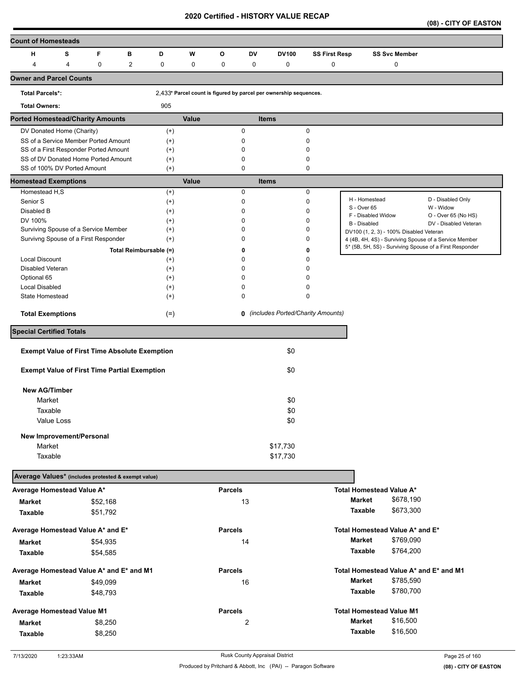**(08) - CITY OF EASTON** 

| <b>Count of Homesteads</b>                           |   |          |              |                        |             |                |                |                                                                   |                                   |               |                                         |                                                         |
|------------------------------------------------------|---|----------|--------------|------------------------|-------------|----------------|----------------|-------------------------------------------------------------------|-----------------------------------|---------------|-----------------------------------------|---------------------------------------------------------|
| н                                                    | s | F        | в            | D                      | W           | o              | DV             | <b>DV100</b>                                                      | <b>SS First Resp</b>              |               | <b>SS Svc Member</b>                    |                                                         |
| 4                                                    | 4 | 0        | $\mathbf{2}$ | 0                      | $\mathbf 0$ | $\pmb{0}$      | 0              | 0                                                                 | 0                                 |               | 0                                       |                                                         |
|                                                      |   |          |              |                        |             |                |                |                                                                   |                                   |               |                                         |                                                         |
| <b>Owner and Parcel Counts</b>                       |   |          |              |                        |             |                |                |                                                                   |                                   |               |                                         |                                                         |
| <b>Total Parcels*:</b>                               |   |          |              |                        |             |                |                | 2,433* Parcel count is figured by parcel per ownership sequences. |                                   |               |                                         |                                                         |
|                                                      |   |          |              |                        |             |                |                |                                                                   |                                   |               |                                         |                                                         |
| <b>Total Owners:</b>                                 |   |          |              | 905                    |             |                |                |                                                                   |                                   |               |                                         |                                                         |
| <b>Ported Homestead/Charity Amounts</b>              |   |          |              |                        | Value       |                |                | <b>Items</b>                                                      |                                   |               |                                         |                                                         |
| DV Donated Home (Charity)                            |   |          |              | $^{(+)}$               |             |                | $\mathbf 0$    |                                                                   | $\mathbf 0$                       |               |                                         |                                                         |
| SS of a Service Member Ported Amount                 |   |          |              | $^{(+)}$               |             |                | 0              |                                                                   | 0                                 |               |                                         |                                                         |
| SS of a First Responder Ported Amount                |   |          |              | $^{(+)}$               |             |                | 0              |                                                                   | 0                                 |               |                                         |                                                         |
| SS of DV Donated Home Ported Amount                  |   |          |              | $^{(+)}$               |             |                | 0              |                                                                   | 0                                 |               |                                         |                                                         |
| SS of 100% DV Ported Amount                          |   |          |              | $(+)$                  |             |                | 0              |                                                                   | 0                                 |               |                                         |                                                         |
| <b>Homestead Exemptions</b>                          |   |          |              |                        | Value       |                |                | <b>Items</b>                                                      |                                   |               |                                         |                                                         |
| Homestead H,S                                        |   |          |              | $^{(+)}$               |             |                | $\pmb{0}$      |                                                                   | $\mathbf 0$                       |               |                                         |                                                         |
| Senior S                                             |   |          |              | $^{(+)}$               |             |                | 0              |                                                                   | 0                                 | H - Homestead |                                         | D - Disabled Only                                       |
| Disabled B                                           |   |          |              | $^{(+)}$               |             |                | $\mathbf 0$    |                                                                   | 0                                 | S - Over 65   |                                         | W - Widow                                               |
| DV 100%                                              |   |          |              | $^{(+)}$               |             |                | $\mathbf 0$    |                                                                   | 0                                 | B - Disabled  | F - Disabled Widow                      | O - Over 65 (No HS)<br>DV - Disabled Veteran            |
| Surviving Spouse of a Service Member                 |   |          |              | $^{(+)}$               |             |                | $\mathbf 0$    |                                                                   | 0                                 |               | DV100 (1, 2, 3) - 100% Disabled Veteran |                                                         |
| Survivng Spouse of a First Responder                 |   |          |              | $^{(+)}$               |             |                | 0              |                                                                   | 0                                 |               |                                         | 4 (4B, 4H, 4S) - Surviving Spouse of a Service Member   |
|                                                      |   |          |              | Total Reimbursable (=) |             |                | 0              |                                                                   | 0                                 |               |                                         | 5* (5B, 5H, 5S) - Surviving Spouse of a First Responder |
| <b>Local Discount</b>                                |   |          |              | $^{(+)}$               |             |                | $\Omega$       |                                                                   | 0                                 |               |                                         |                                                         |
| Disabled Veteran                                     |   |          |              | $^{(+)}$               |             |                | 0              |                                                                   | 0                                 |               |                                         |                                                         |
| Optional 65                                          |   |          |              | $^{(+)}$               |             |                | $\mathbf 0$    |                                                                   | 0                                 |               |                                         |                                                         |
| <b>Local Disabled</b>                                |   |          |              | $^{(+)}$               |             |                | $\mathbf 0$    |                                                                   | 0                                 |               |                                         |                                                         |
| State Homestead                                      |   |          |              | $^{(+)}$               |             |                | 0              |                                                                   | 0                                 |               |                                         |                                                         |
|                                                      |   |          |              |                        |             |                |                |                                                                   |                                   |               |                                         |                                                         |
| <b>Total Exemptions</b>                              |   |          |              | $(=)$                  |             |                | 0              |                                                                   | (includes Ported/Charity Amounts) |               |                                         |                                                         |
| <b>Special Certified Totals</b>                      |   |          |              |                        |             |                |                |                                                                   |                                   |               |                                         |                                                         |
|                                                      |   |          |              |                        |             |                |                |                                                                   |                                   |               |                                         |                                                         |
| <b>Exempt Value of First Time Absolute Exemption</b> |   |          |              |                        |             |                |                | \$0                                                               |                                   |               |                                         |                                                         |
|                                                      |   |          |              |                        |             |                |                |                                                                   |                                   |               |                                         |                                                         |
| <b>Exempt Value of First Time Partial Exemption</b>  |   |          |              |                        |             |                |                | \$0                                                               |                                   |               |                                         |                                                         |
|                                                      |   |          |              |                        |             |                |                |                                                                   |                                   |               |                                         |                                                         |
| <b>New AG/Timber</b>                                 |   |          |              |                        |             |                |                |                                                                   |                                   |               |                                         |                                                         |
|                                                      |   |          |              |                        |             |                |                |                                                                   |                                   |               |                                         |                                                         |
| Market                                               |   |          |              |                        |             |                |                | \$0                                                               |                                   |               |                                         |                                                         |
| Taxable                                              |   |          |              |                        |             |                |                | \$0                                                               |                                   |               |                                         |                                                         |
| Value Loss                                           |   |          |              |                        |             |                |                | \$0                                                               |                                   |               |                                         |                                                         |
| New Improvement/Personal                             |   |          |              |                        |             |                |                |                                                                   |                                   |               |                                         |                                                         |
| Market                                               |   |          |              |                        |             |                |                | \$17,730                                                          |                                   |               |                                         |                                                         |
| Taxable                                              |   |          |              |                        |             |                |                | \$17,730                                                          |                                   |               |                                         |                                                         |
|                                                      |   |          |              |                        |             |                |                |                                                                   |                                   |               |                                         |                                                         |
| Average Values* (includes protested & exempt value)  |   |          |              |                        |             |                |                |                                                                   |                                   |               |                                         |                                                         |
|                                                      |   |          |              |                        |             | <b>Parcels</b> |                |                                                                   |                                   |               | <b>Total Homestead Value A*</b>         |                                                         |
| Average Homestead Value A*                           |   |          |              |                        |             |                |                |                                                                   |                                   |               |                                         |                                                         |
| <b>Market</b>                                        |   | \$52,168 |              |                        |             |                | 13             |                                                                   |                                   | <b>Market</b> | \$678,190                               |                                                         |
| <b>Taxable</b>                                       |   | \$51,792 |              |                        |             |                |                |                                                                   |                                   | Taxable       | \$673,300                               |                                                         |
|                                                      |   |          |              |                        |             |                |                |                                                                   |                                   |               |                                         |                                                         |
| Average Homestead Value A* and E*                    |   |          |              |                        |             | <b>Parcels</b> |                |                                                                   |                                   |               | Total Homestead Value A* and E*         |                                                         |
| <b>Market</b>                                        |   | \$54,935 |              |                        |             |                | 14             |                                                                   |                                   | Market        | \$769,090                               |                                                         |
| Taxable                                              |   | \$54,585 |              |                        |             |                |                |                                                                   |                                   | Taxable       | \$764,200                               |                                                         |
|                                                      |   |          |              |                        |             |                |                |                                                                   |                                   |               |                                         |                                                         |
| Average Homestead Value A* and E* and M1             |   |          |              |                        |             | <b>Parcels</b> |                |                                                                   |                                   |               | Total Homestead Value A* and E* and M1  |                                                         |
| <b>Market</b>                                        |   | \$49,099 |              |                        |             |                | 16             |                                                                   |                                   | <b>Market</b> | \$785,590                               |                                                         |
| Taxable                                              |   | \$48,793 |              |                        |             |                |                |                                                                   |                                   | Taxable       | \$780,700                               |                                                         |
|                                                      |   |          |              |                        |             |                |                |                                                                   |                                   |               |                                         |                                                         |
| <b>Average Homestead Value M1</b>                    |   |          |              |                        |             | <b>Parcels</b> |                |                                                                   |                                   |               | <b>Total Homestead Value M1</b>         |                                                         |
| <b>Market</b>                                        |   | \$8,250  |              |                        |             |                | $\overline{c}$ |                                                                   |                                   | Market        | \$16,500                                |                                                         |
| <b>Taxable</b>                                       |   | \$8,250  |              |                        |             |                |                |                                                                   |                                   | Taxable       | \$16,500                                |                                                         |
|                                                      |   |          |              |                        |             |                |                |                                                                   |                                   |               |                                         |                                                         |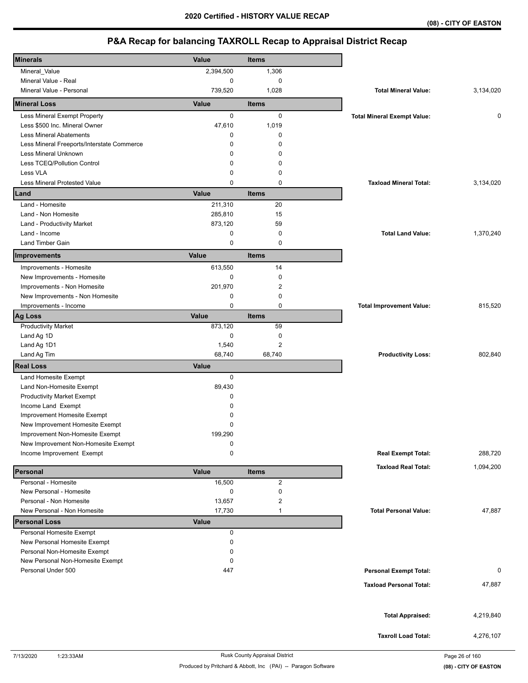| <b>Minerals</b>                                        | <b>Value</b> | <b>Items</b> |                                    |           |
|--------------------------------------------------------|--------------|--------------|------------------------------------|-----------|
|                                                        | 2,394,500    | 1,306        |                                    |           |
| Mineral_Value<br>Mineral Value - Real                  | 0            | 0            |                                    |           |
| Mineral Value - Personal                               | 739,520      | 1,028        | <b>Total Mineral Value:</b>        | 3,134,020 |
| <b>Mineral Loss</b>                                    | Value        | <b>Items</b> |                                    |           |
| Less Mineral Exempt Property                           | 0            | 0            | <b>Total Mineral Exempt Value:</b> | 0         |
| Less \$500 Inc. Mineral Owner                          | 47,610       | 1,019        |                                    |           |
| <b>Less Mineral Abatements</b>                         | 0            | 0            |                                    |           |
| Less Mineral Freeports/Interstate Commerce             | 0            | $\Omega$     |                                    |           |
| <b>Less Mineral Unknown</b>                            | 0            | 0            |                                    |           |
| Less TCEQ/Pollution Control                            | $\mathbf 0$  | 0            |                                    |           |
| Less VLA                                               | 0            | 0            |                                    |           |
| <b>Less Mineral Protested Value</b>                    | $\Omega$     | $\Omega$     | <b>Taxload Mineral Total:</b>      | 3,134,020 |
| Land                                                   | Value        | <b>Items</b> |                                    |           |
| Land - Homesite                                        | 211,310      | 20           |                                    |           |
| Land - Non Homesite                                    | 285,810      | 15           |                                    |           |
| Land - Productivity Market                             | 873,120      | 59           |                                    |           |
| Land - Income                                          | 0            | 0            | <b>Total Land Value:</b>           | 1,370,240 |
| Land Timber Gain                                       | 0            | 0            |                                    |           |
| Improvements                                           | Value        | <b>Items</b> |                                    |           |
| Improvements - Homesite                                | 613,550      | 14           |                                    |           |
| New Improvements - Homesite                            | 0            | $\mathbf 0$  |                                    |           |
| Improvements - Non Homesite                            | 201,970      | 2            |                                    |           |
| New Improvements - Non Homesite                        | 0            | 0            |                                    |           |
| Improvements - Income                                  | 0            | 0            | <b>Total Improvement Value:</b>    | 815,520   |
| <b>Ag Loss</b>                                         | Value        | <b>Items</b> |                                    |           |
| <b>Productivity Market</b>                             | 873,120      | 59           |                                    |           |
| Land Ag 1D                                             | 0            | 0            |                                    |           |
| Land Ag 1D1                                            | 1,540        | 2            |                                    |           |
| Land Ag Tim                                            | 68,740       | 68,740       | <b>Productivity Loss:</b>          | 802,840   |
| <b>Real Loss</b>                                       | Value        |              |                                    |           |
| Land Homesite Exempt                                   | 0            |              |                                    |           |
| Land Non-Homesite Exempt                               | 89,430       |              |                                    |           |
| <b>Productivity Market Exempt</b>                      | 0            |              |                                    |           |
| Income Land Exempt                                     | 0            |              |                                    |           |
| Improvement Homesite Exempt                            | 0            |              |                                    |           |
| New Improvement Homesite Exempt                        | 0            |              |                                    |           |
| Improvement Non-Homesite Exempt                        | 199,290      |              |                                    |           |
| New Improvement Non-Homesite Exempt                    | 0            |              |                                    |           |
| Income Improvement Exempt                              | 0            |              | <b>Real Exempt Total:</b>          | 288,720   |
| Personal                                               | Value        | <b>Items</b> | <b>Taxload Real Total:</b>         | 1,094,200 |
| Personal - Homesite                                    | 16,500       | 2            |                                    |           |
| New Personal - Homesite                                | 0            | 0            |                                    |           |
| Personal - Non Homesite                                | 13,657       | 2            |                                    |           |
| New Personal - Non Homesite                            | 17,730       | 1            | <b>Total Personal Value:</b>       | 47,887    |
| <b>Personal Loss</b>                                   | <b>Value</b> |              |                                    |           |
| Personal Homesite Exempt                               | 0            |              |                                    |           |
| New Personal Homesite Exempt                           | 0            |              |                                    |           |
| Personal Non-Homesite Exempt                           | 0            |              |                                    |           |
| New Personal Non-Homesite Exempt<br>Personal Under 500 | 0<br>447     |              |                                    | 0         |
|                                                        |              |              | <b>Personal Exempt Total:</b>      |           |
|                                                        |              |              | <b>Taxload Personal Total:</b>     | 47,887    |
|                                                        |              |              |                                    |           |
|                                                        |              |              | <b>Total Appraised:</b>            | 4,219,840 |
|                                                        |              |              |                                    |           |
|                                                        |              |              | <b>Taxroll Load Total:</b>         | 4,276,107 |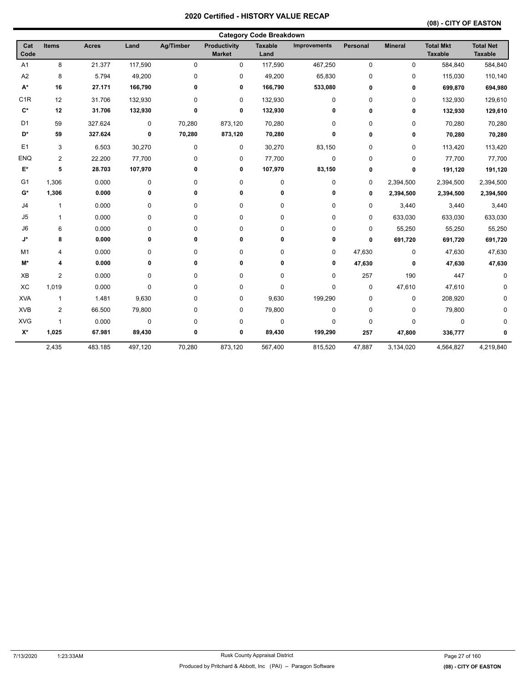|                    | <b>Category Code Breakdown</b> |              |           |                  |                               |                        |                     |             |                |                                    |                                    |  |  |
|--------------------|--------------------------------|--------------|-----------|------------------|-------------------------------|------------------------|---------------------|-------------|----------------|------------------------------------|------------------------------------|--|--|
| Cat<br>Code        | <b>Items</b>                   | <b>Acres</b> | Land      | <b>Ag/Timber</b> | Productivity<br><b>Market</b> | <b>Taxable</b><br>Land | <b>Improvements</b> | Personal    | <b>Mineral</b> | <b>Total Mkt</b><br><b>Taxable</b> | <b>Total Net</b><br><b>Taxable</b> |  |  |
| A <sub>1</sub>     | 8                              | 21.377       | 117,590   | $\pmb{0}$        | 0                             | 117,590                | 467,250             | $\pmb{0}$   | $\pmb{0}$      | 584,840                            | 584,840                            |  |  |
| A <sub>2</sub>     | 8                              | 5.794        | 49,200    | $\pmb{0}$        | 0                             | 49,200                 | 65,830              | $\mathbf 0$ | 0              | 115,030                            | 110,140                            |  |  |
| $\mathsf{A}^\star$ | 16                             | 27.171       | 166,790   | 0                | 0                             | 166,790                | 533,080             | 0           | 0              | 699,870                            | 694,980                            |  |  |
| C <sub>1R</sub>    | 12                             | 31.706       | 132,930   | 0                | 0                             | 132,930                | 0                   | 0           | 0              | 132,930                            | 129,610                            |  |  |
| $\mathbf{C}^*$     | 12                             | 31.706       | 132,930   | $\mathbf 0$      | 0                             | 132,930                | 0                   | 0           | 0              | 132,930                            | 129,610                            |  |  |
| D <sub>1</sub>     | 59                             | 327.624      | $\pmb{0}$ | 70,280           | 873,120                       | 70,280                 | 0                   | $\pmb{0}$   | $\pmb{0}$      | 70,280                             | 70,280                             |  |  |
| D*                 | 59                             | 327.624      | 0         | 70,280           | 873,120                       | 70,280                 | 0                   | 0           | 0              | 70,280                             | 70,280                             |  |  |
| E1                 | 3                              | 6.503        | 30,270    | $\pmb{0}$        | 0                             | 30,270                 | 83,150              | $\pmb{0}$   | 0              | 113,420                            | 113,420                            |  |  |
| <b>ENQ</b>         | $\overline{2}$                 | 22.200       | 77,700    | $\pmb{0}$        | 0                             | 77,700                 | 0                   | $\mathbf 0$ | 0              | 77,700                             | 77,700                             |  |  |
| E*                 | 5                              | 28.703       | 107,970   | 0                | 0                             | 107,970                | 83,150              | 0           | 0              | 191,120                            | 191,120                            |  |  |
| G <sub>1</sub>     | 1,306                          | 0.000        | 0         | 0                | 0                             | 0                      | 0                   | $\mathbf 0$ | 2,394,500      | 2,394,500                          | 2,394,500                          |  |  |
| $G^*$              | 1,306                          | 0.000        | 0         | $\mathbf 0$      | 0                             | 0                      | 0                   | 0           | 2,394,500      | 2,394,500                          | 2,394,500                          |  |  |
| J4                 | $\mathbf{1}$                   | 0.000        | $\pmb{0}$ | $\pmb{0}$        | 0                             | 0                      | 0                   | $\pmb{0}$   | 3,440          | 3,440                              | 3,440                              |  |  |
| J5                 | $\mathbf{1}$                   | 0.000        | $\pmb{0}$ | $\mathbf 0$      | 0                             | 0                      | 0                   | $\pmb{0}$   | 633,030        | 633,030                            | 633,030                            |  |  |
| J6                 | 6                              | 0.000        | 0         | 0                | 0                             | 0                      | 0                   | $\mathbf 0$ | 55,250         | 55,250                             | 55,250                             |  |  |
| J*                 | 8                              | 0.000        | 0         | $\mathbf 0$      | 0                             | 0                      | 0                   | 0           | 691,720        | 691,720                            | 691,720                            |  |  |
| M <sub>1</sub>     | 4                              | 0.000        | 0         | 0                | 0                             | 0                      | 0                   | 47,630      | 0              | 47,630                             | 47,630                             |  |  |
| M*                 | 4                              | 0.000        | 0         | $\mathbf 0$      | 0                             | 0                      | 0                   | 47,630      | 0              | 47,630                             | 47,630                             |  |  |
| XB                 | $\overline{2}$                 | 0.000        | 0         | 0                | 0                             | 0                      | 0                   | 257         | 190            | 447                                | 0                                  |  |  |
| XC                 | 1,019                          | 0.000        | $\pmb{0}$ | $\pmb{0}$        | 0                             | 0                      | 0                   | $\pmb{0}$   | 47,610         | 47,610                             | 0                                  |  |  |
| <b>XVA</b>         | $\mathbf{1}$                   | 1.481        | 9,630     | 0                | 0                             | 9,630                  | 199,290             | $\pmb{0}$   | 0              | 208,920                            | 0                                  |  |  |
| <b>XVB</b>         | $\overline{c}$                 | 66.500       | 79,800    | 0                | 0                             | 79,800                 | 0                   | $\mathbf 0$ | 0              | 79,800                             |                                    |  |  |
| <b>XVG</b>         | $\mathbf{1}$                   | 0.000        | $\pmb{0}$ | $\pmb{0}$        | 0                             | $\pmb{0}$              | 0                   | $\mathbf 0$ | $\pmb{0}$      | $\mathbf 0$                        | 0                                  |  |  |
| $\mathsf{X}^\star$ | 1,025                          | 67.981       | 89,430    | 0                | 0                             | 89,430                 | 199,290             | 257         | 47,800         | 336,777                            | 0                                  |  |  |
|                    | 2,435                          | 483.185      | 497,120   | 70,280           | 873,120                       | 567,400                | 815,520             | 47,887      | 3,134,020      | 4,564,827                          | 4,219,840                          |  |  |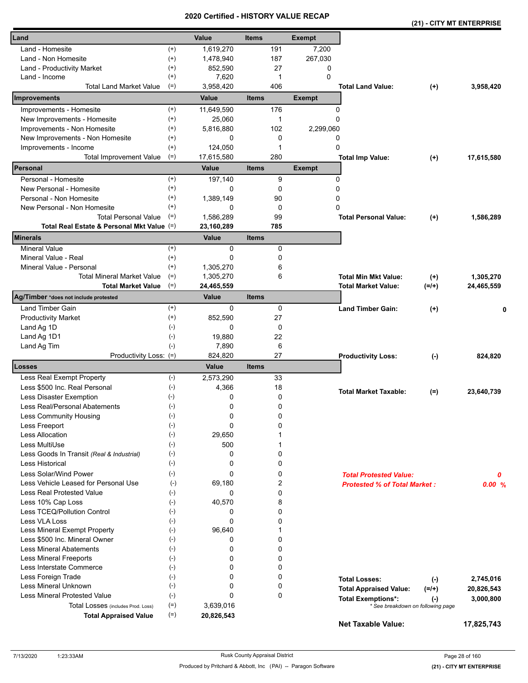|                                            |                    | cerunea      |              |              | <u>- NIJIURI VALUE REVAR</u> |                                     | (21) - CITY MT ENTERPRISE         |            |
|--------------------------------------------|--------------------|--------------|--------------|--------------|------------------------------|-------------------------------------|-----------------------------------|------------|
| Land                                       |                    | Value        | <b>Items</b> |              | <b>Exempt</b>                |                                     |                                   |            |
| Land - Homesite                            | $^{(+)}$           | 1,619,270    |              | 191          | 7,200                        |                                     |                                   |            |
| Land - Non Homesite                        | $^{(+)}$           | 1,478,940    |              | 187          | 267,030                      |                                     |                                   |            |
| Land - Productivity Market                 | $^{(+)}$           | 852,590      |              | 27           | 0                            |                                     |                                   |            |
| Land - Income                              | $^{(+)}$           | 7,620        |              | 1            | $\Omega$                     |                                     |                                   |            |
| <b>Total Land Market Value</b>             | $(=)$              | 3,958,420    |              | 406          |                              | <b>Total Land Value:</b>            | $^{(+)}$                          | 3,958,420  |
| Improvements                               |                    | Value        | <b>Items</b> |              | <b>Exempt</b>                |                                     |                                   |            |
| Improvements - Homesite                    | $^{(+)}$           | 11,649,590   |              | 176          |                              | 0                                   |                                   |            |
| New Improvements - Homesite                | $^{(+)}$           | 25,060       |              | 1            | 0                            |                                     |                                   |            |
| Improvements - Non Homesite                | $^{(+)}$           | 5,816,880    |              | 102          | 2,299,060                    |                                     |                                   |            |
| New Improvements - Non Homesite            | $^{(+)}$           | 0            |              | 0            | 0                            |                                     |                                   |            |
| Improvements - Income                      | $^{(+)}$           | 124,050      |              | 1            | 0                            |                                     |                                   |            |
| <b>Total Improvement Value</b>             | $(=)$              | 17,615,580   |              | 280          |                              | <b>Total Imp Value:</b>             | $^{(+)}$                          | 17,615,580 |
| Personal                                   |                    | <b>Value</b> | <b>Items</b> |              | <b>Exempt</b>                |                                     |                                   |            |
| Personal - Homesite                        | $^{(+)}$           | 197,140      |              | 9            | 0                            |                                     |                                   |            |
| New Personal - Homesite                    | $^{(+)}$           | 0            |              | 0            | 0                            |                                     |                                   |            |
| Personal - Non Homesite                    | $^{(+)}$           | 1,389,149    |              | 90           | 0                            |                                     |                                   |            |
| New Personal - Non Homesite                | $^{(+)}$           | 0            |              | 0            | 0                            |                                     |                                   |            |
| <b>Total Personal Value</b>                | $(=)$              | 1,586,289    |              | 99           |                              | <b>Total Personal Value:</b>        | $^{(+)}$                          | 1,586,289  |
| Total Real Estate & Personal Mkt Value (=) |                    | 23,160,289   |              | 785          |                              |                                     |                                   |            |
| <b>Minerals</b>                            |                    | Value        | <b>Items</b> |              |                              |                                     |                                   |            |
| <b>Mineral Value</b>                       | $^{(+)}$           | 0            |              | 0            |                              |                                     |                                   |            |
| Mineral Value - Real                       | $^{(+)}$           | 0            |              | 0            |                              |                                     |                                   |            |
| Mineral Value - Personal                   | $^{(+)}$           | 1,305,270    |              | 6            |                              |                                     |                                   |            |
| <b>Total Mineral Market Value</b>          | $(=)$              | 1,305,270    |              | 6            |                              | <b>Total Min Mkt Value:</b>         | $^{(+)}$                          | 1,305,270  |
| <b>Total Market Value</b>                  | $(=)$              | 24,465,559   |              |              |                              | <b>Total Market Value:</b>          | $(=/+)$                           | 24,465,559 |
| Ag/Timber *does not include protested      |                    | Value        | <b>Items</b> |              |                              |                                     |                                   |            |
| <b>Land Timber Gain</b>                    | $^{(+)}$           | 0            |              | 0            |                              | <b>Land Timber Gain:</b>            | $(+)$                             | 0          |
| <b>Productivity Market</b>                 | $^{(+)}$           | 852,590      |              | 27           |                              |                                     |                                   |            |
| Land Ag 1D                                 | $(-)$              | 0            |              | 0            |                              |                                     |                                   |            |
| Land Ag 1D1                                | $(-)$              | 19,880       |              | 22           |                              |                                     |                                   |            |
| Land Ag Tim                                | $(-)$              | 7,890        |              | 6            |                              |                                     |                                   |            |
| Productivity Loss: (=)                     |                    | 824,820      |              | 27           |                              | <b>Productivity Loss:</b>           | $(-)$                             | 824,820    |
| Losses                                     |                    | Value        | <b>Items</b> |              |                              |                                     |                                   |            |
| Less Real Exempt Property                  | $(-)$              | 2,573,290    |              | 33           |                              |                                     |                                   |            |
| Less \$500 Inc. Real Personal              | $(-)$              | 4,366        |              | 18           |                              | <b>Total Market Taxable:</b>        | $(=)$                             | 23,640,739 |
| Less Disaster Exemption                    | $(-)$              | 0            |              | 0            |                              |                                     |                                   |            |
| Less Real/Personal Abatements              | $(\textnormal{-})$ | 0            |              | 0            |                              |                                     |                                   |            |
| Less Community Housing                     | $(-)$              | 0            |              | 0            |                              |                                     |                                   |            |
| Less Freeport                              | $(-)$              | 0            |              | 0            |                              |                                     |                                   |            |
| Less Allocation                            | $(-)$              | 29,650       |              | 1            |                              |                                     |                                   |            |
| Less MultiUse                              | $(-)$              | 500          |              | 1            |                              |                                     |                                   |            |
| Less Goods In Transit (Real & Industrial)  | $(-)$              | 0            |              | 0            |                              |                                     |                                   |            |
| Less Historical                            | $(-)$              | 0            |              | 0            |                              |                                     |                                   |            |
| Less Solar/Wind Power                      | $(-)$              | 0            |              | 0            |                              | <b>Total Protested Value:</b>       |                                   | 0          |
| Less Vehicle Leased for Personal Use       | $(-)$              | 69,180       |              | 2            |                              | <b>Protested % of Total Market:</b> |                                   | 0.00%      |
| <b>Less Real Protested Value</b>           | $(-)$              | 0            |              | 0            |                              |                                     |                                   |            |
| Less 10% Cap Loss                          | $(-)$              | 40,570       |              | 8            |                              |                                     |                                   |            |
| Less TCEQ/Pollution Control                | $(-)$              | 0            |              | 0            |                              |                                     |                                   |            |
| Less VLA Loss                              | $(-)$              | 0            |              | 0            |                              |                                     |                                   |            |
| Less Mineral Exempt Property               | $(-)$              | 96,640       |              | $\mathbf{1}$ |                              |                                     |                                   |            |
| Less \$500 Inc. Mineral Owner              | $(-)$              | 0            |              | 0            |                              |                                     |                                   |            |
| <b>Less Mineral Abatements</b>             | $(-)$              | 0            |              | 0            |                              |                                     |                                   |            |
| <b>Less Mineral Freeports</b>              | $(-)$              | 0            |              | 0            |                              |                                     |                                   |            |
| Less Interstate Commerce                   | $(\cdot)$          | 0            |              | 0            |                              |                                     |                                   |            |
| Less Foreign Trade                         | $(-)$              | 0            |              | 0            |                              | <b>Total Losses:</b>                | $(-)$                             | 2,745,016  |
| Less Mineral Unknown                       | $(-)$              | 0            |              | 0            |                              | <b>Total Appraised Value:</b>       | $(=/+)$                           | 20,826,543 |
| Less Mineral Protested Value               | $(-)$              | 0            |              | 0            |                              | <b>Total Exemptions*:</b>           | $(-)$                             | 3,000,800  |
| Total Losses (includes Prod. Loss)         | $(=)$              | 3,639,016    |              |              |                              |                                     | * See breakdown on following page |            |
| <b>Total Appraised Value</b>               | $(=)$              | 20,826,543   |              |              |                              | <b>Net Taxable Value:</b>           |                                   | 17,825,743 |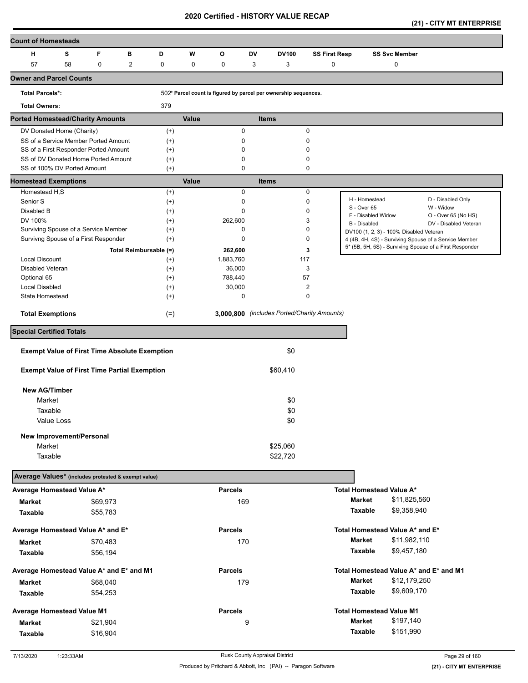**(21) - CITY MT ENTERPRISE** 

| <b>Count of Homesteads</b>                                                    |    |             |                        |                      |       |                                                                 |              |              |                                             |                                         |                      |                                                                                                                  |
|-------------------------------------------------------------------------------|----|-------------|------------------------|----------------------|-------|-----------------------------------------------------------------|--------------|--------------|---------------------------------------------|-----------------------------------------|----------------------|------------------------------------------------------------------------------------------------------------------|
| н                                                                             | s  | F           | в                      | D                    | W     | O                                                               | <b>DV</b>    | <b>DV100</b> | <b>SS First Resp</b>                        |                                         | <b>SS Svc Member</b> |                                                                                                                  |
| 57                                                                            | 58 | $\mathbf 0$ | $\overline{2}$         | 0                    | 0     | 0                                                               | 3            | 3            | 0                                           |                                         | 0                    |                                                                                                                  |
| <b>Owner and Parcel Counts</b>                                                |    |             |                        |                      |       |                                                                 |              |              |                                             |                                         |                      |                                                                                                                  |
| <b>Total Parcels*:</b>                                                        |    |             |                        |                      |       | 502* Parcel count is figured by parcel per ownership sequences. |              |              |                                             |                                         |                      |                                                                                                                  |
| <b>Total Owners:</b>                                                          |    |             |                        | 379                  |       |                                                                 |              |              |                                             |                                         |                      |                                                                                                                  |
| <b>Ported Homestead/Charity Amounts</b>                                       |    |             |                        |                      | Value |                                                                 | <b>Items</b> |              |                                             |                                         |                      |                                                                                                                  |
| DV Donated Home (Charity)                                                     |    |             |                        | $^{(+)}$             |       | 0                                                               |              |              | $\mathbf 0$                                 |                                         |                      |                                                                                                                  |
| SS of a Service Member Ported Amount<br>SS of a First Responder Ported Amount |    |             |                        | $^{(+)}$<br>$^{(+)}$ |       | 0<br>$\mathbf 0$                                                |              |              | 0<br>0                                      |                                         |                      |                                                                                                                  |
| SS of DV Donated Home Ported Amount                                           |    |             |                        | $^{(+)}$             |       | $\mathbf 0$                                                     |              |              | 0                                           |                                         |                      |                                                                                                                  |
| SS of 100% DV Ported Amount                                                   |    |             |                        | $^{(+)}$             |       | 0                                                               |              |              | 0                                           |                                         |                      |                                                                                                                  |
| <b>Homestead Exemptions</b>                                                   |    |             |                        |                      | Value |                                                                 | <b>Items</b> |              |                                             |                                         |                      |                                                                                                                  |
| Homestead H,S                                                                 |    |             |                        | $^{(+)}$             |       | 0                                                               |              |              | 0                                           |                                         |                      |                                                                                                                  |
| Senior S                                                                      |    |             |                        | $^{(+)}$             |       | 0                                                               |              |              | 0                                           | H - Homestead<br>S - Over 65            |                      | D - Disabled Only<br>W - Widow                                                                                   |
| Disabled B                                                                    |    |             |                        | $^{(+)}$             |       | $\mathbf 0$                                                     |              |              | 0                                           | F - Disabled Widow                      |                      | O - Over 65 (No HS)                                                                                              |
| DV 100%                                                                       |    |             |                        | $^{(+)}$             |       | 262,600                                                         |              |              | 3                                           | <b>B</b> - Disabled                     |                      | DV - Disabled Veteran                                                                                            |
| Surviving Spouse of a Service Member                                          |    |             |                        | $^{(+)}$             |       | 0<br>0                                                          |              |              | 0<br>$\mathbf 0$                            | DV100 (1, 2, 3) - 100% Disabled Veteran |                      |                                                                                                                  |
| Survivng Spouse of a First Responder                                          |    |             |                        | $^{(+)}$             |       |                                                                 |              |              |                                             |                                         |                      | 4 (4B, 4H, 4S) - Surviving Spouse of a Service Member<br>5* (5B, 5H, 5S) - Surviving Spouse of a First Responder |
| <b>Local Discount</b>                                                         |    |             | Total Reimbursable (=) |                      |       | 262,600                                                         |              |              | 3                                           |                                         |                      |                                                                                                                  |
| <b>Disabled Veteran</b>                                                       |    |             |                        | $^{(+)}$             |       | 1,883,760                                                       |              | 117          |                                             |                                         |                      |                                                                                                                  |
| Optional 65                                                                   |    |             |                        | $^{(+)}$             |       | 36,000<br>788,440                                               |              | 57           | 3                                           |                                         |                      |                                                                                                                  |
| Local Disabled                                                                |    |             |                        | $^{(+)}$<br>$^{(+)}$ |       | 30,000                                                          |              |              | 2                                           |                                         |                      |                                                                                                                  |
| State Homestead                                                               |    |             |                        | $^{(+)}$             |       | 0                                                               |              |              | $\mathbf 0$                                 |                                         |                      |                                                                                                                  |
| <b>Total Exemptions</b>                                                       |    |             |                        | $(=)$                |       |                                                                 |              |              | 3,000,800 (includes Ported/Charity Amounts) |                                         |                      |                                                                                                                  |
| <b>Special Certified Totals</b>                                               |    |             |                        |                      |       |                                                                 |              |              |                                             |                                         |                      |                                                                                                                  |
|                                                                               |    |             |                        |                      |       |                                                                 |              |              |                                             |                                         |                      |                                                                                                                  |
| <b>Exempt Value of First Time Absolute Exemption</b>                          |    |             |                        |                      |       |                                                                 |              | \$0          |                                             |                                         |                      |                                                                                                                  |
| <b>Exempt Value of First Time Partial Exemption</b>                           |    |             |                        |                      |       |                                                                 |              | \$60,410     |                                             |                                         |                      |                                                                                                                  |
| <b>New AG/Timber</b>                                                          |    |             |                        |                      |       |                                                                 |              |              |                                             |                                         |                      |                                                                                                                  |
| Market                                                                        |    |             |                        |                      |       |                                                                 |              | \$0          |                                             |                                         |                      |                                                                                                                  |
|                                                                               |    |             |                        |                      |       |                                                                 |              |              |                                             |                                         |                      |                                                                                                                  |
| Taxable                                                                       |    |             |                        |                      |       |                                                                 |              | \$0          |                                             |                                         |                      |                                                                                                                  |
| Value Loss                                                                    |    |             |                        |                      |       |                                                                 |              | \$0          |                                             |                                         |                      |                                                                                                                  |
| New Improvement/Personal<br>Market                                            |    |             |                        |                      |       |                                                                 |              | \$25,060     |                                             |                                         |                      |                                                                                                                  |
|                                                                               |    |             |                        |                      |       |                                                                 |              | \$22,720     |                                             |                                         |                      |                                                                                                                  |
| Taxable                                                                       |    |             |                        |                      |       |                                                                 |              |              |                                             |                                         |                      |                                                                                                                  |
| Average Values* (includes protested & exempt value)                           |    |             |                        |                      |       |                                                                 |              |              |                                             |                                         |                      |                                                                                                                  |
| Average Homestead Value A*                                                    |    |             |                        |                      |       | <b>Parcels</b>                                                  |              |              |                                             | <b>Total Homestead Value A*</b>         |                      |                                                                                                                  |
| <b>Market</b>                                                                 |    | \$69,973    |                        |                      |       | 169                                                             |              |              |                                             | Market                                  | \$11,825,560         |                                                                                                                  |
| Taxable                                                                       |    | \$55,783    |                        |                      |       |                                                                 |              |              |                                             | Taxable                                 | \$9,358,940          |                                                                                                                  |
| Average Homestead Value A* and E*                                             |    |             |                        |                      |       | <b>Parcels</b>                                                  |              |              |                                             | Total Homestead Value A* and E*         |                      |                                                                                                                  |
| Market                                                                        |    | \$70,483    |                        |                      |       | 170                                                             |              |              |                                             | <b>Market</b>                           | \$11,982,110         |                                                                                                                  |
| Taxable                                                                       |    | \$56,194    |                        |                      |       |                                                                 |              |              |                                             | Taxable                                 | \$9,457,180          |                                                                                                                  |
| Average Homestead Value A* and E* and M1                                      |    |             |                        |                      |       | <b>Parcels</b>                                                  |              |              |                                             |                                         |                      | Total Homestead Value A* and E* and M1                                                                           |
| <b>Market</b>                                                                 |    | \$68,040    |                        |                      |       | 179                                                             |              |              |                                             | <b>Market</b>                           | \$12,179,250         |                                                                                                                  |
| Taxable                                                                       |    | \$54,253    |                        |                      |       |                                                                 |              |              |                                             | Taxable                                 | \$9,609,170          |                                                                                                                  |
|                                                                               |    |             |                        |                      |       |                                                                 |              |              |                                             |                                         |                      |                                                                                                                  |
| <b>Average Homestead Value M1</b>                                             |    |             |                        |                      |       | <b>Parcels</b>                                                  |              |              |                                             | <b>Total Homestead Value M1</b>         |                      |                                                                                                                  |
| Market                                                                        |    | \$21,904    |                        |                      |       |                                                                 | 9            |              |                                             | Market                                  | \$197,140            |                                                                                                                  |
| Taxable                                                                       |    | \$16,904    |                        |                      |       |                                                                 |              |              |                                             | Taxable                                 | \$151,990            |                                                                                                                  |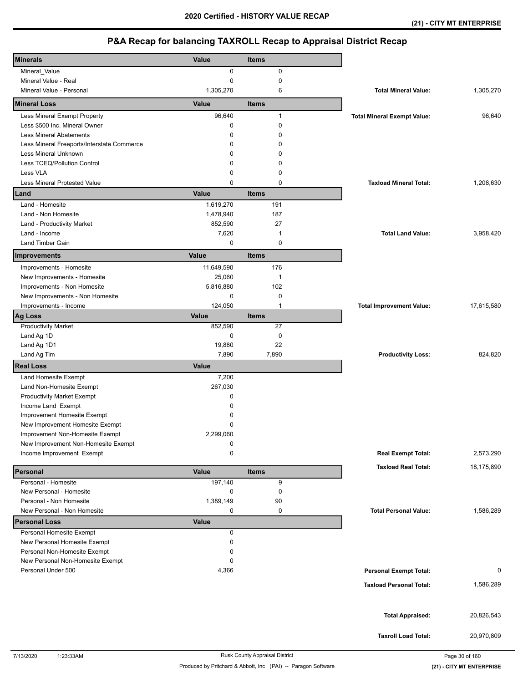| <b>Minerals</b>                            | Value        | Items             |                                    |            |
|--------------------------------------------|--------------|-------------------|------------------------------------|------------|
| Mineral_Value                              | 0            | 0                 |                                    |            |
| Mineral Value - Real                       | 0            | $\mathbf 0$       |                                    |            |
| Mineral Value - Personal                   | 1,305,270    | 6                 | <b>Total Mineral Value:</b>        | 1,305,270  |
| <b>Mineral Loss</b>                        | Value        | <b>Items</b>      |                                    |            |
| Less Mineral Exempt Property               | 96,640       | $\mathbf{1}$      | <b>Total Mineral Exempt Value:</b> | 96,640     |
| Less \$500 Inc. Mineral Owner              | 0            | $\mathbf 0$       |                                    |            |
| <b>Less Mineral Abatements</b>             | 0            | 0                 |                                    |            |
| Less Mineral Freeports/Interstate Commerce | 0            | 0                 |                                    |            |
| Less Mineral Unknown                       | 0            | 0                 |                                    |            |
| Less TCEQ/Pollution Control                | 0            | 0                 |                                    |            |
| Less VLA                                   | 0            | 0                 |                                    |            |
| <b>Less Mineral Protested Value</b>        | 0            | 0                 | <b>Taxload Mineral Total:</b>      | 1,208,630  |
| Land                                       | Value        | <b>Items</b>      |                                    |            |
| Land - Homesite                            | 1,619,270    | 191               |                                    |            |
| Land - Non Homesite                        | 1,478,940    | 187               |                                    |            |
| Land - Productivity Market                 | 852,590      | 27                |                                    |            |
| Land - Income                              | 7,620        | $\mathbf{1}$      | <b>Total Land Value:</b>           | 3,958,420  |
| Land Timber Gain                           | 0            | 0                 |                                    |            |
| Improvements                               | Value        | <b>Items</b>      |                                    |            |
| Improvements - Homesite                    | 11,649,590   | 176               |                                    |            |
| New Improvements - Homesite                | 25,060       | $\mathbf{1}$      |                                    |            |
| Improvements - Non Homesite                | 5,816,880    | 102               |                                    |            |
| New Improvements - Non Homesite            | 0            | 0                 |                                    |            |
| Improvements - Income                      | 124,050      | $\mathbf{1}$      | <b>Total Improvement Value:</b>    | 17,615,580 |
| <b>Ag Loss</b>                             | Value        | <b>Items</b>      |                                    |            |
| <b>Productivity Market</b>                 | 852,590      | 27                |                                    |            |
| Land Ag 1D                                 | 0            | $\mathbf 0$       |                                    |            |
| Land Ag 1D1                                | 19,880       | 22                |                                    |            |
| Land Ag Tim                                | 7,890        | 7,890             | <b>Productivity Loss:</b>          | 824,820    |
| <b>Real Loss</b>                           | Value        |                   |                                    |            |
| Land Homesite Exempt                       | 7,200        |                   |                                    |            |
| Land Non-Homesite Exempt                   | 267,030      |                   |                                    |            |
| <b>Productivity Market Exempt</b>          | 0            |                   |                                    |            |
| Income Land Exempt                         | 0            |                   |                                    |            |
| Improvement Homesite Exempt                | 0            |                   |                                    |            |
| New Improvement Homesite Exempt            | 0            |                   |                                    |            |
| Improvement Non-Homesite Exempt            | 2,299,060    |                   |                                    |            |
| New Improvement Non-Homesite Exempt        | 0            |                   |                                    |            |
| Income Improvement Exempt                  | 0            |                   | <b>Real Exempt Total:</b>          | 2,573,290  |
|                                            |              |                   | <b>Taxload Real Total:</b>         | 18,175,890 |
| Personal<br>Personal - Homesite            | Value        | <b>Items</b><br>9 |                                    |            |
| New Personal - Homesite                    | 197,140<br>0 | $\mathbf 0$       |                                    |            |
| Personal - Non Homesite                    | 1,389,149    | 90                |                                    |            |
| New Personal - Non Homesite                | 0            | 0                 | <b>Total Personal Value:</b>       | 1,586,289  |
| <b>Personal Loss</b>                       | <b>Value</b> |                   |                                    |            |
| Personal Homesite Exempt                   | 0            |                   |                                    |            |
| New Personal Homesite Exempt               | 0            |                   |                                    |            |
| Personal Non-Homesite Exempt               | 0            |                   |                                    |            |
| New Personal Non-Homesite Exempt           | 0            |                   |                                    |            |
| Personal Under 500                         | 4,366        |                   | <b>Personal Exempt Total:</b>      | 0          |
|                                            |              |                   |                                    |            |
|                                            |              |                   | <b>Taxload Personal Total:</b>     | 1,586,289  |
|                                            |              |                   |                                    |            |
|                                            |              |                   | <b>Total Appraised:</b>            | 20,826,543 |
|                                            |              |                   |                                    |            |
|                                            |              |                   | <b>Taxroll Load Total:</b>         | 20,970,809 |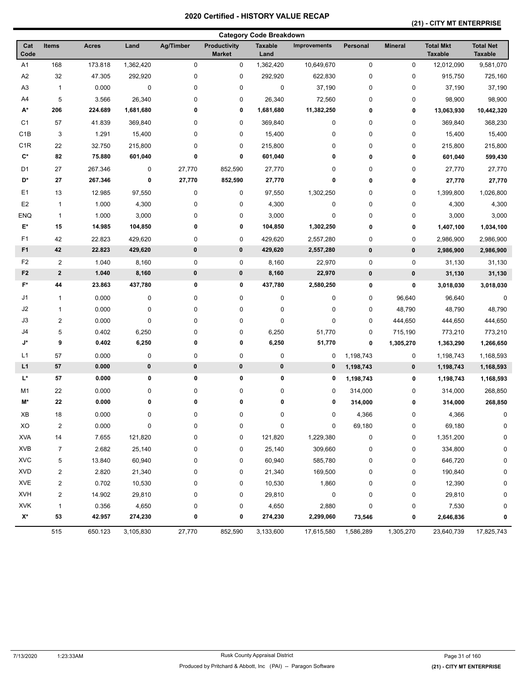### **(21) - CITY MT ENTERPRISE**

| <b>Category Code Breakdown</b> |                         |              |           |           |                               |                        |                     |           |                |                                    |                                    |
|--------------------------------|-------------------------|--------------|-----------|-----------|-------------------------------|------------------------|---------------------|-----------|----------------|------------------------------------|------------------------------------|
| Cat<br>Code                    | <b>Items</b>            | <b>Acres</b> | Land      | Ag/Timber | Productivity<br><b>Market</b> | <b>Taxable</b><br>Land | <b>Improvements</b> | Personal  | <b>Mineral</b> | <b>Total Mkt</b><br><b>Taxable</b> | <b>Total Net</b><br><b>Taxable</b> |
| A <sub>1</sub>                 | 168                     | 173.818      | 1,362,420 | 0         | 0                             | 1,362,420              | 10,649,670          | $\pmb{0}$ | 0              | 12,012,090                         | 9,581,070                          |
| A2                             | 32                      | 47.305       | 292,920   | $\pmb{0}$ | 0                             | 292,920                | 622,830             | $\pmb{0}$ | 0              | 915,750                            | 725,160                            |
| A <sub>3</sub>                 | $\mathbf{1}$            | 0.000        | $\pmb{0}$ | $\pmb{0}$ | 0                             | 0                      | 37,190              | $\pmb{0}$ | 0              | 37,190                             | 37,190                             |
| A4                             | 5                       | 3.566        | 26,340    | 0         | 0                             | 26,340                 | 72,560              | 0         | 0              | 98,900                             | 98,900                             |
| A*                             | 206                     | 224.689      | 1,681,680 | 0         | 0                             | 1,681,680              | 11,382,250          | 0         | 0              | 13,063,930                         | 10,442,320                         |
| C <sub>1</sub>                 | 57                      | 41.839       | 369,840   | 0         | 0                             | 369,840                | 0                   | $\pmb{0}$ | 0              | 369,840                            | 368,230                            |
| C <sub>1</sub> B               | 3                       | 1.291        | 15,400    | $\pmb{0}$ | 0                             | 15,400                 | 0                   | 0         | 0              | 15,400                             | 15,400                             |
| C <sub>1</sub> R               | 22                      | 32.750       | 215,800   | 0         | 0                             | 215,800                | 0                   | 0         | 0              | 215,800                            | 215,800                            |
| $\mathbf{C}^{\star}$           | 82                      | 75.880       | 601,040   | 0         | 0                             | 601,040                | 0                   | 0         | 0              | 601,040                            | 599,430                            |
| D <sub>1</sub>                 | 27                      | 267.346      | $\pmb{0}$ | 27,770    | 852,590                       | 27,770                 | 0                   | 0         | 0              | 27,770                             | 27,770                             |
| D*                             | 27                      | 267.346      | 0         | 27,770    | 852,590                       | 27,770                 | 0                   | 0         | 0              | 27,770                             | 27,770                             |
| E1                             | 13                      | 12.985       | 97,550    | $\pmb{0}$ | 0                             | 97,550                 | 1,302,250           | 0         | 0              | 1,399,800                          | 1,026,800                          |
| E <sub>2</sub>                 | $\mathbf{1}$            | 1.000        | 4,300     | 0         | 0                             | 4,300                  | 0                   | $\pmb{0}$ | 0              | 4,300                              | 4,300                              |
| <b>ENQ</b>                     | $\mathbf{1}$            | 1.000        | 3,000     | 0         | 0                             | 3,000                  | 0                   | $\pmb{0}$ | 0              | 3,000                              | 3,000                              |
| E*                             | 15                      | 14.985       | 104,850   | 0         | 0                             | 104,850                | 1,302,250           | 0         | 0              | 1,407,100                          | 1,034,100                          |
| F <sub>1</sub>                 | 42                      | 22.823       | 429,620   | $\pmb{0}$ | 0                             | 429,620                | 2,557,280           | $\pmb{0}$ | 0              | 2,986,900                          | 2,986,900                          |
| F <sub>1</sub>                 | 42                      | 22.823       | 429,620   | $\pmb{0}$ | $\pmb{0}$                     | 429,620                | 2,557,280           | $\pmb{0}$ | $\pmb{0}$      | 2,986,900                          | 2,986,900                          |
| F <sub>2</sub>                 | $\overline{2}$          | 1.040        | 8,160     | $\pmb{0}$ | 0                             | 8,160                  | 22,970              | $\pmb{0}$ | $\pmb{0}$      | 31,130                             | 31,130                             |
| F <sub>2</sub>                 | $\bf{2}$                | 1.040        | 8,160     | $\pmb{0}$ | $\pmb{0}$                     | 8,160                  | 22,970              | $\pmb{0}$ | $\pmb{0}$      | 31,130                             | 31,130                             |
| F*                             | 44                      | 23.863       | 437,780   | 0         | 0                             | 437,780                | 2,580,250           | 0         | 0              | 3,018,030                          | 3,018,030                          |
| J1                             | $\mathbf{1}$            | 0.000        | 0         | 0         | 0                             | 0                      | 0                   | 0         | 96,640         | 96,640                             | 0                                  |
| J2                             | $\mathbf{1}$            | 0.000        | $\pmb{0}$ | $\pmb{0}$ | 0                             | 0                      | 0                   | $\pmb{0}$ | 48,790         | 48,790                             | 48,790                             |
| J3                             | $\boldsymbol{2}$        | 0.000        | $\pmb{0}$ | $\pmb{0}$ | 0                             | 0                      | 0                   | 0         | 444,650        | 444,650                            | 444,650                            |
| J4                             | 5                       | 0.402        | 6,250     | 0         | 0                             | 6,250                  | 51,770              | 0         | 715,190        | 773,210                            | 773,210                            |
| J*                             | 9                       | 0.402        | 6,250     | 0         | 0                             | 6,250                  | 51,770              | 0         | 1,305,270      | 1,363,290                          | 1,266,650                          |
| L1                             | 57                      | 0.000        | $\pmb{0}$ | $\pmb{0}$ | 0                             | 0                      | 0                   | 1,198,743 | 0              | 1,198,743                          | 1,168,593                          |
| L1                             | 57                      | 0.000        | $\pmb{0}$ | $\pmb{0}$ | $\pmb{0}$                     | $\pmb{0}$              | 0                   | 1,198,743 | $\mathbf 0$    | 1,198,743                          | 1,168,593                          |
| L*                             | 57                      | 0.000        | 0         | 0         | 0                             | 0                      | 0                   | 1,198,743 | 0              | 1,198,743                          | 1,168,593                          |
| M1                             | 22                      | 0.000        | 0         | 0         | 0                             | 0                      | 0                   | 314,000   | 0              | 314,000                            | 268,850                            |
| M*                             | 22                      | 0.000        | 0         | 0         | 0                             | 0                      | 0                   | 314,000   | 0              | 314,000                            | 268,850                            |
| XВ                             | 18                      | 0.000        | 0         | 0         | 0                             | 0                      | 0                   | 4,366     | 0              | 4,366                              | 0                                  |
| XO                             | $\boldsymbol{2}$        | 0.000        | 0         | 0         | 0                             | 0                      | 0                   | 69,180    | 0              | 69,180                             | 0                                  |
| <b>XVA</b>                     | 14                      | 7.655        | 121,820   | 0         | 0                             | 121,820                | 1,229,380           | 0         | 0              | 1,351,200                          | 0                                  |
| <b>XVB</b>                     | $\overline{7}$          | 2.682        | 25,140    | 0         | 0                             | 25,140                 | 309,660             | 0         | 0              | 334,800                            | 0                                  |
| <b>XVC</b>                     | $\,$ 5 $\,$             | 13.840       | 60,940    | 0         | 0                             | 60,940                 | 585,780             | 0         | 0              | 646,720                            | 0                                  |
| <b>XVD</b>                     | $\overline{\mathbf{c}}$ | 2.820        | 21,340    | 0         | 0                             | 21,340                 | 169,500             | 0         | 0              | 190,840                            | 0                                  |
| <b>XVE</b>                     | $\overline{\mathbf{c}}$ | 0.702        | 10,530    | 0         | 0                             | 10,530                 | 1,860               | 0         | 0              | 12,390                             | 0                                  |
| <b>XVH</b>                     | $\overline{2}$          | 14.902       | 29,810    | 0         | 0                             | 29,810                 | 0                   | 0         | 0              | 29,810                             | 0                                  |
| <b>XVK</b>                     | $\mathbf{1}$            | 0.356        | 4,650     | 0         | 0                             | 4,650                  | 2,880               | 0         | 0              | 7,530                              | 0                                  |
| X*                             | 53                      | 42.957       | 274,230   | 0         | 0                             | 274,230                | 2,299,060           | 73,546    | 0              | 2,646,836                          | 0                                  |
|                                | 515                     | 650.123      | 3,105,830 | 27,770    | 852,590                       | 3,133,600              | 17,615,580          | 1,586,289 | 1,305,270      | 23,640,739                         | 17,825,743                         |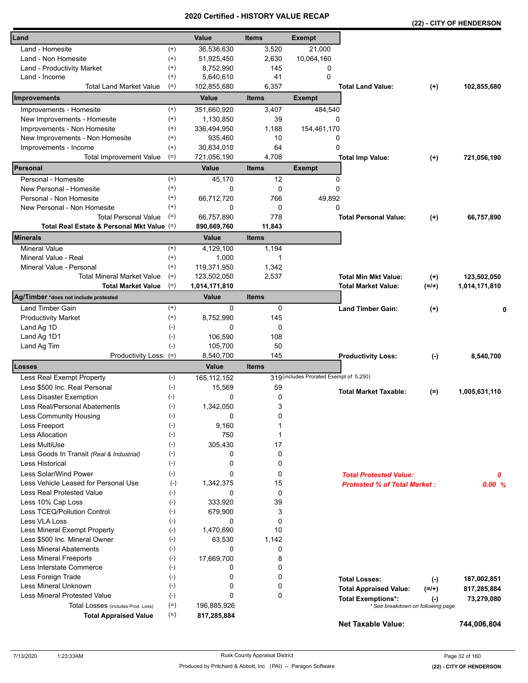|                                            |              | <b>Certified</b> |              | <b>- FIISTURT VALUE REGAR</b>           |                                     |                                   | (22) - CITY OF HENDERSON |
|--------------------------------------------|--------------|------------------|--------------|-----------------------------------------|-------------------------------------|-----------------------------------|--------------------------|
| Land                                       |              | Value            | <b>Items</b> | <b>Exempt</b>                           |                                     |                                   |                          |
| Land - Homesite                            | $^{(+)}$     | 36,536,630       | 3,520        | 21,000                                  |                                     |                                   |                          |
| Land - Non Homesite                        | $^{(+)}$     | 51,925,450       | 2,630        | 10,064,160                              |                                     |                                   |                          |
| Land - Productivity Market                 | $^{(+)}$     | 8,752,990        | 145          | 0                                       |                                     |                                   |                          |
| Land - Income                              | $^{(+)}$     | 5,640,610        | 41           | $\Omega$                                |                                     |                                   |                          |
| <b>Total Land Market Value</b>             | $(=)$        | 102,855,680      | 6,357        |                                         | <b>Total Land Value:</b>            | $(+)$                             | 102,855,680              |
| Improvements                               |              | Value            | <b>Items</b> | <b>Exempt</b>                           |                                     |                                   |                          |
| Improvements - Homesite                    | $^{(+)}$     | 351,660,920      | 3,407        | 484,540                                 |                                     |                                   |                          |
| New Improvements - Homesite                | $^{(+)}$     | 1,130,850        | 39           | 0                                       |                                     |                                   |                          |
| Improvements - Non Homesite                | $^{(+)}$     | 336,494,950      | 1,188        | 154,461,170                             |                                     |                                   |                          |
| New Improvements - Non Homesite            | $^{(+)}$     | 935,460          | 10           | 0                                       |                                     |                                   |                          |
| Improvements - Income                      | $^{(+)}$     | 30,834,010       | 64           | 0                                       |                                     |                                   |                          |
| <b>Total Improvement Value</b>             | $(=)$        | 721,056,190      | 4,708        |                                         | <b>Total Imp Value:</b>             | $^{(+)}$                          | 721,056,190              |
| Personal                                   |              | Value            | <b>Items</b> | <b>Exempt</b>                           |                                     |                                   |                          |
| Personal - Homesite                        | $^{(+)}$     | 45,170           | 12           | 0                                       |                                     |                                   |                          |
| New Personal - Homesite                    | $^{(+)}$     | 0                | 0            | 0                                       |                                     |                                   |                          |
| Personal - Non Homesite                    | $^{(+)}$     | 66,712,720       | 766          | 49,892                                  |                                     |                                   |                          |
| New Personal - Non Homesite                | $^{(+)}$     | 0                | 0            | 0                                       |                                     |                                   |                          |
| <b>Total Personal Value</b>                | $(=)$        | 66,757,890       | 778          |                                         | <b>Total Personal Value:</b>        | $(+)$                             | 66,757,890               |
| Total Real Estate & Personal Mkt Value (=) |              | 890,669,760      | 11,843       |                                         |                                     |                                   |                          |
| <b>Minerals</b>                            |              | Value            | <b>Items</b> |                                         |                                     |                                   |                          |
| <b>Mineral Value</b>                       | $^{(+)}$     | 4,129,100        | 1,194        |                                         |                                     |                                   |                          |
| Mineral Value - Real                       | $^{(+)}$     | 1,000            | 1            |                                         |                                     |                                   |                          |
| Mineral Value - Personal                   | $^{(+)}$     | 119,371,950      | 1,342        |                                         |                                     |                                   |                          |
| <b>Total Mineral Market Value</b>          | $(=)$        | 123,502,050      | 2,537        |                                         | <b>Total Min Mkt Value:</b>         | $^{(+)}$                          | 123,502,050              |
| <b>Total Market Value</b>                  | $(=)$        | 1,014,171,810    |              |                                         | <b>Total Market Value:</b>          | $(=/+)$                           | 1,014,171,810            |
| Ag/Timber *does not include protested      |              | Value            | <b>Items</b> |                                         |                                     |                                   |                          |
| <b>Land Timber Gain</b>                    | $^{(+)}$     | 0                | 0            |                                         | <b>Land Timber Gain:</b>            | $(+)$                             | 0                        |
| <b>Productivity Market</b>                 | $^{(+)}$     | 8,752,990        | 145          |                                         |                                     |                                   |                          |
| Land Ag 1D                                 | $(-)$        | 0                | 0            |                                         |                                     |                                   |                          |
| Land Ag 1D1                                | $(-)$        | 106,590          | 108          |                                         |                                     |                                   |                          |
| Land Ag Tim                                | $(-)$        | 105,700          | 50           |                                         |                                     |                                   |                          |
| Productivity Loss: (=)                     |              | 8.540.700        | 145          |                                         | <b>Productivity Loss:</b>           | $(-)$                             | 8,540,700                |
| Losses                                     |              | Value            | <b>Items</b> |                                         |                                     |                                   |                          |
| Less Real Exempt Property                  | $(-)$        | 165,112,152      |              | 319 (includes Prorated Exempt of 5,250) |                                     |                                   |                          |
| Less \$500 Inc. Real Personal              | $(-)$        | 15,569           | 59           |                                         | <b>Total Market Taxable:</b>        | $(=)$                             | 1,005,631,110            |
| Less Disaster Exemption                    | $(-)$        | 0                | 0            |                                         |                                     |                                   |                          |
| Less Real/Personal Abatements              | $(-)$        | 1,342,050        | 3            |                                         |                                     |                                   |                          |
| Less Community Housing                     | $(-)$        | 0                | 0            |                                         |                                     |                                   |                          |
| Less Freeport                              | $(-)$        | 9,160            |              |                                         |                                     |                                   |                          |
| <b>Less Allocation</b>                     | $(-)$        | 750              | 1            |                                         |                                     |                                   |                          |
| Less MultiUse                              | $(-)$        | 305,430          | 17           |                                         |                                     |                                   |                          |
| Less Goods In Transit (Real & Industrial)  | $(-)$        | 0                | 0            |                                         |                                     |                                   |                          |
| Less Historical                            | $(-)$        | 0                | 0            |                                         |                                     |                                   |                          |
| Less Solar/Wind Power                      | $(-)$        | 0                | 0            |                                         | <b>Total Protested Value:</b>       |                                   | 0                        |
| Less Vehicle Leased for Personal Use       | $(-)$        | 1,342,375        | 15           |                                         | <b>Protested % of Total Market:</b> |                                   | 0.00%                    |
| <b>Less Real Protested Value</b>           | $(\text{-})$ | 0                | 0            |                                         |                                     |                                   |                          |
| Less 10% Cap Loss                          | $(-)$        | 333.920          | 39           |                                         |                                     |                                   |                          |
| Less TCEQ/Pollution Control                | $(-)$        | 679,900          | 3            |                                         |                                     |                                   |                          |
| Less VLA Loss                              | $(\cdot)$    | 0                | 0            |                                         |                                     |                                   |                          |
| Less Mineral Exempt Property               | $(-)$        | 1,470,690        | 10           |                                         |                                     |                                   |                          |
| Less \$500 Inc. Mineral Owner              | $(-)$        | 63,530           | 1,142        |                                         |                                     |                                   |                          |
| <b>Less Mineral Abatements</b>             | $(-)$        | 0                | 0            |                                         |                                     |                                   |                          |
| <b>Less Mineral Freeports</b>              | $(-)$        | 17,669,700       | 8            |                                         |                                     |                                   |                          |
| Less Interstate Commerce                   | $(\cdot)$    | 0                | 0            |                                         |                                     |                                   |                          |
| Less Foreign Trade                         | $(-)$        | 0                | 0            |                                         | <b>Total Losses:</b>                | $(-)$                             | 187,002,851              |
| Less Mineral Unknown                       | $(\text{-})$ | 0                | 0            |                                         | <b>Total Appraised Value:</b>       | $(=/+)$                           | 817,285,884              |
| Less Mineral Protested Value               | $(-)$        | 0                | 0            |                                         | <b>Total Exemptions*:</b>           | $(\cdot)$                         | 73,279,080               |
| Total Losses (includes Prod. Loss)         | $(=)$        | 196,885,926      |              |                                         |                                     | * See breakdown on following page |                          |
| <b>Total Appraised Value</b>               | $(=)$        | 817,285,884      |              |                                         | <b>Net Taxable Value:</b>           |                                   | 744,006,804              |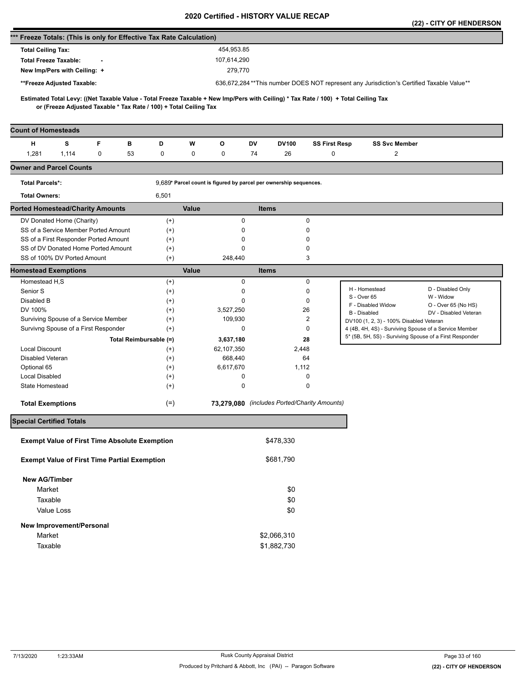|                                                                      |                                                                   |             |                        |                      |       |                                                                   |              |              |                                              |                                                                                                                                     | (22) - CITY OF HENDERSON       |
|----------------------------------------------------------------------|-------------------------------------------------------------------|-------------|------------------------|----------------------|-------|-------------------------------------------------------------------|--------------|--------------|----------------------------------------------|-------------------------------------------------------------------------------------------------------------------------------------|--------------------------------|
| *** Freeze Totals: (This is only for Effective Tax Rate Calculation) |                                                                   |             |                        |                      |       |                                                                   |              |              |                                              |                                                                                                                                     |                                |
| <b>Total Ceiling Tax:</b>                                            |                                                                   |             |                        |                      |       | 454,953.85                                                        |              |              |                                              |                                                                                                                                     |                                |
| <b>Total Freeze Taxable:</b>                                         |                                                                   |             |                        |                      |       | 107,614,290                                                       |              |              |                                              |                                                                                                                                     |                                |
|                                                                      | New Imp/Pers with Ceiling: +                                      |             |                        |                      |       | 279,770                                                           |              |              |                                              |                                                                                                                                     |                                |
|                                                                      |                                                                   |             |                        |                      |       |                                                                   |              |              |                                              |                                                                                                                                     |                                |
|                                                                      | **Freeze Adjusted Taxable:                                        |             |                        |                      |       |                                                                   |              |              |                                              | 636,672,284**This number DOES NOT represent any Jurisdiction's Certified Taxable Value**                                            |                                |
|                                                                      | or (Freeze Adjusted Taxable * Tax Rate / 100) + Total Ceiling Tax |             |                        |                      |       |                                                                   |              |              |                                              | Estimated Total Levy: ((Net Taxable Value - Total Freeze Taxable + New Imp/Pers with Ceiling) * Tax Rate / 100) + Total Ceiling Tax |                                |
|                                                                      |                                                                   |             |                        |                      |       |                                                                   |              |              |                                              |                                                                                                                                     |                                |
| <b>Count of Homesteads</b>                                           |                                                                   |             |                        |                      |       |                                                                   |              |              |                                              |                                                                                                                                     |                                |
| н                                                                    | s                                                                 | F           | в                      | D                    | W     | o                                                                 | DV           | <b>DV100</b> | <b>SS First Resp</b>                         | <b>SS Svc Member</b>                                                                                                                |                                |
| 1,281                                                                | 1,114                                                             | $\mathbf 0$ | 53                     | 0                    | 0     | 0                                                                 | 74           | 26           | 0                                            | 2                                                                                                                                   |                                |
| <b>Owner and Parcel Counts</b>                                       |                                                                   |             |                        |                      |       |                                                                   |              |              |                                              |                                                                                                                                     |                                |
| <b>Total Parcels*:</b>                                               |                                                                   |             |                        |                      |       | 9,689* Parcel count is figured by parcel per ownership sequences. |              |              |                                              |                                                                                                                                     |                                |
| <b>Total Owners:</b>                                                 |                                                                   |             |                        | 6,501                |       |                                                                   |              |              |                                              |                                                                                                                                     |                                |
| <b>Ported Homestead/Charity Amounts</b>                              |                                                                   |             |                        |                      | Value |                                                                   | <b>Items</b> |              |                                              |                                                                                                                                     |                                |
|                                                                      | DV Donated Home (Charity)                                         |             |                        | $^{(+)}$             |       | $\pmb{0}$                                                         |              |              | 0                                            |                                                                                                                                     |                                |
|                                                                      | SS of a Service Member Ported Amount                              |             |                        | $^{(+)}$             |       | 0                                                                 |              |              | 0                                            |                                                                                                                                     |                                |
|                                                                      | SS of a First Responder Ported Amount                             |             |                        | $^{(+)}$             |       | 0                                                                 |              |              | 0                                            |                                                                                                                                     |                                |
|                                                                      | SS of DV Donated Home Ported Amount                               |             |                        | $^{(+)}$             |       | 0                                                                 |              |              | 0                                            |                                                                                                                                     |                                |
|                                                                      | SS of 100% DV Ported Amount                                       |             |                        | $^{(+)}$             |       | 248,440                                                           |              |              | 3                                            |                                                                                                                                     |                                |
| <b>Homestead Exemptions</b>                                          |                                                                   |             |                        |                      | Value |                                                                   | <b>Items</b> |              |                                              |                                                                                                                                     |                                |
| Homestead H,S                                                        |                                                                   |             |                        | $^{(+)}$             |       | $\pmb{0}$                                                         |              |              | 0                                            |                                                                                                                                     |                                |
| Senior S                                                             |                                                                   |             |                        | $^{(+)}$             |       | 0                                                                 |              |              | 0                                            | H - Homestead<br>S - Over 65                                                                                                        | D - Disabled Only<br>W - Widow |
| Disabled B                                                           |                                                                   |             |                        | $^{(+)}$             |       | 0                                                                 |              |              | 0                                            | F - Disabled Widow                                                                                                                  | O - Over 65 (No HS)            |
| DV 100%                                                              | Surviving Spouse of a Service Member                              |             |                        | $^{(+)}$             |       | 3,527,250                                                         |              |              | 26<br>2                                      | <b>B</b> - Disabled                                                                                                                 | DV - Disabled Veteran          |
|                                                                      | Survivng Spouse of a First Responder                              |             |                        | $^{(+)}$<br>$^{(+)}$ |       | 109,930<br>0                                                      |              |              | 0                                            | DV100 (1, 2, 3) - 100% Disabled Veteran<br>4 (4B, 4H, 4S) - Surviving Spouse of a Service Member                                    |                                |
|                                                                      |                                                                   |             | Total Reimbursable (=) |                      |       | 3,637,180                                                         |              |              | 28                                           | 5* (5B, 5H, 5S) - Surviving Spouse of a First Responder                                                                             |                                |
| <b>Local Discount</b>                                                |                                                                   |             |                        | $^{(+)}$             |       | 62,107,350                                                        |              | 2,448        |                                              |                                                                                                                                     |                                |
| Disabled Veteran                                                     |                                                                   |             |                        | $^{(+)}$             |       | 668,440                                                           |              |              | 64                                           |                                                                                                                                     |                                |
| Optional 65                                                          |                                                                   |             |                        | $^{(+)}$             |       | 6,617,670                                                         |              | 1,112        |                                              |                                                                                                                                     |                                |
| <b>Local Disabled</b>                                                |                                                                   |             |                        | $^{(+)}$             |       | 0                                                                 |              |              | 0                                            |                                                                                                                                     |                                |
| State Homestead                                                      |                                                                   |             |                        | $^{(+)}$             |       | 0                                                                 |              |              | 0                                            |                                                                                                                                     |                                |
| <b>Total Exemptions</b>                                              |                                                                   |             |                        | $(=)$                |       |                                                                   |              |              | 73,279,080 (includes Ported/Charity Amounts) |                                                                                                                                     |                                |
| <b>Special Certified Totals</b>                                      |                                                                   |             |                        |                      |       |                                                                   |              |              |                                              |                                                                                                                                     |                                |
|                                                                      | <b>Exempt Value of First Time Absolute Exemption</b>              |             |                        |                      |       |                                                                   |              | \$478,330    |                                              |                                                                                                                                     |                                |
|                                                                      |                                                                   |             |                        |                      |       |                                                                   |              |              |                                              |                                                                                                                                     |                                |
|                                                                      | <b>Exempt Value of First Time Partial Exemption</b>               |             |                        |                      |       |                                                                   |              | \$681,790    |                                              |                                                                                                                                     |                                |
| <b>New AG/Timber</b>                                                 |                                                                   |             |                        |                      |       |                                                                   |              |              |                                              |                                                                                                                                     |                                |
| Market                                                               |                                                                   |             |                        |                      |       |                                                                   |              | \$0          |                                              |                                                                                                                                     |                                |
| Taxable                                                              |                                                                   |             |                        |                      |       |                                                                   |              | \$0          |                                              |                                                                                                                                     |                                |
|                                                                      | Value Loss                                                        |             |                        |                      |       |                                                                   |              | \$0          |                                              |                                                                                                                                     |                                |
|                                                                      | New Improvement/Personal                                          |             |                        |                      |       |                                                                   |              |              |                                              |                                                                                                                                     |                                |
| Market                                                               |                                                                   |             |                        |                      |       |                                                                   |              | \$2,066,310  |                                              |                                                                                                                                     |                                |
| Taxable                                                              |                                                                   |             |                        |                      |       |                                                                   |              | \$1,882,730  |                                              |                                                                                                                                     |                                |
|                                                                      |                                                                   |             |                        |                      |       |                                                                   |              |              |                                              |                                                                                                                                     |                                |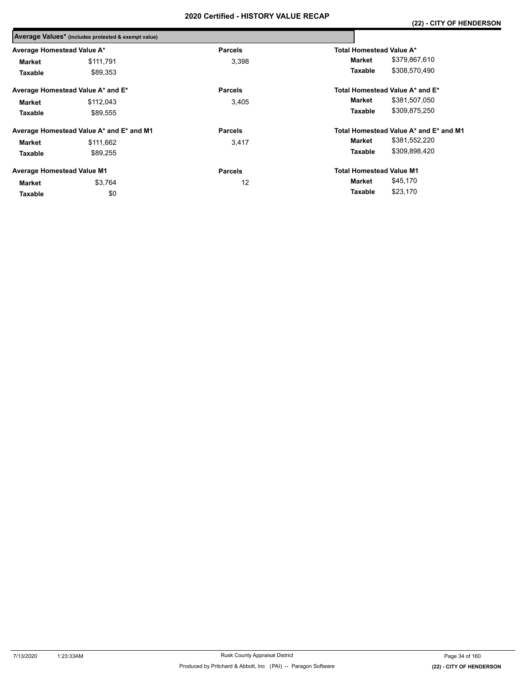|                                   | Average Values* (includes protested & exempt value) |                |                                        |  |
|-----------------------------------|-----------------------------------------------------|----------------|----------------------------------------|--|
| Average Homestead Value A*        |                                                     | <b>Parcels</b> | Total Homestead Value A*               |  |
| Market                            | \$111.791                                           | 3.398          | \$379,867,610<br>Market                |  |
| Taxable                           | \$89.353                                            |                | \$308,570,490<br>Taxable               |  |
|                                   | Average Homestead Value A* and E*                   | <b>Parcels</b> | Total Homestead Value A* and E*        |  |
| Market                            | \$112.043                                           | 3,405          | \$381,507,050<br>Market                |  |
| Taxable                           | \$89.555                                            |                | \$309,875,250<br>Taxable               |  |
|                                   | Average Homestead Value A* and E* and M1            | <b>Parcels</b> | Total Homestead Value A* and E* and M1 |  |
| Market                            | \$111,662                                           | 3.417          | \$381,552,220<br>Market                |  |
| Taxable                           | \$89.255                                            |                | \$309,898,420<br>Taxable               |  |
| <b>Average Homestead Value M1</b> |                                                     | <b>Parcels</b> | <b>Total Homestead Value M1</b>        |  |
| Market                            | \$3,764                                             | 12             | \$45,170<br>Market                     |  |
| Taxable                           | \$0                                                 |                | \$23,170<br>Taxable                    |  |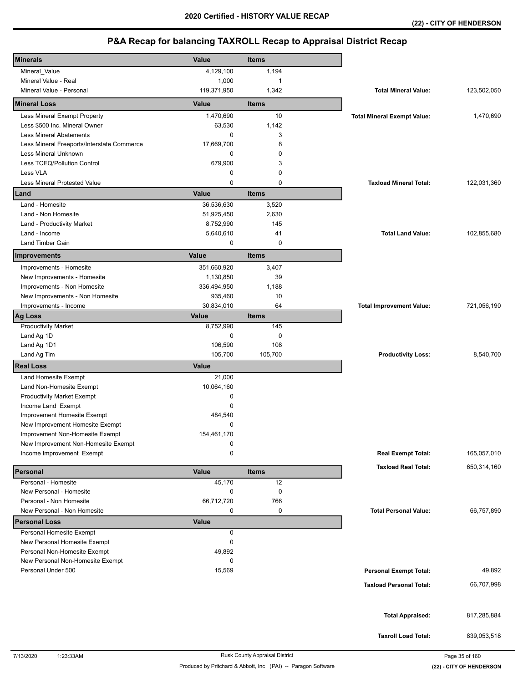| <b>Minerals</b>                            | Value        | <b>Items</b> |                                    |             |
|--------------------------------------------|--------------|--------------|------------------------------------|-------------|
| Mineral_Value                              | 4,129,100    | 1,194        |                                    |             |
| Mineral Value - Real                       | 1,000        | 1            |                                    |             |
| Mineral Value - Personal                   | 119,371,950  | 1,342        | <b>Total Mineral Value:</b>        | 123,502,050 |
| <b>Mineral Loss</b>                        | Value        | <b>Items</b> |                                    |             |
| Less Mineral Exempt Property               | 1,470,690    | 10           | <b>Total Mineral Exempt Value:</b> | 1,470,690   |
| Less \$500 Inc. Mineral Owner              | 63,530       | 1,142        |                                    |             |
| Less Mineral Abatements                    | 0            | 3            |                                    |             |
| Less Mineral Freeports/Interstate Commerce | 17,669,700   | 8            |                                    |             |
| Less Mineral Unknown                       | 0            | 0            |                                    |             |
| Less TCEQ/Pollution Control                | 679,900      | 3            |                                    |             |
| Less VLA                                   | 0            | 0            |                                    |             |
| Less Mineral Protested Value               | 0            | 0            | <b>Taxload Mineral Total:</b>      | 122,031,360 |
| Land                                       | Value        | <b>Items</b> |                                    |             |
| Land - Homesite                            | 36,536,630   | 3,520        |                                    |             |
| Land - Non Homesite                        | 51,925,450   | 2,630        |                                    |             |
| Land - Productivity Market                 | 8,752,990    | 145          |                                    |             |
| Land - Income                              | 5,640,610    | 41           | <b>Total Land Value:</b>           | 102,855,680 |
| <b>Land Timber Gain</b>                    | 0            | $\mathbf 0$  |                                    |             |
| Improvements                               | Value        | <b>Items</b> |                                    |             |
| Improvements - Homesite                    | 351,660,920  | 3,407        |                                    |             |
| New Improvements - Homesite                | 1,130,850    | 39           |                                    |             |
| Improvements - Non Homesite                | 336,494,950  | 1,188        |                                    |             |
| New Improvements - Non Homesite            | 935,460      | 10           |                                    |             |
| Improvements - Income                      | 30,834,010   | 64           | <b>Total Improvement Value:</b>    | 721,056,190 |
| <b>Ag Loss</b>                             | Value        | <b>Items</b> |                                    |             |
| <b>Productivity Market</b>                 | 8,752,990    | 145          |                                    |             |
| Land Ag 1D                                 | 0            | 0            |                                    |             |
| Land Ag 1D1                                | 106,590      | 108          |                                    |             |
| Land Ag Tim                                | 105,700      | 105,700      | <b>Productivity Loss:</b>          | 8,540,700   |
| <b>Real Loss</b>                           | Value        |              |                                    |             |
| Land Homesite Exempt                       | 21,000       |              |                                    |             |
| Land Non-Homesite Exempt                   | 10,064,160   |              |                                    |             |
| <b>Productivity Market Exempt</b>          | 0            |              |                                    |             |
| Income Land Exempt                         | 0            |              |                                    |             |
| Improvement Homesite Exempt                | 484,540      |              |                                    |             |
| New Improvement Homesite Exempt            | 0            |              |                                    |             |
| Improvement Non-Homesite Exempt            | 154,461,170  |              |                                    |             |
| New Improvement Non-Homesite Exempt        | 0            |              |                                    |             |
| Income Improvement Exempt                  | 0            |              | <b>Real Exempt Total:</b>          | 165,057,010 |
| Personal                                   | Value        | <b>Items</b> | <b>Taxload Real Total:</b>         | 650,314,160 |
| Personal - Homesite                        | 45,170       | 12           |                                    |             |
| New Personal - Homesite                    | 0            | $\pmb{0}$    |                                    |             |
| Personal - Non Homesite                    | 66,712,720   | 766          |                                    |             |
| New Personal - Non Homesite                | 0            | 0            | <b>Total Personal Value:</b>       | 66,757,890  |
| <b>Personal Loss</b>                       | <b>Value</b> |              |                                    |             |
| Personal Homesite Exempt                   | 0            |              |                                    |             |
| New Personal Homesite Exempt               | 0            |              |                                    |             |
| Personal Non-Homesite Exempt               | 49,892       |              |                                    |             |
| New Personal Non-Homesite Exempt           | 0            |              |                                    |             |
| Personal Under 500                         | 15,569       |              | <b>Personal Exempt Total:</b>      | 49,892      |
|                                            |              |              | <b>Taxload Personal Total:</b>     | 66,707,998  |
|                                            |              |              |                                    |             |
|                                            |              |              |                                    |             |
|                                            |              |              | <b>Total Appraised:</b>            | 817,285,884 |
|                                            |              |              | <b>Taxroll Load Total:</b>         | 839,053,518 |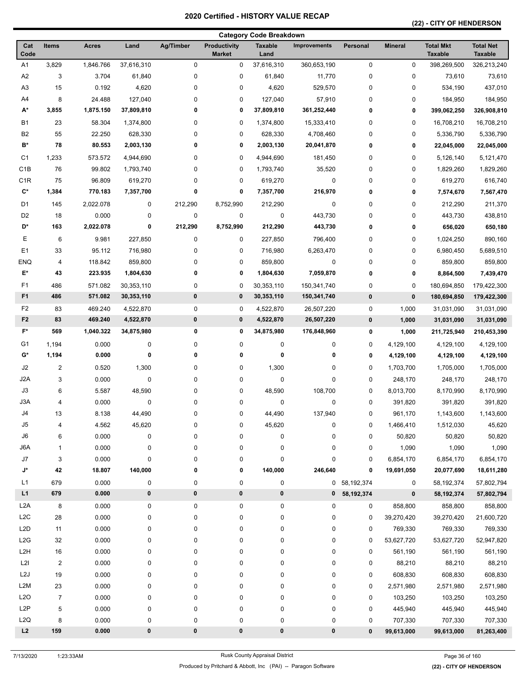## **(22) - CITY OF HENDERSON**

|                      |                         |              |            |           |                                      | <b>Category Code Breakdown</b> |                     |             |                |                                    |                                    |
|----------------------|-------------------------|--------------|------------|-----------|--------------------------------------|--------------------------------|---------------------|-------------|----------------|------------------------------------|------------------------------------|
| Cat<br>Code          | <b>Items</b>            | <b>Acres</b> | Land       | Ag/Timber | <b>Productivity</b><br><b>Market</b> | <b>Taxable</b><br>Land         | <b>Improvements</b> | Personal    | <b>Mineral</b> | <b>Total Mkt</b><br><b>Taxable</b> | <b>Total Net</b><br><b>Taxable</b> |
| A1                   | 3,829                   | 1,846.766    | 37,616,310 | $\pmb{0}$ | 0                                    | 37,616,310                     | 360,653,190         | 0           | $\pmb{0}$      | 398,269,500                        | 326,213,240                        |
| A <sub>2</sub>       | 3                       | 3.704        | 61,840     | 0         | 0                                    | 61,840                         | 11,770              | 0           | 0              | 73,610                             | 73,610                             |
| A3                   | 15                      | 0.192        | 4,620      | 0         | 0                                    | 4,620                          | 529,570             | 0           | 0              | 534,190                            | 437,010                            |
| A4                   | 8                       | 24.488       | 127,040    | 0         | 0                                    | 127,040                        | 57,910              | 0           | 0              | 184,950                            | 184,950                            |
| A*                   | 3,855                   | 1,875.150    | 37,809,810 | 0         | 0                                    | 37,809,810                     | 361,252,440         | 0           | 0              | 399,062,250                        | 326,908,810                        |
| B1                   | 23                      | 58.304       | 1,374,800  | 0         | 0                                    | 1,374,800                      | 15,333,410          | 0           | 0              | 16,708,210                         | 16,708,210                         |
| B <sub>2</sub>       | 55                      | 22.250       | 628,330    | 0         | 0                                    | 628,330                        | 4,708,460           | 0           | 0              | 5,336,790                          | 5,336,790                          |
| B*                   | 78                      | 80.553       | 2,003,130  | 0         | 0                                    | 2,003,130                      | 20,041,870          | 0           | 0              | 22,045,000                         | 22,045,000                         |
| C1                   | 1,233                   | 573.572      | 4,944,690  | 0         | 0                                    | 4,944,690                      | 181,450             | 0           | 0              | 5,126,140                          | 5,121,470                          |
| C <sub>1</sub> B     | 76                      | 99.802       | 1,793,740  | 0         | 0                                    | 1,793,740                      | 35,520              | 0           | 0              | 1,829,260                          | 1,829,260                          |
| C <sub>1</sub> R     | 75                      | 96.809       | 619,270    | 0         | 0                                    | 619,270                        | 0                   | 0           | 0              | 619,270                            | 616,740                            |
| $\mathbf{C}^{\star}$ | 1,384                   | 770.183      | 7,357,700  | 0         | 0                                    | 7,357,700                      | 216,970             | 0           | 0              | 7,574,670                          | 7,567,470                          |
| D1                   | 145                     | 2,022.078    | 0          | 212,290   | 8,752,990                            | 212,290                        | 0                   | 0           | 0              | 212,290                            | 211,370                            |
| D <sub>2</sub>       | 18                      | 0.000        | 0          | 0         | 0                                    | 0                              | 443,730             | 0           | 0              | 443,730                            | 438,810                            |
| D*                   | 163                     | 2,022.078    | 0          | 212,290   | 8,752,990                            | 212,290                        | 443,730             | 0           | 0              | 656,020                            | 650,180                            |
| Е                    | 6                       | 9.981        | 227,850    | 0         | 0                                    | 227,850                        | 796,400             | 0           | 0              | 1,024,250                          | 890,160                            |
| E <sub>1</sub>       | 33                      | 95.112       | 716,980    | 0         | 0                                    | 716,980                        | 6,263,470           | 0           | 0              | 6,980,450                          | 5,689,510                          |
| <b>ENQ</b>           | 4                       | 118.842      | 859,800    | 0         | 0                                    | 859,800                        | 0                   | 0           | 0              | 859,800                            | 859,800                            |
| E*                   | 43                      | 223.935      | 1,804,630  | 0         | 0                                    | 1,804,630                      | 7,059,870           | 0           | 0              | 8,864,500                          | 7,439,470                          |
| F1                   | 486                     | 571.082      | 30,353,110 | 0         | 0                                    | 30,353,110                     | 150,341,740         | 0           | 0              | 180,694,850                        | 179,422,300                        |
| F <sub>1</sub>       | 486                     | 571.082      | 30,353,110 | 0         | $\pmb{0}$                            | 30,353,110                     | 150,341,740         | $\pmb{0}$   | $\pmb{0}$      | 180,694,850                        | 179,422,300                        |
| F <sub>2</sub>       | 83                      | 469.240      | 4,522,870  | 0         | 0                                    | 4,522,870                      | 26,507,220          | $\pmb{0}$   | 1,000          | 31,031,090                         | 31,031,090                         |
| F <sub>2</sub>       | 83                      | 469.240      | 4,522,870  | $\pmb{0}$ | 0                                    | 4,522,870                      | 26,507,220          | $\pmb{0}$   | 1,000          | 31,031,090                         | 31,031,090                         |
| F*                   | 569                     | 1,040.322    | 34,875,980 | 0         | 0                                    | 34,875,980                     | 176,848,960         | 0           | 1,000          | 211,725,940                        | 210,453,390                        |
| G1                   | 1,194                   | 0.000        | 0          | 0         | 0                                    | 0                              | 0                   | 0           | 4,129,100      | 4,129,100                          | 4,129,100                          |
| G*                   | 1,194                   | 0.000        | 0          | 0         | 0                                    | 0                              | 0                   | 0           | 4,129,100      | 4,129,100                          | 4,129,100                          |
| $\sf J2$             | $\overline{\mathbf{c}}$ | 0.520        | 1,300      | 0         | 0                                    | 1,300                          | 0                   | $\mathbf 0$ | 1,703,700      | 1,705,000                          | 1,705,000                          |
| J <sub>2</sub> A     | 3                       | 0.000        | $\pmb{0}$  | 0         | 0                                    | 0                              | 0                   | 0           | 248,170        | 248,170                            | 248,170                            |
| J3                   | 6                       | 5.587        | 48,590     | 0         | 0                                    | 48,590                         | 108,700             | 0           | 8,013,700      | 8,170,990                          | 8,170,990                          |
| J3A                  | 4                       | 0.000        | 0          | 0         | 0                                    | 0                              | 0                   | 0           | 391,820        | 391,820                            | 391,820                            |
| J4                   | 13                      | 8.138        | 44,490     | 0         | 0                                    | 44,490                         | 137,940             | 0           | 961,170        | 1,143,600                          | 1,143,600                          |
| J5                   | 4                       | 4.562        | 45,620     | 0         | 0                                    | 45,620                         | 0                   | $\pmb{0}$   | 1,466,410      | 1,512,030                          | 45,620                             |
| ${\sf J6}$           | 6                       | 0.000        | 0          | 0         | 0                                    | 0                              | 0                   | 0           | 50,820         | 50,820                             | 50,820                             |
| J6A                  | 1                       | 0.000        | 0          | 0         | 0                                    | 0                              | 0                   | 0           | 1,090          | 1,090                              | 1,090                              |
| J7                   | 3                       | 0.000        | 0          | 0         | 0                                    | 0                              | 0                   | 0           | 6,854,170      | 6,854,170                          | 6,854,170                          |
| J*                   | 42                      | 18.807       | 140,000    | 0         | 0                                    | 140,000                        | 246,640             | 0           | 19,691,050     | 20,077,690                         | 18,611,280                         |
| L1                   | 679                     | 0.000        | 0          | 0         | 0                                    | 0                              | 0                   | 58,192,374  | 0              | 58,192,374                         | 57,802,794                         |
| L1                   | 679                     | 0.000        | 0          | $\pmb{0}$ | 0                                    | 0                              | 0                   | 58,192,374  | 0              | 58,192,374                         | 57,802,794                         |
| L <sub>2</sub> A     | 8                       | 0.000        | 0          | 0         | 0                                    | 0                              | 0                   | 0           | 858,800        | 858,800                            | 858,800                            |
| L <sub>2</sub> C     | 28                      | 0.000        | 0          | 0         | 0                                    | 0                              | 0                   | 0           | 39,270,420     | 39,270,420                         | 21,600,720                         |
| L <sub>2</sub> D     | 11                      | 0.000        | 0          | 0         | 0                                    | 0                              | 0                   | 0           | 769,330        | 769,330                            | 769,330                            |
| L2G                  | 32                      | 0.000        | 0          | 0         | 0                                    | 0                              | 0                   | 0           | 53,627,720     | 53,627,720                         | 52,947,820                         |
| L <sub>2</sub> H     | 16                      | 0.000        | 0          | 0         | 0                                    | 0                              | 0                   | 0           | 561,190        | 561,190                            | 561,190                            |
| L2I                  | $\overline{\mathbf{c}}$ | 0.000        | 0          | 0         | 0                                    | 0                              | 0                   | 0           | 88,210         | 88,210                             | 88,210                             |
| L <sub>2</sub> J     | 19                      | 0.000        | 0          | 0         | 0                                    | 0                              | 0                   | 0           | 608,830        | 608,830                            | 608,830                            |
| L2M                  | 23                      | 0.000        | 0          | 0         | 0                                    | 0                              | 0                   | 0           | 2,571,980      | 2,571,980                          | 2,571,980                          |
| L2O                  | $\overline{7}$          | 0.000        | 0          | 0         | 0                                    | 0                              | 0                   | 0           | 103,250        | 103,250                            | 103,250                            |
| L <sub>2</sub> P     | 5                       | 0.000        | 0          | 0         | 0                                    | 0                              | 0                   | 0           | 445,940        | 445,940                            | 445,940                            |
| L2Q                  | 8                       | 0.000        | 0          | 0         | 0                                    | 0                              | 0                   | $\pmb{0}$   | 707,330        | 707,330                            | 707,330                            |
| L2                   | 159                     | 0.000        | $\pmb{0}$  | 0         | 0                                    | 0                              | 0                   | $\pmb{0}$   | 99,613,000     | 99,613,000                         | 81,263,400                         |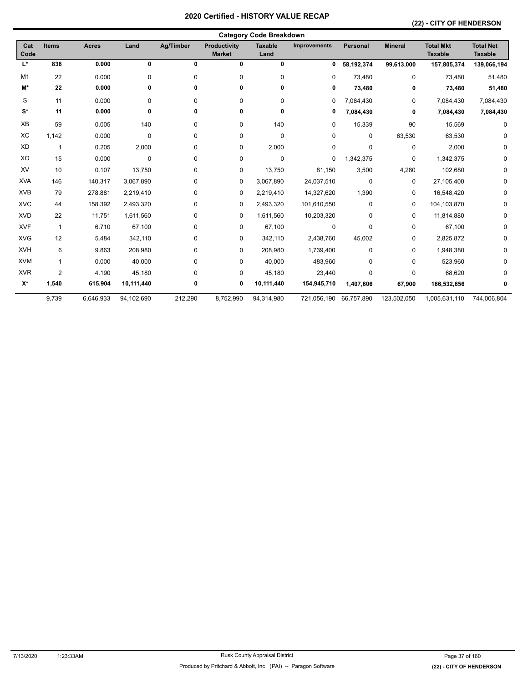## **(22) - CITY OF HENDERSON**

| <b>Category Code Breakdown</b> |                |              |             |                  |                                      |                        |              |             |                |                                    |                                    |
|--------------------------------|----------------|--------------|-------------|------------------|--------------------------------------|------------------------|--------------|-------------|----------------|------------------------------------|------------------------------------|
| Cat<br>Code                    | <b>Items</b>   | <b>Acres</b> | Land        | <b>Ag/Timber</b> | <b>Productivity</b><br><b>Market</b> | <b>Taxable</b><br>Land | Improvements | Personal    | <b>Mineral</b> | <b>Total Mkt</b><br><b>Taxable</b> | <b>Total Net</b><br><b>Taxable</b> |
| L*                             | 838            | 0.000        | 0           | 0                | 0                                    | $\mathbf 0$            | 0            | 58,192,374  | 99,613,000     | 157,805,374                        | 139,066,194                        |
| M1                             | 22             | 0.000        | 0           | 0                | 0                                    | 0                      | 0            | 73,480      | 0              | 73,480                             | 51,480                             |
| M*                             | 22             | 0.000        | 0           | 0                | 0                                    | 0                      | 0            | 73,480      | 0              | 73,480                             | 51,480                             |
| S                              | 11             | 0.000        | 0           | 0                | 0                                    | 0                      | 0            | 7,084,430   | 0              | 7,084,430                          | 7,084,430                          |
| $S^*$                          | 11             | 0.000        | 0           | 0                | 0                                    | 0                      | 0            | 7,084,430   | 0              | 7,084,430                          | 7,084,430                          |
| XB                             | 59             | 0.005        | 140         | $\Omega$         | 0                                    | 140                    | 0            | 15,339      | 90             | 15,569                             | $\Omega$                           |
| XC                             | 1,142          | 0.000        | 0           | 0                | 0                                    | 0                      | 0            | $\Omega$    | 63,530         | 63,530                             | 0                                  |
| XD                             | $\mathbf{1}$   | 0.205        | 2,000       | 0                | 0                                    | 2,000                  | 0            | $\Omega$    | 0              | 2,000                              | 0                                  |
| XO                             | 15             | 0.000        | $\mathbf 0$ | 0                | 0                                    | 0                      | 0            | 1,342,375   | 0              | 1,342,375                          | $\Omega$                           |
| XV                             | 10             | 0.107        | 13,750      | 0                | 0                                    | 13,750                 | 81,150       | 3,500       | 4,280          | 102,680                            | 0                                  |
| <b>XVA</b>                     | 146            | 140.317      | 3,067,890   | 0                | 0                                    | 3,067,890              | 24,037,510   | $\mathbf 0$ | 0              | 27,105,400                         | $\Omega$                           |
| <b>XVB</b>                     | 79             | 278.881      | 2,219,410   | 0                | 0                                    | 2,219,410              | 14,327,620   | 1,390       | 0              | 16,548,420                         | 0                                  |
| <b>XVC</b>                     | 44             | 158.392      | 2,493,320   | 0                | 0                                    | 2,493,320              | 101,610,550  | $\Omega$    | 0              | 104,103,870                        | $\Omega$                           |
| <b>XVD</b>                     | 22             | 11.751       | 1,611,560   | 0                | 0                                    | 1,611,560              | 10,203,320   | 0           | 0              | 11,814,880                         | 0                                  |
| <b>XVF</b>                     | $\mathbf{1}$   | 6.710        | 67,100      | 0                | 0                                    | 67,100                 | 0            | 0           | 0              | 67,100                             | 0                                  |
| <b>XVG</b>                     | 12             | 5.484        | 342,110     | 0                | 0                                    | 342,110                | 2,438,760    | 45,002      | 0              | 2,825,872                          | 0                                  |
| <b>XVH</b>                     | 6              | 9.863        | 208,980     | 0                | 0                                    | 208,980                | 1,739,400    | $\mathbf 0$ | 0              | 1,948,380                          | O                                  |
| <b>XVM</b>                     | 1              | 0.000        | 40,000      | 0                | 0                                    | 40,000                 | 483,960      | $\Omega$    | 0              | 523,960                            | $\Omega$                           |
| <b>XVR</b>                     | $\overline{2}$ | 4.190        | 45,180      | 0                | 0                                    | 45,180                 | 23,440       | $\Omega$    | 0              | 68,620                             |                                    |
| $X^*$                          | 1,540          | 615.904      | 10,111,440  | 0                | 0                                    | 10,111,440             | 154,945,710  | 1,407,606   | 67,900         | 166,532,656                        | 0                                  |
|                                | 9,739          | 6,646.933    | 94,102,690  | 212,290          | 8,752,990                            | 94,314,980             | 721,056,190  | 66,757,890  | 123,502,050    | 1,005,631,110                      | 744,006,804                        |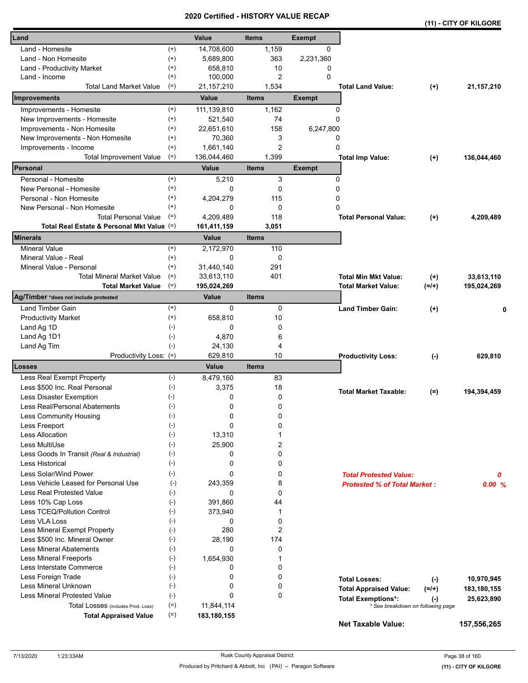|                                            |                    | a unea       | ו טווי<br>vn i |               |                                                                |          | (11) - CITY OF KILGORE |
|--------------------------------------------|--------------------|--------------|----------------|---------------|----------------------------------------------------------------|----------|------------------------|
| Land                                       |                    | Value        | <b>Items</b>   | <b>Exempt</b> |                                                                |          |                        |
| Land - Homesite                            | $^{(+)}$           | 14,708,600   | 1,159          | $\Omega$      |                                                                |          |                        |
| Land - Non Homesite                        | $^{(+)}$           | 5,689,800    | 363            | 2,231,360     |                                                                |          |                        |
| Land - Productivity Market                 | $^{(+)}$           | 658,810      | 10             | 0             |                                                                |          |                        |
| Land - Income                              | $^{(+)}$           | 100,000      | $\overline{c}$ | $\Omega$      |                                                                |          |                        |
| <b>Total Land Market Value</b>             | $(=)$              | 21, 157, 210 | 1,534          |               | <b>Total Land Value:</b>                                       | $^{(+)}$ | 21,157,210             |
| Improvements                               |                    | Value        | <b>Items</b>   | <b>Exempt</b> |                                                                |          |                        |
| Improvements - Homesite                    | $^{(+)}$           | 111,139,810  | 1,162          | 0             |                                                                |          |                        |
| New Improvements - Homesite                | $^{(+)}$           | 521,540      | 74             | 0             |                                                                |          |                        |
| Improvements - Non Homesite                | $^{(+)}$           | 22,651,610   | 158            | 6,247,800     |                                                                |          |                        |
| New Improvements - Non Homesite            | $^{(+)}$           | 70,360       | 3              | 0             |                                                                |          |                        |
| Improvements - Income                      | $^{(+)}$           | 1,661,140    | 2              | 0             |                                                                |          |                        |
| <b>Total Improvement Value</b>             | $(=)$              | 136,044,460  | 1,399          |               | <b>Total Imp Value:</b>                                        | $^{(+)}$ | 136,044,460            |
| Personal                                   |                    | Value        | <b>Items</b>   | <b>Exempt</b> |                                                                |          |                        |
| Personal - Homesite                        | $^{(+)}$           | 5,210        | 3              | 0             |                                                                |          |                        |
| New Personal - Homesite                    | $^{(+)}$           | 0            | 0              | 0             |                                                                |          |                        |
| Personal - Non Homesite                    | $^{(+)}$           | 4,204,279    | 115            | 0             |                                                                |          |                        |
| New Personal - Non Homesite                | $^{(+)}$           | 0            | 0              | 0             |                                                                |          |                        |
| <b>Total Personal Value</b>                | $(=)$              | 4,209,489    | 118            |               | <b>Total Personal Value:</b>                                   | $(+)$    | 4,209,489              |
| Total Real Estate & Personal Mkt Value (=) |                    | 161,411,159  | 3,051          |               |                                                                |          |                        |
| <b>Minerals</b>                            |                    | Value        | <b>Items</b>   |               |                                                                |          |                        |
| <b>Mineral Value</b>                       | $^{(+)}$           | 2,172,970    | 110            |               |                                                                |          |                        |
| Mineral Value - Real                       | $^{(+)}$           | 0            | 0              |               |                                                                |          |                        |
| Mineral Value - Personal                   | $^{(+)}$           | 31,440,140   | 291            |               |                                                                |          |                        |
| <b>Total Mineral Market Value</b>          | $(=)$              | 33,613,110   | 401            |               | <b>Total Min Mkt Value:</b>                                    | $(+)$    | 33,613,110             |
| <b>Total Market Value</b>                  | $(=)$              | 195,024,269  |                |               | <b>Total Market Value:</b>                                     | $(=/+)$  | 195,024,269            |
| Ag/Timber *does not include protested      |                    | Value        | <b>Items</b>   |               |                                                                |          |                        |
| Land Timber Gain                           | $^{(+)}$           | 0            | 0              |               | <b>Land Timber Gain:</b>                                       | $(+)$    | 0                      |
| <b>Productivity Market</b>                 | $^{(+)}$           | 658,810      | 10             |               |                                                                |          |                        |
| Land Ag 1D                                 | $(-)$              | 0            | 0              |               |                                                                |          |                        |
| Land Ag 1D1                                | $(-)$              | 4,870        | 6              |               |                                                                |          |                        |
| Land Ag Tim                                | $(-)$              | 24,130       | 4              |               |                                                                |          |                        |
| Productivity Loss: (=)                     |                    | 629,810      | 10             |               | <b>Productivity Loss:</b>                                      | $(-)$    | 629,810                |
| Losses                                     |                    | Value        | <b>Items</b>   |               |                                                                |          |                        |
| Less Real Exempt Property                  | $(-)$              | 8,479,160    | 83             |               |                                                                |          |                        |
| Less \$500 Inc. Real Personal              | $(-)$              | 3,375        | 18             |               |                                                                |          |                        |
| Less Disaster Exemption<br>$(-)$           |                    | 0            | 0              |               | <b>Total Market Taxable:</b>                                   | $(=)$    | 194,394,459            |
| Less Real/Personal Abatements              | $(\textnormal{-})$ | 0            | 0              |               |                                                                |          |                        |
| Less Community Housing                     | $(\text{-})$       | 0            | 0              |               |                                                                |          |                        |
| Less Freeport                              | $(-)$              | 0            | 0              |               |                                                                |          |                        |
| <b>Less Allocation</b>                     | $(-)$              | 13,310       | 1              |               |                                                                |          |                        |
| Less MultiUse                              | $(-)$              | 25,900       | 2              |               |                                                                |          |                        |
| Less Goods In Transit (Real & Industrial)  | $(-)$              | 0            | 0              |               |                                                                |          |                        |
| <b>Less Historical</b>                     | $(-)$              | 0            | 0              |               |                                                                |          |                        |
| Less Solar/Wind Power                      | $(-)$              | 0            | 0              |               | <b>Total Protested Value:</b>                                  |          | 0                      |
| Less Vehicle Leased for Personal Use       | $(-)$              | 243,359      | 8              |               | <b>Protested % of Total Market:</b>                            |          | 0.00%                  |
| Less Real Protested Value                  | $(-)$              | 0            | 0              |               |                                                                |          |                        |
| Less 10% Cap Loss                          | $(-)$              | 391,860      | 44             |               |                                                                |          |                        |
| Less TCEQ/Pollution Control                | $(-)$              | 373,940      | 1              |               |                                                                |          |                        |
| Less VLA Loss                              | $(-)$              | 0            | 0              |               |                                                                |          |                        |
| Less Mineral Exempt Property               | $(-)$              | 280          | 2              |               |                                                                |          |                        |
| Less \$500 Inc. Mineral Owner              | $(-)$              | 28,190       | 174            |               |                                                                |          |                        |
| <b>Less Mineral Abatements</b>             | $(-)$              | 0            | 0              |               |                                                                |          |                        |
| <b>Less Mineral Freeports</b>              | $(-)$              | 1,654,930    | 1              |               |                                                                |          |                        |
| Less Interstate Commerce                   | $(\cdot)$          | 0            | 0              |               |                                                                |          |                        |
| Less Foreign Trade                         | $(-)$              | 0            | 0              |               |                                                                |          |                        |
| Less Mineral Unknown                       | $(-)$              | 0            | 0              |               | <b>Total Losses:</b>                                           | $(-)$    | 10,970,945             |
| <b>Less Mineral Protested Value</b>        | $(-)$              | 0            | 0              |               | <b>Total Appraised Value:</b>                                  | $(=/+)$  | 183,180,155            |
| Total Losses (includes Prod. Loss)         | $(=)$              | 11,844,114   |                |               | <b>Total Exemptions*:</b><br>* See breakdown on following page | $(-)$    | 25,623,890             |
| <b>Total Appraised Value</b>               | $(=)$              | 183,180,155  |                |               |                                                                |          |                        |
|                                            |                    |              |                |               | <b>Net Taxable Value:</b>                                      |          | 157,556,265            |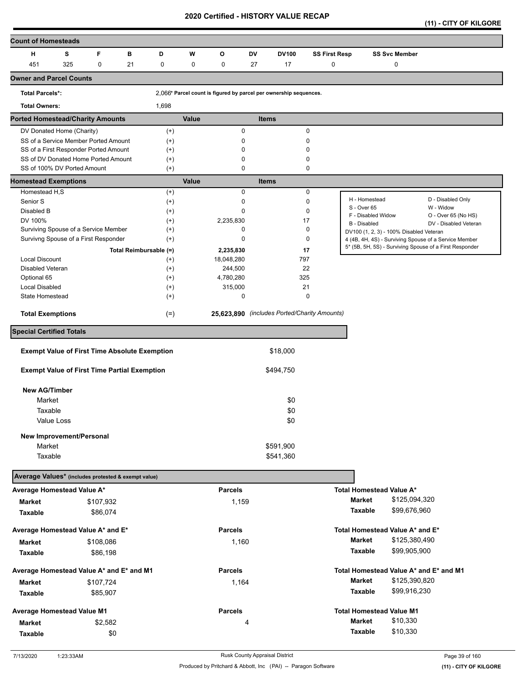**(11) - CITY OF KILGORE** 

| <b>Count of Homesteads</b>                           |     |           |                        |          |       |                                                                   |              |              |                                              |                                         |                      |                                                                                                                  |
|------------------------------------------------------|-----|-----------|------------------------|----------|-------|-------------------------------------------------------------------|--------------|--------------|----------------------------------------------|-----------------------------------------|----------------------|------------------------------------------------------------------------------------------------------------------|
| н                                                    | s   | F         | в                      | D        | W     | O                                                                 | DV           | <b>DV100</b> | <b>SS First Resp</b>                         |                                         | <b>SS Svc Member</b> |                                                                                                                  |
| 451                                                  | 325 | 0         | 21                     | 0        | 0     | 0                                                                 | 27           | 17           | 0                                            |                                         | 0                    |                                                                                                                  |
| <b>Owner and Parcel Counts</b>                       |     |           |                        |          |       |                                                                   |              |              |                                              |                                         |                      |                                                                                                                  |
| <b>Total Parcels*:</b>                               |     |           |                        |          |       | 2,066* Parcel count is figured by parcel per ownership sequences. |              |              |                                              |                                         |                      |                                                                                                                  |
| <b>Total Owners:</b>                                 |     |           |                        | 1,698    |       |                                                                   |              |              |                                              |                                         |                      |                                                                                                                  |
| <b>Ported Homestead/Charity Amounts</b>              |     |           |                        |          | Value |                                                                   | <b>Items</b> |              |                                              |                                         |                      |                                                                                                                  |
| DV Donated Home (Charity)                            |     |           |                        | $^{(+)}$ |       | 0                                                                 |              |              | $\mathbf 0$                                  |                                         |                      |                                                                                                                  |
| SS of a Service Member Ported Amount                 |     |           |                        | $^{(+)}$ |       | 0                                                                 |              |              | 0                                            |                                         |                      |                                                                                                                  |
| SS of a First Responder Ported Amount                |     |           |                        | $^{(+)}$ |       | 0                                                                 |              |              | 0                                            |                                         |                      |                                                                                                                  |
| SS of DV Donated Home Ported Amount                  |     |           |                        | $^{(+)}$ |       | 0                                                                 |              |              | 0                                            |                                         |                      |                                                                                                                  |
| SS of 100% DV Ported Amount                          |     |           |                        | $^{(+)}$ |       | 0                                                                 |              |              | $\mathbf 0$                                  |                                         |                      |                                                                                                                  |
| <b>Homestead Exemptions</b>                          |     |           |                        |          | Value |                                                                   | <b>Items</b> |              |                                              |                                         |                      |                                                                                                                  |
| Homestead H,S                                        |     |           |                        | $^{(+)}$ |       | 0                                                                 |              |              | 0                                            |                                         |                      |                                                                                                                  |
| Senior S                                             |     |           |                        | $^{(+)}$ |       | 0                                                                 |              |              | $\pmb{0}$                                    | H - Homestead                           |                      | D - Disabled Only                                                                                                |
| Disabled B                                           |     |           |                        | $^{(+)}$ |       | $\mathbf 0$                                                       |              |              | $\mathbf 0$                                  | S - Over 65                             |                      | W - Widow                                                                                                        |
| DV 100%                                              |     |           |                        | $^{(+)}$ |       | 2,235,830                                                         |              | 17           |                                              | F - Disabled Widow                      |                      | O - Over 65 (No HS)                                                                                              |
| Surviving Spouse of a Service Member                 |     |           |                        | $^{(+)}$ |       | 0                                                                 |              |              | $\mathbf 0$                                  | B - Disabled                            |                      | DV - Disabled Veteran                                                                                            |
| Survivng Spouse of a First Responder                 |     |           |                        | $^{(+)}$ |       | $\mathbf 0$                                                       |              |              | 0                                            | DV100 (1, 2, 3) - 100% Disabled Veteran |                      |                                                                                                                  |
|                                                      |     |           |                        |          |       |                                                                   |              |              |                                              |                                         |                      | 4 (4B, 4H, 4S) - Surviving Spouse of a Service Member<br>5* (5B, 5H, 5S) - Surviving Spouse of a First Responder |
|                                                      |     |           | Total Reimbursable (=) |          |       | 2,235,830                                                         |              | 17           |                                              |                                         |                      |                                                                                                                  |
| Local Discount                                       |     |           |                        | $^{(+)}$ |       | 18,048,280                                                        |              | 797          |                                              |                                         |                      |                                                                                                                  |
| Disabled Veteran                                     |     |           |                        | $^{(+)}$ |       | 244,500                                                           |              | 22           |                                              |                                         |                      |                                                                                                                  |
| Optional 65                                          |     |           |                        | $^{(+)}$ |       | 4,780,280                                                         |              | 325          |                                              |                                         |                      |                                                                                                                  |
| Local Disabled                                       |     |           |                        | $^{(+)}$ |       | 315,000                                                           |              | 21           |                                              |                                         |                      |                                                                                                                  |
| State Homestead                                      |     |           |                        | $^{(+)}$ |       | 0                                                                 |              |              | $\mathbf 0$                                  |                                         |                      |                                                                                                                  |
| <b>Total Exemptions</b>                              |     |           |                        | $(=)$    |       |                                                                   |              |              | 25,623,890 (includes Ported/Charity Amounts) |                                         |                      |                                                                                                                  |
| <b>Special Certified Totals</b>                      |     |           |                        |          |       |                                                                   |              |              |                                              |                                         |                      |                                                                                                                  |
|                                                      |     |           |                        |          |       |                                                                   |              |              |                                              |                                         |                      |                                                                                                                  |
| <b>Exempt Value of First Time Absolute Exemption</b> |     |           |                        |          |       |                                                                   |              | \$18,000     |                                              |                                         |                      |                                                                                                                  |
| <b>Exempt Value of First Time Partial Exemption</b>  |     |           |                        |          |       |                                                                   |              | \$494,750    |                                              |                                         |                      |                                                                                                                  |
|                                                      |     |           |                        |          |       |                                                                   |              |              |                                              |                                         |                      |                                                                                                                  |
| <b>New AG/Timber</b>                                 |     |           |                        |          |       |                                                                   |              |              |                                              |                                         |                      |                                                                                                                  |
| Market                                               |     |           |                        |          |       |                                                                   |              | \$0          |                                              |                                         |                      |                                                                                                                  |
|                                                      |     |           |                        |          |       |                                                                   |              |              |                                              |                                         |                      |                                                                                                                  |
| Taxable                                              |     |           |                        |          |       |                                                                   |              | \$0          |                                              |                                         |                      |                                                                                                                  |
| Value Loss                                           |     |           |                        |          |       |                                                                   |              | \$0          |                                              |                                         |                      |                                                                                                                  |
| New Improvement/Personal                             |     |           |                        |          |       |                                                                   |              |              |                                              |                                         |                      |                                                                                                                  |
| Market                                               |     |           |                        |          |       |                                                                   |              | \$591,900    |                                              |                                         |                      |                                                                                                                  |
| Taxable                                              |     |           |                        |          |       |                                                                   |              | \$541,360    |                                              |                                         |                      |                                                                                                                  |
|                                                      |     |           |                        |          |       |                                                                   |              |              |                                              |                                         |                      |                                                                                                                  |
| Average Values* (includes protested & exempt value)  |     |           |                        |          |       |                                                                   |              |              |                                              |                                         |                      |                                                                                                                  |
| Average Homestead Value A*                           |     |           |                        |          |       | <b>Parcels</b>                                                    |              |              |                                              | Total Homestead Value A*                |                      |                                                                                                                  |
| <b>Market</b>                                        |     | \$107,932 |                        |          |       | 1,159                                                             |              |              |                                              | Market                                  | \$125,094,320        |                                                                                                                  |
| Taxable                                              |     | \$86,074  |                        |          |       |                                                                   |              |              |                                              | Taxable                                 | \$99,676,960         |                                                                                                                  |
| Average Homestead Value A* and E*                    |     |           |                        |          |       | <b>Parcels</b>                                                    |              |              |                                              | Total Homestead Value A* and E*         |                      |                                                                                                                  |
|                                                      |     |           |                        |          |       |                                                                   |              |              |                                              | <b>Market</b>                           | \$125,380,490        |                                                                                                                  |
| <b>Market</b>                                        |     | \$108,086 |                        |          |       | 1,160                                                             |              |              |                                              |                                         |                      |                                                                                                                  |
| Taxable                                              |     | \$86,198  |                        |          |       |                                                                   |              |              |                                              | Taxable                                 | \$99,905,900         |                                                                                                                  |
| Average Homestead Value A* and E* and M1             |     |           |                        |          |       | <b>Parcels</b>                                                    |              |              |                                              |                                         |                      | Total Homestead Value A* and E* and M1                                                                           |
|                                                      |     | \$107,724 |                        |          |       | 1,164                                                             |              |              |                                              | <b>Market</b>                           | \$125,390,820        |                                                                                                                  |
| Market                                               |     |           |                        |          |       |                                                                   |              |              |                                              | Taxable                                 | \$99,916,230         |                                                                                                                  |
| Taxable                                              |     | \$85,907  |                        |          |       |                                                                   |              |              |                                              |                                         |                      |                                                                                                                  |
| Average Homestead Value M1                           |     |           |                        |          |       | <b>Parcels</b>                                                    |              |              |                                              | <b>Total Homestead Value M1</b>         |                      |                                                                                                                  |
| Market                                               |     | \$2,582   |                        |          |       |                                                                   | 4            |              |                                              | <b>Market</b>                           | \$10,330             |                                                                                                                  |
|                                                      |     | \$0       |                        |          |       |                                                                   |              |              |                                              | Taxable                                 | \$10,330             |                                                                                                                  |
| Taxable                                              |     |           |                        |          |       |                                                                   |              |              |                                              |                                         |                      |                                                                                                                  |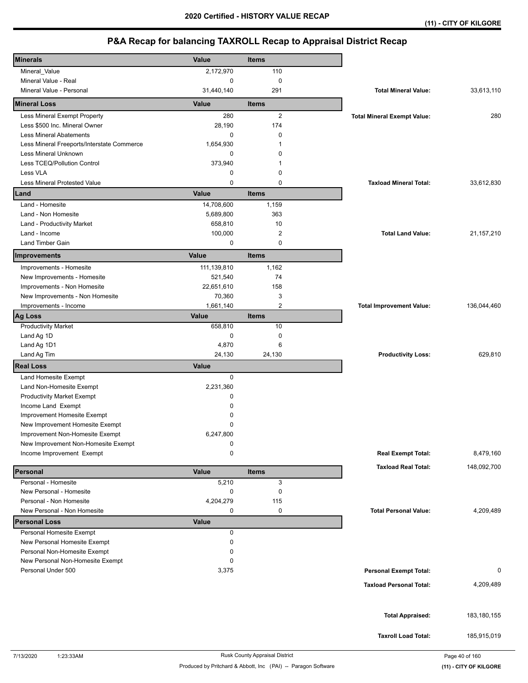| <b>Minerals</b>                                                | Value        | <b>Items</b>   |                                    |               |
|----------------------------------------------------------------|--------------|----------------|------------------------------------|---------------|
| Mineral_Value                                                  | 2,172,970    | 110            |                                    |               |
| Mineral Value - Real                                           | 0            | 0              |                                    |               |
| Mineral Value - Personal                                       | 31,440,140   | 291            | <b>Total Mineral Value:</b>        | 33,613,110    |
| <b>Mineral Loss</b>                                            | Value        | <b>Items</b>   |                                    |               |
| Less Mineral Exempt Property                                   | 280          | 2              | <b>Total Mineral Exempt Value:</b> | 280           |
| Less \$500 Inc. Mineral Owner                                  | 28,190       | 174            |                                    |               |
| <b>Less Mineral Abatements</b>                                 | 0            | $\mathbf 0$    |                                    |               |
| Less Mineral Freeports/Interstate Commerce                     | 1,654,930    | 1              |                                    |               |
| <b>Less Mineral Unknown</b>                                    | 0            | 0              |                                    |               |
| Less TCEQ/Pollution Control                                    | 373,940      | 1              |                                    |               |
| Less VLA                                                       | 0            | $\mathbf 0$    |                                    |               |
| Less Mineral Protested Value                                   | 0            | $\mathbf 0$    | <b>Taxload Mineral Total:</b>      | 33,612,830    |
| Land                                                           | <b>Value</b> | <b>Items</b>   |                                    |               |
| Land - Homesite                                                | 14,708,600   | 1,159          |                                    |               |
| Land - Non Homesite                                            | 5,689,800    | 363            |                                    |               |
| Land - Productivity Market                                     | 658,810      | 10             |                                    |               |
| Land - Income                                                  | 100,000      | $\overline{2}$ | <b>Total Land Value:</b>           | 21, 157, 210  |
| <b>Land Timber Gain</b>                                        | 0            | $\mathbf 0$    |                                    |               |
| Improvements                                                   | Value        | <b>Items</b>   |                                    |               |
| Improvements - Homesite                                        | 111,139,810  | 1,162          |                                    |               |
| New Improvements - Homesite                                    | 521,540      | 74             |                                    |               |
| Improvements - Non Homesite                                    | 22,651,610   | 158            |                                    |               |
| New Improvements - Non Homesite                                | 70,360       | 3              |                                    |               |
| Improvements - Income                                          | 1,661,140    | $\overline{2}$ | <b>Total Improvement Value:</b>    | 136,044,460   |
| <b>Ag Loss</b>                                                 | Value        | <b>Items</b>   |                                    |               |
| <b>Productivity Market</b>                                     | 658,810      | 10             |                                    |               |
| Land Ag 1D                                                     | 0            | $\mathbf 0$    |                                    |               |
| Land Ag 1D1                                                    | 4,870        | 6              |                                    |               |
| Land Ag Tim                                                    | 24,130       | 24,130         | <b>Productivity Loss:</b>          | 629,810       |
| <b>Real Loss</b>                                               | <b>Value</b> |                |                                    |               |
| Land Homesite Exempt                                           | 0            |                |                                    |               |
| Land Non-Homesite Exempt                                       | 2,231,360    |                |                                    |               |
| <b>Productivity Market Exempt</b>                              | 0            |                |                                    |               |
| Income Land Exempt                                             | 0            |                |                                    |               |
| Improvement Homesite Exempt<br>New Improvement Homesite Exempt | 0<br>0       |                |                                    |               |
| Improvement Non-Homesite Exempt                                | 6,247,800    |                |                                    |               |
| New Improvement Non-Homesite Exempt                            | 0            |                |                                    |               |
| Income Improvement Exempt                                      | 0            |                | <b>Real Exempt Total:</b>          | 8,479,160     |
|                                                                |              |                |                                    |               |
| Personal                                                       | Value        | <b>Items</b>   | <b>Taxload Real Total:</b>         | 148,092,700   |
| Personal - Homesite                                            | 5,210        | 3              |                                    |               |
| New Personal - Homesite                                        | 0            | $\mathbf 0$    |                                    |               |
| Personal - Non Homesite                                        |              | 115            |                                    |               |
| New Personal - Non Homesite                                    | 4,204,279    |                |                                    |               |
|                                                                | 0            | 0              | <b>Total Personal Value:</b>       | 4,209,489     |
| <b>Personal Loss</b>                                           | <b>Value</b> |                |                                    |               |
| Personal Homesite Exempt                                       | 0            |                |                                    |               |
| New Personal Homesite Exempt                                   | 0            |                |                                    |               |
| Personal Non-Homesite Exempt                                   | 0            |                |                                    |               |
| New Personal Non-Homesite Exempt                               | 0            |                |                                    |               |
| Personal Under 500                                             | 3,375        |                | <b>Personal Exempt Total:</b>      | 0             |
|                                                                |              |                | <b>Taxload Personal Total:</b>     | 4,209,489     |
|                                                                |              |                |                                    |               |
|                                                                |              |                |                                    |               |
|                                                                |              |                | <b>Total Appraised:</b>            | 183, 180, 155 |
|                                                                |              |                |                                    |               |
|                                                                |              |                | <b>Taxroll Load Total:</b>         | 185,915,019   |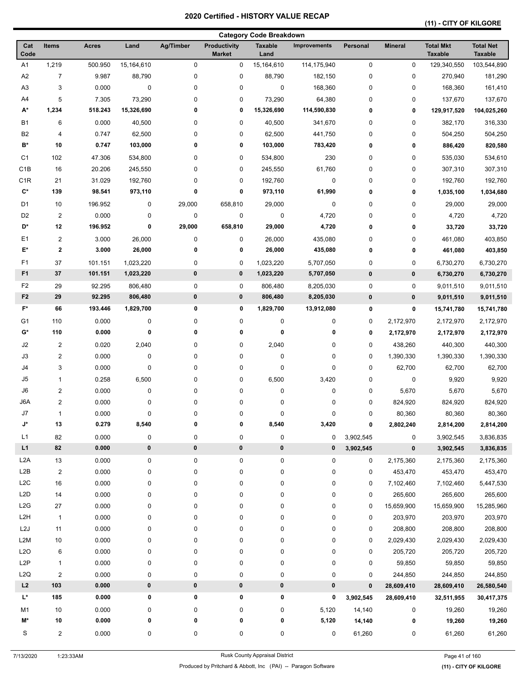## **(11) - CITY OF KILGORE**

|                    |                         |                |            |           |                                      | <b>Category Code Breakdown</b> |                     |           |                |                                    |                                    |
|--------------------|-------------------------|----------------|------------|-----------|--------------------------------------|--------------------------------|---------------------|-----------|----------------|------------------------------------|------------------------------------|
| Cat<br>Code        | <b>Items</b>            | <b>Acres</b>   | Land       | Ag/Timber | <b>Productivity</b><br><b>Market</b> | <b>Taxable</b><br>Land         | <b>Improvements</b> | Personal  | <b>Mineral</b> | <b>Total Mkt</b><br><b>Taxable</b> | <b>Total Net</b><br><b>Taxable</b> |
| A <sub>1</sub>     | 1,219                   | 500.950        | 15,164,610 | $\pmb{0}$ | 0                                    | 15,164,610                     | 114, 175, 940       | 0         | 0              | 129,340,550                        | 103,544,890                        |
| A2                 | $\overline{7}$          | 9.987          | 88,790     | 0         | 0                                    | 88,790                         | 182,150             | $\pmb{0}$ | 0              | 270,940                            | 181,290                            |
| A <sub>3</sub>     | 3                       | 0.000          | $\pmb{0}$  | 0         | 0                                    | $\pmb{0}$                      | 168,360             | $\pmb{0}$ | 0              | 168,360                            | 161,410                            |
| A4                 | 5                       | 7.305          | 73,290     | 0         | 0                                    | 73,290                         | 64,380              | $\pmb{0}$ | 0              | 137,670                            | 137,670                            |
| A*                 | 1,234                   | 518.243        | 15,326,690 | 0         | 0                                    | 15,326,690                     | 114,590,830         | 0         | 0              | 129,917,520                        | 104,025,260                        |
| <b>B1</b>          | 6                       | 0.000          | 40,500     | 0         | 0                                    | 40,500                         | 341,670             | 0         | 0              | 382,170                            | 316,330                            |
| B <sub>2</sub>     | 4                       | 0.747          | 62,500     | 0         | 0                                    | 62,500                         | 441,750             | 0         | 0              | 504,250                            | 504,250                            |
| B*                 | 10                      | 0.747          | 103,000    | 0         | 0                                    | 103,000                        | 783,420             | 0         | 0              | 886,420                            | 820,580                            |
| C <sub>1</sub>     | 102                     | 47.306         | 534,800    | 0         | 0                                    | 534,800                        | 230                 | $\pmb{0}$ | 0              | 535,030                            | 534,610                            |
| C <sub>1</sub> B   | 16                      | 20.206         | 245,550    | 0         | 0                                    | 245,550                        | 61,760              | 0         | 0              | 307,310                            | 307,310                            |
| C <sub>1</sub> R   | 21                      | 31.029         | 192,760    | 0         | 0                                    | 192,760                        | 0                   | $\pmb{0}$ | 0              | 192,760                            | 192,760                            |
| $\mathbf{C}^\star$ | 139                     | 98.541         | 973,110    | 0         | 0                                    | 973,110                        | 61,990              | 0         | 0              | 1,035,100                          | 1,034,680                          |
| D <sub>1</sub>     | 10                      | 196.952        | 0          | 29,000    | 658,810                              | 29,000                         | 0                   | 0         | 0              | 29,000                             | 29,000                             |
| D <sub>2</sub>     | $\overline{2}$          | 0.000          | $\pmb{0}$  | 0         | 0                                    | 0                              | 4,720               | 0         | 0              | 4,720                              | 4,720                              |
| D*                 | 12                      | 196.952        | 0          | 29,000    | 658,810                              | 29,000                         | 4,720               | 0         | $\bf{0}$       | 33,720                             | 33,720                             |
| E <sub>1</sub>     | $\overline{2}$          | 3.000          | 26,000     | 0         | 0                                    | 26,000                         | 435,080             | $\pmb{0}$ | 0              | 461,080                            | 403,850                            |
| E*                 | $\mathbf 2$             | 3.000          | 26,000     | 0         | 0                                    | 26,000                         | 435,080             | 0         | 0              | 461,080                            | 403,850                            |
| F <sub>1</sub>     | 37                      | 101.151        | 1,023,220  | 0         | 0                                    | 1,023,220                      | 5,707,050           | 0         | 0              | 6,730,270                          | 6,730,270                          |
| F <sub>1</sub>     | 37                      | 101.151        | 1,023,220  | 0         | $\pmb{0}$                            | 1,023,220                      | 5,707,050           | $\pmb{0}$ | $\pmb{0}$      | 6,730,270                          | 6,730,270                          |
| F <sub>2</sub>     | 29                      | 92.295         | 806,480    | 0         | 0                                    | 806,480                        | 8,205,030           | 0         | 0              | 9,011,510                          | 9,011,510                          |
| F <sub>2</sub>     | 29                      | 92.295         | 806,480    | 0         | $\pmb{0}$                            | 806,480                        | 8,205,030           | $\pmb{0}$ | $\pmb{0}$      | 9,011,510                          | 9,011,510                          |
| F*                 | 66                      | 193.446        | 1,829,700  | 0         | $\pmb{0}$                            | 1,829,700                      | 13,912,080          | 0         | 0              | 15,741,780                         | 15,741,780                         |
| G <sub>1</sub>     |                         |                |            |           |                                      |                                |                     |           |                |                                    |                                    |
| G*                 | 110<br>110              | 0.000<br>0.000 | 0<br>0     | 0<br>0    | 0<br>0                               | 0<br>0                         | 0<br>0              | 0<br>0    | 2,172,970      | 2,172,970                          | 2,172,970                          |
|                    |                         |                |            |           |                                      |                                |                     |           | 2,172,970      | 2,172,970                          | 2,172,970                          |
| J2                 | $\overline{2}$          | 0.020          | 2,040      | 0         | 0                                    | 2,040                          | 0                   | 0         | 438,260        | 440,300                            | 440,300                            |
| J3                 | $\overline{2}$          | 0.000          | $\pmb{0}$  | 0         | 0                                    | $\mathbf 0$                    | 0                   | 0         | 1,390,330      | 1,390,330                          | 1,390,330                          |
| J4                 | 3                       | 0.000          | $\pmb{0}$  | 0         | 0                                    | 0                              | 0                   | 0         | 62,700         | 62,700                             | 62,700                             |
| J5                 | $\mathbf{1}$            | 0.258          | 6,500      | 0         | 0                                    | 6,500                          | 3,420               | $\pmb{0}$ | $\pmb{0}$      | 9,920                              | 9,920                              |
| J6                 | $\overline{2}$          | 0.000          | $\pmb{0}$  | 0         | 0                                    | 0                              | 0                   | 0         | 5,670          | 5,670                              | 5,670                              |
| J6A                | $\overline{2}$          | 0.000          | 0          | 0         | 0                                    | 0                              | 0                   | 0         | 824,920        | 824,920                            | 824,920                            |
| J7<br>J*           | $\mathbf{1}$<br>13      | 0.000<br>0.279 | $\pmb{0}$  | 0<br>0    | 0<br>0                               | 0<br>8,540                     | 0                   | 0         | 80,360         | 80,360                             | 80,360                             |
|                    |                         |                | 8,540      |           |                                      |                                | 3,420               | 0         | 2,802,240      | 2,814,200                          | 2,814,200                          |
| L1                 | 82                      | 0.000          | 0          | 0         | 0                                    | 0                              | 0                   | 3,902,545 | 0              | 3,902,545                          | 3,836,835                          |
| L1                 | 82                      | 0.000          | 0          | 0         | $\pmb{0}$                            | 0                              | 0                   | 3,902,545 | 0              | 3,902,545                          | 3,836,835                          |
| L <sub>2</sub> A   | 13                      | 0.000          | 0          | 0         | 0                                    | 0                              | 0                   | 0         | 2,175,360      | 2,175,360                          | 2,175,360                          |
| L2B                | $\overline{c}$          | 0.000          | 0          | 0         | 0                                    | 0                              | 0                   | 0         | 453,470        | 453,470                            | 453,470                            |
| L <sub>2</sub> C   | 16                      | 0.000          | $\pmb{0}$  | 0         | 0                                    | 0                              | 0                   | 0         | 7,102,460      | 7,102,460                          | 5,447,530                          |
| L <sub>2</sub> D   | 14                      | 0.000          | 0          | 0         | 0                                    | 0                              | 0                   | 0         | 265,600        | 265,600                            | 265,600                            |
| L2G                | 27                      | 0.000          | 0          | 0         | 0                                    | 0                              | 0                   | 0         | 15,659,900     | 15,659,900                         | 15,285,960                         |
| L <sub>2</sub> H   | $\mathbf{1}$            | 0.000          | 0          | 0         | 0                                    | 0                              | 0                   | 0         | 203,970        | 203,970                            | 203,970                            |
| L2J                | 11                      | 0.000          | $\pmb{0}$  | 0         | 0                                    | 0                              | 0                   | 0         | 208,800        | 208,800                            | 208,800                            |
| L <sub>2</sub> M   | 10                      | 0.000          | $\pmb{0}$  | 0         | 0                                    | 0                              | 0                   | 0         | 2,029,430      | 2,029,430                          | 2,029,430                          |
| L <sub>20</sub>    | 6                       | 0.000          | $\pmb{0}$  | 0         | 0                                    | 0                              | 0                   | 0         | 205,720        | 205,720                            | 205,720                            |
| L <sub>2</sub> P   | $\mathbf{1}$            | 0.000          | 0          | 0         | 0                                    | 0                              | 0                   | 0         | 59,850         | 59,850                             | 59,850                             |
| L <sub>2</sub> Q   | $\overline{\mathbf{c}}$ | 0.000          | 0          | 0         | 0                                    | 0                              | 0                   | 0         | 244,850        | 244,850                            | 244,850                            |
| L2                 | 103                     | 0.000          | $\pmb{0}$  | 0         | 0                                    | 0                              | 0                   | $\pmb{0}$ | 28,609,410     | 28,609,410                         | 26,580,540                         |
| $\mathsf{L}^\star$ | 185                     | 0.000          | 0          | 0         | 0                                    | 0                              | 0                   | 3,902,545 | 28,609,410     | 32,511,955                         | 30,417,375                         |
| M <sub>1</sub>     | 10                      | 0.000          | 0          | 0         | 0                                    | 0                              | 5,120               | 14,140    | 0              | 19,260                             | 19,260                             |
| M*                 | $10\,$                  | 0.000          | 0          | 0         | 0                                    | 0                              | 5,120               | 14,140    | 0              | 19,260                             | 19,260                             |
| S                  | 2                       | 0.000          | $\pmb{0}$  | 0         | 0                                    | 0                              | 0                   | 61,260    | 0              | 61,260                             | 61,260                             |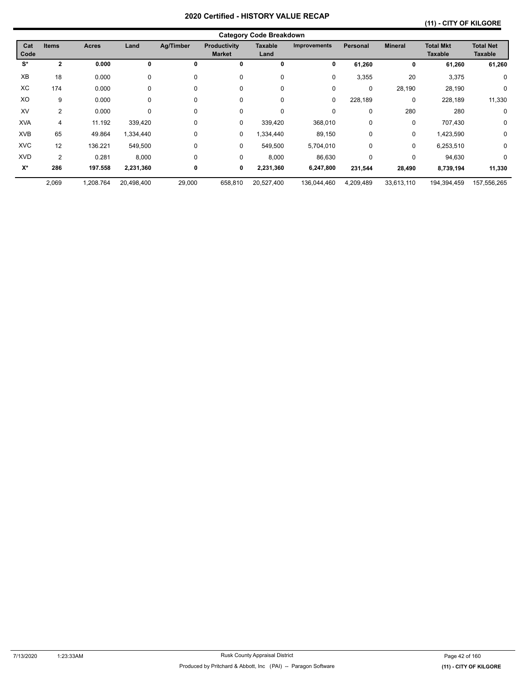## **(11) - CITY OF KILGORE**

|             |                |              |            |           |                                      | <b>Category Code Breakdown</b> |                     |           |                |                                    |                                    |
|-------------|----------------|--------------|------------|-----------|--------------------------------------|--------------------------------|---------------------|-----------|----------------|------------------------------------|------------------------------------|
| Cat<br>Code | <b>Items</b>   | <b>Acres</b> | Land       | Ag/Timber | <b>Productivity</b><br><b>Market</b> | <b>Taxable</b><br>Land         | <b>Improvements</b> | Personal  | <b>Mineral</b> | <b>Total Mkt</b><br><b>Taxable</b> | <b>Total Net</b><br><b>Taxable</b> |
| S*          | $\mathbf{2}$   | 0.000        | 0          | 0         | 0                                    | 0                              | 0                   | 61,260    | 0              | 61,260                             | 61,260                             |
| XB          | 18             | 0.000        | 0          | 0         | 0                                    | 0                              | 0                   | 3,355     | 20             | 3,375                              | 0                                  |
| XC          | 174            | 0.000        | 0          | 0         | $\mathbf 0$                          | $\mathbf 0$                    | 0                   | 0         | 28,190         | 28,190                             | 0                                  |
| XO          | 9              | 0.000        | 0          | $\Omega$  | $\mathbf 0$                          | 0                              | 0                   | 228,189   | 0              | 228,189                            | 11,330                             |
| XV          | $\overline{2}$ | 0.000        | 0          | 0         | $\mathbf 0$                          | 0                              | 0                   | 0         | 280            | 280                                | 0                                  |
| <b>XVA</b>  | 4              | 11.192       | 339,420    | 0         | 0                                    | 339,420                        | 368,010             | 0         | 0              | 707,430                            | 0                                  |
| <b>XVB</b>  | 65             | 49.864       | 1,334,440  | 0         | 0                                    | 1,334,440                      | 89,150              | 0         | $\mathbf 0$    | 1,423,590                          | $\mathbf 0$                        |
| <b>XVC</b>  | 12             | 136.221      | 549,500    | 0         | 0                                    | 549,500                        | 5,704,010           | 0         | 0              | 6,253,510                          | $\mathbf 0$                        |
| <b>XVD</b>  | $\overline{2}$ | 0.281        | 8,000      | 0         | 0                                    | 8,000                          | 86,630              | 0         | $\mathbf 0$    | 94,630                             | 0                                  |
| $X^*$       | 286            | 197.558      | 2,231,360  | 0         | 0                                    | 2,231,360                      | 6,247,800           | 231,544   | 28,490         | 8,739,194                          | 11,330                             |
|             | 2,069          | 1,208.764    | 20,498,400 | 29,000    | 658,810                              | 20,527,400                     | 136,044,460         | 4,209,489 | 33,613,110     | 194,394,459                        | 157,556,265                        |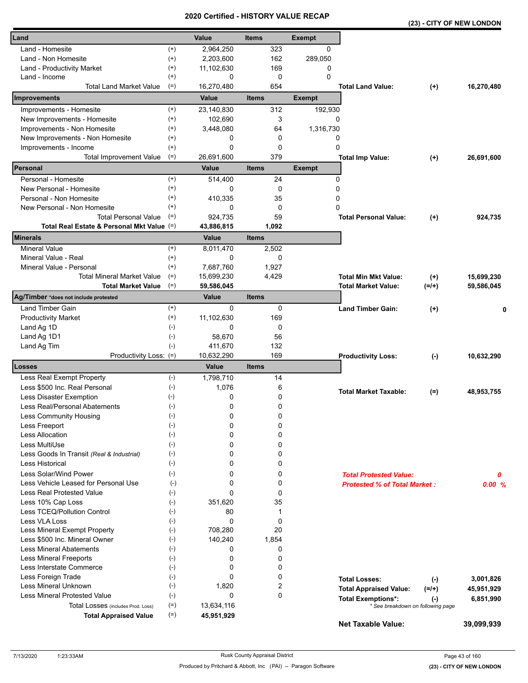|                                            |                    | a unea     | ו טווי<br>VN L |               |                                     | (23) - CITY OF NEW LONDON         |            |
|--------------------------------------------|--------------------|------------|----------------|---------------|-------------------------------------|-----------------------------------|------------|
| Land                                       |                    | Value      | <b>Items</b>   | <b>Exempt</b> |                                     |                                   |            |
| Land - Homesite                            | $^{(+)}$           | 2,964,250  | 323            | $\Omega$      |                                     |                                   |            |
| Land - Non Homesite                        | $^{(+)}$           | 2,203,600  | 162            | 289,050       |                                     |                                   |            |
| Land - Productivity Market                 | $^{(+)}$           | 11,102,630 | 169            | 0             |                                     |                                   |            |
| Land - Income                              | $^{(+)}$           | 0          | 0              | $\Omega$      |                                     |                                   |            |
| <b>Total Land Market Value</b>             | $(=)$              | 16,270,480 | 654            |               | <b>Total Land Value:</b>            | $^{(+)}$                          | 16,270,480 |
| Improvements                               |                    | Value      | <b>Items</b>   | <b>Exempt</b> |                                     |                                   |            |
| Improvements - Homesite                    | $^{(+)}$           | 23,140,830 | 312            | 192,930       |                                     |                                   |            |
| New Improvements - Homesite                | $^{(+)}$           | 102,690    | 3              |               | 0                                   |                                   |            |
| Improvements - Non Homesite                | $^{(+)}$           | 3,448,080  | 64             | 1,316,730     |                                     |                                   |            |
| New Improvements - Non Homesite            | $^{(+)}$           | 0          | 0              |               | 0                                   |                                   |            |
| Improvements - Income                      | $^{(+)}$           | 0          | 0              |               | 0                                   |                                   |            |
| <b>Total Improvement Value</b>             | $(=)$              | 26,691,600 | 379            |               | <b>Total Imp Value:</b>             | $^{(+)}$                          | 26,691,600 |
| Personal                                   |                    | Value      | <b>Items</b>   | <b>Exempt</b> |                                     |                                   |            |
| Personal - Homesite                        | $^{(+)}$           | 514,400    | 24             |               | 0                                   |                                   |            |
| New Personal - Homesite                    | $^{(+)}$           | 0          | 0              |               | 0                                   |                                   |            |
| Personal - Non Homesite                    | $^{(+)}$           | 410,335    | 35             |               | 0                                   |                                   |            |
| New Personal - Non Homesite                | $^{(+)}$           | 0          | $\mathbf 0$    |               | 0                                   |                                   |            |
| <b>Total Personal Value</b>                | $(=)$              | 924,735    | 59             |               | <b>Total Personal Value:</b>        | $(+)$                             | 924,735    |
| Total Real Estate & Personal Mkt Value (=) |                    | 43,886,815 | 1,092          |               |                                     |                                   |            |
| <b>Minerals</b>                            |                    | Value      | <b>Items</b>   |               |                                     |                                   |            |
| <b>Mineral Value</b>                       | $^{(+)}$           | 8,011,470  | 2,502          |               |                                     |                                   |            |
| Mineral Value - Real                       | $^{(+)}$           | 0          | 0              |               |                                     |                                   |            |
| Mineral Value - Personal                   | $^{(+)}$           | 7,687,760  | 1,927          |               |                                     |                                   |            |
| <b>Total Mineral Market Value</b>          | $(=)$              | 15,699,230 | 4,429          |               | <b>Total Min Mkt Value:</b>         | $(+)$                             | 15,699,230 |
| <b>Total Market Value</b>                  | $(=)$              | 59,586,045 |                |               | <b>Total Market Value:</b>          | $(=/+)$                           | 59,586,045 |
| Ag/Timber *does not include protested      |                    | Value      | <b>Items</b>   |               |                                     |                                   |            |
| Land Timber Gain                           | $^{(+)}$           | 0          | 0              |               | <b>Land Timber Gain:</b>            | $(+)$                             | 0          |
| <b>Productivity Market</b>                 | $^{(+)}$           | 11,102,630 | 169            |               |                                     |                                   |            |
| Land Ag 1D                                 | $(-)$              | 0          | 0              |               |                                     |                                   |            |
| Land Ag 1D1                                | $(-)$              | 58,670     | 56             |               |                                     |                                   |            |
| Land Ag Tim                                | $(-)$              | 411,670    | 132            |               |                                     |                                   |            |
| Productivity Loss: (=)                     |                    | 10,632,290 | 169            |               | <b>Productivity Loss:</b>           | $(\cdot)$                         | 10,632,290 |
| Losses                                     |                    | Value      | <b>Items</b>   |               |                                     |                                   |            |
| Less Real Exempt Property                  | $(-)$              | 1,798,710  | 14             |               |                                     |                                   |            |
| Less \$500 Inc. Real Personal              | $(-)$              | 1,076      | 6              |               | <b>Total Market Taxable:</b>        | $(=)$                             | 48,953,755 |
| Less Disaster Exemption                    | $(-)$              | 0          | 0              |               |                                     |                                   |            |
| Less Real/Personal Abatements              | $(\textnormal{-})$ | 0          | 0              |               |                                     |                                   |            |
| Less Community Housing                     | $(-)$              | 0          | 0              |               |                                     |                                   |            |
| Less Freeport                              | $(-)$              | 0          | 0              |               |                                     |                                   |            |
| <b>Less Allocation</b>                     | $(-)$              | 0          | 0              |               |                                     |                                   |            |
| Less MultiUse                              | $(-)$              | 0          | 0              |               |                                     |                                   |            |
| Less Goods In Transit (Real & Industrial)  | $(-)$              | 0          | 0              |               |                                     |                                   |            |
| Less Historical                            | $(-)$              | 0          | 0              |               |                                     |                                   |            |
| Less Solar/Wind Power                      | $(-)$              | 0          | 0              |               | <b>Total Protested Value:</b>       |                                   | 0          |
| Less Vehicle Leased for Personal Use       | $(-)$              | 0          | 0              |               | <b>Protested % of Total Market:</b> |                                   | 0.00%      |
| Less Real Protested Value                  | $(-)$              | 0          | 0              |               |                                     |                                   |            |
| Less 10% Cap Loss                          | $(-)$              | 351,620    | 35             |               |                                     |                                   |            |
| Less TCEQ/Pollution Control                | $(\text{-})$       | 80         | 1              |               |                                     |                                   |            |
| Less VLA Loss                              | $(-)$              | 0          | 0              |               |                                     |                                   |            |
| Less Mineral Exempt Property               | $(-)$              | 708,280    | 20             |               |                                     |                                   |            |
| Less \$500 Inc. Mineral Owner              | $(-)$              | 140,240    | 1,854          |               |                                     |                                   |            |
| <b>Less Mineral Abatements</b>             | $(-)$              | 0          | 0              |               |                                     |                                   |            |
| <b>Less Mineral Freeports</b>              | $(-)$              | 0          | 0              |               |                                     |                                   |            |
| Less Interstate Commerce                   | $(-)$              | 0          | 0              |               |                                     |                                   |            |
| Less Foreign Trade                         | $(-)$              | 0          | 0              |               | <b>Total Losses:</b>                | $(-)$                             | 3,001,826  |
| Less Mineral Unknown                       | $(-)$              | 1,820      | 2              |               | <b>Total Appraised Value:</b>       | $(=/+)$                           | 45,951,929 |
| <b>Less Mineral Protested Value</b>        | $(-)$              | $\Omega$   | 0              |               | <b>Total Exemptions*:</b>           | $(-)$                             | 6,851,990  |
| Total Losses (includes Prod. Loss)         | $(=)$              | 13,634,116 |                |               |                                     | * See breakdown on following page |            |
| <b>Total Appraised Value</b>               | $(=)$              | 45,951,929 |                |               |                                     |                                   |            |
|                                            |                    |            |                |               | <b>Net Taxable Value:</b>           |                                   | 39,099,939 |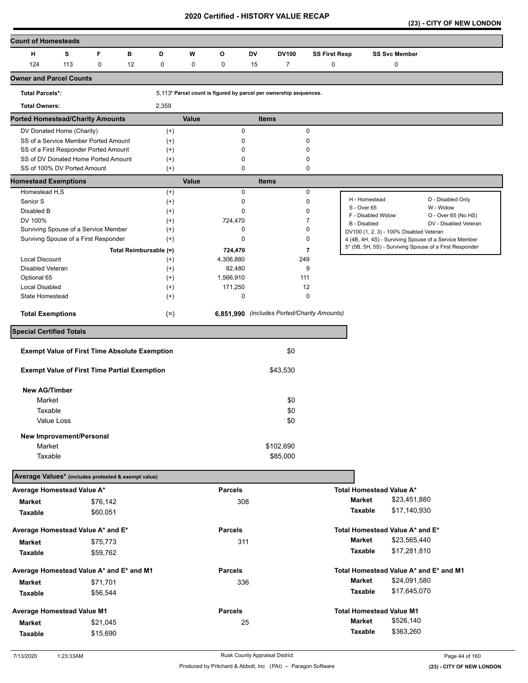**(23) - CITY OF NEW LONDON** 

| <b>Count of Homesteads</b>                          |                                                      |                        |                      |       |                |              |                                                                   |                      |                                                         |                      |                                                         |
|-----------------------------------------------------|------------------------------------------------------|------------------------|----------------------|-------|----------------|--------------|-------------------------------------------------------------------|----------------------|---------------------------------------------------------|----------------------|---------------------------------------------------------|
| н                                                   | s<br>F                                               | в                      | D                    | w     | O              | DV           | <b>DV100</b>                                                      | <b>SS First Resp</b> |                                                         | <b>SS Svc Member</b> |                                                         |
| 124                                                 | 113<br>0                                             | 12                     | 0                    | 0     | 0              | 15           | $\overline{7}$                                                    | 0                    |                                                         | 0                    |                                                         |
| <b>Owner and Parcel Counts</b>                      |                                                      |                        |                      |       |                |              |                                                                   |                      |                                                         |                      |                                                         |
| <b>Total Parcels*:</b>                              |                                                      |                        |                      |       |                |              | 5,113* Parcel count is figured by parcel per ownership sequences. |                      |                                                         |                      |                                                         |
| <b>Total Owners:</b>                                |                                                      |                        | 2,359                |       |                |              |                                                                   |                      |                                                         |                      |                                                         |
| <b>Ported Homestead/Charity Amounts</b>             |                                                      |                        |                      | Value |                | <b>Items</b> |                                                                   |                      |                                                         |                      |                                                         |
| DV Donated Home (Charity)                           |                                                      |                        | $^{(+)}$             |       | 0              |              |                                                                   | $\mathbf 0$          |                                                         |                      |                                                         |
|                                                     | SS of a Service Member Ported Amount                 |                        | $^{(+)}$             |       | 0              |              |                                                                   | 0                    |                                                         |                      |                                                         |
|                                                     | SS of a First Responder Ported Amount                |                        | $^{(+)}$             |       | $\mathbf 0$    |              |                                                                   | 0                    |                                                         |                      |                                                         |
| SS of 100% DV Ported Amount                         | SS of DV Donated Home Ported Amount                  |                        | $^{(+)}$<br>$^{(+)}$ |       | 0<br>0         |              |                                                                   | 0<br>$\mathbf 0$     |                                                         |                      |                                                         |
| <b>Homestead Exemptions</b>                         |                                                      |                        |                      | Value |                | <b>Items</b> |                                                                   |                      |                                                         |                      |                                                         |
| Homestead H,S                                       |                                                      |                        | $^{(+)}$             |       | 0              |              |                                                                   | $\pmb{0}$            |                                                         |                      |                                                         |
| Senior S                                            |                                                      |                        | $^{(+)}$             |       | 0              |              |                                                                   | 0                    | H - Homestead                                           |                      | D - Disabled Only                                       |
| Disabled B                                          |                                                      |                        | $^{(+)}$             |       | 0              |              |                                                                   | 0                    | S - Over 65                                             |                      | W - Widow                                               |
| DV 100%                                             |                                                      |                        | $^{(+)}$             |       | 724,470        |              |                                                                   | 7                    | F - Disabled Widow                                      |                      | O - Over 65 (No HS)                                     |
|                                                     | Surviving Spouse of a Service Member                 |                        | $^{(+)}$             |       | 0              |              |                                                                   | 0                    | B - Disabled<br>DV100 (1, 2, 3) - 100% Disabled Veteran |                      | DV - Disabled Veteran                                   |
|                                                     | Survivng Spouse of a First Responder                 |                        | $^{(+)}$             |       | 0              |              |                                                                   | $\mathbf 0$          |                                                         |                      | 4 (4B, 4H, 4S) - Surviving Spouse of a Service Member   |
|                                                     |                                                      | Total Reimbursable (=) |                      |       | 724,470        |              |                                                                   | 7                    |                                                         |                      | 5* (5B, 5H, 5S) - Surviving Spouse of a First Responder |
| Local Discount                                      |                                                      |                        | $^{(+)}$             |       | 4,306,880      |              | 249                                                               |                      |                                                         |                      |                                                         |
| Disabled Veteran                                    |                                                      |                        | $^{(+)}$             |       | 82,480         |              |                                                                   | 9                    |                                                         |                      |                                                         |
| Optional 65                                         |                                                      |                        | $^{(+)}$             |       | 1,566,910      |              | 111                                                               |                      |                                                         |                      |                                                         |
| Local Disabled                                      |                                                      |                        | $^{(+)}$             |       | 171,250        |              |                                                                   | 12                   |                                                         |                      |                                                         |
| State Homestead                                     |                                                      |                        | $^{(+)}$             |       | 0              |              |                                                                   | $\mathbf 0$          |                                                         |                      |                                                         |
| <b>Total Exemptions</b>                             |                                                      |                        | $(=)$                |       |                |              | 6,851,990 (includes Ported/Charity Amounts)                       |                      |                                                         |                      |                                                         |
| <b>Special Certified Totals</b>                     |                                                      |                        |                      |       |                |              |                                                                   |                      |                                                         |                      |                                                         |
|                                                     |                                                      |                        |                      |       |                |              |                                                                   |                      |                                                         |                      |                                                         |
|                                                     | <b>Exempt Value of First Time Absolute Exemption</b> |                        |                      |       |                |              | \$0                                                               |                      |                                                         |                      |                                                         |
|                                                     | <b>Exempt Value of First Time Partial Exemption</b>  |                        |                      |       |                |              | \$43,530                                                          |                      |                                                         |                      |                                                         |
| <b>New AG/Timber</b>                                |                                                      |                        |                      |       |                |              |                                                                   |                      |                                                         |                      |                                                         |
| Market                                              |                                                      |                        |                      |       |                |              | \$0                                                               |                      |                                                         |                      |                                                         |
| Taxable                                             |                                                      |                        |                      |       |                |              | \$0                                                               |                      |                                                         |                      |                                                         |
| Value Loss                                          |                                                      |                        |                      |       |                |              | \$0                                                               |                      |                                                         |                      |                                                         |
|                                                     |                                                      |                        |                      |       |                |              |                                                                   |                      |                                                         |                      |                                                         |
| New Improvement/Personal<br>Market                  |                                                      |                        |                      |       |                |              | \$102,690                                                         |                      |                                                         |                      |                                                         |
| Taxable                                             |                                                      |                        |                      |       |                |              | \$85,000                                                          |                      |                                                         |                      |                                                         |
|                                                     |                                                      |                        |                      |       |                |              |                                                                   |                      |                                                         |                      |                                                         |
| Average Values* (includes protested & exempt value) |                                                      |                        |                      |       |                |              |                                                                   |                      |                                                         |                      |                                                         |
| Average Homestead Value A*                          |                                                      |                        |                      |       | <b>Parcels</b> |              |                                                                   |                      | Total Homestead Value A*                                |                      |                                                         |
| Market                                              | \$76,142                                             |                        |                      |       | 308            |              |                                                                   |                      | Market                                                  | \$23,451,880         |                                                         |
| Taxable                                             | \$60,051                                             |                        |                      |       |                |              |                                                                   |                      | <b>Taxable</b>                                          | \$17,140,930         |                                                         |
| Average Homestead Value A* and E*                   |                                                      |                        |                      |       | <b>Parcels</b> |              |                                                                   |                      | Total Homestead Value A* and E*                         |                      |                                                         |
| <b>Market</b>                                       | \$75,773                                             |                        |                      |       | 311            |              |                                                                   |                      | <b>Market</b>                                           | \$23,565,440         |                                                         |
| Taxable                                             | \$59,762                                             |                        |                      |       |                |              |                                                                   |                      | <b>Taxable</b>                                          | \$17,281,810         |                                                         |
|                                                     |                                                      |                        |                      |       |                |              |                                                                   |                      |                                                         |                      |                                                         |
| Average Homestead Value A* and E* and M1            |                                                      |                        |                      |       | <b>Parcels</b> |              |                                                                   |                      |                                                         |                      | Total Homestead Value A* and E* and M1                  |
| Market                                              | \$71,701                                             |                        |                      |       | 336            |              |                                                                   |                      | <b>Market</b>                                           | \$24,091,580         |                                                         |
| Taxable                                             | \$56,544                                             |                        |                      |       |                |              |                                                                   |                      | <b>Taxable</b>                                          | \$17,645,070         |                                                         |
| <b>Average Homestead Value M1</b>                   |                                                      |                        |                      |       | <b>Parcels</b> |              |                                                                   |                      | <b>Total Homestead Value M1</b>                         |                      |                                                         |
| Market                                              | \$21,045                                             |                        |                      |       |                | 25           |                                                                   |                      | Market                                                  | \$526,140            |                                                         |
| Taxable                                             | \$15,690                                             |                        |                      |       |                |              |                                                                   |                      | Taxable                                                 | \$363,260            |                                                         |
|                                                     |                                                      |                        |                      |       |                |              |                                                                   |                      |                                                         |                      |                                                         |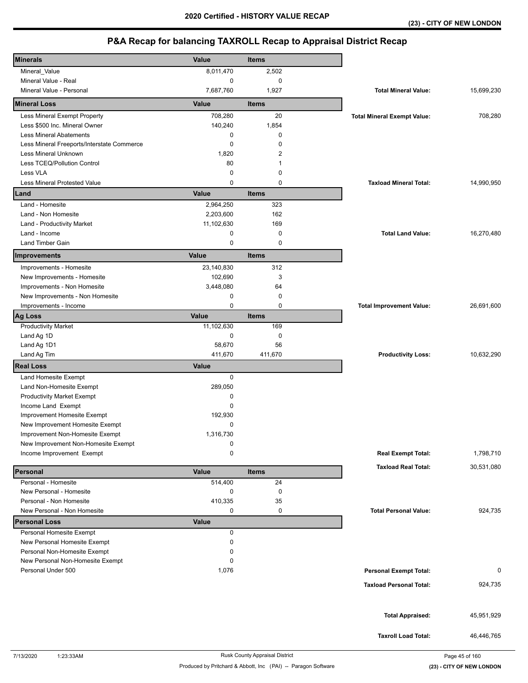| <b>Minerals</b>                            | Value        | <b>Items</b> |                                    |            |
|--------------------------------------------|--------------|--------------|------------------------------------|------------|
| Mineral_Value                              | 8,011,470    | 2,502        |                                    |            |
| Mineral Value - Real                       | 0            | 0            |                                    |            |
| Mineral Value - Personal                   | 7,687,760    | 1,927        | <b>Total Mineral Value:</b>        | 15,699,230 |
| <b>Mineral Loss</b>                        | Value        | <b>Items</b> |                                    |            |
| Less Mineral Exempt Property               | 708,280      | 20           | <b>Total Mineral Exempt Value:</b> | 708,280    |
| Less \$500 Inc. Mineral Owner              | 140,240      | 1,854        |                                    |            |
| <b>Less Mineral Abatements</b>             | 0            | 0            |                                    |            |
| Less Mineral Freeports/Interstate Commerce | 0            | $\mathbf 0$  |                                    |            |
| Less Mineral Unknown                       | 1,820        | 2            |                                    |            |
| Less TCEQ/Pollution Control                | 80           | 1            |                                    |            |
| Less VLA                                   | 0            | 0            |                                    |            |
| Less Mineral Protested Value               | $\Omega$     | $\mathbf 0$  | <b>Taxload Mineral Total:</b>      | 14,990,950 |
| Land                                       | Value        | <b>Items</b> |                                    |            |
| Land - Homesite                            | 2,964,250    | 323          |                                    |            |
| Land - Non Homesite                        | 2,203,600    | 162          |                                    |            |
| Land - Productivity Market                 | 11,102,630   | 169          |                                    |            |
| Land - Income                              | 0            | 0            | <b>Total Land Value:</b>           | 16,270,480 |
| <b>Land Timber Gain</b>                    | 0            | 0            |                                    |            |
| Improvements                               | Value        | <b>Items</b> |                                    |            |
| Improvements - Homesite                    | 23,140,830   | 312          |                                    |            |
| New Improvements - Homesite                | 102,690      | 3            |                                    |            |
| Improvements - Non Homesite                | 3,448,080    | 64           |                                    |            |
| New Improvements - Non Homesite            | 0            | 0            |                                    |            |
| Improvements - Income                      | 0            | 0            | <b>Total Improvement Value:</b>    | 26,691,600 |
| <b>Ag Loss</b>                             | Value        | <b>Items</b> |                                    |            |
| <b>Productivity Market</b>                 | 11,102,630   | 169          |                                    |            |
| Land Ag 1D                                 | 0            | $\mathbf 0$  |                                    |            |
| Land Ag 1D1                                | 58,670       | 56           |                                    |            |
| Land Ag Tim                                | 411,670      | 411,670      | <b>Productivity Loss:</b>          | 10,632,290 |
| <b>Real Loss</b>                           | <b>Value</b> |              |                                    |            |
| Land Homesite Exempt                       | 0            |              |                                    |            |
| Land Non-Homesite Exempt                   | 289,050      |              |                                    |            |
| <b>Productivity Market Exempt</b>          | 0            |              |                                    |            |
| Income Land Exempt                         | 0            |              |                                    |            |
| Improvement Homesite Exempt                | 192,930      |              |                                    |            |
| New Improvement Homesite Exempt            | 0            |              |                                    |            |
| Improvement Non-Homesite Exempt            | 1,316,730    |              |                                    |            |
| New Improvement Non-Homesite Exempt        | 0            |              |                                    |            |
| Income Improvement Exempt                  | 0            |              | <b>Real Exempt Total:</b>          | 1,798,710  |
| Personal                                   | Value        | <b>Items</b> | <b>Taxload Real Total:</b>         | 30,531,080 |
| Personal - Homesite                        | 514,400      | 24           |                                    |            |
| New Personal - Homesite                    | 0            | 0            |                                    |            |
| Personal - Non Homesite                    | 410,335      | 35           |                                    |            |
| New Personal - Non Homesite                | 0            | 0            | <b>Total Personal Value:</b>       | 924,735    |
| <b>Personal Loss</b>                       | <b>Value</b> |              |                                    |            |
| Personal Homesite Exempt                   | 0            |              |                                    |            |
| New Personal Homesite Exempt               | 0            |              |                                    |            |
| Personal Non-Homesite Exempt               | 0            |              |                                    |            |
| New Personal Non-Homesite Exempt           | 0            |              |                                    |            |
| Personal Under 500                         | 1,076        |              | <b>Personal Exempt Total:</b>      | 0          |
|                                            |              |              | <b>Taxload Personal Total:</b>     | 924,735    |
|                                            |              |              |                                    |            |
|                                            |              |              |                                    |            |
|                                            |              |              | <b>Total Appraised:</b>            | 45,951,929 |
|                                            |              |              | <b>Taxroll Load Total:</b>         | 46,446,765 |
|                                            |              |              |                                    |            |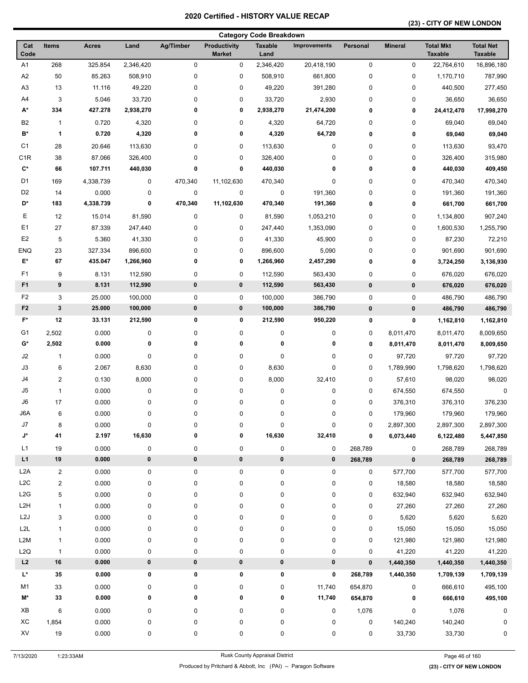## **(23) - CITY OF NEW LONDON**

|                      |                         |                |           |           |                                      | <b>Category Code Breakdown</b> |                     |             |                |                                    |                                    |
|----------------------|-------------------------|----------------|-----------|-----------|--------------------------------------|--------------------------------|---------------------|-------------|----------------|------------------------------------|------------------------------------|
| Cat<br>Code          | <b>Items</b>            | <b>Acres</b>   | Land      | Ag/Timber | <b>Productivity</b><br><b>Market</b> | <b>Taxable</b><br>Land         | <b>Improvements</b> | Personal    | <b>Mineral</b> | <b>Total Mkt</b><br><b>Taxable</b> | <b>Total Net</b><br><b>Taxable</b> |
| A1                   | 268                     | 325.854        | 2,346,420 | 0         | 0                                    | 2,346,420                      | 20,418,190          | $\pmb{0}$   | 0              | 22,764,610                         | 16,896,180                         |
| A2                   | 50                      | 85.263         | 508,910   | 0         | $\pmb{0}$                            | 508,910                        | 661,800             | 0           | 0              | 1,170,710                          | 787,990                            |
| A <sub>3</sub>       | 13                      | 11.116         | 49,220    | 0         | $\pmb{0}$                            | 49,220                         | 391,280             | 0           | 0              | 440,500                            | 277,450                            |
| A4                   | 3                       | 5.046          | 33,720    | 0         | $\pmb{0}$                            | 33,720                         | 2,930               | 0           | 0              | 36,650                             | 36,650                             |
| A*                   | 334                     | 427.278        | 2,938,270 | 0         | 0                                    | 2,938,270                      | 21,474,200          | 0           | 0              | 24,412,470                         | 17,998,270                         |
| B <sub>2</sub>       | $\mathbf{1}$            | 0.720          | 4,320     | 0         | 0                                    | 4,320                          | 64,720              | 0           | 0              | 69,040                             | 69,040                             |
| B*                   | 1                       | 0.720          | 4,320     | 0         | 0                                    | 4,320                          | 64,720              | 0           | 0              | 69,040                             | 69,040                             |
| C <sub>1</sub>       | 28                      | 20.646         | 113,630   | 0         | 0                                    | 113,630                        | 0                   | 0           | 0              | 113,630                            | 93,470                             |
| C <sub>1</sub> R     | 38                      | 87.066         | 326,400   | 0         | $\pmb{0}$                            | 326,400                        | 0                   | 0           | 0              | 326,400                            | 315,980                            |
| C*                   | 66                      | 107.711        | 440,030   | 0         | 0                                    | 440,030                        | 0                   | 0           | 0              | 440,030                            | 409,450                            |
| D1                   | 169                     | 4,338.739      | 0         | 470,340   | 11,102,630                           | 470,340                        | $\pmb{0}$           | 0           | 0              | 470,340                            | 470,340                            |
| D <sub>2</sub>       | 14                      | 0.000          | 0         | 0         | $\pmb{0}$                            | 0                              | 191,360             | 0           | 0              | 191,360                            | 191,360                            |
| D*                   | 183                     | 4,338.739      | 0         | 470,340   | 11,102,630                           | 470,340                        | 191,360             | 0           | 0              | 661,700                            | 661,700                            |
| Ε                    | 12                      | 15.014         | 81,590    | 0         | 0                                    | 81,590                         | 1,053,210           | 0           | 0              | 1,134,800                          | 907,240                            |
| E1                   | 27                      | 87.339         | 247,440   | 0         | 0                                    | 247,440                        | 1,353,090           | 0           | 0              | 1,600,530                          | 1,255,790                          |
| E <sub>2</sub>       | 5                       | 5.360          | 41,330    | 0         | 0                                    | 41,330                         | 45,900              | 0           | 0              | 87,230                             | 72,210                             |
| <b>ENQ</b>           | 23                      | 327.334        | 896,600   | 0         | $\pmb{0}$                            | 896,600                        | 5,090               | 0           | 0              | 901,690                            | 901,690                            |
| E*                   | 67                      | 435.047        | 1,266,960 | 0         | 0                                    | 1,266,960                      | 2,457,290           | 0           | 0              | 3,724,250                          | 3,136,930                          |
| F <sub>1</sub>       | 9                       | 8.131          | 112,590   | 0         | $\pmb{0}$                            | 112,590                        | 563,430             | 0           | 0              | 676,020                            | 676,020                            |
| F <sub>1</sub>       | 9                       | 8.131          | 112,590   | $\pmb{0}$ | 0                                    | 112,590                        | 563,430             | $\pmb{0}$   | $\pmb{0}$      | 676,020                            | 676,020                            |
| F <sub>2</sub>       | 3                       | 25.000         | 100,000   | 0         | 0                                    | 100,000                        | 386,790             | $\mathbf 0$ | 0              | 486,790                            | 486,790                            |
| F <sub>2</sub>       | $\mathbf{3}$            | 25.000         | 100,000   | $\bf{0}$  | 0                                    | 100,000                        | 386,790             | $\pmb{0}$   | 0              | 486,790                            | 486,790                            |
| F*                   | 12                      | 33.131         | 212,590   | 0         | 0                                    | 212,590                        | 950,220             | 0           | 0              | 1,162,810                          | 1,162,810                          |
|                      |                         |                |           |           |                                      |                                |                     |             |                |                                    |                                    |
| G <sub>1</sub><br>G* | 2,502<br>2,502          | 0.000<br>0.000 | 0<br>0    | 0<br>0    | 0<br>0                               | 0<br>0                         | 0<br>0              | 0           | 8,011,470      | 8,011,470                          | 8,009,650                          |
|                      |                         |                |           |           |                                      |                                |                     | 0           | 8,011,470      | 8,011,470                          | 8,009,650                          |
| J2                   | $\mathbf{1}$            | 0.000          | $\pmb{0}$ | 0         | $\pmb{0}$                            | 0                              | $\pmb{0}$           | 0           | 97,720         | 97,720                             | 97,720                             |
| J3                   | 6                       | 2.067          | 8,630     | 0         | $\pmb{0}$                            | 8,630                          | $\pmb{0}$           | 0           | 1,789,990      | 1,798,620                          | 1,798,620                          |
| J4                   | $\overline{c}$          | 0.130          | 8,000     | 0         | 0                                    | 8,000                          | 32,410              | 0           | 57,610         | 98,020                             | 98,020                             |
| J5                   | $\mathbf{1}$            | 0.000          | 0         | 0         | $\pmb{0}$                            | 0                              | $\pmb{0}$           | 0           | 674,550        | 674,550                            | $\mathbf 0$                        |
| J6                   | 17                      | 0.000          | 0         | 0         | $\pmb{0}$                            | 0                              | $\pmb{0}$           | 0           | 376,310        | 376,310                            | 376,230                            |
| J6A                  | 6                       | 0.000          | 0         | 0         | $\pmb{0}$                            | 0                              | $\pmb{0}$           | 0           | 179,960        | 179,960                            | 179,960                            |
| J7                   | 8                       | 0.000          | 0         | 0         | $\pmb{0}$                            | $\pmb{0}$                      | $\pmb{0}$           | 0           | 2,897,300      | 2,897,300                          | 2,897,300                          |
| J*                   | 41                      | 2.197          | 16,630    | 0         | 0                                    | 16,630                         | 32,410              | 0           | 6,073,440      | 6,122,480                          | 5,447,850                          |
| L1                   | 19                      | 0.000          | 0         | 0         | $\pmb{0}$                            | 0                              | 0                   | 268,789     | 0              | 268,789                            | 268,789                            |
| L1                   | 19                      | 0.000          | $\bf{0}$  | $\bf{0}$  | $\pmb{0}$                            | $\pmb{0}$                      | 0                   | 268,789     | $\pmb{0}$      | 268,789                            | 268,789                            |
| L <sub>2</sub> A     | $\overline{\mathbf{c}}$ | 0.000          | 0         | 0         | 0                                    | 0                              | 0                   | 0           | 577,700        | 577,700                            | 577,700                            |
| L <sub>2</sub> C     | $\overline{\mathbf{c}}$ | 0.000          | 0         | 0         | 0                                    | 0                              | 0                   | 0           | 18,580         | 18,580                             | 18,580                             |
| L2G                  | 5                       | 0.000          | 0         | 0         | 0                                    | 0                              | $\pmb{0}$           | 0           | 632,940        | 632,940                            | 632,940                            |
| L <sub>2</sub> H     | $\mathbf{1}$            | 0.000          | 0         | 0         | $\pmb{0}$                            | 0                              | $\pmb{0}$           | 0           | 27,260         | 27,260                             | 27,260                             |
| L <sub>2</sub> J     | 3                       | 0.000          | 0         | 0         | $\pmb{0}$                            | 0                              | $\pmb{0}$           | 0           | 5,620          | 5,620                              | 5,620                              |
| L2L                  | $\mathbf{1}$            | 0.000          | 0         | 0         | 0                                    | 0                              | 0                   | 0           | 15,050         | 15,050                             | 15,050                             |
| L <sub>2</sub> M     | $\mathbf{1}$            | 0.000          | 0         | 0         | 0                                    | 0                              | 0                   | 0           | 121,980        | 121,980                            | 121,980                            |
| L2Q                  | $\mathbf{1}$            | 0.000          | 0         | 0         | 0                                    | 0                              | 0                   | 0           | 41,220         | 41,220                             | 41,220                             |
| $\mathsf{L2}$        | $16\,$                  | 0.000          | $\pmb{0}$ | $\pmb{0}$ | $\pmb{0}$                            | $\pmb{0}$                      | 0                   | $\pmb{0}$   | 1,440,350      | 1,440,350                          | 1,440,350                          |
| L*                   | 35                      | 0.000          | 0         | 0         | 0                                    | 0                              | 0                   | 268,789     | 1,440,350      | 1,709,139                          | 1,709,139                          |
| M1                   | 33                      | 0.000          | 0         | 0         | $\pmb{0}$                            | 0                              | 11,740              | 654,870     | 0              | 666,610                            | 495,100                            |
| M*                   | 33                      | 0.000          | 0         | 0         | 0                                    | 0                              | 11,740              | 654,870     | 0              | 666,610                            | 495,100                            |
| XB                   | 6                       | 0.000          | 0         | 0         | 0                                    | 0                              | 0                   | 1,076       | 0              | 1,076                              | 0                                  |
| XC                   | 1,854                   | 0.000          | 0         | 0         | 0                                    | 0                              | 0                   | 0           | 140,240        | 140,240                            | 0                                  |
| XV                   | 19                      | 0.000          | 0         | 0         | 0                                    | 0                              | 0                   | 0           | 33,730         | 33,730                             | 0                                  |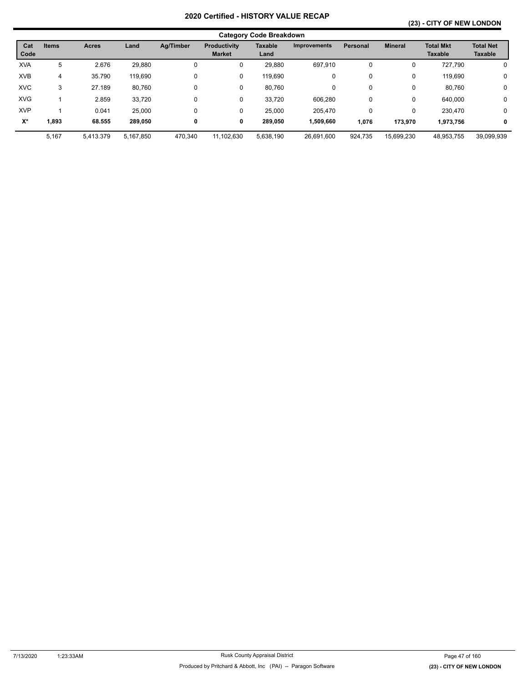## **(23) - CITY OF NEW LONDON**

|             |              |           |           |                  |                               | <b>Category Code Breakdown</b> |                     |                 |                |                                    |                                    |
|-------------|--------------|-----------|-----------|------------------|-------------------------------|--------------------------------|---------------------|-----------------|----------------|------------------------------------|------------------------------------|
| Cat<br>Code | <b>Items</b> | Acres     | Land      | <b>Ag/Timber</b> | Productivity<br><b>Market</b> | <b>Taxable</b><br>Land         | <b>Improvements</b> | <b>Personal</b> | <b>Mineral</b> | <b>Total Mkt</b><br><b>Taxable</b> | <b>Total Net</b><br><b>Taxable</b> |
| <b>XVA</b>  | 5            | 2.676     | 29,880    | 0                | 0                             | 29,880                         | 697,910             | 0               | U              | 727,790                            | 0                                  |
| <b>XVB</b>  | 4            | 35.790    | 119,690   | 0                | 0                             | 119,690                        | 0                   | 0               | 0              | 119,690                            | $\mathbf 0$                        |
| <b>XVC</b>  | 3            | 27.189    | 80,760    | 0                | 0                             | 80,760                         | 0                   | $\Omega$        | 0              | 80,760                             | $\mathbf 0$                        |
| <b>XVG</b>  |              | 2.859     | 33,720    | 0                | 0                             | 33,720                         | 606.280             | 0               | 0              | 640,000                            | $\mathbf 0$                        |
| <b>XVP</b>  |              | 0.041     | 25,000    | 0                | 0                             | 25.000                         | 205.470             | $\Omega$        | 0              | 230.470                            | $\mathbf 0$                        |
| $X^*$       | 1,893        | 68.555    | 289,050   | 0                | 0                             | 289,050                        | 1,509,660           | 1.076           | 173.970        | 1,973,756                          | 0                                  |
|             | 5,167        | 5.413.379 | 5,167,850 | 470,340          | 11,102,630                    | 5,638,190                      | 26,691,600          | 924,735         | 15,699,230     | 48,953,755                         | 39,099,939                         |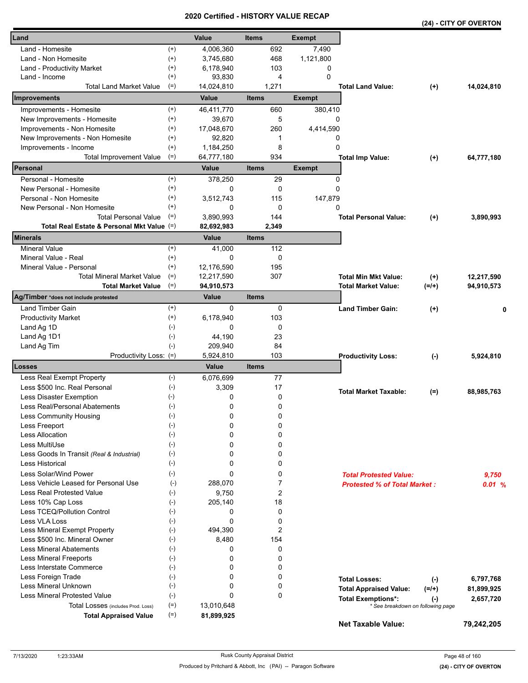|                                            |                    |              | Certilled - HISTORT VALUE RECAP |               |                                     |          | (24) - CITY OF OVERTON |
|--------------------------------------------|--------------------|--------------|---------------------------------|---------------|-------------------------------------|----------|------------------------|
| Land                                       |                    | Value        | <b>Items</b>                    | <b>Exempt</b> |                                     |          |                        |
| Land - Homesite                            | $^{(+)}$           | 4,006,360    | 692                             | 7,490         |                                     |          |                        |
| Land - Non Homesite                        | $^{(+)}$           | 3,745,680    | 468                             | 1,121,800     |                                     |          |                        |
| Land - Productivity Market                 | $^{(+)}$           | 6,178,940    | 103                             | 0             |                                     |          |                        |
| Land - Income                              | $^{(+)}$           | 93,830       | 4                               | $\Omega$      |                                     |          |                        |
| <b>Total Land Market Value</b>             | $(=)$              | 14,024,810   | 1,271                           |               | <b>Total Land Value:</b>            | $^{(+)}$ | 14,024,810             |
| Improvements                               |                    | Value        | <b>Items</b>                    | <b>Exempt</b> |                                     |          |                        |
| Improvements - Homesite                    | $^{(+)}$           | 46,411,770   | 660                             | 380,410       |                                     |          |                        |
| New Improvements - Homesite                | $^{(+)}$           | 39,670       | 5                               | 0             |                                     |          |                        |
| Improvements - Non Homesite                | $^{(+)}$           | 17,048,670   | 260                             | 4,414,590     |                                     |          |                        |
| New Improvements - Non Homesite            | $^{(+)}$           | 92.820       | 1                               | 0             |                                     |          |                        |
| Improvements - Income                      | $^{(+)}$           | 1,184,250    | 8                               | 0             |                                     |          |                        |
| <b>Total Improvement Value</b>             | $(=)$              | 64,777,180   | 934                             |               | <b>Total Imp Value:</b>             | $^{(+)}$ | 64,777,180             |
| Personal                                   |                    | <b>Value</b> | <b>Items</b>                    | <b>Exempt</b> |                                     |          |                        |
| Personal - Homesite                        | $^{(+)}$           | 378,250      | 29                              |               | 0                                   |          |                        |
| New Personal - Homesite                    | $^{(+)}$           | 0            | 0                               | 0             |                                     |          |                        |
| Personal - Non Homesite                    | $^{(+)}$           | 3,512,743    | 115                             | 147,879       |                                     |          |                        |
| New Personal - Non Homesite                | $^{(+)}$           | 0            | 0                               | 0             |                                     |          |                        |
| <b>Total Personal Value</b>                | $(=)$              | 3,890,993    | 144                             |               | <b>Total Personal Value:</b>        | $^{(+)}$ | 3,890,993              |
| Total Real Estate & Personal Mkt Value (=) |                    | 82,692,983   | 2,349                           |               |                                     |          |                        |
| <b>Minerals</b>                            |                    | Value        | <b>Items</b>                    |               |                                     |          |                        |
| <b>Mineral Value</b>                       | $^{(+)}$           | 41,000       | 112                             |               |                                     |          |                        |
| Mineral Value - Real                       | $^{(+)}$           | 0            | 0                               |               |                                     |          |                        |
| Mineral Value - Personal                   | $^{(+)}$           | 12,176,590   | 195                             |               |                                     |          |                        |
| <b>Total Mineral Market Value</b>          | $(=)$              | 12,217,590   | 307                             |               | <b>Total Min Mkt Value:</b>         | $^{(+)}$ | 12,217,590             |
| <b>Total Market Value</b>                  | $(=)$              | 94,910,573   |                                 |               | <b>Total Market Value:</b>          | $(=/+)$  | 94,910,573             |
| Ag/Timber *does not include protested      |                    | Value        | <b>Items</b>                    |               |                                     |          |                        |
| <b>Land Timber Gain</b>                    | $^{(+)}$           | 0            | 0                               |               | <b>Land Timber Gain:</b>            | $(+)$    | 0                      |
| <b>Productivity Market</b>                 | $^{(+)}$           | 6,178,940    | 103                             |               |                                     |          |                        |
| Land Ag 1D                                 | $(-)$              | 0            | 0                               |               |                                     |          |                        |
| Land Ag 1D1                                | $(-)$              | 44,190       | 23                              |               |                                     |          |                        |
| Land Ag Tim                                | $(-)$              | 209,940      | 84                              |               |                                     |          |                        |
| Productivity Loss: (=)                     |                    | 5,924,810    | 103                             |               | <b>Productivity Loss:</b>           | $(-)$    | 5,924,810              |
| Losses                                     |                    | Value        | <b>Items</b>                    |               |                                     |          |                        |
| Less Real Exempt Property                  | $(-)$              | 6,076,699    | 77                              |               |                                     |          |                        |
| Less \$500 Inc. Real Personal              | $(-)$              | 3,309        | 17                              |               | <b>Total Market Taxable:</b>        | $(=)$    | 88,985,763             |
| Less Disaster Exemption                    | $(-)$              | 0            | 0                               |               |                                     |          |                        |
| Less Real/Personal Abatements              | $(\textnormal{-})$ | 0            | 0                               |               |                                     |          |                        |
| Less Community Housing                     | $(-)$              | 0            | 0                               |               |                                     |          |                        |
| Less Freeport                              | $(-)$              | 0            | 0                               |               |                                     |          |                        |
| Less Allocation                            | $(-)$              | 0            | 0                               |               |                                     |          |                        |
| Less MultiUse                              | $(-)$              | 0            | 0                               |               |                                     |          |                        |
| Less Goods In Transit (Real & Industrial)  | $(-)$              | 0            | 0                               |               |                                     |          |                        |
| <b>Less Historical</b>                     | $(-)$              | 0            | 0                               |               |                                     |          |                        |
| Less Solar/Wind Power                      | $(-)$              | 0            | 0                               |               | <b>Total Protested Value:</b>       |          | 9,750                  |
| Less Vehicle Leased for Personal Use       | $(-)$              | 288,070      | 7                               |               | <b>Protested % of Total Market:</b> |          | 0.01%                  |
| <b>Less Real Protested Value</b>           | $(-)$              | 9,750        | $\overline{2}$                  |               |                                     |          |                        |
| Less 10% Cap Loss                          | $(-)$              | 205,140      | 18                              |               |                                     |          |                        |
| Less TCEQ/Pollution Control                | $(-)$              | 0            | 0                               |               |                                     |          |                        |
| Less VLA Loss                              | $(\cdot)$          | 0            | 0                               |               |                                     |          |                        |
| Less Mineral Exempt Property               | $(-)$              | 494,390      | $\overline{c}$                  |               |                                     |          |                        |
| Less \$500 Inc. Mineral Owner              | $(-)$              | 8,480        | 154                             |               |                                     |          |                        |
| <b>Less Mineral Abatements</b>             | $(-)$              | 0            | 0                               |               |                                     |          |                        |
| <b>Less Mineral Freeports</b>              | $(-)$              | 0            | 0                               |               |                                     |          |                        |
| Less Interstate Commerce                   | $(\cdot)$          | 0            | 0                               |               |                                     |          |                        |
| Less Foreign Trade                         | $(-)$              | 0            | 0                               |               | <b>Total Losses:</b>                | $(-)$    | 6,797,768              |
| Less Mineral Unknown                       | $(-)$              | 0            | 0                               |               | <b>Total Appraised Value:</b>       | $(=/+)$  | 81,899,925             |
| Less Mineral Protested Value               | $(-)$              | 0            | 0                               |               | <b>Total Exemptions*:</b>           | $(-)$    | 2,657,720              |
| Total Losses (includes Prod. Loss)         | $(=)$              | 13,010,648   |                                 |               | * See breakdown on following page   |          |                        |
| <b>Total Appraised Value</b>               | $(=)$              | 81,899,925   |                                 |               | <b>Net Taxable Value:</b>           |          | 79,242,205             |
|                                            |                    |              |                                 |               |                                     |          |                        |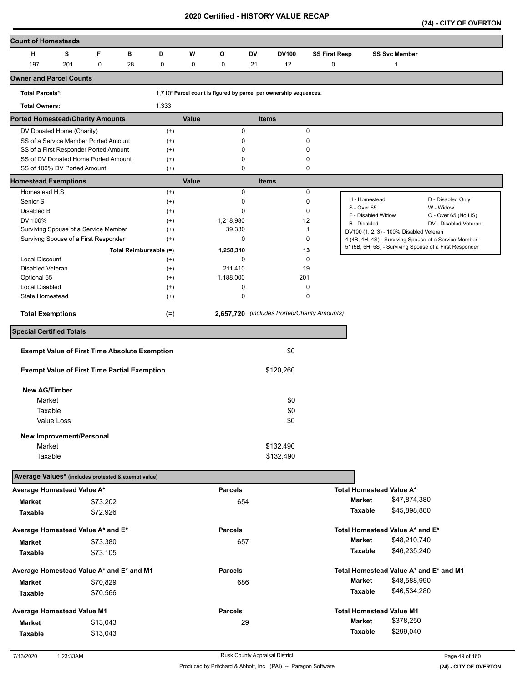**(24) - CITY OF OVERTON** 

| <b>Count of Homesteads</b>                                         |     |             |    |                        |       |                |           |                                                                   |                      |                                         |                      |                                                         |
|--------------------------------------------------------------------|-----|-------------|----|------------------------|-------|----------------|-----------|-------------------------------------------------------------------|----------------------|-----------------------------------------|----------------------|---------------------------------------------------------|
| н                                                                  | s   | F           | в  | D                      | W     | O              | <b>DV</b> | <b>DV100</b>                                                      | <b>SS First Resp</b> |                                         | <b>SS Svc Member</b> |                                                         |
| 197                                                                | 201 | $\mathbf 0$ | 28 | $\pmb{0}$              | 0     | 0              | 21        | 12                                                                | $\mathbf 0$          |                                         | 1                    |                                                         |
| <b>Owner and Parcel Counts</b>                                     |     |             |    |                        |       |                |           |                                                                   |                      |                                         |                      |                                                         |
| <b>Total Parcels*:</b>                                             |     |             |    |                        |       |                |           | 1,710* Parcel count is figured by parcel per ownership sequences. |                      |                                         |                      |                                                         |
| <b>Total Owners:</b>                                               |     |             |    | 1,333                  |       |                |           |                                                                   |                      |                                         |                      |                                                         |
| <b>Ported Homestead/Charity Amounts</b>                            |     |             |    |                        | Value |                |           | <b>Items</b>                                                      |                      |                                         |                      |                                                         |
| DV Donated Home (Charity)                                          |     |             |    | $(+)$                  |       | 0              |           |                                                                   | 0                    |                                         |                      |                                                         |
| SS of a Service Member Ported Amount                               |     |             |    | $^{(+)}$               |       | 0              |           |                                                                   | 0                    |                                         |                      |                                                         |
| SS of a First Responder Ported Amount                              |     |             |    | $^{(+)}$               |       | 0              |           |                                                                   | $\Omega$             |                                         |                      |                                                         |
| SS of DV Donated Home Ported Amount<br>SS of 100% DV Ported Amount |     |             |    | $^{(+)}$<br>$^{(+)}$   |       | 0<br>0         |           |                                                                   | 0<br>0               |                                         |                      |                                                         |
| <b>Homestead Exemptions</b>                                        |     |             |    |                        | Value |                |           | <b>Items</b>                                                      |                      |                                         |                      |                                                         |
| Homestead H,S                                                      |     |             |    | $^{(+)}$               |       | 0              |           |                                                                   | 0                    |                                         |                      |                                                         |
| Senior S                                                           |     |             |    | $^{(+)}$               |       | 0              |           |                                                                   | 0                    | H - Homestead                           |                      | D - Disabled Only                                       |
| Disabled B                                                         |     |             |    | $^{(+)}$               |       | 0              |           |                                                                   | 0                    | S - Over 65<br>F - Disabled Widow       |                      | W - Widow<br>O - Over 65 (No HS)                        |
| DV 100%                                                            |     |             |    | $^{(+)}$               |       | 1,218,980      |           | 12                                                                |                      | B - Disabled                            |                      | DV - Disabled Veteran                                   |
| Surviving Spouse of a Service Member                               |     |             |    | $^{(+)}$               |       | 39,330         |           |                                                                   | 1                    | DV100 (1, 2, 3) - 100% Disabled Veteran |                      |                                                         |
| Survivng Spouse of a First Responder                               |     |             |    | $^{(+)}$               |       | 0              |           |                                                                   | 0                    |                                         |                      | 4 (4B, 4H, 4S) - Surviving Spouse of a Service Member   |
|                                                                    |     |             |    | Total Reimbursable (=) |       | 1,258,310      |           | 13                                                                |                      |                                         |                      | 5* (5B, 5H, 5S) - Surviving Spouse of a First Responder |
| <b>Local Discount</b>                                              |     |             |    | $^{(+)}$               |       | 0              |           |                                                                   | $\mathbf 0$          |                                         |                      |                                                         |
| Disabled Veteran                                                   |     |             |    | $^{(+)}$               |       | 211,410        |           | 19                                                                |                      |                                         |                      |                                                         |
| Optional 65                                                        |     |             |    | $^{(+)}$               |       | 1,188,000      |           | 201                                                               |                      |                                         |                      |                                                         |
| <b>Local Disabled</b>                                              |     |             |    | $^{(+)}$               |       | 0              |           |                                                                   | 0                    |                                         |                      |                                                         |
| State Homestead                                                    |     |             |    | $^{(+)}$               |       | 0              |           |                                                                   | 0                    |                                         |                      |                                                         |
| <b>Total Exemptions</b>                                            |     |             |    | $(=)$                  |       |                |           | 2,657,720 (includes Ported/Charity Amounts)                       |                      |                                         |                      |                                                         |
| <b>Special Certified Totals</b>                                    |     |             |    |                        |       |                |           |                                                                   |                      |                                         |                      |                                                         |
| <b>Exempt Value of First Time Absolute Exemption</b>               |     |             |    |                        |       |                |           | \$0                                                               |                      |                                         |                      |                                                         |
|                                                                    |     |             |    |                        |       |                |           |                                                                   |                      |                                         |                      |                                                         |
| <b>Exempt Value of First Time Partial Exemption</b>                |     |             |    |                        |       |                |           | \$120,260                                                         |                      |                                         |                      |                                                         |
| <b>New AG/Timber</b>                                               |     |             |    |                        |       |                |           |                                                                   |                      |                                         |                      |                                                         |
| Market                                                             |     |             |    |                        |       |                |           | \$0                                                               |                      |                                         |                      |                                                         |
| Taxable                                                            |     |             |    |                        |       |                |           | \$0                                                               |                      |                                         |                      |                                                         |
| Value Loss                                                         |     |             |    |                        |       |                |           | \$0                                                               |                      |                                         |                      |                                                         |
|                                                                    |     |             |    |                        |       |                |           |                                                                   |                      |                                         |                      |                                                         |
| New Improvement/Personal                                           |     |             |    |                        |       |                |           |                                                                   |                      |                                         |                      |                                                         |
| Market                                                             |     |             |    |                        |       |                |           | \$132,490                                                         |                      |                                         |                      |                                                         |
| Taxable                                                            |     |             |    |                        |       |                |           | \$132,490                                                         |                      |                                         |                      |                                                         |
| Average Values* (includes protested & exempt value)                |     |             |    |                        |       |                |           |                                                                   |                      |                                         |                      |                                                         |
| Average Homestead Value A*                                         |     |             |    |                        |       | <b>Parcels</b> |           |                                                                   |                      | <b>Total Homestead Value A*</b>         |                      |                                                         |
| Market                                                             |     | \$73,202    |    |                        |       | 654            |           |                                                                   |                      | <b>Market</b>                           | \$47,874,380         |                                                         |
| Taxable                                                            |     | \$72,926    |    |                        |       |                |           |                                                                   |                      | <b>Taxable</b>                          | \$45,898,880         |                                                         |
| Average Homestead Value A* and E*                                  |     |             |    |                        |       | <b>Parcels</b> |           |                                                                   |                      | Total Homestead Value A* and E*         |                      |                                                         |
| Market                                                             |     | \$73,380    |    |                        |       | 657            |           |                                                                   |                      | <b>Market</b>                           | \$48,210,740         |                                                         |
| Taxable                                                            |     | \$73,105    |    |                        |       |                |           |                                                                   |                      | Taxable                                 | \$46,235,240         |                                                         |
|                                                                    |     |             |    |                        |       |                |           |                                                                   |                      |                                         |                      |                                                         |
| Average Homestead Value A* and E* and M1                           |     |             |    |                        |       | <b>Parcels</b> |           |                                                                   |                      |                                         |                      | Total Homestead Value A* and E* and M1                  |
| <b>Market</b>                                                      |     | \$70,829    |    |                        |       | 686            |           |                                                                   |                      | <b>Market</b>                           | \$48,588,990         |                                                         |
| Taxable                                                            |     | \$70,566    |    |                        |       |                |           |                                                                   |                      | Taxable                                 | \$46,534,280         |                                                         |
| Average Homestead Value M1                                         |     |             |    |                        |       | <b>Parcels</b> |           |                                                                   |                      | <b>Total Homestead Value M1</b>         |                      |                                                         |
| <b>Market</b>                                                      |     | \$13,043    |    |                        |       | 29             |           |                                                                   |                      | <b>Market</b>                           | \$378,250            |                                                         |
| Taxable                                                            |     | \$13,043    |    |                        |       |                |           |                                                                   |                      | Taxable                                 | \$299,040            |                                                         |
|                                                                    |     |             |    |                        |       |                |           |                                                                   |                      |                                         |                      |                                                         |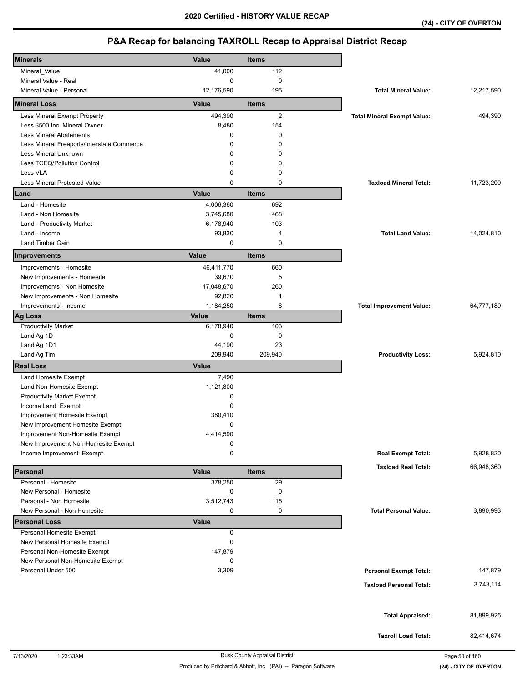| <b>Minerals</b>                            | Value        | <b>Items</b>   |                                    |            |
|--------------------------------------------|--------------|----------------|------------------------------------|------------|
| Mineral_Value                              | 41,000       | 112            |                                    |            |
| Mineral Value - Real                       | 0            | $\mathbf 0$    |                                    |            |
| Mineral Value - Personal                   | 12,176,590   | 195            | <b>Total Mineral Value:</b>        | 12,217,590 |
| <b>Mineral Loss</b>                        | Value        | <b>Items</b>   |                                    |            |
| Less Mineral Exempt Property               | 494,390      | $\overline{2}$ | <b>Total Mineral Exempt Value:</b> | 494,390    |
| Less \$500 Inc. Mineral Owner              | 8,480        | 154            |                                    |            |
| <b>Less Mineral Abatements</b>             | 0            | $\mathbf 0$    |                                    |            |
| Less Mineral Freeports/Interstate Commerce | 0            | $\Omega$       |                                    |            |
| <b>Less Mineral Unknown</b>                | 0            | $\Omega$       |                                    |            |
| Less TCEQ/Pollution Control                | 0            | $\mathbf 0$    |                                    |            |
| Less VLA                                   | 0            | 0              |                                    |            |
| Less Mineral Protested Value               | $\Omega$     | $\mathbf 0$    | <b>Taxload Mineral Total:</b>      | 11,723,200 |
| Land                                       | Value        | <b>Items</b>   |                                    |            |
| Land - Homesite                            | 4,006,360    | 692            |                                    |            |
| Land - Non Homesite                        | 3,745,680    | 468            |                                    |            |
| Land - Productivity Market                 | 6,178,940    | 103            |                                    |            |
| Land - Income                              | 93,830       | 4              | <b>Total Land Value:</b>           | 14,024,810 |
| <b>Land Timber Gain</b>                    | 0            | 0              |                                    |            |
| Improvements                               | Value        | <b>Items</b>   |                                    |            |
| Improvements - Homesite                    | 46,411,770   | 660            |                                    |            |
| New Improvements - Homesite                | 39,670       | 5              |                                    |            |
| Improvements - Non Homesite                | 17,048,670   | 260            |                                    |            |
| New Improvements - Non Homesite            | 92,820       | $\mathbf 1$    |                                    |            |
| Improvements - Income                      | 1,184,250    | 8              | <b>Total Improvement Value:</b>    | 64,777,180 |
| <b>Ag Loss</b>                             | Value        | <b>Items</b>   |                                    |            |
| <b>Productivity Market</b>                 | 6,178,940    | 103            |                                    |            |
| Land Ag 1D                                 | 0            | 0              |                                    |            |
| Land Ag 1D1                                | 44,190       | 23             |                                    |            |
| Land Ag Tim                                | 209,940      | 209,940        | <b>Productivity Loss:</b>          | 5,924,810  |
| <b>Real Loss</b>                           | <b>Value</b> |                |                                    |            |
| Land Homesite Exempt                       | 7,490        |                |                                    |            |
| Land Non-Homesite Exempt                   | 1,121,800    |                |                                    |            |
| <b>Productivity Market Exempt</b>          | 0            |                |                                    |            |
| Income Land Exempt                         | 0            |                |                                    |            |
| Improvement Homesite Exempt                | 380,410      |                |                                    |            |
| New Improvement Homesite Exempt            | 0            |                |                                    |            |
| Improvement Non-Homesite Exempt            | 4,414,590    |                |                                    |            |
| New Improvement Non-Homesite Exempt        | 0            |                |                                    |            |
| Income Improvement Exempt                  | 0            |                | <b>Real Exempt Total:</b>          | 5,928,820  |
| Personal                                   | Value        | <b>Items</b>   | <b>Taxload Real Total:</b>         | 66,948,360 |
| Personal - Homesite                        | 378,250      | 29             |                                    |            |
| New Personal - Homesite                    | 0            | 0              |                                    |            |
| Personal - Non Homesite                    | 3,512,743    | 115            |                                    |            |
| New Personal - Non Homesite                | 0            | 0              | <b>Total Personal Value:</b>       | 3,890,993  |
| <b>Personal Loss</b>                       | <b>Value</b> |                |                                    |            |
| Personal Homesite Exempt                   | 0            |                |                                    |            |
| New Personal Homesite Exempt               | 0            |                |                                    |            |
| Personal Non-Homesite Exempt               | 147,879      |                |                                    |            |
| New Personal Non-Homesite Exempt           | 0            |                |                                    |            |
| Personal Under 500                         | 3,309        |                | <b>Personal Exempt Total:</b>      | 147,879    |
|                                            |              |                | <b>Taxload Personal Total:</b>     | 3,743,114  |
|                                            |              |                |                                    |            |
|                                            |              |                |                                    |            |
|                                            |              |                | <b>Total Appraised:</b>            | 81,899,925 |
|                                            |              |                | <b>Taxroll Load Total:</b>         | 82,414,674 |
|                                            |              |                |                                    |            |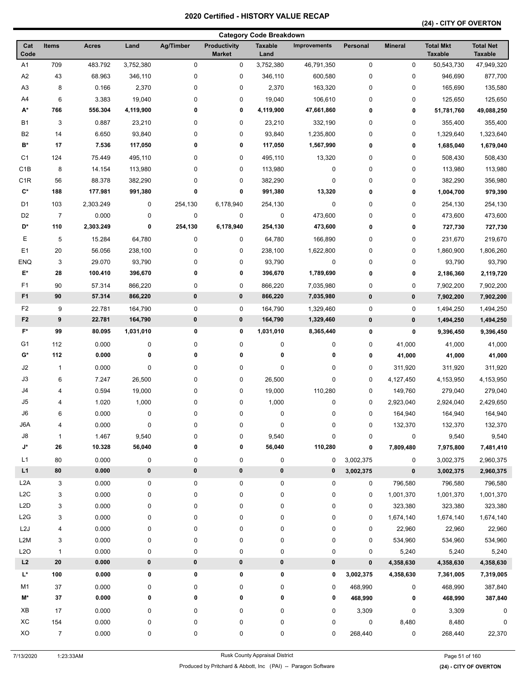## **(24) - CITY OF OVERTON**

| <b>Taxable</b><br><b>Total Mkt</b><br><b>Total Net</b><br>Cat<br><b>Items</b><br>Land<br>Ag/Timber<br><b>Productivity</b><br><b>Mineral</b><br><b>Acres</b><br><b>Improvements</b><br>Personal<br>Code<br><b>Market</b><br>Land<br><b>Taxable</b><br><b>Taxable</b><br>A <sub>1</sub><br>709<br>483.792<br>3,752,380<br>0<br>0<br>3,752,380<br>46,791,350<br>$\pmb{0}$<br>0<br>50,543,730<br>47,949,320<br>A <sub>2</sub><br>43<br>$\pmb{0}$<br>68.963<br>346,110<br>0<br>346,110<br>600,580<br>0<br>0<br>946,690<br>877,700<br>A <sub>3</sub><br>8<br>0.166<br>2,370<br>0<br>0<br>2,370<br>163,320<br>0<br>0<br>165,690<br>135,580<br>A4<br>6<br>3.383<br>19,040<br>0<br>19,040<br>0<br>106,610<br>0<br>0<br>125,650<br>125,650<br>A*<br>766<br>556.304<br>0<br>4,119,900<br>0<br>4,119,900<br>47,661,860<br>0<br>0<br>51,781,760<br>49,088,250<br>B1<br>3<br>0.887<br>23,210<br>0<br>0<br>23,210<br>332,190<br>0<br>0<br>355,400<br>355,400<br>B <sub>2</sub><br>0<br>14<br>6.650<br>0<br>0<br>0<br>1,323,640<br>93,840<br>93,840<br>1,235,800<br>1,329,640<br>B*<br>17<br>7.536<br>0<br>117,050<br>0<br>117,050<br>1,567,990<br>0<br>0<br>1,685,040<br>1,679,040<br>C <sub>1</sub><br>124<br>75.449<br>495,110<br>0<br>0<br>495,110<br>13,320<br>0<br>0<br>508,430<br>508,430<br>C <sub>1</sub> B<br>8<br>14.154<br>113,980<br>0<br>0<br>113,980<br>0<br>0<br>0<br>113,980<br>113,980<br>C <sub>1</sub> R<br>0<br>0<br>56<br>88.378<br>382,290<br>0<br>382,290<br>0<br>0<br>382,290<br>356,980<br>$\mathbf{C}^{\star}$<br>188<br>0<br>991,380<br>13,320<br>177.981<br>991,380<br>0<br>0<br>0<br>1,004,700<br>979,390<br>6,178,940<br>0<br>D1<br>103<br>2,303.249<br>0<br>254,130<br>254,130<br>0<br>0<br>254,130<br>254,130<br>D <sub>2</sub><br>0<br>$\overline{7}$<br>0.000<br>0<br>0<br>0<br>473,600<br>0<br>0<br>473,600<br>473,600<br>D*<br>110<br>2,303.249<br>0<br>254,130<br>6,178,940<br>254,130<br>473,600<br>0<br>0<br>727,730<br>727,730<br>Е<br>5<br>15.284<br>64,780<br>0<br>0<br>64,780<br>166,890<br>0<br>0<br>231,670<br>219,670<br>E <sub>1</sub><br>1,806,260<br>20<br>56.056<br>238,100<br>0<br>0<br>1,622,800<br>0<br>0<br>1,860,900<br>238,100<br><b>ENQ</b><br>3<br>0<br>29.070<br>93,790<br>0<br>93,790<br>0<br>0<br>0<br>93,790<br>93,790<br>E*<br>28<br>0<br>1,789,690<br>100.410<br>396,670<br>0<br>396,670<br>0<br>0<br>2,119,720<br>2,186,360<br>F1<br>90<br>0<br>57.314<br>866,220<br>0<br>866,220<br>7,035,980<br>0<br>0<br>7,902,200<br>7,902,200<br>F <sub>1</sub><br>90<br>57.314<br>$\pmb{0}$<br>0<br>866,220<br>866,220<br>7,035,980<br>$\pmb{0}$<br>$\mathbf 0$<br>7,902,200<br>7,902,200<br>F <sub>2</sub><br>0<br>$\pmb{0}$<br>9<br>22.781<br>164,790<br>0<br>164,790<br>1,329,460<br>0<br>1,494,250<br>1,494,250<br>F <sub>2</sub><br>9<br>22.781<br>$\pmb{0}$<br>0<br>$\pmb{0}$<br>$\pmb{0}$<br>164,790<br>164,790<br>1,329,460<br>1,494,250<br>1,494,250<br>$F^*$<br>99<br>80.095<br>1,031,010<br>0<br>0<br>1,031,010<br>8,365,440<br>$\pmb{0}$<br>0<br>9,396,450<br>9,396,450<br>G <sub>1</sub><br>112<br>0.000<br>0<br>0<br>0<br>0<br>0<br>0<br>41,000<br>41,000<br>41,000<br>112<br>G*<br>0.000<br>0<br>0<br>0<br>0<br>0<br>0<br>41,000<br>41,000<br>41,000<br>J2<br>$\pmb{0}$<br>$\pmb{0}$<br>0<br>0<br>0<br>$\mathbf{1}$<br>0.000<br>0<br>311,920<br>311,920<br>311,920<br>J3<br>0<br>7.247<br>26,500<br>0<br>0<br>26,500<br>0<br>4,153,950<br>4,153,950<br>6<br>4,127,450<br>J4<br>0.594<br>19,000<br>0<br>0<br>19,000<br>110,280<br>0<br>279,040<br>279,040<br>4<br>149,760<br>J <sub>5</sub><br>0<br>1.020<br>1,000<br>0<br>0<br>1,000<br>0<br>2,923,040<br>2,924,040<br>2,429,650<br>4<br>J6<br>0<br>6<br>0.000<br>0<br>0<br>0<br>0<br>0<br>164,940<br>164,940<br>164,940<br>J6A<br>0.000<br>$\pmb{0}$<br>0<br>0<br>0<br>132,370<br>132,370<br>132,370<br>0<br>0<br>4<br>J8<br>9,540<br>9,540<br>1.467<br>0<br>0<br>$\pmb{0}$<br>9,540<br>9,540<br>$\mathbf{1}$<br>0<br>0<br>J*<br>26<br>10.328<br>56,040<br>0<br>56,040<br>110,280<br>0<br>0<br>7,809,480<br>7,481,410<br>7,975,800<br>L1<br>80<br>0.000<br>0<br>3,002,375<br>0<br>0<br>0<br>0<br>0<br>3,002,375<br>2,960,375<br>$\pmb{0}$<br>L1<br>${\bf 80}$<br>0.000<br>$\pmb{0}$<br>$\pmb{0}$<br>0<br>0<br>3,002,375<br>0<br>2,960,375<br>3,002,375<br>L <sub>2</sub> A<br>3<br>0.000<br>0<br>0<br>0<br>0<br>$\pmb{0}$<br>796,580<br>0<br>796,580<br>796,580<br>L <sub>2</sub> C<br>3<br>0.000<br>$\pmb{0}$<br>0<br>0<br>0<br>$\pmb{0}$<br>1,001,370<br>1,001,370<br>1,001,370<br>0<br>L <sub>2</sub> D<br>0.000<br>$\pmb{0}$<br>0<br>0<br>323,380<br>3<br>0<br>0<br>0<br>323,380<br>323,380<br>L2G<br>3<br>0.000<br>0<br>0<br>0<br>0<br>0<br>1,674,140<br>1,674,140<br>1,674,140<br>0<br>L <sub>2</sub> J<br>0.000<br>0<br>22,960<br>22,960<br>0<br>0<br>0<br>0<br>0<br>22,960<br>4<br>L <sub>2</sub> M<br>0.000<br>0<br>0<br>3<br>0<br>0<br>0<br>0<br>534,960<br>534,960<br>534,960<br>L2O<br>0.000<br>0<br>0<br>0<br>5,240<br>5,240<br>$\mathbf{1}$<br>0<br>0<br>0<br>5,240<br>L2<br>${\bf 20}$<br>0.000<br>$\pmb{0}$<br>$\bf{0}$<br>0<br>$\pmb{0}$<br>0<br>$\pmb{0}$<br>4,358,630<br>4,358,630<br>4,358,630<br>L*<br>100<br>0.000<br>0<br>0<br>0<br>0<br>0<br>3,002,375<br>4,358,630<br>7,361,005<br>7,319,005<br>M1<br>37<br>0.000<br>468,990<br>387,840<br>0<br>0<br>0<br>0<br>0<br>468,990<br>0<br>M*<br>37<br>0.000<br>0<br>0<br>0<br>0<br>0<br>468,990<br>387,840<br>0<br>468,990<br>XB<br>17<br>0.000<br>0<br>$\pmb{0}$<br>0<br>0<br>0<br>0<br>3,309<br>3,309<br>0<br>XC<br>0.000<br>0<br>154<br>0<br>0<br>0<br>0<br>0<br>8,480<br>8,480<br>0<br>XO<br>$\overline{7}$<br>0.000<br>0<br>0<br>0<br>0<br>0<br>268,440<br>0<br>268,440<br>22,370 | <b>Category Code Breakdown</b> |  |  |  |  |  |  |  |  |  |  |  |
|-------------------------------------------------------------------------------------------------------------------------------------------------------------------------------------------------------------------------------------------------------------------------------------------------------------------------------------------------------------------------------------------------------------------------------------------------------------------------------------------------------------------------------------------------------------------------------------------------------------------------------------------------------------------------------------------------------------------------------------------------------------------------------------------------------------------------------------------------------------------------------------------------------------------------------------------------------------------------------------------------------------------------------------------------------------------------------------------------------------------------------------------------------------------------------------------------------------------------------------------------------------------------------------------------------------------------------------------------------------------------------------------------------------------------------------------------------------------------------------------------------------------------------------------------------------------------------------------------------------------------------------------------------------------------------------------------------------------------------------------------------------------------------------------------------------------------------------------------------------------------------------------------------------------------------------------------------------------------------------------------------------------------------------------------------------------------------------------------------------------------------------------------------------------------------------------------------------------------------------------------------------------------------------------------------------------------------------------------------------------------------------------------------------------------------------------------------------------------------------------------------------------------------------------------------------------------------------------------------------------------------------------------------------------------------------------------------------------------------------------------------------------------------------------------------------------------------------------------------------------------------------------------------------------------------------------------------------------------------------------------------------------------------------------------------------------------------------------------------------------------------------------------------------------------------------------------------------------------------------------------------------------------------------------------------------------------------------------------------------------------------------------------------------------------------------------------------------------------------------------------------------------------------------------------------------------------------------------------------------------------------------------------------------------------------------------------------------------------------------------------------------------------------------------------------------------------------------------------------------------------------------------------------------------------------------------------------------------------------------------------------------------------------------------------------------------------------------------------------------------------------------------------------------------------------------------------------------------------------------------------------------------------------------------------------------------------------------------------------------------------------------------------------------------------------------------------------------------------------------------------------------------------------------------------------------------------------------------------------------------------------------------------------------------------------------------------------------------------------------------------------------------------------------------------------------------------------------------------------------------------------------------------------------------------------------------------------------------------------------------------------------------------------------------------------------------------------------------------------------------------------------------------------------------------------------------------------------------------------------------------------------------------------------------------------------------------------------------------------------------------------------------------------------------------------------------------------------------------------------------------------------------------------------------------------------------------------------------------------------------------------------------------------------------|--------------------------------|--|--|--|--|--|--|--|--|--|--|--|
|                                                                                                                                                                                                                                                                                                                                                                                                                                                                                                                                                                                                                                                                                                                                                                                                                                                                                                                                                                                                                                                                                                                                                                                                                                                                                                                                                                                                                                                                                                                                                                                                                                                                                                                                                                                                                                                                                                                                                                                                                                                                                                                                                                                                                                                                                                                                                                                                                                                                                                                                                                                                                                                                                                                                                                                                                                                                                                                                                                                                                                                                                                                                                                                                                                                                                                                                                                                                                                                                                                                                                                                                                                                                                                                                                                                                                                                                                                                                                                                                                                                                                                                                                                                                                                                                                                                                                                                                                                                                                                                                                                                                                                                                                                                                                                                                                                                                                                                                                                                                                                                                                                                                                                                                                                                                                                                                                                                                                                                                                                                                                                                                                                                                   |                                |  |  |  |  |  |  |  |  |  |  |  |
|                                                                                                                                                                                                                                                                                                                                                                                                                                                                                                                                                                                                                                                                                                                                                                                                                                                                                                                                                                                                                                                                                                                                                                                                                                                                                                                                                                                                                                                                                                                                                                                                                                                                                                                                                                                                                                                                                                                                                                                                                                                                                                                                                                                                                                                                                                                                                                                                                                                                                                                                                                                                                                                                                                                                                                                                                                                                                                                                                                                                                                                                                                                                                                                                                                                                                                                                                                                                                                                                                                                                                                                                                                                                                                                                                                                                                                                                                                                                                                                                                                                                                                                                                                                                                                                                                                                                                                                                                                                                                                                                                                                                                                                                                                                                                                                                                                                                                                                                                                                                                                                                                                                                                                                                                                                                                                                                                                                                                                                                                                                                                                                                                                                                   |                                |  |  |  |  |  |  |  |  |  |  |  |
|                                                                                                                                                                                                                                                                                                                                                                                                                                                                                                                                                                                                                                                                                                                                                                                                                                                                                                                                                                                                                                                                                                                                                                                                                                                                                                                                                                                                                                                                                                                                                                                                                                                                                                                                                                                                                                                                                                                                                                                                                                                                                                                                                                                                                                                                                                                                                                                                                                                                                                                                                                                                                                                                                                                                                                                                                                                                                                                                                                                                                                                                                                                                                                                                                                                                                                                                                                                                                                                                                                                                                                                                                                                                                                                                                                                                                                                                                                                                                                                                                                                                                                                                                                                                                                                                                                                                                                                                                                                                                                                                                                                                                                                                                                                                                                                                                                                                                                                                                                                                                                                                                                                                                                                                                                                                                                                                                                                                                                                                                                                                                                                                                                                                   |                                |  |  |  |  |  |  |  |  |  |  |  |
|                                                                                                                                                                                                                                                                                                                                                                                                                                                                                                                                                                                                                                                                                                                                                                                                                                                                                                                                                                                                                                                                                                                                                                                                                                                                                                                                                                                                                                                                                                                                                                                                                                                                                                                                                                                                                                                                                                                                                                                                                                                                                                                                                                                                                                                                                                                                                                                                                                                                                                                                                                                                                                                                                                                                                                                                                                                                                                                                                                                                                                                                                                                                                                                                                                                                                                                                                                                                                                                                                                                                                                                                                                                                                                                                                                                                                                                                                                                                                                                                                                                                                                                                                                                                                                                                                                                                                                                                                                                                                                                                                                                                                                                                                                                                                                                                                                                                                                                                                                                                                                                                                                                                                                                                                                                                                                                                                                                                                                                                                                                                                                                                                                                                   |                                |  |  |  |  |  |  |  |  |  |  |  |
|                                                                                                                                                                                                                                                                                                                                                                                                                                                                                                                                                                                                                                                                                                                                                                                                                                                                                                                                                                                                                                                                                                                                                                                                                                                                                                                                                                                                                                                                                                                                                                                                                                                                                                                                                                                                                                                                                                                                                                                                                                                                                                                                                                                                                                                                                                                                                                                                                                                                                                                                                                                                                                                                                                                                                                                                                                                                                                                                                                                                                                                                                                                                                                                                                                                                                                                                                                                                                                                                                                                                                                                                                                                                                                                                                                                                                                                                                                                                                                                                                                                                                                                                                                                                                                                                                                                                                                                                                                                                                                                                                                                                                                                                                                                                                                                                                                                                                                                                                                                                                                                                                                                                                                                                                                                                                                                                                                                                                                                                                                                                                                                                                                                                   |                                |  |  |  |  |  |  |  |  |  |  |  |
|                                                                                                                                                                                                                                                                                                                                                                                                                                                                                                                                                                                                                                                                                                                                                                                                                                                                                                                                                                                                                                                                                                                                                                                                                                                                                                                                                                                                                                                                                                                                                                                                                                                                                                                                                                                                                                                                                                                                                                                                                                                                                                                                                                                                                                                                                                                                                                                                                                                                                                                                                                                                                                                                                                                                                                                                                                                                                                                                                                                                                                                                                                                                                                                                                                                                                                                                                                                                                                                                                                                                                                                                                                                                                                                                                                                                                                                                                                                                                                                                                                                                                                                                                                                                                                                                                                                                                                                                                                                                                                                                                                                                                                                                                                                                                                                                                                                                                                                                                                                                                                                                                                                                                                                                                                                                                                                                                                                                                                                                                                                                                                                                                                                                   |                                |  |  |  |  |  |  |  |  |  |  |  |
|                                                                                                                                                                                                                                                                                                                                                                                                                                                                                                                                                                                                                                                                                                                                                                                                                                                                                                                                                                                                                                                                                                                                                                                                                                                                                                                                                                                                                                                                                                                                                                                                                                                                                                                                                                                                                                                                                                                                                                                                                                                                                                                                                                                                                                                                                                                                                                                                                                                                                                                                                                                                                                                                                                                                                                                                                                                                                                                                                                                                                                                                                                                                                                                                                                                                                                                                                                                                                                                                                                                                                                                                                                                                                                                                                                                                                                                                                                                                                                                                                                                                                                                                                                                                                                                                                                                                                                                                                                                                                                                                                                                                                                                                                                                                                                                                                                                                                                                                                                                                                                                                                                                                                                                                                                                                                                                                                                                                                                                                                                                                                                                                                                                                   |                                |  |  |  |  |  |  |  |  |  |  |  |
|                                                                                                                                                                                                                                                                                                                                                                                                                                                                                                                                                                                                                                                                                                                                                                                                                                                                                                                                                                                                                                                                                                                                                                                                                                                                                                                                                                                                                                                                                                                                                                                                                                                                                                                                                                                                                                                                                                                                                                                                                                                                                                                                                                                                                                                                                                                                                                                                                                                                                                                                                                                                                                                                                                                                                                                                                                                                                                                                                                                                                                                                                                                                                                                                                                                                                                                                                                                                                                                                                                                                                                                                                                                                                                                                                                                                                                                                                                                                                                                                                                                                                                                                                                                                                                                                                                                                                                                                                                                                                                                                                                                                                                                                                                                                                                                                                                                                                                                                                                                                                                                                                                                                                                                                                                                                                                                                                                                                                                                                                                                                                                                                                                                                   |                                |  |  |  |  |  |  |  |  |  |  |  |
|                                                                                                                                                                                                                                                                                                                                                                                                                                                                                                                                                                                                                                                                                                                                                                                                                                                                                                                                                                                                                                                                                                                                                                                                                                                                                                                                                                                                                                                                                                                                                                                                                                                                                                                                                                                                                                                                                                                                                                                                                                                                                                                                                                                                                                                                                                                                                                                                                                                                                                                                                                                                                                                                                                                                                                                                                                                                                                                                                                                                                                                                                                                                                                                                                                                                                                                                                                                                                                                                                                                                                                                                                                                                                                                                                                                                                                                                                                                                                                                                                                                                                                                                                                                                                                                                                                                                                                                                                                                                                                                                                                                                                                                                                                                                                                                                                                                                                                                                                                                                                                                                                                                                                                                                                                                                                                                                                                                                                                                                                                                                                                                                                                                                   |                                |  |  |  |  |  |  |  |  |  |  |  |
|                                                                                                                                                                                                                                                                                                                                                                                                                                                                                                                                                                                                                                                                                                                                                                                                                                                                                                                                                                                                                                                                                                                                                                                                                                                                                                                                                                                                                                                                                                                                                                                                                                                                                                                                                                                                                                                                                                                                                                                                                                                                                                                                                                                                                                                                                                                                                                                                                                                                                                                                                                                                                                                                                                                                                                                                                                                                                                                                                                                                                                                                                                                                                                                                                                                                                                                                                                                                                                                                                                                                                                                                                                                                                                                                                                                                                                                                                                                                                                                                                                                                                                                                                                                                                                                                                                                                                                                                                                                                                                                                                                                                                                                                                                                                                                                                                                                                                                                                                                                                                                                                                                                                                                                                                                                                                                                                                                                                                                                                                                                                                                                                                                                                   |                                |  |  |  |  |  |  |  |  |  |  |  |
|                                                                                                                                                                                                                                                                                                                                                                                                                                                                                                                                                                                                                                                                                                                                                                                                                                                                                                                                                                                                                                                                                                                                                                                                                                                                                                                                                                                                                                                                                                                                                                                                                                                                                                                                                                                                                                                                                                                                                                                                                                                                                                                                                                                                                                                                                                                                                                                                                                                                                                                                                                                                                                                                                                                                                                                                                                                                                                                                                                                                                                                                                                                                                                                                                                                                                                                                                                                                                                                                                                                                                                                                                                                                                                                                                                                                                                                                                                                                                                                                                                                                                                                                                                                                                                                                                                                                                                                                                                                                                                                                                                                                                                                                                                                                                                                                                                                                                                                                                                                                                                                                                                                                                                                                                                                                                                                                                                                                                                                                                                                                                                                                                                                                   |                                |  |  |  |  |  |  |  |  |  |  |  |
|                                                                                                                                                                                                                                                                                                                                                                                                                                                                                                                                                                                                                                                                                                                                                                                                                                                                                                                                                                                                                                                                                                                                                                                                                                                                                                                                                                                                                                                                                                                                                                                                                                                                                                                                                                                                                                                                                                                                                                                                                                                                                                                                                                                                                                                                                                                                                                                                                                                                                                                                                                                                                                                                                                                                                                                                                                                                                                                                                                                                                                                                                                                                                                                                                                                                                                                                                                                                                                                                                                                                                                                                                                                                                                                                                                                                                                                                                                                                                                                                                                                                                                                                                                                                                                                                                                                                                                                                                                                                                                                                                                                                                                                                                                                                                                                                                                                                                                                                                                                                                                                                                                                                                                                                                                                                                                                                                                                                                                                                                                                                                                                                                                                                   |                                |  |  |  |  |  |  |  |  |  |  |  |
|                                                                                                                                                                                                                                                                                                                                                                                                                                                                                                                                                                                                                                                                                                                                                                                                                                                                                                                                                                                                                                                                                                                                                                                                                                                                                                                                                                                                                                                                                                                                                                                                                                                                                                                                                                                                                                                                                                                                                                                                                                                                                                                                                                                                                                                                                                                                                                                                                                                                                                                                                                                                                                                                                                                                                                                                                                                                                                                                                                                                                                                                                                                                                                                                                                                                                                                                                                                                                                                                                                                                                                                                                                                                                                                                                                                                                                                                                                                                                                                                                                                                                                                                                                                                                                                                                                                                                                                                                                                                                                                                                                                                                                                                                                                                                                                                                                                                                                                                                                                                                                                                                                                                                                                                                                                                                                                                                                                                                                                                                                                                                                                                                                                                   |                                |  |  |  |  |  |  |  |  |  |  |  |
|                                                                                                                                                                                                                                                                                                                                                                                                                                                                                                                                                                                                                                                                                                                                                                                                                                                                                                                                                                                                                                                                                                                                                                                                                                                                                                                                                                                                                                                                                                                                                                                                                                                                                                                                                                                                                                                                                                                                                                                                                                                                                                                                                                                                                                                                                                                                                                                                                                                                                                                                                                                                                                                                                                                                                                                                                                                                                                                                                                                                                                                                                                                                                                                                                                                                                                                                                                                                                                                                                                                                                                                                                                                                                                                                                                                                                                                                                                                                                                                                                                                                                                                                                                                                                                                                                                                                                                                                                                                                                                                                                                                                                                                                                                                                                                                                                                                                                                                                                                                                                                                                                                                                                                                                                                                                                                                                                                                                                                                                                                                                                                                                                                                                   |                                |  |  |  |  |  |  |  |  |  |  |  |
|                                                                                                                                                                                                                                                                                                                                                                                                                                                                                                                                                                                                                                                                                                                                                                                                                                                                                                                                                                                                                                                                                                                                                                                                                                                                                                                                                                                                                                                                                                                                                                                                                                                                                                                                                                                                                                                                                                                                                                                                                                                                                                                                                                                                                                                                                                                                                                                                                                                                                                                                                                                                                                                                                                                                                                                                                                                                                                                                                                                                                                                                                                                                                                                                                                                                                                                                                                                                                                                                                                                                                                                                                                                                                                                                                                                                                                                                                                                                                                                                                                                                                                                                                                                                                                                                                                                                                                                                                                                                                                                                                                                                                                                                                                                                                                                                                                                                                                                                                                                                                                                                                                                                                                                                                                                                                                                                                                                                                                                                                                                                                                                                                                                                   |                                |  |  |  |  |  |  |  |  |  |  |  |
|                                                                                                                                                                                                                                                                                                                                                                                                                                                                                                                                                                                                                                                                                                                                                                                                                                                                                                                                                                                                                                                                                                                                                                                                                                                                                                                                                                                                                                                                                                                                                                                                                                                                                                                                                                                                                                                                                                                                                                                                                                                                                                                                                                                                                                                                                                                                                                                                                                                                                                                                                                                                                                                                                                                                                                                                                                                                                                                                                                                                                                                                                                                                                                                                                                                                                                                                                                                                                                                                                                                                                                                                                                                                                                                                                                                                                                                                                                                                                                                                                                                                                                                                                                                                                                                                                                                                                                                                                                                                                                                                                                                                                                                                                                                                                                                                                                                                                                                                                                                                                                                                                                                                                                                                                                                                                                                                                                                                                                                                                                                                                                                                                                                                   |                                |  |  |  |  |  |  |  |  |  |  |  |
|                                                                                                                                                                                                                                                                                                                                                                                                                                                                                                                                                                                                                                                                                                                                                                                                                                                                                                                                                                                                                                                                                                                                                                                                                                                                                                                                                                                                                                                                                                                                                                                                                                                                                                                                                                                                                                                                                                                                                                                                                                                                                                                                                                                                                                                                                                                                                                                                                                                                                                                                                                                                                                                                                                                                                                                                                                                                                                                                                                                                                                                                                                                                                                                                                                                                                                                                                                                                                                                                                                                                                                                                                                                                                                                                                                                                                                                                                                                                                                                                                                                                                                                                                                                                                                                                                                                                                                                                                                                                                                                                                                                                                                                                                                                                                                                                                                                                                                                                                                                                                                                                                                                                                                                                                                                                                                                                                                                                                                                                                                                                                                                                                                                                   |                                |  |  |  |  |  |  |  |  |  |  |  |
|                                                                                                                                                                                                                                                                                                                                                                                                                                                                                                                                                                                                                                                                                                                                                                                                                                                                                                                                                                                                                                                                                                                                                                                                                                                                                                                                                                                                                                                                                                                                                                                                                                                                                                                                                                                                                                                                                                                                                                                                                                                                                                                                                                                                                                                                                                                                                                                                                                                                                                                                                                                                                                                                                                                                                                                                                                                                                                                                                                                                                                                                                                                                                                                                                                                                                                                                                                                                                                                                                                                                                                                                                                                                                                                                                                                                                                                                                                                                                                                                                                                                                                                                                                                                                                                                                                                                                                                                                                                                                                                                                                                                                                                                                                                                                                                                                                                                                                                                                                                                                                                                                                                                                                                                                                                                                                                                                                                                                                                                                                                                                                                                                                                                   |                                |  |  |  |  |  |  |  |  |  |  |  |
|                                                                                                                                                                                                                                                                                                                                                                                                                                                                                                                                                                                                                                                                                                                                                                                                                                                                                                                                                                                                                                                                                                                                                                                                                                                                                                                                                                                                                                                                                                                                                                                                                                                                                                                                                                                                                                                                                                                                                                                                                                                                                                                                                                                                                                                                                                                                                                                                                                                                                                                                                                                                                                                                                                                                                                                                                                                                                                                                                                                                                                                                                                                                                                                                                                                                                                                                                                                                                                                                                                                                                                                                                                                                                                                                                                                                                                                                                                                                                                                                                                                                                                                                                                                                                                                                                                                                                                                                                                                                                                                                                                                                                                                                                                                                                                                                                                                                                                                                                                                                                                                                                                                                                                                                                                                                                                                                                                                                                                                                                                                                                                                                                                                                   |                                |  |  |  |  |  |  |  |  |  |  |  |
|                                                                                                                                                                                                                                                                                                                                                                                                                                                                                                                                                                                                                                                                                                                                                                                                                                                                                                                                                                                                                                                                                                                                                                                                                                                                                                                                                                                                                                                                                                                                                                                                                                                                                                                                                                                                                                                                                                                                                                                                                                                                                                                                                                                                                                                                                                                                                                                                                                                                                                                                                                                                                                                                                                                                                                                                                                                                                                                                                                                                                                                                                                                                                                                                                                                                                                                                                                                                                                                                                                                                                                                                                                                                                                                                                                                                                                                                                                                                                                                                                                                                                                                                                                                                                                                                                                                                                                                                                                                                                                                                                                                                                                                                                                                                                                                                                                                                                                                                                                                                                                                                                                                                                                                                                                                                                                                                                                                                                                                                                                                                                                                                                                                                   |                                |  |  |  |  |  |  |  |  |  |  |  |
|                                                                                                                                                                                                                                                                                                                                                                                                                                                                                                                                                                                                                                                                                                                                                                                                                                                                                                                                                                                                                                                                                                                                                                                                                                                                                                                                                                                                                                                                                                                                                                                                                                                                                                                                                                                                                                                                                                                                                                                                                                                                                                                                                                                                                                                                                                                                                                                                                                                                                                                                                                                                                                                                                                                                                                                                                                                                                                                                                                                                                                                                                                                                                                                                                                                                                                                                                                                                                                                                                                                                                                                                                                                                                                                                                                                                                                                                                                                                                                                                                                                                                                                                                                                                                                                                                                                                                                                                                                                                                                                                                                                                                                                                                                                                                                                                                                                                                                                                                                                                                                                                                                                                                                                                                                                                                                                                                                                                                                                                                                                                                                                                                                                                   |                                |  |  |  |  |  |  |  |  |  |  |  |
|                                                                                                                                                                                                                                                                                                                                                                                                                                                                                                                                                                                                                                                                                                                                                                                                                                                                                                                                                                                                                                                                                                                                                                                                                                                                                                                                                                                                                                                                                                                                                                                                                                                                                                                                                                                                                                                                                                                                                                                                                                                                                                                                                                                                                                                                                                                                                                                                                                                                                                                                                                                                                                                                                                                                                                                                                                                                                                                                                                                                                                                                                                                                                                                                                                                                                                                                                                                                                                                                                                                                                                                                                                                                                                                                                                                                                                                                                                                                                                                                                                                                                                                                                                                                                                                                                                                                                                                                                                                                                                                                                                                                                                                                                                                                                                                                                                                                                                                                                                                                                                                                                                                                                                                                                                                                                                                                                                                                                                                                                                                                                                                                                                                                   |                                |  |  |  |  |  |  |  |  |  |  |  |
|                                                                                                                                                                                                                                                                                                                                                                                                                                                                                                                                                                                                                                                                                                                                                                                                                                                                                                                                                                                                                                                                                                                                                                                                                                                                                                                                                                                                                                                                                                                                                                                                                                                                                                                                                                                                                                                                                                                                                                                                                                                                                                                                                                                                                                                                                                                                                                                                                                                                                                                                                                                                                                                                                                                                                                                                                                                                                                                                                                                                                                                                                                                                                                                                                                                                                                                                                                                                                                                                                                                                                                                                                                                                                                                                                                                                                                                                                                                                                                                                                                                                                                                                                                                                                                                                                                                                                                                                                                                                                                                                                                                                                                                                                                                                                                                                                                                                                                                                                                                                                                                                                                                                                                                                                                                                                                                                                                                                                                                                                                                                                                                                                                                                   |                                |  |  |  |  |  |  |  |  |  |  |  |
|                                                                                                                                                                                                                                                                                                                                                                                                                                                                                                                                                                                                                                                                                                                                                                                                                                                                                                                                                                                                                                                                                                                                                                                                                                                                                                                                                                                                                                                                                                                                                                                                                                                                                                                                                                                                                                                                                                                                                                                                                                                                                                                                                                                                                                                                                                                                                                                                                                                                                                                                                                                                                                                                                                                                                                                                                                                                                                                                                                                                                                                                                                                                                                                                                                                                                                                                                                                                                                                                                                                                                                                                                                                                                                                                                                                                                                                                                                                                                                                                                                                                                                                                                                                                                                                                                                                                                                                                                                                                                                                                                                                                                                                                                                                                                                                                                                                                                                                                                                                                                                                                                                                                                                                                                                                                                                                                                                                                                                                                                                                                                                                                                                                                   |                                |  |  |  |  |  |  |  |  |  |  |  |
|                                                                                                                                                                                                                                                                                                                                                                                                                                                                                                                                                                                                                                                                                                                                                                                                                                                                                                                                                                                                                                                                                                                                                                                                                                                                                                                                                                                                                                                                                                                                                                                                                                                                                                                                                                                                                                                                                                                                                                                                                                                                                                                                                                                                                                                                                                                                                                                                                                                                                                                                                                                                                                                                                                                                                                                                                                                                                                                                                                                                                                                                                                                                                                                                                                                                                                                                                                                                                                                                                                                                                                                                                                                                                                                                                                                                                                                                                                                                                                                                                                                                                                                                                                                                                                                                                                                                                                                                                                                                                                                                                                                                                                                                                                                                                                                                                                                                                                                                                                                                                                                                                                                                                                                                                                                                                                                                                                                                                                                                                                                                                                                                                                                                   |                                |  |  |  |  |  |  |  |  |  |  |  |
|                                                                                                                                                                                                                                                                                                                                                                                                                                                                                                                                                                                                                                                                                                                                                                                                                                                                                                                                                                                                                                                                                                                                                                                                                                                                                                                                                                                                                                                                                                                                                                                                                                                                                                                                                                                                                                                                                                                                                                                                                                                                                                                                                                                                                                                                                                                                                                                                                                                                                                                                                                                                                                                                                                                                                                                                                                                                                                                                                                                                                                                                                                                                                                                                                                                                                                                                                                                                                                                                                                                                                                                                                                                                                                                                                                                                                                                                                                                                                                                                                                                                                                                                                                                                                                                                                                                                                                                                                                                                                                                                                                                                                                                                                                                                                                                                                                                                                                                                                                                                                                                                                                                                                                                                                                                                                                                                                                                                                                                                                                                                                                                                                                                                   |                                |  |  |  |  |  |  |  |  |  |  |  |
|                                                                                                                                                                                                                                                                                                                                                                                                                                                                                                                                                                                                                                                                                                                                                                                                                                                                                                                                                                                                                                                                                                                                                                                                                                                                                                                                                                                                                                                                                                                                                                                                                                                                                                                                                                                                                                                                                                                                                                                                                                                                                                                                                                                                                                                                                                                                                                                                                                                                                                                                                                                                                                                                                                                                                                                                                                                                                                                                                                                                                                                                                                                                                                                                                                                                                                                                                                                                                                                                                                                                                                                                                                                                                                                                                                                                                                                                                                                                                                                                                                                                                                                                                                                                                                                                                                                                                                                                                                                                                                                                                                                                                                                                                                                                                                                                                                                                                                                                                                                                                                                                                                                                                                                                                                                                                                                                                                                                                                                                                                                                                                                                                                                                   |                                |  |  |  |  |  |  |  |  |  |  |  |
|                                                                                                                                                                                                                                                                                                                                                                                                                                                                                                                                                                                                                                                                                                                                                                                                                                                                                                                                                                                                                                                                                                                                                                                                                                                                                                                                                                                                                                                                                                                                                                                                                                                                                                                                                                                                                                                                                                                                                                                                                                                                                                                                                                                                                                                                                                                                                                                                                                                                                                                                                                                                                                                                                                                                                                                                                                                                                                                                                                                                                                                                                                                                                                                                                                                                                                                                                                                                                                                                                                                                                                                                                                                                                                                                                                                                                                                                                                                                                                                                                                                                                                                                                                                                                                                                                                                                                                                                                                                                                                                                                                                                                                                                                                                                                                                                                                                                                                                                                                                                                                                                                                                                                                                                                                                                                                                                                                                                                                                                                                                                                                                                                                                                   |                                |  |  |  |  |  |  |  |  |  |  |  |
|                                                                                                                                                                                                                                                                                                                                                                                                                                                                                                                                                                                                                                                                                                                                                                                                                                                                                                                                                                                                                                                                                                                                                                                                                                                                                                                                                                                                                                                                                                                                                                                                                                                                                                                                                                                                                                                                                                                                                                                                                                                                                                                                                                                                                                                                                                                                                                                                                                                                                                                                                                                                                                                                                                                                                                                                                                                                                                                                                                                                                                                                                                                                                                                                                                                                                                                                                                                                                                                                                                                                                                                                                                                                                                                                                                                                                                                                                                                                                                                                                                                                                                                                                                                                                                                                                                                                                                                                                                                                                                                                                                                                                                                                                                                                                                                                                                                                                                                                                                                                                                                                                                                                                                                                                                                                                                                                                                                                                                                                                                                                                                                                                                                                   |                                |  |  |  |  |  |  |  |  |  |  |  |
|                                                                                                                                                                                                                                                                                                                                                                                                                                                                                                                                                                                                                                                                                                                                                                                                                                                                                                                                                                                                                                                                                                                                                                                                                                                                                                                                                                                                                                                                                                                                                                                                                                                                                                                                                                                                                                                                                                                                                                                                                                                                                                                                                                                                                                                                                                                                                                                                                                                                                                                                                                                                                                                                                                                                                                                                                                                                                                                                                                                                                                                                                                                                                                                                                                                                                                                                                                                                                                                                                                                                                                                                                                                                                                                                                                                                                                                                                                                                                                                                                                                                                                                                                                                                                                                                                                                                                                                                                                                                                                                                                                                                                                                                                                                                                                                                                                                                                                                                                                                                                                                                                                                                                                                                                                                                                                                                                                                                                                                                                                                                                                                                                                                                   |                                |  |  |  |  |  |  |  |  |  |  |  |
|                                                                                                                                                                                                                                                                                                                                                                                                                                                                                                                                                                                                                                                                                                                                                                                                                                                                                                                                                                                                                                                                                                                                                                                                                                                                                                                                                                                                                                                                                                                                                                                                                                                                                                                                                                                                                                                                                                                                                                                                                                                                                                                                                                                                                                                                                                                                                                                                                                                                                                                                                                                                                                                                                                                                                                                                                                                                                                                                                                                                                                                                                                                                                                                                                                                                                                                                                                                                                                                                                                                                                                                                                                                                                                                                                                                                                                                                                                                                                                                                                                                                                                                                                                                                                                                                                                                                                                                                                                                                                                                                                                                                                                                                                                                                                                                                                                                                                                                                                                                                                                                                                                                                                                                                                                                                                                                                                                                                                                                                                                                                                                                                                                                                   |                                |  |  |  |  |  |  |  |  |  |  |  |
|                                                                                                                                                                                                                                                                                                                                                                                                                                                                                                                                                                                                                                                                                                                                                                                                                                                                                                                                                                                                                                                                                                                                                                                                                                                                                                                                                                                                                                                                                                                                                                                                                                                                                                                                                                                                                                                                                                                                                                                                                                                                                                                                                                                                                                                                                                                                                                                                                                                                                                                                                                                                                                                                                                                                                                                                                                                                                                                                                                                                                                                                                                                                                                                                                                                                                                                                                                                                                                                                                                                                                                                                                                                                                                                                                                                                                                                                                                                                                                                                                                                                                                                                                                                                                                                                                                                                                                                                                                                                                                                                                                                                                                                                                                                                                                                                                                                                                                                                                                                                                                                                                                                                                                                                                                                                                                                                                                                                                                                                                                                                                                                                                                                                   |                                |  |  |  |  |  |  |  |  |  |  |  |
|                                                                                                                                                                                                                                                                                                                                                                                                                                                                                                                                                                                                                                                                                                                                                                                                                                                                                                                                                                                                                                                                                                                                                                                                                                                                                                                                                                                                                                                                                                                                                                                                                                                                                                                                                                                                                                                                                                                                                                                                                                                                                                                                                                                                                                                                                                                                                                                                                                                                                                                                                                                                                                                                                                                                                                                                                                                                                                                                                                                                                                                                                                                                                                                                                                                                                                                                                                                                                                                                                                                                                                                                                                                                                                                                                                                                                                                                                                                                                                                                                                                                                                                                                                                                                                                                                                                                                                                                                                                                                                                                                                                                                                                                                                                                                                                                                                                                                                                                                                                                                                                                                                                                                                                                                                                                                                                                                                                                                                                                                                                                                                                                                                                                   |                                |  |  |  |  |  |  |  |  |  |  |  |
|                                                                                                                                                                                                                                                                                                                                                                                                                                                                                                                                                                                                                                                                                                                                                                                                                                                                                                                                                                                                                                                                                                                                                                                                                                                                                                                                                                                                                                                                                                                                                                                                                                                                                                                                                                                                                                                                                                                                                                                                                                                                                                                                                                                                                                                                                                                                                                                                                                                                                                                                                                                                                                                                                                                                                                                                                                                                                                                                                                                                                                                                                                                                                                                                                                                                                                                                                                                                                                                                                                                                                                                                                                                                                                                                                                                                                                                                                                                                                                                                                                                                                                                                                                                                                                                                                                                                                                                                                                                                                                                                                                                                                                                                                                                                                                                                                                                                                                                                                                                                                                                                                                                                                                                                                                                                                                                                                                                                                                                                                                                                                                                                                                                                   |                                |  |  |  |  |  |  |  |  |  |  |  |
|                                                                                                                                                                                                                                                                                                                                                                                                                                                                                                                                                                                                                                                                                                                                                                                                                                                                                                                                                                                                                                                                                                                                                                                                                                                                                                                                                                                                                                                                                                                                                                                                                                                                                                                                                                                                                                                                                                                                                                                                                                                                                                                                                                                                                                                                                                                                                                                                                                                                                                                                                                                                                                                                                                                                                                                                                                                                                                                                                                                                                                                                                                                                                                                                                                                                                                                                                                                                                                                                                                                                                                                                                                                                                                                                                                                                                                                                                                                                                                                                                                                                                                                                                                                                                                                                                                                                                                                                                                                                                                                                                                                                                                                                                                                                                                                                                                                                                                                                                                                                                                                                                                                                                                                                                                                                                                                                                                                                                                                                                                                                                                                                                                                                   |                                |  |  |  |  |  |  |  |  |  |  |  |
|                                                                                                                                                                                                                                                                                                                                                                                                                                                                                                                                                                                                                                                                                                                                                                                                                                                                                                                                                                                                                                                                                                                                                                                                                                                                                                                                                                                                                                                                                                                                                                                                                                                                                                                                                                                                                                                                                                                                                                                                                                                                                                                                                                                                                                                                                                                                                                                                                                                                                                                                                                                                                                                                                                                                                                                                                                                                                                                                                                                                                                                                                                                                                                                                                                                                                                                                                                                                                                                                                                                                                                                                                                                                                                                                                                                                                                                                                                                                                                                                                                                                                                                                                                                                                                                                                                                                                                                                                                                                                                                                                                                                                                                                                                                                                                                                                                                                                                                                                                                                                                                                                                                                                                                                                                                                                                                                                                                                                                                                                                                                                                                                                                                                   |                                |  |  |  |  |  |  |  |  |  |  |  |
|                                                                                                                                                                                                                                                                                                                                                                                                                                                                                                                                                                                                                                                                                                                                                                                                                                                                                                                                                                                                                                                                                                                                                                                                                                                                                                                                                                                                                                                                                                                                                                                                                                                                                                                                                                                                                                                                                                                                                                                                                                                                                                                                                                                                                                                                                                                                                                                                                                                                                                                                                                                                                                                                                                                                                                                                                                                                                                                                                                                                                                                                                                                                                                                                                                                                                                                                                                                                                                                                                                                                                                                                                                                                                                                                                                                                                                                                                                                                                                                                                                                                                                                                                                                                                                                                                                                                                                                                                                                                                                                                                                                                                                                                                                                                                                                                                                                                                                                                                                                                                                                                                                                                                                                                                                                                                                                                                                                                                                                                                                                                                                                                                                                                   |                                |  |  |  |  |  |  |  |  |  |  |  |
|                                                                                                                                                                                                                                                                                                                                                                                                                                                                                                                                                                                                                                                                                                                                                                                                                                                                                                                                                                                                                                                                                                                                                                                                                                                                                                                                                                                                                                                                                                                                                                                                                                                                                                                                                                                                                                                                                                                                                                                                                                                                                                                                                                                                                                                                                                                                                                                                                                                                                                                                                                                                                                                                                                                                                                                                                                                                                                                                                                                                                                                                                                                                                                                                                                                                                                                                                                                                                                                                                                                                                                                                                                                                                                                                                                                                                                                                                                                                                                                                                                                                                                                                                                                                                                                                                                                                                                                                                                                                                                                                                                                                                                                                                                                                                                                                                                                                                                                                                                                                                                                                                                                                                                                                                                                                                                                                                                                                                                                                                                                                                                                                                                                                   |                                |  |  |  |  |  |  |  |  |  |  |  |
|                                                                                                                                                                                                                                                                                                                                                                                                                                                                                                                                                                                                                                                                                                                                                                                                                                                                                                                                                                                                                                                                                                                                                                                                                                                                                                                                                                                                                                                                                                                                                                                                                                                                                                                                                                                                                                                                                                                                                                                                                                                                                                                                                                                                                                                                                                                                                                                                                                                                                                                                                                                                                                                                                                                                                                                                                                                                                                                                                                                                                                                                                                                                                                                                                                                                                                                                                                                                                                                                                                                                                                                                                                                                                                                                                                                                                                                                                                                                                                                                                                                                                                                                                                                                                                                                                                                                                                                                                                                                                                                                                                                                                                                                                                                                                                                                                                                                                                                                                                                                                                                                                                                                                                                                                                                                                                                                                                                                                                                                                                                                                                                                                                                                   |                                |  |  |  |  |  |  |  |  |  |  |  |
|                                                                                                                                                                                                                                                                                                                                                                                                                                                                                                                                                                                                                                                                                                                                                                                                                                                                                                                                                                                                                                                                                                                                                                                                                                                                                                                                                                                                                                                                                                                                                                                                                                                                                                                                                                                                                                                                                                                                                                                                                                                                                                                                                                                                                                                                                                                                                                                                                                                                                                                                                                                                                                                                                                                                                                                                                                                                                                                                                                                                                                                                                                                                                                                                                                                                                                                                                                                                                                                                                                                                                                                                                                                                                                                                                                                                                                                                                                                                                                                                                                                                                                                                                                                                                                                                                                                                                                                                                                                                                                                                                                                                                                                                                                                                                                                                                                                                                                                                                                                                                                                                                                                                                                                                                                                                                                                                                                                                                                                                                                                                                                                                                                                                   |                                |  |  |  |  |  |  |  |  |  |  |  |
|                                                                                                                                                                                                                                                                                                                                                                                                                                                                                                                                                                                                                                                                                                                                                                                                                                                                                                                                                                                                                                                                                                                                                                                                                                                                                                                                                                                                                                                                                                                                                                                                                                                                                                                                                                                                                                                                                                                                                                                                                                                                                                                                                                                                                                                                                                                                                                                                                                                                                                                                                                                                                                                                                                                                                                                                                                                                                                                                                                                                                                                                                                                                                                                                                                                                                                                                                                                                                                                                                                                                                                                                                                                                                                                                                                                                                                                                                                                                                                                                                                                                                                                                                                                                                                                                                                                                                                                                                                                                                                                                                                                                                                                                                                                                                                                                                                                                                                                                                                                                                                                                                                                                                                                                                                                                                                                                                                                                                                                                                                                                                                                                                                                                   |                                |  |  |  |  |  |  |  |  |  |  |  |
|                                                                                                                                                                                                                                                                                                                                                                                                                                                                                                                                                                                                                                                                                                                                                                                                                                                                                                                                                                                                                                                                                                                                                                                                                                                                                                                                                                                                                                                                                                                                                                                                                                                                                                                                                                                                                                                                                                                                                                                                                                                                                                                                                                                                                                                                                                                                                                                                                                                                                                                                                                                                                                                                                                                                                                                                                                                                                                                                                                                                                                                                                                                                                                                                                                                                                                                                                                                                                                                                                                                                                                                                                                                                                                                                                                                                                                                                                                                                                                                                                                                                                                                                                                                                                                                                                                                                                                                                                                                                                                                                                                                                                                                                                                                                                                                                                                                                                                                                                                                                                                                                                                                                                                                                                                                                                                                                                                                                                                                                                                                                                                                                                                                                   |                                |  |  |  |  |  |  |  |  |  |  |  |
|                                                                                                                                                                                                                                                                                                                                                                                                                                                                                                                                                                                                                                                                                                                                                                                                                                                                                                                                                                                                                                                                                                                                                                                                                                                                                                                                                                                                                                                                                                                                                                                                                                                                                                                                                                                                                                                                                                                                                                                                                                                                                                                                                                                                                                                                                                                                                                                                                                                                                                                                                                                                                                                                                                                                                                                                                                                                                                                                                                                                                                                                                                                                                                                                                                                                                                                                                                                                                                                                                                                                                                                                                                                                                                                                                                                                                                                                                                                                                                                                                                                                                                                                                                                                                                                                                                                                                                                                                                                                                                                                                                                                                                                                                                                                                                                                                                                                                                                                                                                                                                                                                                                                                                                                                                                                                                                                                                                                                                                                                                                                                                                                                                                                   |                                |  |  |  |  |  |  |  |  |  |  |  |
|                                                                                                                                                                                                                                                                                                                                                                                                                                                                                                                                                                                                                                                                                                                                                                                                                                                                                                                                                                                                                                                                                                                                                                                                                                                                                                                                                                                                                                                                                                                                                                                                                                                                                                                                                                                                                                                                                                                                                                                                                                                                                                                                                                                                                                                                                                                                                                                                                                                                                                                                                                                                                                                                                                                                                                                                                                                                                                                                                                                                                                                                                                                                                                                                                                                                                                                                                                                                                                                                                                                                                                                                                                                                                                                                                                                                                                                                                                                                                                                                                                                                                                                                                                                                                                                                                                                                                                                                                                                                                                                                                                                                                                                                                                                                                                                                                                                                                                                                                                                                                                                                                                                                                                                                                                                                                                                                                                                                                                                                                                                                                                                                                                                                   |                                |  |  |  |  |  |  |  |  |  |  |  |
|                                                                                                                                                                                                                                                                                                                                                                                                                                                                                                                                                                                                                                                                                                                                                                                                                                                                                                                                                                                                                                                                                                                                                                                                                                                                                                                                                                                                                                                                                                                                                                                                                                                                                                                                                                                                                                                                                                                                                                                                                                                                                                                                                                                                                                                                                                                                                                                                                                                                                                                                                                                                                                                                                                                                                                                                                                                                                                                                                                                                                                                                                                                                                                                                                                                                                                                                                                                                                                                                                                                                                                                                                                                                                                                                                                                                                                                                                                                                                                                                                                                                                                                                                                                                                                                                                                                                                                                                                                                                                                                                                                                                                                                                                                                                                                                                                                                                                                                                                                                                                                                                                                                                                                                                                                                                                                                                                                                                                                                                                                                                                                                                                                                                   |                                |  |  |  |  |  |  |  |  |  |  |  |
|                                                                                                                                                                                                                                                                                                                                                                                                                                                                                                                                                                                                                                                                                                                                                                                                                                                                                                                                                                                                                                                                                                                                                                                                                                                                                                                                                                                                                                                                                                                                                                                                                                                                                                                                                                                                                                                                                                                                                                                                                                                                                                                                                                                                                                                                                                                                                                                                                                                                                                                                                                                                                                                                                                                                                                                                                                                                                                                                                                                                                                                                                                                                                                                                                                                                                                                                                                                                                                                                                                                                                                                                                                                                                                                                                                                                                                                                                                                                                                                                                                                                                                                                                                                                                                                                                                                                                                                                                                                                                                                                                                                                                                                                                                                                                                                                                                                                                                                                                                                                                                                                                                                                                                                                                                                                                                                                                                                                                                                                                                                                                                                                                                                                   |                                |  |  |  |  |  |  |  |  |  |  |  |
|                                                                                                                                                                                                                                                                                                                                                                                                                                                                                                                                                                                                                                                                                                                                                                                                                                                                                                                                                                                                                                                                                                                                                                                                                                                                                                                                                                                                                                                                                                                                                                                                                                                                                                                                                                                                                                                                                                                                                                                                                                                                                                                                                                                                                                                                                                                                                                                                                                                                                                                                                                                                                                                                                                                                                                                                                                                                                                                                                                                                                                                                                                                                                                                                                                                                                                                                                                                                                                                                                                                                                                                                                                                                                                                                                                                                                                                                                                                                                                                                                                                                                                                                                                                                                                                                                                                                                                                                                                                                                                                                                                                                                                                                                                                                                                                                                                                                                                                                                                                                                                                                                                                                                                                                                                                                                                                                                                                                                                                                                                                                                                                                                                                                   |                                |  |  |  |  |  |  |  |  |  |  |  |
|                                                                                                                                                                                                                                                                                                                                                                                                                                                                                                                                                                                                                                                                                                                                                                                                                                                                                                                                                                                                                                                                                                                                                                                                                                                                                                                                                                                                                                                                                                                                                                                                                                                                                                                                                                                                                                                                                                                                                                                                                                                                                                                                                                                                                                                                                                                                                                                                                                                                                                                                                                                                                                                                                                                                                                                                                                                                                                                                                                                                                                                                                                                                                                                                                                                                                                                                                                                                                                                                                                                                                                                                                                                                                                                                                                                                                                                                                                                                                                                                                                                                                                                                                                                                                                                                                                                                                                                                                                                                                                                                                                                                                                                                                                                                                                                                                                                                                                                                                                                                                                                                                                                                                                                                                                                                                                                                                                                                                                                                                                                                                                                                                                                                   |                                |  |  |  |  |  |  |  |  |  |  |  |
|                                                                                                                                                                                                                                                                                                                                                                                                                                                                                                                                                                                                                                                                                                                                                                                                                                                                                                                                                                                                                                                                                                                                                                                                                                                                                                                                                                                                                                                                                                                                                                                                                                                                                                                                                                                                                                                                                                                                                                                                                                                                                                                                                                                                                                                                                                                                                                                                                                                                                                                                                                                                                                                                                                                                                                                                                                                                                                                                                                                                                                                                                                                                                                                                                                                                                                                                                                                                                                                                                                                                                                                                                                                                                                                                                                                                                                                                                                                                                                                                                                                                                                                                                                                                                                                                                                                                                                                                                                                                                                                                                                                                                                                                                                                                                                                                                                                                                                                                                                                                                                                                                                                                                                                                                                                                                                                                                                                                                                                                                                                                                                                                                                                                   |                                |  |  |  |  |  |  |  |  |  |  |  |
|                                                                                                                                                                                                                                                                                                                                                                                                                                                                                                                                                                                                                                                                                                                                                                                                                                                                                                                                                                                                                                                                                                                                                                                                                                                                                                                                                                                                                                                                                                                                                                                                                                                                                                                                                                                                                                                                                                                                                                                                                                                                                                                                                                                                                                                                                                                                                                                                                                                                                                                                                                                                                                                                                                                                                                                                                                                                                                                                                                                                                                                                                                                                                                                                                                                                                                                                                                                                                                                                                                                                                                                                                                                                                                                                                                                                                                                                                                                                                                                                                                                                                                                                                                                                                                                                                                                                                                                                                                                                                                                                                                                                                                                                                                                                                                                                                                                                                                                                                                                                                                                                                                                                                                                                                                                                                                                                                                                                                                                                                                                                                                                                                                                                   |                                |  |  |  |  |  |  |  |  |  |  |  |
|                                                                                                                                                                                                                                                                                                                                                                                                                                                                                                                                                                                                                                                                                                                                                                                                                                                                                                                                                                                                                                                                                                                                                                                                                                                                                                                                                                                                                                                                                                                                                                                                                                                                                                                                                                                                                                                                                                                                                                                                                                                                                                                                                                                                                                                                                                                                                                                                                                                                                                                                                                                                                                                                                                                                                                                                                                                                                                                                                                                                                                                                                                                                                                                                                                                                                                                                                                                                                                                                                                                                                                                                                                                                                                                                                                                                                                                                                                                                                                                                                                                                                                                                                                                                                                                                                                                                                                                                                                                                                                                                                                                                                                                                                                                                                                                                                                                                                                                                                                                                                                                                                                                                                                                                                                                                                                                                                                                                                                                                                                                                                                                                                                                                   |                                |  |  |  |  |  |  |  |  |  |  |  |
|                                                                                                                                                                                                                                                                                                                                                                                                                                                                                                                                                                                                                                                                                                                                                                                                                                                                                                                                                                                                                                                                                                                                                                                                                                                                                                                                                                                                                                                                                                                                                                                                                                                                                                                                                                                                                                                                                                                                                                                                                                                                                                                                                                                                                                                                                                                                                                                                                                                                                                                                                                                                                                                                                                                                                                                                                                                                                                                                                                                                                                                                                                                                                                                                                                                                                                                                                                                                                                                                                                                                                                                                                                                                                                                                                                                                                                                                                                                                                                                                                                                                                                                                                                                                                                                                                                                                                                                                                                                                                                                                                                                                                                                                                                                                                                                                                                                                                                                                                                                                                                                                                                                                                                                                                                                                                                                                                                                                                                                                                                                                                                                                                                                                   |                                |  |  |  |  |  |  |  |  |  |  |  |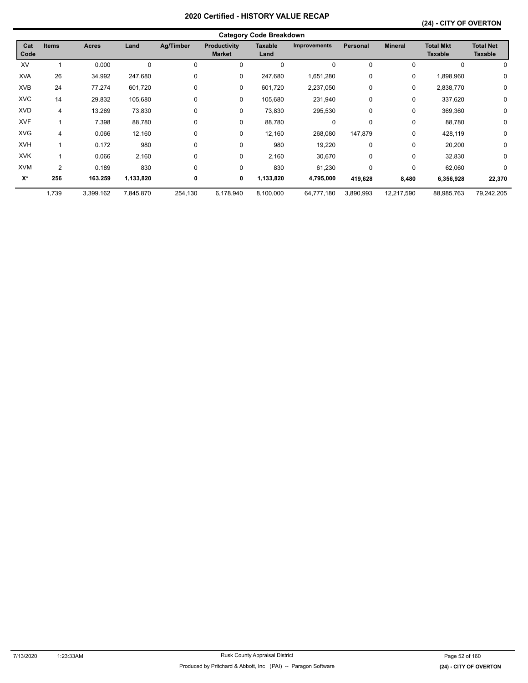## **(24) - CITY OF OVERTON**

|             | <b>Category Code Breakdown</b> |              |             |           |                                      |                 |                     |                 |                |                                    |                                    |  |
|-------------|--------------------------------|--------------|-------------|-----------|--------------------------------------|-----------------|---------------------|-----------------|----------------|------------------------------------|------------------------------------|--|
| Cat<br>Code | <b>Items</b>                   | <b>Acres</b> | Land        | Ag/Timber | <b>Productivity</b><br><b>Market</b> | Taxable<br>Land | <b>Improvements</b> | <b>Personal</b> | <b>Mineral</b> | <b>Total Mkt</b><br><b>Taxable</b> | <b>Total Net</b><br><b>Taxable</b> |  |
| XV          |                                | 0.000        | $\mathbf 0$ | $\Omega$  | 0                                    | 0               | 0                   | 0               | $\mathbf 0$    | $\Omega$                           | 0                                  |  |
| <b>XVA</b>  | 26                             | 34.992       | 247,680     | 0         | 0                                    | 247,680         | 1,651,280           | 0               | 0              | 1,898,960                          | 0                                  |  |
| <b>XVB</b>  | 24                             | 77.274       | 601,720     | 0         | 0                                    | 601,720         | 2,237,050           | 0               | 0              | 2,838,770                          | 0                                  |  |
| <b>XVC</b>  | 14                             | 29.832       | 105,680     | 0         | 0                                    | 105,680         | 231,940             | $\mathbf 0$     | 0              | 337,620                            | 0                                  |  |
| <b>XVD</b>  | 4                              | 13.269       | 73,830      | 0         | 0                                    | 73,830          | 295,530             | 0               | 0              | 369,360                            | 0                                  |  |
| <b>XVF</b>  |                                | 7.398        | 88,780      | $\Omega$  | 0                                    | 88,780          | 0                   | $\Omega$        | 0              | 88,780                             | 0                                  |  |
| <b>XVG</b>  | 4                              | 0.066        | 12,160      | $\Omega$  | 0                                    | 12,160          | 268,080             | 147,879         | 0              | 428,119                            | 0                                  |  |
| <b>XVH</b>  |                                | 0.172        | 980         | $\Omega$  | 0                                    | 980             | 19,220              | $\mathbf 0$     | $\mathbf 0$    | 20,200                             | 0                                  |  |
| <b>XVK</b>  |                                | 0.066        | 2,160       | 0         | 0                                    | 2,160           | 30,670              | 0               | 0              | 32,830                             | 0                                  |  |
| <b>XVM</b>  | 2                              | 0.189        | 830         | 0         | 0                                    | 830             | 61,230              | 0               | $\mathbf 0$    | 62,060                             | $\Omega$                           |  |
| $X^*$       | 256                            | 163.259      | 1,133,820   | 0         | 0                                    | 1,133,820       | 4,795,000           | 419,628         | 8,480          | 6,356,928                          | 22,370                             |  |
|             | 1,739                          | 3,399.162    | 7,845,870   | 254,130   | 6,178,940                            | 8,100,000       | 64,777,180          | 3,890,993       | 12,217,590     | 88,985,763                         | 79,242,205                         |  |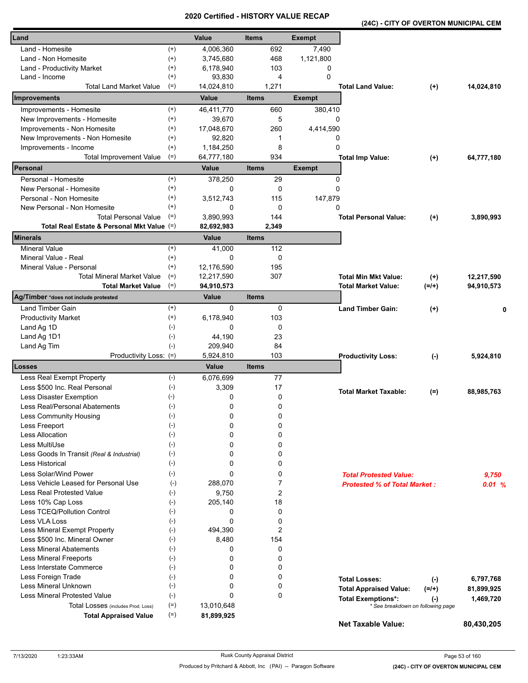**(24C) - CITY OF OVERTON MUNICIPAL CEM** 

| Land                                                          |                | Value            | <b>Items</b>        | <b>Exempt</b> |                                                                         |            |
|---------------------------------------------------------------|----------------|------------------|---------------------|---------------|-------------------------------------------------------------------------|------------|
| Land - Homesite                                               | $^{(+)}$       | 4,006,360        | 692                 | 7,490         |                                                                         |            |
| Land - Non Homesite                                           | $^{(+)}$       | 3,745,680        | 468                 | 1,121,800     |                                                                         |            |
| Land - Productivity Market                                    | $^{(+)}$       | 6,178,940        | 103                 | 0             |                                                                         |            |
| Land - Income                                                 | $^{(+)}$       | 93,830           | 4                   | 0             |                                                                         |            |
| <b>Total Land Market Value</b>                                | $(=)$          | 14,024,810       | 1,271               |               | <b>Total Land Value:</b><br>$(+)$                                       | 14,024,810 |
| Improvements                                                  |                | Value            | <b>Items</b>        | <b>Exempt</b> |                                                                         |            |
| Improvements - Homesite                                       | $^{(+)}$       | 46,411,770       | 660                 | 380,410       |                                                                         |            |
| New Improvements - Homesite                                   | $^{(+)}$       | 39,670           | 5                   | 0             |                                                                         |            |
| Improvements - Non Homesite                                   | $^{(+)}$       | 17,048,670       | 260                 | 4,414,590     |                                                                         |            |
| New Improvements - Non Homesite                               | $^{(+)}$       | 92,820           | 1                   | 0             |                                                                         |            |
| Improvements - Income                                         | $^{(+)}$       | 1,184,250        | 8                   | 0             |                                                                         |            |
| <b>Total Improvement Value</b>                                | $(=)$          | 64,777,180       | 934                 |               | <b>Total Imp Value:</b><br>$(+)$                                        | 64,777,180 |
| Personal                                                      |                | Value            | <b>Items</b>        | <b>Exempt</b> |                                                                         |            |
| Personal - Homesite                                           | $^{(+)}$       | 378,250          | 29                  | 0             |                                                                         |            |
| New Personal - Homesite                                       | $^{(+)}$       | 0                | 0                   | 0             |                                                                         |            |
| Personal - Non Homesite                                       | $^{(+)}$       | 3,512,743        | 115                 | 147,879       |                                                                         |            |
| New Personal - Non Homesite                                   | $^{(+)}$       | 0                | 0                   | 0             |                                                                         |            |
| <b>Total Personal Value</b>                                   | $(=)$          | 3,890,993        | 144                 |               | <b>Total Personal Value:</b><br>$(+)$                                   | 3,890,993  |
| Total Real Estate & Personal Mkt Value (=)                    |                | 82,692,983       | 2,349               |               |                                                                         |            |
| <b>Minerals</b>                                               |                | Value            | <b>Items</b>        |               |                                                                         |            |
| <b>Mineral Value</b>                                          | $^{(+)}$       | 41,000           | 112                 |               |                                                                         |            |
| Mineral Value - Real                                          | $^{(+)}$       | 0                | 0                   |               |                                                                         |            |
| Mineral Value - Personal                                      | $^{(+)}$       | 12,176,590       | 195                 |               |                                                                         |            |
| <b>Total Mineral Market Value</b>                             | $(=)$          | 12,217,590       | 307                 |               | <b>Total Min Mkt Value:</b><br>$(+)$                                    | 12,217,590 |
| <b>Total Market Value</b>                                     | $(=)$          | 94,910,573       |                     |               | $(=/+)$<br><b>Total Market Value:</b>                                   | 94,910,573 |
| Ag/Timber *does not include protested                         |                | Value            | <b>Items</b>        |               |                                                                         |            |
| Land Timber Gain                                              | $^{(+)}$       | 0                | 0                   |               | <b>Land Timber Gain:</b><br>$(+)$                                       |            |
| <b>Productivity Market</b>                                    | $^{(+)}$       | 6,178,940        | 103                 |               |                                                                         |            |
| Land Ag 1D                                                    | $(-)$          | 0                | 0                   |               |                                                                         |            |
| Land Ag 1D1                                                   | $(-)$          | 44,190           | 23                  |               |                                                                         |            |
| Land Ag Tim                                                   | $(-)$          | 209,940          | 84                  |               |                                                                         |            |
| Productivity Loss: (=)                                        |                | 5,924,810        | 103                 |               | <b>Productivity Loss:</b><br>$(\cdot)$                                  | 5,924,810  |
| <b>Losses</b>                                                 |                | Value            | <b>Items</b>        |               |                                                                         |            |
| Less Real Exempt Property                                     | $(-)$          | 6,076,699        | 77                  |               |                                                                         |            |
| Less \$500 Inc. Real Personal                                 | $(-)$          | 3,309            | 17                  |               | <b>Total Market Taxable:</b><br>$(=)$                                   | 88,985,763 |
| Less Disaster Exemption                                       | $(\cdot)$      | 0                | 0                   |               |                                                                         |            |
| Less Real/Personal Abatements                                 | $(\text{-})$   | 0                | 0                   |               |                                                                         |            |
| Less Community Housing                                        | $(-)$          | 0                | 0                   |               |                                                                         |            |
| Less Freeport                                                 | $(-)$          | 0                | 0                   |               |                                                                         |            |
| <b>Less Allocation</b>                                        | $(-)$          | 0                | 0                   |               |                                                                         |            |
| Less MultiUse                                                 | $(-)$          | 0                | 0                   |               |                                                                         |            |
| Less Goods In Transit (Real & Industrial)                     | $(-)$          | 0                | 0                   |               |                                                                         |            |
| <b>Less Historical</b>                                        | $(-)$          | 0                | 0                   |               |                                                                         |            |
| Less Solar/Wind Power                                         | $(-)$          | 0                | 0                   |               | <b>Total Protested Value:</b>                                           | 9,750      |
| Less Vehicle Leased for Personal Use                          | $(-)$          | 288.070          | 7                   |               | <b>Protested % of Total Market:</b>                                     | 0.01%      |
| <b>Less Real Protested Value</b>                              | $(-)$          | 9,750            | $\overline{2}$      |               |                                                                         |            |
| Less 10% Cap Loss                                             | $(-)$          | 205,140          | 18                  |               |                                                                         |            |
| Less TCEQ/Pollution Control                                   | $(-)$          | 0                | 0                   |               |                                                                         |            |
| Less VLA Loss                                                 | $(-)$          | 0                | 0<br>$\overline{c}$ |               |                                                                         |            |
| Less Mineral Exempt Property<br>Less \$500 Inc. Mineral Owner | $(-)$<br>$(-)$ | 494,390<br>8,480 | 154                 |               |                                                                         |            |
| <b>Less Mineral Abatements</b>                                | $(-)$          | 0                | 0                   |               |                                                                         |            |
| <b>Less Mineral Freeports</b>                                 | $(-)$          | 0                | 0                   |               |                                                                         |            |
| Less Interstate Commerce                                      | $(-)$          | 0                | 0                   |               |                                                                         |            |
| Less Foreign Trade                                            | $(-)$          | 0                | 0                   |               |                                                                         |            |
| Less Mineral Unknown                                          | $(-)$          | 0                | 0                   |               | <b>Total Losses:</b><br>$(-)$                                           | 6,797,768  |
| <b>Less Mineral Protested Value</b>                           | $(-)$          | $\Omega$         | $\mathbf{0}$        |               | <b>Total Appraised Value:</b><br>$(=/+)$                                | 81,899,925 |
| Total Losses (includes Prod. Loss)                            | $(=)$          | 13,010,648       |                     |               | <b>Total Exemptions*:</b><br>$(-)$<br>* See breakdown on following page | 1,469,720  |
| <b>Total Appraised Value</b>                                  | $(=)$          | 81,899,925       |                     |               |                                                                         |            |
|                                                               |                |                  |                     |               | <b>Net Taxable Value:</b>                                               | 80,430,205 |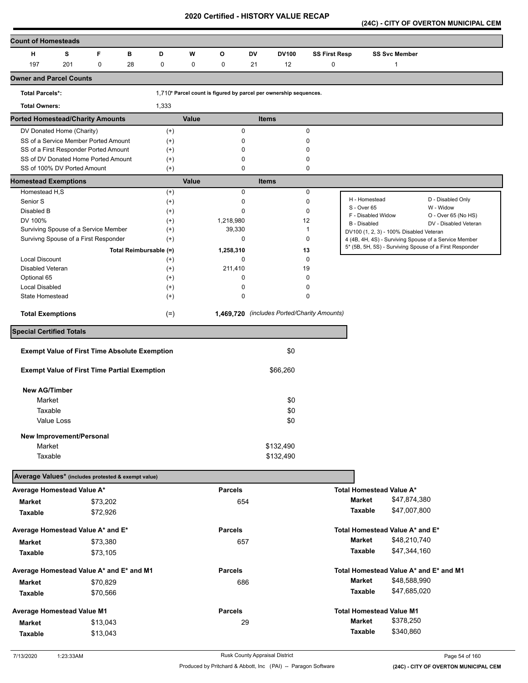**(24C) - CITY OF OVERTON MUNICIPAL CEM** 

| <b>Count of Homesteads</b>                           |          |                        |          |       |                                                                   |                                             |              |                      |                                         |                      |                                                                                                                  |
|------------------------------------------------------|----------|------------------------|----------|-------|-------------------------------------------------------------------|---------------------------------------------|--------------|----------------------|-----------------------------------------|----------------------|------------------------------------------------------------------------------------------------------------------|
| н<br>s                                               | F        | в                      | D        | W     | O                                                                 | DV                                          | <b>DV100</b> | <b>SS First Resp</b> |                                         | <b>SS Svc Member</b> |                                                                                                                  |
| 197<br>201                                           | 0        | 28                     | 0        | 0     | 0                                                                 | 21                                          | 12           | 0                    |                                         | 1                    |                                                                                                                  |
| <b>Owner and Parcel Counts</b>                       |          |                        |          |       |                                                                   |                                             |              |                      |                                         |                      |                                                                                                                  |
| <b>Total Parcels*:</b>                               |          |                        |          |       | 1.710* Parcel count is figured by parcel per ownership sequences. |                                             |              |                      |                                         |                      |                                                                                                                  |
| <b>Total Owners:</b>                                 |          |                        | 1,333    |       |                                                                   |                                             |              |                      |                                         |                      |                                                                                                                  |
| <b>Ported Homestead/Charity Amounts</b>              |          |                        |          | Value |                                                                   | <b>Items</b>                                |              |                      |                                         |                      |                                                                                                                  |
| DV Donated Home (Charity)                            |          |                        | $^{(+)}$ |       | $\mathbf 0$                                                       |                                             |              | $\mathbf 0$          |                                         |                      |                                                                                                                  |
| SS of a Service Member Ported Amount                 |          |                        | $^{(+)}$ |       | 0                                                                 |                                             |              | 0                    |                                         |                      |                                                                                                                  |
| SS of a First Responder Ported Amount                |          |                        | $^{(+)}$ |       | 0                                                                 |                                             |              | 0                    |                                         |                      |                                                                                                                  |
| SS of DV Donated Home Ported Amount                  |          |                        | $^{(+)}$ |       | $\mathbf 0$                                                       |                                             |              | 0                    |                                         |                      |                                                                                                                  |
| SS of 100% DV Ported Amount                          |          |                        | $(+)$    |       | 0                                                                 |                                             |              | $\mathbf 0$          |                                         |                      |                                                                                                                  |
| <b>Homestead Exemptions</b>                          |          |                        |          | Value |                                                                   | <b>Items</b>                                |              |                      |                                         |                      |                                                                                                                  |
| Homestead H,S                                        |          |                        | $^{(+)}$ |       | 0                                                                 |                                             |              | $\pmb{0}$            | H - Homestead                           |                      |                                                                                                                  |
| Senior S                                             |          |                        | $^{(+)}$ |       | 0                                                                 |                                             |              | $\pmb{0}$            | S - Over 65                             |                      | D - Disabled Only<br>W - Widow                                                                                   |
| Disabled B                                           |          |                        | $^{(+)}$ |       | $\mathbf 0$                                                       |                                             |              | $\mathbf 0$          | F - Disabled Widow                      |                      | O - Over 65 (No HS)                                                                                              |
| DV 100%                                              |          |                        | $^{(+)}$ |       | 1,218,980                                                         |                                             | 12           |                      | <b>B</b> - Disabled                     |                      | DV - Disabled Veteran                                                                                            |
| Surviving Spouse of a Service Member                 |          |                        | $^{(+)}$ |       | 39,330                                                            |                                             | 1            |                      | DV100 (1, 2, 3) - 100% Disabled Veteran |                      |                                                                                                                  |
| Survivng Spouse of a First Responder                 |          |                        | $^{(+)}$ |       | 0                                                                 |                                             |              | 0                    |                                         |                      | 4 (4B, 4H, 4S) - Surviving Spouse of a Service Member<br>5* (5B, 5H, 5S) - Surviving Spouse of a First Responder |
|                                                      |          | Total Reimbursable (=) |          |       | 1,258,310                                                         |                                             | 13           |                      |                                         |                      |                                                                                                                  |
| Local Discount                                       |          |                        | $^{(+)}$ |       | 0                                                                 |                                             |              | $\mathbf 0$          |                                         |                      |                                                                                                                  |
| Disabled Veteran                                     |          |                        | $^{(+)}$ |       | 211,410                                                           |                                             | 19           |                      |                                         |                      |                                                                                                                  |
| Optional 65                                          |          |                        | $^{(+)}$ |       | 0                                                                 |                                             |              | 0                    |                                         |                      |                                                                                                                  |
| Local Disabled                                       |          |                        | $^{(+)}$ |       | 0                                                                 |                                             |              | 0                    |                                         |                      |                                                                                                                  |
| <b>State Homestead</b>                               |          |                        | $^{(+)}$ |       | 0                                                                 |                                             |              | $\mathbf 0$          |                                         |                      |                                                                                                                  |
| <b>Total Exemptions</b>                              |          |                        | $(=)$    |       |                                                                   | 1,469,720 (includes Ported/Charity Amounts) |              |                      |                                         |                      |                                                                                                                  |
| <b>Special Certified Totals</b>                      |          |                        |          |       |                                                                   |                                             |              |                      |                                         |                      |                                                                                                                  |
| <b>Exempt Value of First Time Absolute Exemption</b> |          |                        |          |       |                                                                   |                                             | \$0          |                      |                                         |                      |                                                                                                                  |
|                                                      |          |                        |          |       |                                                                   |                                             |              |                      |                                         |                      |                                                                                                                  |
| <b>Exempt Value of First Time Partial Exemption</b>  |          |                        |          |       |                                                                   |                                             | \$66,260     |                      |                                         |                      |                                                                                                                  |
| <b>New AG/Timber</b>                                 |          |                        |          |       |                                                                   |                                             |              |                      |                                         |                      |                                                                                                                  |
| Market                                               |          |                        |          |       |                                                                   |                                             | \$0          |                      |                                         |                      |                                                                                                                  |
| Taxable                                              |          |                        |          |       |                                                                   |                                             |              |                      |                                         |                      |                                                                                                                  |
|                                                      |          |                        |          |       |                                                                   |                                             | \$0          |                      |                                         |                      |                                                                                                                  |
| Value Loss                                           |          |                        |          |       |                                                                   |                                             | \$0          |                      |                                         |                      |                                                                                                                  |
| New Improvement/Personal                             |          |                        |          |       |                                                                   |                                             |              |                      |                                         |                      |                                                                                                                  |
| Market                                               |          |                        |          |       |                                                                   | \$132,490                                   |              |                      |                                         |                      |                                                                                                                  |
| Taxable                                              |          |                        |          |       |                                                                   | \$132,490                                   |              |                      |                                         |                      |                                                                                                                  |
| Average Values* (includes protested & exempt value)  |          |                        |          |       |                                                                   |                                             |              |                      |                                         |                      |                                                                                                                  |
| Average Homestead Value A*                           |          |                        |          |       | <b>Parcels</b>                                                    |                                             |              |                      | Total Homestead Value A*                |                      |                                                                                                                  |
| Market                                               | \$73,202 |                        |          |       | 654                                                               |                                             |              |                      | <b>Market</b>                           | \$47,874,380         |                                                                                                                  |
| Taxable                                              | \$72,926 |                        |          |       |                                                                   |                                             |              |                      | Taxable                                 | \$47,007,800         |                                                                                                                  |
|                                                      |          |                        |          |       |                                                                   |                                             |              |                      |                                         |                      |                                                                                                                  |
| Average Homestead Value A* and E*                    |          |                        |          |       | <b>Parcels</b>                                                    |                                             |              |                      | Total Homestead Value A* and E*         |                      |                                                                                                                  |
| Market                                               | \$73,380 |                        |          |       | 657                                                               |                                             |              |                      | <b>Market</b>                           | \$48,210,740         |                                                                                                                  |
| Taxable                                              | \$73,105 |                        |          |       |                                                                   |                                             |              |                      | Taxable                                 | \$47,344,160         |                                                                                                                  |
| Average Homestead Value A* and E* and M1             |          |                        |          |       | <b>Parcels</b>                                                    |                                             |              |                      |                                         |                      | Total Homestead Value A* and E* and M1                                                                           |
| <b>Market</b>                                        | \$70,829 |                        |          |       | 686                                                               |                                             |              |                      | <b>Market</b>                           | \$48,588,990         |                                                                                                                  |
| Taxable                                              | \$70,566 |                        |          |       |                                                                   |                                             |              |                      | Taxable                                 | \$47,685,020         |                                                                                                                  |
|                                                      |          |                        |          |       |                                                                   |                                             |              |                      |                                         |                      |                                                                                                                  |
| <b>Average Homestead Value M1</b>                    |          |                        |          |       | <b>Parcels</b>                                                    |                                             |              |                      | <b>Total Homestead Value M1</b>         |                      |                                                                                                                  |
| Market                                               | \$13,043 |                        |          |       |                                                                   | 29                                          |              |                      | Market                                  | \$378,250            |                                                                                                                  |
| Taxable                                              | \$13,043 |                        |          |       |                                                                   |                                             |              |                      | <b>Taxable</b>                          | \$340,860            |                                                                                                                  |
|                                                      |          |                        |          |       |                                                                   |                                             |              |                      |                                         |                      |                                                                                                                  |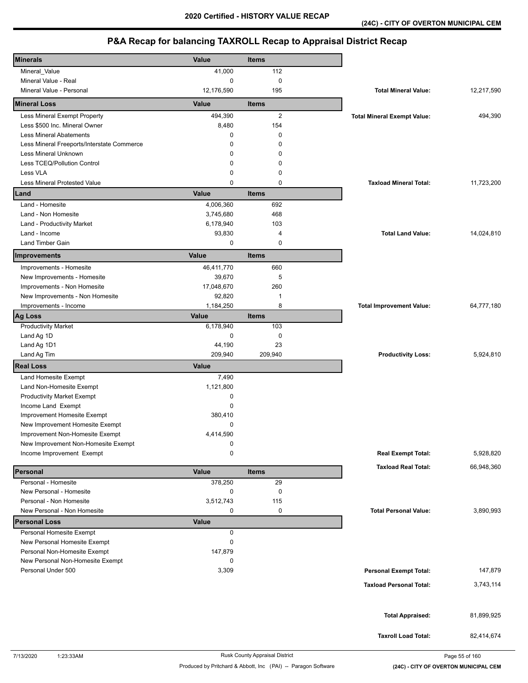| <b>Minerals</b>                            | Value        | <b>Items</b> |                                    |            |
|--------------------------------------------|--------------|--------------|------------------------------------|------------|
| Mineral_Value                              | 41,000       | 112          |                                    |            |
| Mineral Value - Real                       | 0            | 0            |                                    |            |
| Mineral Value - Personal                   | 12,176,590   | 195          | <b>Total Mineral Value:</b>        | 12,217,590 |
| <b>Mineral Loss</b>                        | Value        | <b>Items</b> |                                    |            |
| Less Mineral Exempt Property               | 494,390      | $\mathbf{2}$ | <b>Total Mineral Exempt Value:</b> | 494,390    |
| Less \$500 Inc. Mineral Owner              | 8,480        | 154          |                                    |            |
| Less Mineral Abatements                    | 0            | $\mathbf 0$  |                                    |            |
| Less Mineral Freeports/Interstate Commerce | 0            | $\mathbf 0$  |                                    |            |
| Less Mineral Unknown                       | 0            | 0            |                                    |            |
| Less TCEQ/Pollution Control                | 0            | 0            |                                    |            |
| Less VLA                                   | 0            | $\mathbf 0$  |                                    |            |
| Less Mineral Protested Value               | 0            | 0            | <b>Taxload Mineral Total:</b>      | 11,723,200 |
| Land                                       | Value        | <b>Items</b> |                                    |            |
| Land - Homesite                            | 4,006,360    | 692          |                                    |            |
| Land - Non Homesite                        | 3,745,680    | 468          |                                    |            |
| Land - Productivity Market                 | 6,178,940    | 103          |                                    |            |
| Land - Income                              | 93,830       | 4            | <b>Total Land Value:</b>           | 14,024,810 |
| <b>Land Timber Gain</b>                    | 0            | $\mathbf 0$  |                                    |            |
| Improvements                               | Value        | <b>Items</b> |                                    |            |
| Improvements - Homesite                    | 46,411,770   | 660          |                                    |            |
| New Improvements - Homesite                | 39,670       | 5            |                                    |            |
| Improvements - Non Homesite                | 17,048,670   | 260          |                                    |            |
| New Improvements - Non Homesite            | 92,820       | $\mathbf 1$  |                                    |            |
| Improvements - Income                      | 1,184,250    | 8            | <b>Total Improvement Value:</b>    | 64,777,180 |
| <b>Ag Loss</b>                             | Value        | <b>Items</b> |                                    |            |
| <b>Productivity Market</b>                 | 6,178,940    | 103          |                                    |            |
| Land Ag 1D                                 | 0            | $\mathbf 0$  |                                    |            |
| Land Ag 1D1                                | 44,190       | 23           |                                    |            |
| Land Ag Tim                                | 209,940      | 209,940      | <b>Productivity Loss:</b>          | 5,924,810  |
| <b>Real Loss</b>                           | Value        |              |                                    |            |
| Land Homesite Exempt                       | 7,490        |              |                                    |            |
| Land Non-Homesite Exempt                   | 1,121,800    |              |                                    |            |
| <b>Productivity Market Exempt</b>          | 0            |              |                                    |            |
| Income Land Exempt                         | 0            |              |                                    |            |
| Improvement Homesite Exempt                | 380,410      |              |                                    |            |
| New Improvement Homesite Exempt            | 0            |              |                                    |            |
| Improvement Non-Homesite Exempt            | 4,414,590    |              |                                    |            |
| New Improvement Non-Homesite Exempt        | 0            |              |                                    |            |
| Income Improvement Exempt                  | 0            |              | <b>Real Exempt Total:</b>          | 5,928,820  |
| Personal                                   | Value        | <b>Items</b> | <b>Taxload Real Total:</b>         | 66,948,360 |
| Personal - Homesite                        | 378,250      | 29           |                                    |            |
| New Personal - Homesite                    | 0            | $\pmb{0}$    |                                    |            |
| Personal - Non Homesite                    | 3,512,743    | 115          |                                    |            |
| New Personal - Non Homesite                | 0            | 0            | <b>Total Personal Value:</b>       | 3,890,993  |
| <b>Personal Loss</b>                       | <b>Value</b> |              |                                    |            |
| Personal Homesite Exempt                   | 0            |              |                                    |            |
| New Personal Homesite Exempt               | 0            |              |                                    |            |
| Personal Non-Homesite Exempt               | 147,879      |              |                                    |            |
| New Personal Non-Homesite Exempt           | 0            |              |                                    |            |
| Personal Under 500                         | 3,309        |              | <b>Personal Exempt Total:</b>      | 147,879    |
|                                            |              |              | <b>Taxload Personal Total:</b>     | 3,743,114  |
|                                            |              |              |                                    |            |
|                                            |              |              |                                    |            |
|                                            |              |              | <b>Total Appraised:</b>            | 81,899,925 |
|                                            |              |              |                                    |            |
|                                            |              |              | <b>Taxroll Load Total:</b>         | 82,414,674 |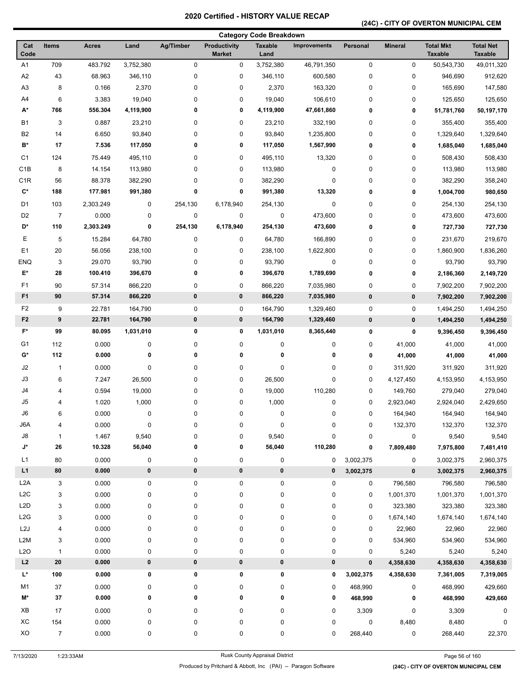#### **(24C) - CITY OF OVERTON MUNICIPAL CEM**

|                  | <b>Category Code Breakdown</b> |              |           |             |                                      |                        |                     |           |                |                                    |                                    |
|------------------|--------------------------------|--------------|-----------|-------------|--------------------------------------|------------------------|---------------------|-----------|----------------|------------------------------------|------------------------------------|
| Cat<br>Code      | Items                          | <b>Acres</b> | Land      | Ag/Timber   | <b>Productivity</b><br><b>Market</b> | <b>Taxable</b><br>Land | <b>Improvements</b> | Personal  | <b>Mineral</b> | <b>Total Mkt</b><br><b>Taxable</b> | <b>Total Net</b><br><b>Taxable</b> |
| A <sub>1</sub>   | 709                            | 483.792      | 3,752,380 | $\pmb{0}$   | 0                                    | 3,752,380              | 46,791,350          | $\pmb{0}$ | $\pmb{0}$      | 50,543,730                         | 49,011,320                         |
| A <sub>2</sub>   | 43                             | 68.963       | 346,110   | $\pmb{0}$   | $\pmb{0}$                            | 346,110                | 600,580             | $\pmb{0}$ | 0              | 946,690                            | 912,620                            |
| A <sub>3</sub>   | 8                              | 0.166        | 2,370     | $\pmb{0}$   | 0                                    | 2,370                  | 163,320             | $\pmb{0}$ | 0              | 165,690                            | 147,580                            |
| A4               | 6                              | 3.383        | 19,040    | 0           | 0                                    | 19,040                 | 106,610             | $\pmb{0}$ | 0              | 125,650                            | 125,650                            |
| A*               | 766                            | 556.304      | 4,119,900 | 0           | 0                                    | 4,119,900              | 47,661,860          | 0         | 0              | 51,781,760                         | 50,197,170                         |
| <b>B1</b>        | 3                              | 0.887        | 23,210    | 0           | 0                                    | 23,210                 | 332,190             | $\pmb{0}$ | 0              | 355,400                            | 355,400                            |
| B <sub>2</sub>   | 14                             | 6.650        | 93,840    | 0           | 0                                    | 93,840                 | 1,235,800           | 0         | 0              | 1,329,640                          | 1,329,640                          |
| B*               | 17                             | 7.536        | 117,050   | 0           | 0                                    | 117,050                | 1,567,990           | 0         | 0              | 1,685,040                          | 1,685,040                          |
| C <sub>1</sub>   | 124                            | 75.449       | 495,110   | 0           | 0                                    | 495,110                | 13,320              | 0         | 0              | 508,430                            | 508,430                            |
| C <sub>1</sub> B | 8                              | 14.154       | 113,980   | $\pmb{0}$   | $\pmb{0}$                            | 113,980                | 0                   | $\pmb{0}$ | 0              | 113,980                            | 113,980                            |
| C <sub>1</sub> R | 56                             | 88.378       | 382,290   | $\mathbf 0$ | 0                                    | 382,290                | 0                   | 0         | 0              | 382,290                            | 358,240                            |
| C*               | 188                            | 177.981      | 991,380   | 0           | 0                                    | 991,380                | 13,320              | 0         | 0              | 1,004,700                          | 980,650                            |
| D <sub>1</sub>   | 103                            | 2,303.249    | 0         | 254,130     | 6,178,940                            | 254,130                | 0                   | 0         | 0              | 254,130                            | 254,130                            |
| D <sub>2</sub>   | $\overline{7}$                 | 0.000        | 0         | 0           | 0                                    | 0                      | 473,600             | 0         | 0              | 473,600                            | 473,600                            |
| D*               | 110                            | 2,303.249    | 0         | 254,130     | 6,178,940                            | 254,130                | 473,600             | 0         | 0              | 727,730                            | 727,730                            |
| Ε                | 5                              | 15.284       | 64,780    | $\pmb{0}$   | 0                                    | 64,780                 | 166,890             | $\pmb{0}$ | 0              | 231,670                            | 219,670                            |
| E <sub>1</sub>   | 20                             | 56.056       | 238,100   | 0           | 0                                    | 238,100                | 1,622,800           | 0         | 0              | 1,860,900                          | 1,836,260                          |
| <b>ENQ</b>       | 3                              | 29.070       | 93,790    | 0           | 0                                    | 93,790                 | 0                   | 0         | 0              | 93,790                             | 93,790                             |
| E*               | 28                             | 100.410      | 396,670   | 0           | 0                                    | 396,670                | 1,789,690           | 0         | 0              | 2,186,360                          | 2,149,720                          |
| F1               | 90                             | 57.314       | 866,220   | $\pmb{0}$   | $\pmb{0}$                            | 866,220                | 7,035,980           | $\pmb{0}$ | $\pmb{0}$      | 7,902,200                          | 7,902,200                          |
| F <sub>1</sub>   | 90                             | 57.314       | 866,220   | 0           | $\pmb{0}$                            | 866,220                | 7,035,980           | $\pmb{0}$ | $\pmb{0}$      | 7,902,200                          | 7,902,200                          |
| F2               | 9                              | 22.781       | 164,790   | 0           | 0                                    | 164,790                | 1,329,460           | $\pmb{0}$ | 0              | 1,494,250                          | 1,494,250                          |
| F <sub>2</sub>   | 9                              | 22.781       | 164,790   | 0           | $\pmb{0}$                            | 164,790                | 1,329,460           | $\bf{0}$  | $\pmb{0}$      | 1,494,250                          | 1,494,250                          |
| $F^*$            | 99                             | 80.095       | 1,031,010 | 0           | 0                                    | 1,031,010              | 8,365,440           | 0         | $\pmb{0}$      | 9,396,450                          | 9,396,450                          |
| G <sub>1</sub>   | 112                            | 0.000        | $\pmb{0}$ | 0           | 0                                    | 0                      | 0                   | 0         | 41,000         | 41,000                             | 41,000                             |
| G*               | 112                            | 0.000        | 0         | 0           | 0                                    | 0                      | 0                   | 0         | 41,000         | 41,000                             | 41,000                             |
| J2               | $\mathbf{1}$                   | 0.000        | $\pmb{0}$ | $\pmb{0}$   | 0                                    | 0                      | 0                   | $\pmb{0}$ | 311,920        | 311,920                            | 311,920                            |
| J3               | 6                              | 7.247        | 26,500    | $\pmb{0}$   | 0                                    | 26,500                 | 0                   | $\pmb{0}$ | 4,127,450      | 4,153,950                          | 4,153,950                          |
| J4               | 4                              | 0.594        | 19,000    | 0           | 0                                    | 19,000                 | 110,280             | 0         | 149,760        | 279,040                            | 279,040                            |
| J <sub>5</sub>   | 4                              | 1.020        | 1,000     | 0           | 0                                    | 1,000                  | 0                   | 0         | 2,923,040      | 2,924,040                          | 2,429,650                          |
| J6               | 6                              | 0.000        | $\pmb{0}$ | $\mathbf 0$ | 0                                    | 0                      | 0                   | 0         | 164,940        | 164,940                            | 164,940                            |
| J6A              | 4                              | 0.000        | $\pmb{0}$ | $\pmb{0}$   | 0                                    | $\pmb{0}$              | $\pmb{0}$           | $\pmb{0}$ | 132,370        | 132,370                            | 132,370                            |
| $\mathsf{J}8$    | $\mathbf{1}$                   | 1.467        | 9,540     | $\pmb{0}$   | 0                                    | 9,540                  | 0                   | $\pmb{0}$ | 0              | 9,540                              | 9,540                              |
| J*               | 26                             | 10.328       | 56,040    | 0           | 0                                    | 56,040                 | 110,280             | 0         | 7,809,480      | 7,975,800                          | 7,481,410                          |
| L1               | 80                             | 0.000        | 0         | 0           | 0                                    | 0                      | 0                   | 3,002,375 | 0              | 3,002,375                          | 2,960,375                          |
| L1               | 80                             | 0.000        | 0         | 0           | 0                                    | $\pmb{0}$              | 0                   | 3,002,375 | $\pmb{0}$      | 3,002,375                          | 2,960,375                          |
| L <sub>2</sub> A | 3                              | 0.000        | 0         | 0           | 0                                    | 0                      | $\pmb{0}$           | 0         | 796,580        | 796,580                            | 796,580                            |
| L2C              | 3                              | 0.000        | $\pmb{0}$ | 0           | 0                                    | 0                      | 0                   | $\pmb{0}$ | 1,001,370      | 1,001,370                          | 1,001,370                          |
| L <sub>2</sub> D | 3                              | 0.000        | 0         | $\pmb{0}$   | 0                                    | 0                      | 0                   | $\pmb{0}$ | 323,380        | 323,380                            | 323,380                            |
| L2G              | 3                              | 0.000        | 0         | $\pmb{0}$   | 0                                    | 0                      | 0                   | 0         | 1,674,140      | 1,674,140                          | 1,674,140                          |
| L <sub>2</sub> J | 4                              | 0.000        | 0         | 0           | 0                                    | 0                      | 0                   | 0         | 22,960         | 22,960                             | 22,960                             |
| L <sub>2</sub> M | 3                              | 0.000        | 0         | 0           | 0                                    | 0                      | 0                   | 0         | 534,960        | 534,960                            | 534,960                            |
| L2O              | $\mathbf{1}$                   | 0.000        | 0         | 0           | 0                                    | 0                      | 0                   | 0         | 5,240          | 5,240                              | 5,240                              |
| L2               | ${\bf 20}$                     | 0.000        | 0         | 0           | 0                                    | $\pmb{0}$              | 0                   | $\pmb{0}$ | 4,358,630      | 4,358,630                          | 4,358,630                          |
| L*               | 100                            | 0.000        | 0         | 0           | 0                                    | 0                      | 0                   | 3,002,375 | 4,358,630      | 7,361,005                          | 7,319,005                          |
| M1               | 37                             | 0.000        | 0         | 0           | 0                                    | 0                      | 0                   | 468,990   | $\mathbf 0$    | 468,990                            | 429,660                            |
| M*               | 37                             | 0.000        | 0         | 0           | 0                                    | 0                      | 0                   | 468,990   | 0              | 468,990                            | 429,660                            |
| XB               | 17                             | 0.000        | 0         | $\pmb{0}$   | 0                                    | 0                      | 0                   | 3,309     | $\pmb{0}$      | 3,309                              | 0                                  |
| XC               | 154                            | 0.000        | 0         | 0           | 0                                    | 0                      | $\pmb{0}$           | 0         | 8,480          | 8,480                              | 0                                  |
| XO               | $\overline{7}$                 | 0.000        | 0         | 0           | 0                                    | 0                      | 0                   | 268,440   | 0              | 268,440                            | 22,370                             |
|                  |                                |              |           |             |                                      |                        |                     |           |                |                                    |                                    |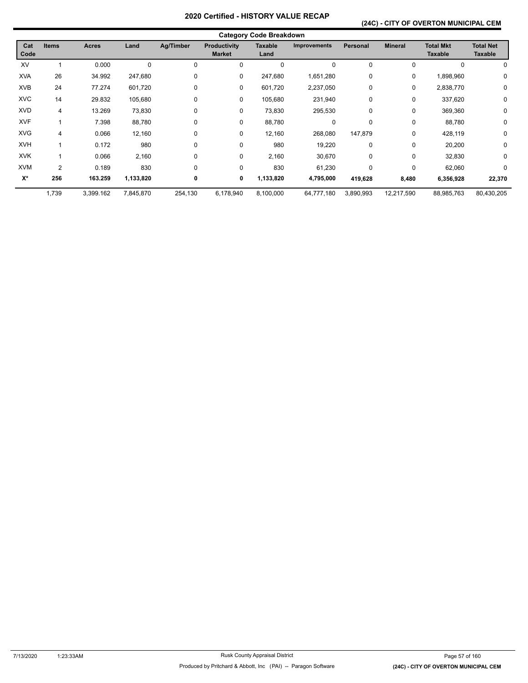#### **(24C) - CITY OF OVERTON MUNICIPAL CEM**

|             | <b>Category Code Breakdown</b> |              |           |             |                                      |                 |                     |                 |                |                                    |                                    |  |
|-------------|--------------------------------|--------------|-----------|-------------|--------------------------------------|-----------------|---------------------|-----------------|----------------|------------------------------------|------------------------------------|--|
| Cat<br>Code | <b>Items</b>                   | <b>Acres</b> | Land      | Ag/Timber   | <b>Productivity</b><br><b>Market</b> | Taxable<br>Land | <b>Improvements</b> | <b>Personal</b> | <b>Mineral</b> | <b>Total Mkt</b><br><b>Taxable</b> | <b>Total Net</b><br><b>Taxable</b> |  |
| XV          | 1                              | 0.000        | 0         | $\mathbf 0$ | $\mathbf 0$                          | 0               | 0                   | 0               | 0              | 0                                  | 0                                  |  |
| <b>XVA</b>  | 26                             | 34.992       | 247,680   | 0           | 0                                    | 247,680         | 1,651,280           | $\mathbf 0$     | 0              | 1,898,960                          | 0                                  |  |
| <b>XVB</b>  | 24                             | 77.274       | 601,720   | 0           | 0                                    | 601,720         | 2,237,050           | $\mathbf 0$     | 0              | 2,838,770                          | 0                                  |  |
| <b>XVC</b>  | 14                             | 29.832       | 105,680   | 0           | 0                                    | 105,680         | 231,940             | 0               | 0              | 337,620                            | 0                                  |  |
| <b>XVD</b>  | 4                              | 13.269       | 73,830    | 0           | 0                                    | 73,830          | 295,530             | 0               | $\mathbf 0$    | 369,360                            | 0                                  |  |
| <b>XVF</b>  | 1                              | 7.398        | 88,780    | 0           | 0                                    | 88,780          | 0                   | $\Omega$        | 0              | 88,780                             | 0                                  |  |
| <b>XVG</b>  | 4                              | 0.066        | 12,160    | 0           | 0                                    | 12,160          | 268,080             | 147,879         | 0              | 428,119                            | 0                                  |  |
| <b>XVH</b>  | 1                              | 0.172        | 980       | $\Omega$    | $\mathbf 0$                          | 980             | 19,220              | $\mathbf 0$     | $\mathbf 0$    | 20,200                             | 0                                  |  |
| <b>XVK</b>  |                                | 0.066        | 2,160     | 0           | 0                                    | 2,160           | 30,670              | 0               | 0              | 32,830                             | 0                                  |  |
| <b>XVM</b>  | 2                              | 0.189        | 830       | 0           | 0                                    | 830             | 61,230              | 0               | 0              | 62,060                             | $\Omega$                           |  |
| X*          | 256                            | 163.259      | 1,133,820 | 0           | 0                                    | 1,133,820       | 4,795,000           | 419,628         | 8,480          | 6,356,928                          | 22,370                             |  |
|             | 1,739                          | 3,399.162    | 7,845,870 | 254,130     | 6,178,940                            | 8,100,000       | 64,777,180          | 3,890,993       | 12,217,590     | 88,985,763                         | 80,430,205                         |  |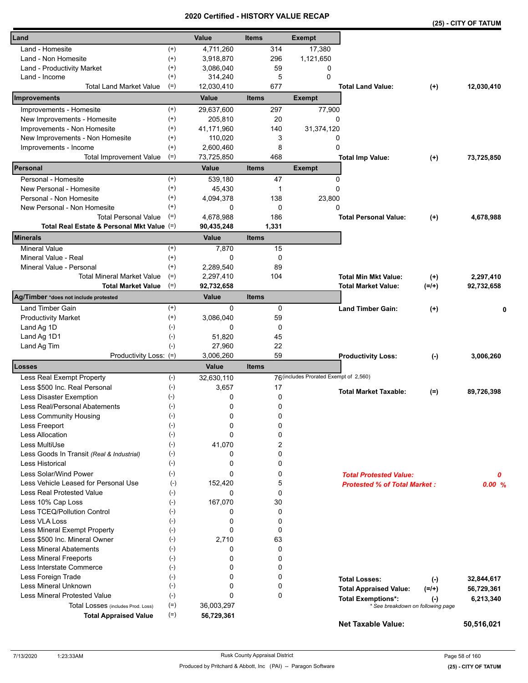|                                            |                    | <b>Certified</b> |              |             | <b>- FIISTURT VALUE REGAP</b>          |                                     |          | (25) - CITY OF TATUM |
|--------------------------------------------|--------------------|------------------|--------------|-------------|----------------------------------------|-------------------------------------|----------|----------------------|
| Land                                       |                    | Value            | <b>Items</b> |             | <b>Exempt</b>                          |                                     |          |                      |
| Land - Homesite                            | $^{(+)}$           | 4,711,260        |              | 314         | 17,380                                 |                                     |          |                      |
| Land - Non Homesite                        | $^{(+)}$           | 3,918,870        |              | 296         | 1,121,650                              |                                     |          |                      |
| Land - Productivity Market                 | $^{(+)}$           | 3,086,040        |              | 59          | 0                                      |                                     |          |                      |
| Land - Income                              | $^{(+)}$           | 314,240          |              | 5           | $\Omega$                               |                                     |          |                      |
| <b>Total Land Market Value</b>             | $(=)$              | 12,030,410       |              | 677         |                                        | <b>Total Land Value:</b>            | $^{(+)}$ | 12,030,410           |
| Improvements                               |                    | Value            | <b>Items</b> |             | <b>Exempt</b>                          |                                     |          |                      |
| Improvements - Homesite                    | $^{(+)}$           | 29,637,600       |              | 297         | 77,900                                 |                                     |          |                      |
| New Improvements - Homesite                | $^{(+)}$           | 205,810          |              | 20          | 0                                      |                                     |          |                      |
| Improvements - Non Homesite                | $^{(+)}$           | 41,171,960       |              | 140         | 31,374,120                             |                                     |          |                      |
| New Improvements - Non Homesite            | $^{(+)}$           | 110,020          |              | 3           | 0                                      |                                     |          |                      |
| Improvements - Income                      | $^{(+)}$           | 2,600,460        |              | 8           | 0                                      |                                     |          |                      |
| <b>Total Improvement Value</b>             | $(=)$              | 73,725,850       |              | 468         |                                        | <b>Total Imp Value:</b>             | $^{(+)}$ | 73,725,850           |
| Personal                                   |                    | Value            | <b>Items</b> |             | <b>Exempt</b>                          |                                     |          |                      |
| Personal - Homesite                        | $^{(+)}$           | 539,180          |              | 47          | 0                                      |                                     |          |                      |
| New Personal - Homesite                    | $^{(+)}$           | 45,430           |              | 1           | 0                                      |                                     |          |                      |
| Personal - Non Homesite                    | $^{(+)}$           | 4,094,378        |              | 138         | 23,800                                 |                                     |          |                      |
| New Personal - Non Homesite                | $^{(+)}$           | $\Omega$         |              | 0           | 0                                      |                                     |          |                      |
| <b>Total Personal Value</b>                | $(=)$              | 4,678,988        |              | 186         |                                        | <b>Total Personal Value:</b>        | $^{(+)}$ | 4,678,988            |
| Total Real Estate & Personal Mkt Value (=) |                    | 90,435,248       |              | 1,331       |                                        |                                     |          |                      |
| <b>Minerals</b>                            |                    | Value            | <b>Items</b> |             |                                        |                                     |          |                      |
| <b>Mineral Value</b>                       | $^{(+)}$           | 7,870            |              | 15          |                                        |                                     |          |                      |
| Mineral Value - Real                       | $^{(+)}$           | 0                |              | $\mathbf 0$ |                                        |                                     |          |                      |
| Mineral Value - Personal                   | $^{(+)}$           | 2,289,540        |              | 89          |                                        |                                     |          |                      |
| <b>Total Mineral Market Value</b>          | $(=)$              | 2,297,410        |              | 104         |                                        | <b>Total Min Mkt Value:</b>         | $^{(+)}$ | 2,297,410            |
| <b>Total Market Value</b>                  | $(=)$              | 92,732,658       |              |             |                                        | <b>Total Market Value:</b>          | $(=/+)$  | 92,732,658           |
| Ag/Timber *does not include protested      |                    | Value            | <b>Items</b> |             |                                        |                                     |          |                      |
| Land Timber Gain                           | $^{(+)}$           | 0                |              | 0           |                                        | <b>Land Timber Gain:</b>            | $(+)$    | 0                    |
| <b>Productivity Market</b>                 | $^{(+)}$           | 3,086,040        |              | 59          |                                        |                                     |          |                      |
| Land Ag 1D                                 | $(-)$              | 0                |              | 0           |                                        |                                     |          |                      |
| Land Ag 1D1                                | $(\text{-})$       | 51,820           |              | 45          |                                        |                                     |          |                      |
| Land Ag Tim                                | $(-)$              | 27,960           |              | 22          |                                        |                                     |          |                      |
| Productivity Loss: (=)                     |                    | 3,006,260        |              | 59          |                                        | <b>Productivity Loss:</b>           | $(-)$    | 3,006,260            |
| Losses                                     |                    | Value            | <b>Items</b> |             |                                        |                                     |          |                      |
| Less Real Exempt Property                  | $(-)$              | 32,630,110       |              |             | 76 (includes Prorated Exempt of 2,560) |                                     |          |                      |
| Less \$500 Inc. Real Personal              | $(\text{-})$       | 3,657            |              | 17          |                                        | <b>Total Market Taxable:</b>        | $(=)$    | 89,726,398           |
| Less Disaster Exemption                    | $(\cdot)$          | 0                |              | 0           |                                        |                                     |          |                      |
| Less Real/Personal Abatements              | $(\textnormal{-})$ | 0                |              | 0           |                                        |                                     |          |                      |
| Less Community Housing                     | $(-)$              | 0                |              | 0           |                                        |                                     |          |                      |
| Less Freeport                              | $(-)$              | 0                |              | 0           |                                        |                                     |          |                      |
| Less Allocation                            | $(-)$              | 0                |              | 0           |                                        |                                     |          |                      |
| Less MultiUse                              | $(-)$              | 41,070           |              | 2           |                                        |                                     |          |                      |
| Less Goods In Transit (Real & Industrial)  | $(-)$              | 0                |              | 0           |                                        |                                     |          |                      |
| <b>Less Historical</b>                     | $(-)$              | 0                |              | 0           |                                        |                                     |          |                      |
| Less Solar/Wind Power                      | $(-)$              | 0                |              | 0           |                                        | <b>Total Protested Value:</b>       |          | 0                    |
| Less Vehicle Leased for Personal Use       | $(-)$              | 152,420          |              | 5           |                                        | <b>Protested % of Total Market:</b> |          | 0.00%                |
| <b>Less Real Protested Value</b>           | $(-)$              | 0                |              | 0           |                                        |                                     |          |                      |
| Less 10% Cap Loss                          | $(-)$              | 167,070          |              | 30          |                                        |                                     |          |                      |
| Less TCEQ/Pollution Control                | $(-)$              | 0                |              | 0           |                                        |                                     |          |                      |
| Less VLA Loss                              | $(\cdot)$          | 0                |              | 0           |                                        |                                     |          |                      |
| Less Mineral Exempt Property               | $(-)$              | 0                |              | 0           |                                        |                                     |          |                      |
| Less \$500 Inc. Mineral Owner              | $(-)$              | 2,710            |              | 63          |                                        |                                     |          |                      |
| <b>Less Mineral Abatements</b>             | $(-)$              | 0                |              | 0           |                                        |                                     |          |                      |
| <b>Less Mineral Freeports</b>              | $(-)$              | 0                |              | 0           |                                        |                                     |          |                      |
| Less Interstate Commerce                   | $(\cdot)$          | $\Omega$         |              | 0           |                                        |                                     |          |                      |
| Less Foreign Trade                         | $(-)$              | 0                |              | 0           |                                        | <b>Total Losses:</b>                | $(-)$    | 32,844,617           |
| Less Mineral Unknown                       | $(-)$              | 0                |              | 0           |                                        | <b>Total Appraised Value:</b>       | $(=/+)$  | 56,729,361           |
| Less Mineral Protested Value               | $(-)$              | 0                |              | 0           |                                        | <b>Total Exemptions*:</b>           | $(-)$    | 6,213,340            |
| Total Losses (includes Prod. Loss)         | $(=)$              | 36,003,297       |              |             |                                        | * See breakdown on following page   |          |                      |
| <b>Total Appraised Value</b>               | $(=)$              | 56,729,361       |              |             |                                        |                                     |          |                      |
|                                            |                    |                  |              |             |                                        | <b>Net Taxable Value:</b>           |          | 50,516,021           |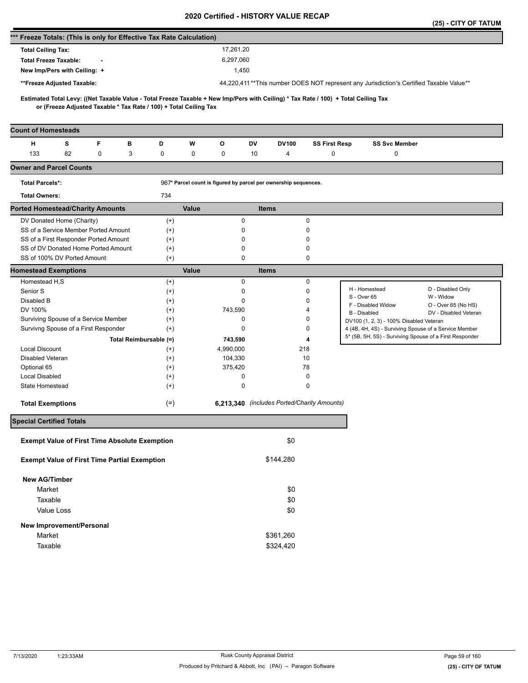|                                                                      |            |   |                        |                                                                   |       |                                                                 |              |              |                                                                                                                                     |                              |                                                                                         | (25) - CITY OF TATUM                                    |
|----------------------------------------------------------------------|------------|---|------------------------|-------------------------------------------------------------------|-------|-----------------------------------------------------------------|--------------|--------------|-------------------------------------------------------------------------------------------------------------------------------------|------------------------------|-----------------------------------------------------------------------------------------|---------------------------------------------------------|
| *** Freeze Totals: (This is only for Effective Tax Rate Calculation) |            |   |                        |                                                                   |       |                                                                 |              |              |                                                                                                                                     |                              |                                                                                         |                                                         |
| <b>Total Ceiling Tax:</b>                                            |            |   |                        |                                                                   |       | 17,261.20                                                       |              |              |                                                                                                                                     |                              |                                                                                         |                                                         |
| <b>Total Freeze Taxable:</b>                                         |            |   |                        |                                                                   |       | 6,297,060                                                       |              |              |                                                                                                                                     |                              |                                                                                         |                                                         |
| New Imp/Pers with Ceiling: +                                         |            |   |                        |                                                                   |       | 1,450                                                           |              |              |                                                                                                                                     |                              |                                                                                         |                                                         |
| **Freeze Adjusted Taxable:                                           |            |   |                        |                                                                   |       |                                                                 |              |              |                                                                                                                                     |                              | 44,220,411**This number DOES NOT represent any Jurisdiction's Certified Taxable Value** |                                                         |
|                                                                      |            |   |                        |                                                                   |       |                                                                 |              |              |                                                                                                                                     |                              |                                                                                         |                                                         |
|                                                                      |            |   |                        | or (Freeze Adjusted Taxable * Tax Rate / 100) + Total Ceiling Tax |       |                                                                 |              |              | Estimated Total Levy: ((Net Taxable Value - Total Freeze Taxable + New Imp/Pers with Ceiling) * Tax Rate / 100) + Total Ceiling Tax |                              |                                                                                         |                                                         |
| <b>Count of Homesteads</b>                                           |            |   |                        |                                                                   |       |                                                                 |              |              |                                                                                                                                     |                              |                                                                                         |                                                         |
| н                                                                    | s          | F | в                      | D                                                                 | W     | o                                                               | DV           | <b>DV100</b> | <b>SS First Resp</b>                                                                                                                |                              | <b>SS Svc Member</b>                                                                    |                                                         |
| 133                                                                  | 82         | 0 | 3                      | 0                                                                 | 0     | 0                                                               | 10           | 4            | 0                                                                                                                                   |                              | 0                                                                                       |                                                         |
| <b>Owner and Parcel Counts</b>                                       |            |   |                        |                                                                   |       |                                                                 |              |              |                                                                                                                                     |                              |                                                                                         |                                                         |
| <b>Total Parcels*:</b>                                               |            |   |                        |                                                                   |       | 967* Parcel count is figured by parcel per ownership sequences. |              |              |                                                                                                                                     |                              |                                                                                         |                                                         |
| <b>Total Owners:</b>                                                 |            |   |                        | 734                                                               |       |                                                                 |              |              |                                                                                                                                     |                              |                                                                                         |                                                         |
| <b>Ported Homestead/Charity Amounts</b>                              |            |   |                        |                                                                   | Value |                                                                 | <b>Items</b> |              |                                                                                                                                     |                              |                                                                                         |                                                         |
| DV Donated Home (Charity)                                            |            |   |                        | $^{(+)}$                                                          |       | $\pmb{0}$                                                       |              |              | 0                                                                                                                                   |                              |                                                                                         |                                                         |
| SS of a Service Member Ported Amount                                 |            |   |                        | $^{(+)}$                                                          |       | 0                                                               |              |              | 0                                                                                                                                   |                              |                                                                                         |                                                         |
| SS of a First Responder Ported Amount                                |            |   |                        | $^{(+)}$                                                          |       | 0                                                               |              |              | 0                                                                                                                                   |                              |                                                                                         |                                                         |
| SS of DV Donated Home Ported Amount                                  |            |   |                        | $^{(+)}$                                                          |       | 0                                                               |              |              | 0                                                                                                                                   |                              |                                                                                         |                                                         |
| SS of 100% DV Ported Amount                                          |            |   |                        | $^{(+)}$                                                          |       | 0                                                               |              |              | 0                                                                                                                                   |                              |                                                                                         |                                                         |
| <b>Homestead Exemptions</b>                                          |            |   |                        |                                                                   | Value |                                                                 | <b>Items</b> |              |                                                                                                                                     |                              |                                                                                         |                                                         |
| Homestead H,S                                                        |            |   |                        | $^{(+)}$                                                          |       | 0                                                               |              |              | 0                                                                                                                                   |                              |                                                                                         |                                                         |
| Senior S                                                             |            |   |                        | $^{(+)}$                                                          |       | 0                                                               |              |              | 0                                                                                                                                   | H - Homestead<br>S - Over 65 |                                                                                         | D - Disabled Only<br>W - Widow                          |
| Disabled B                                                           |            |   |                        | $^{(+)}$                                                          |       | 0                                                               |              |              | 0                                                                                                                                   |                              | F - Disabled Widow                                                                      | O - Over 65 (No HS)                                     |
| DV 100%<br>Surviving Spouse of a Service Member                      |            |   |                        | $^{(+)}$<br>$^{(+)}$                                              |       | 743,590<br>0                                                    |              |              | 4<br>0                                                                                                                              | B - Disabled                 |                                                                                         | DV - Disabled Veteran                                   |
| Survivng Spouse of a First Responder                                 |            |   |                        | $^{(+)}$                                                          |       | 0                                                               |              |              | 0                                                                                                                                   |                              | DV100 (1, 2, 3) - 100% Disabled Veteran                                                 | 4 (4B, 4H, 4S) - Surviving Spouse of a Service Member   |
|                                                                      |            |   | Total Reimbursable (=) |                                                                   |       | 743,590                                                         |              |              | 4                                                                                                                                   |                              |                                                                                         | 5* (5B, 5H, 5S) - Surviving Spouse of a First Responder |
| <b>Local Discount</b>                                                |            |   |                        | $^{(+)}$                                                          |       | 4,990,000                                                       |              |              | 218                                                                                                                                 |                              |                                                                                         |                                                         |
| Disabled Veteran                                                     |            |   |                        | $^{(+)}$                                                          |       | 104,330                                                         |              |              | 10                                                                                                                                  |                              |                                                                                         |                                                         |
| Optional 65                                                          |            |   |                        | $^{(+)}$                                                          |       | 375,420                                                         |              |              | 78                                                                                                                                  |                              |                                                                                         |                                                         |
| <b>Local Disabled</b>                                                |            |   |                        | $^{(+)}$                                                          |       | 0                                                               |              |              | 0                                                                                                                                   |                              |                                                                                         |                                                         |
| State Homestead                                                      |            |   |                        | $^{(+)}$                                                          |       | 0                                                               |              |              | 0                                                                                                                                   |                              |                                                                                         |                                                         |
| <b>Total Exemptions</b>                                              |            |   |                        | $(=)$                                                             |       |                                                                 |              |              | 6.213.340 (includes Ported/Charity Amounts)                                                                                         |                              |                                                                                         |                                                         |
| <b>Special Certified Totals</b>                                      |            |   |                        |                                                                   |       |                                                                 |              |              |                                                                                                                                     |                              |                                                                                         |                                                         |
| <b>Exempt Value of First Time Absolute Exemption</b>                 |            |   |                        |                                                                   |       |                                                                 |              | \$0          |                                                                                                                                     |                              |                                                                                         |                                                         |
| <b>Exempt Value of First Time Partial Exemption</b>                  |            |   |                        |                                                                   |       |                                                                 |              | \$144,280    |                                                                                                                                     |                              |                                                                                         |                                                         |
| <b>New AG/Timber</b>                                                 |            |   |                        |                                                                   |       |                                                                 |              |              |                                                                                                                                     |                              |                                                                                         |                                                         |
| Market                                                               |            |   |                        |                                                                   |       |                                                                 |              | \$0          |                                                                                                                                     |                              |                                                                                         |                                                         |
| Taxable                                                              |            |   |                        |                                                                   |       |                                                                 |              | \$0          |                                                                                                                                     |                              |                                                                                         |                                                         |
|                                                                      | Value Loss |   |                        |                                                                   |       |                                                                 |              | \$0          |                                                                                                                                     |                              |                                                                                         |                                                         |
| New Improvement/Personal                                             |            |   |                        |                                                                   |       |                                                                 |              |              |                                                                                                                                     |                              |                                                                                         |                                                         |
| Market                                                               |            |   |                        |                                                                   |       |                                                                 |              | \$361,260    |                                                                                                                                     |                              |                                                                                         |                                                         |
| Taxable                                                              |            |   |                        |                                                                   |       |                                                                 |              | \$324,420    |                                                                                                                                     |                              |                                                                                         |                                                         |
|                                                                      |            |   |                        |                                                                   |       |                                                                 |              |              |                                                                                                                                     |                              |                                                                                         |                                                         |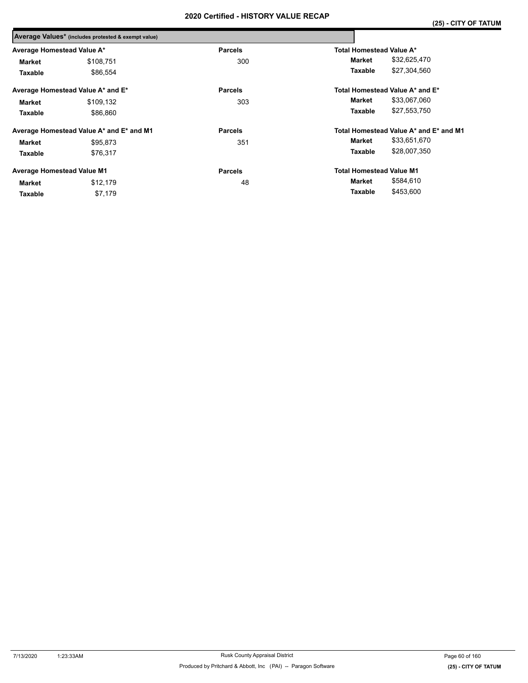|                                   | Average Values* (includes protested & exempt value) |                |                                 |                                        |
|-----------------------------------|-----------------------------------------------------|----------------|---------------------------------|----------------------------------------|
| Average Homestead Value A*        |                                                     | <b>Parcels</b> | Total Homestead Value A*        |                                        |
| Market                            | \$108,751                                           | 300            | Market                          | \$32,625,470                           |
| Taxable                           | \$86,554                                            |                | Taxable                         | \$27,304,560                           |
|                                   | Average Homestead Value A* and E*                   | <b>Parcels</b> |                                 | Total Homestead Value A* and E*        |
| Market                            | \$109,132                                           | 303            | Market                          | \$33,067,060                           |
| Taxable                           | \$86,860                                            |                | Taxable                         | \$27,553,750                           |
|                                   | Average Homestead Value A* and E* and M1            | <b>Parcels</b> |                                 | Total Homestead Value A* and E* and M1 |
| Market                            | \$95.873                                            | 351            | Market                          | \$33,651,670                           |
| Taxable                           | \$76.317                                            |                | Taxable                         | \$28,007,350                           |
| <b>Average Homestead Value M1</b> |                                                     | <b>Parcels</b> | <b>Total Homestead Value M1</b> |                                        |
| Market                            | \$12,179                                            | 48             | Market                          | \$584,610                              |
| Taxable                           | \$7,179                                             |                | Taxable                         | \$453.600                              |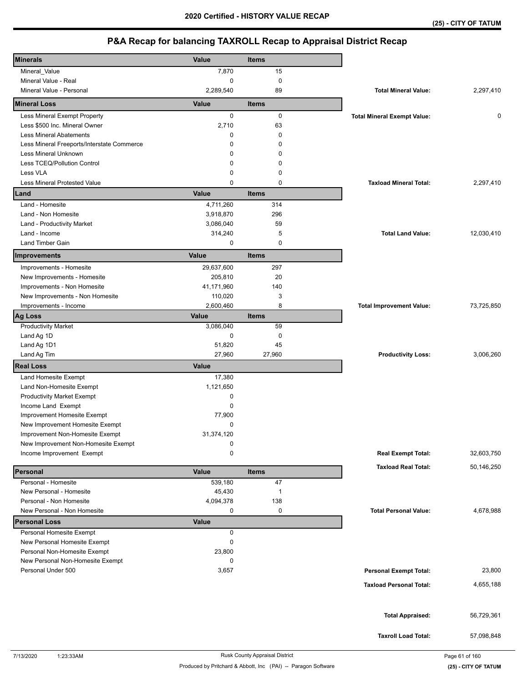| <b>Minerals</b>                            | Value        | <b>Items</b> |                                    |             |
|--------------------------------------------|--------------|--------------|------------------------------------|-------------|
| Mineral_Value                              | 7,870        | 15           |                                    |             |
| Mineral Value - Real                       | 0            | 0            |                                    |             |
| Mineral Value - Personal                   | 2,289,540    | 89           | <b>Total Mineral Value:</b>        | 2,297,410   |
| <b>Mineral Loss</b>                        | Value        | <b>Items</b> |                                    |             |
| Less Mineral Exempt Property               | 0            | $\mathbf 0$  | <b>Total Mineral Exempt Value:</b> | $\mathbf 0$ |
| Less \$500 Inc. Mineral Owner              | 2,710        | 63           |                                    |             |
| <b>Less Mineral Abatements</b>             | 0            | $\mathbf 0$  |                                    |             |
| Less Mineral Freeports/Interstate Commerce | 0            | $\mathbf 0$  |                                    |             |
| Less Mineral Unknown                       | $\mathbf 0$  | $\mathbf 0$  |                                    |             |
| Less TCEQ/Pollution Control                | 0            | $\mathbf 0$  |                                    |             |
| Less VLA                                   | 0            | $\mathbf 0$  |                                    |             |
| <b>Less Mineral Protested Value</b>        | $\mathbf 0$  | 0            | <b>Taxload Mineral Total:</b>      | 2,297,410   |
| Land                                       | Value        | <b>Items</b> |                                    |             |
| Land - Homesite                            | 4,711,260    | 314          |                                    |             |
| Land - Non Homesite                        | 3,918,870    | 296          |                                    |             |
| Land - Productivity Market                 | 3,086,040    | 59           |                                    |             |
| Land - Income                              | 314,240      | 5            | <b>Total Land Value:</b>           | 12,030,410  |
| Land Timber Gain                           | 0            | $\mathbf 0$  |                                    |             |
| Improvements                               | Value        | <b>Items</b> |                                    |             |
| Improvements - Homesite                    | 29,637,600   | 297          |                                    |             |
| New Improvements - Homesite                | 205,810      | 20           |                                    |             |
| Improvements - Non Homesite                | 41,171,960   | 140          |                                    |             |
| New Improvements - Non Homesite            | 110,020      | $\sqrt{3}$   |                                    |             |
| Improvements - Income                      | 2,600,460    | 8            | <b>Total Improvement Value:</b>    | 73,725,850  |
| Ag Loss                                    | Value        | <b>Items</b> |                                    |             |
| <b>Productivity Market</b>                 | 3,086,040    | 59           |                                    |             |
| Land Ag 1D                                 | 0            | $\mathbf 0$  |                                    |             |
| Land Ag 1D1                                | 51,820       | 45           |                                    |             |
| Land Ag Tim                                | 27,960       | 27,960       | <b>Productivity Loss:</b>          | 3,006,260   |
| <b>Real Loss</b>                           | <b>Value</b> |              |                                    |             |
| Land Homesite Exempt                       | 17,380       |              |                                    |             |
| Land Non-Homesite Exempt                   | 1,121,650    |              |                                    |             |
| <b>Productivity Market Exempt</b>          | 0            |              |                                    |             |
| Income Land Exempt                         | $\mathbf 0$  |              |                                    |             |
| Improvement Homesite Exempt                | 77,900       |              |                                    |             |
| New Improvement Homesite Exempt            | $\mathbf 0$  |              |                                    |             |
| Improvement Non-Homesite Exempt            | 31,374,120   |              |                                    |             |
| New Improvement Non-Homesite Exempt        | 0            |              |                                    |             |
| Income Improvement Exempt                  | 0            |              | <b>Real Exempt Total:</b>          | 32,603,750  |
| Personal                                   | Value        | <b>Items</b> | <b>Taxload Real Total:</b>         | 50,146,250  |
| Personal - Homesite                        | 539,180      | 47           |                                    |             |
| New Personal - Homesite                    | 45,430       | $\mathbf 1$  |                                    |             |
| Personal - Non Homesite                    | 4,094,378    | 138          |                                    |             |
| New Personal - Non Homesite                | 0            | 0            | <b>Total Personal Value:</b>       | 4,678,988   |
| <b>Personal Loss</b>                       | <b>Value</b> |              |                                    |             |
| Personal Homesite Exempt                   | 0            |              |                                    |             |
| New Personal Homesite Exempt               | 0            |              |                                    |             |
| Personal Non-Homesite Exempt               | 23,800       |              |                                    |             |
| New Personal Non-Homesite Exempt           | 0            |              |                                    |             |
| Personal Under 500                         | 3,657        |              | <b>Personal Exempt Total:</b>      | 23,800      |
|                                            |              |              | <b>Taxload Personal Total:</b>     | 4,655,188   |
|                                            |              |              |                                    |             |
|                                            |              |              |                                    |             |
|                                            |              |              | <b>Total Appraised:</b>            | 56,729,361  |
|                                            |              |              | <b>Taxroll Load Total:</b>         | 57,098,848  |
|                                            |              |              |                                    |             |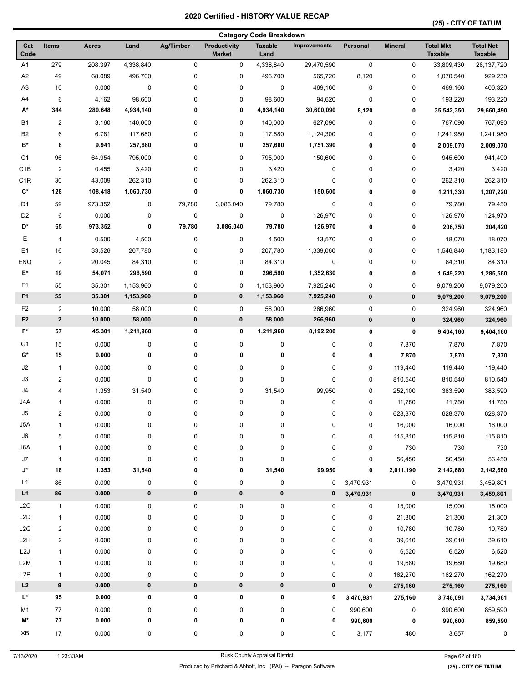**(25) - CITY OF TATUM** 

|                      |                         |              |             |           |                                      | <b>Category Code Breakdown</b> |                    |             |                |                                    |                                    |
|----------------------|-------------------------|--------------|-------------|-----------|--------------------------------------|--------------------------------|--------------------|-------------|----------------|------------------------------------|------------------------------------|
| Cat<br>Code          | <b>Items</b>            | <b>Acres</b> | Land        | Ag/Timber | <b>Productivity</b><br><b>Market</b> | <b>Taxable</b><br>Land         | Improvements       | Personal    | <b>Mineral</b> | <b>Total Mkt</b><br><b>Taxable</b> | <b>Total Net</b><br><b>Taxable</b> |
| A <sub>1</sub>       | 279                     | 208.397      | 4,338,840   | $\pmb{0}$ | 0                                    | 4,338,840                      | 29,470,590         | $\mathsf 0$ | 0              | 33,809,430                         | 28, 137, 720                       |
| A2                   | 49                      | 68.089       | 496,700     | 0         | 0                                    | 496,700                        | 565,720            | 8,120       | 0              | 1,070,540                          | 929,230                            |
| A3                   | 10                      | 0.000        | $\pmb{0}$   | 0         | 0                                    | 0                              | 469,160            | $\mathbf 0$ | 0              | 469,160                            | 400,320                            |
| A4                   | 6                       | 4.162        | 98,600      | 0         | $\pmb{0}$                            | 98,600                         | 94,620             | 0           | 0              | 193,220                            | 193,220                            |
| A*                   | 344                     | 280.648      | 4,934,140   | 0         | 0                                    | 4,934,140                      | 30,600,090         | 8,120       | 0              | 35,542,350                         | 29,660,490                         |
| <b>B1</b>            | $\overline{\mathbf{c}}$ | 3.160        | 140,000     | 0         | $\pmb{0}$                            | 140,000                        | 627,090            | 0           | 0              | 767,090                            | 767,090                            |
| B <sub>2</sub>       | 6                       | 6.781        | 117,680     | 0         | 0                                    | 117,680                        | 1,124,300          | 0           | 0              | 1,241,980                          | 1,241,980                          |
| $\mathbf{B}^{\star}$ | 8                       | 9.941        | 257,680     | 0         | 0                                    | 257,680                        | 1,751,390          | 0           | 0              | 2,009,070                          | 2,009,070                          |
| C <sub>1</sub>       | 96                      | 64.954       | 795,000     | 0         | 0                                    | 795,000                        | 150,600            | 0           | 0              | 945,600                            | 941,490                            |
| C <sub>1</sub> B     | $\overline{2}$          | 0.455        | 3,420       | 0         | 0                                    | 3,420                          | 0                  | 0           | 0              | 3,420                              | 3,420                              |
| C <sub>1</sub> R     | 30                      | 43.009       | 262,310     | 0         | $\pmb{0}$                            | 262,310                        | 0                  | 0           | 0              | 262,310                            | 262,310                            |
| $\mathbf{C}^\star$   | 128                     | 108.418      | 1,060,730   | 0         | 0                                    | 1,060,730                      | 150,600            | 0           | 0              | 1,211,330                          | 1,207,220                          |
| D <sub>1</sub>       | 59                      | 973.352      | 0           | 79,780    | 3,086,040                            | 79,780                         | 0                  | 0           | 0              | 79,780                             | 79,450                             |
| D <sub>2</sub>       | 6                       | 0.000        | 0           | 0         | 0                                    | $\pmb{0}$                      | 126,970            | 0           | 0              | 126,970                            | 124,970                            |
| D*                   | 65                      | 973.352      | 0           | 79,780    | 3,086,040                            | 79,780                         | 126,970            | 0           | 0              | 206,750                            | 204,420                            |
| Ε                    | $\overline{1}$          | 0.500        | 4,500       | 0         | 0                                    | 4,500                          | 13,570             | 0           | 0              | 18,070                             | 18,070                             |
| E <sub>1</sub>       | 16                      | 33.526       | 207,780     | 0         | 0                                    | 207,780                        | 1,339,060          | 0           | 0              | 1,546,840                          | 1,183,180                          |
| <b>ENQ</b>           | $\overline{2}$          | 20.045       | 84,310      | 0         | 0                                    | 84,310                         | 0                  | 0           | 0              | 84,310                             | 84,310                             |
| E*                   | 19                      | 54.071       | 296,590     | 0         | 0                                    | 296,590                        | 1,352,630          | 0           | 0              | 1,649,220                          | 1,285,560                          |
| F <sub>1</sub>       | 55                      | 35.301       | 1,153,960   | 0         | 0                                    | 1,153,960                      | 7,925,240          | 0           | $\pmb{0}$      | 9,079,200                          | 9,079,200                          |
| F <sub>1</sub>       | 55                      | 35.301       | 1,153,960   | 0         | $\pmb{0}$                            | 1,153,960                      | 7,925,240          | $\pmb{0}$   | 0              | 9,079,200                          | 9,079,200                          |
| F <sub>2</sub>       | $\overline{2}$          | 10.000       | 58,000      | 0         | $\pmb{0}$                            |                                |                    | $\pmb{0}$   | $\pmb{0}$      |                                    |                                    |
| F <sub>2</sub>       | $\mathbf{2}$            | 10.000       | 58,000      | $\pmb{0}$ | 0                                    | 58,000<br>58,000               | 266,960<br>266,960 | $\pmb{0}$   | 0              | 324,960                            | 324,960<br>324,960                 |
| $F^*$                |                         |              |             |           |                                      |                                |                    |             |                | 324,960                            |                                    |
|                      | 57                      | 45.301       | 1,211,960   | 0         | 0                                    | 1,211,960                      | 8,192,200          | 0           | 0              | 9,404,160                          | 9,404,160                          |
| G <sub>1</sub>       | 15                      | 0.000        | 0           | 0         | 0                                    | 0                              | 0                  | 0           | 7,870          | 7,870                              | 7,870                              |
| G*                   | 15                      | 0.000        | 0           | 0         | 0                                    | 0                              | 0                  | 0           | 7,870          | 7,870                              | 7,870                              |
| J2                   | 1                       | 0.000        | 0           | 0         | 0                                    | $\pmb{0}$                      | 0                  | 0           | 119,440        | 119,440                            | 119,440                            |
| J3                   | $\overline{\mathbf{c}}$ | 0.000        | 0           | 0         | 0                                    | $\pmb{0}$                      | 0                  | 0           | 810,540        | 810,540                            | 810,540                            |
| J4                   | 4                       | 1.353        | 31,540      | 0         | 0                                    | 31,540                         | 99,950             | 0           | 252,100        | 383,590                            | 383,590                            |
| J4A                  | 1                       | 0.000        | 0           | 0         | 0                                    | $\pmb{0}$                      | 0                  | 0           | 11,750         | 11,750                             | 11,750                             |
| J5                   | 2                       | 0.000        | 0           | 0         | 0                                    | $\pmb{0}$                      | 0                  | 0           | 628,370        | 628,370                            | 628,370                            |
| J5A                  | 1                       | 0.000        | 0           | 0         | $\pmb{0}$                            | $\pmb{0}$                      | 0                  | 0           | 16,000         | 16,000                             | 16,000                             |
| ${\sf J6}$           | 5                       | 0.000        | 0           | 0         | $\pmb{0}$                            | 0                              | 0                  | $\pmb{0}$   | 115,810        | 115,810                            | 115,810                            |
| J6A                  | 1                       | 0.000        | 0           | 0         | 0                                    | 0                              | 0                  | 0           | 730            | 730                                | 730                                |
| J7                   | $\mathbf{1}$            | 0.000        | 0           | 0         | 0                                    | $\pmb{0}$                      | 0                  | 0           | 56,450         | 56,450                             | 56,450                             |
| J*                   | 18                      | 1.353        | 31,540      | 0         | 0                                    | 31,540                         | 99,950             | 0           | 2,011,190      | 2,142,680                          | 2,142,680                          |
| L1                   | 86                      | 0.000        | 0           | 0         | $\pmb{0}$                            | 0                              | 0                  | 3,470,931   | 0              | 3,470,931                          | 3,459,801                          |
| L1                   | 86                      | 0.000        | $\pmb{0}$   | $\pmb{0}$ | $\pmb{0}$                            | $\pmb{0}$                      | 0                  | 3,470,931   | $\pmb{0}$      | 3,470,931                          | 3,459,801                          |
| L <sub>2</sub> C     | $\mathbf{1}$            | 0.000        | 0           | 0         | 0                                    | 0                              | 0                  | 0           | 15,000         | 15,000                             | 15,000                             |
| L <sub>2</sub> D     | $\mathbf{1}$            | 0.000        | 0           | 0         | $\pmb{0}$                            | 0                              | 0                  | 0           | 21,300         | 21,300                             | 21,300                             |
| L2G                  | $\overline{\mathbf{c}}$ | 0.000        | $\mathbf 0$ | 0         | $\pmb{0}$                            | 0                              | 0                  | 0           | 10,780         | 10,780                             | 10,780                             |
| L <sub>2</sub> H     | 2                       | 0.000        | 0           | 0         | 0                                    | 0                              | 0                  | 0           | 39,610         | 39,610                             | 39,610                             |
| L2J                  | 1                       | 0.000        | 0           | 0         | 0                                    | 0                              | 0                  | 0           | 6,520          | 6,520                              | 6,520                              |
| L2M                  | 1                       | 0.000        | 0           | 0         | 0                                    | 0                              | 0                  | 0           | 19,680         | 19,680                             | 19,680                             |
| L <sub>2</sub> P     | 1                       | 0.000        | 0           | 0         | 0                                    | 0                              | 0                  | 0           | 162,270        | 162,270                            | 162,270                            |
| L2                   | 9                       | 0.000        | $\pmb{0}$   | $\pmb{0}$ | $\pmb{0}$                            | 0                              | $\pmb{0}$          | $\pmb{0}$   | 275,160        | 275,160                            | 275,160                            |
| L*                   | 95                      | 0.000        | 0           | 0         | $\pmb{0}$                            | 0                              | 0                  | 3,470,931   | 275,160        | 3,746,091                          | 3,734,961                          |
| M1                   | $77$                    | 0.000        | 0           | 0         | 0                                    | 0                              | 0                  | 990,600     | 0              | 990,600                            | 859,590                            |
| $\mathsf{M}^\star$   | ${\bf 77}$              | 0.000        | 0           | 0         | 0                                    | 0                              | 0                  | 990,600     | 0              | 990,600                            | 859,590                            |
| XB                   | 17                      | 0.000        | 0           | 0         | 0                                    | 0                              | 0                  | 3,177       | 480            | 3,657                              | 0                                  |
|                      |                         |              |             |           |                                      |                                |                    |             |                |                                    |                                    |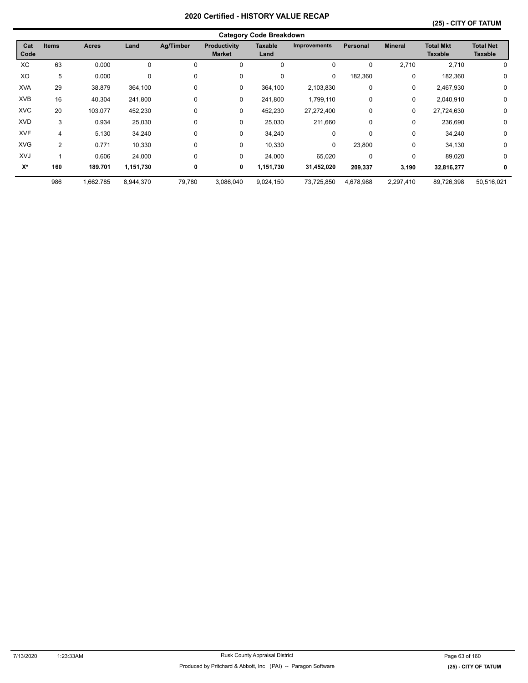|             | <b>Category Code Breakdown</b> |              |           |             |                               |                 |              |           |                |                                    |                                    |  |
|-------------|--------------------------------|--------------|-----------|-------------|-------------------------------|-----------------|--------------|-----------|----------------|------------------------------------|------------------------------------|--|
| Cat<br>Code | <b>Items</b>                   | <b>Acres</b> | Land      | Ag/Timber   | Productivity<br><b>Market</b> | Taxable<br>Land | Improvements | Personal  | <b>Mineral</b> | <b>Total Mkt</b><br><b>Taxable</b> | <b>Total Net</b><br><b>Taxable</b> |  |
| XC          | 63                             | 0.000        | 0         | 0           | 0                             | 0               | 0            | 0         | 2,710          | 2,710                              | 0                                  |  |
| XO          | 5                              | 0.000        | 0         | $\mathbf 0$ | $\mathbf 0$                   | 0               | 0            | 182,360   | 0              | 182,360                            | 0                                  |  |
| <b>XVA</b>  | 29                             | 38.879       | 364,100   | 0           | 0                             | 364,100         | 2,103,830    | 0         | 0              | 2,467,930                          | 0                                  |  |
| <b>XVB</b>  | 16                             | 40.304       | 241,800   | 0           | 0                             | 241,800         | 1,799,110    | 0         | 0              | 2,040,910                          | 0                                  |  |
| <b>XVC</b>  | 20                             | 103.077      | 452,230   | 0           | 0                             | 452,230         | 27,272,400   | 0         | 0              | 27,724,630                         | 0                                  |  |
| <b>XVD</b>  | 3                              | 0.934        | 25,030    | 0           | 0                             | 25,030          | 211,660      | 0         | 0              | 236,690                            | 0                                  |  |
| <b>XVF</b>  | 4                              | 5.130        | 34,240    | 0           | 0                             | 34,240          | 0            | $\Omega$  | 0              | 34,240                             | 0                                  |  |
| <b>XVG</b>  | 2                              | 0.771        | 10,330    | 0           | 0                             | 10,330          | 0            | 23,800    | 0              | 34,130                             | 0                                  |  |
| XVJ         |                                | 0.606        | 24,000    | 0           | 0                             | 24,000          | 65,020       | 0         | 0              | 89,020                             | 0                                  |  |
| $X^*$       | 160                            | 189.701      | 1,151,730 | 0           | 0                             | 1,151,730       | 31,452,020   | 209,337   | 3,190          | 32,816,277                         | 0                                  |  |
|             | 986                            | 1,662.785    | 8,944,370 | 79,780      | 3,086,040                     | 9,024,150       | 73,725,850   | 4,678,988 | 2,297,410      | 89,726,398                         | 50,516,021                         |  |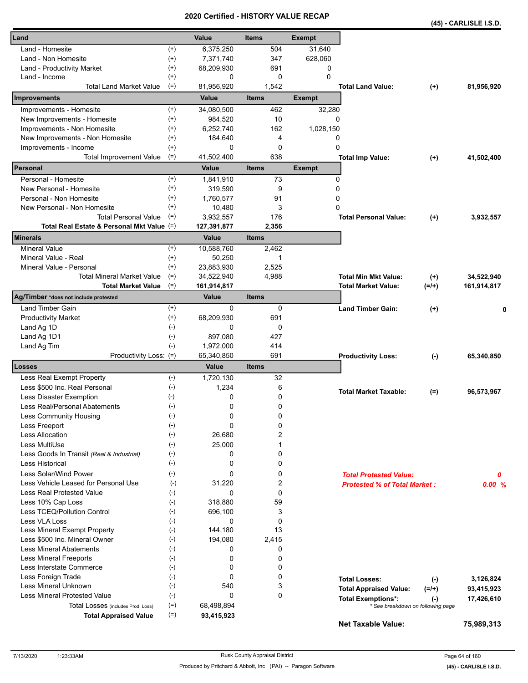| Value<br><b>Exempt</b><br><b>Items</b><br>Land - Homesite<br>$^{(+)}$<br>6,375,250<br>504<br>31,640<br>$(+)$<br>347<br>628,060<br>Land - Non Homesite<br>7,371,740<br>691<br>$^{(+)}$<br>68,209,930<br>0<br>Land - Productivity Market<br>$\Omega$<br>$^{(+)}$<br>Land - Income<br>0<br>0<br><b>Total Land Market Value</b><br>$(=)$<br>81,956,920<br>1,542<br><b>Total Land Value:</b><br>81,956,920<br>$(+)$<br>Value<br><b>Items</b><br><b>Exempt</b><br>34,080,500<br>462<br>32,280<br>Improvements - Homesite<br>$^{(+)}$<br>New Improvements - Homesite<br>$(+)$<br>984,520<br>10<br>0<br>$^{(+)}$<br>6,252,740<br>162<br>1,028,150<br>Improvements - Non Homesite<br>New Improvements - Non Homesite<br>184,640<br>4<br>0<br>$^{(+)}$<br>0<br>Improvements - Income<br>$^{(+)}$<br>0<br>0<br>$(=)$<br>41,502,400<br>638<br><b>Total Improvement Value</b><br><b>Total Imp Value:</b><br>41,502,400<br>$(+)$<br><b>Value</b><br><b>Items</b><br><b>Exempt</b><br>Personal - Homesite<br>73<br>$(+)$<br>1,841,910<br>0<br>$^{(+)}$<br>New Personal - Homesite<br>0<br>319,590<br>9<br>$^{(+)}$<br>91<br>Personal - Non Homesite<br>1,760,577<br>0<br>$^{(+)}$<br>10,480<br>3<br>0<br>New Personal - Non Homesite<br>$(=)$<br><b>Total Personal Value</b><br>176<br>3,932,557<br><b>Total Personal Value:</b><br>$(+)$<br>3,932,557<br>Total Real Estate & Personal Mkt Value (=)<br>2,356<br>127,391,877<br>Value<br><b>Items</b><br><b>Mineral Value</b><br>$^{(+)}$<br>10.588.760<br>2,462<br>Mineral Value - Real<br>$^{(+)}$<br>50,250<br>1<br>2,525<br>Mineral Value - Personal<br>$^{(+)}$<br>23,883,930<br><b>Total Mineral Market Value</b><br>$(=)$<br>34,522,940<br>4,988<br><b>Total Min Mkt Value:</b><br>34,522,940<br>$(+)$<br>$(=)$<br><b>Total Market Value</b><br>161,914,817<br>161,914,817<br><b>Total Market Value:</b><br>(=/+)<br><b>Value</b><br><b>Items</b><br><b>Land Timber Gain</b><br>$^{(+)}$<br>0<br>0<br><b>Land Timber Gain:</b><br>$^{(+)}$<br>68,209,930<br>691<br><b>Productivity Market</b><br>$^{(+)}$<br>$(-)$<br>Land Ag 1D<br>0<br>0<br>427<br>Land Ag 1D1<br>$(-)$<br>897,080<br>$(-)$<br>Land Ag Tim<br>1,972,000<br>414<br>Productivity Loss: (=)<br>65.340.850<br>691<br>65,340,850<br><b>Productivity Loss:</b><br>$(-)$<br>Value<br><b>Items</b><br>$(-)$<br>Less Real Exempt Property<br>1,720,130<br>32<br>$(-)$<br>1,234<br>6<br>Less \$500 Inc. Real Personal<br><b>Total Market Taxable:</b><br>96,573,967<br>$(=)$<br>0<br>0<br>Less Disaster Exemption<br>$(\text{-})$<br>Less Real/Personal Abatements<br>$(\textnormal{-})$<br>0<br>0<br>0<br>0<br>$(-)$<br>Less Community Housing<br>$(-)$<br>0<br>Less Freeport<br>0<br>$(-)$<br>2<br>Less Allocation<br>26,680<br>Less MultiUse<br>$(-)$<br>25,000<br>1<br>$(-)$<br>Less Goods In Transit (Real & Industrial)<br>0<br>0<br>0<br><b>Less Historical</b><br>$(-)$<br>0<br>Less Solar/Wind Power<br>$(-)$<br>0<br>0<br><b>Total Protested Value:</b><br>0<br>Less Vehicle Leased for Personal Use<br>$(-)$<br>31,220<br>2<br><b>Protested % of Total Market:</b><br><b>Less Real Protested Value</b><br>0<br>$(-)$<br>0<br>Less 10% Cap Loss<br>318,880<br>59<br>$(-)$<br>Less TCEQ/Pollution Control<br>3<br>$(-)$<br>696,100<br>Less VLA Loss<br>$(-)$<br>0<br>0<br>$(-)$<br>13<br>Less Mineral Exempt Property<br>144,180<br>Less \$500 Inc. Mineral Owner<br>$(-)$<br>194,080<br>2,415<br><b>Less Mineral Abatements</b><br>$(-)$<br>0<br>0<br>$(-)$<br><b>Less Mineral Freeports</b><br>0<br>0<br>0<br>0<br>Less Interstate Commerce<br>$(\cdot)$<br>Less Foreign Trade<br>$(-)$<br>0<br>0<br><b>Total Losses:</b><br>3,126,824<br>$(-)$<br>Less Mineral Unknown<br>$(-)$<br>540<br>3<br><b>Total Appraised Value:</b><br>$(=/+)$<br>93,415,923<br>Less Mineral Protested Value<br>0<br>0<br>$(-)$<br><b>Total Exemptions*:</b><br>$(\cdot)$<br>17,426,610<br>$(=)$<br>68,498,894<br>Total Losses (includes Prod. Loss)<br>* See breakdown on following page<br>$(=)$<br><b>Total Appraised Value</b><br>93,415,923<br><b>Net Taxable Value:</b><br>75,989,313 |                                       | Geruned - HISTORT VALUE REGAR | (45) - CARLISLE I.S.D. |  |  |       |
|----------------------------------------------------------------------------------------------------------------------------------------------------------------------------------------------------------------------------------------------------------------------------------------------------------------------------------------------------------------------------------------------------------------------------------------------------------------------------------------------------------------------------------------------------------------------------------------------------------------------------------------------------------------------------------------------------------------------------------------------------------------------------------------------------------------------------------------------------------------------------------------------------------------------------------------------------------------------------------------------------------------------------------------------------------------------------------------------------------------------------------------------------------------------------------------------------------------------------------------------------------------------------------------------------------------------------------------------------------------------------------------------------------------------------------------------------------------------------------------------------------------------------------------------------------------------------------------------------------------------------------------------------------------------------------------------------------------------------------------------------------------------------------------------------------------------------------------------------------------------------------------------------------------------------------------------------------------------------------------------------------------------------------------------------------------------------------------------------------------------------------------------------------------------------------------------------------------------------------------------------------------------------------------------------------------------------------------------------------------------------------------------------------------------------------------------------------------------------------------------------------------------------------------------------------------------------------------------------------------------------------------------------------------------------------------------------------------------------------------------------------------------------------------------------------------------------------------------------------------------------------------------------------------------------------------------------------------------------------------------------------------------------------------------------------------------------------------------------------------------------------------------------------------------------------------------------------------------------------------------------------------------------------------------------------------------------------------------------------------------------------------------------------------------------------------------------------------------------------------------------------------------------------------------------------------------------------------------------------------------------------------------------------------------------------------------------------------------------------------------------------------------------------------------------------------------------------------------------------------------------------------------------------------------------------------------------------------------------------------------------------------------------------------------------------------------------------|---------------------------------------|-------------------------------|------------------------|--|--|-------|
|                                                                                                                                                                                                                                                                                                                                                                                                                                                                                                                                                                                                                                                                                                                                                                                                                                                                                                                                                                                                                                                                                                                                                                                                                                                                                                                                                                                                                                                                                                                                                                                                                                                                                                                                                                                                                                                                                                                                                                                                                                                                                                                                                                                                                                                                                                                                                                                                                                                                                                                                                                                                                                                                                                                                                                                                                                                                                                                                                                                                                                                                                                                                                                                                                                                                                                                                                                                                                                                                                                                                                                                                                                                                                                                                                                                                                                                                                                                                                                                                                                                                                  | Land                                  |                               |                        |  |  |       |
|                                                                                                                                                                                                                                                                                                                                                                                                                                                                                                                                                                                                                                                                                                                                                                                                                                                                                                                                                                                                                                                                                                                                                                                                                                                                                                                                                                                                                                                                                                                                                                                                                                                                                                                                                                                                                                                                                                                                                                                                                                                                                                                                                                                                                                                                                                                                                                                                                                                                                                                                                                                                                                                                                                                                                                                                                                                                                                                                                                                                                                                                                                                                                                                                                                                                                                                                                                                                                                                                                                                                                                                                                                                                                                                                                                                                                                                                                                                                                                                                                                                                                  |                                       |                               |                        |  |  |       |
|                                                                                                                                                                                                                                                                                                                                                                                                                                                                                                                                                                                                                                                                                                                                                                                                                                                                                                                                                                                                                                                                                                                                                                                                                                                                                                                                                                                                                                                                                                                                                                                                                                                                                                                                                                                                                                                                                                                                                                                                                                                                                                                                                                                                                                                                                                                                                                                                                                                                                                                                                                                                                                                                                                                                                                                                                                                                                                                                                                                                                                                                                                                                                                                                                                                                                                                                                                                                                                                                                                                                                                                                                                                                                                                                                                                                                                                                                                                                                                                                                                                                                  |                                       |                               |                        |  |  |       |
|                                                                                                                                                                                                                                                                                                                                                                                                                                                                                                                                                                                                                                                                                                                                                                                                                                                                                                                                                                                                                                                                                                                                                                                                                                                                                                                                                                                                                                                                                                                                                                                                                                                                                                                                                                                                                                                                                                                                                                                                                                                                                                                                                                                                                                                                                                                                                                                                                                                                                                                                                                                                                                                                                                                                                                                                                                                                                                                                                                                                                                                                                                                                                                                                                                                                                                                                                                                                                                                                                                                                                                                                                                                                                                                                                                                                                                                                                                                                                                                                                                                                                  |                                       |                               |                        |  |  |       |
|                                                                                                                                                                                                                                                                                                                                                                                                                                                                                                                                                                                                                                                                                                                                                                                                                                                                                                                                                                                                                                                                                                                                                                                                                                                                                                                                                                                                                                                                                                                                                                                                                                                                                                                                                                                                                                                                                                                                                                                                                                                                                                                                                                                                                                                                                                                                                                                                                                                                                                                                                                                                                                                                                                                                                                                                                                                                                                                                                                                                                                                                                                                                                                                                                                                                                                                                                                                                                                                                                                                                                                                                                                                                                                                                                                                                                                                                                                                                                                                                                                                                                  |                                       |                               |                        |  |  |       |
|                                                                                                                                                                                                                                                                                                                                                                                                                                                                                                                                                                                                                                                                                                                                                                                                                                                                                                                                                                                                                                                                                                                                                                                                                                                                                                                                                                                                                                                                                                                                                                                                                                                                                                                                                                                                                                                                                                                                                                                                                                                                                                                                                                                                                                                                                                                                                                                                                                                                                                                                                                                                                                                                                                                                                                                                                                                                                                                                                                                                                                                                                                                                                                                                                                                                                                                                                                                                                                                                                                                                                                                                                                                                                                                                                                                                                                                                                                                                                                                                                                                                                  |                                       |                               |                        |  |  |       |
|                                                                                                                                                                                                                                                                                                                                                                                                                                                                                                                                                                                                                                                                                                                                                                                                                                                                                                                                                                                                                                                                                                                                                                                                                                                                                                                                                                                                                                                                                                                                                                                                                                                                                                                                                                                                                                                                                                                                                                                                                                                                                                                                                                                                                                                                                                                                                                                                                                                                                                                                                                                                                                                                                                                                                                                                                                                                                                                                                                                                                                                                                                                                                                                                                                                                                                                                                                                                                                                                                                                                                                                                                                                                                                                                                                                                                                                                                                                                                                                                                                                                                  | Improvements                          |                               |                        |  |  |       |
|                                                                                                                                                                                                                                                                                                                                                                                                                                                                                                                                                                                                                                                                                                                                                                                                                                                                                                                                                                                                                                                                                                                                                                                                                                                                                                                                                                                                                                                                                                                                                                                                                                                                                                                                                                                                                                                                                                                                                                                                                                                                                                                                                                                                                                                                                                                                                                                                                                                                                                                                                                                                                                                                                                                                                                                                                                                                                                                                                                                                                                                                                                                                                                                                                                                                                                                                                                                                                                                                                                                                                                                                                                                                                                                                                                                                                                                                                                                                                                                                                                                                                  |                                       |                               |                        |  |  |       |
|                                                                                                                                                                                                                                                                                                                                                                                                                                                                                                                                                                                                                                                                                                                                                                                                                                                                                                                                                                                                                                                                                                                                                                                                                                                                                                                                                                                                                                                                                                                                                                                                                                                                                                                                                                                                                                                                                                                                                                                                                                                                                                                                                                                                                                                                                                                                                                                                                                                                                                                                                                                                                                                                                                                                                                                                                                                                                                                                                                                                                                                                                                                                                                                                                                                                                                                                                                                                                                                                                                                                                                                                                                                                                                                                                                                                                                                                                                                                                                                                                                                                                  |                                       |                               |                        |  |  |       |
|                                                                                                                                                                                                                                                                                                                                                                                                                                                                                                                                                                                                                                                                                                                                                                                                                                                                                                                                                                                                                                                                                                                                                                                                                                                                                                                                                                                                                                                                                                                                                                                                                                                                                                                                                                                                                                                                                                                                                                                                                                                                                                                                                                                                                                                                                                                                                                                                                                                                                                                                                                                                                                                                                                                                                                                                                                                                                                                                                                                                                                                                                                                                                                                                                                                                                                                                                                                                                                                                                                                                                                                                                                                                                                                                                                                                                                                                                                                                                                                                                                                                                  |                                       |                               |                        |  |  |       |
|                                                                                                                                                                                                                                                                                                                                                                                                                                                                                                                                                                                                                                                                                                                                                                                                                                                                                                                                                                                                                                                                                                                                                                                                                                                                                                                                                                                                                                                                                                                                                                                                                                                                                                                                                                                                                                                                                                                                                                                                                                                                                                                                                                                                                                                                                                                                                                                                                                                                                                                                                                                                                                                                                                                                                                                                                                                                                                                                                                                                                                                                                                                                                                                                                                                                                                                                                                                                                                                                                                                                                                                                                                                                                                                                                                                                                                                                                                                                                                                                                                                                                  |                                       |                               |                        |  |  |       |
|                                                                                                                                                                                                                                                                                                                                                                                                                                                                                                                                                                                                                                                                                                                                                                                                                                                                                                                                                                                                                                                                                                                                                                                                                                                                                                                                                                                                                                                                                                                                                                                                                                                                                                                                                                                                                                                                                                                                                                                                                                                                                                                                                                                                                                                                                                                                                                                                                                                                                                                                                                                                                                                                                                                                                                                                                                                                                                                                                                                                                                                                                                                                                                                                                                                                                                                                                                                                                                                                                                                                                                                                                                                                                                                                                                                                                                                                                                                                                                                                                                                                                  |                                       |                               |                        |  |  |       |
|                                                                                                                                                                                                                                                                                                                                                                                                                                                                                                                                                                                                                                                                                                                                                                                                                                                                                                                                                                                                                                                                                                                                                                                                                                                                                                                                                                                                                                                                                                                                                                                                                                                                                                                                                                                                                                                                                                                                                                                                                                                                                                                                                                                                                                                                                                                                                                                                                                                                                                                                                                                                                                                                                                                                                                                                                                                                                                                                                                                                                                                                                                                                                                                                                                                                                                                                                                                                                                                                                                                                                                                                                                                                                                                                                                                                                                                                                                                                                                                                                                                                                  |                                       |                               |                        |  |  |       |
|                                                                                                                                                                                                                                                                                                                                                                                                                                                                                                                                                                                                                                                                                                                                                                                                                                                                                                                                                                                                                                                                                                                                                                                                                                                                                                                                                                                                                                                                                                                                                                                                                                                                                                                                                                                                                                                                                                                                                                                                                                                                                                                                                                                                                                                                                                                                                                                                                                                                                                                                                                                                                                                                                                                                                                                                                                                                                                                                                                                                                                                                                                                                                                                                                                                                                                                                                                                                                                                                                                                                                                                                                                                                                                                                                                                                                                                                                                                                                                                                                                                                                  | Personal                              |                               |                        |  |  |       |
|                                                                                                                                                                                                                                                                                                                                                                                                                                                                                                                                                                                                                                                                                                                                                                                                                                                                                                                                                                                                                                                                                                                                                                                                                                                                                                                                                                                                                                                                                                                                                                                                                                                                                                                                                                                                                                                                                                                                                                                                                                                                                                                                                                                                                                                                                                                                                                                                                                                                                                                                                                                                                                                                                                                                                                                                                                                                                                                                                                                                                                                                                                                                                                                                                                                                                                                                                                                                                                                                                                                                                                                                                                                                                                                                                                                                                                                                                                                                                                                                                                                                                  |                                       |                               |                        |  |  |       |
|                                                                                                                                                                                                                                                                                                                                                                                                                                                                                                                                                                                                                                                                                                                                                                                                                                                                                                                                                                                                                                                                                                                                                                                                                                                                                                                                                                                                                                                                                                                                                                                                                                                                                                                                                                                                                                                                                                                                                                                                                                                                                                                                                                                                                                                                                                                                                                                                                                                                                                                                                                                                                                                                                                                                                                                                                                                                                                                                                                                                                                                                                                                                                                                                                                                                                                                                                                                                                                                                                                                                                                                                                                                                                                                                                                                                                                                                                                                                                                                                                                                                                  |                                       |                               |                        |  |  |       |
|                                                                                                                                                                                                                                                                                                                                                                                                                                                                                                                                                                                                                                                                                                                                                                                                                                                                                                                                                                                                                                                                                                                                                                                                                                                                                                                                                                                                                                                                                                                                                                                                                                                                                                                                                                                                                                                                                                                                                                                                                                                                                                                                                                                                                                                                                                                                                                                                                                                                                                                                                                                                                                                                                                                                                                                                                                                                                                                                                                                                                                                                                                                                                                                                                                                                                                                                                                                                                                                                                                                                                                                                                                                                                                                                                                                                                                                                                                                                                                                                                                                                                  |                                       |                               |                        |  |  |       |
|                                                                                                                                                                                                                                                                                                                                                                                                                                                                                                                                                                                                                                                                                                                                                                                                                                                                                                                                                                                                                                                                                                                                                                                                                                                                                                                                                                                                                                                                                                                                                                                                                                                                                                                                                                                                                                                                                                                                                                                                                                                                                                                                                                                                                                                                                                                                                                                                                                                                                                                                                                                                                                                                                                                                                                                                                                                                                                                                                                                                                                                                                                                                                                                                                                                                                                                                                                                                                                                                                                                                                                                                                                                                                                                                                                                                                                                                                                                                                                                                                                                                                  |                                       |                               |                        |  |  |       |
|                                                                                                                                                                                                                                                                                                                                                                                                                                                                                                                                                                                                                                                                                                                                                                                                                                                                                                                                                                                                                                                                                                                                                                                                                                                                                                                                                                                                                                                                                                                                                                                                                                                                                                                                                                                                                                                                                                                                                                                                                                                                                                                                                                                                                                                                                                                                                                                                                                                                                                                                                                                                                                                                                                                                                                                                                                                                                                                                                                                                                                                                                                                                                                                                                                                                                                                                                                                                                                                                                                                                                                                                                                                                                                                                                                                                                                                                                                                                                                                                                                                                                  |                                       |                               |                        |  |  |       |
|                                                                                                                                                                                                                                                                                                                                                                                                                                                                                                                                                                                                                                                                                                                                                                                                                                                                                                                                                                                                                                                                                                                                                                                                                                                                                                                                                                                                                                                                                                                                                                                                                                                                                                                                                                                                                                                                                                                                                                                                                                                                                                                                                                                                                                                                                                                                                                                                                                                                                                                                                                                                                                                                                                                                                                                                                                                                                                                                                                                                                                                                                                                                                                                                                                                                                                                                                                                                                                                                                                                                                                                                                                                                                                                                                                                                                                                                                                                                                                                                                                                                                  |                                       |                               |                        |  |  |       |
|                                                                                                                                                                                                                                                                                                                                                                                                                                                                                                                                                                                                                                                                                                                                                                                                                                                                                                                                                                                                                                                                                                                                                                                                                                                                                                                                                                                                                                                                                                                                                                                                                                                                                                                                                                                                                                                                                                                                                                                                                                                                                                                                                                                                                                                                                                                                                                                                                                                                                                                                                                                                                                                                                                                                                                                                                                                                                                                                                                                                                                                                                                                                                                                                                                                                                                                                                                                                                                                                                                                                                                                                                                                                                                                                                                                                                                                                                                                                                                                                                                                                                  | <b>Minerals</b>                       |                               |                        |  |  |       |
|                                                                                                                                                                                                                                                                                                                                                                                                                                                                                                                                                                                                                                                                                                                                                                                                                                                                                                                                                                                                                                                                                                                                                                                                                                                                                                                                                                                                                                                                                                                                                                                                                                                                                                                                                                                                                                                                                                                                                                                                                                                                                                                                                                                                                                                                                                                                                                                                                                                                                                                                                                                                                                                                                                                                                                                                                                                                                                                                                                                                                                                                                                                                                                                                                                                                                                                                                                                                                                                                                                                                                                                                                                                                                                                                                                                                                                                                                                                                                                                                                                                                                  |                                       |                               |                        |  |  |       |
|                                                                                                                                                                                                                                                                                                                                                                                                                                                                                                                                                                                                                                                                                                                                                                                                                                                                                                                                                                                                                                                                                                                                                                                                                                                                                                                                                                                                                                                                                                                                                                                                                                                                                                                                                                                                                                                                                                                                                                                                                                                                                                                                                                                                                                                                                                                                                                                                                                                                                                                                                                                                                                                                                                                                                                                                                                                                                                                                                                                                                                                                                                                                                                                                                                                                                                                                                                                                                                                                                                                                                                                                                                                                                                                                                                                                                                                                                                                                                                                                                                                                                  |                                       |                               |                        |  |  |       |
|                                                                                                                                                                                                                                                                                                                                                                                                                                                                                                                                                                                                                                                                                                                                                                                                                                                                                                                                                                                                                                                                                                                                                                                                                                                                                                                                                                                                                                                                                                                                                                                                                                                                                                                                                                                                                                                                                                                                                                                                                                                                                                                                                                                                                                                                                                                                                                                                                                                                                                                                                                                                                                                                                                                                                                                                                                                                                                                                                                                                                                                                                                                                                                                                                                                                                                                                                                                                                                                                                                                                                                                                                                                                                                                                                                                                                                                                                                                                                                                                                                                                                  |                                       |                               |                        |  |  |       |
|                                                                                                                                                                                                                                                                                                                                                                                                                                                                                                                                                                                                                                                                                                                                                                                                                                                                                                                                                                                                                                                                                                                                                                                                                                                                                                                                                                                                                                                                                                                                                                                                                                                                                                                                                                                                                                                                                                                                                                                                                                                                                                                                                                                                                                                                                                                                                                                                                                                                                                                                                                                                                                                                                                                                                                                                                                                                                                                                                                                                                                                                                                                                                                                                                                                                                                                                                                                                                                                                                                                                                                                                                                                                                                                                                                                                                                                                                                                                                                                                                                                                                  |                                       |                               |                        |  |  |       |
|                                                                                                                                                                                                                                                                                                                                                                                                                                                                                                                                                                                                                                                                                                                                                                                                                                                                                                                                                                                                                                                                                                                                                                                                                                                                                                                                                                                                                                                                                                                                                                                                                                                                                                                                                                                                                                                                                                                                                                                                                                                                                                                                                                                                                                                                                                                                                                                                                                                                                                                                                                                                                                                                                                                                                                                                                                                                                                                                                                                                                                                                                                                                                                                                                                                                                                                                                                                                                                                                                                                                                                                                                                                                                                                                                                                                                                                                                                                                                                                                                                                                                  |                                       |                               |                        |  |  |       |
|                                                                                                                                                                                                                                                                                                                                                                                                                                                                                                                                                                                                                                                                                                                                                                                                                                                                                                                                                                                                                                                                                                                                                                                                                                                                                                                                                                                                                                                                                                                                                                                                                                                                                                                                                                                                                                                                                                                                                                                                                                                                                                                                                                                                                                                                                                                                                                                                                                                                                                                                                                                                                                                                                                                                                                                                                                                                                                                                                                                                                                                                                                                                                                                                                                                                                                                                                                                                                                                                                                                                                                                                                                                                                                                                                                                                                                                                                                                                                                                                                                                                                  | Ag/Timber *does not include protested |                               |                        |  |  |       |
|                                                                                                                                                                                                                                                                                                                                                                                                                                                                                                                                                                                                                                                                                                                                                                                                                                                                                                                                                                                                                                                                                                                                                                                                                                                                                                                                                                                                                                                                                                                                                                                                                                                                                                                                                                                                                                                                                                                                                                                                                                                                                                                                                                                                                                                                                                                                                                                                                                                                                                                                                                                                                                                                                                                                                                                                                                                                                                                                                                                                                                                                                                                                                                                                                                                                                                                                                                                                                                                                                                                                                                                                                                                                                                                                                                                                                                                                                                                                                                                                                                                                                  |                                       |                               |                        |  |  | 0     |
|                                                                                                                                                                                                                                                                                                                                                                                                                                                                                                                                                                                                                                                                                                                                                                                                                                                                                                                                                                                                                                                                                                                                                                                                                                                                                                                                                                                                                                                                                                                                                                                                                                                                                                                                                                                                                                                                                                                                                                                                                                                                                                                                                                                                                                                                                                                                                                                                                                                                                                                                                                                                                                                                                                                                                                                                                                                                                                                                                                                                                                                                                                                                                                                                                                                                                                                                                                                                                                                                                                                                                                                                                                                                                                                                                                                                                                                                                                                                                                                                                                                                                  |                                       |                               |                        |  |  |       |
|                                                                                                                                                                                                                                                                                                                                                                                                                                                                                                                                                                                                                                                                                                                                                                                                                                                                                                                                                                                                                                                                                                                                                                                                                                                                                                                                                                                                                                                                                                                                                                                                                                                                                                                                                                                                                                                                                                                                                                                                                                                                                                                                                                                                                                                                                                                                                                                                                                                                                                                                                                                                                                                                                                                                                                                                                                                                                                                                                                                                                                                                                                                                                                                                                                                                                                                                                                                                                                                                                                                                                                                                                                                                                                                                                                                                                                                                                                                                                                                                                                                                                  |                                       |                               |                        |  |  |       |
|                                                                                                                                                                                                                                                                                                                                                                                                                                                                                                                                                                                                                                                                                                                                                                                                                                                                                                                                                                                                                                                                                                                                                                                                                                                                                                                                                                                                                                                                                                                                                                                                                                                                                                                                                                                                                                                                                                                                                                                                                                                                                                                                                                                                                                                                                                                                                                                                                                                                                                                                                                                                                                                                                                                                                                                                                                                                                                                                                                                                                                                                                                                                                                                                                                                                                                                                                                                                                                                                                                                                                                                                                                                                                                                                                                                                                                                                                                                                                                                                                                                                                  |                                       |                               |                        |  |  |       |
|                                                                                                                                                                                                                                                                                                                                                                                                                                                                                                                                                                                                                                                                                                                                                                                                                                                                                                                                                                                                                                                                                                                                                                                                                                                                                                                                                                                                                                                                                                                                                                                                                                                                                                                                                                                                                                                                                                                                                                                                                                                                                                                                                                                                                                                                                                                                                                                                                                                                                                                                                                                                                                                                                                                                                                                                                                                                                                                                                                                                                                                                                                                                                                                                                                                                                                                                                                                                                                                                                                                                                                                                                                                                                                                                                                                                                                                                                                                                                                                                                                                                                  |                                       |                               |                        |  |  |       |
|                                                                                                                                                                                                                                                                                                                                                                                                                                                                                                                                                                                                                                                                                                                                                                                                                                                                                                                                                                                                                                                                                                                                                                                                                                                                                                                                                                                                                                                                                                                                                                                                                                                                                                                                                                                                                                                                                                                                                                                                                                                                                                                                                                                                                                                                                                                                                                                                                                                                                                                                                                                                                                                                                                                                                                                                                                                                                                                                                                                                                                                                                                                                                                                                                                                                                                                                                                                                                                                                                                                                                                                                                                                                                                                                                                                                                                                                                                                                                                                                                                                                                  |                                       |                               |                        |  |  |       |
|                                                                                                                                                                                                                                                                                                                                                                                                                                                                                                                                                                                                                                                                                                                                                                                                                                                                                                                                                                                                                                                                                                                                                                                                                                                                                                                                                                                                                                                                                                                                                                                                                                                                                                                                                                                                                                                                                                                                                                                                                                                                                                                                                                                                                                                                                                                                                                                                                                                                                                                                                                                                                                                                                                                                                                                                                                                                                                                                                                                                                                                                                                                                                                                                                                                                                                                                                                                                                                                                                                                                                                                                                                                                                                                                                                                                                                                                                                                                                                                                                                                                                  | Losses                                |                               |                        |  |  |       |
|                                                                                                                                                                                                                                                                                                                                                                                                                                                                                                                                                                                                                                                                                                                                                                                                                                                                                                                                                                                                                                                                                                                                                                                                                                                                                                                                                                                                                                                                                                                                                                                                                                                                                                                                                                                                                                                                                                                                                                                                                                                                                                                                                                                                                                                                                                                                                                                                                                                                                                                                                                                                                                                                                                                                                                                                                                                                                                                                                                                                                                                                                                                                                                                                                                                                                                                                                                                                                                                                                                                                                                                                                                                                                                                                                                                                                                                                                                                                                                                                                                                                                  |                                       |                               |                        |  |  |       |
|                                                                                                                                                                                                                                                                                                                                                                                                                                                                                                                                                                                                                                                                                                                                                                                                                                                                                                                                                                                                                                                                                                                                                                                                                                                                                                                                                                                                                                                                                                                                                                                                                                                                                                                                                                                                                                                                                                                                                                                                                                                                                                                                                                                                                                                                                                                                                                                                                                                                                                                                                                                                                                                                                                                                                                                                                                                                                                                                                                                                                                                                                                                                                                                                                                                                                                                                                                                                                                                                                                                                                                                                                                                                                                                                                                                                                                                                                                                                                                                                                                                                                  |                                       |                               |                        |  |  |       |
|                                                                                                                                                                                                                                                                                                                                                                                                                                                                                                                                                                                                                                                                                                                                                                                                                                                                                                                                                                                                                                                                                                                                                                                                                                                                                                                                                                                                                                                                                                                                                                                                                                                                                                                                                                                                                                                                                                                                                                                                                                                                                                                                                                                                                                                                                                                                                                                                                                                                                                                                                                                                                                                                                                                                                                                                                                                                                                                                                                                                                                                                                                                                                                                                                                                                                                                                                                                                                                                                                                                                                                                                                                                                                                                                                                                                                                                                                                                                                                                                                                                                                  |                                       |                               |                        |  |  |       |
|                                                                                                                                                                                                                                                                                                                                                                                                                                                                                                                                                                                                                                                                                                                                                                                                                                                                                                                                                                                                                                                                                                                                                                                                                                                                                                                                                                                                                                                                                                                                                                                                                                                                                                                                                                                                                                                                                                                                                                                                                                                                                                                                                                                                                                                                                                                                                                                                                                                                                                                                                                                                                                                                                                                                                                                                                                                                                                                                                                                                                                                                                                                                                                                                                                                                                                                                                                                                                                                                                                                                                                                                                                                                                                                                                                                                                                                                                                                                                                                                                                                                                  |                                       |                               |                        |  |  |       |
|                                                                                                                                                                                                                                                                                                                                                                                                                                                                                                                                                                                                                                                                                                                                                                                                                                                                                                                                                                                                                                                                                                                                                                                                                                                                                                                                                                                                                                                                                                                                                                                                                                                                                                                                                                                                                                                                                                                                                                                                                                                                                                                                                                                                                                                                                                                                                                                                                                                                                                                                                                                                                                                                                                                                                                                                                                                                                                                                                                                                                                                                                                                                                                                                                                                                                                                                                                                                                                                                                                                                                                                                                                                                                                                                                                                                                                                                                                                                                                                                                                                                                  |                                       |                               |                        |  |  |       |
|                                                                                                                                                                                                                                                                                                                                                                                                                                                                                                                                                                                                                                                                                                                                                                                                                                                                                                                                                                                                                                                                                                                                                                                                                                                                                                                                                                                                                                                                                                                                                                                                                                                                                                                                                                                                                                                                                                                                                                                                                                                                                                                                                                                                                                                                                                                                                                                                                                                                                                                                                                                                                                                                                                                                                                                                                                                                                                                                                                                                                                                                                                                                                                                                                                                                                                                                                                                                                                                                                                                                                                                                                                                                                                                                                                                                                                                                                                                                                                                                                                                                                  |                                       |                               |                        |  |  |       |
|                                                                                                                                                                                                                                                                                                                                                                                                                                                                                                                                                                                                                                                                                                                                                                                                                                                                                                                                                                                                                                                                                                                                                                                                                                                                                                                                                                                                                                                                                                                                                                                                                                                                                                                                                                                                                                                                                                                                                                                                                                                                                                                                                                                                                                                                                                                                                                                                                                                                                                                                                                                                                                                                                                                                                                                                                                                                                                                                                                                                                                                                                                                                                                                                                                                                                                                                                                                                                                                                                                                                                                                                                                                                                                                                                                                                                                                                                                                                                                                                                                                                                  |                                       |                               |                        |  |  |       |
|                                                                                                                                                                                                                                                                                                                                                                                                                                                                                                                                                                                                                                                                                                                                                                                                                                                                                                                                                                                                                                                                                                                                                                                                                                                                                                                                                                                                                                                                                                                                                                                                                                                                                                                                                                                                                                                                                                                                                                                                                                                                                                                                                                                                                                                                                                                                                                                                                                                                                                                                                                                                                                                                                                                                                                                                                                                                                                                                                                                                                                                                                                                                                                                                                                                                                                                                                                                                                                                                                                                                                                                                                                                                                                                                                                                                                                                                                                                                                                                                                                                                                  |                                       |                               |                        |  |  |       |
|                                                                                                                                                                                                                                                                                                                                                                                                                                                                                                                                                                                                                                                                                                                                                                                                                                                                                                                                                                                                                                                                                                                                                                                                                                                                                                                                                                                                                                                                                                                                                                                                                                                                                                                                                                                                                                                                                                                                                                                                                                                                                                                                                                                                                                                                                                                                                                                                                                                                                                                                                                                                                                                                                                                                                                                                                                                                                                                                                                                                                                                                                                                                                                                                                                                                                                                                                                                                                                                                                                                                                                                                                                                                                                                                                                                                                                                                                                                                                                                                                                                                                  |                                       |                               |                        |  |  |       |
|                                                                                                                                                                                                                                                                                                                                                                                                                                                                                                                                                                                                                                                                                                                                                                                                                                                                                                                                                                                                                                                                                                                                                                                                                                                                                                                                                                                                                                                                                                                                                                                                                                                                                                                                                                                                                                                                                                                                                                                                                                                                                                                                                                                                                                                                                                                                                                                                                                                                                                                                                                                                                                                                                                                                                                                                                                                                                                                                                                                                                                                                                                                                                                                                                                                                                                                                                                                                                                                                                                                                                                                                                                                                                                                                                                                                                                                                                                                                                                                                                                                                                  |                                       |                               |                        |  |  |       |
|                                                                                                                                                                                                                                                                                                                                                                                                                                                                                                                                                                                                                                                                                                                                                                                                                                                                                                                                                                                                                                                                                                                                                                                                                                                                                                                                                                                                                                                                                                                                                                                                                                                                                                                                                                                                                                                                                                                                                                                                                                                                                                                                                                                                                                                                                                                                                                                                                                                                                                                                                                                                                                                                                                                                                                                                                                                                                                                                                                                                                                                                                                                                                                                                                                                                                                                                                                                                                                                                                                                                                                                                                                                                                                                                                                                                                                                                                                                                                                                                                                                                                  |                                       |                               |                        |  |  |       |
|                                                                                                                                                                                                                                                                                                                                                                                                                                                                                                                                                                                                                                                                                                                                                                                                                                                                                                                                                                                                                                                                                                                                                                                                                                                                                                                                                                                                                                                                                                                                                                                                                                                                                                                                                                                                                                                                                                                                                                                                                                                                                                                                                                                                                                                                                                                                                                                                                                                                                                                                                                                                                                                                                                                                                                                                                                                                                                                                                                                                                                                                                                                                                                                                                                                                                                                                                                                                                                                                                                                                                                                                                                                                                                                                                                                                                                                                                                                                                                                                                                                                                  |                                       |                               |                        |  |  | 0.00% |
|                                                                                                                                                                                                                                                                                                                                                                                                                                                                                                                                                                                                                                                                                                                                                                                                                                                                                                                                                                                                                                                                                                                                                                                                                                                                                                                                                                                                                                                                                                                                                                                                                                                                                                                                                                                                                                                                                                                                                                                                                                                                                                                                                                                                                                                                                                                                                                                                                                                                                                                                                                                                                                                                                                                                                                                                                                                                                                                                                                                                                                                                                                                                                                                                                                                                                                                                                                                                                                                                                                                                                                                                                                                                                                                                                                                                                                                                                                                                                                                                                                                                                  |                                       |                               |                        |  |  |       |
|                                                                                                                                                                                                                                                                                                                                                                                                                                                                                                                                                                                                                                                                                                                                                                                                                                                                                                                                                                                                                                                                                                                                                                                                                                                                                                                                                                                                                                                                                                                                                                                                                                                                                                                                                                                                                                                                                                                                                                                                                                                                                                                                                                                                                                                                                                                                                                                                                                                                                                                                                                                                                                                                                                                                                                                                                                                                                                                                                                                                                                                                                                                                                                                                                                                                                                                                                                                                                                                                                                                                                                                                                                                                                                                                                                                                                                                                                                                                                                                                                                                                                  |                                       |                               |                        |  |  |       |
|                                                                                                                                                                                                                                                                                                                                                                                                                                                                                                                                                                                                                                                                                                                                                                                                                                                                                                                                                                                                                                                                                                                                                                                                                                                                                                                                                                                                                                                                                                                                                                                                                                                                                                                                                                                                                                                                                                                                                                                                                                                                                                                                                                                                                                                                                                                                                                                                                                                                                                                                                                                                                                                                                                                                                                                                                                                                                                                                                                                                                                                                                                                                                                                                                                                                                                                                                                                                                                                                                                                                                                                                                                                                                                                                                                                                                                                                                                                                                                                                                                                                                  |                                       |                               |                        |  |  |       |
|                                                                                                                                                                                                                                                                                                                                                                                                                                                                                                                                                                                                                                                                                                                                                                                                                                                                                                                                                                                                                                                                                                                                                                                                                                                                                                                                                                                                                                                                                                                                                                                                                                                                                                                                                                                                                                                                                                                                                                                                                                                                                                                                                                                                                                                                                                                                                                                                                                                                                                                                                                                                                                                                                                                                                                                                                                                                                                                                                                                                                                                                                                                                                                                                                                                                                                                                                                                                                                                                                                                                                                                                                                                                                                                                                                                                                                                                                                                                                                                                                                                                                  |                                       |                               |                        |  |  |       |
|                                                                                                                                                                                                                                                                                                                                                                                                                                                                                                                                                                                                                                                                                                                                                                                                                                                                                                                                                                                                                                                                                                                                                                                                                                                                                                                                                                                                                                                                                                                                                                                                                                                                                                                                                                                                                                                                                                                                                                                                                                                                                                                                                                                                                                                                                                                                                                                                                                                                                                                                                                                                                                                                                                                                                                                                                                                                                                                                                                                                                                                                                                                                                                                                                                                                                                                                                                                                                                                                                                                                                                                                                                                                                                                                                                                                                                                                                                                                                                                                                                                                                  |                                       |                               |                        |  |  |       |
|                                                                                                                                                                                                                                                                                                                                                                                                                                                                                                                                                                                                                                                                                                                                                                                                                                                                                                                                                                                                                                                                                                                                                                                                                                                                                                                                                                                                                                                                                                                                                                                                                                                                                                                                                                                                                                                                                                                                                                                                                                                                                                                                                                                                                                                                                                                                                                                                                                                                                                                                                                                                                                                                                                                                                                                                                                                                                                                                                                                                                                                                                                                                                                                                                                                                                                                                                                                                                                                                                                                                                                                                                                                                                                                                                                                                                                                                                                                                                                                                                                                                                  |                                       |                               |                        |  |  |       |
|                                                                                                                                                                                                                                                                                                                                                                                                                                                                                                                                                                                                                                                                                                                                                                                                                                                                                                                                                                                                                                                                                                                                                                                                                                                                                                                                                                                                                                                                                                                                                                                                                                                                                                                                                                                                                                                                                                                                                                                                                                                                                                                                                                                                                                                                                                                                                                                                                                                                                                                                                                                                                                                                                                                                                                                                                                                                                                                                                                                                                                                                                                                                                                                                                                                                                                                                                                                                                                                                                                                                                                                                                                                                                                                                                                                                                                                                                                                                                                                                                                                                                  |                                       |                               |                        |  |  |       |
|                                                                                                                                                                                                                                                                                                                                                                                                                                                                                                                                                                                                                                                                                                                                                                                                                                                                                                                                                                                                                                                                                                                                                                                                                                                                                                                                                                                                                                                                                                                                                                                                                                                                                                                                                                                                                                                                                                                                                                                                                                                                                                                                                                                                                                                                                                                                                                                                                                                                                                                                                                                                                                                                                                                                                                                                                                                                                                                                                                                                                                                                                                                                                                                                                                                                                                                                                                                                                                                                                                                                                                                                                                                                                                                                                                                                                                                                                                                                                                                                                                                                                  |                                       |                               |                        |  |  |       |
|                                                                                                                                                                                                                                                                                                                                                                                                                                                                                                                                                                                                                                                                                                                                                                                                                                                                                                                                                                                                                                                                                                                                                                                                                                                                                                                                                                                                                                                                                                                                                                                                                                                                                                                                                                                                                                                                                                                                                                                                                                                                                                                                                                                                                                                                                                                                                                                                                                                                                                                                                                                                                                                                                                                                                                                                                                                                                                                                                                                                                                                                                                                                                                                                                                                                                                                                                                                                                                                                                                                                                                                                                                                                                                                                                                                                                                                                                                                                                                                                                                                                                  |                                       |                               |                        |  |  |       |
|                                                                                                                                                                                                                                                                                                                                                                                                                                                                                                                                                                                                                                                                                                                                                                                                                                                                                                                                                                                                                                                                                                                                                                                                                                                                                                                                                                                                                                                                                                                                                                                                                                                                                                                                                                                                                                                                                                                                                                                                                                                                                                                                                                                                                                                                                                                                                                                                                                                                                                                                                                                                                                                                                                                                                                                                                                                                                                                                                                                                                                                                                                                                                                                                                                                                                                                                                                                                                                                                                                                                                                                                                                                                                                                                                                                                                                                                                                                                                                                                                                                                                  |                                       |                               |                        |  |  |       |
|                                                                                                                                                                                                                                                                                                                                                                                                                                                                                                                                                                                                                                                                                                                                                                                                                                                                                                                                                                                                                                                                                                                                                                                                                                                                                                                                                                                                                                                                                                                                                                                                                                                                                                                                                                                                                                                                                                                                                                                                                                                                                                                                                                                                                                                                                                                                                                                                                                                                                                                                                                                                                                                                                                                                                                                                                                                                                                                                                                                                                                                                                                                                                                                                                                                                                                                                                                                                                                                                                                                                                                                                                                                                                                                                                                                                                                                                                                                                                                                                                                                                                  |                                       |                               |                        |  |  |       |
|                                                                                                                                                                                                                                                                                                                                                                                                                                                                                                                                                                                                                                                                                                                                                                                                                                                                                                                                                                                                                                                                                                                                                                                                                                                                                                                                                                                                                                                                                                                                                                                                                                                                                                                                                                                                                                                                                                                                                                                                                                                                                                                                                                                                                                                                                                                                                                                                                                                                                                                                                                                                                                                                                                                                                                                                                                                                                                                                                                                                                                                                                                                                                                                                                                                                                                                                                                                                                                                                                                                                                                                                                                                                                                                                                                                                                                                                                                                                                                                                                                                                                  |                                       |                               |                        |  |  |       |
|                                                                                                                                                                                                                                                                                                                                                                                                                                                                                                                                                                                                                                                                                                                                                                                                                                                                                                                                                                                                                                                                                                                                                                                                                                                                                                                                                                                                                                                                                                                                                                                                                                                                                                                                                                                                                                                                                                                                                                                                                                                                                                                                                                                                                                                                                                                                                                                                                                                                                                                                                                                                                                                                                                                                                                                                                                                                                                                                                                                                                                                                                                                                                                                                                                                                                                                                                                                                                                                                                                                                                                                                                                                                                                                                                                                                                                                                                                                                                                                                                                                                                  |                                       |                               |                        |  |  |       |
|                                                                                                                                                                                                                                                                                                                                                                                                                                                                                                                                                                                                                                                                                                                                                                                                                                                                                                                                                                                                                                                                                                                                                                                                                                                                                                                                                                                                                                                                                                                                                                                                                                                                                                                                                                                                                                                                                                                                                                                                                                                                                                                                                                                                                                                                                                                                                                                                                                                                                                                                                                                                                                                                                                                                                                                                                                                                                                                                                                                                                                                                                                                                                                                                                                                                                                                                                                                                                                                                                                                                                                                                                                                                                                                                                                                                                                                                                                                                                                                                                                                                                  |                                       |                               |                        |  |  |       |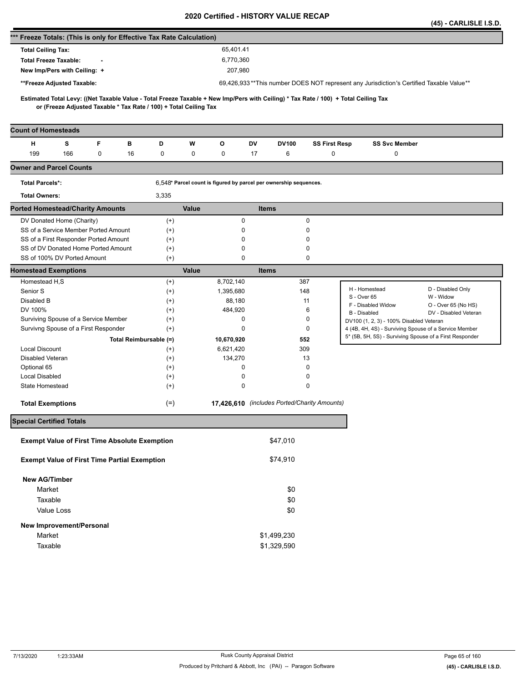|                                                                      |     |   |    |                                                                   |       |                                                                                                                                     |              |              |                                              |                              |                                         | (45) - CARLISLE I.S.D.                                                                                           |
|----------------------------------------------------------------------|-----|---|----|-------------------------------------------------------------------|-------|-------------------------------------------------------------------------------------------------------------------------------------|--------------|--------------|----------------------------------------------|------------------------------|-----------------------------------------|------------------------------------------------------------------------------------------------------------------|
| *** Freeze Totals: (This is only for Effective Tax Rate Calculation) |     |   |    |                                                                   |       |                                                                                                                                     |              |              |                                              |                              |                                         |                                                                                                                  |
| <b>Total Ceiling Tax:</b>                                            |     |   |    |                                                                   |       | 65,401.41                                                                                                                           |              |              |                                              |                              |                                         |                                                                                                                  |
| <b>Total Freeze Taxable:</b>                                         |     |   |    |                                                                   |       | 6,770,360                                                                                                                           |              |              |                                              |                              |                                         |                                                                                                                  |
| New Imp/Pers with Ceiling: +                                         |     |   |    |                                                                   |       | 207,980                                                                                                                             |              |              |                                              |                              |                                         |                                                                                                                  |
| **Freeze Adjusted Taxable:                                           |     |   |    |                                                                   |       |                                                                                                                                     |              |              |                                              |                              |                                         | 69,426,933**This number DOES NOT represent any Jurisdiction's Certified Taxable Value**                          |
|                                                                      |     |   |    |                                                                   |       |                                                                                                                                     |              |              |                                              |                              |                                         |                                                                                                                  |
|                                                                      |     |   |    | or (Freeze Adjusted Taxable * Tax Rate / 100) + Total Ceiling Tax |       | Estimated Total Levy: ((Net Taxable Value - Total Freeze Taxable + New Imp/Pers with Ceiling) * Tax Rate / 100) + Total Ceiling Tax |              |              |                                              |                              |                                         |                                                                                                                  |
| <b>Count of Homesteads</b>                                           |     |   |    |                                                                   |       |                                                                                                                                     |              |              |                                              |                              |                                         |                                                                                                                  |
| н                                                                    | s   | F | в  | D                                                                 | W     | o                                                                                                                                   | DV           | <b>DV100</b> | <b>SS First Resp</b>                         |                              | <b>SS Svc Member</b>                    |                                                                                                                  |
| 199                                                                  | 166 | 0 | 16 | 0                                                                 | 0     | 0                                                                                                                                   | 17           | 6            | 0                                            |                              | 0                                       |                                                                                                                  |
| <b>Owner and Parcel Counts</b>                                       |     |   |    |                                                                   |       |                                                                                                                                     |              |              |                                              |                              |                                         |                                                                                                                  |
| <b>Total Parcels*:</b>                                               |     |   |    |                                                                   |       | 6,548* Parcel count is figured by parcel per ownership sequences.                                                                   |              |              |                                              |                              |                                         |                                                                                                                  |
| <b>Total Owners:</b>                                                 |     |   |    | 3,335                                                             |       |                                                                                                                                     |              |              |                                              |                              |                                         |                                                                                                                  |
| <b>Ported Homestead/Charity Amounts</b>                              |     |   |    |                                                                   | Value |                                                                                                                                     | <b>Items</b> |              |                                              |                              |                                         |                                                                                                                  |
| DV Donated Home (Charity)                                            |     |   |    | $^{(+)}$                                                          |       | $\pmb{0}$                                                                                                                           |              |              | 0                                            |                              |                                         |                                                                                                                  |
| SS of a Service Member Ported Amount                                 |     |   |    | $^{(+)}$                                                          |       | 0                                                                                                                                   |              |              | 0                                            |                              |                                         |                                                                                                                  |
| SS of a First Responder Ported Amount                                |     |   |    | $^{(+)}$                                                          |       | 0                                                                                                                                   |              |              | 0                                            |                              |                                         |                                                                                                                  |
| SS of DV Donated Home Ported Amount                                  |     |   |    | $^{(+)}$                                                          |       | 0                                                                                                                                   |              |              | 0                                            |                              |                                         |                                                                                                                  |
| SS of 100% DV Ported Amount                                          |     |   |    | $^{(+)}$                                                          |       | 0                                                                                                                                   |              |              | 0                                            |                              |                                         |                                                                                                                  |
| <b>Homestead Exemptions</b>                                          |     |   |    |                                                                   | Value |                                                                                                                                     | <b>Items</b> |              |                                              |                              |                                         |                                                                                                                  |
| Homestead H,S                                                        |     |   |    | $^{(+)}$                                                          |       | 8,702,140                                                                                                                           |              | 387          |                                              |                              |                                         |                                                                                                                  |
| Senior S                                                             |     |   |    | $^{(+)}$                                                          |       | 1,395,680                                                                                                                           |              | 148          |                                              | H - Homestead<br>S - Over 65 |                                         | D - Disabled Only<br>W - Widow                                                                                   |
| Disabled B                                                           |     |   |    | $^{(+)}$                                                          |       | 88,180                                                                                                                              |              |              | 11                                           | F - Disabled Widow           |                                         | O - Over 65 (No HS)                                                                                              |
| DV 100%                                                              |     |   |    | $^{(+)}$                                                          |       | 484,920                                                                                                                             |              |              | 6                                            | B - Disabled                 |                                         | DV - Disabled Veteran                                                                                            |
| Surviving Spouse of a Service Member                                 |     |   |    | $^{(+)}$                                                          |       | 0                                                                                                                                   |              |              | 0                                            |                              | DV100 (1, 2, 3) - 100% Disabled Veteran |                                                                                                                  |
| Survivng Spouse of a First Responder                                 |     |   |    | $^{(+)}$                                                          |       | 0                                                                                                                                   |              |              | 0                                            |                              |                                         | 4 (4B, 4H, 4S) - Surviving Spouse of a Service Member<br>5* (5B, 5H, 5S) - Surviving Spouse of a First Responder |
|                                                                      |     |   |    | Total Reimbursable (=)                                            |       | 10,670,920                                                                                                                          |              | 552          |                                              |                              |                                         |                                                                                                                  |
| <b>Local Discount</b><br>Disabled Veteran                            |     |   |    | $^{(+)}$                                                          |       | 6,621,420                                                                                                                           |              | 309          | 13                                           |                              |                                         |                                                                                                                  |
| Optional 65                                                          |     |   |    | $^{(+)}$<br>$^{(+)}$                                              |       | 134,270<br>0                                                                                                                        |              |              | 0                                            |                              |                                         |                                                                                                                  |
| <b>Local Disabled</b>                                                |     |   |    | $^{(+)}$                                                          |       | 0                                                                                                                                   |              |              | 0                                            |                              |                                         |                                                                                                                  |
| State Homestead                                                      |     |   |    | $^{(+)}$                                                          |       | $\mathbf 0$                                                                                                                         |              |              | 0                                            |                              |                                         |                                                                                                                  |
|                                                                      |     |   |    |                                                                   |       |                                                                                                                                     |              |              |                                              |                              |                                         |                                                                                                                  |
| <b>Total Exemptions</b>                                              |     |   |    | $(=)$                                                             |       |                                                                                                                                     |              |              | 17,426,610 (includes Ported/Charity Amounts) |                              |                                         |                                                                                                                  |
| <b>Special Certified Totals</b>                                      |     |   |    |                                                                   |       |                                                                                                                                     |              |              |                                              |                              |                                         |                                                                                                                  |
| <b>Exempt Value of First Time Absolute Exemption</b>                 |     |   |    |                                                                   |       |                                                                                                                                     |              | \$47,010     |                                              |                              |                                         |                                                                                                                  |
| <b>Exempt Value of First Time Partial Exemption</b>                  |     |   |    |                                                                   |       |                                                                                                                                     |              | \$74,910     |                                              |                              |                                         |                                                                                                                  |
| <b>New AG/Timber</b>                                                 |     |   |    |                                                                   |       |                                                                                                                                     |              |              |                                              |                              |                                         |                                                                                                                  |
| Market                                                               |     |   |    |                                                                   |       |                                                                                                                                     |              | \$0          |                                              |                              |                                         |                                                                                                                  |
| Taxable                                                              |     |   |    |                                                                   |       |                                                                                                                                     |              | \$0          |                                              |                              |                                         |                                                                                                                  |
| Value Loss                                                           |     |   |    |                                                                   |       |                                                                                                                                     |              | \$0          |                                              |                              |                                         |                                                                                                                  |
|                                                                      |     |   |    |                                                                   |       |                                                                                                                                     |              |              |                                              |                              |                                         |                                                                                                                  |
| New Improvement/Personal<br>Market                                   |     |   |    |                                                                   |       |                                                                                                                                     |              |              |                                              |                              |                                         |                                                                                                                  |
| Taxable                                                              |     |   |    |                                                                   |       |                                                                                                                                     |              | \$1,499,230  |                                              |                              |                                         |                                                                                                                  |
|                                                                      |     |   |    |                                                                   |       |                                                                                                                                     |              | \$1,329,590  |                                              |                              |                                         |                                                                                                                  |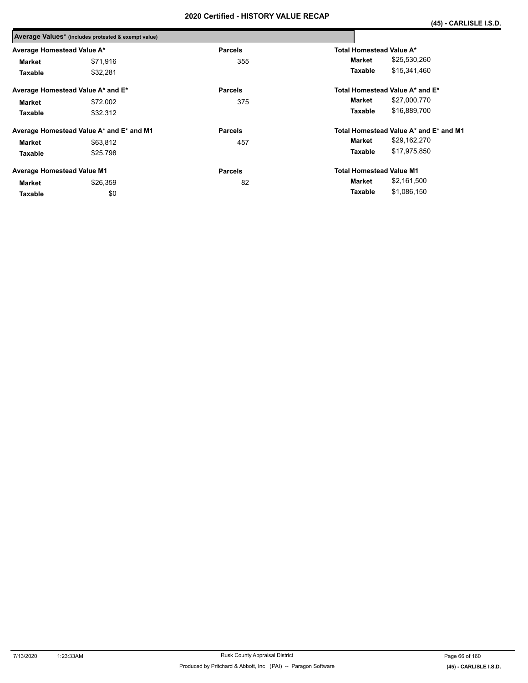|                                   | Average Values* (includes protested & exempt value) |                |                                 |                                        |  |  |  |  |  |
|-----------------------------------|-----------------------------------------------------|----------------|---------------------------------|----------------------------------------|--|--|--|--|--|
| Average Homestead Value A*        |                                                     | <b>Parcels</b> | Total Homestead Value A*        |                                        |  |  |  |  |  |
| <b>Market</b>                     | \$71,916                                            | 355            | Market                          | \$25,530,260                           |  |  |  |  |  |
| Taxable                           | \$32,281                                            |                | Taxable                         | \$15,341,460                           |  |  |  |  |  |
|                                   | Average Homestead Value A* and E*                   | <b>Parcels</b> |                                 | Total Homestead Value A* and E*        |  |  |  |  |  |
| Market                            | \$72.002                                            | 375            | Market                          | \$27,000,770                           |  |  |  |  |  |
| Taxable                           | \$32,312                                            |                | Taxable                         | \$16,889,700                           |  |  |  |  |  |
|                                   | Average Homestead Value A* and E* and M1            | <b>Parcels</b> |                                 | Total Homestead Value A* and E* and M1 |  |  |  |  |  |
| <b>Market</b>                     | \$63,812                                            | 457            | Market                          | \$29,162,270                           |  |  |  |  |  |
| Taxable                           | \$25.798                                            |                | Taxable                         | \$17,975,850                           |  |  |  |  |  |
| <b>Average Homestead Value M1</b> |                                                     | <b>Parcels</b> | <b>Total Homestead Value M1</b> |                                        |  |  |  |  |  |
| Market                            | \$26,359                                            | 82             | Market                          | \$2,161,500                            |  |  |  |  |  |
| Taxable                           | \$0                                                 |                | Taxable                         | \$1,086,150                            |  |  |  |  |  |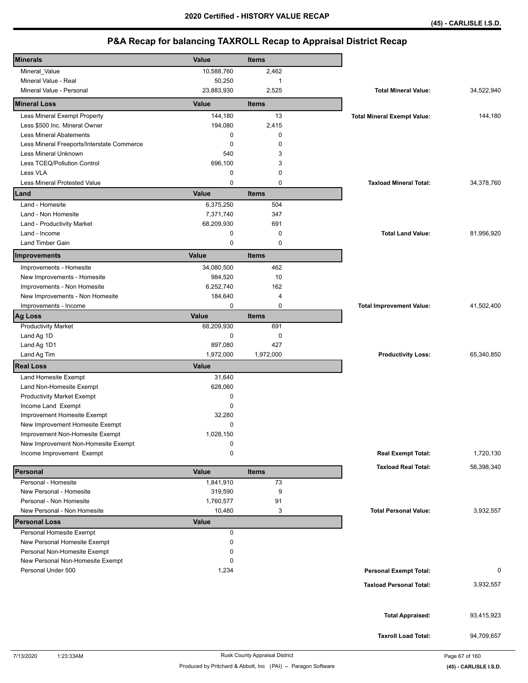| <b>Minerals</b>                            | Value        | <b>Items</b> |                                    |            |
|--------------------------------------------|--------------|--------------|------------------------------------|------------|
| Mineral_Value                              | 10,588,760   | 2,462        |                                    |            |
| Mineral Value - Real                       | 50,250       | $\mathbf{1}$ |                                    |            |
| Mineral Value - Personal                   | 23,883,930   | 2,525        | <b>Total Mineral Value:</b>        | 34,522,940 |
| <b>Mineral Loss</b>                        | Value        | <b>Items</b> |                                    |            |
| Less Mineral Exempt Property               | 144,180      | 13           | <b>Total Mineral Exempt Value:</b> | 144,180    |
| Less \$500 Inc. Mineral Owner              | 194,080      | 2,415        |                                    |            |
| <b>Less Mineral Abatements</b>             | 0            | 0            |                                    |            |
| Less Mineral Freeports/Interstate Commerce | 0            | 0            |                                    |            |
| Less Mineral Unknown                       | 540          | 3            |                                    |            |
| Less TCEQ/Pollution Control                | 696,100      | 3            |                                    |            |
| Less VLA                                   | $\mathbf 0$  | 0            |                                    |            |
| Less Mineral Protested Value               | 0            | 0            | <b>Taxload Mineral Total:</b>      | 34,378,760 |
| Land                                       | Value        | <b>Items</b> |                                    |            |
| Land - Homesite                            | 6,375,250    | 504          |                                    |            |
| Land - Non Homesite                        | 7,371,740    | 347          |                                    |            |
| Land - Productivity Market                 | 68,209,930   | 691          |                                    |            |
| Land - Income                              | 0            | 0            | <b>Total Land Value:</b>           | 81,956,920 |
| Land Timber Gain                           | 0            | $\mathbf 0$  |                                    |            |
| Improvements                               | Value        | <b>Items</b> |                                    |            |
| Improvements - Homesite                    | 34,080,500   | 462          |                                    |            |
| New Improvements - Homesite                | 984,520      | 10           |                                    |            |
| Improvements - Non Homesite                | 6,252,740    | 162          |                                    |            |
| New Improvements - Non Homesite            | 184,640      | 4            |                                    |            |
| Improvements - Income                      | $\mathbf 0$  | $\mathbf 0$  | <b>Total Improvement Value:</b>    | 41,502,400 |
| <b>Ag Loss</b>                             | Value        | <b>Items</b> |                                    |            |
| <b>Productivity Market</b>                 | 68,209,930   | 691          |                                    |            |
| Land Ag 1D                                 | 0            | 0            |                                    |            |
| Land Ag 1D1                                | 897,080      | 427          |                                    |            |
| Land Ag Tim                                | 1,972,000    | 1,972,000    | <b>Productivity Loss:</b>          | 65,340,850 |
| <b>Real Loss</b>                           | Value        |              |                                    |            |
| Land Homesite Exempt                       | 31,640       |              |                                    |            |
| Land Non-Homesite Exempt                   | 628,060      |              |                                    |            |
| <b>Productivity Market Exempt</b>          | $\mathbf 0$  |              |                                    |            |
| Income Land Exempt                         | 0            |              |                                    |            |
| Improvement Homesite Exempt                | 32.280       |              |                                    |            |
| New Improvement Homesite Exempt            | 0            |              |                                    |            |
| Improvement Non-Homesite Exempt            | 1,028,150    |              |                                    |            |
| New Improvement Non-Homesite Exempt        | 0            |              |                                    |            |
| Income Improvement Exempt                  | 0            |              | <b>Real Exempt Total:</b>          | 1,720,130  |
| Personal                                   | Value        | <b>Items</b> | <b>Taxload Real Total:</b>         | 56,398,340 |
| Personal - Homesite                        | 1,841,910    | 73           |                                    |            |
| New Personal - Homesite                    | 319,590      | 9            |                                    |            |
| Personal - Non Homesite                    | 1,760,577    | 91           |                                    |            |
| New Personal - Non Homesite                | 10,480       | 3            | <b>Total Personal Value:</b>       | 3,932,557  |
| <b>Personal Loss</b>                       | <b>Value</b> |              |                                    |            |
| Personal Homesite Exempt                   | 0            |              |                                    |            |
| New Personal Homesite Exempt               | 0            |              |                                    |            |
| Personal Non-Homesite Exempt               | 0            |              |                                    |            |
| New Personal Non-Homesite Exempt           | 0            |              |                                    |            |
| Personal Under 500                         | 1,234        |              | <b>Personal Exempt Total:</b>      | 0          |
|                                            |              |              | <b>Taxload Personal Total:</b>     | 3,932,557  |
|                                            |              |              |                                    |            |
|                                            |              |              |                                    |            |
|                                            |              |              | <b>Total Appraised:</b>            | 93,415,923 |
|                                            |              |              |                                    |            |
|                                            |              |              | <b>Taxroll Load Total:</b>         | 94,709,657 |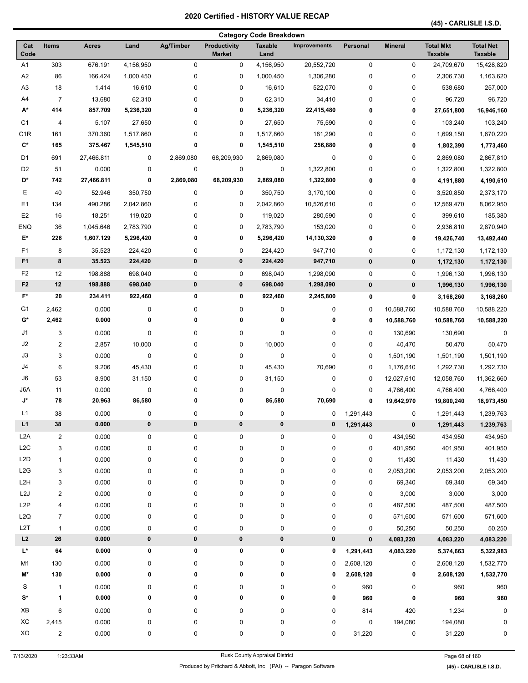**(45) - CARLISLE I.S.D.** 

|                    |                |              |           |           |                               | <b>Category Code Breakdown</b> |              |             |                |                                    |                                    |
|--------------------|----------------|--------------|-----------|-----------|-------------------------------|--------------------------------|--------------|-------------|----------------|------------------------------------|------------------------------------|
| Cat<br>Code        | <b>Items</b>   | <b>Acres</b> | Land      | Ag/Timber | Productivity<br><b>Market</b> | <b>Taxable</b><br>Land         | Improvements | Personal    | <b>Mineral</b> | <b>Total Mkt</b><br><b>Taxable</b> | <b>Total Net</b><br><b>Taxable</b> |
| A <sub>1</sub>     | 303            | 676.191      | 4,156,950 | 0         | 0                             | 4,156,950                      | 20,552,720   | $\mathbf 0$ | 0              | 24,709,670                         | 15,428,820                         |
| A <sub>2</sub>     | 86             | 166.424      | 1,000,450 | 0         | $\mathbf 0$                   | 1,000,450                      | 1,306,280    | 0           | 0              | 2,306,730                          | 1,163,620                          |
| A3                 | 18             | 1.414        | 16,610    | 0         | 0                             | 16,610                         | 522,070      | 0           | 0              | 538,680                            | 257,000                            |
| A4                 | $\overline{7}$ | 13.680       | 62,310    | 0         | $\pmb{0}$                     | 62,310                         | 34,410       | 0           | 0              | 96,720                             | 96,720                             |
| A*                 | 414            | 857.709      | 5,236,320 | 0         | 0                             | 5,236,320                      | 22,415,480   | 0           | 0              | 27,651,800                         | 16,946,160                         |
| C <sub>1</sub>     | $\overline{4}$ | 5.107        | 27,650    | 0         | 0                             | 27,650                         | 75,590       | 0           | 0              | 103,240                            | 103,240                            |
| C <sub>1</sub> R   | 161            | 370.360      | 1,517,860 | 0         | 0                             | 1,517,860                      | 181,290      | 0           | 0              | 1,699,150                          | 1,670,220                          |
| $\mathbf{C}^\star$ | 165            | 375.467      | 1,545,510 | 0         | 0                             | 1,545,510                      | 256,880      | 0           | 0              | 1,802,390                          | 1,773,460                          |
| D <sub>1</sub>     | 691            | 27,466.811   | 0         | 2,869,080 | 68,209,930                    | 2,869,080                      | $\mathbf 0$  | 0           | 0              | 2,869,080                          | 2,867,810                          |
| D <sub>2</sub>     | 51             | 0.000        | 0         | 0         | $\mathbf 0$                   | 0                              | 1,322,800    | 0           | 0              | 1,322,800                          | 1,322,800                          |
| D*                 | 742            | 27,466.811   | 0         | 2,869,080 | 68,209,930                    | 2,869,080                      | 1,322,800    | 0           | 0              | 4,191,880                          | 4,190,610                          |
| Ε                  | 40             | 52.946       | 350,750   | 0         | 0                             | 350,750                        | 3,170,100    | 0           | 0              | 3,520,850                          | 2,373,170                          |
| E <sub>1</sub>     | 134            | 490.286      | 2,042,860 | 0         | 0                             | 2,042,860                      | 10,526,610   | 0           | 0              | 12,569,470                         | 8,062,950                          |
| E <sub>2</sub>     | 16             | 18.251       | 119,020   | 0         | 0                             | 119,020                        | 280,590      | 0           | 0              | 399,610                            | 185,380                            |
| <b>ENQ</b>         | 36             | 1,045.646    | 2,783,790 | 0         | 0                             | 2,783,790                      | 153,020      | 0           | 0              | 2,936,810                          | 2,870,940                          |
| E*                 | 226            | 1,607.129    | 5,296,420 | 0         | 0                             | 5,296,420                      | 14,130,320   | 0           | 0              | 19,426,740                         | 13,492,440                         |
| F <sub>1</sub>     | 8              | 35.523       | 224,420   | 0         | 0                             | 224,420                        | 947,710      | 0           | 0              | 1,172,130                          | 1,172,130                          |
| F <sub>1</sub>     | 8              | 35.523       | 224,420   | 0         | $\pmb{0}$                     | 224,420                        | 947,710      | $\pmb{0}$   | 0              | 1,172,130                          | 1,172,130                          |
| F <sub>2</sub>     | 12             | 198.888      | 698,040   | 0         | $\pmb{0}$                     | 698,040                        | 1,298,090    | 0           | $\pmb{0}$      | 1,996,130                          | 1,996,130                          |
| F <sub>2</sub>     | 12             | 198.888      | 698,040   | $\pmb{0}$ | $\pmb{0}$                     | 698,040                        | 1,298,090    | $\pmb{0}$   | 0              | 1,996,130                          | 1,996,130                          |
| F*                 | 20             | 234.411      | 922,460   | 0         | 0                             | 922,460                        | 2,245,800    | 0           | 0              | 3,168,260                          | 3,168,260                          |
| G1                 | 2,462          | 0.000        | 0         | 0         | 0                             | 0                              | 0            | 0           | 10,588,760     | 10,588,760                         | 10,588,220                         |
| G*                 | 2,462          | 0.000        | 0         | 0         | 0                             | 0                              | 0            | 0           | 10,588,760     | 10,588,760                         | 10,588,220                         |
| J1                 | 3              | 0.000        | 0         | 0         | 0                             | $\pmb{0}$                      | 0            | 0           | 130,690        | 130,690                            | $\pmb{0}$                          |
| J2                 | 2              | 2.857        | 10,000    | 0         | 0                             | 10,000                         | 0            | 0           | 40,470         | 50,470                             | 50,470                             |
| J3                 | 3              | 0.000        | 0         | 0         | 0                             | $\pmb{0}$                      | 0            | 0           | 1,501,190      | 1,501,190                          | 1,501,190                          |
| J4                 | 6              | 9.206        | 45,430    | 0         | 0                             | 45,430                         | 70,690       | 0           | 1,176,610      | 1,292,730                          | 1,292,730                          |
| J6                 | 53             | 8.900        | 31,150    | 0         | 0                             | 31,150                         | 0            | 0           | 12,027,610     | 12,058,760                         | 11,362,660                         |
| J6A                | 11             | 0.000        | $\pmb{0}$ | 0         | 0                             | $\pmb{0}$                      | 0            | 0           | 4,766,400      | 4,766,400                          | 4,766,400                          |
| J*                 | 78             | 20.963       | 86,580    | 0         | 0                             | 86,580                         | 70,690       | 0           | 19,642,970     | 19,800,240                         | 18,973,450                         |
| L1                 | 38             | 0.000        | 0         | 0         | 0                             | $\pmb{0}$                      | 0            | 1,291,443   | 0              | 1,291,443                          | 1,239,763                          |
| L1                 | 38             | 0.000        | 0         | $\bf{0}$  | $\pmb{0}$                     | 0                              | 0            | 1,291,443   | $\pmb{0}$      | 1,291,443                          | 1,239,763                          |
| L <sub>2</sub> A   | $\overline{2}$ | 0.000        | 0         | 0         | $\pmb{0}$                     | 0                              | 0            | 0           | 434,950        | 434,950                            | 434,950                            |
| L <sub>2</sub> C   | 3              | 0.000        | 0         | 0         | 0                             | 0                              | 0            | 0           | 401,950        | 401,950                            | 401,950                            |
| L <sub>2</sub> D   | 1              | 0.000        | 0         | 0         | 0                             | 0                              | 0            | 0           | 11,430         | 11,430                             | 11,430                             |
| L2G                | 3              | 0.000        | 0         | 0         | 0                             | 0                              | 0            | 0           | 2,053,200      | 2,053,200                          | 2,053,200                          |
| L <sub>2</sub> H   | 3              | 0.000        | 0         | 0         | 0                             | 0                              | 0            | 0           | 69,340         | 69,340                             | 69,340                             |
| L <sub>2</sub> J   | 2              | 0.000        | 0         | 0         | 0                             | 0                              | 0            | 0           | 3,000          | 3,000                              | 3,000                              |
| L <sub>2</sub> P   | 4              | 0.000        | 0         | 0         | $\pmb{0}$                     | 0                              | 0            | 0           | 487,500        | 487,500                            | 487,500                            |
| L <sub>2</sub> Q   | 7              | 0.000        | 0         | 0         | 0                             | 0                              | 0            | 0           | 571,600        | 571,600                            | 571,600                            |
| L <sub>2</sub> T   | 1              | 0.000        | 0         | 0         | $\pmb{0}$                     | 0                              | 0            | 0           | 50,250         | 50,250                             | 50,250                             |
| L2                 | 26             | 0.000        | 0         | 0         | $\pmb{0}$                     | 0                              | $\pmb{0}$    | $\bf{0}$    | 4,083,220      | 4,083,220                          | 4,083,220                          |
| L*                 | 64             | 0.000        | 0         | 0         | 0                             | 0                              | 0            | 1,291,443   |                |                                    |                                    |
|                    |                |              |           |           |                               |                                |              |             | 4,083,220      | 5,374,663                          | 5,322,983                          |
| M1                 | 130            | 0.000        | 0         | 0         | 0                             | 0                              | 0            | 2,608,120   | 0              | 2,608,120                          | 1,532,770                          |
| M*                 | 130            | 0.000        | 0         | 0         | 0                             | 0                              | 0            | 2,608,120   | 0              | 2,608,120                          | 1,532,770                          |
| S                  | $\mathbf{1}$   | 0.000        | 0         | 0         | 0                             | 0                              | 0            | 960         | 0              | 960                                | 960                                |
| $S^*$              | 1              | 0.000        | 0         | 0         | 0                             | 0                              | 0            | 960         | 0              | 960                                | 960                                |
| ΧB                 | 6              | 0.000        | 0         | 0         | 0                             | 0                              | 0            | 814         | 420            | 1,234                              | 0                                  |
| XC                 | 2,415          | 0.000        | 0         | 0         | 0                             | 0                              | 0            | 0           | 194,080        | 194,080                            | 0                                  |
| XO                 | $\overline{2}$ | 0.000        | 0         | 0         | 0                             | 0                              | 0            | 31,220      | 0              | 31,220                             | 0                                  |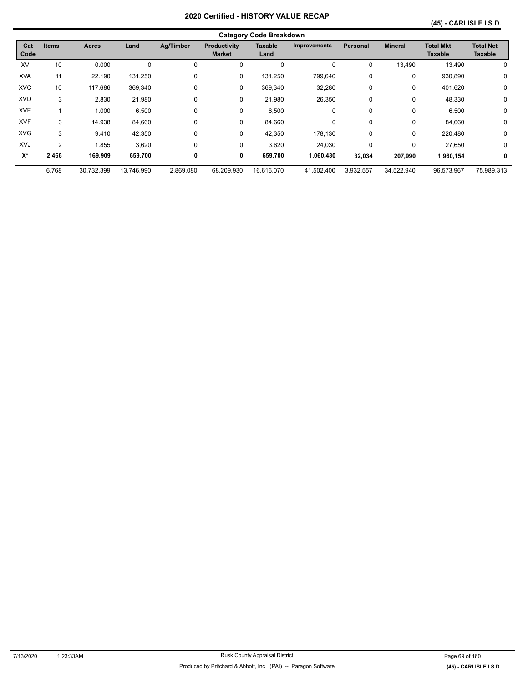| <b>Category Code Breakdown</b> |              |            |            |           |                                      |                 |                     |                 |                |                                    |                                    |
|--------------------------------|--------------|------------|------------|-----------|--------------------------------------|-----------------|---------------------|-----------------|----------------|------------------------------------|------------------------------------|
| Cat<br>Code                    | <b>Items</b> | Acres      | Land       | Ag/Timber | <b>Productivity</b><br><b>Market</b> | Taxable<br>Land | <b>Improvements</b> | <b>Personal</b> | <b>Mineral</b> | <b>Total Mkt</b><br><b>Taxable</b> | <b>Total Net</b><br><b>Taxable</b> |
| XV                             | 10           | 0.000      | $\Omega$   |           | 0                                    | 0               | 0                   | 0               | 13,490         | 13,490                             | 0                                  |
| <b>XVA</b>                     | 11           | 22.190     | 131,250    | 0         | 0                                    | 131,250         | 799,640             | 0               | 0              | 930,890                            | 0                                  |
| <b>XVC</b>                     | 10           | 117.686    | 369,340    | 0         | 0                                    | 369,340         | 32,280              | 0               | 0              | 401,620                            | 0                                  |
| <b>XVD</b>                     | 3            | 2.830      | 21,980     | 0         | 0                                    | 21,980          | 26,350              | 0               | 0              | 48,330                             | 0                                  |
| <b>XVE</b>                     | 1            | 1.000      | 6,500      | 0         | 0                                    | 6,500           | 0                   | 0               | 0              | 6,500                              | 0                                  |
| <b>XVF</b>                     | 3            | 14.938     | 84,660     | 0         | 0                                    | 84,660          | 0                   | 0               | 0              | 84,660                             | 0                                  |
| <b>XVG</b>                     | 3            | 9.410      | 42,350     | $\Omega$  | 0                                    | 42,350          | 178.130             | 0               | 0              | 220,480                            | $\mathbf 0$                        |
| XVJ                            | 2            | 1.855      | 3,620      | 0         | 0                                    | 3,620           | 24,030              | 0               | 0              | 27,650                             | 0                                  |
| $\mathsf{X}^\star$             | 2,466        | 169.909    | 659,700    | 0         | 0                                    | 659,700         | 1,060,430           | 32,034          | 207,990        | 1,960,154                          | 0                                  |
|                                | 6,768        | 30,732.399 | 13,746,990 | 2,869,080 | 68,209,930                           | 16,616,070      | 41,502,400          | 3,932,557       | 34,522,940     | 96,573,967                         | 75,989,313                         |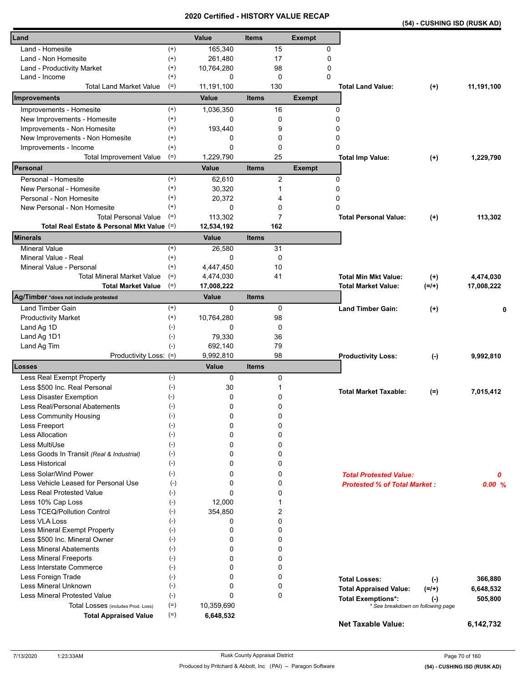| (54) - CUSHING ISD (RUSK AD) |  |  |
|------------------------------|--|--|
|                              |  |  |

| Land                                                     |                             | Value        | <b>Items</b> |                | <b>Exempt</b> |          |                                     |           |            |
|----------------------------------------------------------|-----------------------------|--------------|--------------|----------------|---------------|----------|-------------------------------------|-----------|------------|
| Land - Homesite                                          | $^{(+)}$                    | 165,340      |              | 15             |               | 0        |                                     |           |            |
| Land - Non Homesite                                      | $^{(+)}$                    | 261,480      |              | 17             |               | 0        |                                     |           |            |
| Land - Productivity Market                               | $^{(+)}$                    | 10,764,280   |              | 98             |               | 0        |                                     |           |            |
| Land - Income                                            | $^{(+)}$                    | 0            |              | 0              |               | $\Omega$ |                                     |           |            |
| Total Land Market Value                                  | $(=)$                       | 11,191,100   |              | 130            |               |          | <b>Total Land Value:</b>            | $(+)$     | 11,191,100 |
| Improvements                                             |                             | Value        | <b>Items</b> |                | <b>Exempt</b> |          |                                     |           |            |
| Improvements - Homesite                                  | $^{(+)}$                    | 1,036,350    |              | 16             |               | 0        |                                     |           |            |
| New Improvements - Homesite                              | $^{(+)}$                    | 0            |              | 0              |               | 0        |                                     |           |            |
| Improvements - Non Homesite                              | $^{(+)}$                    | 193,440      |              | 9              |               | 0        |                                     |           |            |
| New Improvements - Non Homesite                          | $^{(+)}$                    | 0            |              | 0              |               | 0        |                                     |           |            |
| Improvements - Income                                    | $^{(+)}$                    | 0            |              | 0              |               | 0        |                                     |           |            |
| <b>Total Improvement Value</b>                           | $(=)$                       | 1,229,790    |              | 25             |               |          | <b>Total Imp Value:</b>             | $^{(+)}$  | 1,229,790  |
| Personal                                                 |                             | Value        | <b>Items</b> |                | <b>Exempt</b> |          |                                     |           |            |
| Personal - Homesite                                      | $^{(+)}$                    | 62,610       |              | 2              |               | 0        |                                     |           |            |
| New Personal - Homesite                                  | $^{(+)}$                    | 30,320       |              | $\mathbf{1}$   |               | 0        |                                     |           |            |
| Personal - Non Homesite<br>New Personal - Non Homesite   | $^{(+)}$<br>$^{(+)}$        | 20,372<br>0  |              | 4<br>0         |               | 0<br>0   |                                     |           |            |
| <b>Total Personal Value</b>                              | $(=)$                       | 113,302      |              | $\overline{7}$ |               |          | <b>Total Personal Value:</b>        |           | 113,302    |
| Total Real Estate & Personal Mkt Value (=)               |                             | 12,534,192   |              | 162            |               |          |                                     | $(+)$     |            |
| Minerals                                                 |                             | Value        | <b>Items</b> |                |               |          |                                     |           |            |
| <b>Mineral Value</b>                                     | $^{(+)}$                    | 26,580       |              | 31             |               |          |                                     |           |            |
| Mineral Value - Real                                     | $^{(+)}$                    | 0            |              | 0              |               |          |                                     |           |            |
| Mineral Value - Personal                                 | $^{(+)}$                    | 4,447,450    |              | 10             |               |          |                                     |           |            |
| <b>Total Mineral Market Value</b>                        | $(=)$                       | 4,474,030    |              | 41             |               |          | <b>Total Min Mkt Value:</b>         | $(+)$     | 4,474,030  |
| <b>Total Market Value</b>                                | $(=)$                       | 17,008,222   |              |                |               |          | <b>Total Market Value:</b>          | $(=/+)$   | 17,008,222 |
| Ag/Timber *does not include protested                    |                             | <b>Value</b> | <b>Items</b> |                |               |          |                                     |           |            |
| Land Timber Gain                                         | $^{(+)}$                    | 0            |              | 0              |               |          | <b>Land Timber Gain:</b>            | $(+)$     | 0          |
| <b>Productivity Market</b>                               | $^{(+)}$                    | 10,764,280   |              | 98             |               |          |                                     |           |            |
| Land Ag 1D                                               | $(-)$                       | 0            |              | 0              |               |          |                                     |           |            |
| Land Ag 1D1                                              | $(-)$                       | 79,330       |              | 36             |               |          |                                     |           |            |
| Land Ag Tim                                              | $(-)$                       | 692,140      |              | 79             |               |          |                                     |           |            |
| Productivity Loss: (=)                                   |                             | 9,992,810    |              | 98             |               |          | <b>Productivity Loss:</b>           | $(\cdot)$ | 9,992,810  |
| Losses                                                   |                             | Value        | <b>Items</b> |                |               |          |                                     |           |            |
| Less Real Exempt Property                                | $(-)$                       | 0            |              | 0              |               |          |                                     |           |            |
| Less \$500 Inc. Real Personal                            | $(\text{-})$                | 30           |              | 1              |               |          | <b>Total Market Taxable:</b>        | $(=)$     | 7,015,412  |
| Less Disaster Exemption<br>Less Real/Personal Abatements | $(\cdot)$                   | 0<br>0       |              | 0<br>0         |               |          |                                     |           |            |
| <b>Less Community Housing</b>                            | $(\textnormal{-})$<br>$(-)$ | 0            |              | U              |               |          |                                     |           |            |
| Less Freeport                                            | $(\text{-})$                | 0            |              | 0              |               |          |                                     |           |            |
| <b>Less Allocation</b>                                   | $(-)$                       | 0            |              | 0              |               |          |                                     |           |            |
| Less MultiUse                                            | $(-)$                       | 0            |              | 0              |               |          |                                     |           |            |
| Less Goods In Transit (Real & Industrial)                | $(-)$                       | 0            |              | 0              |               |          |                                     |           |            |
| Less Historical                                          | $(-)$                       | 0            |              | 0              |               |          |                                     |           |            |
| Less Solar/Wind Power                                    | $(-)$                       | 0            |              | 0              |               |          | <b>Total Protested Value:</b>       |           | 0          |
| Less Vehicle Leased for Personal Use                     | $(-)$                       | 0            |              | 0              |               |          | <b>Protested % of Total Market:</b> |           | 0.00%      |
| Less Real Protested Value                                | $(-)$                       | 0            |              | 0              |               |          |                                     |           |            |
| Less 10% Cap Loss                                        | $(-)$                       | 12,000       |              | 1              |               |          |                                     |           |            |
| Less TCEQ/Pollution Control                              | $(-)$                       | 354,850      |              | 2              |               |          |                                     |           |            |
| Less VLA Loss                                            | $(\cdot)$                   | 0            |              | 0              |               |          |                                     |           |            |
| Less Mineral Exempt Property                             | $(-)$                       | 0            |              | 0              |               |          |                                     |           |            |
| Less \$500 Inc. Mineral Owner                            | $(-)$                       | 0            |              | 0              |               |          |                                     |           |            |
| <b>Less Mineral Abatements</b>                           | $(-)$                       | 0            |              | 0              |               |          |                                     |           |            |
| Less Mineral Freeports                                   | $(-)$                       | 0            |              | 0              |               |          |                                     |           |            |
| Less Interstate Commerce                                 | $(-)$                       | 0            |              | 0              |               |          |                                     |           |            |
| Less Foreign Trade                                       | $(-)$                       | 0<br>0       |              | 0              |               |          | <b>Total Losses:</b>                | $(-)$     | 366,880    |
| Less Mineral Unknown<br>Less Mineral Protested Value     | $(-)$<br>$(-)$              | 0            |              | 0<br>0         |               |          | <b>Total Appraised Value:</b>       | $(=/+)$   | 6,648,532  |
| Total Losses (includes Prod. Loss)                       | $(=)$                       | 10,359,690   |              |                |               |          | <b>Total Exemptions*:</b>           | $(\cdot)$ | 505,800    |
| <b>Total Appraised Value</b>                             | $(=)$                       | 6,648,532    |              |                |               |          | * See breakdown on following page   |           |            |
|                                                          |                             |              |              |                |               |          | <b>Net Taxable Value:</b>           |           | 6,142,732  |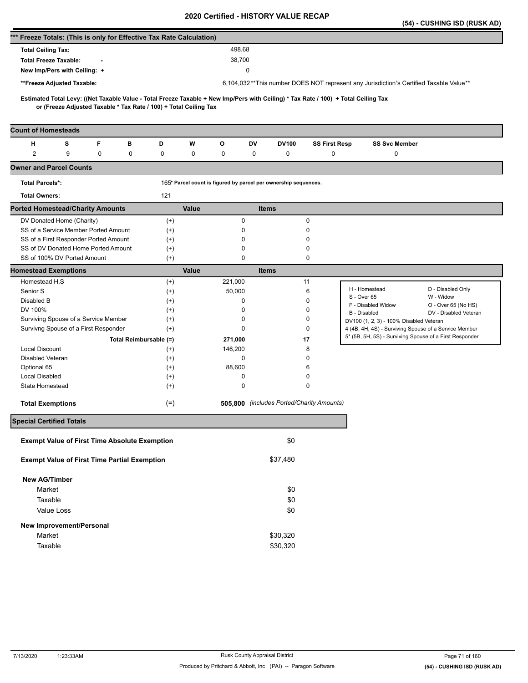|                                                                      |            |   |                                                                   |          |       |                                                                 |              |              |                                                                                                                                     |                              |                                         | (54) - CUSHING ISD (RUSK AD)                                                           |
|----------------------------------------------------------------------|------------|---|-------------------------------------------------------------------|----------|-------|-----------------------------------------------------------------|--------------|--------------|-------------------------------------------------------------------------------------------------------------------------------------|------------------------------|-----------------------------------------|----------------------------------------------------------------------------------------|
| *** Freeze Totals: (This is only for Effective Tax Rate Calculation) |            |   |                                                                   |          |       |                                                                 |              |              |                                                                                                                                     |                              |                                         |                                                                                        |
| <b>Total Ceiling Tax:</b>                                            |            |   |                                                                   |          |       | 498.68                                                          |              |              |                                                                                                                                     |                              |                                         |                                                                                        |
| <b>Total Freeze Taxable:</b>                                         |            |   |                                                                   |          |       | 38,700                                                          |              |              |                                                                                                                                     |                              |                                         |                                                                                        |
| New Imp/Pers with Ceiling: +                                         |            |   |                                                                   |          |       |                                                                 | 0            |              |                                                                                                                                     |                              |                                         |                                                                                        |
|                                                                      |            |   |                                                                   |          |       |                                                                 |              |              |                                                                                                                                     |                              |                                         | 6,104,032**This number DOES NOT represent any Jurisdiction's Certified Taxable Value** |
| **Freeze Adjusted Taxable:                                           |            |   |                                                                   |          |       |                                                                 |              |              |                                                                                                                                     |                              |                                         |                                                                                        |
|                                                                      |            |   | or (Freeze Adjusted Taxable * Tax Rate / 100) + Total Ceiling Tax |          |       |                                                                 |              |              | Estimated Total Levy: ((Net Taxable Value - Total Freeze Taxable + New Imp/Pers with Ceiling) * Tax Rate / 100) + Total Ceiling Tax |                              |                                         |                                                                                        |
| <b>Count of Homesteads</b>                                           |            |   |                                                                   |          |       |                                                                 |              |              |                                                                                                                                     |                              |                                         |                                                                                        |
| н                                                                    | s          | F | в                                                                 | D        | W     | o                                                               | DV           | <b>DV100</b> | <b>SS First Resp</b>                                                                                                                |                              | <b>SS Svc Member</b>                    |                                                                                        |
| 2                                                                    | 9          | 0 | 0                                                                 | 0        | 0     | 0                                                               | 0            | 0            | 0                                                                                                                                   |                              | 0                                       |                                                                                        |
| <b>Owner and Parcel Counts</b>                                       |            |   |                                                                   |          |       |                                                                 |              |              |                                                                                                                                     |                              |                                         |                                                                                        |
| <b>Total Parcels*:</b>                                               |            |   |                                                                   |          |       | 165* Parcel count is figured by parcel per ownership sequences. |              |              |                                                                                                                                     |                              |                                         |                                                                                        |
| <b>Total Owners:</b>                                                 |            |   |                                                                   | 121      |       |                                                                 |              |              |                                                                                                                                     |                              |                                         |                                                                                        |
| <b>Ported Homestead/Charity Amounts</b>                              |            |   |                                                                   |          | Value |                                                                 | <b>Items</b> |              |                                                                                                                                     |                              |                                         |                                                                                        |
| DV Donated Home (Charity)                                            |            |   |                                                                   | $^{(+)}$ |       | 0                                                               |              |              | 0                                                                                                                                   |                              |                                         |                                                                                        |
| SS of a Service Member Ported Amount                                 |            |   |                                                                   | $^{(+)}$ |       | 0                                                               |              |              | 0                                                                                                                                   |                              |                                         |                                                                                        |
| SS of a First Responder Ported Amount                                |            |   |                                                                   | $^{(+)}$ |       | 0                                                               |              |              | 0                                                                                                                                   |                              |                                         |                                                                                        |
| SS of DV Donated Home Ported Amount                                  |            |   |                                                                   | $^{(+)}$ |       | 0                                                               |              |              | 0                                                                                                                                   |                              |                                         |                                                                                        |
| SS of 100% DV Ported Amount                                          |            |   |                                                                   | $^{(+)}$ |       | 0                                                               |              |              | 0                                                                                                                                   |                              |                                         |                                                                                        |
| <b>Homestead Exemptions</b>                                          |            |   |                                                                   |          | Value |                                                                 | <b>Items</b> |              |                                                                                                                                     |                              |                                         |                                                                                        |
| Homestead H,S                                                        |            |   |                                                                   | $^{(+)}$ |       | 221,000                                                         |              |              | 11                                                                                                                                  |                              |                                         |                                                                                        |
| Senior S                                                             |            |   |                                                                   | $^{(+)}$ |       | 50,000                                                          |              |              | 6                                                                                                                                   | H - Homestead<br>S - Over 65 |                                         | D - Disabled Only<br>W - Widow                                                         |
| Disabled B                                                           |            |   |                                                                   | $^{(+)}$ |       | 0                                                               |              |              | 0                                                                                                                                   |                              | F - Disabled Widow                      | O - Over 65 (No HS)                                                                    |
| DV 100%                                                              |            |   |                                                                   | $^{(+)}$ |       | 0                                                               |              |              | 0                                                                                                                                   | B - Disabled                 |                                         | DV - Disabled Veteran                                                                  |
| Surviving Spouse of a Service Member                                 |            |   |                                                                   | $^{(+)}$ |       | 0                                                               |              |              | 0                                                                                                                                   |                              | DV100 (1, 2, 3) - 100% Disabled Veteran |                                                                                        |
| Survivng Spouse of a First Responder                                 |            |   |                                                                   | $^{(+)}$ |       | 0                                                               |              |              | 0                                                                                                                                   |                              |                                         | 4 (4B, 4H, 4S) - Surviving Spouse of a Service Member                                  |
|                                                                      |            |   | Total Reimbursable (=)                                            |          |       | 271,000                                                         |              |              | 17                                                                                                                                  |                              |                                         | 5* (5B, 5H, 5S) - Surviving Spouse of a First Responder                                |
| <b>Local Discount</b>                                                |            |   |                                                                   | $^{(+)}$ |       | 146,200                                                         |              |              | 8                                                                                                                                   |                              |                                         |                                                                                        |
| Disabled Veteran                                                     |            |   |                                                                   | $^{(+)}$ |       | 0                                                               |              |              | 0                                                                                                                                   |                              |                                         |                                                                                        |
| Optional 65                                                          |            |   |                                                                   | $^{(+)}$ |       | 88,600                                                          |              |              | 6                                                                                                                                   |                              |                                         |                                                                                        |
| <b>Local Disabled</b>                                                |            |   |                                                                   | $^{(+)}$ |       | 0                                                               |              |              | 0                                                                                                                                   |                              |                                         |                                                                                        |
| State Homestead                                                      |            |   |                                                                   | $^{(+)}$ |       | 0                                                               |              |              | 0                                                                                                                                   |                              |                                         |                                                                                        |
| <b>Total Exemptions</b>                                              |            |   |                                                                   | $(=)$    |       |                                                                 |              |              | 505,800 (includes Ported/Charity Amounts)                                                                                           |                              |                                         |                                                                                        |
| <b>Special Certified Totals</b>                                      |            |   |                                                                   |          |       |                                                                 |              |              |                                                                                                                                     |                              |                                         |                                                                                        |
|                                                                      |            |   | <b>Exempt Value of First Time Absolute Exemption</b>              |          |       |                                                                 |              | \$0          |                                                                                                                                     |                              |                                         |                                                                                        |
|                                                                      |            |   | <b>Exempt Value of First Time Partial Exemption</b>               |          |       |                                                                 |              | \$37,480     |                                                                                                                                     |                              |                                         |                                                                                        |
|                                                                      |            |   |                                                                   |          |       |                                                                 |              |              |                                                                                                                                     |                              |                                         |                                                                                        |
| <b>New AG/Timber</b>                                                 |            |   |                                                                   |          |       |                                                                 |              |              |                                                                                                                                     |                              |                                         |                                                                                        |
| Market                                                               |            |   |                                                                   |          |       |                                                                 |              | \$0          |                                                                                                                                     |                              |                                         |                                                                                        |
| Taxable                                                              |            |   |                                                                   |          |       |                                                                 |              | \$0          |                                                                                                                                     |                              |                                         |                                                                                        |
|                                                                      | Value Loss |   |                                                                   |          |       |                                                                 |              | \$0          |                                                                                                                                     |                              |                                         |                                                                                        |
| New Improvement/Personal                                             |            |   |                                                                   |          |       |                                                                 |              |              |                                                                                                                                     |                              |                                         |                                                                                        |
| Market                                                               |            |   |                                                                   |          |       |                                                                 |              | \$30,320     |                                                                                                                                     |                              |                                         |                                                                                        |
| Taxable                                                              |            |   |                                                                   |          |       |                                                                 |              | \$30,320     |                                                                                                                                     |                              |                                         |                                                                                        |
|                                                                      |            |   |                                                                   |          |       |                                                                 |              |              |                                                                                                                                     |                              |                                         |                                                                                        |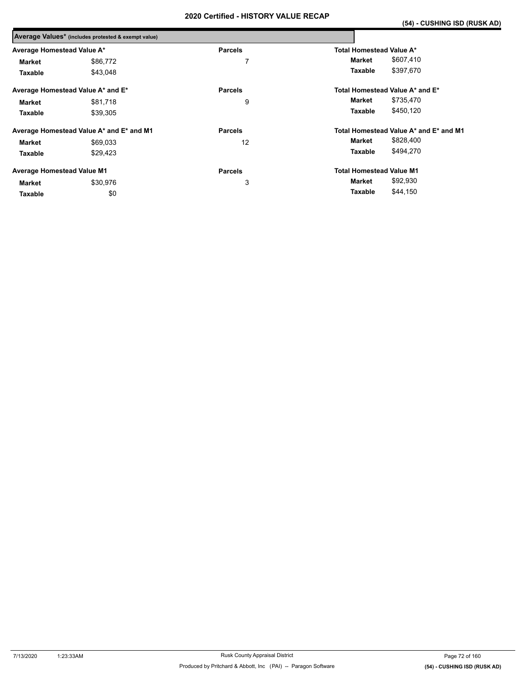| Average Values* (includes protested & exempt value) |                                          |                |                                        |
|-----------------------------------------------------|------------------------------------------|----------------|----------------------------------------|
| Average Homestead Value A*                          |                                          | <b>Parcels</b> | Total Homestead Value A*               |
| Market                                              | \$86,772                                 | 7              | \$607,410<br>Market                    |
| Taxable                                             | \$43,048                                 |                | \$397,670<br>Taxable                   |
|                                                     | Average Homestead Value A* and E*        | <b>Parcels</b> | Total Homestead Value A* and E*        |
| Market                                              | \$81,718                                 | 9              | \$735,470<br>Market                    |
| Taxable                                             | \$39,305                                 |                | \$450.120<br>Taxable                   |
|                                                     | Average Homestead Value A* and E* and M1 | <b>Parcels</b> | Total Homestead Value A* and E* and M1 |
| <b>Market</b>                                       | \$69,033                                 | 12             | \$828,400<br>Market                    |
| Taxable                                             | \$29,423                                 |                | \$494.270<br>Taxable                   |
| <b>Average Homestead Value M1</b>                   |                                          | <b>Parcels</b> | <b>Total Homestead Value M1</b>        |
| <b>Market</b>                                       | \$30,976                                 | 3              | \$92,930<br>Market                     |
| Taxable                                             | \$0                                      |                | \$44,150<br>Taxable                    |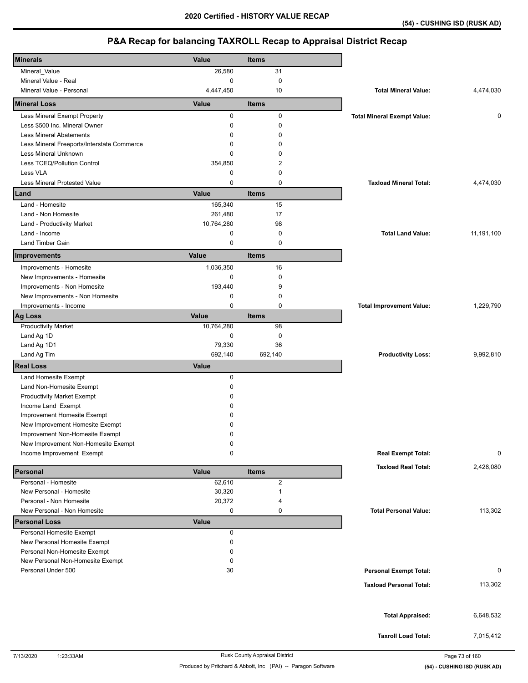| <b>Minerals</b>                            | Value        | <b>Items</b>            |                                    |             |
|--------------------------------------------|--------------|-------------------------|------------------------------------|-------------|
| Mineral_Value                              | 26,580       | 31                      |                                    |             |
| Mineral Value - Real                       | 0            | 0                       |                                    |             |
| Mineral Value - Personal                   | 4,447,450    | 10                      | <b>Total Mineral Value:</b>        | 4,474,030   |
| <b>Mineral Loss</b>                        | Value        | <b>Items</b>            |                                    |             |
| Less Mineral Exempt Property               | 0            | 0                       | <b>Total Mineral Exempt Value:</b> | $\mathbf 0$ |
| Less \$500 Inc. Mineral Owner              | 0            | $\mathbf 0$             |                                    |             |
| <b>Less Mineral Abatements</b>             | 0            | $\mathbf 0$             |                                    |             |
| Less Mineral Freeports/Interstate Commerce | 0            | $\mathbf 0$             |                                    |             |
| <b>Less Mineral Unknown</b>                | 0            | $\mathbf 0$             |                                    |             |
| Less TCEQ/Pollution Control                | 354,850      | 2                       |                                    |             |
| Less VLA                                   | 0            | 0                       |                                    |             |
| Less Mineral Protested Value               | 0            | 0                       | <b>Taxload Mineral Total:</b>      | 4,474,030   |
| Land                                       | Value        | <b>Items</b>            |                                    |             |
| Land - Homesite                            | 165,340      | 15                      |                                    |             |
| Land - Non Homesite                        | 261,480      | 17                      |                                    |             |
| Land - Productivity Market                 | 10,764,280   | 98                      |                                    |             |
| Land - Income                              | 0            | 0                       | <b>Total Land Value:</b>           | 11,191,100  |
| <b>Land Timber Gain</b>                    | 0            | $\mathbf 0$             |                                    |             |
| Improvements                               | Value        | <b>Items</b>            |                                    |             |
| Improvements - Homesite                    | 1,036,350    | 16                      |                                    |             |
| New Improvements - Homesite                | 0            | $\pmb{0}$               |                                    |             |
| Improvements - Non Homesite                | 193,440      | 9                       |                                    |             |
| New Improvements - Non Homesite            | 0            | 0                       |                                    |             |
| Improvements - Income                      | 0            | 0                       | <b>Total Improvement Value:</b>    | 1,229,790   |
| <b>Ag Loss</b>                             | Value        | <b>Items</b>            |                                    |             |
| <b>Productivity Market</b>                 | 10,764,280   | 98                      |                                    |             |
| Land Ag 1D                                 | 0            | $\mathbf 0$             |                                    |             |
| Land Ag 1D1                                | 79,330       | 36                      |                                    |             |
| Land Ag Tim                                | 692,140      | 692,140                 | <b>Productivity Loss:</b>          | 9,992,810   |
| <b>Real Loss</b>                           | Value        |                         |                                    |             |
| Land Homesite Exempt                       | 0            |                         |                                    |             |
| Land Non-Homesite Exempt                   | 0            |                         |                                    |             |
| <b>Productivity Market Exempt</b>          | 0            |                         |                                    |             |
| Income Land Exempt                         | 0            |                         |                                    |             |
| Improvement Homesite Exempt                | 0            |                         |                                    |             |
| New Improvement Homesite Exempt            | 0            |                         |                                    |             |
| Improvement Non-Homesite Exempt            | $\Omega$     |                         |                                    |             |
| New Improvement Non-Homesite Exempt        | 0            |                         |                                    |             |
| Income Improvement Exempt                  | 0            |                         | <b>Real Exempt Total:</b>          | 0           |
| Personal                                   | Value        | <b>Items</b>            | <b>Taxload Real Total:</b>         | 2,428,080   |
| Personal - Homesite                        | 62,610       | $\overline{\mathbf{c}}$ |                                    |             |
| New Personal - Homesite                    | 30,320       | 1                       |                                    |             |
| Personal - Non Homesite                    | 20,372       | 4                       |                                    |             |
| New Personal - Non Homesite                | 0            | 0                       | <b>Total Personal Value:</b>       | 113,302     |
| <b>Personal Loss</b>                       | <b>Value</b> |                         |                                    |             |
| Personal Homesite Exempt                   | 0            |                         |                                    |             |
| New Personal Homesite Exempt               | 0            |                         |                                    |             |
| Personal Non-Homesite Exempt               | 0            |                         |                                    |             |
| New Personal Non-Homesite Exempt           | 0            |                         |                                    |             |
| Personal Under 500                         | 30           |                         | <b>Personal Exempt Total:</b>      | 0           |
|                                            |              |                         | <b>Taxload Personal Total:</b>     | 113,302     |
|                                            |              |                         |                                    |             |
|                                            |              |                         |                                    |             |
|                                            |              |                         | <b>Total Appraised:</b>            | 6,648,532   |
|                                            |              |                         |                                    |             |
|                                            |              |                         | <b>Taxroll Load Total:</b>         | 7,015,412   |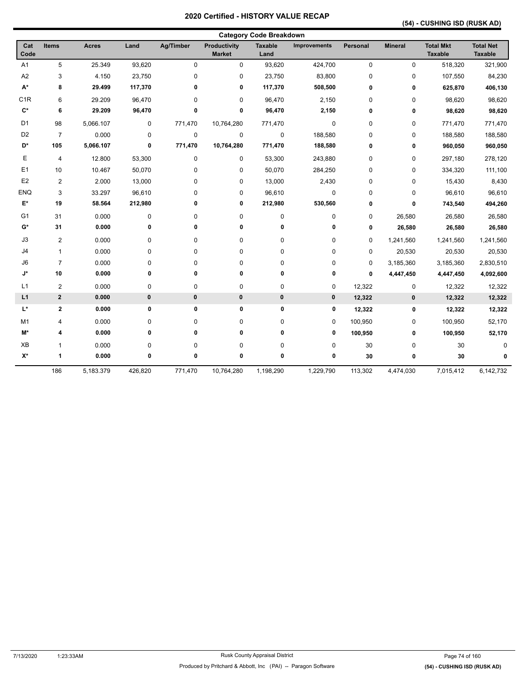## **(54) - CUSHING ISD (RUSK AD)**

|                    | <b>Category Code Breakdown</b> |              |         |             |                                      |                        |                     |              |                |                                    |                                    |
|--------------------|--------------------------------|--------------|---------|-------------|--------------------------------------|------------------------|---------------------|--------------|----------------|------------------------------------|------------------------------------|
| Cat<br>Code        | <b>Items</b>                   | <b>Acres</b> | Land    | Ag/Timber   | <b>Productivity</b><br><b>Market</b> | <b>Taxable</b><br>Land | <b>Improvements</b> | Personal     | <b>Mineral</b> | <b>Total Mkt</b><br><b>Taxable</b> | <b>Total Net</b><br><b>Taxable</b> |
| A <sub>1</sub>     | 5                              | 25.349       | 93,620  | $\pmb{0}$   | 0                                    | 93,620                 | 424,700             | $\pmb{0}$    | $\mathbf 0$    | 518,320                            | 321,900                            |
| A <sub>2</sub>     | 3                              | 4.150        | 23,750  | 0           | 0                                    | 23,750                 | 83,800              | $\mathbf 0$  | 0              | 107,550                            | 84,230                             |
| $\mathsf{A}^\star$ | 8                              | 29.499       | 117,370 | 0           | 0                                    | 117,370                | 508,500             | 0            | 0              | 625,870                            | 406,130                            |
| C <sub>1R</sub>    | 6                              | 29.209       | 96,470  | 0           | 0                                    | 96,470                 | 2,150               | $\mathbf 0$  | 0              | 98,620                             | 98,620                             |
| $\mathbf{C}^*$     | 6                              | 29.209       | 96,470  | 0           | 0                                    | 96,470                 | 2,150               | $\mathbf 0$  | 0              | 98,620                             | 98,620                             |
| D1                 | 98                             | 5,066.107    | 0       | 771,470     | 10,764,280                           | 771,470                | 0                   | 0            | $\mathbf 0$    | 771,470                            | 771,470                            |
| D <sub>2</sub>     | $\overline{7}$                 | 0.000        | 0       | $\mathbf 0$ | 0                                    | $\pmb{0}$              | 188,580             | $\mathbf 0$  | $\mathbf 0$    | 188,580                            | 188,580                            |
| D*                 | 105                            | 5,066.107    | 0       | 771,470     | 10,764,280                           | 771,470                | 188,580             | 0            | 0              | 960,050                            | 960,050                            |
| Е                  | 4                              | 12.800       | 53,300  | 0           | 0                                    | 53,300                 | 243,880             | $\mathbf 0$  | 0              | 297,180                            | 278,120                            |
| E <sub>1</sub>     | 10                             | 10.467       | 50,070  | 0           | 0                                    | 50,070                 | 284,250             | 0            | 0              | 334,320                            | 111,100                            |
| E <sub>2</sub>     | $\overline{c}$                 | 2.000        | 13,000  | 0           | 0                                    | 13,000                 | 2,430               | 0            | $\mathbf 0$    | 15,430                             | 8,430                              |
| <b>ENQ</b>         | 3                              | 33.297       | 96,610  | 0           | 0                                    | 96,610                 | 0                   | $\mathbf 0$  | $\mathbf 0$    | 96,610                             | 96,610                             |
| $\mathsf{E}^\star$ | 19                             | 58.564       | 212,980 | 0           | 0                                    | 212,980                | 530,560             | $\mathbf{0}$ | 0              | 743,540                            | 494,260                            |
| G <sub>1</sub>     | 31                             | 0.000        | 0       | 0           | 0                                    | 0                      | 0                   | 0            | 26,580         | 26,580                             | 26,580                             |
| G*                 | 31                             | 0.000        | 0       | 0           | 0                                    | 0                      | 0                   | 0            | 26,580         | 26,580                             | 26,580                             |
| J3                 | $\overline{2}$                 | 0.000        | 0       | 0           | 0                                    | 0                      | 0                   | 0            | 1,241,560      | 1,241,560                          | 1,241,560                          |
| J <sub>4</sub>     | $\mathbf{1}$                   | 0.000        | 0       | 0           | 0                                    | $\pmb{0}$              | 0                   | $\mathbf 0$  | 20,530         | 20,530                             | 20,530                             |
| J6                 | $\overline{7}$                 | 0.000        | 0       | 0           | 0                                    | 0                      | 0                   | 0            | 3,185,360      | 3,185,360                          | 2,830,510                          |
| J*                 | 10                             | 0.000        | 0       | 0           | 0                                    | 0                      | 0                   | 0            | 4,447,450      | 4,447,450                          | 4,092,600                          |
| L1                 | $\overline{2}$                 | 0.000        | 0       | 0           | 0                                    | 0                      | 0                   | 12,322       | 0              | 12,322                             | 12,322                             |
| L <sub>1</sub>     | $\mathbf{2}$                   | 0.000        | 0       | $\pmb{0}$   | 0                                    | 0                      | $\pmb{0}$           | 12,322       | $\pmb{0}$      | 12,322                             | 12,322                             |
| L*                 | $\mathbf{2}$                   | 0.000        | 0       | 0           | 0                                    | $\pmb{0}$              | 0                   | 12,322       | 0              | 12,322                             | 12,322                             |
| M1                 | 4                              | 0.000        | 0       | 0           | 0                                    | 0                      | 0                   | 100,950      | 0              | 100,950                            | 52,170                             |
| M*                 | 4                              | 0.000        | 0       | 0           | 0                                    | 0                      | 0                   | 100,950      | 0              | 100,950                            | 52,170                             |
| XB                 | 1                              | 0.000        | 0       | 0           | 0                                    | 0                      | 0                   | 30           | $\pmb{0}$      | 30                                 | $\Omega$                           |
| $\mathsf{X}^\star$ | 1                              | 0.000        | 0       | 0           | 0                                    | 0                      | 0                   | 30           | 0              | 30                                 | 0                                  |
|                    | 186                            | 5,183.379    | 426,820 | 771,470     | 10,764,280                           | 1,198,290              | 1,229,790           | 113,302      | 4,474,030      | 7,015,412                          | 6,142,732                          |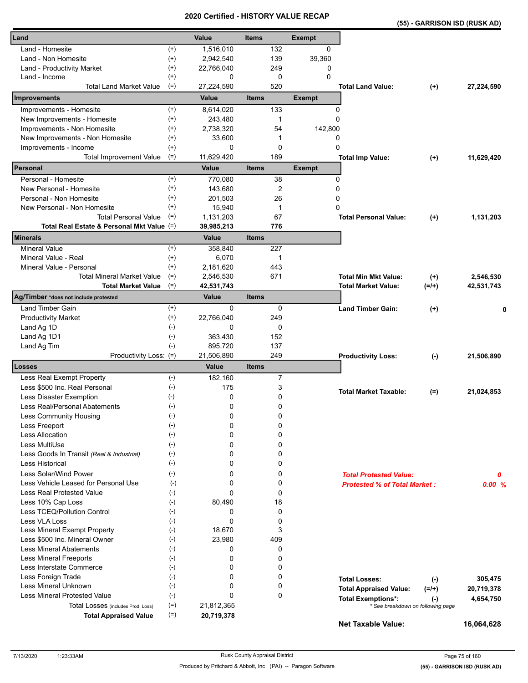|  | (55) - GARRISON ISD (RUSK AD) |  |  |
|--|-------------------------------|--|--|
|  |                               |  |  |

| Land                                                               |                   | Value               | <b>Items</b> | <b>Exempt</b>  |                                                                         |            |
|--------------------------------------------------------------------|-------------------|---------------------|--------------|----------------|-------------------------------------------------------------------------|------------|
| Land - Homesite                                                    | $^{(+)}$          | 1,516,010           | 132          | 0              |                                                                         |            |
| Land - Non Homesite                                                | $^{(+)}$          | 2,942,540           | 139          | 39,360         |                                                                         |            |
| Land - Productivity Market                                         | $^{(+)}$          | 22,766,040          | 249          | 0              |                                                                         |            |
| Land - Income<br><b>Total Land Market Value</b>                    | $^{(+)}$<br>$(=)$ | 0<br>27,224,590     | 520          | $\Omega$<br>0  | <b>Total Land Value:</b>                                                |            |
| Improvements                                                       |                   | Value               | <b>Items</b> | <b>Exempt</b>  | $(+)$                                                                   | 27,224,590 |
| Improvements - Homesite                                            | $^{(+)}$          | 8,614,020           | 133          |                | 0                                                                       |            |
| New Improvements - Homesite                                        | $^{(+)}$          | 243,480             |              | 1              | 0                                                                       |            |
| Improvements - Non Homesite                                        | $^{(+)}$          | 2,738,320           | 54           | 142,800        |                                                                         |            |
| New Improvements - Non Homesite                                    | $^{(+)}$          | 33,600              |              | 1              | 0                                                                       |            |
| Improvements - Income                                              | $^{(+)}$          | 0                   |              | 0              | 0                                                                       |            |
| <b>Total Improvement Value</b>                                     | $(=)$             | 11,629,420          | 189          |                | <b>Total Imp Value:</b><br>$(+)$                                        | 11,629,420 |
| Personal                                                           |                   | Value               | <b>Items</b> | <b>Exempt</b>  |                                                                         |            |
| Personal - Homesite                                                | $^{(+)}$          | 770,080             | 38           |                | 0                                                                       |            |
| New Personal - Homesite                                            | $^{(+)}$          | 143,680             |              | 2              | 0                                                                       |            |
| Personal - Non Homesite                                            | $^{(+)}$          | 201,503             | 26           |                | 0                                                                       |            |
| New Personal - Non Homesite                                        | $^{(+)}$          | 15,940              |              | $\mathbf{1}$   | 0                                                                       |            |
| <b>Total Personal Value</b>                                        | $(=)$             | 1,131,203           | 67           |                | <b>Total Personal Value:</b><br>$(+)$                                   | 1,131,203  |
| Total Real Estate & Personal Mkt Value (=)                         |                   | 39,985,213          | 776          |                |                                                                         |            |
| Minerals                                                           |                   | Value               | <b>Items</b> |                |                                                                         |            |
| <b>Mineral Value</b>                                               | $^{(+)}$          | 358.840             | 227          |                |                                                                         |            |
| Mineral Value - Real                                               | $^{(+)}$          | 6,070               |              | 1              |                                                                         |            |
| Mineral Value - Personal<br><b>Total Mineral Market Value</b>      | $(+)$             | 2,181,620           | 443          |                |                                                                         |            |
|                                                                    | $(=)$<br>$(=)$    | 2,546,530           | 671          |                | <b>Total Min Mkt Value:</b><br>$(+)$                                    | 2,546,530  |
| <b>Total Market Value</b><br>Ag/Timber *does not include protested |                   | 42,531,743<br>Value | <b>Items</b> |                | <b>Total Market Value:</b><br>$(=/+)$                                   | 42,531,743 |
| <b>Land Timber Gain</b>                                            | $^{(+)}$          | 0                   |              | 0              | <b>Land Timber Gain:</b><br>$^{(+)}$                                    |            |
| <b>Productivity Market</b>                                         | $^{(+)}$          | 22,766,040          | 249          |                |                                                                         |            |
| Land Ag 1D                                                         | $(-)$             | 0                   |              | 0              |                                                                         |            |
| Land Ag 1D1                                                        | $(-)$             | 363,430             | 152          |                |                                                                         |            |
| Land Ag Tim                                                        | $(-)$             | 895,720             | 137          |                |                                                                         |            |
| Productivity Loss: (=)                                             |                   | 21,506,890          | 249          |                | <b>Productivity Loss:</b><br>$(-)$                                      | 21,506,890 |
| Losses                                                             |                   | <b>Value</b>        | <b>Items</b> |                |                                                                         |            |
| Less Real Exempt Property                                          | $(-)$             | 182,160             |              | $\overline{7}$ |                                                                         |            |
| Less \$500 Inc. Real Personal                                      | $(-)$             | 175                 |              | 3              | <b>Total Market Taxable:</b><br>$(=)$                                   | 21,024,853 |
| Less Disaster Exemption                                            | $(\cdot)$         | 0                   |              | 0              |                                                                         |            |
| <b>Less Real/Personal Abatements</b>                               | $(-)$             | 0                   |              | 0              |                                                                         |            |
| <b>Less Community Housing</b>                                      | $(-)$<br>$(-)$    | 0<br>0              |              | O              |                                                                         |            |
| Less Freeport<br><b>Less Allocation</b>                            | $(-)$             | 0                   |              | 0<br>0         |                                                                         |            |
| Less MultiUse                                                      | $(-)$             | 0                   |              | 0              |                                                                         |            |
| Less Goods In Transit (Real & Industrial)                          | $(-)$             | 0                   |              | 0              |                                                                         |            |
| Less Historical                                                    | $(-)$             | 0                   |              | 0              |                                                                         |            |
| Less Solar/Wind Power                                              | $(-)$             | 0                   |              | 0              | <b>Total Protested Value:</b>                                           | 0          |
| Less Vehicle Leased for Personal Use                               | $(-)$             | 0                   |              | 0              | <b>Protested % of Total Market:</b>                                     | 0.00%      |
| Less Real Protested Value                                          | $(-)$             | 0                   |              | 0              |                                                                         |            |
| Less 10% Cap Loss                                                  | $(-)$             | 80,490              | 18           |                |                                                                         |            |
| Less TCEQ/Pollution Control                                        | $(-)$             | 0                   |              | 0              |                                                                         |            |
| Less VLA Loss                                                      | $(-)$             | 0                   |              | 0              |                                                                         |            |
| Less Mineral Exempt Property                                       | $(-)$             | 18,670              |              | 3              |                                                                         |            |
| Less \$500 Inc. Mineral Owner                                      | $(-)$             | 23,980              | 409          |                |                                                                         |            |
| <b>Less Mineral Abatements</b>                                     | $(-)$             | 0                   |              | 0              |                                                                         |            |
| <b>Less Mineral Freeports</b>                                      | $(-)$             | 0                   |              | 0              |                                                                         |            |
| Less Interstate Commerce                                           | $(-)$             | 0                   |              | 0              |                                                                         |            |
| Less Foreign Trade<br>Less Mineral Unknown                         | $(-)$<br>$(-)$    | 0<br>0              |              | 0<br>0         | <b>Total Losses:</b><br>$(-)$                                           | 305,475    |
| Less Mineral Protested Value                                       | $(-)$             | $\Omega$            |              | $\Omega$       | <b>Total Appraised Value:</b><br>$(=/+)$                                | 20,719,378 |
| Total Losses (includes Prod. Loss)                                 | $(=)$             | 21,812,365          |              |                | <b>Total Exemptions*:</b><br>$(-)$<br>* See breakdown on following page | 4,654,750  |
| <b>Total Appraised Value</b>                                       | $(=)$             | 20,719,378          |              |                |                                                                         |            |
|                                                                    |                   |                     |              |                | <b>Net Taxable Value:</b>                                               | 16,064,628 |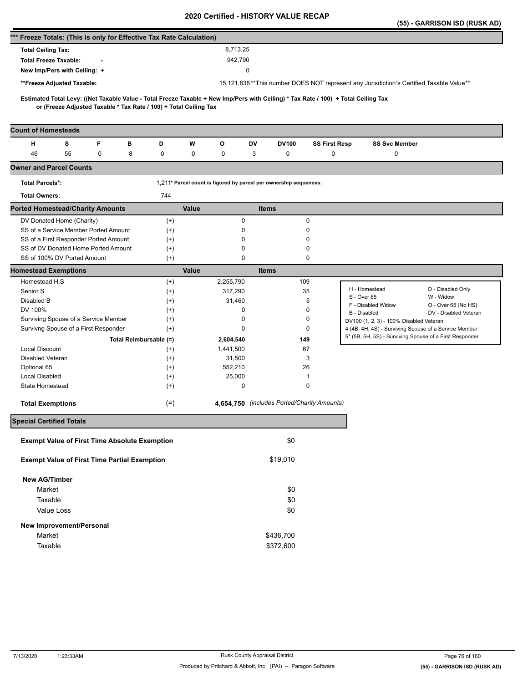|                                                                      |                                                                    |   |                                                                   |                      |       |                                                                   |              |              |                                             |                                                                                                                                     |                      | (55) - GARRISON ISD (RUSK AD)                                                                                    |
|----------------------------------------------------------------------|--------------------------------------------------------------------|---|-------------------------------------------------------------------|----------------------|-------|-------------------------------------------------------------------|--------------|--------------|---------------------------------------------|-------------------------------------------------------------------------------------------------------------------------------------|----------------------|------------------------------------------------------------------------------------------------------------------|
| *** Freeze Totals: (This is only for Effective Tax Rate Calculation) |                                                                    |   |                                                                   |                      |       |                                                                   |              |              |                                             |                                                                                                                                     |                      |                                                                                                                  |
| <b>Total Ceiling Tax:</b>                                            |                                                                    |   |                                                                   |                      |       | 8,713.25                                                          |              |              |                                             |                                                                                                                                     |                      |                                                                                                                  |
| <b>Total Freeze Taxable:</b>                                         |                                                                    |   |                                                                   |                      |       | 942,790                                                           |              |              |                                             |                                                                                                                                     |                      |                                                                                                                  |
|                                                                      | New Imp/Pers with Ceiling: +                                       |   |                                                                   |                      |       |                                                                   | $\mathbf 0$  |              |                                             |                                                                                                                                     |                      |                                                                                                                  |
|                                                                      | **Freeze Adjusted Taxable:                                         |   |                                                                   |                      |       |                                                                   |              |              |                                             | 15,121,838**This number DOES NOT represent any Jurisdiction's Certified Taxable Value**                                             |                      |                                                                                                                  |
|                                                                      |                                                                    |   |                                                                   |                      |       |                                                                   |              |              |                                             |                                                                                                                                     |                      |                                                                                                                  |
|                                                                      |                                                                    |   | or (Freeze Adjusted Taxable * Tax Rate / 100) + Total Ceiling Tax |                      |       |                                                                   |              |              |                                             | Estimated Total Levy: ((Net Taxable Value - Total Freeze Taxable + New Imp/Pers with Ceiling) * Tax Rate / 100) + Total Ceiling Tax |                      |                                                                                                                  |
| <b>Count of Homesteads</b>                                           |                                                                    |   |                                                                   |                      |       |                                                                   |              |              |                                             |                                                                                                                                     |                      |                                                                                                                  |
| н                                                                    | s                                                                  | F | в                                                                 | D                    | W     | o                                                                 | DV           | <b>DV100</b> | <b>SS First Resp</b>                        |                                                                                                                                     | <b>SS Svc Member</b> |                                                                                                                  |
| 46                                                                   | 55                                                                 | 0 | 8                                                                 | 0                    | 0     | 0                                                                 | 3            | 0            | $\mathbf 0$                                 |                                                                                                                                     | 0                    |                                                                                                                  |
| <b>Owner and Parcel Counts</b>                                       |                                                                    |   |                                                                   |                      |       |                                                                   |              |              |                                             |                                                                                                                                     |                      |                                                                                                                  |
| <b>Total Parcels*:</b>                                               |                                                                    |   |                                                                   |                      |       | 1,211* Parcel count is figured by parcel per ownership sequences. |              |              |                                             |                                                                                                                                     |                      |                                                                                                                  |
| <b>Total Owners:</b>                                                 |                                                                    |   |                                                                   | 744                  |       |                                                                   |              |              |                                             |                                                                                                                                     |                      |                                                                                                                  |
|                                                                      |                                                                    |   |                                                                   |                      |       |                                                                   |              |              |                                             |                                                                                                                                     |                      |                                                                                                                  |
| <b>Ported Homestead/Charity Amounts</b>                              |                                                                    |   |                                                                   |                      | Value |                                                                   | <b>Items</b> |              |                                             |                                                                                                                                     |                      |                                                                                                                  |
|                                                                      | DV Donated Home (Charity)                                          |   |                                                                   | $^{(+)}$             |       |                                                                   | 0            |              | 0                                           |                                                                                                                                     |                      |                                                                                                                  |
|                                                                      | SS of a Service Member Ported Amount                               |   |                                                                   | $^{(+)}$             |       |                                                                   | 0            |              | 0                                           |                                                                                                                                     |                      |                                                                                                                  |
|                                                                      | SS of a First Responder Ported Amount                              |   |                                                                   | $^{(+)}$             |       |                                                                   | 0            |              | 0                                           |                                                                                                                                     |                      |                                                                                                                  |
|                                                                      | SS of DV Donated Home Ported Amount<br>SS of 100% DV Ported Amount |   |                                                                   | $^{(+)}$<br>$^{(+)}$ |       |                                                                   | 0<br>0       |              | 0<br>0                                      |                                                                                                                                     |                      |                                                                                                                  |
|                                                                      |                                                                    |   |                                                                   |                      | Value |                                                                   | <b>Items</b> |              |                                             |                                                                                                                                     |                      |                                                                                                                  |
| <b>Homestead Exemptions</b><br>Homestead H,S                         |                                                                    |   |                                                                   |                      |       | 2,255,790                                                         |              | 109          |                                             |                                                                                                                                     |                      |                                                                                                                  |
| Senior S                                                             |                                                                    |   |                                                                   | $^{(+)}$             |       | 317,290                                                           |              |              | 35                                          | H - Homestead                                                                                                                       |                      | D - Disabled Only                                                                                                |
| Disabled B                                                           |                                                                    |   |                                                                   | $^{(+)}$             |       |                                                                   |              |              | 5                                           | S - Over 65                                                                                                                         |                      | W - Widow                                                                                                        |
|                                                                      |                                                                    |   |                                                                   | $^{(+)}$             |       | 31,460                                                            |              |              |                                             | F - Disabled Widow                                                                                                                  |                      | O - Over 65 (No HS)                                                                                              |
| DV 100%                                                              |                                                                    |   |                                                                   | $^{(+)}$             |       |                                                                   | 0            |              | 0                                           | B - Disabled                                                                                                                        |                      | DV - Disabled Veteran                                                                                            |
|                                                                      | Surviving Spouse of a Service Member                               |   |                                                                   | $^{(+)}$             |       |                                                                   | 0            |              | 0                                           | DV100 (1, 2, 3) - 100% Disabled Veteran                                                                                             |                      |                                                                                                                  |
|                                                                      | Survivng Spouse of a First Responder                               |   |                                                                   | $^{(+)}$             |       |                                                                   | 0            |              | 0                                           |                                                                                                                                     |                      | 4 (4B, 4H, 4S) - Surviving Spouse of a Service Member<br>5* (5B, 5H, 5S) - Surviving Spouse of a First Responder |
|                                                                      |                                                                    |   | Total Reimbursable (=)                                            |                      |       | 2,604,540                                                         |              |              | 149                                         |                                                                                                                                     |                      |                                                                                                                  |
| Local Discount                                                       |                                                                    |   |                                                                   | $^{(+)}$             |       | 1,441,500                                                         |              |              | 67                                          |                                                                                                                                     |                      |                                                                                                                  |
| Disabled Veteran                                                     |                                                                    |   |                                                                   | $^{(+)}$             |       | 31,500                                                            |              |              | 3                                           |                                                                                                                                     |                      |                                                                                                                  |
| Optional 65                                                          |                                                                    |   |                                                                   | $^{(+)}$             |       | 552,210                                                           |              |              | 26                                          |                                                                                                                                     |                      |                                                                                                                  |
| Local Disabled                                                       |                                                                    |   |                                                                   | $^{(+)}$             |       | 25,000                                                            |              |              | 1                                           |                                                                                                                                     |                      |                                                                                                                  |
| State Homestead                                                      |                                                                    |   |                                                                   | $^{(+)}$             |       |                                                                   | 0            |              | 0                                           |                                                                                                                                     |                      |                                                                                                                  |
| <b>Total Exemptions</b>                                              |                                                                    |   |                                                                   | $(=)$                |       |                                                                   |              |              | 4,654,750 (includes Ported/Charity Amounts) |                                                                                                                                     |                      |                                                                                                                  |
| <b>Special Certified Totals</b>                                      |                                                                    |   |                                                                   |                      |       |                                                                   |              |              |                                             |                                                                                                                                     |                      |                                                                                                                  |
|                                                                      |                                                                    |   | <b>Exempt Value of First Time Absolute Exemption</b>              |                      |       |                                                                   |              | \$0          |                                             |                                                                                                                                     |                      |                                                                                                                  |
|                                                                      |                                                                    |   | <b>Exempt Value of First Time Partial Exemption</b>               |                      |       |                                                                   |              | \$19,010     |                                             |                                                                                                                                     |                      |                                                                                                                  |
| <b>New AG/Timber</b>                                                 |                                                                    |   |                                                                   |                      |       |                                                                   |              |              |                                             |                                                                                                                                     |                      |                                                                                                                  |
| Market                                                               |                                                                    |   |                                                                   |                      |       |                                                                   |              | \$0          |                                             |                                                                                                                                     |                      |                                                                                                                  |
| Taxable                                                              |                                                                    |   |                                                                   |                      |       |                                                                   |              | \$0          |                                             |                                                                                                                                     |                      |                                                                                                                  |
|                                                                      | Value Loss                                                         |   |                                                                   |                      |       |                                                                   |              | \$0          |                                             |                                                                                                                                     |                      |                                                                                                                  |
|                                                                      |                                                                    |   |                                                                   |                      |       |                                                                   |              |              |                                             |                                                                                                                                     |                      |                                                                                                                  |
|                                                                      | New Improvement/Personal                                           |   |                                                                   |                      |       |                                                                   |              |              |                                             |                                                                                                                                     |                      |                                                                                                                  |
| Market                                                               |                                                                    |   |                                                                   |                      |       |                                                                   |              | \$436,700    |                                             |                                                                                                                                     |                      |                                                                                                                  |
| Taxable                                                              |                                                                    |   |                                                                   |                      |       |                                                                   |              | \$372,600    |                                             |                                                                                                                                     |                      |                                                                                                                  |
|                                                                      |                                                                    |   |                                                                   |                      |       |                                                                   |              |              |                                             |                                                                                                                                     |                      |                                                                                                                  |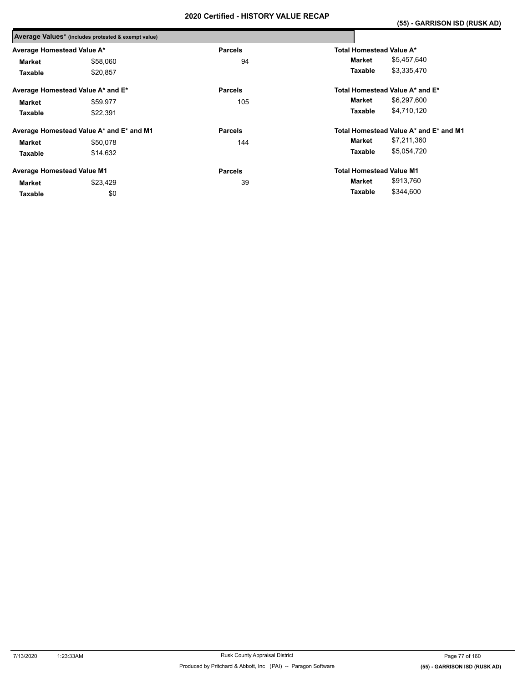|                                   | Average Values* (includes protested & exempt value) |                |                                        |
|-----------------------------------|-----------------------------------------------------|----------------|----------------------------------------|
| Average Homestead Value A*        |                                                     | <b>Parcels</b> | Total Homestead Value A*               |
| <b>Market</b>                     | \$58,060                                            | 94             | \$5,457,640<br>Market                  |
| Taxable                           | \$20.857                                            |                | \$3,335,470<br>Taxable                 |
|                                   | Average Homestead Value A* and E*                   | <b>Parcels</b> | Total Homestead Value A* and E*        |
| Market                            | \$59,977                                            | 105            | \$6,297,600<br>Market                  |
| Taxable                           | \$22,391                                            |                | \$4,710,120<br>Taxable                 |
|                                   | Average Homestead Value A* and E* and M1            | <b>Parcels</b> | Total Homestead Value A* and E* and M1 |
| <b>Market</b>                     | \$50,078                                            | 144            | \$7,211,360<br>Market                  |
| Taxable                           | \$14,632                                            |                | \$5,054,720<br>Taxable                 |
| <b>Average Homestead Value M1</b> |                                                     | <b>Parcels</b> | <b>Total Homestead Value M1</b>        |
| Market                            | \$23,429                                            | 39             | \$913,760<br>Market                    |
| Taxable                           | \$0                                                 |                | \$344,600<br>Taxable                   |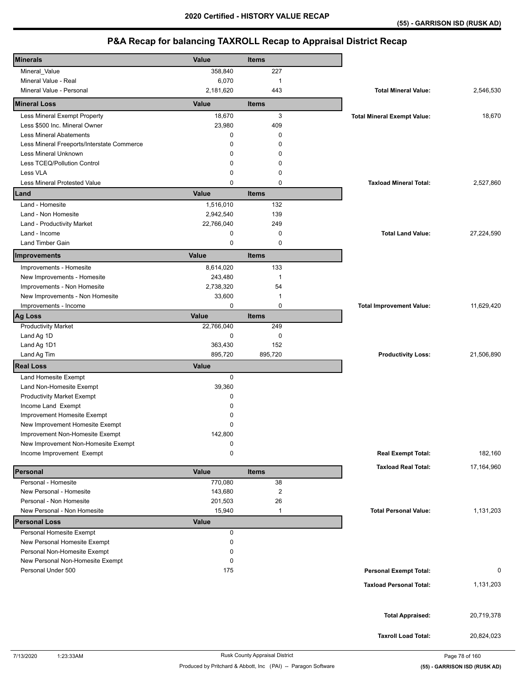| <b>Minerals</b>                                                              | Value            | <b>Items</b>            |                                    |            |
|------------------------------------------------------------------------------|------------------|-------------------------|------------------------------------|------------|
|                                                                              |                  |                         |                                    |            |
| Mineral_Value<br>Mineral Value - Real                                        | 358,840<br>6,070 | 227<br>$\mathbf{1}$     |                                    |            |
| Mineral Value - Personal                                                     | 2,181,620        | 443                     | <b>Total Mineral Value:</b>        | 2,546,530  |
|                                                                              |                  |                         |                                    |            |
| <b>Mineral Loss</b>                                                          | Value            | <b>Items</b>            |                                    |            |
| Less Mineral Exempt Property                                                 | 18,670           | 3                       | <b>Total Mineral Exempt Value:</b> | 18,670     |
| Less \$500 Inc. Mineral Owner                                                | 23,980           | 409                     |                                    |            |
| <b>Less Mineral Abatements</b><br>Less Mineral Freeports/Interstate Commerce | 0<br>0           | $\mathbf 0$<br>$\Omega$ |                                    |            |
| Less Mineral Unknown                                                         | 0                | $\Omega$                |                                    |            |
| Less TCEQ/Pollution Control                                                  | 0                | 0                       |                                    |            |
| Less VLA                                                                     | 0                | 0                       |                                    |            |
| <b>Less Mineral Protested Value</b>                                          | $\Omega$         | $\mathbf 0$             | <b>Taxload Mineral Total:</b>      | 2,527,860  |
|                                                                              | Value            |                         |                                    |            |
| Land                                                                         |                  | <b>Items</b>            |                                    |            |
| Land - Homesite                                                              | 1,516,010        | 132                     |                                    |            |
| Land - Non Homesite                                                          | 2,942,540        | 139                     |                                    |            |
| Land - Productivity Market<br>Land - Income                                  | 22,766,040<br>0  | 249<br>0                |                                    | 27,224,590 |
| Land Timber Gain                                                             | 0                | 0                       | <b>Total Land Value:</b>           |            |
|                                                                              |                  |                         |                                    |            |
| <b>Improvements</b>                                                          | Value            | <b>Items</b>            |                                    |            |
| Improvements - Homesite                                                      | 8,614,020        | 133                     |                                    |            |
| New Improvements - Homesite                                                  | 243,480          | $\overline{1}$          |                                    |            |
| Improvements - Non Homesite                                                  | 2,738,320        | 54                      |                                    |            |
| New Improvements - Non Homesite                                              | 33,600           | $\mathbf{1}$            |                                    |            |
| Improvements - Income                                                        | 0                | $\mathbf 0$             | <b>Total Improvement Value:</b>    | 11,629,420 |
| <b>Ag Loss</b>                                                               | Value            | <b>Items</b>            |                                    |            |
| <b>Productivity Market</b>                                                   | 22,766,040       | 249                     |                                    |            |
| Land Ag 1D                                                                   | 0                | 0                       |                                    |            |
| Land Ag 1D1                                                                  | 363,430          | 152                     |                                    |            |
| Land Ag Tim                                                                  | 895,720          | 895,720                 | <b>Productivity Loss:</b>          | 21,506,890 |
| <b>Real Loss</b>                                                             | <b>Value</b>     |                         |                                    |            |
| Land Homesite Exempt                                                         | 0                |                         |                                    |            |
| Land Non-Homesite Exempt                                                     | 39,360           |                         |                                    |            |
| <b>Productivity Market Exempt</b>                                            | 0                |                         |                                    |            |
| Income Land Exempt                                                           | 0                |                         |                                    |            |
| Improvement Homesite Exempt                                                  | 0                |                         |                                    |            |
| New Improvement Homesite Exempt                                              | 0                |                         |                                    |            |
| Improvement Non-Homesite Exempt                                              | 142,800          |                         |                                    |            |
| New Improvement Non-Homesite Exempt                                          | 0                |                         |                                    |            |
| Income Improvement Exempt                                                    | 0                |                         | <b>Real Exempt Total:</b>          | 182,160    |
| Personal                                                                     | Value            | <b>Items</b>            | <b>Taxload Real Total:</b>         | 17,164,960 |
| Personal - Homesite                                                          | 770,080          | 38                      |                                    |            |
| New Personal - Homesite                                                      | 143,680          | $\overline{c}$          |                                    |            |
| Personal - Non Homesite                                                      | 201,503          | 26                      |                                    |            |
| New Personal - Non Homesite                                                  | 15,940           | $\mathbf{1}$            | <b>Total Personal Value:</b>       | 1,131,203  |
| <b>Personal Loss</b>                                                         | <b>Value</b>     |                         |                                    |            |
| Personal Homesite Exempt                                                     | 0                |                         |                                    |            |
| New Personal Homesite Exempt                                                 | 0                |                         |                                    |            |
| Personal Non-Homesite Exempt                                                 | 0                |                         |                                    |            |
| New Personal Non-Homesite Exempt                                             | 0                |                         |                                    |            |
| Personal Under 500                                                           | 175              |                         | <b>Personal Exempt Total:</b>      | 0          |
|                                                                              |                  |                         | <b>Taxload Personal Total:</b>     |            |
|                                                                              |                  |                         |                                    | 1,131,203  |
|                                                                              |                  |                         |                                    |            |
|                                                                              |                  |                         |                                    | 20,719,378 |
|                                                                              |                  |                         | <b>Total Appraised:</b>            |            |
|                                                                              |                  |                         |                                    |            |
|                                                                              |                  |                         | <b>Taxroll Load Total:</b>         | 20,824,023 |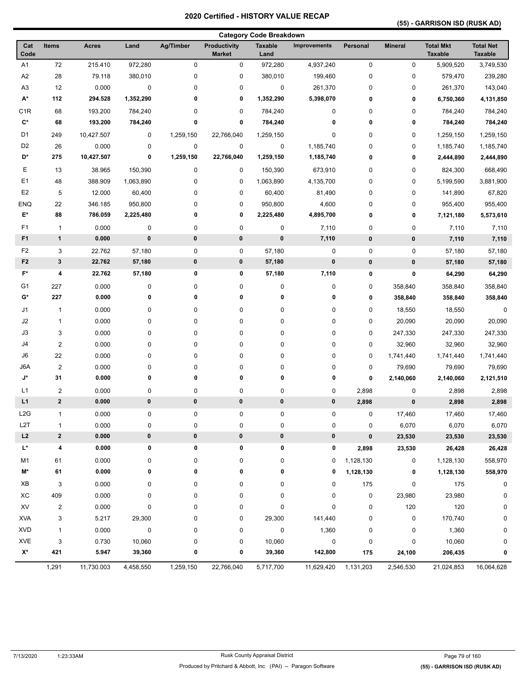### **(55) - GARRISON ISD (RUSK AD)**

|                      | <b>Category Code Breakdown</b> |              |             |             |                                      |                        |                     |             |                |                                    |                                    |
|----------------------|--------------------------------|--------------|-------------|-------------|--------------------------------------|------------------------|---------------------|-------------|----------------|------------------------------------|------------------------------------|
| Cat<br>Code          | <b>Items</b>                   | <b>Acres</b> | Land        | Ag/Timber   | <b>Productivity</b><br><b>Market</b> | <b>Taxable</b><br>Land | <b>Improvements</b> | Personal    | <b>Mineral</b> | <b>Total Mkt</b><br><b>Taxable</b> | <b>Total Net</b><br><b>Taxable</b> |
| A1                   | 72                             | 215.410      | 972,280     | 0           | 0                                    | 972,280                | 4,937,240           | $\pmb{0}$   | $\mathsf 0$    | 5,909,520                          | 3,749,530                          |
| A <sub>2</sub>       | 28                             | 79.118       | 380,010     | 0           | 0                                    | 380,010                | 199,460             | $\pmb{0}$   | 0              | 579,470                            | 239,280                            |
| A <sub>3</sub>       | 12                             | 0.000        | 0           | 0           | 0                                    | 0                      | 261,370             | 0           | 0              | 261,370                            | 143,040                            |
| A*                   | 112                            | 294.528      | 1,352,290   | 0           | 0                                    | 1,352,290              | 5,398,070           | 0           | 0              | 6,750,360                          | 4,131,850                          |
| C <sub>1</sub> R     | 68                             | 193.200      | 784,240     | 0           | 0                                    | 784,240                | 0                   | 0           | 0              | 784,240                            | 784,240                            |
| $\mathbf{C}^{\star}$ | 68                             | 193.200      | 784,240     | 0           | 0                                    | 784,240                | 0                   | 0           | 0              | 784,240                            | 784,240                            |
| D <sub>1</sub>       | 249                            | 10,427.507   | 0           | 1,259,150   | 22,766,040                           | 1,259,150              | 0                   | 0           | 0              | 1,259,150                          | 1,259,150                          |
| D <sub>2</sub>       | 26                             | 0.000        | $\mathbf 0$ | 0           | 0                                    | 0                      | 1,185,740           | 0           | 0              | 1,185,740                          | 1,185,740                          |
| D*                   | 275                            | 10,427.507   | 0           | 1,259,150   | 22,766,040                           | 1,259,150              | 1,185,740           | 0           | 0              | 2,444,890                          | 2,444,890                          |
| Ε                    | 13                             | 38.965       | 150,390     | 0           | 0                                    | 150,390                | 673,910             | 0           | 0              | 824,300                            | 668,490                            |
| E <sub>1</sub>       | 48                             | 388.909      | 1,063,890   | 0           | 0                                    | 1,063,890              | 4,135,700           | 0           | 0              | 5,199,590                          | 3,881,900                          |
| E <sub>2</sub>       | 5                              | 12.000       | 60,400      | 0           | 0                                    | 60,400                 | 81,490              | 0           | 0              | 141,890                            | 67,820                             |
| <b>ENQ</b>           | 22                             | 346.185      | 950,800     | 0           | 0                                    | 950,800                | 4,600               | 0           | 0              | 955,400                            | 955,400                            |
| $\mathsf{E}^\star$   | 88                             | 786.059      | 2,225,480   | 0           | 0                                    | 2,225,480              | 4,895,700           | 0           | 0              | 7,121,180                          | 5,573,610                          |
| F1                   | $\mathbf{1}$                   | 0.000        | 0           | $\mathbf 0$ | 0                                    | 0                      | 7,110               | 0           | 0              | 7,110                              | 7,110                              |
| F <sub>1</sub>       | $\mathbf{1}$                   | 0.000        | $\pmb{0}$   | $\pmb{0}$   | 0                                    | $\pmb{0}$              | 7,110               | $\pmb{0}$   | $\pmb{0}$      | 7,110                              | 7,110                              |
| F <sub>2</sub>       | 3                              | 22.762       | 57,180      | $\pmb{0}$   | 0                                    | 57,180                 | 0                   | $\pmb{0}$   | $\pmb{0}$      | 57,180                             | 57,180                             |
| F <sub>2</sub>       | 3                              | 22.762       | 57,180      | $\pmb{0}$   | 0                                    | 57,180                 | $\pmb{0}$           | $\pmb{0}$   | $\pmb{0}$      | 57,180                             | 57,180                             |
| $F^*$                | 4                              | 22.762       | 57,180      | 0           | 0                                    | 57,180                 | 7,110               | 0           | $\pmb{0}$      | 64,290                             | 64,290                             |
| G <sub>1</sub>       | 227                            | 0.000        | $\pmb{0}$   | 0           | 0                                    | 0                      | 0                   | 0           | 358,840        | 358,840                            | 358,840                            |
| G*                   | 227                            | 0.000        | 0           | 0           | 0                                    | 0                      | 0                   | 0           | 358,840        | 358,840                            | 358,840                            |
| J1                   | $\mathbf{1}$                   | 0.000        | 0           | 0           | 0                                    | 0                      | 0                   | 0           | 18,550         | 18,550                             | 0                                  |
| J2                   | $\mathbf{1}$                   | 0.000        | 0           | 0           | 0                                    | 0                      | 0                   | 0           | 20,090         | 20,090                             | 20,090                             |
| J3                   | 3                              | 0.000        | 0           | 0           | 0                                    | 0                      | 0                   | $\pmb{0}$   | 247,330        | 247,330                            | 247,330                            |
| J4                   | $\overline{2}$                 | 0.000        | 0           | $\pmb{0}$   | 0                                    | 0                      | 0                   | $\pmb{0}$   | 32,960         | 32,960                             | 32,960                             |
| J6                   | 22                             | 0.000        | 0           | 0           | 0                                    | 0                      | 0                   | 0           | 1,741,440      | 1,741,440                          | 1,741,440                          |
| J6A                  | $\overline{2}$                 | 0.000        | 0           | 0           | 0                                    | 0                      | 0                   | 0           | 79,690         | 79,690                             | 79,690                             |
| J*                   | 31                             | 0.000        | 0           | 0           | 0                                    | 0                      | 0                   | $\mathbf 0$ | 2,140,060      | 2,140,060                          | 2,121,510                          |
| L1                   | $\overline{2}$                 | 0.000        | 0           | 0           | 0                                    | 0                      | 0                   | 2,898       | 0              | 2,898                              | 2,898                              |
| L1                   | $\mathbf{2}$                   | 0.000        | $\pmb{0}$   | $\pmb{0}$   | $\pmb{0}$                            | 0                      | $\pmb{0}$           | 2,898       | 0              | 2,898                              | 2,898                              |
| L2G                  | $\mathbf{1}$                   | 0.000        | $\pmb{0}$   | 0           | 0                                    | 0                      | 0                   | $\mathbf 0$ | 17,460         | 17,460                             | 17,460                             |
| L2T                  | $\mathbf{1}$                   | 0.000        | 0           | 0           | 0                                    | 0                      | 0                   | 0           | 6,070          | 6,070                              | 6,070                              |
| L2                   | $\mathbf{2}$                   | 0.000        | $\pmb{0}$   | $\mathbf 0$ | 0                                    | $\pmb{0}$              | 0                   | $\pmb{0}$   | 23,530         | 23,530                             | 23,530                             |
| L*                   | 4                              | 0.000        | 0           | 0           | 0                                    | 0                      | 0                   | 2,898       | 23,530         | 26,428                             | 26,428                             |
| M1                   | 61                             | 0.000        | 0           | 0           | 0                                    | 0                      | 0                   | 1,128,130   | 0              | 1,128,130                          | 558,970                            |
| M*                   | 61                             | 0.000        | 0           | 0           | 0                                    | 0                      | 0                   | 1,128,130   | 0              | 1,128,130                          | 558,970                            |
| XB                   | $\mathsf 3$                    | 0.000        | $\pmb{0}$   | 0           | 0                                    | 0                      | 0                   | 175         | $\pmb{0}$      | 175                                | 0                                  |
| ХC                   | 409                            | 0.000        | 0           | 0           | 0                                    | 0                      | 0                   | 0           | 23,980         | 23,980                             | 0                                  |
| XV                   | $\overline{2}$                 | 0.000        | 0           | 0           | 0                                    | 0                      | 0                   | 0           | 120            | 120                                | 0                                  |
| <b>XVA</b>           | 3                              | 5.217        | 29,300      | 0           | 0                                    | 29,300                 | 141,440             | 0           | $\pmb{0}$      | 170,740                            | 0                                  |
| <b>XVD</b>           | $\mathbf{1}$                   | 0.000        | $\mathsf 0$ | 0           | 0                                    | $\mathsf 0$            | 1,360               | 0           | 0              | 1,360                              | 0                                  |
| <b>XVE</b>           | 3                              | 0.730        | 10,060      | 0           | 0                                    | 10,060                 | $\mathsf 0$         | 0           | $\pmb{0}$      | 10,060                             | 0                                  |
| $\mathsf{X}^\star$   | 421                            | 5.947        | 39,360      | 0           | 0                                    | 39,360                 | 142,800             | 175         | 24,100         | 206,435                            | 0                                  |
|                      | 1,291                          | 11,730.003   | 4,458,550   | 1,259,150   | 22,766,040                           | 5,717,700              | 11,629,420          | 1,131,203   | 2,546,530      | 21,024,853                         | 16,064,628                         |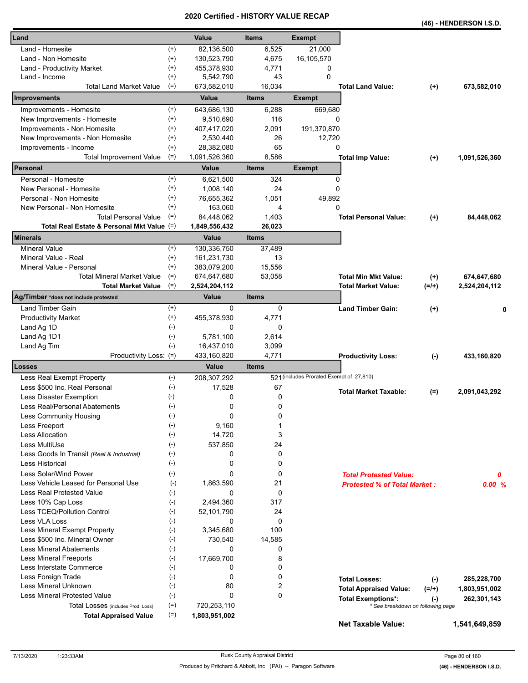|                                                                  |                    |                         | VN L         |                                          |                                                                |           | (46) - HENDERSON I.S.D. |
|------------------------------------------------------------------|--------------------|-------------------------|--------------|------------------------------------------|----------------------------------------------------------------|-----------|-------------------------|
| Land                                                             |                    | Value                   | <b>Items</b> | <b>Exempt</b>                            |                                                                |           |                         |
| Land - Homesite                                                  | $^{(+)}$           | 82,136,500              | 6,525        | 21,000                                   |                                                                |           |                         |
| Land - Non Homesite                                              | $^{(+)}$           | 130,523,790             | 4,675        | 16,105,570                               |                                                                |           |                         |
| Land - Productivity Market                                       | $(+)$              | 455,378,930             | 4,771        | 0                                        |                                                                |           |                         |
| Land - Income                                                    | $^{(+)}$           | 5,542,790               | 43           | $\mathbf{0}$                             |                                                                |           |                         |
| Total Land Market Value                                          | $(=)$              | 673,582,010             | 16,034       |                                          | <b>Total Land Value:</b>                                       | $(+)$     | 673,582,010             |
| Improvements                                                     |                    | Value                   | <b>Items</b> | <b>Exempt</b>                            |                                                                |           |                         |
| Improvements - Homesite                                          | $^{(+)}$           | 643,686,130             | 6,288        | 669,680                                  |                                                                |           |                         |
| New Improvements - Homesite                                      | $^{(+)}$           | 9,510,690               | 116          | 0                                        |                                                                |           |                         |
| Improvements - Non Homesite                                      | $^{(+)}$           | 407,417,020             | 2,091        | 191,370,870                              |                                                                |           |                         |
| New Improvements - Non Homesite                                  | $^{(+)}$           | 2,530,440               | 26           | 12,720                                   |                                                                |           |                         |
| Improvements - Income                                            | $^{(+)}$           | 28,382,080              | 65           | 0                                        |                                                                |           |                         |
| $(=)$<br><b>Total Improvement Value</b>                          |                    | 1,091,526,360           | 8,586        |                                          | <b>Total Imp Value:</b>                                        | $^{(+)}$  | 1,091,526,360           |
| Personal                                                         |                    | Value                   | <b>Items</b> | <b>Exempt</b>                            |                                                                |           |                         |
| Personal - Homesite                                              | $^{(+)}$           | 6,621,500               | 324          | 0                                        |                                                                |           |                         |
| New Personal - Homesite                                          | $^{(+)}$           | 1,008,140               | 24           | 0                                        |                                                                |           |                         |
| Personal - Non Homesite                                          | $(+)$              | 76,655,362              | 1,051        | 49,892                                   |                                                                |           |                         |
| New Personal - Non Homesite                                      | $^{(+)}$           | 163,060                 | 4            | 0                                        |                                                                |           |                         |
| <b>Total Personal Value</b>                                      | $(=)$              | 84,448,062              | 1,403        |                                          | <b>Total Personal Value:</b>                                   | $(+)$     | 84,448,062              |
| Total Real Estate & Personal Mkt Value (=)                       |                    | 1,849,556,432           | 26,023       |                                          |                                                                |           |                         |
| <b>Minerals</b>                                                  |                    | <b>Value</b>            | <b>Items</b> |                                          |                                                                |           |                         |
| <b>Mineral Value</b>                                             | $^{(+)}$           | 130,336,750             | 37,489       |                                          |                                                                |           |                         |
| Mineral Value - Real                                             | $^{(+)}$           | 161,231,730             | 13           |                                          |                                                                |           |                         |
| Mineral Value - Personal                                         | $^{(+)}$           | 383,079,200             | 15,556       |                                          |                                                                |           |                         |
| <b>Total Mineral Market Value</b>                                | $(=)$              | 674,647,680             | 53,058       |                                          | <b>Total Min Mkt Value:</b>                                    | $^{(+)}$  | 674,647,680             |
| <b>Total Market Value</b>                                        | $(=)$              | 2,524,204,112           |              |                                          | <b>Total Market Value:</b>                                     | $(=/+)$   | 2,524,204,112           |
| Ag/Timber *does not include protested                            |                    | Value                   | <b>Items</b> |                                          |                                                                |           |                         |
| Land Timber Gain                                                 | $^{(+)}$           | 0                       | 0            |                                          | <b>Land Timber Gain:</b>                                       | $(+)$     | 0                       |
| <b>Productivity Market</b>                                       | $^{(+)}$           | 455,378,930             | 4,771        |                                          |                                                                |           |                         |
| Land Ag 1D                                                       | $(-)$              | 0                       | 0            |                                          |                                                                |           |                         |
| Land Ag 1D1                                                      | $(-)$              | 5,781,100               | 2,614        |                                          |                                                                |           |                         |
| Land Ag Tim                                                      | $(-)$              | 16,437,010              | 3,099        |                                          |                                                                |           |                         |
| Productivity Loss: (=)                                           |                    | 433,160,820             | 4,771        |                                          | <b>Productivity Loss:</b>                                      | $(\cdot)$ | 433,160,820             |
| Losses                                                           |                    | Value                   | <b>Items</b> | 521 (includes Prorated Exempt of 27,810) |                                                                |           |                         |
| Less Real Exempt Property<br>Less \$500 Inc. Real Personal       | $(-)$              | 208,307,292             |              |                                          |                                                                |           |                         |
|                                                                  | $(\text{-})$       | 17,528                  | 67           |                                          | <b>Total Market Taxable:</b>                                   | $(=)$     | 2,091,043,292           |
| Less Disaster Exemption<br>$(-)$                                 |                    | 0                       | 0            |                                          |                                                                |           |                         |
| Less Real/Personal Abatements                                    | $(\textnormal{-})$ | 0<br>0                  | 0<br>0       |                                          |                                                                |           |                         |
| $(\text{-})$<br>Less Community Housing<br>$(-)$<br>Less Freeport |                    | 9,160                   | 1            |                                          |                                                                |           |                         |
| <b>Less Allocation</b><br>$(-)$                                  |                    | 14,720                  | 3            |                                          |                                                                |           |                         |
| Less MultiUse                                                    |                    |                         |              |                                          |                                                                |           |                         |
| $(-)$<br>$(-)$<br>Less Goods In Transit (Real & Industrial)      |                    | 537,850<br>0            | 24<br>0      |                                          |                                                                |           |                         |
| <b>Less Historical</b>                                           | $(-)$              | 0                       | 0            |                                          |                                                                |           |                         |
| Less Solar/Wind Power                                            | $(-)$              | 0                       |              |                                          |                                                                |           |                         |
| Less Vehicle Leased for Personal Use                             |                    |                         | 0<br>21      |                                          | <b>Total Protested Value:</b>                                  |           | 0                       |
|                                                                  | $(-)$              | 1,863,590               |              |                                          | <b>Protested % of Total Market:</b>                            |           | 0.00%                   |
| Less Real Protested Value                                        | $(-)$              | 0                       | 0<br>317     |                                          |                                                                |           |                         |
| Less 10% Cap Loss<br>Less TCEQ/Pollution Control                 | $(-)$              | 2,494,360<br>52,101,790 |              |                                          |                                                                |           |                         |
| <b>Less VLA Loss</b>                                             | $(-)$<br>$(-)$     |                         | 24<br>0      |                                          |                                                                |           |                         |
| Less Mineral Exempt Property                                     | $(-)$              | 0<br>3,345,680          | 100          |                                          |                                                                |           |                         |
| Less \$500 Inc. Mineral Owner                                    | $(-)$              | 730,540                 | 14,585       |                                          |                                                                |           |                         |
| <b>Less Mineral Abatements</b>                                   | $(-)$              | 0                       | 0            |                                          |                                                                |           |                         |
| <b>Less Mineral Freeports</b>                                    | $(-)$              | 17,669,700              | 8            |                                          |                                                                |           |                         |
| Less Interstate Commerce                                         | $(-)$              | 0                       | 0            |                                          |                                                                |           |                         |
| Less Foreign Trade                                               | $(-)$              | 0                       | 0            |                                          |                                                                |           |                         |
| Less Mineral Unknown                                             | $(-)$              | 80                      | 2            |                                          | <b>Total Losses:</b>                                           | $(-)$     | 285,228,700             |
| <b>Less Mineral Protested Value</b>                              | $(-)$              | 0                       | 0            |                                          | <b>Total Appraised Value:</b>                                  | $(=/+)$   | 1,803,951,002           |
| Total Losses (includes Prod. Loss)                               | $(=)$              | 720,253,110             |              |                                          | <b>Total Exemptions*:</b><br>* See breakdown on following page | $(-)$     | 262,301,143             |
| <b>Total Appraised Value</b>                                     | $(=)$              | 1,803,951,002           |              |                                          |                                                                |           |                         |
|                                                                  |                    |                         |              |                                          | <b>Net Taxable Value:</b>                                      |           | 1,541,649,859           |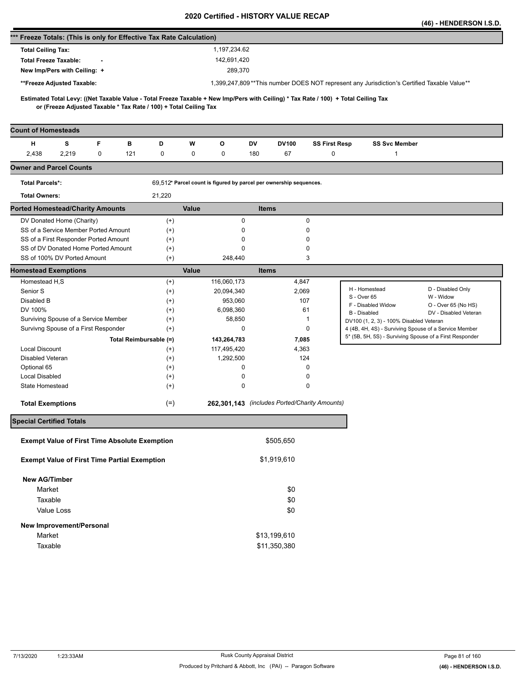|                                                                      |                                                                   |                        |                      |       |                                                                    |              |              |               |                                                                                                                                     | (46) - HENDERSON I.S.D.                      |
|----------------------------------------------------------------------|-------------------------------------------------------------------|------------------------|----------------------|-------|--------------------------------------------------------------------|--------------|--------------|---------------|-------------------------------------------------------------------------------------------------------------------------------------|----------------------------------------------|
| *** Freeze Totals: (This is only for Effective Tax Rate Calculation) |                                                                   |                        |                      |       |                                                                    |              |              |               |                                                                                                                                     |                                              |
| <b>Total Ceiling Tax:</b>                                            |                                                                   |                        |                      |       | 1,197,234.62                                                       |              |              |               |                                                                                                                                     |                                              |
| <b>Total Freeze Taxable:</b>                                         |                                                                   |                        |                      |       | 142,691,420                                                        |              |              |               |                                                                                                                                     |                                              |
| New Imp/Pers with Ceiling: +                                         |                                                                   |                        |                      |       | 289,370                                                            |              |              |               |                                                                                                                                     |                                              |
| **Freeze Adjusted Taxable:                                           |                                                                   |                        |                      |       |                                                                    |              |              |               | 1,399,247,809**This number DOES NOT represent any Jurisdiction's Certified Taxable Value**                                          |                                              |
|                                                                      |                                                                   |                        |                      |       |                                                                    |              |              |               |                                                                                                                                     |                                              |
|                                                                      | or (Freeze Adjusted Taxable * Tax Rate / 100) + Total Ceiling Tax |                        |                      |       |                                                                    |              |              |               | Estimated Total Levy: ((Net Taxable Value - Total Freeze Taxable + New Imp/Pers with Ceiling) * Tax Rate / 100) + Total Ceiling Tax |                                              |
|                                                                      |                                                                   |                        |                      |       |                                                                    |              |              |               |                                                                                                                                     |                                              |
| <b>Count of Homesteads</b>                                           |                                                                   |                        |                      |       |                                                                    |              |              |               |                                                                                                                                     |                                              |
| н                                                                    | s<br>F                                                            | в                      | D                    | W     | o                                                                  | DV           | DV100        | SS First Resp | <b>SS Svc Member</b>                                                                                                                |                                              |
| 2,438                                                                | 2,219<br>0                                                        | 121                    | 0                    | 0     | 0                                                                  | 180          | 67           | 0             | $\mathbf{1}$                                                                                                                        |                                              |
| <b>Owner and Parcel Counts</b>                                       |                                                                   |                        |                      |       |                                                                    |              |              |               |                                                                                                                                     |                                              |
| <b>Total Parcels*:</b>                                               |                                                                   |                        |                      |       | 69,512* Parcel count is figured by parcel per ownership sequences. |              |              |               |                                                                                                                                     |                                              |
| <b>Total Owners:</b>                                                 |                                                                   |                        | 21,220               |       |                                                                    |              |              |               |                                                                                                                                     |                                              |
| <b>Ported Homestead/Charity Amounts</b>                              |                                                                   |                        |                      | Value |                                                                    | <b>Items</b> |              |               |                                                                                                                                     |                                              |
| DV Donated Home (Charity)                                            |                                                                   |                        | $^{(+)}$             |       | 0                                                                  |              | 0            |               |                                                                                                                                     |                                              |
|                                                                      | SS of a Service Member Ported Amount                              |                        | $^{(+)}$             |       | 0                                                                  |              | 0            |               |                                                                                                                                     |                                              |
|                                                                      | SS of a First Responder Ported Amount                             |                        | $^{(+)}$             |       | 0                                                                  |              | 0            |               |                                                                                                                                     |                                              |
| SS of 100% DV Ported Amount                                          | SS of DV Donated Home Ported Amount                               |                        | $^{(+)}$<br>$^{(+)}$ |       | 0<br>248,440                                                       |              | 0<br>3       |               |                                                                                                                                     |                                              |
| <b>Homestead Exemptions</b>                                          |                                                                   |                        |                      | Value |                                                                    | <b>Items</b> |              |               |                                                                                                                                     |                                              |
| Homestead H,S                                                        |                                                                   |                        | $^{(+)}$             |       | 116,060,173                                                        |              | 4,847        |               |                                                                                                                                     |                                              |
| Senior S                                                             |                                                                   |                        | $^{(+)}$             |       | 20,094,340                                                         |              | 2,069        |               | H - Homestead                                                                                                                       | D - Disabled Only                            |
| Disabled B                                                           |                                                                   |                        | $^{(+)}$             |       | 953,060                                                            |              | 107          |               | S - Over 65                                                                                                                         | W - Widow                                    |
| DV 100%                                                              |                                                                   |                        | $^{(+)}$             |       | 6,098,360                                                          |              | 61           |               | F - Disabled Widow<br>B - Disabled                                                                                                  | O - Over 65 (No HS)<br>DV - Disabled Veteran |
| Surviving Spouse of a Service Member                                 |                                                                   |                        | $^{(+)}$             |       | 58,850                                                             |              | 1            |               | DV100 (1, 2, 3) - 100% Disabled Veteran                                                                                             |                                              |
|                                                                      | Survivng Spouse of a First Responder                              |                        | $^{(+)}$             |       | 0                                                                  |              | 0            |               | 4 (4B, 4H, 4S) - Surviving Spouse of a Service Member                                                                               |                                              |
|                                                                      |                                                                   | Total Reimbursable (=) |                      |       | 143,264,783                                                        |              | 7,085        |               | 5* (5B, 5H, 5S) - Surviving Spouse of a First Responder                                                                             |                                              |
| <b>Local Discount</b>                                                |                                                                   |                        | $^{(+)}$             |       | 117,495,420                                                        |              | 4,363        |               |                                                                                                                                     |                                              |
| Disabled Veteran                                                     |                                                                   |                        | $^{(+)}$             |       | 1,292,500                                                          |              | 124          |               |                                                                                                                                     |                                              |
| Optional 65                                                          |                                                                   |                        | $^{(+)}$             |       | 0                                                                  |              | 0            |               |                                                                                                                                     |                                              |
| <b>Local Disabled</b><br>State Homestead                             |                                                                   |                        | $^{(+)}$<br>$^{(+)}$ |       | 0<br>0                                                             |              | 0<br>0       |               |                                                                                                                                     |                                              |
|                                                                      |                                                                   |                        |                      |       |                                                                    |              |              |               |                                                                                                                                     |                                              |
| <b>Total Exemptions</b>                                              |                                                                   |                        | $(=)$                |       | 262,301,143 (includes Ported/Charity Amounts)                      |              |              |               |                                                                                                                                     |                                              |
| <b>Special Certified Totals</b>                                      |                                                                   |                        |                      |       |                                                                    |              |              |               |                                                                                                                                     |                                              |
| <b>Exempt Value of First Time Absolute Exemption</b>                 |                                                                   |                        |                      |       |                                                                    |              | \$505,650    |               |                                                                                                                                     |                                              |
|                                                                      |                                                                   |                        |                      |       |                                                                    |              |              |               |                                                                                                                                     |                                              |
| <b>Exempt Value of First Time Partial Exemption</b>                  |                                                                   |                        |                      |       |                                                                    |              | \$1,919,610  |               |                                                                                                                                     |                                              |
| <b>New AG/Timber</b>                                                 |                                                                   |                        |                      |       |                                                                    |              |              |               |                                                                                                                                     |                                              |
| Market                                                               |                                                                   |                        |                      |       |                                                                    |              | \$0          |               |                                                                                                                                     |                                              |
| Taxable                                                              |                                                                   |                        |                      |       |                                                                    |              | \$0          |               |                                                                                                                                     |                                              |
| Value Loss                                                           |                                                                   |                        |                      |       |                                                                    |              | \$0          |               |                                                                                                                                     |                                              |
| New Improvement/Personal                                             |                                                                   |                        |                      |       |                                                                    |              |              |               |                                                                                                                                     |                                              |
| Market                                                               |                                                                   |                        |                      |       |                                                                    |              | \$13,199,610 |               |                                                                                                                                     |                                              |
| Taxable                                                              |                                                                   |                        |                      |       |                                                                    |              | \$11,350,380 |               |                                                                                                                                     |                                              |
|                                                                      |                                                                   |                        |                      |       |                                                                    |              |              |               |                                                                                                                                     |                                              |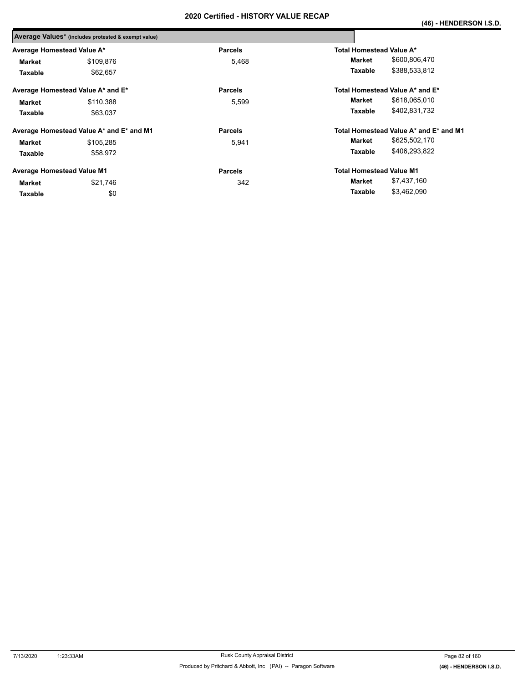|                                   | Average Values* (includes protested & exempt value) |                |                                 |                                        |
|-----------------------------------|-----------------------------------------------------|----------------|---------------------------------|----------------------------------------|
| Average Homestead Value A*        |                                                     | <b>Parcels</b> | Total Homestead Value A*        |                                        |
| <b>Market</b>                     | \$109,876                                           | 5,468          | Market                          | \$600,806,470                          |
| Taxable                           | \$62,657                                            |                | Taxable                         | \$388,533,812                          |
|                                   | Average Homestead Value A* and E*                   | <b>Parcels</b> |                                 | Total Homestead Value A* and E*        |
| Market                            | \$110,388                                           | 5,599          | Market                          | \$618,065,010                          |
| Taxable                           | \$63.037                                            |                | Taxable                         | \$402.831.732                          |
|                                   | Average Homestead Value A* and E* and M1            | <b>Parcels</b> |                                 | Total Homestead Value A* and E* and M1 |
| <b>Market</b>                     | \$105.285                                           | 5,941          | Market                          | \$625,502,170                          |
| Taxable                           | \$58.972                                            |                | Taxable                         | \$406,293,822                          |
| <b>Average Homestead Value M1</b> |                                                     | <b>Parcels</b> | <b>Total Homestead Value M1</b> |                                        |
| <b>Market</b>                     | \$21,746                                            | 342            | Market                          | \$7,437,160                            |
| Taxable                           | \$0                                                 |                | Taxable                         | \$3,462,090                            |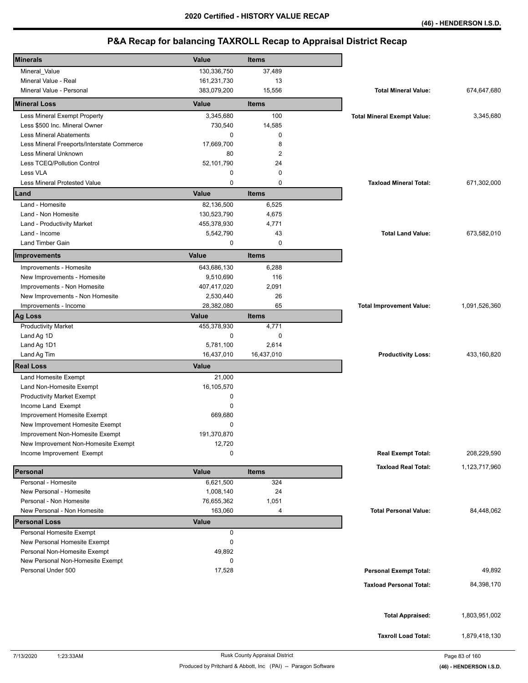| <b>Minerals</b>                                              | <b>Value</b> | Items        |                                    |               |
|--------------------------------------------------------------|--------------|--------------|------------------------------------|---------------|
| Mineral_Value                                                | 130,336,750  | 37,489       |                                    |               |
| Mineral Value - Real                                         | 161,231,730  | 13           |                                    |               |
| Mineral Value - Personal                                     | 383,079,200  | 15,556       | <b>Total Mineral Value:</b>        | 674,647,680   |
| <b>Mineral Loss</b>                                          | Value        | <b>Items</b> |                                    |               |
| Less Mineral Exempt Property                                 | 3,345,680    | 100          | <b>Total Mineral Exempt Value:</b> | 3,345,680     |
| Less \$500 Inc. Mineral Owner                                | 730,540      | 14,585       |                                    |               |
| <b>Less Mineral Abatements</b>                               | 0            | 0            |                                    |               |
| Less Mineral Freeports/Interstate Commerce                   | 17,669,700   | 8            |                                    |               |
| Less Mineral Unknown                                         | 80           | 2            |                                    |               |
| Less TCEQ/Pollution Control                                  | 52,101,790   | 24           |                                    |               |
| Less VLA                                                     | 0            | 0            |                                    |               |
| Less Mineral Protested Value                                 | 0            | $\mathbf 0$  | <b>Taxload Mineral Total:</b>      | 671,302,000   |
| Land                                                         | <b>Value</b> | Items        |                                    |               |
| Land - Homesite                                              | 82,136,500   | 6,525        |                                    |               |
| Land - Non Homesite                                          | 130,523,790  | 4,675        |                                    |               |
| Land - Productivity Market                                   | 455,378,930  | 4,771        |                                    |               |
| Land - Income                                                | 5,542,790    | 43           | <b>Total Land Value:</b>           | 673,582,010   |
| <b>Land Timber Gain</b>                                      | 0            | $\mathbf 0$  |                                    |               |
| Improvements                                                 | Value        | <b>Items</b> |                                    |               |
| Improvements - Homesite                                      | 643,686,130  | 6,288        |                                    |               |
| New Improvements - Homesite                                  | 9,510,690    | 116          |                                    |               |
| Improvements - Non Homesite                                  | 407,417,020  | 2,091        |                                    |               |
| New Improvements - Non Homesite                              | 2,530,440    | 26           |                                    |               |
| Improvements - Income                                        | 28,382,080   | 65           | <b>Total Improvement Value:</b>    | 1,091,526,360 |
|                                                              | Value        | <b>Items</b> |                                    |               |
| <b>Ag Loss</b><br><b>Productivity Market</b>                 | 455,378,930  | 4,771        |                                    |               |
| Land Ag 1D                                                   | 0            | 0            |                                    |               |
| Land Ag 1D1                                                  | 5,781,100    | 2,614        |                                    |               |
| Land Ag Tim                                                  | 16,437,010   | 16,437,010   | <b>Productivity Loss:</b>          | 433,160,820   |
| <b>Real Loss</b>                                             | <b>Value</b> |              |                                    |               |
|                                                              |              |              |                                    |               |
| Land Homesite Exempt                                         | 21,000       |              |                                    |               |
| Land Non-Homesite Exempt                                     | 16,105,570   |              |                                    |               |
| <b>Productivity Market Exempt</b>                            | 0<br>0       |              |                                    |               |
| Income Land Exempt<br>Improvement Homesite Exempt            | 669,680      |              |                                    |               |
| New Improvement Homesite Exempt                              | 0            |              |                                    |               |
| Improvement Non-Homesite Exempt                              | 191,370,870  |              |                                    |               |
| New Improvement Non-Homesite Exempt                          | 12,720       |              |                                    |               |
| Income Improvement Exempt                                    | 0            |              | <b>Real Exempt Total:</b>          | 208,229,590   |
|                                                              |              |              |                                    |               |
| Personal                                                     | Value        | <b>Items</b> | <b>Taxload Real Total:</b>         | 1,123,717,960 |
| Personal - Homesite                                          | 6,621,500    | 324          |                                    |               |
| New Personal - Homesite                                      | 1,008,140    | 24           |                                    |               |
| Personal - Non Homesite                                      | 76,655,362   | 1,051        |                                    |               |
| New Personal - Non Homesite                                  | 163,060      | 4            | <b>Total Personal Value:</b>       | 84,448,062    |
| <b>Personal Loss</b>                                         | <b>Value</b> |              |                                    |               |
| Personal Homesite Exempt                                     | 0            |              |                                    |               |
| New Personal Homesite Exempt<br>Personal Non-Homesite Exempt | 0<br>49,892  |              |                                    |               |
|                                                              |              |              |                                    |               |
| New Personal Non-Homesite Exempt<br>Personal Under 500       | 0<br>17,528  |              |                                    | 49,892        |
|                                                              |              |              | <b>Personal Exempt Total:</b>      |               |
|                                                              |              |              | <b>Taxload Personal Total:</b>     | 84,398,170    |
|                                                              |              |              |                                    |               |
|                                                              |              |              |                                    |               |
|                                                              |              |              | <b>Total Appraised:</b>            | 1,803,951,002 |
|                                                              |              |              | <b>Taxroll Load Total:</b>         | 1,879,418,130 |
|                                                              |              |              |                                    |               |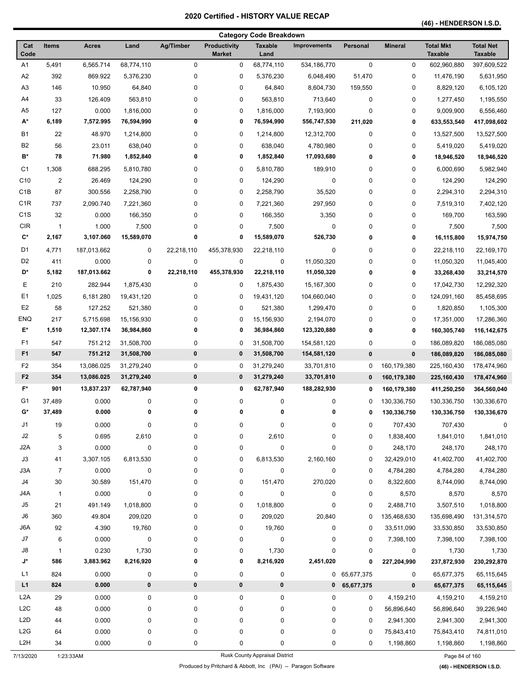### **(46) - HENDERSON I.S.D.**

|                  |                |                          |                          |                  |                                      | <b>Category Code Breakdown</b> |                          |              |                            |                                    |                                    |
|------------------|----------------|--------------------------|--------------------------|------------------|--------------------------------------|--------------------------------|--------------------------|--------------|----------------------------|------------------------------------|------------------------------------|
| Cat<br>Code      | <b>Items</b>   | <b>Acres</b>             | Land                     | Ag/Timber        | <b>Productivity</b><br><b>Market</b> | <b>Taxable</b><br>Land         | <b>Improvements</b>      | Personal     | <b>Mineral</b>             | <b>Total Mkt</b><br><b>Taxable</b> | <b>Total Net</b><br><b>Taxable</b> |
| A1               | 5,491          | 6,565.714                | 68,774,110               | 0                | 0                                    | 68,774,110                     | 534,186,770              | $\mathbf 0$  | 0                          | 602,960,880                        | 397,609,522                        |
| A2               | 392            | 869.922                  | 5,376,230                | 0                | 0                                    | 5,376,230                      | 6,048,490                | 51,470       | 0                          | 11,476,190                         | 5,631,950                          |
| A3               | 146            | 10.950                   | 64,840                   | 0                | 0                                    | 64,840                         | 8,604,730                | 159,550      | 0                          | 8,829,120                          | 6,105,120                          |
| A4               | 33             | 126.409                  | 563,810                  | 0                | 0                                    | 563,810                        | 713,640                  | $\mathbf 0$  | 0                          | 1,277,450                          | 1,195,550                          |
| A5               | 127            | 0.000                    | 1,816,000                | 0                | 0                                    | 1,816,000                      | 7,193,900                | 0            | 0                          | 9,009,900                          | 6,556,460                          |
| A*               | 6,189          | 7,572.995                | 76,594,990               | 0                | 0                                    | 76,594,990                     | 556,747,530              | 211,020      | 0                          | 633,553,540                        | 417,098,602                        |
| <b>B1</b>        | 22             | 48.970                   | 1,214,800                | 0                | 0                                    | 1,214,800                      | 12,312,700               | $\mathbf 0$  | 0                          | 13,527,500                         | 13,527,500                         |
| B <sub>2</sub>   | 56             | 23.011                   | 638,040                  | 0                | 0                                    | 638,040                        | 4,780,980                | $\mathbf 0$  | 0                          | 5,419,020                          | 5,419,020                          |
| B*               | 78             | 71.980                   | 1,852,840                | 0                | 0                                    | 1,852,840                      | 17,093,680               | 0            | 0                          | 18,946,520                         | 18,946,520                         |
| C1               | 1,308          | 688.295                  | 5,810,780                | 0                | 0                                    | 5,810,780                      | 189,910                  | 0            | 0                          | 6,000,690                          | 5,982,940                          |
| C <sub>10</sub>  | $\overline{2}$ | 26.469                   | 124,290                  | 0                | 0                                    | 124,290                        | 0                        | $\mathbf 0$  | 0                          | 124,290                            | 124,290                            |
| C <sub>1</sub> B | 87             | 300.556                  | 2,258,790                | 0                | 0                                    | 2,258,790                      | 35,520                   | 0            | 0                          | 2,294,310                          | 2,294,310                          |
| C <sub>1</sub> R | 737            | 2,090.740                | 7,221,360                | 0                | 0                                    | 7,221,360                      | 297,950                  | 0            | 0                          | 7,519,310                          | 7,402,120                          |
| C <sub>1</sub> S | 32             | 0.000                    | 166,350                  | 0                | 0                                    | 166,350                        | 3,350                    | $\mathbf 0$  | 0                          | 169,700                            | 163,590                            |
| <b>CIR</b>       | -1             | 1.000                    | 7,500                    | 0                | 0                                    | 7,500                          | 0                        | $\mathbf 0$  | 0                          | 7,500                              | 7,500                              |
| C*               | 2,167          | 3,107.060                | 15,589,070               | 0                | 0                                    | 15,589,070                     | 526,730                  | $\bf{0}$     | 0                          | 16,115,800                         | 15,974,750                         |
| D1               | 4,771          | 187,013.662              | 0                        | 22,218,110       | 455,378,930                          | 22,218,110                     | 0                        | 0            | 0                          | 22,218,110                         | 22,169,170                         |
| D <sub>2</sub>   | 411            | 0.000                    | 0                        | $\mathbf 0$      | 0                                    | 0                              | 11,050,320               | 0            | 0                          | 11,050,320                         | 11,045,400                         |
| D*               | 5,182          | 187,013.662              | 0                        | 22,218,110       | 455,378,930                          | 22,218,110                     | 11,050,320               | 0            | 0                          | 33,268,430                         | 33,214,570                         |
| Е                | 210            | 282.944                  | 1,875,430                | 0                | 0                                    | 1,875,430                      | 15, 167, 300             | 0            | 0                          | 17,042,730                         | 12,292,320                         |
| E1               | 1,025          | 6,181.280                | 19,431,120               | 0                | 0                                    | 19,431,120                     | 104,660,040              | $\mathbf 0$  | 0                          | 124,091,160                        | 85,458,695                         |
| E <sub>2</sub>   | 58             | 127.252                  | 521,380                  | 0                | 0                                    | 521,380                        | 1,299,470                | 0            | 0                          | 1,820,850                          | 1,105,300                          |
| <b>ENQ</b>       | 217            | 5,715.698                | 15,156,930               | 0                | 0                                    | 15,156,930                     | 2,194,070                | 0            | 0                          | 17,351,000                         | 17,286,360                         |
| E*               | 1,510          | 12,307.174               | 36,984,860               | 0                | 0                                    | 36,984,860                     | 123,320,880              | $\bf{0}$     | 0                          | 160,305,740                        | 116,142,675                        |
| F <sub>1</sub>   | 547            | 751.212                  | 31,508,700               | 0                | 0                                    | 31,508,700                     | 154,581,120              | $\mathbf 0$  | 0                          | 186,089,820                        | 186,085,080                        |
| F <sub>1</sub>   | 547            | 751.212                  | 31,508,700               | $\pmb{0}$        | 0                                    | 31,508,700                     | 154,581,120              | $\bf{0}$     | $\pmb{0}$                  | 186,089,820                        | 186,085,080                        |
| F <sub>2</sub>   | 354            |                          |                          | 0                |                                      |                                |                          |              |                            | 225,160,430                        | 178,474,960                        |
| F <sub>2</sub>   | 354            | 13,086.025<br>13,086.025 | 31,279,240<br>31,279,240 | 0                | 0<br>0                               | 31,279,240<br>31,279,240       | 33,701,810<br>33,701,810 | 0<br>0       | 160,179,380<br>160,179,380 | 225,160,430                        | 178,474,960                        |
| F*               | 901            | 13,837.237               | 62,787,940               | 0                | 0                                    | 62,787,940                     | 188,282,930              |              |                            |                                    |                                    |
|                  |                |                          |                          |                  |                                      |                                |                          | 0            | 160,179,380                | 411,250,250                        | 364,560,040                        |
| G1<br>G*         | 37,489         | 0.000                    | 0                        | 0<br>$\mathbf 0$ | 0<br>0                               | 0                              | 0                        | 0            | 130,336,750                | 130,336,750                        | 130,336,670                        |
|                  | 37,489         | 0.000                    | 0                        |                  |                                      | 0                              | 0                        | 0            | 130,336,750                | 130,336,750                        | 130,336,670                        |
| J1               | 19             | 0.000                    | $\mathbf 0$              | $\mathbf 0$      | 0                                    | $\pmb{0}$                      | 0                        | 0            | 707,430                    | 707,430                            | $\pmb{0}$                          |
| J2               | 5              | 0.695                    | 2,610                    | 0                | 0                                    | 2,610                          | 0                        | 0            | 1,838,400                  | 1,841,010                          | 1,841,010                          |
| J2A              | 3              | 0.000                    | $\pmb{0}$                | 0                | 0                                    | $\pmb{0}$                      | 0                        | 0            | 248,170                    | 248,170                            | 248,170                            |
| J3               | 41             | 3,307.105                | 6,813,530                | 0                | 0                                    | 6,813,530                      | 2,160,160                | 0            | 32,429,010                 | 41,402,700                         | 41,402,700                         |
| J3A              | $\overline{7}$ | 0.000                    | $\pmb{0}$                | 0                | 0                                    | 0                              | 0                        | $\mathbf 0$  | 4,784,280                  | 4,784,280                          | 4,784,280                          |
| J <sub>4</sub>   | 30             | 30.589                   | 151,470                  | 0                | 0                                    | 151,470                        | 270,020                  | 0            | 8,322,600                  | 8,744,090                          | 8,744,090                          |
| J4A              | $\mathbf{1}$   | 0.000                    | $\boldsymbol{0}$         | 0                | 0                                    | $\mathbf 0$                    | 0                        | 0            | 8,570                      | 8,570                              | 8,570                              |
| J5               | 21             | 491.149                  | 1,018,800                | 0                | 0                                    | 1,018,800                      | 0                        | $\pmb{0}$    | 2,488,710                  | 3,507,510                          | 1,018,800                          |
| J6               | 360            | 49.804                   | 209,020                  | 0                | 0                                    | 209,020                        | 20,840                   | 0            | 135,468,630                | 135,698,490                        | 131,314,570                        |
| J6A              | 92             | 4.390                    | 19,760                   | 0                | 0                                    | 19,760                         | 0                        | 0            | 33,511,090                 | 33,530,850                         | 33,530,850                         |
| J7               | 6              | 0.000                    | $\pmb{0}$                | 0                | 0                                    | $\pmb{0}$                      | 0                        | $\mathbf 0$  | 7,398,100                  | 7,398,100                          | 7,398,100                          |
| J8               | $\mathbf{1}$   | 0.230                    | 1,730                    | 0                | 0                                    | 1,730                          | 0                        | $\mathbf 0$  | $\mathbf 0$                | 1,730                              | 1,730                              |
| J*               | 586            | 3,883.962                | 8,216,920                | 0                | 0                                    | 8,216,920                      | 2,451,020                | 0            | 227,204,990                | 237,872,930                        | 230,292,870                        |
| L1               | 824            | 0.000                    | 0                        | 0                | 0                                    | 0                              |                          | 0 65,677,375 | 0                          | 65,677,375                         | 65,115,645                         |
| L1               | 824            | 0.000                    | $\pmb{0}$                | $\pmb{0}$        | $\pmb{0}$                            | $\pmb{0}$                      |                          | 0 65,677,375 | $\pmb{0}$                  | 65,677,375                         | 65,115,645                         |
| L <sub>2</sub> A | 29             | 0.000                    | 0                        | 0                | 0                                    | 0                              | 0                        | 0            | 4,159,210                  | 4,159,210                          | 4,159,210                          |
| L <sub>2</sub> C | 48             | 0.000                    | 0                        | 0                | 0                                    | 0                              | 0                        | $\mathbf 0$  | 56,896,640                 | 56,896,640                         | 39,226,940                         |
| L <sub>2</sub> D | 44             | 0.000                    | 0                        | 0                | 0                                    | 0                              | 0                        | 0            | 2,941,300                  | 2,941,300                          | 2,941,300                          |
| L2G              | 64             | 0.000                    | 0                        | 0                | 0                                    | 0                              | 0                        | 0            | 75,843,410                 | 75,843,410                         | 74,811,010                         |
| L2H              | 34             | 0.000                    | 0                        | 0                | 0                                    | 0                              | 0                        | 0            | 1,198,860                  | 1,198,860                          | 1,198,860                          |

Produced by Pritchard & Abbott, Inc (PAI) -- Paragon Software **(46) - HENDERSON I.S.D. (46)** - **HENDERSON I.S.D.**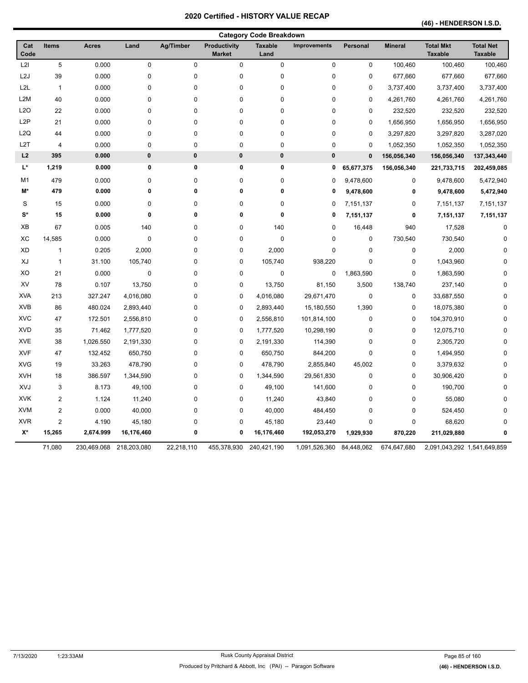## **(46) - HENDERSON I.S.D.**

| <b>Category Code Breakdown</b> |                |              |             |             |                                      |                        |                     |              |                |                                    |                                    |
|--------------------------------|----------------|--------------|-------------|-------------|--------------------------------------|------------------------|---------------------|--------------|----------------|------------------------------------|------------------------------------|
| Cat<br>Code                    | <b>Items</b>   | <b>Acres</b> | Land        | Ag/Timber   | <b>Productivity</b><br><b>Market</b> | <b>Taxable</b><br>Land | <b>Improvements</b> | Personal     | <b>Mineral</b> | <b>Total Mkt</b><br><b>Taxable</b> | <b>Total Net</b><br><b>Taxable</b> |
| L2I                            | $\overline{5}$ | 0.000        | 0           | $\mathbf 0$ | $\pmb{0}$                            | $\mathbf 0$            | 0                   | $\pmb{0}$    | 100,460        | 100,460                            | 100,460                            |
| L <sub>2</sub> J               | 39             | 0.000        | $\mathbf 0$ | $\mathbf 0$ | $\pmb{0}$                            | $\mathsf 0$            | 0                   | $\mathbf 0$  | 677,660        | 677,660                            | 677,660                            |
| L <sub>2</sub> L               | $\mathbf{1}$   | 0.000        | 0           | 0           | 0                                    | 0                      | 0                   | 0            | 3,737,400      | 3,737,400                          | 3,737,400                          |
| L <sub>2</sub> M               | 40             | 0.000        | $\mathbf 0$ | 0           | $\pmb{0}$                            | 0                      | 0                   | 0            | 4,261,760      | 4,261,760                          | 4,261,760                          |
| L <sub>20</sub>                | 22             | 0.000        | $\mathbf 0$ | 0           | $\pmb{0}$                            | $\mathsf 0$            | 0                   | 0            | 232,520        | 232,520                            | 232,520                            |
| L <sub>2</sub> P               | 21             | 0.000        | 0           | 0           | 0                                    | 0                      | 0                   | 0            | 1,656,950      | 1,656,950                          | 1,656,950                          |
| L2Q                            | 44             | 0.000        | 0           | 0           | 0                                    | 0                      | 0                   | 0            | 3,297,820      | 3,297,820                          | 3,287,020                          |
| L <sub>2</sub> T               | 4              | 0.000        | 0           | $\mathbf 0$ | 0                                    | 0                      | 0                   | $\mathbf 0$  | 1,052,350      | 1,052,350                          | 1,052,350                          |
| L2                             | 395            | 0.000        | $\pmb{0}$   | $\pmb{0}$   | $\pmb{0}$                            | $\pmb{0}$              | $\pmb{0}$           | $\mathbf{0}$ | 156,056,340    | 156,056,340                        | 137,343,440                        |
| L*                             | 1,219          | 0.000        | 0           | 0           | $\mathbf 0$                          | 0                      | 0                   | 65,677,375   | 156,056,340    | 221,733,715                        | 202,459,085                        |
| M <sub>1</sub>                 | 479            | 0.000        | 0           | 0           | 0                                    | 0                      | 0                   | 9,478,600    | 0              | 9,478,600                          | 5,472,940                          |
| M*                             | 479            | 0.000        | 0           | 0           | 0                                    | 0                      | 0                   | 9,478,600    | 0              | 9,478,600                          | 5,472,940                          |
| S                              | 15             | 0.000        | 0           | 0           | 0                                    | 0                      | 0                   | 7,151,137    | $\pmb{0}$      | 7,151,137                          | 7,151,137                          |
| $S^*$                          | 15             | 0.000        | 0           | 0           | 0                                    | 0                      | 0                   | 7,151,137    | 0              | 7,151,137                          | 7,151,137                          |
| XB                             | 67             | 0.005        | 140         | 0           | 0                                    | 140                    | 0                   | 16,448       | 940            | 17,528                             | 0                                  |
| XC                             | 14,585         | 0.000        | $\mathbf 0$ | $\mathbf 0$ | 0                                    | 0                      | 0                   | $\mathbf 0$  | 730,540        | 730,540                            | 0                                  |
| <b>XD</b>                      | $\mathbf{1}$   | 0.205        | 2,000       | $\mathbf 0$ | 0                                    | 2,000                  | 0                   | $\mathbf 0$  | $\pmb{0}$      | 2,000                              | 0                                  |
| XJ                             | $\mathbf{1}$   | 31.100       | 105,740     | 0           | 0                                    | 105,740                | 938,220             | $\mathbf 0$  | 0              | 1,043,960                          | 0                                  |
| XO                             | 21             | 0.000        | $\mathbf 0$ | 0           | $\pmb{0}$                            | 0                      | 0                   | 1,863,590    | $\pmb{0}$      | 1,863,590                          | 0                                  |
| XV                             | 78             | 0.107        | 13,750      | 0           | 0                                    | 13,750                 | 81,150              | 3,500        | 138,740        | 237,140                            | 0                                  |
| <b>XVA</b>                     | 213            | 327.247      | 4,016,080   | $\mathbf 0$ | 0                                    | 4,016,080              | 29,671,470          | $\mathbf 0$  | $\pmb{0}$      | 33,687,550                         | 0                                  |
| <b>XVB</b>                     | 86             | 480.024      | 2,893,440   | $\mathbf 0$ | 0                                    | 2,893,440              | 15,180,550          | 1,390        | $\pmb{0}$      | 18,075,380                         | 0                                  |
| <b>XVC</b>                     | 47             | 172.501      | 2,556,810   | $\mathbf 0$ | 0                                    | 2,556,810              | 101,814,100         | 0            | $\pmb{0}$      | 104,370,910                        | 0                                  |
| <b>XVD</b>                     | 35             | 71.462       | 1,777,520   | 0           | 0                                    | 1,777,520              | 10,298,190          | 0            | $\pmb{0}$      | 12,075,710                         | 0                                  |
| <b>XVE</b>                     | 38             | 1,026.550    | 2,191,330   | 0           | 0                                    | 2,191,330              | 114,390             | $\mathbf 0$  | $\pmb{0}$      | 2,305,720                          | 0                                  |
| <b>XVF</b>                     | 47             | 132.452      | 650,750     | 0           | 0                                    | 650,750                | 844,200             | $\mathbf 0$  | $\pmb{0}$      | 1,494,950                          | 0                                  |
| <b>XVG</b>                     | 19             | 33.263       | 478,790     | 0           | 0                                    | 478,790                | 2,855,840           | 45,002       | $\pmb{0}$      | 3,379,632                          | 0                                  |
| <b>XVH</b>                     | 18             | 386.597      | 1,344,590   | 0           | 0                                    | 1,344,590              | 29,561,830          | 0            | $\pmb{0}$      | 30,906,420                         | 0                                  |
| XVJ                            | 3              | 8.173        | 49,100      | 0           | 0                                    | 49,100                 | 141,600             | 0            | $\pmb{0}$      | 190,700                            | 0                                  |
| <b>XVK</b>                     | $\overline{2}$ | 1.124        | 11,240      | 0           | 0                                    | 11,240                 | 43,840              | 0            | $\pmb{0}$      | 55,080                             | 0                                  |
| <b>XVM</b>                     | $\overline{2}$ | 0.000        | 40,000      | 0           | 0                                    | 40,000                 | 484,450             | 0            | $\pmb{0}$      | 524,450                            | 0                                  |
| <b>XVR</b>                     | $\overline{2}$ | 4.190        | 45,180      | 0           | 0                                    | 45,180                 | 23,440              | $\mathbf 0$  | $\pmb{0}$      | 68,620                             | 0                                  |
| X*                             | 15,265         | 2,674.999    | 16,176,460  | 0           | 0                                    | 16,176,460             | 192,053,270         | 1,929,930    | 870,220        | 211,029,880                        | 0                                  |
|                                | 71,080         | 230,469.068  | 218,203,080 | 22,218,110  | 455,378,930                          | 240,421,190            | 1,091,526,360       | 84,448,062   | 674,647,680    | 2,091,043,292 1,541,649,859        |                                    |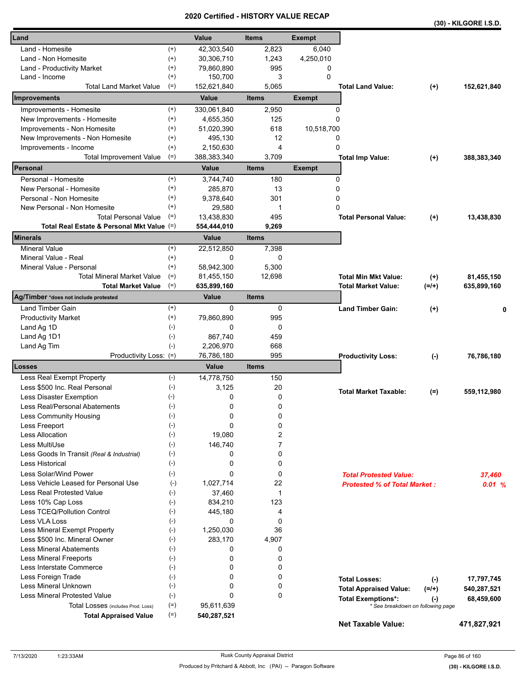|                                                     | a unea       | ו טווי<br>UNI VALUL |               |                                     |           | (30) - KILGORE I.S.D. |
|-----------------------------------------------------|--------------|---------------------|---------------|-------------------------------------|-----------|-----------------------|
| Land                                                | Value        | <b>Items</b>        | <b>Exempt</b> |                                     |           |                       |
| Land - Homesite<br>$^{(+)}$                         | 42,303,540   | 2,823               | 6,040         |                                     |           |                       |
| $(+)$<br>Land - Non Homesite                        | 30,306,710   | 1,243               | 4,250,010     |                                     |           |                       |
| $^{(+)}$<br>Land - Productivity Market              | 79,860,890   | 995                 | 0             |                                     |           |                       |
| $^{(+)}$<br>Land - Income                           | 150,700      | 3                   | 0             |                                     |           |                       |
| <b>Total Land Market Value</b><br>$(=)$             | 152,621,840  | 5,065               |               | <b>Total Land Value:</b>            | $^{(+)}$  | 152,621,840           |
| Improvements                                        | Value        | <b>Items</b>        | <b>Exempt</b> |                                     |           |                       |
| Improvements - Homesite<br>$^{(+)}$                 | 330,061,840  | 2,950               |               | 0                                   |           |                       |
| New Improvements - Homesite<br>$(+)$                | 4,655,350    | 125                 |               | 0                                   |           |                       |
| Improvements - Non Homesite<br>$^{(+)}$             | 51,020,390   | 618                 | 10,518,700    |                                     |           |                       |
| New Improvements - Non Homesite<br>$^{(+)}$         | 495,130      | 12                  |               | 0                                   |           |                       |
| $^{(+)}$<br>Improvements - Income                   | 2,150,630    | 4                   |               | 0                                   |           |                       |
| $(=)$<br><b>Total Improvement Value</b>             | 388,383,340  | 3,709               |               | <b>Total Imp Value:</b>             | $^{(+)}$  | 388,383,340           |
| Personal                                            | Value        | <b>Items</b>        | <b>Exempt</b> |                                     |           |                       |
| Personal - Homesite<br>$^{(+)}$                     | 3,744,740    | 180                 |               | 0                                   |           |                       |
| $^{(+)}$<br>New Personal - Homesite                 | 285,870      | 13                  |               | 0                                   |           |                       |
| $^{(+)}$<br>Personal - Non Homesite                 | 9,378,640    | 301                 |               | 0                                   |           |                       |
| $^{(+)}$<br>New Personal - Non Homesite             | 29.580       | 1                   |               | $\Omega$                            |           |                       |
| <b>Total Personal Value</b><br>$(=)$                | 13,438,830   | 495                 |               | <b>Total Personal Value:</b>        | $(+)$     | 13,438,830            |
| Total Real Estate & Personal Mkt Value (=)          | 554,444,010  | 9,269               |               |                                     |           |                       |
| Minerals                                            | <b>Value</b> | <b>Items</b>        |               |                                     |           |                       |
| <b>Mineral Value</b><br>$^{(+)}$                    | 22,512,850   | 7,398               |               |                                     |           |                       |
| Mineral Value - Real<br>$^{(+)}$                    |              | $\mathbf{0}$<br>0   |               |                                     |           |                       |
| Mineral Value - Personal<br>$^{(+)}$                | 58,942,300   | 5,300               |               |                                     |           |                       |
| <b>Total Mineral Market Value</b><br>$(=)$          | 81,455,150   | 12,698              |               | <b>Total Min Mkt Value:</b>         | $^{(+)}$  | 81,455,150            |
| $(=)$<br><b>Total Market Value</b>                  | 635,899,160  |                     |               | <b>Total Market Value:</b>          | $(=/+)$   | 635,899,160           |
| Ag/Timber *does not include protested               | Value        | <b>Items</b>        |               |                                     |           |                       |
| Land Timber Gain<br>$^{(+)}$                        |              | 0<br>0              |               | <b>Land Timber Gain:</b>            | $(+)$     | 0                     |
| <b>Productivity Market</b><br>$(+)$                 | 79,860,890   | 995                 |               |                                     |           |                       |
| $(-)$<br>Land Ag 1D                                 |              | 0<br>0              |               |                                     |           |                       |
| $(-)$<br>Land Ag 1D1                                | 867,740      | 459                 |               |                                     |           |                       |
| Land Ag Tim<br>$(-)$                                | 2,206,970    | 668                 |               |                                     |           |                       |
| Productivity Loss: (=)                              | 76,786,180   | 995                 |               | <b>Productivity Loss:</b>           | $(\cdot)$ | 76,786,180            |
| Losses                                              | Value        | <b>Items</b>        |               |                                     |           |                       |
| Less Real Exempt Property<br>$(-)$                  | 14,778,750   | 150                 |               |                                     |           |                       |
| $(-)$<br>Less \$500 Inc. Real Personal              |              | 3,125<br>20         |               | <b>Total Market Taxable:</b>        | $(=)$     | 559,112,980           |
| Less Disaster Exemption<br>$(-)$                    |              | 0<br>0              |               |                                     |           |                       |
| Less Real/Personal Abatements<br>$(\textnormal{-})$ |              | 0<br>0              |               |                                     |           |                       |
| $(-)$<br><b>Less Community Housing</b>              |              | 0<br>0              |               |                                     |           |                       |
| $(-)$<br>Less Freeport                              |              | 0<br>0              |               |                                     |           |                       |
| Less Allocation<br>$(-)$                            | 19,080       | 2                   |               |                                     |           |                       |
| Less MultiUse<br>$(-)$                              | 146,740      | 7                   |               |                                     |           |                       |
| $(-)$<br>Less Goods In Transit (Real & Industrial)  |              | 0<br>0              |               |                                     |           |                       |
| <b>Less Historical</b><br>$(-)$                     |              | 0<br>0              |               |                                     |           |                       |
| Less Solar/Wind Power<br>$(-)$                      |              | 0<br>0              |               | <b>Total Protested Value:</b>       |           | 37,460                |
| Less Vehicle Leased for Personal Use<br>$(-)$       | 1,027,714    | 22                  |               | <b>Protested % of Total Market:</b> |           | 0.01 %                |
| Less Real Protested Value<br>$(-)$                  | 37,460       | $\mathbf{1}$        |               |                                     |           |                       |
| $(-)$<br>Less 10% Cap Loss                          | 834,210      | 123                 |               |                                     |           |                       |
| Less TCEQ/Pollution Control<br>$(-)$                | 445,180      | 4                   |               |                                     |           |                       |
| Less VLA Loss<br>$(-)$                              |              | 0<br>0              |               |                                     |           |                       |
| Less Mineral Exempt Property<br>$(-)$               | 1,250,030    | 36                  |               |                                     |           |                       |
| Less \$500 Inc. Mineral Owner<br>$(-)$              | 283,170      | 4,907               |               |                                     |           |                       |
| <b>Less Mineral Abatements</b><br>$(-)$             |              | 0<br>0              |               |                                     |           |                       |
| $(-)$<br><b>Less Mineral Freeports</b>              |              | 0<br>0              |               |                                     |           |                       |
| $(-)$<br>Less Interstate Commerce                   |              | 0<br>0              |               |                                     |           |                       |
| Less Foreign Trade<br>$(-)$                         |              | 0<br>0              |               | <b>Total Losses:</b>                | $(-)$     | 17,797,745            |
| Less Mineral Unknown<br>$(-)$                       |              | 0<br>0              |               | <b>Total Appraised Value:</b>       | $(=/+)$   | 540,287,521           |
| $(-)$<br>Less Mineral Protested Value               |              | 0<br>0              |               | <b>Total Exemptions*:</b>           | $(\cdot)$ | 68,459,600            |
| $(=)$<br>Total Losses (includes Prod. Loss)         | 95,611,639   |                     |               | * See breakdown on following page   |           |                       |
| $(=)$<br><b>Total Appraised Value</b>               | 540,287,521  |                     |               | <b>Net Taxable Value:</b>           |           | 471,827,921           |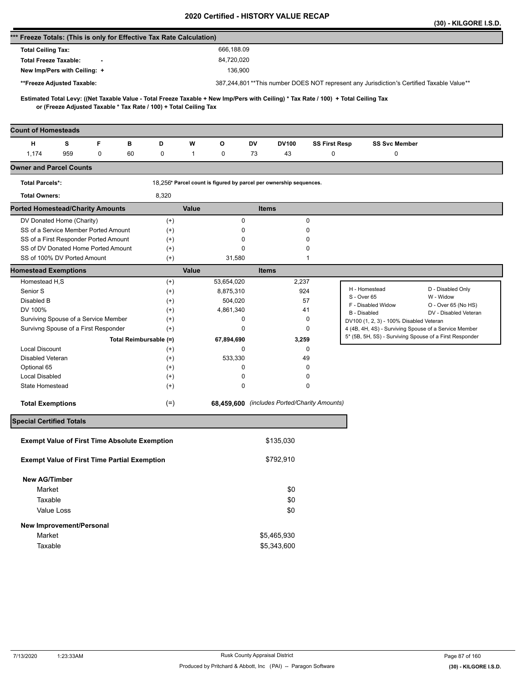|                                                                      |                                       |   |                                                      |                                                                   |              |            |              |                                                                    |                      |                                                                                                                                     | (30) - KILGORE I.S.D. |
|----------------------------------------------------------------------|---------------------------------------|---|------------------------------------------------------|-------------------------------------------------------------------|--------------|------------|--------------|--------------------------------------------------------------------|----------------------|-------------------------------------------------------------------------------------------------------------------------------------|-----------------------|
| *** Freeze Totals: (This is only for Effective Tax Rate Calculation) |                                       |   |                                                      |                                                                   |              |            |              |                                                                    |                      |                                                                                                                                     |                       |
| <b>Total Ceiling Tax:</b>                                            |                                       |   |                                                      |                                                                   |              | 666,188.09 |              |                                                                    |                      |                                                                                                                                     |                       |
| <b>Total Freeze Taxable:</b>                                         |                                       |   |                                                      |                                                                   |              | 84,720,020 |              |                                                                    |                      |                                                                                                                                     |                       |
| New Imp/Pers with Ceiling: +                                         |                                       |   |                                                      |                                                                   |              | 136,900    |              |                                                                    |                      |                                                                                                                                     |                       |
|                                                                      | **Freeze Adjusted Taxable:            |   |                                                      |                                                                   |              |            |              |                                                                    |                      | 387,244,801**This number DOES NOT represent any Jurisdiction's Certified Taxable Value**                                            |                       |
|                                                                      |                                       |   |                                                      |                                                                   |              |            |              |                                                                    |                      |                                                                                                                                     |                       |
|                                                                      |                                       |   |                                                      | or (Freeze Adjusted Taxable * Tax Rate / 100) + Total Ceiling Tax |              |            |              |                                                                    |                      | Estimated Total Levy: ((Net Taxable Value - Total Freeze Taxable + New Imp/Pers with Ceiling) * Tax Rate / 100) + Total Ceiling Tax |                       |
| <b>Count of Homesteads</b>                                           |                                       |   |                                                      |                                                                   |              |            |              |                                                                    |                      |                                                                                                                                     |                       |
| н                                                                    | s                                     | F | в                                                    | D                                                                 | W            | O          | DV           | DV100                                                              | <b>SS First Resp</b> | <b>SS Svc Member</b>                                                                                                                |                       |
| 1,174                                                                | 959                                   | 0 | 60                                                   | 0                                                                 | $\mathbf{1}$ | 0          | 73           | 43                                                                 | 0                    | 0                                                                                                                                   |                       |
| <b>Owner and Parcel Counts</b>                                       |                                       |   |                                                      |                                                                   |              |            |              |                                                                    |                      |                                                                                                                                     |                       |
| <b>Total Parcels*:</b>                                               |                                       |   |                                                      |                                                                   |              |            |              | 18,256* Parcel count is figured by parcel per ownership sequences. |                      |                                                                                                                                     |                       |
| <b>Total Owners:</b>                                                 |                                       |   |                                                      | 8,320                                                             |              |            |              |                                                                    |                      |                                                                                                                                     |                       |
| <b>Ported Homestead/Charity Amounts</b>                              |                                       |   |                                                      |                                                                   | Value        |            | <b>Items</b> |                                                                    |                      |                                                                                                                                     |                       |
|                                                                      | DV Donated Home (Charity)             |   |                                                      | $^{(+)}$                                                          |              | 0          |              |                                                                    | 0                    |                                                                                                                                     |                       |
|                                                                      | SS of a Service Member Ported Amount  |   |                                                      | $^{(+)}$                                                          |              | 0          |              |                                                                    | 0                    |                                                                                                                                     |                       |
|                                                                      | SS of a First Responder Ported Amount |   |                                                      | $^{(+)}$                                                          |              | 0          |              |                                                                    | 0                    |                                                                                                                                     |                       |
|                                                                      | SS of DV Donated Home Ported Amount   |   |                                                      | $^{(+)}$                                                          |              | 0          |              |                                                                    | 0                    |                                                                                                                                     |                       |
|                                                                      | SS of 100% DV Ported Amount           |   |                                                      | $^{(+)}$                                                          |              | 31,580     |              |                                                                    | 1                    |                                                                                                                                     |                       |
| <b>Homestead Exemptions</b><br>Homestead H,S                         |                                       |   |                                                      | $^{(+)}$                                                          | Value        | 53,654,020 | <b>Items</b> | 2,237                                                              |                      |                                                                                                                                     |                       |
| Senior S                                                             |                                       |   |                                                      | $^{(+)}$                                                          |              | 8,875,310  |              | 924                                                                |                      | H - Homestead                                                                                                                       | D - Disabled Only     |
| Disabled B                                                           |                                       |   |                                                      | $^{(+)}$                                                          |              | 504,020    |              | 57                                                                 |                      | S - Over 65                                                                                                                         | W - Widow             |
| DV 100%                                                              |                                       |   |                                                      | $^{(+)}$                                                          |              | 4,861,340  |              | 41                                                                 |                      | F - Disabled Widow                                                                                                                  | O - Over 65 (No HS)   |
| Surviving Spouse of a Service Member                                 |                                       |   |                                                      | $^{(+)}$                                                          |              | 0          |              |                                                                    | 0                    | B - Disabled<br>DV100 (1, 2, 3) - 100% Disabled Veteran                                                                             | DV - Disabled Veteran |
| Survivng Spouse of a First Responder                                 |                                       |   |                                                      | $^{(+)}$                                                          |              | 0          |              |                                                                    | 0                    | 4 (4B, 4H, 4S) - Surviving Spouse of a Service Member                                                                               |                       |
|                                                                      |                                       |   | Total Reimbursable (=)                               |                                                                   |              | 67,894,690 |              | 3,259                                                              |                      | 5* (5B, 5H, 5S) - Surviving Spouse of a First Responder                                                                             |                       |
| <b>Local Discount</b>                                                |                                       |   |                                                      | $^{(+)}$                                                          |              | 0          |              |                                                                    | 0                    |                                                                                                                                     |                       |
| <b>Disabled Veteran</b>                                              |                                       |   |                                                      | $^{(+)}$                                                          |              | 533,330    |              | 49                                                                 |                      |                                                                                                                                     |                       |
| Optional 65                                                          |                                       |   |                                                      | $^{(+)}$                                                          |              | 0          |              |                                                                    | 0                    |                                                                                                                                     |                       |
| <b>Local Disabled</b>                                                |                                       |   |                                                      | $^{(+)}$                                                          |              | 0          |              |                                                                    | 0                    |                                                                                                                                     |                       |
| State Homestead                                                      |                                       |   |                                                      | $^{(+)}$                                                          |              | 0          |              |                                                                    | 0                    |                                                                                                                                     |                       |
| <b>Total Exemptions</b>                                              |                                       |   |                                                      | $(=)$                                                             |              |            |              | 68,459,600 (includes Ported/Charity Amounts)                       |                      |                                                                                                                                     |                       |
| <b>Special Certified Totals</b>                                      |                                       |   |                                                      |                                                                   |              |            |              |                                                                    |                      |                                                                                                                                     |                       |
|                                                                      |                                       |   | <b>Exempt Value of First Time Absolute Exemption</b> |                                                                   |              |            |              | \$135,030                                                          |                      |                                                                                                                                     |                       |
|                                                                      |                                       |   | <b>Exempt Value of First Time Partial Exemption</b>  |                                                                   |              |            |              | \$792,910                                                          |                      |                                                                                                                                     |                       |
|                                                                      |                                       |   |                                                      |                                                                   |              |            |              |                                                                    |                      |                                                                                                                                     |                       |
| <b>New AG/Timber</b>                                                 |                                       |   |                                                      |                                                                   |              |            |              |                                                                    |                      |                                                                                                                                     |                       |
| Market                                                               |                                       |   |                                                      |                                                                   |              |            |              | \$0                                                                |                      |                                                                                                                                     |                       |
| Taxable                                                              |                                       |   |                                                      |                                                                   |              |            |              | \$0                                                                |                      |                                                                                                                                     |                       |
|                                                                      | Value Loss                            |   |                                                      |                                                                   |              |            |              | \$0                                                                |                      |                                                                                                                                     |                       |
| New Improvement/Personal                                             |                                       |   |                                                      |                                                                   |              |            |              |                                                                    |                      |                                                                                                                                     |                       |
| Market                                                               |                                       |   |                                                      |                                                                   |              |            |              | \$5,465,930                                                        |                      |                                                                                                                                     |                       |
| Taxable                                                              |                                       |   |                                                      |                                                                   |              |            |              | \$5,343,600                                                        |                      |                                                                                                                                     |                       |
|                                                                      |                                       |   |                                                      |                                                                   |              |            |              |                                                                    |                      |                                                                                                                                     |                       |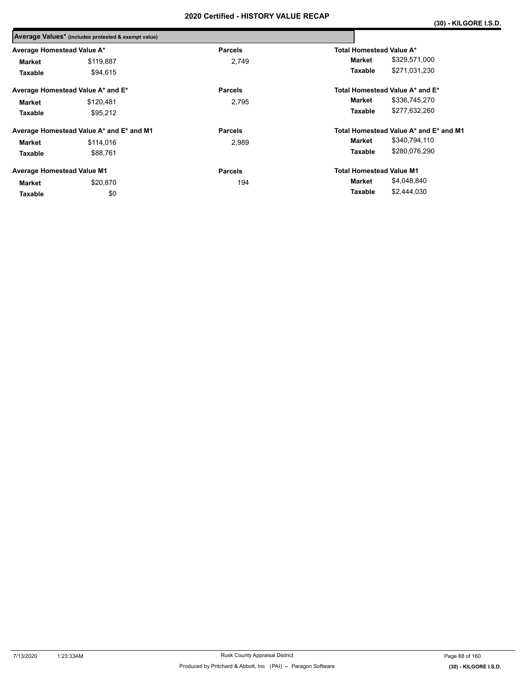|                                   | Average Values* (includes protested & exempt value) |                |                                 |                                        |
|-----------------------------------|-----------------------------------------------------|----------------|---------------------------------|----------------------------------------|
| Average Homestead Value A*        |                                                     | <b>Parcels</b> | Total Homestead Value A*        |                                        |
| Market                            | \$119,887                                           | 2.749          | Market                          | \$329,571,000                          |
| Taxable                           | \$94.615                                            |                | Taxable                         | \$271,031,230                          |
|                                   | Average Homestead Value A* and E*                   | <b>Parcels</b> |                                 | Total Homestead Value A* and E*        |
| Market                            | \$120.481                                           | 2.795          | Market                          | \$336,745,270                          |
| Taxable                           | \$95.212                                            |                | Taxable                         | \$277.632.260                          |
|                                   | Average Homestead Value A* and E* and M1            | <b>Parcels</b> |                                 | Total Homestead Value A* and E* and M1 |
| Market                            | \$114,016                                           | 2,989          | Market                          | \$340,794,110                          |
| Taxable                           | \$88.761                                            |                | Taxable                         | \$280,076,290                          |
| <b>Average Homestead Value M1</b> |                                                     | <b>Parcels</b> | <b>Total Homestead Value M1</b> |                                        |
| Market                            | \$20,870                                            | 194            | Market                          | \$4,048,840                            |
| Taxable                           | \$0                                                 |                | Taxable                         | \$2,444,030                            |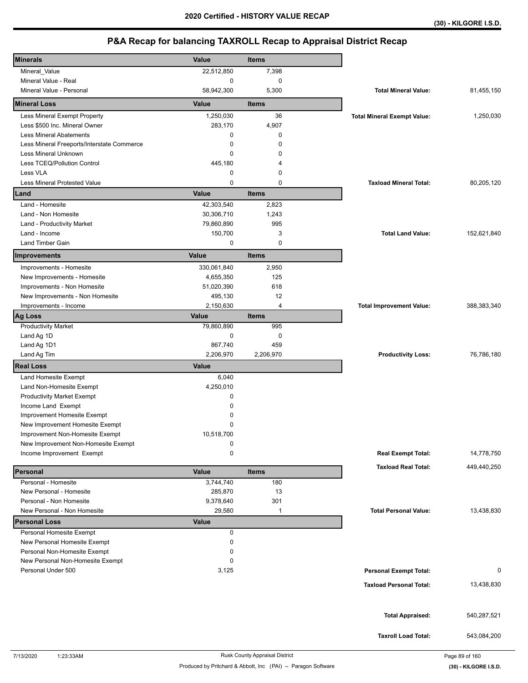| <b>Minerals</b>                                                | Value        | <b>Items</b>   |                                    |             |
|----------------------------------------------------------------|--------------|----------------|------------------------------------|-------------|
| Mineral_Value                                                  | 22,512,850   | 7,398          |                                    |             |
| Mineral Value - Real                                           | 0            | $\mathbf 0$    |                                    |             |
| Mineral Value - Personal                                       | 58,942,300   | 5,300          | <b>Total Mineral Value:</b>        | 81,455,150  |
| <b>Mineral Loss</b>                                            | Value        | <b>Items</b>   |                                    |             |
| Less Mineral Exempt Property                                   | 1,250,030    | 36             | <b>Total Mineral Exempt Value:</b> | 1,250,030   |
| Less \$500 Inc. Mineral Owner                                  | 283,170      | 4,907          |                                    |             |
| <b>Less Mineral Abatements</b>                                 | 0            | $\mathbf 0$    |                                    |             |
| Less Mineral Freeports/Interstate Commerce                     | 0            | $\Omega$       |                                    |             |
| Less Mineral Unknown                                           | 0            | $\Omega$       |                                    |             |
| Less TCEQ/Pollution Control                                    | 445,180      | 4              |                                    |             |
| Less VLA                                                       | 0            | 0              |                                    |             |
| <b>Less Mineral Protested Value</b>                            | $\mathbf 0$  | $\mathbf 0$    | <b>Taxload Mineral Total:</b>      | 80,205,120  |
| Land                                                           | Value        | <b>Items</b>   |                                    |             |
| Land - Homesite                                                | 42,303,540   | 2,823          |                                    |             |
| Land - Non Homesite                                            | 30,306,710   | 1,243          |                                    |             |
| Land - Productivity Market                                     | 79,860,890   | 995            |                                    |             |
| Land - Income                                                  | 150,700      | 3              | <b>Total Land Value:</b>           | 152,621,840 |
| Land Timber Gain                                               | 0            | $\mathbf 0$    |                                    |             |
| Improvements                                                   | Value        | <b>Items</b>   |                                    |             |
| Improvements - Homesite                                        | 330,061,840  | 2,950          |                                    |             |
| New Improvements - Homesite                                    | 4,655,350    | 125            |                                    |             |
| Improvements - Non Homesite                                    | 51,020,390   | 618            |                                    |             |
| New Improvements - Non Homesite                                | 495,130      | 12             |                                    |             |
| Improvements - Income                                          | 2,150,630    | $\overline{4}$ | <b>Total Improvement Value:</b>    | 388,383,340 |
| <b>Ag Loss</b>                                                 | Value        | <b>Items</b>   |                                    |             |
| <b>Productivity Market</b>                                     | 79,860,890   | 995            |                                    |             |
| Land Ag 1D                                                     | 0            | 0              |                                    |             |
| Land Ag 1D1                                                    | 867,740      | 459            |                                    |             |
| Land Ag Tim                                                    | 2,206,970    | 2,206,970      | <b>Productivity Loss:</b>          | 76,786,180  |
| <b>Real Loss</b>                                               | <b>Value</b> |                |                                    |             |
| Land Homesite Exempt                                           | 6,040        |                |                                    |             |
| Land Non-Homesite Exempt                                       | 4,250,010    |                |                                    |             |
| <b>Productivity Market Exempt</b>                              | 0            |                |                                    |             |
| Income Land Exempt                                             | 0            |                |                                    |             |
| Improvement Homesite Exempt<br>New Improvement Homesite Exempt | 0<br>0       |                |                                    |             |
| Improvement Non-Homesite Exempt                                | 10,518,700   |                |                                    |             |
| New Improvement Non-Homesite Exempt                            | 0            |                |                                    |             |
| Income Improvement Exempt                                      | 0            |                | <b>Real Exempt Total:</b>          | 14,778,750  |
|                                                                |              |                |                                    |             |
| Personal                                                       | Value        | <b>Items</b>   | <b>Taxload Real Total:</b>         | 449,440,250 |
| Personal - Homesite                                            | 3,744,740    | 180            |                                    |             |
| New Personal - Homesite                                        | 285,870      | 13             |                                    |             |
| Personal - Non Homesite                                        | 9,378,640    | 301            |                                    |             |
| New Personal - Non Homesite                                    | 29,580       | $\mathbf{1}$   | <b>Total Personal Value:</b>       | 13,438,830  |
| <b>Personal Loss</b>                                           | <b>Value</b> |                |                                    |             |
| Personal Homesite Exempt                                       | 0            |                |                                    |             |
| New Personal Homesite Exempt<br>Personal Non-Homesite Exempt   | 0<br>0       |                |                                    |             |
| New Personal Non-Homesite Exempt                               | 0            |                |                                    |             |
| Personal Under 500                                             | 3,125        |                | <b>Personal Exempt Total:</b>      | 0           |
|                                                                |              |                |                                    |             |
|                                                                |              |                | <b>Taxload Personal Total:</b>     | 13,438,830  |
|                                                                |              |                |                                    |             |
|                                                                |              |                | <b>Total Appraised:</b>            | 540,287,521 |
|                                                                |              |                | <b>Taxroll Load Total:</b>         | 543,084,200 |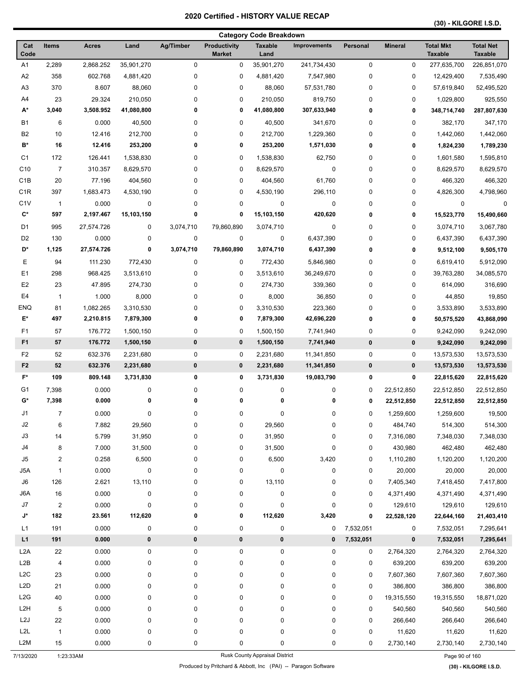**(30) - KILGORE I.S.D.** 

|                    |                         |              |            |             |                               | <b>Category Code Breakdown</b> |                     |           |                |                                    |                                    |
|--------------------|-------------------------|--------------|------------|-------------|-------------------------------|--------------------------------|---------------------|-----------|----------------|------------------------------------|------------------------------------|
| Cat<br>Code        | <b>Items</b>            | <b>Acres</b> | Land       | Ag/Timber   | Productivity<br><b>Market</b> | <b>Taxable</b><br>Land         | <b>Improvements</b> | Personal  | <b>Mineral</b> | <b>Total Mkt</b><br><b>Taxable</b> | <b>Total Net</b><br><b>Taxable</b> |
| A1                 | 2,289                   | 2,868.252    | 35,901,270 | $\mathbf 0$ | 0                             | 35,901,270                     | 241,734,430         | 0         | 0              | 277,635,700                        | 226,851,070                        |
| A <sub>2</sub>     | 358                     | 602.768      | 4,881,420  | 0           | 0                             | 4,881,420                      | 7,547,980           | 0         | 0              | 12,429,400                         | 7,535,490                          |
| A <sub>3</sub>     | 370                     | 8.607        | 88,060     | 0           | 0                             | 88,060                         | 57,531,780          | 0         | 0              | 57,619,840                         | 52,495,520                         |
| A4                 | 23                      | 29.324       | 210,050    | 0           | 0                             | 210,050                        | 819,750             | 0         | 0              | 1,029,800                          | 925,550                            |
| A*                 | 3,040                   | 3,508.952    | 41,080,800 | 0           | 0                             | 41,080,800                     | 307,633,940         | 0         | 0              | 348,714,740                        | 287,807,630                        |
| <b>B1</b>          | 6                       | 0.000        | 40,500     | 0           | 0                             | 40,500                         | 341,670             | 0         | 0              | 382,170                            | 347,170                            |
| B <sub>2</sub>     | 10                      | 12.416       | 212,700    | 0           | 0                             | 212,700                        | 1,229,360           | 0         | 0              | 1,442,060                          | 1,442,060                          |
| B*                 | 16                      | 12.416       | 253,200    | 0           | 0                             | 253,200                        | 1,571,030           | 0         | 0              | 1,824,230                          | 1,789,230                          |
| C <sub>1</sub>     | 172                     | 126.441      | 1,538,830  | 0           | 0                             | 1,538,830                      | 62,750              | 0         | 0              | 1,601,580                          | 1,595,810                          |
| C <sub>10</sub>    | $\overline{7}$          | 310.357      | 8,629,570  | 0           | 0                             | 8,629,570                      | $\pmb{0}$           | 0         | 0              | 8,629,570                          | 8,629,570                          |
| C <sub>1</sub> B   | 20                      | 77.196       | 404,560    | 0           | 0                             | 404,560                        | 61,760              | 0         | 0              | 466,320                            | 466,320                            |
| C <sub>1</sub> R   | 397                     | 1,683.473    | 4,530,190  | 0           | 0                             | 4,530,190                      | 296,110             | 0         | 0              | 4,826,300                          | 4,798,960                          |
| C <sub>1</sub> V   | $\overline{1}$          | 0.000        | 0          | 0           | 0                             | 0                              | 0                   | 0         | 0              | 0                                  | $\pmb{0}$                          |
| C*                 | 597                     | 2,197.467    | 15,103,150 | 0           | 0                             | 15,103,150                     | 420,620             | 0         | 0              | 15,523,770                         | 15,490,660                         |
| D1                 | 995                     | 27,574.726   | 0          | 3,074,710   | 79,860,890                    | 3,074,710                      | $\pmb{0}$           | 0         | $\pmb{0}$      | 3,074,710                          | 3,067,780                          |
| D <sub>2</sub>     | 130                     | 0.000        | 0          | 0           | 0                             | 0                              | 6,437,390           | 0         | 0              | 6,437,390                          | 6,437,390                          |
| D*                 | 1,125                   | 27,574.726   | 0          | 3,074,710   | 79,860,890                    | 3,074,710                      | 6,437,390           | 0         | 0              | 9,512,100                          | 9,505,170                          |
| Е                  | 94                      | 111.230      | 772,430    | 0           | 0                             | 772,430                        | 5,846,980           | 0         | 0              | 6,619,410                          | 5,912,090                          |
| E <sub>1</sub>     | 298                     | 968.425      | 3,513,610  | 0           | 0                             | 3,513,610                      | 36,249,670          | 0         | $\pmb{0}$      | 39,763,280                         | 34,085,570                         |
| E <sub>2</sub>     | 23                      | 47.895       | 274,730    | 0           | 0                             |                                | 339,360             | 0         | 0              | 614,090                            | 316,690                            |
| E4                 | $\mathbf{1}$            |              |            |             |                               | 274,730                        |                     |           |                |                                    |                                    |
|                    |                         | 1.000        | 8,000      | 0           | 0                             | 8,000                          | 36,850              | 0         | 0              | 44,850                             | 19,850                             |
| ENQ<br>E*          | 81<br>497               | 1,082.265    | 3,310,530  | 0<br>0      | 0                             | 3,310,530                      | 223,360             | 0         | 0              | 3,533,890                          | 3,533,890                          |
|                    |                         | 2,210.815    | 7,879,300  |             | 0                             | 7,879,300                      | 42,696,220          | 0         | 0              | 50,575,520                         | 43,868,090                         |
| F <sub>1</sub>     | 57                      | 176.772      | 1,500,150  | 0           | 0                             | 1,500,150                      | 7,741,940           | 0         | 0              | 9,242,090                          | 9,242,090                          |
| F <sub>1</sub>     | 57                      | 176.772      | 1,500,150  | $\bf{0}$    | $\pmb{0}$                     | 1,500,150                      | 7,741,940           | $\pmb{0}$ | 0              | 9,242,090                          | 9,242,090                          |
| F <sub>2</sub>     | 52                      | 632.376      | 2,231,680  | 0           | $\mathbf 0$                   | 2,231,680                      | 11,341,850          | 0         | 0              | 13,573,530                         | 13,573,530                         |
| F <sub>2</sub>     | 52                      | 632.376      | 2,231,680  | $\mathbf 0$ | $\pmb{0}$                     | 2,231,680                      | 11,341,850          | 0         | 0              | 13,573,530                         | 13,573,530                         |
| $F^*$              | 109                     | 809.148      | 3,731,830  | 0           | 0                             | 3,731,830                      | 19,083,790          | 0         | 0              | 22,815,620                         | 22,815,620                         |
| G <sub>1</sub>     | 7,398                   | 0.000        | 0          | 0           | 0                             | 0                              | 0                   | 0         | 22,512,850     | 22,512,850                         | 22,512,850                         |
| $\mathsf{G}^\star$ | 7,398                   | 0.000        | 0          | 0           | 0                             | 0                              | 0                   | 0         | 22,512,850     | 22,512,850                         | 22,512,850                         |
| J1                 | 7                       | 0.000        | 0          | 0           | 0                             | 0                              | 0                   | 0         | 1,259,600      | 1,259,600                          | 19,500                             |
| J2                 | 6                       | 7.882        | 29,560     | 0           | 0                             | 29,560                         | $\pmb{0}$           | 0         | 484,740        | 514,300                            | 514,300                            |
| $\sf J3$           | 14                      | 5.799        | 31,950     | 0           | 0                             | 31,950                         | $\pmb{0}$           | 0         | 7,316,080      | 7,348,030                          | 7,348,030                          |
| J4                 | 8                       | 7.000        | 31,500     | 0           | 0                             | 31,500                         | $\pmb{0}$           | 0         | 430,980        | 462,480                            | 462,480                            |
| J5                 | $\overline{\mathbf{c}}$ | 0.258        | 6,500      | 0           | 0                             | 6,500                          | 3,420               | 0         | 1,110,280      | 1,120,200                          | 1,120,200                          |
| J5A                | $\mathbf{1}$            | 0.000        | $\pmb{0}$  | 0           | 0                             | $\pmb{0}$                      | $\pmb{0}$           | 0         | 20,000         | 20,000                             | 20,000                             |
| $\mathsf{J6}$      | 126                     | 2.621        | 13,110     | 0           | 0                             | 13,110                         | $\pmb{0}$           | 0         | 7,405,340      | 7,418,450                          | 7,417,800                          |
| J6A                | 16                      | 0.000        | 0          | 0           | 0                             | $\pmb{0}$                      | $\pmb{0}$           | 0         | 4,371,490      | 4,371,490                          | 4,371,490                          |
| $\sf J7$           | $\overline{2}$          | 0.000        | $\pmb{0}$  | 0           | 0                             | $\pmb{0}$                      | $\pmb{0}$           | 0         | 129,610        | 129,610                            | 129,610                            |
| J*                 | 182                     | 23.561       | 112,620    | 0           | 0                             | 112,620                        | 3,420               | 0         | 22,528,120     | 22,644,160                         | 21,403,410                         |
| L1                 | 191                     | 0.000        | 0          | 0           | 0                             | 0                              | 0                   | 7,532,051 | 0              | 7,532,051                          | 7,295,641                          |
| L1                 | 191                     | 0.000        | $\pmb{0}$  | $\pmb{0}$   | $\pmb{0}$                     | $\pmb{0}$                      | 0                   | 7,532,051 | 0              | 7,532,051                          | 7,295,641                          |
| L <sub>2</sub> A   | 22                      | 0.000        | 0          | 0           | $\pmb{0}$                     | $\pmb{0}$                      | 0                   | 0         | 2,764,320      | 2,764,320                          | 2,764,320                          |
| L2B                | $\overline{4}$          | 0.000        | 0          | 0           | 0                             | 0                              | $\pmb{0}$           | 0         | 639,200        | 639,200                            | 639,200                            |
| L <sub>2</sub> C   | 23                      | 0.000        | 0          | 0           | 0                             | 0                              | $\pmb{0}$           | 0         | 7,607,360      | 7,607,360                          | 7,607,360                          |
| L2D                | 21                      | 0.000        | 0          | 0           | 0                             | 0                              | $\pmb{0}$           | 0         | 386,800        | 386,800                            | 386,800                            |
| L2G                | 40                      | 0.000        | 0          | 0           | 0                             | 0                              | $\pmb{0}$           | 0         | 19,315,550     | 19,315,550                         | 18,871,020                         |
| L <sub>2</sub> H   | 5                       | 0.000        | 0          | 0           | 0                             | 0                              | $\pmb{0}$           | 0         | 540,560        | 540,560                            | 540,560                            |
| L <sub>2</sub> J   | 22                      | 0.000        | 0          | 0           | 0                             | 0                              | $\pmb{0}$           | 0         | 266,640        | 266,640                            | 266,640                            |
| L <sub>2</sub> L   | $\mathbf{1}$            | 0.000        | 0          | 0           | 0                             | 0                              | $\pmb{0}$           | 0         | 11,620         | 11,620                             | 11,620                             |
| L2M                | 15                      | 0.000        | 0          | 0           | 0                             | 0                              | $\pmb{0}$           | 0         | 2,730,140      | 2,730,140                          | 2,730,140                          |
| 7/13/2020          | 1:23:33AM               |              |            |             |                               | Rusk County Appraisal District |                     |           |                | Page 90 of 160                     |                                    |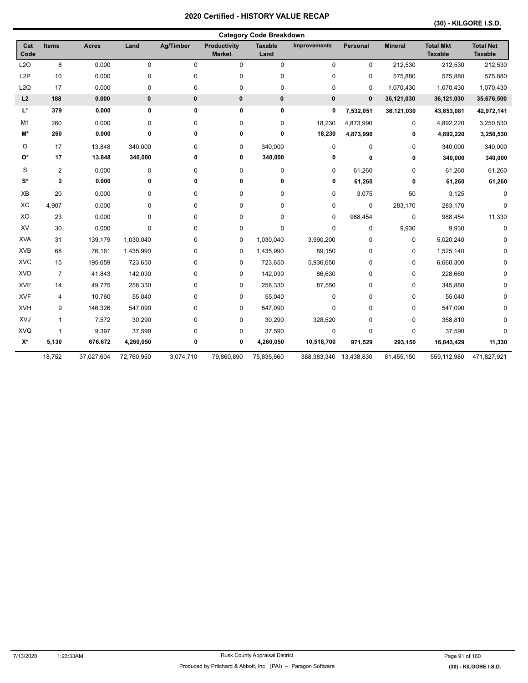**(30) - KILGORE I.S.D.** 

|                    | <b>Category Code Breakdown</b> |              |             |              |                               |                        |                     |              |                |                                    |                                    |  |  |
|--------------------|--------------------------------|--------------|-------------|--------------|-------------------------------|------------------------|---------------------|--------------|----------------|------------------------------------|------------------------------------|--|--|
| Cat<br>Code        | <b>Items</b>                   | <b>Acres</b> | Land        | Ag/Timber    | Productivity<br><b>Market</b> | <b>Taxable</b><br>Land | <b>Improvements</b> | Personal     | <b>Mineral</b> | <b>Total Mkt</b><br><b>Taxable</b> | <b>Total Net</b><br><b>Taxable</b> |  |  |
| L2O                | 8                              | 0.000        | 0           | $\mathbf 0$  | 0                             | 0                      | 0                   | $\mathbf 0$  | 212,530        | 212,530                            | 212,530                            |  |  |
| L <sub>2</sub> P   | 10                             | 0.000        | $\pmb{0}$   | 0            | 0                             | 0                      | 0                   | 0            | 575,880        | 575,880                            | 575,880                            |  |  |
| L2Q                | 17                             | 0.000        | 0           | 0            | 0                             | 0                      | 0                   | 0            | 1,070,430      | 1,070,430                          | 1,070,430                          |  |  |
| L2                 | 188                            | 0.000        | $\mathbf 0$ | $\mathbf{0}$ | 0                             | 0                      | 0                   | $\mathbf{0}$ | 36,121,030     | 36,121,030                         | 35,676,500                         |  |  |
| $\mathsf{L}^\star$ | 379                            | 0.000        | 0           | 0            | 0                             | 0                      | 0                   | 7,532,051    | 36,121,030     | 43,653,081                         | 42,972,141                         |  |  |
| M <sub>1</sub>     | 260                            | 0.000        | 0           | 0            | 0                             | 0                      | 18,230              | 4,873,990    | 0              | 4,892,220                          | 3,250,530                          |  |  |
| M*                 | 260                            | 0.000        | 0           | 0            | 0                             | 0                      | 18,230              | 4,873,990    | 0              | 4,892,220                          | 3,250,530                          |  |  |
| $\circ$            | 17                             | 13.848       | 340,000     | 0            | 0                             | 340,000                | 0                   | $\mathbf 0$  | 0              | 340,000                            | 340,000                            |  |  |
| О*                 | 17                             | 13.848       | 340,000     | 0            | 0                             | 340,000                | 0                   | 0            | 0              | 340,000                            | 340,000                            |  |  |
| S                  | $\overline{2}$                 | 0.000        | $\pmb{0}$   | 0            | 0                             | 0                      | 0                   | 61,260       | 0              | 61,260                             | 61,260                             |  |  |
| $S^*$              | $\mathbf{2}$                   | 0.000        | 0           | 0            | 0                             | 0                      | 0                   | 61,260       | 0              | 61,260                             | 61,260                             |  |  |
| XB                 | 20                             | 0.000        | 0           | $\mathbf 0$  | 0                             | 0                      | 0                   | 3,075        | 50             | 3,125                              | $\Omega$                           |  |  |
| ХC                 | 4,907                          | 0.000        | 0           | $\mathbf 0$  | 0                             | 0                      | 0                   | 0            | 283,170        | 283,170                            | $\mathbf 0$                        |  |  |
| XO                 | 23                             | 0.000        | 0           | 0            | 0                             | 0                      | 0                   | 968,454      | 0              | 968,454                            | 11,330                             |  |  |
| XV                 | 30                             | 0.000        | $\pmb{0}$   | $\pmb{0}$    | 0                             | 0                      | 0                   | $\pmb{0}$    | 9,930          | 9,930                              | $\mathbf 0$                        |  |  |
| <b>XVA</b>         | 31                             | 139.179      | 1,030,040   | 0            | 0                             | 1,030,040              | 3,990,200           | 0            | 0              | 5,020,240                          | $\Omega$                           |  |  |
| <b>XVB</b>         | 68                             | 76.161       | 1,435,990   | 0            | 0                             | 1,435,990              | 89,150              | 0            | 0              | 1,525,140                          | 0                                  |  |  |
| <b>XVC</b>         | 15                             | 195.659      | 723,650     | $\mathbf 0$  | 0                             | 723,650                | 5,936,650           | 0            | 0              | 6,660,300                          | <sup>0</sup>                       |  |  |
| <b>XVD</b>         | $\overline{7}$                 | 41.843       | 142,030     | $\mathbf 0$  | 0                             | 142,030                | 86,630              | 0            | 0              | 228,660                            |                                    |  |  |
| <b>XVE</b>         | 14                             | 49.775       | 258,330     | $\mathbf 0$  | 0                             | 258,330                | 87,550              | 0            | 0              | 345,880                            | <sup>0</sup>                       |  |  |
| <b>XVF</b>         | 4                              | 10.760       | 55,040      | 0            | 0                             | 55,040                 | 0                   | 0            | 0              | 55,040                             | $\Omega$                           |  |  |
| <b>XVH</b>         | 9                              | 146.326      | 547,090     | 0            | 0                             | 547,090                | 0                   | 0            | 0              | 547,090                            | $\Omega$                           |  |  |
| XVJ                | 1                              | 7.572        | 30,290      | $\mathbf 0$  | 0                             | 30,290                 | 328,520             | 0            | 0              | 358,810                            | $\Omega$                           |  |  |
| <b>XVQ</b>         | 1                              | 9.397        | 37,590      | 0            | 0                             | 37,590                 | 0                   | $\mathbf 0$  | 0              | 37,590                             | $\Omega$                           |  |  |
| $X^*$              | 5,130                          | 676.672      | 4,260,050   | 0            | 0                             | 4,260,050              | 10,518,700          | 971,529      | 293,150        | 16,043,429                         | 11,330                             |  |  |
|                    | 18,752                         | 37,027.604   | 72,760,950  | 3.074.710    | 79.860.890                    | 75,835,660             | 388,383,340         | 13,438,830   | 81,455,150     | 559,112,980                        | 471,827,921                        |  |  |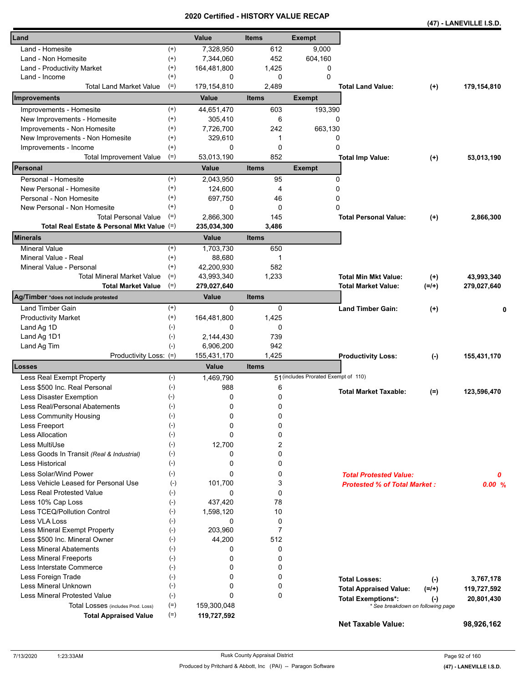|                                                            |                             |                    |                | <b>CEILIIIEU - NIJI URI VALUE RECAP</b> |                                                                |           | (47) - LANEVILLE I.S.D. |
|------------------------------------------------------------|-----------------------------|--------------------|----------------|-----------------------------------------|----------------------------------------------------------------|-----------|-------------------------|
| Land                                                       |                             | Value              | <b>Items</b>   | <b>Exempt</b>                           |                                                                |           |                         |
| Land - Homesite                                            | $^{(+)}$                    | 7,328,950          | 612            | 9,000                                   |                                                                |           |                         |
| Land - Non Homesite                                        | $^{(+)}$                    | 7,344,060          | 452            | 604,160                                 |                                                                |           |                         |
| Land - Productivity Market                                 | $^{(+)}$                    | 164,481,800        | 1,425          | 0                                       |                                                                |           |                         |
| Land - Income                                              | $^{(+)}$                    | 0                  | 0              | $\Omega$                                |                                                                |           |                         |
| <b>Total Land Market Value</b>                             | $(=)$                       | 179,154,810        | 2,489          |                                         | <b>Total Land Value:</b>                                       | $(+)$     | 179,154,810             |
| Improvements                                               |                             | <b>Value</b>       | <b>Items</b>   | <b>Exempt</b>                           |                                                                |           |                         |
| Improvements - Homesite                                    | $^{(+)}$                    | 44,651,470         | 603            | 193,390                                 |                                                                |           |                         |
| New Improvements - Homesite                                | $^{(+)}$                    | 305,410            | 6              |                                         | 0                                                              |           |                         |
| Improvements - Non Homesite                                | $^{(+)}$                    | 7,726,700          | 242            | 663,130                                 |                                                                |           |                         |
| New Improvements - Non Homesite                            | $^{(+)}$                    | 329,610            | 1              |                                         | 0                                                              |           |                         |
| Improvements - Income                                      | $^{(+)}$                    | 0                  | 0              |                                         | 0                                                              |           |                         |
| <b>Total Improvement Value</b>                             | $(=)$                       | 53,013,190         | 852            |                                         | <b>Total Imp Value:</b>                                        | $(+)$     | 53,013,190              |
| Personal                                                   |                             | <b>Value</b>       | <b>Items</b>   | <b>Exempt</b>                           |                                                                |           |                         |
| Personal - Homesite                                        | $^{(+)}$                    | 2,043,950          | 95             |                                         | 0                                                              |           |                         |
| New Personal - Homesite                                    | $^{(+)}$                    | 124,600            | 4              |                                         | 0                                                              |           |                         |
| Personal - Non Homesite                                    | $^{(+)}$                    | 697,750            | 46             |                                         | 0                                                              |           |                         |
| New Personal - Non Homesite                                | $^{(+)}$                    | 0                  | 0              |                                         | 0                                                              |           |                         |
| <b>Total Personal Value</b>                                | $(=)$                       | 2,866,300          | 145            |                                         | <b>Total Personal Value:</b>                                   | $(+)$     | 2,866,300               |
| Total Real Estate & Personal Mkt Value (=)                 |                             | 235,034,300        | 3,486          |                                         |                                                                |           |                         |
| Minerals                                                   |                             | Value              | <b>Items</b>   |                                         |                                                                |           |                         |
| <b>Mineral Value</b>                                       | $^{(+)}$                    | 1,703,730          | 650            |                                         |                                                                |           |                         |
| Mineral Value - Real                                       | $^{(+)}$                    | 88,680             | 1              |                                         |                                                                |           |                         |
| Mineral Value - Personal                                   | $^{(+)}$                    | 42,200,930         | 582            |                                         |                                                                |           |                         |
| <b>Total Mineral Market Value</b>                          | $(=)$                       | 43,993,340         | 1,233          |                                         | <b>Total Min Mkt Value:</b>                                    | $(+)$     | 43,993,340              |
| <b>Total Market Value</b>                                  | $(=)$                       | 279,027,640        |                |                                         | <b>Total Market Value:</b>                                     | $(=/+)$   | 279,027,640             |
| Ag/Timber *does not include protested                      |                             | Value              | <b>Items</b>   |                                         |                                                                |           |                         |
| Land Timber Gain                                           | $^{(+)}$                    | 0                  | 0              |                                         | <b>Land Timber Gain:</b>                                       | $(+)$     | 0                       |
| <b>Productivity Market</b>                                 | $^{(+)}$                    | 164,481,800        | 1,425          |                                         |                                                                |           |                         |
| Land Ag 1D                                                 | $(-)$                       | 0                  | 0              |                                         |                                                                |           |                         |
| Land Ag 1D1                                                | $(-)$                       | 2,144,430          | 739            |                                         |                                                                |           |                         |
| Land Ag Tim                                                | $(-)$                       | 6,906,200          | 942            |                                         |                                                                |           |                         |
| Productivity Loss: (=)<br>Losses                           |                             | 155,431,170        | 1,425          |                                         | <b>Productivity Loss:</b>                                      | $(-)$     | 155,431,170             |
|                                                            | $(-)$                       | Value<br>1,469,790 | <b>Items</b>   | 51 (includes Prorated Exempt of 110)    |                                                                |           |                         |
| Less Real Exempt Property<br>Less \$500 Inc. Real Personal | $(-)$                       | 988                | 6              |                                         |                                                                |           |                         |
|                                                            |                             | 0                  | 0              |                                         | <b>Total Market Taxable:</b>                                   | $(=)$     | 123,596,470             |
| Less Disaster Exemption<br>Less Real/Personal Abatements   | $(\cdot)$                   | 0                  | 0              |                                         |                                                                |           |                         |
| Less Community Housing                                     | $(\textnormal{-})$<br>$(-)$ | 0                  | 0              |                                         |                                                                |           |                         |
| Less Freeport                                              | $(-)$                       | 0                  | 0              |                                         |                                                                |           |                         |
| Less Allocation                                            | $(-)$                       | 0                  | 0              |                                         |                                                                |           |                         |
| Less MultiUse                                              | $(-)$                       | 12,700             | 2              |                                         |                                                                |           |                         |
| Less Goods In Transit (Real & Industrial)                  | $(\cdot)$                   | 0                  | 0              |                                         |                                                                |           |                         |
| Less Historical                                            | $(\cdot)$                   | 0                  | 0              |                                         |                                                                |           |                         |
| Less Solar/Wind Power                                      | $(-)$                       | 0                  | 0              |                                         |                                                                |           |                         |
| Less Vehicle Leased for Personal Use                       | $(-)$                       | 101,700            | 3              |                                         | <b>Total Protested Value:</b>                                  |           | 0                       |
| Less Real Protested Value                                  | $(-)$                       | 0                  | 0              |                                         | <b>Protested % of Total Market:</b>                            |           | 0.00%                   |
| Less 10% Cap Loss                                          | $(-)$                       | 437.420            | 78             |                                         |                                                                |           |                         |
| Less TCEQ/Pollution Control                                | $(-)$                       | 1,598,120          | 10             |                                         |                                                                |           |                         |
| Less VLA Loss                                              | $(-)$                       | 0                  | 0              |                                         |                                                                |           |                         |
| Less Mineral Exempt Property                               | $(-)$                       | 203,960            | $\overline{7}$ |                                         |                                                                |           |                         |
| Less \$500 Inc. Mineral Owner                              | $(-)$                       | 44,200             | 512            |                                         |                                                                |           |                         |
| <b>Less Mineral Abatements</b>                             | $(-)$                       | 0                  | 0              |                                         |                                                                |           |                         |
| <b>Less Mineral Freeports</b>                              | $(-)$                       | 0                  | 0              |                                         |                                                                |           |                         |
| Less Interstate Commerce                                   | $(\cdot)$                   | 0                  | 0              |                                         |                                                                |           |                         |
| Less Foreign Trade                                         | $(-)$                       | 0                  | 0              |                                         |                                                                |           |                         |
| Less Mineral Unknown                                       | $(-)$                       | 0                  | 0              |                                         | <b>Total Losses:</b>                                           | $(-)$     | 3,767,178               |
| Less Mineral Protested Value                               | $(-)$                       | $\Omega$           | 0              |                                         | <b>Total Appraised Value:</b>                                  | $(=/+)$   | 119,727,592             |
| Total Losses (includes Prod. Loss)                         | $(=)$                       | 159,300,048        |                |                                         | <b>Total Exemptions*:</b><br>* See breakdown on following page | $(\cdot)$ | 20,801,430              |
| <b>Total Appraised Value</b>                               | $(=)$                       | 119,727,592        |                |                                         |                                                                |           |                         |
|                                                            |                             |                    |                |                                         | <b>Net Taxable Value:</b>                                      |           | 98,926,162              |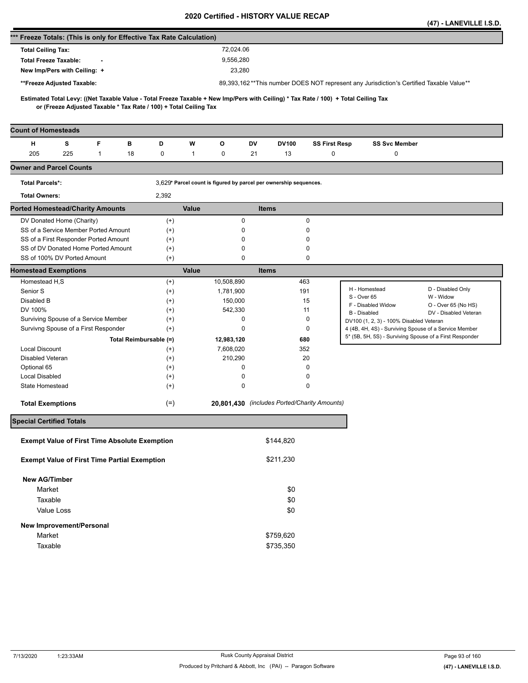|                                                                      |                                                                                                                                                                                                          |              |                        |                      |              |                                                                   |              |              |                                              |              |                                                                                                  | (47) - LANEVILLE I.S.D. |
|----------------------------------------------------------------------|----------------------------------------------------------------------------------------------------------------------------------------------------------------------------------------------------------|--------------|------------------------|----------------------|--------------|-------------------------------------------------------------------|--------------|--------------|----------------------------------------------|--------------|--------------------------------------------------------------------------------------------------|-------------------------|
| *** Freeze Totals: (This is only for Effective Tax Rate Calculation) |                                                                                                                                                                                                          |              |                        |                      |              |                                                                   |              |              |                                              |              |                                                                                                  |                         |
| <b>Total Ceiling Tax:</b>                                            |                                                                                                                                                                                                          |              |                        |                      |              | 72,024.06                                                         |              |              |                                              |              |                                                                                                  |                         |
| <b>Total Freeze Taxable:</b>                                         |                                                                                                                                                                                                          |              |                        |                      |              | 9,556,280                                                         |              |              |                                              |              |                                                                                                  |                         |
|                                                                      | New Imp/Pers with Ceiling: +                                                                                                                                                                             |              |                        |                      |              | 23,280                                                            |              |              |                                              |              |                                                                                                  |                         |
|                                                                      | **Freeze Adjusted Taxable:                                                                                                                                                                               |              |                        |                      |              |                                                                   |              |              |                                              |              | 89,393,162**This number DOES NOT represent any Jurisdiction's Certified Taxable Value**          |                         |
|                                                                      |                                                                                                                                                                                                          |              |                        |                      |              |                                                                   |              |              |                                              |              |                                                                                                  |                         |
|                                                                      | Estimated Total Levy: ((Net Taxable Value - Total Freeze Taxable + New Imp/Pers with Ceiling) * Tax Rate / 100) + Total Ceiling Tax<br>or (Freeze Adjusted Taxable * Tax Rate / 100) + Total Ceiling Tax |              |                        |                      |              |                                                                   |              |              |                                              |              |                                                                                                  |                         |
|                                                                      |                                                                                                                                                                                                          |              |                        |                      |              |                                                                   |              |              |                                              |              |                                                                                                  |                         |
| <b>Count of Homesteads</b>                                           |                                                                                                                                                                                                          |              |                        |                      |              |                                                                   |              |              |                                              |              |                                                                                                  |                         |
| н                                                                    | s                                                                                                                                                                                                        | F            | в                      | D                    | W            | o                                                                 | DV           | <b>DV100</b> | <b>SS First Resp</b>                         |              | <b>SS Svc Member</b>                                                                             |                         |
| 205                                                                  | 225                                                                                                                                                                                                      | $\mathbf{1}$ | 18                     | 0                    | $\mathbf{1}$ | 0                                                                 | 21           | 13           | 0                                            |              | 0                                                                                                |                         |
| <b>Owner and Parcel Counts</b>                                       |                                                                                                                                                                                                          |              |                        |                      |              |                                                                   |              |              |                                              |              |                                                                                                  |                         |
| <b>Total Parcels*:</b>                                               |                                                                                                                                                                                                          |              |                        |                      |              | 3,629* Parcel count is figured by parcel per ownership sequences. |              |              |                                              |              |                                                                                                  |                         |
| <b>Total Owners:</b>                                                 |                                                                                                                                                                                                          |              |                        | 2,392                |              |                                                                   |              |              |                                              |              |                                                                                                  |                         |
| <b>Ported Homestead/Charity Amounts</b>                              |                                                                                                                                                                                                          |              |                        |                      | Value        |                                                                   | <b>Items</b> |              |                                              |              |                                                                                                  |                         |
|                                                                      | DV Donated Home (Charity)                                                                                                                                                                                |              |                        | $^{(+)}$             |              | $\pmb{0}$                                                         |              |              | 0                                            |              |                                                                                                  |                         |
|                                                                      | SS of a Service Member Ported Amount                                                                                                                                                                     |              |                        | $^{(+)}$             |              | 0                                                                 |              |              | 0                                            |              |                                                                                                  |                         |
|                                                                      | SS of a First Responder Ported Amount                                                                                                                                                                    |              |                        | $^{(+)}$             |              | 0                                                                 |              |              | 0                                            |              |                                                                                                  |                         |
|                                                                      | SS of DV Donated Home Ported Amount                                                                                                                                                                      |              |                        | $^{(+)}$             |              | 0                                                                 |              |              | 0                                            |              |                                                                                                  |                         |
|                                                                      | SS of 100% DV Ported Amount                                                                                                                                                                              |              |                        | $^{(+)}$             |              | 0                                                                 |              |              | 0                                            |              |                                                                                                  |                         |
| <b>Homestead Exemptions</b>                                          |                                                                                                                                                                                                          |              |                        |                      | Value        |                                                                   | <b>Items</b> |              |                                              |              |                                                                                                  |                         |
| Homestead H,S                                                        |                                                                                                                                                                                                          |              |                        | $^{(+)}$             |              | 10,508,890                                                        |              | 463          |                                              |              | H - Homestead                                                                                    | D - Disabled Only       |
| Senior S                                                             |                                                                                                                                                                                                          |              |                        | $^{(+)}$             |              | 1,781,900                                                         |              | 191          |                                              | S - Over 65  |                                                                                                  | W - Widow               |
| Disabled B<br>DV 100%                                                |                                                                                                                                                                                                          |              |                        | $^{(+)}$             |              | 150,000                                                           |              |              | 15                                           |              | F - Disabled Widow                                                                               | O - Over 65 (No HS)     |
|                                                                      | Surviving Spouse of a Service Member                                                                                                                                                                     |              |                        | $^{(+)}$<br>$^{(+)}$ |              | 542,330<br>0                                                      |              |              | 11<br>0                                      | B - Disabled |                                                                                                  | DV - Disabled Veteran   |
|                                                                      | Survivng Spouse of a First Responder                                                                                                                                                                     |              |                        | $^{(+)}$             |              | 0                                                                 |              |              | 0                                            |              | DV100 (1, 2, 3) - 100% Disabled Veteran<br>4 (4B, 4H, 4S) - Surviving Spouse of a Service Member |                         |
|                                                                      |                                                                                                                                                                                                          |              | Total Reimbursable (=) |                      |              | 12,983,120                                                        |              | 680          |                                              |              | 5* (5B, 5H, 5S) - Surviving Spouse of a First Responder                                          |                         |
| <b>Local Discount</b>                                                |                                                                                                                                                                                                          |              |                        | $^{(+)}$             |              | 7,608,020                                                         |              | 352          |                                              |              |                                                                                                  |                         |
| Disabled Veteran                                                     |                                                                                                                                                                                                          |              |                        | $^{(+)}$             |              | 210,290                                                           |              |              | 20                                           |              |                                                                                                  |                         |
| Optional 65                                                          |                                                                                                                                                                                                          |              |                        | $^{(+)}$             |              | 0                                                                 |              |              | 0                                            |              |                                                                                                  |                         |
| <b>Local Disabled</b>                                                |                                                                                                                                                                                                          |              |                        | $^{(+)}$             |              | 0                                                                 |              |              | 0                                            |              |                                                                                                  |                         |
| State Homestead                                                      |                                                                                                                                                                                                          |              |                        | $^{(+)}$             |              | $\mathbf 0$                                                       |              |              | 0                                            |              |                                                                                                  |                         |
| <b>Total Exemptions</b>                                              |                                                                                                                                                                                                          |              |                        | $(=)$                |              |                                                                   |              |              | 20,801,430 (includes Ported/Charity Amounts) |              |                                                                                                  |                         |
| <b>Special Certified Totals</b>                                      |                                                                                                                                                                                                          |              |                        |                      |              |                                                                   |              |              |                                              |              |                                                                                                  |                         |
|                                                                      | <b>Exempt Value of First Time Absolute Exemption</b>                                                                                                                                                     |              |                        |                      |              |                                                                   |              | \$144,820    |                                              |              |                                                                                                  |                         |
|                                                                      | <b>Exempt Value of First Time Partial Exemption</b>                                                                                                                                                      |              |                        |                      |              |                                                                   |              |              |                                              |              |                                                                                                  |                         |
|                                                                      |                                                                                                                                                                                                          |              |                        |                      |              |                                                                   |              | \$211,230    |                                              |              |                                                                                                  |                         |
| <b>New AG/Timber</b>                                                 |                                                                                                                                                                                                          |              |                        |                      |              |                                                                   |              |              |                                              |              |                                                                                                  |                         |
| Market                                                               |                                                                                                                                                                                                          |              |                        |                      |              |                                                                   |              | \$0          |                                              |              |                                                                                                  |                         |
| Taxable                                                              |                                                                                                                                                                                                          |              |                        |                      |              |                                                                   |              | \$0          |                                              |              |                                                                                                  |                         |
| Value Loss                                                           |                                                                                                                                                                                                          |              |                        |                      |              |                                                                   |              | \$0          |                                              |              |                                                                                                  |                         |
|                                                                      | New Improvement/Personal                                                                                                                                                                                 |              |                        |                      |              |                                                                   |              |              |                                              |              |                                                                                                  |                         |
| Market                                                               |                                                                                                                                                                                                          |              |                        |                      |              |                                                                   |              | \$759,620    |                                              |              |                                                                                                  |                         |
| Taxable                                                              |                                                                                                                                                                                                          |              |                        |                      |              |                                                                   |              | \$735,350    |                                              |              |                                                                                                  |                         |
|                                                                      |                                                                                                                                                                                                          |              |                        |                      |              |                                                                   |              |              |                                              |              |                                                                                                  |                         |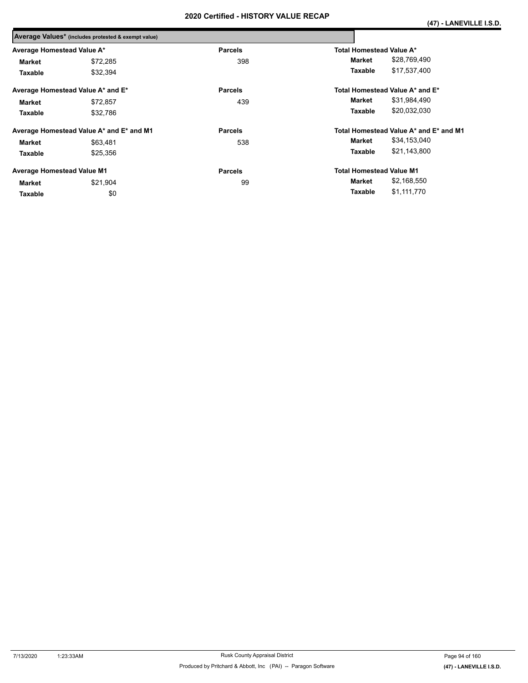|                                   | Average Values* (includes protested & exempt value) |                |                                 |                                        |
|-----------------------------------|-----------------------------------------------------|----------------|---------------------------------|----------------------------------------|
| Average Homestead Value A*        |                                                     | <b>Parcels</b> | Total Homestead Value A*        |                                        |
| Market                            | \$72,285                                            | 398            | Market                          | \$28,769,490                           |
| Taxable                           | \$32,394                                            |                | Taxable                         | \$17,537,400                           |
|                                   | Average Homestead Value A* and E*                   | <b>Parcels</b> |                                 | Total Homestead Value A* and E*        |
| Market                            | \$72,857                                            | 439            | Market                          | \$31,984,490                           |
| Taxable                           | \$32,786                                            |                | Taxable                         | \$20,032,030                           |
|                                   | Average Homestead Value A* and E* and M1            | <b>Parcels</b> |                                 | Total Homestead Value A* and E* and M1 |
| Market                            | \$63,481                                            | 538            | Market                          | \$34,153,040                           |
| Taxable                           | \$25,356                                            |                | <b>Taxable</b>                  | \$21,143,800                           |
| <b>Average Homestead Value M1</b> |                                                     | <b>Parcels</b> | <b>Total Homestead Value M1</b> |                                        |
| Market                            | \$21,904                                            | 99             | Market                          | \$2,168,550                            |
| Taxable                           | \$0                                                 |                | Taxable                         | \$1,111,770                            |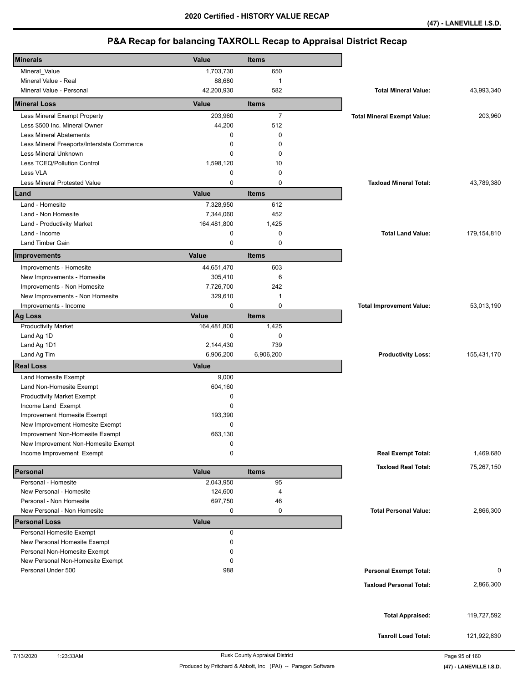| <b>Minerals</b>                            | Value        | <b>Items</b>   |                                    |             |
|--------------------------------------------|--------------|----------------|------------------------------------|-------------|
| Mineral_Value                              | 1,703,730    | 650            |                                    |             |
| Mineral Value - Real                       | 88,680       | $\mathbf 1$    |                                    |             |
| Mineral Value - Personal                   | 42,200,930   | 582            | <b>Total Mineral Value:</b>        | 43,993,340  |
| <b>Mineral Loss</b>                        | Value        | <b>Items</b>   |                                    |             |
| Less Mineral Exempt Property               | 203,960      | $\overline{7}$ | <b>Total Mineral Exempt Value:</b> | 203,960     |
| Less \$500 Inc. Mineral Owner              | 44,200       | 512            |                                    |             |
| <b>Less Mineral Abatements</b>             | 0            | $\mathbf 0$    |                                    |             |
| Less Mineral Freeports/Interstate Commerce | 0            | 0              |                                    |             |
| Less Mineral Unknown                       | 0            | $\mathbf 0$    |                                    |             |
| Less TCEQ/Pollution Control                | 1,598,120    | 10             |                                    |             |
| Less VLA                                   | 0            | 0              |                                    |             |
| <b>Less Mineral Protested Value</b>        | 0            | 0              | <b>Taxload Mineral Total:</b>      | 43,789,380  |
| Land                                       | Value        | <b>Items</b>   |                                    |             |
| Land - Homesite                            | 7,328,950    | 612            |                                    |             |
| Land - Non Homesite                        | 7,344,060    | 452            |                                    |             |
| Land - Productivity Market                 | 164,481,800  | 1,425          |                                    |             |
| Land - Income                              | 0            | $\mathbf 0$    | <b>Total Land Value:</b>           | 179,154,810 |
| Land Timber Gain                           | $\mathbf 0$  | $\mathbf 0$    |                                    |             |
| Improvements                               | Value        | <b>Items</b>   |                                    |             |
| Improvements - Homesite                    | 44,651,470   | 603            |                                    |             |
| New Improvements - Homesite                | 305,410      | 6              |                                    |             |
| Improvements - Non Homesite                | 7,726,700    | 242            |                                    |             |
| New Improvements - Non Homesite            | 329,610      | $\mathbf{1}$   |                                    |             |
| Improvements - Income                      | 0            | $\mathbf 0$    | <b>Total Improvement Value:</b>    | 53,013,190  |
| <b>Ag Loss</b>                             | Value        | <b>Items</b>   |                                    |             |
| <b>Productivity Market</b>                 | 164,481,800  | 1,425          |                                    |             |
| Land Ag 1D                                 | 0            | 0              |                                    |             |
| Land Ag 1D1                                | 2,144,430    | 739            |                                    |             |
|                                            |              |                |                                    | 155,431,170 |
| Land Ag Tim                                | 6,906,200    | 6,906,200      | <b>Productivity Loss:</b>          |             |
| <b>Real Loss</b>                           | Value        |                |                                    |             |
| Land Homesite Exempt                       | 9,000        |                |                                    |             |
| Land Non-Homesite Exempt                   | 604,160      |                |                                    |             |
| <b>Productivity Market Exempt</b>          | 0            |                |                                    |             |
| Income Land Exempt                         | 0            |                |                                    |             |
| Improvement Homesite Exempt                | 193,390      |                |                                    |             |
| New Improvement Homesite Exempt            | 0            |                |                                    |             |
| Improvement Non-Homesite Exempt            | 663,130      |                |                                    |             |
| New Improvement Non-Homesite Exempt        | 0            |                |                                    |             |
| Income Improvement Exempt                  | 0            |                | <b>Real Exempt Total:</b>          | 1,469,680   |
| Personal                                   | Value        | <b>Items</b>   | <b>Taxload Real Total:</b>         | 75,267,150  |
| Personal - Homesite                        | 2,043,950    | 95             |                                    |             |
| New Personal - Homesite                    | 124,600      | 4              |                                    |             |
| Personal - Non Homesite                    | 697,750      | 46             |                                    |             |
| New Personal - Non Homesite                | 0            | 0              | <b>Total Personal Value:</b>       | 2,866,300   |
| <b>Personal Loss</b>                       | <b>Value</b> |                |                                    |             |
| Personal Homesite Exempt                   | 0            |                |                                    |             |
| New Personal Homesite Exempt               | 0            |                |                                    |             |
| Personal Non-Homesite Exempt               | 0            |                |                                    |             |
| New Personal Non-Homesite Exempt           | 0            |                |                                    |             |
| Personal Under 500                         | 988          |                | <b>Personal Exempt Total:</b>      | 0           |
|                                            |              |                | <b>Taxload Personal Total:</b>     | 2,866,300   |
|                                            |              |                |                                    |             |
|                                            |              |                |                                    |             |
|                                            |              |                | <b>Total Appraised:</b>            | 119,727,592 |
|                                            |              |                | <b>Taxroll Load Total:</b>         | 121,922,830 |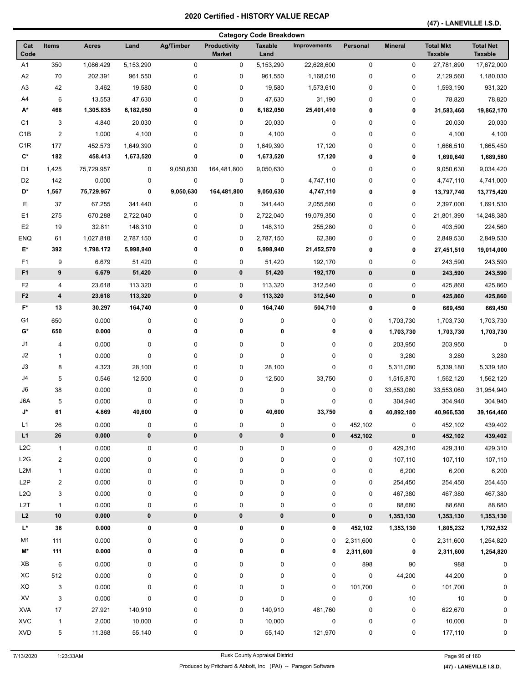**(47) - LANEVILLE I.S.D.** 

|                  |                         |                |           |           |                                      | <b>Category Code Breakdown</b> |                     |             |                |                                    |                                    |
|------------------|-------------------------|----------------|-----------|-----------|--------------------------------------|--------------------------------|---------------------|-------------|----------------|------------------------------------|------------------------------------|
| Cat<br>Code      | <b>Items</b>            | <b>Acres</b>   | Land      | Ag/Timber | <b>Productivity</b><br><b>Market</b> | <b>Taxable</b><br>Land         | <b>Improvements</b> | Personal    | <b>Mineral</b> | <b>Total Mkt</b><br><b>Taxable</b> | <b>Total Net</b><br><b>Taxable</b> |
| A <sub>1</sub>   | 350                     | 1,086.429      | 5,153,290 | 0         | 0                                    | 5,153,290                      | 22,628,600          | 0           | 0              | 27,781,890                         | 17,672,000                         |
| A2               | 70                      | 202.391        | 961,550   | 0         | $\pmb{0}$                            | 961,550                        | 1,168,010           | $\pmb{0}$   | 0              | 2,129,560                          | 1,180,030                          |
| A <sub>3</sub>   | 42                      | 3.462          | 19,580    | 0         | 0                                    | 19,580                         | 1,573,610           | $\pmb{0}$   | 0              | 1,593,190                          | 931,320                            |
| A4               | 6                       | 13.553         | 47,630    | 0         | 0                                    | 47,630                         | 31,190              | $\pmb{0}$   | 0              | 78,820                             | 78,820                             |
| А*               | 468                     | 1,305.835      | 6,182,050 | 0         | 0                                    | 6,182,050                      | 25,401,410          | 0           | 0              | 31,583,460                         | 19,862,170                         |
| C <sub>1</sub>   | 3                       | 4.840          | 20,030    | 0         | $\pmb{0}$                            | 20,030                         | 0                   | 0           | $\mathbf 0$    | 20,030                             | 20,030                             |
| C <sub>1</sub> B | $\overline{2}$          | 1.000          | 4,100     | 0         | 0                                    | 4,100                          | 0                   | 0           | 0              | 4,100                              | 4,100                              |
| C <sub>1R</sub>  | 177                     | 452.573        | 1,649,390 | 0         | 0                                    | 1,649,390                      | 17,120              | $\pmb{0}$   | 0              | 1,666,510                          | 1,665,450                          |
| $\mathbf{C}^*$   | 182                     | 458.413        | 1,673,520 | 0         | 0                                    | 1,673,520                      | 17,120              | 0           | 0              | 1,690,640                          | 1,689,580                          |
| D <sub>1</sub>   | 1,425                   | 75,729.957     | 0         | 9,050,630 | 164,481,800                          | 9,050,630                      | 0                   | $\mathbf 0$ | 0              | 9,050,630                          | 9,034,420                          |
| D <sub>2</sub>   | 142                     | 0.000          | 0         | 0         | $\pmb{0}$                            | 0                              | 4,747,110           | $\mathbf 0$ | 0              | 4,747,110                          | 4,741,000                          |
| D*               | 1,567                   | 75,729.957     | 0         | 9,050,630 | 164,481,800                          | 9,050,630                      | 4,747,110           | 0           | 0              | 13,797,740                         | 13,775,420                         |
| Е                | 37                      | 67.255         | 341,440   | 0         | 0                                    | 341,440                        | 2,055,560           | $\mathbf 0$ | 0              | 2,397,000                          | 1,691,530                          |
| E <sub>1</sub>   | 275                     | 670.288        | 2,722,040 | 0         | 0                                    | 2,722,040                      | 19,079,350          | 0           | 0              | 21,801,390                         | 14,248,380                         |
| E <sub>2</sub>   | 19                      | 32.811         | 148,310   | 0         | 0                                    | 148,310                        | 255,280             | 0           | 0              | 403,590                            | 224,560                            |
| <b>ENQ</b>       | 61                      | 1,027.818      | 2,787,150 | 0         | 0                                    | 2,787,150                      | 62,380              | $\pmb{0}$   | 0              | 2,849,530                          | 2,849,530                          |
| E*               | 392                     | 1,798.172      | 5,998,940 | 0         | 0                                    | 5,998,940                      | 21,452,570          | 0           | $\bf{0}$       | 27,451,510                         | 19,014,000                         |
| F <sub>1</sub>   | 9                       | 6.679          | 51,420    | 0         | 0                                    | 51,420                         | 192,170             | $\mathbf 0$ | 0              | 243,590                            | 243,590                            |
| F <sub>1</sub>   | 9                       | 6.679          | 51,420    | 0         | 0                                    | 51,420                         | 192,170             | $\pmb{0}$   | $\pmb{0}$      | 243,590                            | 243,590                            |
| F <sub>2</sub>   | $\overline{4}$          | 23.618         | 113,320   | 0         | $\pmb{0}$                            | 113,320                        | 312,540             | 0           | 0              | 425,860                            | 425,860                            |
| F <sub>2</sub>   | 4                       | 23.618         | 113,320   | 0         | 0                                    | 113,320                        | 312,540             | $\pmb{0}$   | $\pmb{0}$      | 425,860                            | 425,860                            |
| $F^*$            | 13                      | 30.297         | 164,740   | 0         | 0                                    | 164,740                        | 504,710             | 0           | 0              | 669,450                            | 669,450                            |
|                  |                         |                |           |           |                                      |                                |                     |             |                |                                    |                                    |
| G1<br>G*         | 650<br>650              | 0.000<br>0.000 | 0<br>0    | 0<br>0    | $\pmb{0}$<br>0                       | 0<br>0                         | 0<br>0              | 0<br>0      | 1,703,730      | 1,703,730                          | 1,703,730                          |
|                  |                         |                |           |           |                                      |                                |                     |             | 1,703,730      | 1,703,730                          | 1,703,730                          |
| J1               | 4                       | 0.000          | 0         | 0         | 0                                    | 0                              | 0                   | 0           | 203,950        | 203,950                            | 0                                  |
| J2               | $\mathbf{1}$            | 0.000          | 0         | 0         | 0                                    | 0                              | 0                   | 0           | 3,280          | 3,280                              | 3,280                              |
| J3               | 8                       | 4.323          | 28,100    | 0         | 0                                    | 28,100                         | 0                   | 0           | 5,311,080      | 5,339,180                          | 5,339,180                          |
| J4               | 5                       | 0.546          | 12,500    | 0         | 0                                    | 12,500                         | 33,750              | 0           | 1,515,870      | 1,562,120                          | 1,562,120                          |
| J6               | 38                      | 0.000          | 0         | 0         | 0                                    | 0                              | 0                   | 0           | 33,553,060     | 33,553,060                         | 31,954,940                         |
| J6A              | 5                       | 0.000          | 0         | 0         | 0                                    | 0                              | 0                   | 0           | 304,940        | 304,940                            | 304,940                            |
| J*               | 61                      | 4.869          | 40,600    | 0         | 0                                    | 40,600                         | 33,750              | $\mathbf 0$ | 40,892,180     | 40,966,530                         | 39,164,460                         |
| L1               | 26                      | 0.000          | 0         | 0         | $\pmb{0}$                            | $\pmb{0}$                      | 0                   | 452,102     | $\pmb{0}$      | 452,102                            | 439,402                            |
| L1               | ${\bf 26}$              | 0.000          | 0         | 0         | $\pmb{0}$                            | 0                              | 0                   | 452,102     | 0              | 452,102                            | 439,402                            |
| L2C              | $\mathbf{1}$            | 0.000          | 0         | 0         | 0                                    | 0                              | 0                   | $\pmb{0}$   | 429,310        | 429,310                            | 429,310                            |
| L2G              | $\overline{\mathbf{c}}$ | 0.000          | 0         | 0         | 0                                    | 0                              | 0                   | 0           | 107,110        | 107,110                            | 107,110                            |
| L <sub>2</sub> M | $\mathbf{1}$            | 0.000          | 0         | 0         | 0                                    | 0                              | 0                   | 0           | 6,200          | 6,200                              | 6,200                              |
| L <sub>2</sub> P | $\overline{\mathbf{c}}$ | 0.000          | 0         | 0         | 0                                    | 0                              | 0                   | 0           | 254,450        | 254,450                            | 254,450                            |
| L <sub>2</sub> Q | 3                       | 0.000          | 0         | 0         | 0                                    | 0                              | 0                   | 0           | 467,380        | 467,380                            | 467,380                            |
| L <sub>2</sub> T | $\mathbf{1}$            | 0.000          | 0         | 0         | $\pmb{0}$                            | 0                              | 0                   | 0           | 88,680         | 88,680                             | 88,680                             |
| L2               | $10$                    | 0.000          | 0         | 0         | 0                                    | 0                              | 0                   | $\pmb{0}$   | 1,353,130      | 1,353,130                          | 1,353,130                          |
| L*               | 36                      | 0.000          | 0         | 0         | 0                                    | 0                              | 0                   | 452,102     | 1,353,130      | 1,805,232                          | 1,792,532                          |
| M1               | 111                     | 0.000          | 0         | 0         | 0                                    | 0                              | 0                   | 2,311,600   | 0              | 2,311,600                          | 1,254,820                          |
| M*               | 111                     | 0.000          | 0         | 0         | 0                                    | 0                              | 0                   | 2,311,600   | 0              | 2,311,600                          | 1,254,820                          |
| ХB               | 6                       | 0.000          | 0         | 0         | 0                                    | 0                              | 0                   | 898         | 90             | 988                                | 0                                  |
| XC               | 512                     | 0.000          | 0         | 0         | 0                                    | 0                              | 0                   | $\pmb{0}$   | 44,200         | 44,200                             | 0                                  |
| XO               | 3                       | 0.000          | 0         | 0         | 0                                    | 0                              | 0                   | 101,700     | 0              | 101,700                            | 0                                  |
| XV               | 3                       | 0.000          | 0         | 0         | 0                                    | 0                              | 0                   | 0           | $10$           | 10                                 | 0                                  |
| <b>XVA</b>       | 17                      | 27.921         | 140,910   | 0         | 0                                    | 140,910                        | 481,760             | 0           | 0              | 622,670                            | 0                                  |
| <b>XVC</b>       | $\mathbf{1}$            | 2.000          | 10,000    | 0         | 0                                    | 10,000                         | 0                   | 0           | 0              | 10,000                             | 0                                  |
| <b>XVD</b>       | 5                       | 11.368         | 55,140    | 0         | 0                                    | 55,140                         | 121,970             | 0           | 0              | 177,110                            | 0                                  |
|                  |                         |                |           |           |                                      |                                |                     |             |                |                                    |                                    |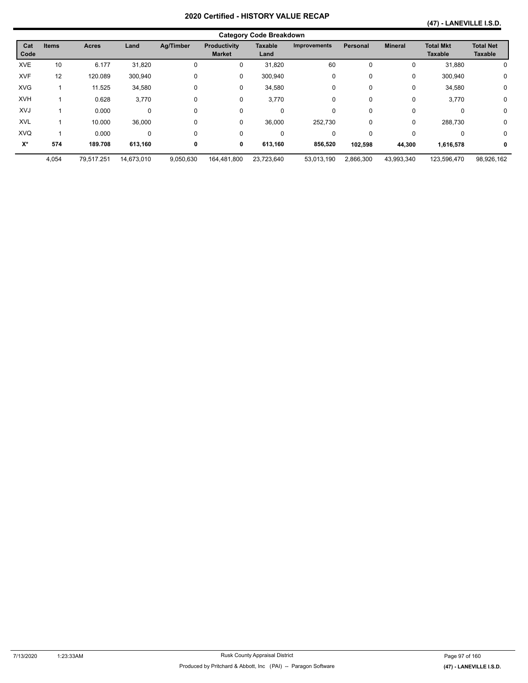### **(47) - LANEVILLE I.S.D.**

|             | <b>Category Code Breakdown</b> |            |            |           |                               |                        |                     |                 |                |                                    |                                    |
|-------------|--------------------------------|------------|------------|-----------|-------------------------------|------------------------|---------------------|-----------------|----------------|------------------------------------|------------------------------------|
| Cat<br>Code | <b>Items</b>                   | Acres      | Land       | Ag/Timber | Productivity<br><b>Market</b> | <b>Taxable</b><br>Land | <b>Improvements</b> | <b>Personal</b> | <b>Mineral</b> | <b>Total Mkt</b><br><b>Taxable</b> | <b>Total Net</b><br><b>Taxable</b> |
| <b>XVE</b>  | 10                             | 6.177      | 31,820     | 0         | 0                             | 31,820                 | 60                  | 0               | 0              | 31,880                             | 0                                  |
| <b>XVF</b>  | 12                             | 120.089    | 300,940    | 0         | 0                             | 300,940                | 0                   | 0               | 0              | 300,940                            | 0                                  |
| <b>XVG</b>  |                                | 11.525     | 34,580     | 0         | 0                             | 34,580                 | 0                   | 0               | 0              | 34,580                             | 0                                  |
| <b>XVH</b>  |                                | 0.628      | 3,770      | 0         | 0                             | 3,770                  | 0                   | 0               | 0              | 3,770                              | 0                                  |
| XVJ         |                                | 0.000      | 0          | 0         | 0                             | 0                      | 0                   | 0               | 0              | 0                                  | 0                                  |
| <b>XVL</b>  |                                | 10.000     | 36,000     | 0         | 0                             | 36,000                 | 252,730             | 0               | 0              | 288,730                            | 0                                  |
| <b>XVQ</b>  |                                | 0.000      | 0          | $\Omega$  | $\mathbf 0$                   | 0                      | 0                   | $\mathbf{0}$    | 0              | $\Omega$                           | $\mathbf 0$                        |
| $X^*$       | 574                            | 189.708    | 613,160    | 0         | 0                             | 613,160                | 856,520             | 102.598         | 44.300         | 1,616,578                          | 0                                  |
|             | 4,054                          | 79.517.251 | 14,673,010 | 9,050,630 | 164,481,800                   | 23,723,640             | 53.013.190          | 2,866,300       | 43,993,340     | 123,596,470                        | 98,926,162                         |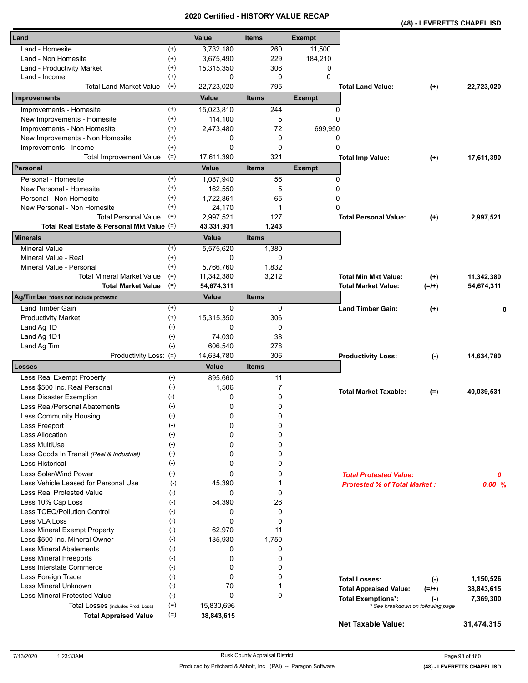|--|

| Land                                       |                    | Value      | <b>Items</b> | <b>Exempt</b> |                                          |            |
|--------------------------------------------|--------------------|------------|--------------|---------------|------------------------------------------|------------|
| Land - Homesite                            | $^{(+)}$           | 3,732,180  | 260          | 11,500        |                                          |            |
| Land - Non Homesite                        | $^{(+)}$           | 3,675,490  | 229          | 184,210       |                                          |            |
| Land - Productivity Market                 | $^{(+)}$           | 15,315,350 | 306          | 0             |                                          |            |
| Land - Income                              | $^{(+)}$           | 0          | 0            | 0             |                                          |            |
| <b>Total Land Market Value</b>             | $(=)$              | 22,723,020 | 795          |               | <b>Total Land Value:</b><br>$(+)$        | 22,723,020 |
| Improvements                               |                    | Value      | <b>Items</b> | <b>Exempt</b> |                                          |            |
| Improvements - Homesite                    | $^{(+)}$           | 15,023,810 | 244          | 0             |                                          |            |
| New Improvements - Homesite                | $^{(+)}$           | 114,100    | 5            | 0             |                                          |            |
| Improvements - Non Homesite                | $^{(+)}$           | 2,473,480  | 72           | 699,950       |                                          |            |
| New Improvements - Non Homesite            | $^{(+)}$           | 0          | 0            | 0             |                                          |            |
| Improvements - Income                      | $^{(+)}$           | 0          | 0            | 0             |                                          |            |
| <b>Total Improvement Value</b>             | $(=)$              | 17,611,390 | 321          |               | <b>Total Imp Value:</b><br>$(+)$         | 17,611,390 |
| Personal                                   |                    | Value      | <b>Items</b> | <b>Exempt</b> |                                          |            |
| Personal - Homesite                        | $^{(+)}$           | 1,087,940  | 56           | 0             |                                          |            |
| New Personal - Homesite                    | $^{(+)}$           | 162,550    | 5            | 0             |                                          |            |
| Personal - Non Homesite                    | $^{(+)}$           | 1,722,861  | 65           | 0             |                                          |            |
| New Personal - Non Homesite                | $^{(+)}$           | 24,170     | 1            | 0             |                                          |            |
| <b>Total Personal Value</b>                | $(=)$              | 2,997,521  | 127          |               | <b>Total Personal Value:</b><br>$(+)$    | 2,997,521  |
| Total Real Estate & Personal Mkt Value (=) |                    | 43,331,931 | 1,243        |               |                                          |            |
| <b>Minerals</b>                            |                    | Value      | <b>Items</b> |               |                                          |            |
| <b>Mineral Value</b>                       | $^{(+)}$           | 5,575,620  | 1,380        |               |                                          |            |
| Mineral Value - Real                       | $^{(+)}$           | 0          | 0            |               |                                          |            |
| Mineral Value - Personal                   | $^{(+)}$           | 5,766,760  | 1,832        |               |                                          |            |
| <b>Total Mineral Market Value</b>          | $(=)$              | 11,342,380 | 3,212        |               | <b>Total Min Mkt Value:</b><br>$^{(+)}$  | 11,342,380 |
| <b>Total Market Value</b>                  | $(=)$              | 54,674,311 |              |               | <b>Total Market Value:</b><br>$(=/+)$    | 54,674,311 |
| Ag/Timber *does not include protested      |                    | Value      | <b>Items</b> |               |                                          |            |
| Land Timber Gain                           | $^{(+)}$           | 0          | 0            |               | <b>Land Timber Gain:</b><br>$^{(+)}$     |            |
| <b>Productivity Market</b>                 | $^{(+)}$           | 15,315,350 | 306          |               |                                          |            |
| Land Ag 1D                                 | $(-)$              | 0          | 0            |               |                                          |            |
| Land Ag 1D1                                | $(-)$              | 74,030     | 38           |               |                                          |            |
| Land Ag Tim                                | $(-)$              | 606,540    | 278          |               |                                          |            |
| Productivity Loss: (=)                     |                    | 14,634,780 | 306          |               | <b>Productivity Loss:</b><br>$(\cdot)$   | 14,634,780 |
| <b>Losses</b>                              |                    | Value      | <b>Items</b> |               |                                          |            |
| Less Real Exempt Property                  | $(-)$              | 895,660    | 11           |               |                                          |            |
| Less \$500 Inc. Real Personal              | $(\text{-})$       | 1,506      | 7            |               | <b>Total Market Taxable:</b>             | 40,039,531 |
| Less Disaster Exemption                    | $(\cdot)$          | 0          | 0            |               | $(=)$                                    |            |
| Less Real/Personal Abatements              | $(\text{-})$       | 0          | 0            |               |                                          |            |
| Less Community Housing                     | $(-)$              | 0          | 0            |               |                                          |            |
| Less Freeport                              | $(\text{-})$       | 0          | 0            |               |                                          |            |
| <b>Less Allocation</b>                     | $(-)$              | 0          | 0            |               |                                          |            |
| Less MultiUse                              | $(-)$              | 0          | 0            |               |                                          |            |
| Less Goods In Transit (Real & Industrial)  | $(-)$              | 0          | 0            |               |                                          |            |
| Less Historical                            | $(-)$              | 0          | 0            |               |                                          |            |
| Less Solar/Wind Power                      | $(-)$              | 0          | 0            |               | <b>Total Protested Value:</b>            | 0          |
| Less Vehicle Leased for Personal Use       | $(-)$              | 45,390     | 1            |               | <b>Protested % of Total Market:</b>      | 0.00%      |
| <b>Less Real Protested Value</b>           | $(-)$              | 0          | 0            |               |                                          |            |
| Less 10% Cap Loss                          | $(-)$              | 54,390     | 26           |               |                                          |            |
| Less TCEQ/Pollution Control                | $(-)$              | 0          | 0            |               |                                          |            |
| Less VLA Loss                              | $(-)$              | 0          | 0            |               |                                          |            |
| Less Mineral Exempt Property               | $(-)$              | 62,970     | 11           |               |                                          |            |
| Less \$500 Inc. Mineral Owner              | $(-)$              | 135,930    | 1,750        |               |                                          |            |
| <b>Less Mineral Abatements</b>             | $(\cdot)$          | 0          | 0            |               |                                          |            |
|                                            |                    | 0          |              |               |                                          |            |
| <b>Less Mineral Freeports</b>              | $(\cdot)$<br>$(-)$ | 0          | 0<br>0       |               |                                          |            |
| Less Interstate Commerce                   |                    | 0          | 0            |               |                                          |            |
| Less Foreign Trade<br>Less Mineral Unknown | $(-)$<br>$(-)$     | 70         | 1            |               | <b>Total Losses:</b><br>$(-)$            | 1,150,526  |
| Less Mineral Protested Value               |                    | 0          | 0            |               | $(=/+)$<br><b>Total Appraised Value:</b> | 38,843,615 |
|                                            | $(-)$              |            |              |               | <b>Total Exemptions*:</b><br>$(-)$       | 7,369,300  |
| Total Losses (includes Prod. Loss)         | $(=)$              | 15,830,696 |              |               | * See breakdown on following page        |            |
| <b>Total Appraised Value</b>               | $(=)$              | 38,843,615 |              |               | Net Taxable Value:                       | 31,474,315 |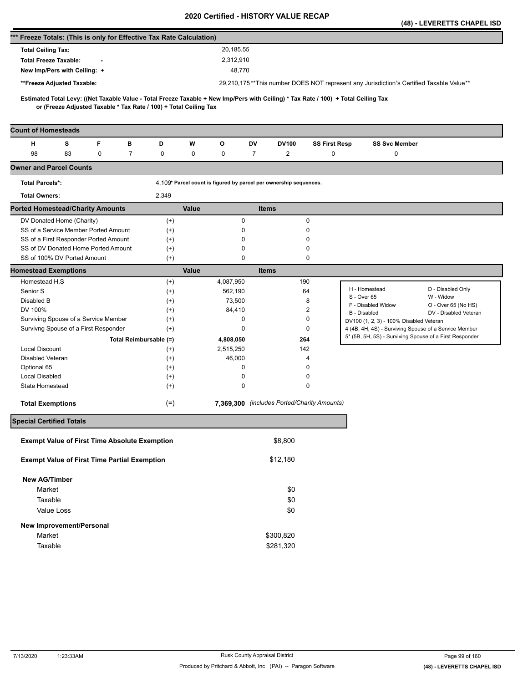|                                                                      |                                                                    |   |                                                                   |          |       |           |                                                                    |                |                      |                                                                                                                                     | (48) - LEVERETTS CHAPEL ISD |
|----------------------------------------------------------------------|--------------------------------------------------------------------|---|-------------------------------------------------------------------|----------|-------|-----------|--------------------------------------------------------------------|----------------|----------------------|-------------------------------------------------------------------------------------------------------------------------------------|-----------------------------|
| *** Freeze Totals: (This is only for Effective Tax Rate Calculation) |                                                                    |   |                                                                   |          |       |           |                                                                    |                |                      |                                                                                                                                     |                             |
| <b>Total Ceiling Tax:</b>                                            |                                                                    |   |                                                                   |          |       | 20,185.55 |                                                                    |                |                      |                                                                                                                                     |                             |
| <b>Total Freeze Taxable:</b>                                         |                                                                    |   |                                                                   |          |       | 2,312,910 |                                                                    |                |                      |                                                                                                                                     |                             |
|                                                                      | New Imp/Pers with Ceiling: +                                       |   |                                                                   |          |       | 48,770    |                                                                    |                |                      |                                                                                                                                     |                             |
|                                                                      | **Freeze Adjusted Taxable:                                         |   |                                                                   |          |       |           |                                                                    |                |                      | 29,210,175**This number DOES NOT represent any Jurisdiction's Certified Taxable Value**                                             |                             |
|                                                                      |                                                                    |   |                                                                   |          |       |           |                                                                    |                |                      |                                                                                                                                     |                             |
|                                                                      |                                                                    |   | or (Freeze Adjusted Taxable * Tax Rate / 100) + Total Ceiling Tax |          |       |           |                                                                    |                |                      | Estimated Total Levy: ((Net Taxable Value - Total Freeze Taxable + New Imp/Pers with Ceiling) * Tax Rate / 100) + Total Ceiling Tax |                             |
| <b>Count of Homesteads</b>                                           |                                                                    |   |                                                                   |          |       |           |                                                                    |                |                      |                                                                                                                                     |                             |
| н                                                                    | s                                                                  | F | в                                                                 | D        | W     | o         | DV<br><b>DV100</b>                                                 |                | <b>SS First Resp</b> | <b>SS Svc Member</b>                                                                                                                |                             |
| 98                                                                   | 83                                                                 | 0 | $\overline{7}$                                                    | 0        | 0     | 0         | $\overline{7}$                                                     | $\overline{2}$ | 0                    | 0                                                                                                                                   |                             |
| <b>Owner and Parcel Counts</b>                                       |                                                                    |   |                                                                   |          |       |           |                                                                    |                |                      |                                                                                                                                     |                             |
| <b>Total Parcels*:</b>                                               |                                                                    |   |                                                                   |          |       |           | 4, 109* Parcel count is figured by parcel per ownership sequences. |                |                      |                                                                                                                                     |                             |
| <b>Total Owners:</b>                                                 |                                                                    |   |                                                                   | 2,349    |       |           |                                                                    |                |                      |                                                                                                                                     |                             |
| <b>Ported Homestead/Charity Amounts</b>                              |                                                                    |   |                                                                   |          | Value |           | <b>Items</b>                                                       |                |                      |                                                                                                                                     |                             |
|                                                                      | DV Donated Home (Charity)                                          |   |                                                                   | $^{(+)}$ |       | $\pmb{0}$ |                                                                    | 0              |                      |                                                                                                                                     |                             |
|                                                                      | SS of a Service Member Ported Amount                               |   |                                                                   | $^{(+)}$ |       | 0         |                                                                    | 0              |                      |                                                                                                                                     |                             |
|                                                                      | SS of a First Responder Ported Amount                              |   |                                                                   | $^{(+)}$ |       | 0         |                                                                    | 0              |                      |                                                                                                                                     |                             |
|                                                                      | SS of DV Donated Home Ported Amount<br>SS of 100% DV Ported Amount |   |                                                                   | $^{(+)}$ |       | 0<br>0    |                                                                    | 0<br>0         |                      |                                                                                                                                     |                             |
|                                                                      |                                                                    |   |                                                                   | $^{(+)}$ | Value |           | <b>Items</b>                                                       |                |                      |                                                                                                                                     |                             |
| <b>Homestead Exemptions</b><br>Homestead H,S                         |                                                                    |   |                                                                   | $^{(+)}$ |       | 4,087,950 |                                                                    | 190            |                      |                                                                                                                                     |                             |
| Senior S                                                             |                                                                    |   |                                                                   | $^{(+)}$ |       | 562,190   |                                                                    | 64             |                      | H - Homestead                                                                                                                       | D - Disabled Only           |
| Disabled B                                                           |                                                                    |   |                                                                   | $^{(+)}$ |       | 73,500    |                                                                    | 8              |                      | S - Over 65                                                                                                                         | W - Widow                   |
| DV 100%                                                              |                                                                    |   |                                                                   | $^{(+)}$ |       | 84,410    |                                                                    | $\overline{c}$ |                      | F - Disabled Widow                                                                                                                  | O - Over 65 (No HS)         |
|                                                                      | Surviving Spouse of a Service Member                               |   |                                                                   | $^{(+)}$ |       | 0         |                                                                    | 0              |                      | B - Disabled                                                                                                                        | DV - Disabled Veteran       |
|                                                                      | Survivng Spouse of a First Responder                               |   |                                                                   | $^{(+)}$ |       | 0         |                                                                    | 0              |                      | DV100 (1, 2, 3) - 100% Disabled Veteran<br>4 (4B, 4H, 4S) - Surviving Spouse of a Service Member                                    |                             |
|                                                                      |                                                                    |   | Total Reimbursable (=)                                            |          |       | 4,808,050 |                                                                    | 264            |                      | 5* (5B, 5H, 5S) - Surviving Spouse of a First Responder                                                                             |                             |
| <b>Local Discount</b>                                                |                                                                    |   |                                                                   | $^{(+)}$ |       | 2,515,250 |                                                                    | 142            |                      |                                                                                                                                     |                             |
| Disabled Veteran                                                     |                                                                    |   |                                                                   | $^{(+)}$ |       | 46,000    |                                                                    | 4              |                      |                                                                                                                                     |                             |
| Optional 65                                                          |                                                                    |   |                                                                   | $^{(+)}$ |       | 0         |                                                                    | 0              |                      |                                                                                                                                     |                             |
| <b>Local Disabled</b>                                                |                                                                    |   |                                                                   | $^{(+)}$ |       | 0         |                                                                    | 0              |                      |                                                                                                                                     |                             |
| State Homestead                                                      |                                                                    |   |                                                                   | $^{(+)}$ |       | 0         |                                                                    | 0              |                      |                                                                                                                                     |                             |
| <b>Total Exemptions</b>                                              |                                                                    |   |                                                                   | $(=)$    |       |           | 7,369,300 (includes Ported/Charity Amounts)                        |                |                      |                                                                                                                                     |                             |
| <b>Special Certified Totals</b>                                      |                                                                    |   |                                                                   |          |       |           |                                                                    |                |                      |                                                                                                                                     |                             |
|                                                                      |                                                                    |   | <b>Exempt Value of First Time Absolute Exemption</b>              |          |       |           | \$8,800                                                            |                |                      |                                                                                                                                     |                             |
|                                                                      |                                                                    |   | <b>Exempt Value of First Time Partial Exemption</b>               |          |       |           | \$12,180                                                           |                |                      |                                                                                                                                     |                             |
|                                                                      |                                                                    |   |                                                                   |          |       |           |                                                                    |                |                      |                                                                                                                                     |                             |
| <b>New AG/Timber</b>                                                 |                                                                    |   |                                                                   |          |       |           |                                                                    |                |                      |                                                                                                                                     |                             |
| Market                                                               |                                                                    |   |                                                                   |          |       |           |                                                                    | \$0            |                      |                                                                                                                                     |                             |
| Taxable                                                              |                                                                    |   |                                                                   |          |       |           |                                                                    | \$0            |                      |                                                                                                                                     |                             |
|                                                                      | Value Loss                                                         |   |                                                                   |          |       |           |                                                                    | \$0            |                      |                                                                                                                                     |                             |
|                                                                      | New Improvement/Personal                                           |   |                                                                   |          |       |           |                                                                    |                |                      |                                                                                                                                     |                             |
| Market                                                               |                                                                    |   |                                                                   |          |       |           | \$300,820                                                          |                |                      |                                                                                                                                     |                             |
| Taxable                                                              |                                                                    |   |                                                                   |          |       |           | \$281,320                                                          |                |                      |                                                                                                                                     |                             |
|                                                                      |                                                                    |   |                                                                   |          |       |           |                                                                    |                |                      |                                                                                                                                     |                             |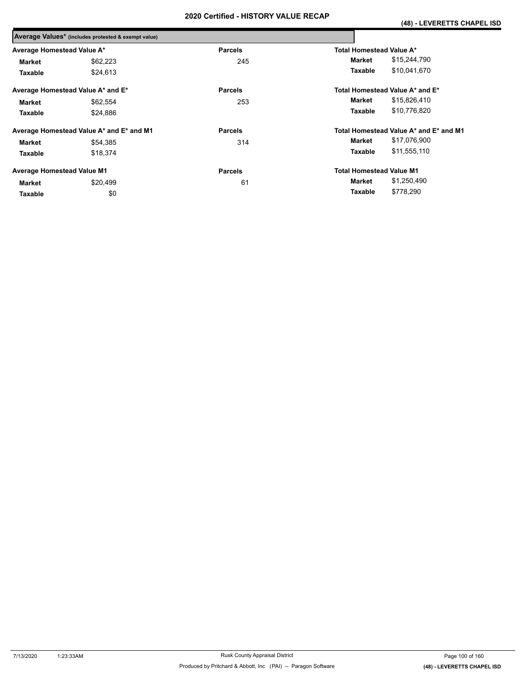|                                   | Average Values* (includes protested & exempt value) |                |                                        |
|-----------------------------------|-----------------------------------------------------|----------------|----------------------------------------|
| Average Homestead Value A*        |                                                     | <b>Parcels</b> | <b>Total Homestead Value A*</b>        |
| Market                            | \$62,223                                            | 245            | \$15,244,790<br>Market                 |
| Taxable                           | \$24.613                                            |                | \$10,041,670<br>Taxable                |
|                                   | Average Homestead Value A* and E*                   | <b>Parcels</b> | Total Homestead Value A* and E*        |
| Market                            | \$62,554                                            | 253            | \$15,826,410<br>Market                 |
| Taxable                           | \$24.886                                            |                | \$10,776,820<br>Taxable                |
|                                   | Average Homestead Value A* and E* and M1            | <b>Parcels</b> | Total Homestead Value A* and E* and M1 |
| <b>Market</b>                     | \$54.385                                            | 314            | \$17,076,900<br>Market                 |
| Taxable                           | \$18,374                                            |                | \$11,555,110<br>Taxable                |
| <b>Average Homestead Value M1</b> |                                                     | <b>Parcels</b> | <b>Total Homestead Value M1</b>        |
| Market                            | \$20,499                                            | 61             | \$1,250,490<br>Market                  |
| Taxable                           | \$0                                                 |                | \$778,290<br>Taxable                   |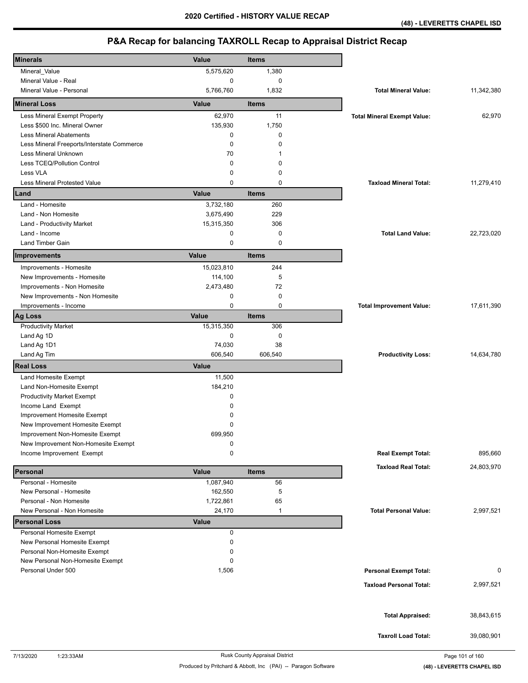| <b>Minerals</b>                                        | Value                  | <b>Items</b>       |                                    |            |
|--------------------------------------------------------|------------------------|--------------------|------------------------------------|------------|
| Mineral_Value                                          | 5,575,620              | 1,380              |                                    |            |
| Mineral Value - Real                                   | 0                      | 0                  |                                    |            |
| Mineral Value - Personal                               | 5,766,760              | 1,832              | <b>Total Mineral Value:</b>        | 11,342,380 |
| <b>Mineral Loss</b>                                    | Value                  | <b>Items</b>       |                                    |            |
| Less Mineral Exempt Property                           | 62,970                 | 11                 | <b>Total Mineral Exempt Value:</b> | 62,970     |
| Less \$500 Inc. Mineral Owner                          | 135,930                | 1,750              |                                    |            |
| <b>Less Mineral Abatements</b>                         | 0                      | 0                  |                                    |            |
| Less Mineral Freeports/Interstate Commerce             | 0                      | $\Omega$           |                                    |            |
| Less Mineral Unknown                                   | 70                     | 1                  |                                    |            |
| Less TCEQ/Pollution Control                            | 0                      | 0                  |                                    |            |
| Less VLA                                               | 0                      | 0                  |                                    |            |
| <b>Less Mineral Protested Value</b>                    | 0                      | 0                  | <b>Taxload Mineral Total:</b>      | 11,279,410 |
| Land                                                   | Value                  | <b>Items</b>       |                                    |            |
| Land - Homesite                                        | 3,732,180              | 260                |                                    |            |
| Land - Non Homesite                                    | 3,675,490              | 229                |                                    |            |
| Land - Productivity Market                             | 15,315,350             | 306                |                                    |            |
| Land - Income                                          | 0                      | $\mathbf 0$        | <b>Total Land Value:</b>           | 22,723,020 |
| Land Timber Gain                                       | 0                      | $\mathbf 0$        |                                    |            |
| Improvements                                           | Value                  | <b>Items</b>       |                                    |            |
| Improvements - Homesite                                | 15,023,810             | 244                |                                    |            |
| New Improvements - Homesite                            | 114,100                | 5                  |                                    |            |
| Improvements - Non Homesite                            | 2,473,480              | 72                 |                                    |            |
| New Improvements - Non Homesite                        | 0                      | 0                  |                                    |            |
| Improvements - Income                                  | 0                      | $\mathbf 0$        | <b>Total Improvement Value:</b>    | 17,611,390 |
| <b>Ag Loss</b>                                         | Value                  | <b>Items</b>       |                                    |            |
| <b>Productivity Market</b>                             | 15,315,350             | 306                |                                    |            |
| Land Ag 1D                                             | 0                      | 0                  |                                    |            |
| Land Ag 1D1                                            | 74,030                 | 38                 |                                    |            |
| Land Ag Tim                                            | 606,540                | 606,540            | <b>Productivity Loss:</b>          | 14,634,780 |
| <b>Real Loss</b>                                       | Value                  |                    |                                    |            |
| Land Homesite Exempt                                   | 11,500                 |                    |                                    |            |
| Land Non-Homesite Exempt                               | 184,210                |                    |                                    |            |
| <b>Productivity Market Exempt</b>                      | 0                      |                    |                                    |            |
| Income Land Exempt                                     | 0                      |                    |                                    |            |
| Improvement Homesite Exempt                            | 0                      |                    |                                    |            |
| New Improvement Homesite Exempt                        | 0                      |                    |                                    |            |
| Improvement Non-Homesite Exempt                        | 699.950                |                    |                                    |            |
| New Improvement Non-Homesite Exempt                    | 0                      |                    |                                    |            |
| Income Improvement Exempt                              | 0                      |                    | <b>Real Exempt Total:</b>          | 895,660    |
|                                                        |                        |                    | <b>Taxload Real Total:</b>         | 24,803,970 |
| Personal                                               | Value                  | <b>Items</b>       |                                    |            |
| Personal - Homesite                                    | 1,087,940              | 56                 |                                    |            |
| New Personal - Homesite                                | 162,550                | $\sqrt{5}$         |                                    |            |
| Personal - Non Homesite<br>New Personal - Non Homesite | 1,722,861              | 65<br>$\mathbf{1}$ |                                    |            |
| <b>Personal Loss</b>                                   | 24,170<br><b>Value</b> |                    | <b>Total Personal Value:</b>       | 2,997,521  |
| Personal Homesite Exempt                               | 0                      |                    |                                    |            |
| New Personal Homesite Exempt                           | 0                      |                    |                                    |            |
| Personal Non-Homesite Exempt                           | 0                      |                    |                                    |            |
| New Personal Non-Homesite Exempt                       | 0                      |                    |                                    |            |
| Personal Under 500                                     | 1,506                  |                    | <b>Personal Exempt Total:</b>      | 0          |
|                                                        |                        |                    |                                    |            |
|                                                        |                        |                    | <b>Taxload Personal Total:</b>     | 2,997,521  |
|                                                        |                        |                    |                                    |            |
|                                                        |                        |                    | <b>Total Appraised:</b>            | 38,843,615 |
|                                                        |                        |                    | <b>Taxroll Load Total:</b>         | 39,080,901 |
|                                                        |                        |                    |                                    |            |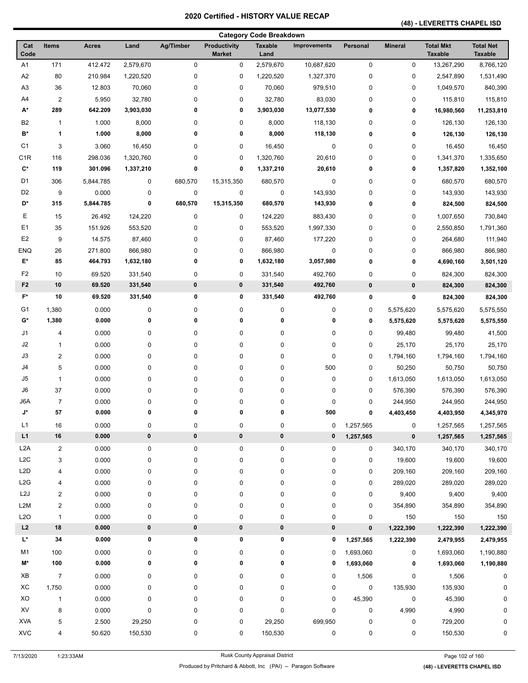## **(48) - LEVERETTS CHAPEL ISD**

|                                  |                         |                    |                    |                |                               | <b>Category Code Breakdown</b> |                     |                |                |                                    |                                    |
|----------------------------------|-------------------------|--------------------|--------------------|----------------|-------------------------------|--------------------------------|---------------------|----------------|----------------|------------------------------------|------------------------------------|
| Cat<br>Code                      | <b>Items</b>            | <b>Acres</b>       | Land               | Ag/Timber      | Productivity<br><b>Market</b> | <b>Taxable</b><br>Land         | <b>Improvements</b> | Personal       | <b>Mineral</b> | <b>Total Mkt</b><br><b>Taxable</b> | <b>Total Net</b><br><b>Taxable</b> |
| A1                               | 171                     | 412.472            | 2,579,670          | 0              | 0                             | 2,579,670                      | 10,687,620          | 0              | 0              | 13,267,290                         | 8,766,120                          |
| A <sub>2</sub>                   | 80                      | 210.984            | 1,220,520          | $\pmb{0}$      | 0                             | 1,220,520                      | 1,327,370           | 0              | 0              | 2,547,890                          | 1,531,490                          |
| A <sub>3</sub>                   | 36                      | 12.803             | 70,060             | 0              | 0                             | 70,060                         | 979,510             | 0              | 0              | 1,049,570                          | 840,390                            |
| A4                               | $\overline{2}$          | 5.950              | 32,780             | 0              | 0                             | 32,780                         | 83,030              | 0              | 0              | 115,810                            | 115,810                            |
| A*                               | 289                     | 642.209            | 3,903,030          | 0              | 0                             | 3,903,030                      | 13,077,530          | 0              | 0              | 16,980,560                         | 11,253,810                         |
| B <sub>2</sub>                   | $\mathbf{1}$            | 1.000              | 8,000              | 0              | 0                             | 8,000                          | 118,130             | 0              | 0              | 126,130                            | 126,130                            |
| $\mathbf{B}^{\star}$             | 1                       | 1.000              | 8,000              | 0              | 0                             | 8,000                          | 118,130             | 0              | 0              | 126,130                            | 126,130                            |
| C <sub>1</sub>                   | 3                       | 3.060              | 16,450             | 0              | 0                             | 16,450                         | 0                   | 0              | 0              | 16,450                             | 16,450                             |
| C <sub>1</sub> R                 | 116                     | 298.036            | 1,320,760          | 0              | 0                             | 1,320,760                      | 20,610              | 0              | 0              | 1,341,370                          | 1,335,650                          |
| $\mathbf{C}^{\star}$             | 119                     | 301.096            | 1,337,210          | 0              | 0                             | 1,337,210                      | 20,610              | 0              | 0              | 1,357,820                          | 1,352,100                          |
| D <sub>1</sub>                   | 306                     | 5,844.785          | 0                  | 680,570        | 15,315,350                    | 680,570                        | $\pmb{0}$           | 0              | 0              | 680,570                            | 680,570                            |
| D <sub>2</sub>                   | 9                       | 0.000              | 0                  | $\pmb{0}$      | $\pmb{0}$                     | $\pmb{0}$                      | 143,930             | 0              | 0              | 143,930                            | 143,930                            |
| D*                               | 315                     | 5,844.785          | 0                  | 680,570        | 15,315,350                    | 680,570                        | 143,930             | 0              | 0              | 824,500                            | 824,500                            |
| Ε                                |                         | 26.492             |                    | $\pmb{0}$      | $\pmb{0}$                     |                                |                     |                |                | 1,007,650                          |                                    |
|                                  | 15                      |                    | 124,220            |                |                               | 124,220                        | 883,430             | 0              | 0              |                                    | 730,840                            |
| E1<br>E <sub>2</sub>             | 35                      | 151.926            | 553,520            | 0              | 0                             | 553,520                        | 1,997,330           | 0              | 0              | 2,550,850                          | 1,791,360                          |
|                                  | 9                       | 14.575             | 87,460             | 0              | 0                             | 87,460                         | 177,220             | 0              | 0              | 264,680                            | 111,940                            |
| <b>ENQ</b><br>E*                 | 26<br>85                | 271.800<br>464.793 | 866,980            | 0<br>0         | 0<br>0                        | 866,980                        | 0<br>3,057,980      | 0              | 0              | 866,980                            | 866,980                            |
|                                  |                         |                    | 1,632,180          |                |                               | 1,632,180                      |                     | 0              | 0              | 4,690,160                          | 3,501,120                          |
| F <sub>2</sub><br>F <sub>2</sub> | 10<br>10                | 69.520<br>69.520   | 331,540<br>331,540 | 0<br>$\pmb{0}$ | 0<br>$\pmb{0}$                | 331,540<br>331,540             | 492,760<br>492,760  | 0<br>$\pmb{0}$ | 0<br>$\pmb{0}$ | 824,300                            | 824,300<br>824,300                 |
| F*                               | 10                      | 69.520             | 331,540            | 0              | 0                             | 331,540                        | 492,760             | 0              |                | 824,300                            |                                    |
|                                  |                         |                    |                    |                |                               |                                |                     |                | 0              | 824,300                            | 824,300                            |
| G <sub>1</sub>                   | 1,380                   | 0.000              | 0                  | 0              | $\pmb{0}$                     | 0                              | $\pmb{0}$           | 0              | 5,575,620      | 5,575,620                          | 5,575,550                          |
| G*                               | 1,380                   | 0.000              | 0                  | 0              | 0                             | 0                              | 0                   | 0              | 5,575,620      | 5,575,620                          | 5,575,550                          |
| J1                               | 4                       | 0.000              | 0                  | 0              | $\pmb{0}$                     | 0                              | $\pmb{0}$           | 0              | 99,480         | 99,480                             | 41,500                             |
| J2                               | $\mathbf{1}$            | 0.000              | 0                  | 0              | $\pmb{0}$                     | 0                              | $\pmb{0}$           | 0              | 25,170         | 25,170                             | 25,170                             |
| J3                               | $\overline{c}$          | 0.000              | 0                  | 0              | $\pmb{0}$                     | 0                              | $\pmb{0}$           | 0              | 1,794,160      | 1,794,160                          | 1,794,160                          |
| J4                               | 5                       | 0.000              | 0                  | 0              | $\pmb{0}$                     | 0                              | 500                 | 0              | 50,250         | 50,750                             | 50,750                             |
| J5                               | $\mathbf{1}$            | 0.000              | 0                  | 0              | 0                             | 0                              | $\pmb{0}$           | 0              | 1,613,050      | 1,613,050                          | 1,613,050                          |
| J6                               | 37                      | 0.000              | 0                  | 0              | 0                             | 0                              | 0                   | 0              | 576,390        | 576,390                            | 576,390                            |
| J6A                              | $\overline{7}$          | 0.000              | 0                  | 0              | 0                             | 0                              | $\pmb{0}$           | 0              | 244,950        | 244,950                            | 244,950                            |
| J*                               | 57                      | 0.000              | 0                  | 0              | 0                             | 0                              | 500                 | 0              | 4,403,450      | 4,403,950                          | 4,345,970                          |
| L1                               | 16                      | 0.000              | 0                  | 0              | $\pmb{0}$                     | 0                              | 0                   | 1,257,565      | 0              | 1,257,565                          | 1,257,565                          |
| L1                               | 16                      | 0.000              | 0                  | $\bf{0}$       | 0                             | 0                              | 0                   | 1,257,565      | 0              | 1,257,565                          | 1,257,565                          |
| L2A                              | $\overline{2}$          | 0.000              | 0                  | 0              | $\pmb{0}$                     | 0                              | 0                   | 0              | 340,170        | 340,170                            | 340,170                            |
| L2C                              | 3                       | 0.000              | 0                  | 0              | $\pmb{0}$                     | 0                              | $\pmb{0}$           | 0              | 19,600         | 19,600                             | 19,600                             |
| L <sub>2</sub> D                 | 4                       | 0.000              | 0                  | 0              | $\pmb{0}$                     | 0                              | $\pmb{0}$           | 0              | 209,160        | 209,160                            | 209,160                            |
| L2G                              | 4                       | 0.000              | 0                  | 0              | 0                             | 0                              | 0                   | 0              | 289,020        | 289,020                            | 289,020                            |
| L <sub>2</sub> J                 | $\overline{\mathbf{c}}$ | 0.000              | 0                  | 0              | $\pmb{0}$                     | 0                              | $\pmb{0}$           | 0              | 9,400          | 9,400                              | 9,400                              |
| L <sub>2</sub> M                 | $\overline{c}$          | 0.000              | 0                  | 0              | $\pmb{0}$                     | 0                              | $\pmb{0}$           | 0              | 354,890        | 354,890                            | 354,890                            |
| L2O                              | $\mathbf{1}$            | 0.000              | 0                  | $\pmb{0}$      | $\pmb{0}$                     | 0                              | $\pmb{0}$           | 0              | 150            | 150                                | 150                                |
| L <sub>2</sub>                   | 18                      | 0.000              | 0                  | 0              | 0                             | 0                              | 0                   | $\pmb{0}$      | 1,222,390      | 1,222,390                          | 1,222,390                          |
| L*                               | 34                      | 0.000              | 0                  | 0              | 0                             | 0                              | 0                   | 1,257,565      | 1,222,390      | 2,479,955                          | 2,479,955                          |
| M1                               | 100                     | 0.000              | 0                  | 0              | $\pmb{0}$                     | 0                              | 0                   | 1,693,060      | 0              | 1,693,060                          | 1,190,880                          |
| $\mathsf{M}^\star$               | 100                     | 0.000              | 0                  | 0              | 0                             | 0                              | 0                   | 1,693,060      | 0              | 1,693,060                          | 1,190,880                          |
| XB                               | $\overline{7}$          | 0.000              | 0                  | 0              | $\pmb{0}$                     | 0                              | 0                   | 1,506          | 0              | 1,506                              | 0                                  |
| ХC                               | 1,750                   | 0.000              | 0                  | 0              | $\pmb{0}$                     | 0                              | $\pmb{0}$           | 0              | 135,930        | 135,930                            | 0                                  |
| XO                               | $\mathbf{1}$            | 0.000              | 0                  | 0              | $\pmb{0}$                     | 0                              | 0                   | 45,390         | $\pmb{0}$      | 45,390                             | 0                                  |
| XV                               | 8                       | 0.000              | 0                  | 0              | 0                             | 0                              | $\pmb{0}$           | 0              | 4,990          | 4,990                              | 0                                  |
| <b>XVA</b>                       | 5                       | 2.500              | 29,250             | 0              | 0                             | 29,250                         | 699,950             | 0              | 0              | 729,200                            | $\Omega$                           |
| <b>XVC</b>                       | 4                       | 50.620             | 150,530            | 0              | 0                             | 150,530                        | 0                   | 0              | 0              | 150,530                            | 0                                  |
|                                  |                         |                    |                    |                |                               |                                |                     |                |                |                                    |                                    |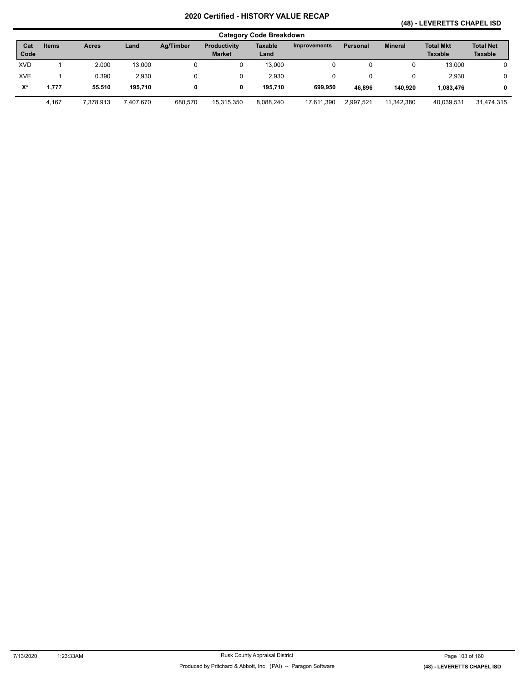**(48) - LEVERETTS CHAPEL ISD** 

|             | <b>Category Code Breakdown</b> |              |           |           |                                      |                        |                     |           |                |                                    |                             |
|-------------|--------------------------------|--------------|-----------|-----------|--------------------------------------|------------------------|---------------------|-----------|----------------|------------------------------------|-----------------------------|
| Cat<br>Code | <b>Items</b>                   | <b>Acres</b> | Land      | Aa/Timber | <b>Productivity</b><br><b>Market</b> | <b>Taxable</b><br>Land | <b>Improvements</b> | Personal  | <b>Mineral</b> | <b>Total Mkt</b><br><b>Taxable</b> | <b>Total Net</b><br>Taxable |
| <b>XVD</b>  |                                | 2.000        | 13.000    |           | 0                                    | 13.000                 | 0                   |           |                | 13.000                             | 0                           |
| <b>XVE</b>  |                                | 0.390        | 2,930     | 0         | 0                                    | 2.930                  | 0                   |           |                | 2,930                              | 0                           |
| X*          | 1,777                          | 55.510       | 195,710   | 0         | 0                                    | 195.710                | 699.950             | 46.896    | 140.920        | 1,083,476                          | 0                           |
|             | 4.167                          | 7.378.913    | 407.670.7 | 680.570   | 15.315.350                           | 8.088.240              | 17.611.390          | 2.997.521 | 11.342.380     | 40.039.531                         | 31.474.315                  |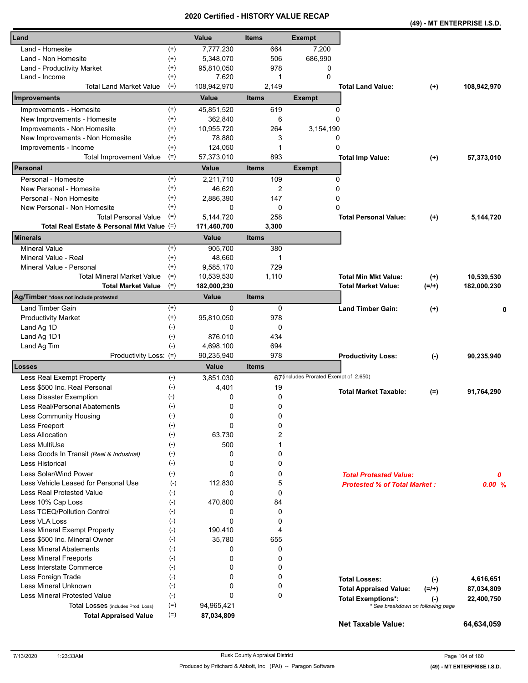|                                                            |                             |                     |              | Certilled - HISTORT VALUE RECAP        |                                     | (49) - MT ENTERPRISE I.S.D.       |             |
|------------------------------------------------------------|-----------------------------|---------------------|--------------|----------------------------------------|-------------------------------------|-----------------------------------|-------------|
| Land                                                       |                             | Value               | <b>Items</b> | <b>Exempt</b>                          |                                     |                                   |             |
| Land - Homesite                                            | $^{(+)}$                    | 7,777,230           | 664          | 7,200                                  |                                     |                                   |             |
| Land - Non Homesite                                        | $^{(+)}$                    | 5,348,070           | 506          | 686,990                                |                                     |                                   |             |
| Land - Productivity Market                                 | $^{(+)}$                    | 95,810,050          | 978          | 0                                      |                                     |                                   |             |
| Land - Income                                              | $^{(+)}$                    | 7,620               | 1            | $\Omega$                               |                                     |                                   |             |
| <b>Total Land Market Value</b>                             | $(=)$                       | 108,942,970         | 2,149        |                                        | <b>Total Land Value:</b>            | $(+)$                             | 108,942,970 |
| Improvements                                               |                             | <b>Value</b>        | <b>Items</b> | <b>Exempt</b>                          |                                     |                                   |             |
| Improvements - Homesite                                    | $^{(+)}$                    | 45,851,520          | 619          |                                        | 0                                   |                                   |             |
| New Improvements - Homesite                                | $^{(+)}$                    | 362,840             | 6            |                                        | 0                                   |                                   |             |
| Improvements - Non Homesite                                | $^{(+)}$                    | 10,955,720          | 264          | 3,154,190                              |                                     |                                   |             |
| New Improvements - Non Homesite                            | $^{(+)}$                    | 78,880              | 3            |                                        | 0                                   |                                   |             |
| Improvements - Income                                      | $^{(+)}$                    | 124,050             | 1            |                                        | 0                                   |                                   |             |
| <b>Total Improvement Value</b>                             | $(=)$                       | 57,373,010          | 893          |                                        | <b>Total Imp Value:</b>             | $(+)$                             | 57,373,010  |
| Personal                                                   |                             | <b>Value</b>        | <b>Items</b> | <b>Exempt</b>                          |                                     |                                   |             |
| Personal - Homesite                                        | $^{(+)}$                    | 2,211,710           | 109          |                                        | 0                                   |                                   |             |
| New Personal - Homesite                                    | $^{(+)}$                    | 46,620              | 2            |                                        | 0                                   |                                   |             |
| Personal - Non Homesite                                    | $^{(+)}$                    | 2,886,390           | 147          |                                        | 0                                   |                                   |             |
| New Personal - Non Homesite                                | $^{(+)}$                    | 0                   | 0            |                                        | 0                                   |                                   |             |
| <b>Total Personal Value</b>                                | $(=)$                       | 5,144,720           | 258          |                                        | <b>Total Personal Value:</b>        | $(+)$                             | 5,144,720   |
| Total Real Estate & Personal Mkt Value (=)                 |                             | 171,460,700         | 3,300        |                                        |                                     |                                   |             |
| Minerals                                                   |                             | Value               | <b>Items</b> |                                        |                                     |                                   |             |
| <b>Mineral Value</b>                                       | $^{(+)}$                    | 905,700             | 380          |                                        |                                     |                                   |             |
| Mineral Value - Real                                       | $^{(+)}$                    | 48,660              | 1            |                                        |                                     |                                   |             |
| Mineral Value - Personal                                   | $^{(+)}$                    | 9,585,170           | 729          |                                        |                                     |                                   |             |
| <b>Total Mineral Market Value</b>                          | $(=)$                       | 10,539,530          | 1,110        |                                        | <b>Total Min Mkt Value:</b>         | $(+)$                             | 10,539,530  |
| <b>Total Market Value</b>                                  | $(=)$                       | 182,000,230         |              |                                        | <b>Total Market Value:</b>          | $(=/+)$                           | 182,000,230 |
| Ag/Timber *does not include protested                      |                             | Value               | <b>Items</b> |                                        |                                     |                                   |             |
| Land Timber Gain                                           | $^{(+)}$                    | 0                   | 0            |                                        | <b>Land Timber Gain:</b>            | $(+)$                             | 0           |
| <b>Productivity Market</b>                                 | $^{(+)}$                    | 95,810,050          | 978          |                                        |                                     |                                   |             |
| Land Ag 1D                                                 | $(-)$                       | 0                   | 0            |                                        |                                     |                                   |             |
| Land Ag 1D1                                                | $(-)$                       | 876,010             | 434          |                                        |                                     |                                   |             |
| Land Ag Tim                                                | $(-)$                       | 4,698,100           | 694          |                                        |                                     |                                   |             |
| Productivity Loss: (=)<br>Losses                           |                             | 90,235,940<br>Value | 978          |                                        | <b>Productivity Loss:</b>           | $(-)$                             | 90,235,940  |
|                                                            | $(-)$                       | 3,851,030           | <b>Items</b> | 67 (includes Prorated Exempt of 2,650) |                                     |                                   |             |
| Less Real Exempt Property<br>Less \$500 Inc. Real Personal | $(\text{-})$                | 4,401               | 19           |                                        |                                     |                                   |             |
| Less Disaster Exemption                                    | $(-)$                       | 0                   | 0            |                                        | <b>Total Market Taxable:</b>        | $(=)$                             | 91,764,290  |
| Less Real/Personal Abatements                              |                             | 0                   | 0            |                                        |                                     |                                   |             |
| Less Community Housing                                     | $(\textnormal{-})$<br>$(-)$ | 0                   | 0            |                                        |                                     |                                   |             |
| Less Freeport                                              | $(-)$                       | 0                   | 0            |                                        |                                     |                                   |             |
| Less Allocation                                            | $(-)$                       | 63,730              | 2            |                                        |                                     |                                   |             |
| Less MultiUse                                              | $(-)$                       | 500                 | 1            |                                        |                                     |                                   |             |
| Less Goods In Transit (Real & Industrial)                  | $(-)$                       | 0                   | 0            |                                        |                                     |                                   |             |
| Less Historical                                            | $(-)$                       | 0                   | 0            |                                        |                                     |                                   |             |
| Less Solar/Wind Power                                      | $(-)$                       | 0                   | 0            |                                        | <b>Total Protested Value:</b>       |                                   | 0           |
| Less Vehicle Leased for Personal Use                       | $(-)$                       | 112,830             | 5            |                                        | <b>Protested % of Total Market:</b> |                                   | 0.00%       |
| Less Real Protested Value                                  | $(-)$                       | 0                   | 0            |                                        |                                     |                                   |             |
| Less 10% Cap Loss                                          | $(-)$                       | 470,800             | 84           |                                        |                                     |                                   |             |
| Less TCEQ/Pollution Control                                | $(-)$                       | 0                   | 0            |                                        |                                     |                                   |             |
| Less VLA Loss                                              | $(-)$                       | 0                   | 0            |                                        |                                     |                                   |             |
| Less Mineral Exempt Property                               | $(-)$                       | 190,410             | 4            |                                        |                                     |                                   |             |
| Less \$500 Inc. Mineral Owner                              | $(-)$                       | 35,780              | 655          |                                        |                                     |                                   |             |
| <b>Less Mineral Abatements</b>                             | $(-)$                       | 0                   | 0            |                                        |                                     |                                   |             |
| <b>Less Mineral Freeports</b>                              | $(-)$                       | 0                   | 0            |                                        |                                     |                                   |             |
| Less Interstate Commerce                                   | $(\cdot)$                   | 0                   | 0            |                                        |                                     |                                   |             |
| Less Foreign Trade                                         | $(-)$                       | 0                   | 0            |                                        | <b>Total Losses:</b>                | $(-)$                             | 4,616,651   |
| Less Mineral Unknown                                       | $(-)$                       | 0                   | 0            |                                        | <b>Total Appraised Value:</b>       | $(=/+)$                           | 87,034,809  |
| Less Mineral Protested Value                               | $(-)$                       | 0                   | 0            |                                        | <b>Total Exemptions*:</b>           | $(\cdot)$                         | 22,400,750  |
| Total Losses (includes Prod. Loss)                         | $(=)$                       | 94,965,421          |              |                                        |                                     | * See breakdown on following page |             |
| <b>Total Appraised Value</b>                               | $(=)$                       | 87,034,809          |              |                                        | <b>Net Taxable Value:</b>           |                                   | 64,634,059  |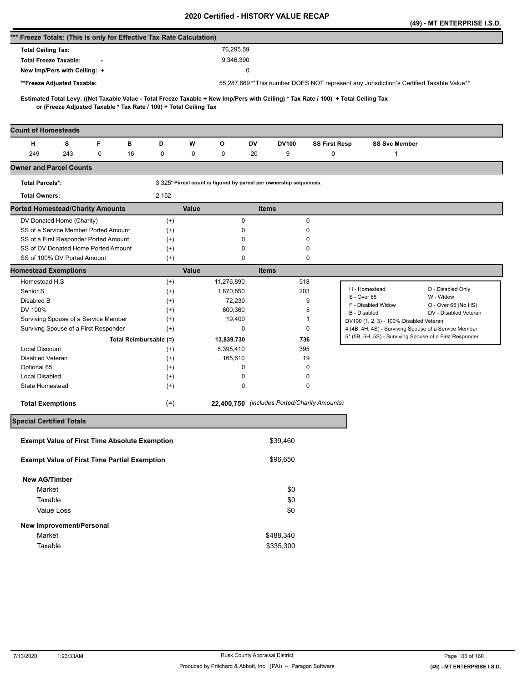|                                                                      |                                                                   |   |                        |                      |              |                                                                   |              |              |                                              |                                                                                                                                     |                      | (49) - MT ENTERPRISE I.S.D.                                                                                      |
|----------------------------------------------------------------------|-------------------------------------------------------------------|---|------------------------|----------------------|--------------|-------------------------------------------------------------------|--------------|--------------|----------------------------------------------|-------------------------------------------------------------------------------------------------------------------------------------|----------------------|------------------------------------------------------------------------------------------------------------------|
| *** Freeze Totals: (This is only for Effective Tax Rate Calculation) |                                                                   |   |                        |                      |              |                                                                   |              |              |                                              |                                                                                                                                     |                      |                                                                                                                  |
| <b>Total Ceiling Tax:</b>                                            |                                                                   |   |                        |                      |              | 76,295.59                                                         |              |              |                                              |                                                                                                                                     |                      |                                                                                                                  |
| <b>Total Freeze Taxable:</b>                                         |                                                                   |   |                        |                      |              | 9,346,390                                                         |              |              |                                              |                                                                                                                                     |                      |                                                                                                                  |
| New Imp/Pers with Ceiling: +                                         |                                                                   |   |                        |                      |              |                                                                   | 0            |              |                                              |                                                                                                                                     |                      |                                                                                                                  |
|                                                                      |                                                                   |   |                        |                      |              |                                                                   |              |              |                                              |                                                                                                                                     |                      |                                                                                                                  |
| **Freeze Adjusted Taxable:                                           |                                                                   |   |                        |                      |              |                                                                   |              |              |                                              |                                                                                                                                     |                      | 55,287,669**This number DOES NOT represent any Jurisdiction's Certified Taxable Value**                          |
|                                                                      |                                                                   |   |                        |                      |              |                                                                   |              |              |                                              | Estimated Total Levy: ((Net Taxable Value - Total Freeze Taxable + New Imp/Pers with Ceiling) * Tax Rate / 100) + Total Ceiling Tax |                      |                                                                                                                  |
|                                                                      | or (Freeze Adjusted Taxable * Tax Rate / 100) + Total Ceiling Tax |   |                        |                      |              |                                                                   |              |              |                                              |                                                                                                                                     |                      |                                                                                                                  |
| <b>Count of Homesteads</b>                                           |                                                                   |   |                        |                      |              |                                                                   |              |              |                                              |                                                                                                                                     |                      |                                                                                                                  |
| н                                                                    | s                                                                 | F | в                      | D                    | W            | o                                                                 | DV           | <b>DV100</b> | <b>SS First Resp</b>                         |                                                                                                                                     | <b>SS Svc Member</b> |                                                                                                                  |
| 249                                                                  | 243                                                               | 0 | 16                     | 0                    | 0            | 0                                                                 | 20           | 9            | 0                                            |                                                                                                                                     | $\mathbf{1}$         |                                                                                                                  |
| <b>Owner and Parcel Counts</b>                                       |                                                                   |   |                        |                      |              |                                                                   |              |              |                                              |                                                                                                                                     |                      |                                                                                                                  |
| <b>Total Parcels*:</b>                                               |                                                                   |   |                        |                      |              | 3,325* Parcel count is figured by parcel per ownership sequences. |              |              |                                              |                                                                                                                                     |                      |                                                                                                                  |
| <b>Total Owners:</b>                                                 |                                                                   |   |                        | 2,152                |              |                                                                   |              |              |                                              |                                                                                                                                     |                      |                                                                                                                  |
| <b>Ported Homestead/Charity Amounts</b>                              |                                                                   |   |                        |                      | <b>Value</b> |                                                                   | <b>Items</b> |              |                                              |                                                                                                                                     |                      |                                                                                                                  |
| DV Donated Home (Charity)                                            |                                                                   |   |                        | $^{(+)}$             |              | 0                                                                 |              |              | 0                                            |                                                                                                                                     |                      |                                                                                                                  |
| SS of a Service Member Ported Amount                                 |                                                                   |   |                        | $^{(+)}$             |              | 0                                                                 |              |              | 0                                            |                                                                                                                                     |                      |                                                                                                                  |
| SS of a First Responder Ported Amount                                |                                                                   |   |                        | $^{(+)}$             |              | 0                                                                 |              |              | $\Omega$                                     |                                                                                                                                     |                      |                                                                                                                  |
| SS of DV Donated Home Ported Amount                                  |                                                                   |   |                        | $^{(+)}$             |              | 0                                                                 |              |              | 0                                            |                                                                                                                                     |                      |                                                                                                                  |
| SS of 100% DV Ported Amount                                          |                                                                   |   |                        | $^{(+)}$             |              | $\mathbf 0$                                                       |              |              | 0                                            |                                                                                                                                     |                      |                                                                                                                  |
| <b>Homestead Exemptions</b>                                          |                                                                   |   |                        |                      | Value        |                                                                   | <b>Items</b> |              |                                              |                                                                                                                                     |                      |                                                                                                                  |
| Homestead H,S                                                        |                                                                   |   |                        | $^{(+)}$             |              | 11,276,890                                                        |              | 518          |                                              |                                                                                                                                     |                      |                                                                                                                  |
| Senior S                                                             |                                                                   |   |                        | $^{(+)}$             |              | 1,870,850                                                         |              | 203          |                                              | H - Homestead<br>S - Over 65                                                                                                        |                      | D - Disabled Only<br>W - Widow                                                                                   |
| Disabled B                                                           |                                                                   |   |                        | $^{(+)}$             |              | 72,230                                                            |              |              | 9                                            | F - Disabled Widow                                                                                                                  |                      | O - Over 65 (No HS)                                                                                              |
| DV 100%                                                              |                                                                   |   |                        | $^{(+)}$             |              | 600,360                                                           |              |              | 5                                            | <b>B</b> - Disabled                                                                                                                 |                      | DV - Disabled Veteran                                                                                            |
| Surviving Spouse of a Service Member                                 |                                                                   |   |                        | $^{(+)}$             |              | 19,400<br>0                                                       |              |              | 1<br>0                                       | DV100 (1, 2, 3) - 100% Disabled Veteran                                                                                             |                      |                                                                                                                  |
| Survivng Spouse of a First Responder                                 |                                                                   |   |                        | $^{(+)}$             |              |                                                                   |              |              |                                              |                                                                                                                                     |                      | 4 (4B, 4H, 4S) - Surviving Spouse of a Service Member<br>5* (5B, 5H, 5S) - Surviving Spouse of a First Responder |
| <b>Local Discount</b>                                                |                                                                   |   | Total Reimbursable (=) |                      |              | 13,839,730                                                        |              | 736          |                                              |                                                                                                                                     |                      |                                                                                                                  |
| Disabled Veteran                                                     |                                                                   |   |                        | $^{(+)}$<br>$^{(+)}$ |              | 8,395,410<br>165,610                                              |              | 395<br>19    |                                              |                                                                                                                                     |                      |                                                                                                                  |
| Optional 65                                                          |                                                                   |   |                        | $^{(+)}$             |              | 0                                                                 |              |              | $\mathbf 0$                                  |                                                                                                                                     |                      |                                                                                                                  |
| <b>Local Disabled</b>                                                |                                                                   |   |                        | $^{(+)}$             |              | 0                                                                 |              |              | 0                                            |                                                                                                                                     |                      |                                                                                                                  |
| State Homestead                                                      |                                                                   |   |                        | $^{(+)}$             |              | 0                                                                 |              |              | 0                                            |                                                                                                                                     |                      |                                                                                                                  |
| <b>Total Exemptions</b>                                              |                                                                   |   |                        | $(=)$                |              |                                                                   |              |              | 22,400,750 (includes Ported/Charity Amounts) |                                                                                                                                     |                      |                                                                                                                  |
| <b>Special Certified Totals</b>                                      |                                                                   |   |                        |                      |              |                                                                   |              |              |                                              |                                                                                                                                     |                      |                                                                                                                  |
|                                                                      |                                                                   |   |                        |                      |              |                                                                   |              | \$39,460     |                                              |                                                                                                                                     |                      |                                                                                                                  |
| <b>Exempt Value of First Time Absolute Exemption</b>                 |                                                                   |   |                        |                      |              |                                                                   |              |              |                                              |                                                                                                                                     |                      |                                                                                                                  |
| <b>Exempt Value of First Time Partial Exemption</b>                  |                                                                   |   |                        |                      |              |                                                                   |              | \$96,650     |                                              |                                                                                                                                     |                      |                                                                                                                  |
| <b>New AG/Timber</b>                                                 |                                                                   |   |                        |                      |              |                                                                   |              |              |                                              |                                                                                                                                     |                      |                                                                                                                  |
| Market                                                               |                                                                   |   |                        |                      |              |                                                                   |              | \$0          |                                              |                                                                                                                                     |                      |                                                                                                                  |
| Taxable                                                              |                                                                   |   |                        |                      |              |                                                                   |              | \$0          |                                              |                                                                                                                                     |                      |                                                                                                                  |
| Value Loss                                                           |                                                                   |   |                        |                      |              |                                                                   |              | \$0          |                                              |                                                                                                                                     |                      |                                                                                                                  |
| New Improvement/Personal                                             |                                                                   |   |                        |                      |              |                                                                   |              |              |                                              |                                                                                                                                     |                      |                                                                                                                  |
| Market                                                               |                                                                   |   |                        |                      |              |                                                                   | \$488,340    |              |                                              |                                                                                                                                     |                      |                                                                                                                  |
| Taxable                                                              |                                                                   |   |                        |                      |              |                                                                   |              | \$335,300    |                                              |                                                                                                                                     |                      |                                                                                                                  |
|                                                                      |                                                                   |   |                        |                      |              |                                                                   |              |              |                                              |                                                                                                                                     |                      |                                                                                                                  |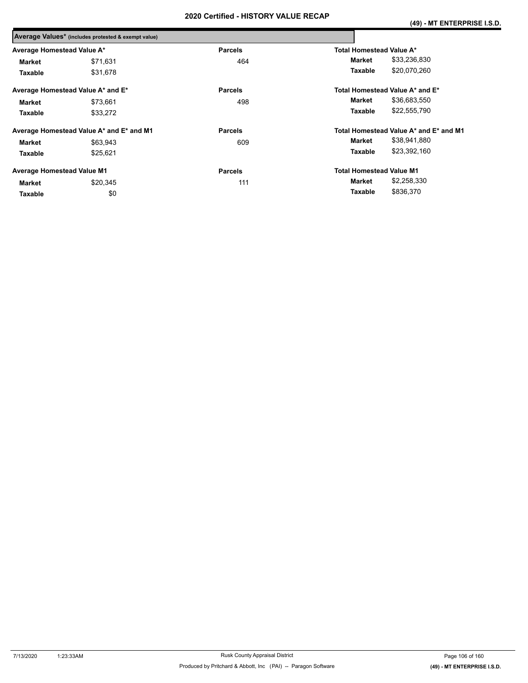|                                   | Average Values* (includes protested & exempt value) |                |                                        |  |  |
|-----------------------------------|-----------------------------------------------------|----------------|----------------------------------------|--|--|
| Average Homestead Value A*        |                                                     | <b>Parcels</b> | Total Homestead Value A*               |  |  |
| Market                            | \$71.631                                            | 464            | \$33,236,830<br>Market                 |  |  |
| Taxable                           | \$31,678                                            |                | \$20,070,260<br>Taxable                |  |  |
|                                   | Average Homestead Value A* and E*                   | <b>Parcels</b> | Total Homestead Value A* and E*        |  |  |
| Market                            | \$73,661                                            | 498            | \$36,683,550<br>Market                 |  |  |
| Taxable                           | \$33,272                                            |                | \$22,555,790<br>Taxable                |  |  |
|                                   | Average Homestead Value A* and E* and M1            | <b>Parcels</b> | Total Homestead Value A* and E* and M1 |  |  |
| Market                            | \$63,943                                            | 609            | \$38,941,880<br>Market                 |  |  |
| Taxable                           | \$25,621                                            |                | \$23,392,160<br>Taxable                |  |  |
| <b>Average Homestead Value M1</b> |                                                     | <b>Parcels</b> | <b>Total Homestead Value M1</b>        |  |  |
| Market                            | \$20,345                                            | 111            | \$2,258,330<br>Market                  |  |  |
| Taxable                           | \$0                                                 |                | \$836.370<br>Taxable                   |  |  |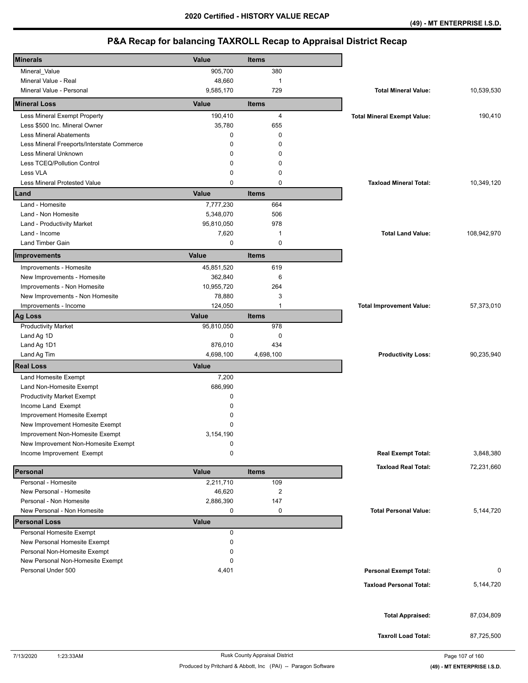| <b>Minerals</b>                            | Value        | <b>Items</b>            |                                    |             |
|--------------------------------------------|--------------|-------------------------|------------------------------------|-------------|
| Mineral_Value                              | 905,700      | 380                     |                                    |             |
| Mineral Value - Real                       | 48,660       | $\mathbf 1$             |                                    |             |
| Mineral Value - Personal                   | 9,585,170    | 729                     | <b>Total Mineral Value:</b>        | 10,539,530  |
| <b>Mineral Loss</b>                        | Value        | <b>Items</b>            |                                    |             |
| Less Mineral Exempt Property               | 190,410      | $\overline{4}$          | <b>Total Mineral Exempt Value:</b> | 190,410     |
| Less \$500 Inc. Mineral Owner              | 35,780       | 655                     |                                    |             |
| <b>Less Mineral Abatements</b>             | 0            | $\mathbf 0$             |                                    |             |
| Less Mineral Freeports/Interstate Commerce | 0            | $\mathbf 0$             |                                    |             |
| Less Mineral Unknown                       | 0            | 0                       |                                    |             |
| Less TCEQ/Pollution Control                | 0            | $\mathbf 0$             |                                    |             |
| Less VLA                                   | 0            | 0                       |                                    |             |
| <b>Less Mineral Protested Value</b>        | 0            | $\mathbf 0$             | <b>Taxload Mineral Total:</b>      | 10,349,120  |
| Land                                       | Value        | <b>Items</b>            |                                    |             |
| Land - Homesite                            | 7,777,230    | 664                     |                                    |             |
| Land - Non Homesite                        | 5,348,070    | 506                     |                                    |             |
| Land - Productivity Market                 | 95,810,050   | 978                     |                                    |             |
| Land - Income                              | 7,620        | $\mathbf{1}$            | <b>Total Land Value:</b>           | 108,942,970 |
| Land Timber Gain                           | 0            | 0                       |                                    |             |
|                                            |              |                         |                                    |             |
| Improvements                               | Value        | <b>Items</b>            |                                    |             |
| Improvements - Homesite                    | 45,851,520   | 619                     |                                    |             |
| New Improvements - Homesite                | 362,840      | 6                       |                                    |             |
| Improvements - Non Homesite                | 10,955,720   | 264                     |                                    |             |
| New Improvements - Non Homesite            | 78,880       | 3                       |                                    |             |
| Improvements - Income                      | 124,050      | 1                       | <b>Total Improvement Value:</b>    | 57,373,010  |
| Ag Loss                                    | Value        | <b>Items</b>            |                                    |             |
| <b>Productivity Market</b>                 | 95,810,050   | 978                     |                                    |             |
| Land Ag 1D                                 | 0            | 0                       |                                    |             |
| Land Ag 1D1                                | 876,010      | 434                     |                                    |             |
| Land Ag Tim                                | 4,698,100    | 4,698,100               | <b>Productivity Loss:</b>          | 90,235,940  |
| <b>Real Loss</b>                           | Value        |                         |                                    |             |
| Land Homesite Exempt                       | 7,200        |                         |                                    |             |
| Land Non-Homesite Exempt                   | 686,990      |                         |                                    |             |
| <b>Productivity Market Exempt</b>          | 0            |                         |                                    |             |
| Income Land Exempt                         | 0            |                         |                                    |             |
| Improvement Homesite Exempt                | 0            |                         |                                    |             |
| New Improvement Homesite Exempt            | 0            |                         |                                    |             |
| Improvement Non-Homesite Exempt            | 3.154.190    |                         |                                    |             |
| New Improvement Non-Homesite Exempt        | 0            |                         |                                    |             |
| Income Improvement Exempt                  | 0            |                         | <b>Real Exempt Total:</b>          | 3,848,380   |
|                                            |              |                         | <b>Taxload Real Total:</b>         | 72,231,660  |
| Personal                                   | Value        | <b>Items</b>            |                                    |             |
| Personal - Homesite                        | 2,211,710    | 109                     |                                    |             |
| New Personal - Homesite                    | 46,620       | $\overline{\mathbf{c}}$ |                                    |             |
| Personal - Non Homesite                    | 2,886,390    | 147                     |                                    |             |
| New Personal - Non Homesite                | 0            | 0                       | <b>Total Personal Value:</b>       | 5,144,720   |
| <b>Personal Loss</b>                       | <b>Value</b> |                         |                                    |             |
| Personal Homesite Exempt                   | 0            |                         |                                    |             |
| New Personal Homesite Exempt               | 0            |                         |                                    |             |
| Personal Non-Homesite Exempt               | 0            |                         |                                    |             |
| New Personal Non-Homesite Exempt           | 0            |                         |                                    |             |
| Personal Under 500                         | 4,401        |                         | <b>Personal Exempt Total:</b>      | 0           |
|                                            |              |                         | <b>Taxload Personal Total:</b>     | 5,144,720   |
|                                            |              |                         |                                    |             |
|                                            |              |                         |                                    |             |
|                                            |              |                         | <b>Total Appraised:</b>            | 87,034,809  |
|                                            |              |                         |                                    |             |
|                                            |              |                         | <b>Taxroll Load Total:</b>         | 87,725,500  |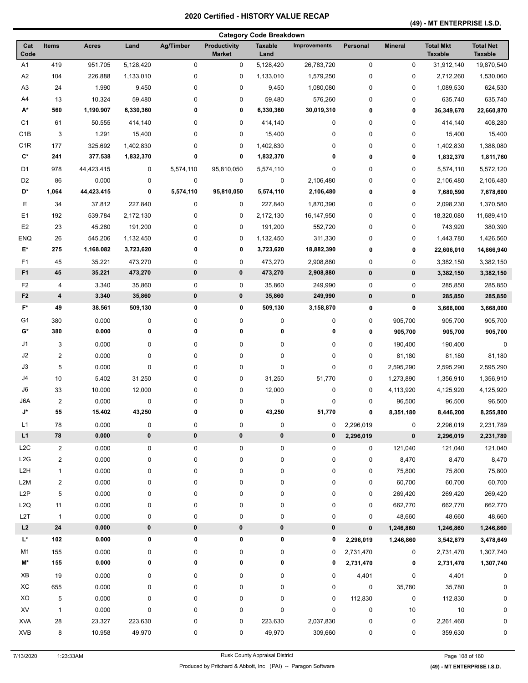### **(49) - MT ENTERPRISE I.S.D.**

| <b>Category Code Breakdown</b> |                         |                |           |             |                                      |                        |                     |           |                |                                    |                                    |
|--------------------------------|-------------------------|----------------|-----------|-------------|--------------------------------------|------------------------|---------------------|-----------|----------------|------------------------------------|------------------------------------|
| Cat<br>Code                    | <b>Items</b>            | <b>Acres</b>   | Land      | Ag/Timber   | <b>Productivity</b><br><b>Market</b> | <b>Taxable</b><br>Land | <b>Improvements</b> | Personal  | <b>Mineral</b> | <b>Total Mkt</b><br><b>Taxable</b> | <b>Total Net</b><br><b>Taxable</b> |
| A <sub>1</sub>                 | 419                     | 951.705        | 5,128,420 | 0           | 0                                    | 5,128,420              | 26,783,720          | 0         | 0              | 31,912,140                         | 19,870,540                         |
| A2                             | 104                     | 226.888        | 1,133,010 | 0           | 0                                    | 1,133,010              | 1,579,250           | 0         | 0              | 2,712,260                          | 1,530,060                          |
| A <sub>3</sub>                 | 24                      | 1.990          | 9,450     | 0           | 0                                    | 9,450                  | 1,080,080           | 0         | 0              | 1,089,530                          | 624,530                            |
| A4                             | 13                      | 10.324         | 59,480    | 0           | 0                                    | 59,480                 | 576,260             | 0         | 0              | 635,740                            | 635,740                            |
| A*                             | 560                     | 1,190.907      | 6,330,360 | 0           | 0                                    | 6,330,360              | 30,019,310          | 0         | 0              | 36,349,670                         | 22,660,870                         |
| C <sub>1</sub>                 | 61                      | 50.555         | 414,140   | 0           | 0                                    | 414,140                | $\pmb{0}$           | 0         | 0              | 414,140                            | 408,280                            |
| C <sub>1</sub> B               | 3                       | 1.291          | 15,400    | 0           | 0                                    | 15,400                 | 0                   | 0         | 0              | 15,400                             | 15,400                             |
| C <sub>1</sub> R               | 177                     | 325.692        | 1,402,830 | 0           | 0                                    | 1,402,830              | 0                   | 0         | 0              | 1,402,830                          | 1,388,080                          |
| $\mathbf{C}^*$                 | 241                     | 377.538        | 1,832,370 | 0           | 0                                    | 1,832,370              | 0                   | 0         | 0              | 1,832,370                          | 1,811,760                          |
| D <sub>1</sub>                 | 978                     | 44,423.415     | 0         | 5,574,110   | 95,810,050                           | 5,574,110              | $\pmb{0}$           | 0         | 0              | 5,574,110                          | 5,572,120                          |
| D <sub>2</sub>                 | 86                      | 0.000          | 0         | $\mathbf 0$ | 0                                    | 0                      | 2,106,480           | 0         | 0              | 2,106,480                          | 2,106,480                          |
| D*                             | 1,064                   | 44,423.415     | 0         | 5,574,110   | 95,810,050                           | 5,574,110              | 2,106,480           | 0         | 0              | 7,680,590                          | 7,678,600                          |
| Е                              | 34                      | 37.812         | 227,840   | 0           | 0                                    | 227,840                | 1,870,390           | 0         | 0              | 2,098,230                          | 1,370,580                          |
| E <sub>1</sub>                 | 192                     | 539.784        | 2,172,130 | 0           | 0                                    | 2,172,130              | 16,147,950          | 0         | 0              | 18,320,080                         | 11,689,410                         |
| E <sub>2</sub>                 | 23                      | 45.280         | 191,200   | 0           | 0                                    | 191,200                | 552,720             | 0         | 0              | 743,920                            | 380,390                            |
| <b>ENQ</b>                     | 26                      | 545.206        | 1,132,450 | 0           | 0                                    | 1,132,450              | 311,330             | 0         | 0              | 1,443,780                          | 1,426,560                          |
| E*                             | 275                     | 1,168.082      | 3,723,620 | 0           | 0                                    | 3,723,620              | 18,882,390          | 0         | 0              | 22,606,010                         | 14,866,940                         |
| F1                             | 45                      | 35.221         | 473,270   | 0           | 0                                    | 473,270                | 2,908,880           | 0         | 0              | 3,382,150                          | 3,382,150                          |
| F <sub>1</sub>                 | 45                      | 35.221         | 473,270   | $\pmb{0}$   | 0                                    | 473,270                | 2,908,880           | $\pmb{0}$ | $\pmb{0}$      | 3,382,150                          | 3,382,150                          |
| F <sub>2</sub>                 | 4                       | 3.340          | 35,860    | $\pmb{0}$   | 0                                    | 35,860                 | 249,990             | 0         | 0              | 285,850                            | 285,850                            |
| F <sub>2</sub>                 | 4                       | 3.340          | 35,860    | $\pmb{0}$   | 0                                    | 35,860                 | 249,990             | $\pmb{0}$ | 0              | 285,850                            | 285,850                            |
| $F^*$                          | 49                      | 38.561         | 509,130   | 0           | 0                                    | 509,130                | 3,158,870           | 0         | 0              | 3,668,000                          | 3,668,000                          |
| G <sub>1</sub>                 |                         |                |           |             |                                      |                        |                     |           |                |                                    |                                    |
| G*                             | 380<br>380              | 0.000<br>0.000 | 0<br>0    | 0<br>0      | 0<br>0                               | 0<br>0                 | $\pmb{0}$<br>0      | 0<br>0    | 905,700        | 905,700                            | 905,700                            |
|                                |                         |                |           |             |                                      |                        |                     |           | 905,700        | 905,700                            | 905,700                            |
| J1                             | 3                       | 0.000          | 0         | 0           | 0                                    | 0                      | $\pmb{0}$           | 0         | 190,400        | 190,400                            | 0                                  |
| J <sub>2</sub>                 | $\overline{c}$          | 0.000          | 0         | 0           | 0                                    | 0                      | $\pmb{0}$           | 0         | 81,180         | 81,180                             | 81,180                             |
| J3                             | 5                       | 0.000          | 0         | 0           | 0                                    | 0                      | $\pmb{0}$           | 0         | 2,595,290      | 2,595,290                          | 2,595,290                          |
| J4                             | 10                      | 5.402          | 31,250    | 0           | 0                                    | 31,250                 | 51,770              | 0         | 1,273,890      | 1,356,910                          | 1,356,910                          |
| J6                             | 33                      | 10.000         | 12,000    | 0           | 0                                    | 12,000                 | $\pmb{0}$           | 0         | 4,113,920      | 4,125,920                          | 4,125,920                          |
| J6A                            | $\mathbf 2$             | 0.000          | 0         | 0           | 0                                    | 0                      | $\pmb{0}$           | 0         | 96,500         | 96,500                             | 96,500                             |
| J*                             | 55                      | 15.402         | 43,250    | 0           | 0                                    | 43,250                 | 51,770              | 0         | 8,351,180      | 8,446,200                          | 8,255,800                          |
| L1                             | 78                      | 0.000          | 0         | $\pmb{0}$   | 0                                    | $\pmb{0}$              | 0                   | 2,296,019 | $\pmb{0}$      | 2,296,019                          | 2,231,789                          |
| L1                             | ${\bf 78}$              | 0.000          | $\pmb{0}$ | $\pmb{0}$   | 0                                    | 0                      | 0                   | 2,296,019 | 0              | 2,296,019                          | 2,231,789                          |
| L <sub>2</sub> C               | $\overline{c}$          | 0.000          | 0         | $\pmb{0}$   | 0                                    | 0                      | $\pmb{0}$           | 0         | 121,040        | 121,040                            | 121,040                            |
| L2G                            | $\overline{\mathbf{c}}$ | 0.000          | 0         | 0           | 0                                    | 0                      | $\pmb{0}$           | 0         | 8,470          | 8,470                              | 8,470                              |
| L <sub>2</sub> H               | 1                       | 0.000          | 0         | $\pmb{0}$   | 0                                    | 0                      | $\pmb{0}$           | 0         | 75,800         | 75,800                             | 75,800                             |
| L2M                            | $\overline{\mathbf{c}}$ | 0.000          | 0         | 0           | 0                                    | 0                      | $\pmb{0}$           | 0         | 60,700         | 60,700                             | 60,700                             |
| L <sub>2</sub> P               | 5                       | 0.000          | 0         | 0           | 0                                    | 0                      | 0                   | 0         | 269,420        | 269,420                            | 269,420                            |
| L2Q                            | 11                      | 0.000          | 0         | 0           | 0                                    | 0                      | $\pmb{0}$           | 0         | 662,770        | 662,770                            | 662,770                            |
| L2T                            | $\mathbf{1}$            | 0.000          | 0         | 0           | 0                                    | 0                      | $\pmb{0}$           | 0         | 48,660         | 48,660                             | 48,660                             |
| L2                             | 24                      | 0.000          | $\pmb{0}$ | $\pmb{0}$   | 0                                    | 0                      | 0                   | $\bf{0}$  | 1,246,860      | 1,246,860                          | 1,246,860                          |
| L*                             | 102                     | 0.000          | 0         | 0           | 0                                    | 0                      | 0                   | 2,296,019 | 1,246,860      | 3,542,879                          | 3,478,649                          |
| M1                             | 155                     | 0.000          | 0         | 0           | 0                                    | 0                      | 0                   | 2,731,470 | 0              | 2,731,470                          | 1,307,740                          |
| M*                             | 155                     | 0.000          | 0         | 0           | 0                                    | 0                      | 0                   | 2,731,470 | 0              | 2,731,470                          | 1,307,740                          |
| XB                             | 19                      | 0.000          | 0         | 0           | 0                                    | 0                      | 0                   | 4,401     | 0              | 4,401                              | 0                                  |
| XC                             | 655                     | 0.000          | 0         | 0           | 0                                    | 0                      | $\pmb{0}$           | 0         | 35,780         | 35,780                             | 0                                  |
| XO                             | 5                       | 0.000          | 0         | 0           | 0                                    | 0                      | 0                   | 112,830   | 0              | 112,830                            | 0                                  |
| XV                             | 1                       | 0.000          | 0         | 0           | 0                                    | 0                      | $\pmb{0}$           | 0         | 10             | 10                                 | <sup>0</sup>                       |
| <b>XVA</b>                     | 28                      | 23.327         | 223,630   | 0           | 0                                    | 223,630                | 2,037,830           | 0         | 0              | 2,261,460                          | <sup>0</sup>                       |
| <b>XVB</b>                     | 8                       | 10.958         | 49,970    | 0           | 0                                    | 49,970                 | 309,660             | 0         | 0              | 359,630                            | 0                                  |
|                                |                         |                |           |             |                                      |                        |                     |           |                |                                    |                                    |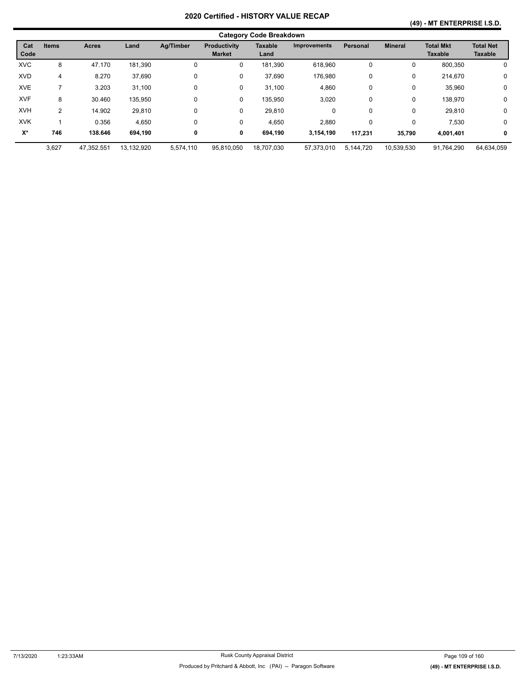### **(49) - MT ENTERPRISE I.S.D.**

| <b>Category Code Breakdown</b> |              |              |            |           |                               |                        |                     |                 |                |                                    |                                    |
|--------------------------------|--------------|--------------|------------|-----------|-------------------------------|------------------------|---------------------|-----------------|----------------|------------------------------------|------------------------------------|
| Cat<br>Code                    | <b>Items</b> | <b>Acres</b> | Land       | Ag/Timber | Productivity<br><b>Market</b> | <b>Taxable</b><br>Land | <b>Improvements</b> | <b>Personal</b> | <b>Mineral</b> | <b>Total Mkt</b><br><b>Taxable</b> | <b>Total Net</b><br><b>Taxable</b> |
| <b>XVC</b>                     | 8            | 47.170       | 181,390    | 0         | 0                             | 181.390                | 618.960             | 0               | 0              | 800,350                            | 0                                  |
| <b>XVD</b>                     | 4            | 8.270        | 37,690     | 0         | 0                             | 37,690                 | 176,980             | 0               | 0              | 214,670                            | 0                                  |
| <b>XVE</b>                     |              | 3.203        | 31,100     | 0         | 0                             | 31.100                 | 4,860               | 0               | 0              | 35.960                             | $\mathbf 0$                        |
| <b>XVF</b>                     | 8            | 30.460       | 135,950    | 0         | 0                             | 135,950                | 3,020               | 0               | 0              | 138,970                            | 0                                  |
| <b>XVH</b>                     | 2            | 14.902       | 29,810     | 0         | 0                             | 29,810                 | 0                   | 0               | 0              | 29,810                             | $\mathbf 0$                        |
| <b>XVK</b>                     |              | 0.356        | 4,650      | 0         | 0                             | 4,650                  | 2,880               | 0               | 0              | 7,530                              | $\mathbf 0$                        |
| $X^*$                          | 746          | 138.646      | 694.190    | 0         | 0                             | 694,190                | 3.154.190           | 117.231         | 35,790         | 4,001,401                          | 0                                  |
|                                | 3,627        | 47.352.551   | 13.132.920 | 5,574,110 | 95.810.050                    | 18.707.030             | 57.373.010          | 5.144.720       | 10,539,530     | 91.764.290                         | 64,634,059                         |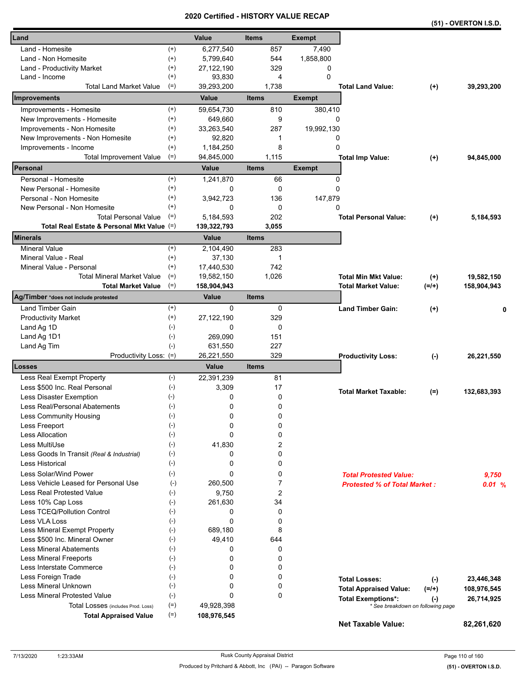|                                                               |                    | a unea      | ו טווי<br>VN L |               |                                                                |          | (51) - OVERTON I.S.D. |
|---------------------------------------------------------------|--------------------|-------------|----------------|---------------|----------------------------------------------------------------|----------|-----------------------|
| Land                                                          |                    | Value       | <b>Items</b>   | <b>Exempt</b> |                                                                |          |                       |
| Land - Homesite                                               | $^{(+)}$           | 6,277,540   | 857            | 7,490         |                                                                |          |                       |
| Land - Non Homesite                                           | $^{(+)}$           | 5,799,640   | 544            | 1,858,800     |                                                                |          |                       |
| Land - Productivity Market                                    | $^{(+)}$           | 27,122,190  | 329            | 0             |                                                                |          |                       |
| Land - Income                                                 | $^{(+)}$           | 93,830      | 4              | $\Omega$      |                                                                |          |                       |
| <b>Total Land Market Value</b>                                | $(=)$              | 39,293,200  | 1,738          |               | <b>Total Land Value:</b>                                       | $(+)$    | 39,293,200            |
| Improvements                                                  |                    | Value       | <b>Items</b>   | <b>Exempt</b> |                                                                |          |                       |
| Improvements - Homesite                                       | $^{(+)}$           | 59,654,730  | 810            | 380,410       |                                                                |          |                       |
| New Improvements - Homesite                                   | $^{(+)}$           | 649,660     | 9              | 0             |                                                                |          |                       |
| Improvements - Non Homesite                                   | $^{(+)}$           | 33,263,540  | 287            | 19,992,130    |                                                                |          |                       |
| New Improvements - Non Homesite                               | $^{(+)}$           | 92,820      | 1              | 0             |                                                                |          |                       |
| Improvements - Income                                         | $^{(+)}$           | 1,184,250   | 8              | 0             |                                                                |          |                       |
| <b>Total Improvement Value</b>                                | $(=)$              | 94,845,000  | 1,115          |               | <b>Total Imp Value:</b>                                        | $^{(+)}$ | 94,845,000            |
| Personal                                                      |                    | Value       | <b>Items</b>   | <b>Exempt</b> |                                                                |          |                       |
| Personal - Homesite                                           | $^{(+)}$           | 1,241,870   | 66             | 0             |                                                                |          |                       |
| New Personal - Homesite                                       | $^{(+)}$           | 0           | 0              | 0             |                                                                |          |                       |
| Personal - Non Homesite                                       | $^{(+)}$           | 3,942,723   | 136            | 147,879       |                                                                |          |                       |
| New Personal - Non Homesite                                   | $^{(+)}$           | 0           | 0              | $\Omega$      |                                                                |          |                       |
| <b>Total Personal Value</b>                                   | $(=)$              | 5.184.593   | 202            |               | <b>Total Personal Value:</b>                                   | $(+)$    | 5,184,593             |
| Total Real Estate & Personal Mkt Value (=)                    |                    | 139,322,793 | 3,055          |               |                                                                |          |                       |
| <b>Minerals</b>                                               |                    | Value       | <b>Items</b>   |               |                                                                |          |                       |
| <b>Mineral Value</b>                                          | $^{(+)}$           | 2,104,490   | 283            |               |                                                                |          |                       |
| Mineral Value - Real                                          | $^{(+)}$           | 37,130      | 1              |               |                                                                |          |                       |
| Mineral Value - Personal                                      | $^{(+)}$           | 17,440,530  | 742            |               |                                                                |          |                       |
| <b>Total Mineral Market Value</b>                             | $(=)$              | 19,582,150  | 1,026          |               | <b>Total Min Mkt Value:</b>                                    | $(+)$    | 19,582,150            |
| <b>Total Market Value</b>                                     | $(=)$              | 158,904,943 |                |               | <b>Total Market Value:</b>                                     | $(=/+)$  | 158,904,943           |
| Ag/Timber *does not include protested                         |                    | Value       | <b>Items</b>   |               |                                                                |          |                       |
| Land Timber Gain                                              | $^{(+)}$           | 0           | 0              |               | <b>Land Timber Gain:</b>                                       | $(+)$    | 0                     |
| <b>Productivity Market</b>                                    | $^{(+)}$           | 27,122,190  | 329            |               |                                                                |          |                       |
| Land Ag 1D                                                    | $(-)$              | 0           | 0              |               |                                                                |          |                       |
| Land Ag 1D1                                                   | $(-)$              | 269,090     | 151            |               |                                                                |          |                       |
| Land Ag Tim                                                   | $(-)$              | 631,550     | 227            |               |                                                                |          |                       |
| Productivity Loss: (=)                                        |                    | 26,221,550  | 329            |               | <b>Productivity Loss:</b>                                      | $(-)$    | 26,221,550            |
| Losses                                                        |                    | Value       | <b>Items</b>   |               |                                                                |          |                       |
| Less Real Exempt Property                                     | $(-)$              | 22,391,239  | 81             |               |                                                                |          |                       |
| Less \$500 Inc. Real Personal                                 | $(-)$              | 3,309       | 17             |               | <b>Total Market Taxable:</b>                                   | $(=)$    | 132,683,393           |
| Less Disaster Exemption                                       | $(-)$              | 0           | 0              |               |                                                                |          |                       |
| Less Real/Personal Abatements                                 | $(\textnormal{-})$ | 0           | 0              |               |                                                                |          |                       |
| Less Community Housing                                        | $(-)$              | 0           | 0              |               |                                                                |          |                       |
| Less Freeport                                                 | $(-)$              | 0           | 0              |               |                                                                |          |                       |
| <b>Less Allocation</b>                                        | $(-)$              | 0           | 0              |               |                                                                |          |                       |
| Less MultiUse                                                 | $(-)$              | 41,830      | 2              |               |                                                                |          |                       |
| Less Goods In Transit (Real & Industrial)                     | $(-)$              | 0           | 0              |               |                                                                |          |                       |
| <b>Less Historical</b>                                        | $(-)$              | 0           | 0              |               |                                                                |          |                       |
| Less Solar/Wind Power                                         | $(-)$              | 0           | 0              |               | <b>Total Protested Value:</b>                                  |          | 9,750                 |
| Less Vehicle Leased for Personal Use                          | $(-)$              | 260,500     | $\overline{7}$ |               | <b>Protested % of Total Market:</b>                            |          | 0.01 %                |
| Less Real Protested Value                                     | $(-)$              | 9,750       | $\overline{c}$ |               |                                                                |          |                       |
| Less 10% Cap Loss                                             | $(-)$              | 261,630     | 34             |               |                                                                |          |                       |
| Less TCEQ/Pollution Control                                   | $(-)$              | 0           | 0              |               |                                                                |          |                       |
| Less VLA Loss                                                 | $(-)$              | 0           | 0<br>8         |               |                                                                |          |                       |
| Less Mineral Exempt Property<br>Less \$500 Inc. Mineral Owner | $(-)$              | 689,180     |                |               |                                                                |          |                       |
| <b>Less Mineral Abatements</b>                                | $(-)$<br>$(-)$     | 49,410<br>0 | 644<br>0       |               |                                                                |          |                       |
| <b>Less Mineral Freeports</b>                                 | $(-)$              | 0           | 0              |               |                                                                |          |                       |
| Less Interstate Commerce                                      | $(-)$              | 0           | 0              |               |                                                                |          |                       |
| Less Foreign Trade                                            | $(-)$              | 0           | 0              |               |                                                                |          |                       |
| Less Mineral Unknown                                          | $(-)$              | 0           | 0              |               | <b>Total Losses:</b>                                           | $(-)$    | 23,446,348            |
| <b>Less Mineral Protested Value</b>                           | $(-)$              | 0           | 0              |               | <b>Total Appraised Value:</b>                                  | $(=/+)$  | 108,976,545           |
| Total Losses (includes Prod. Loss)                            | $(=)$              | 49,928,398  |                |               | <b>Total Exemptions*:</b><br>* See breakdown on following page | $(-)$    | 26,714,925            |
| <b>Total Appraised Value</b>                                  | $(=)$              | 108,976,545 |                |               |                                                                |          |                       |
|                                                               |                    |             |                |               | <b>Net Taxable Value:</b>                                      |          | 82,261,620            |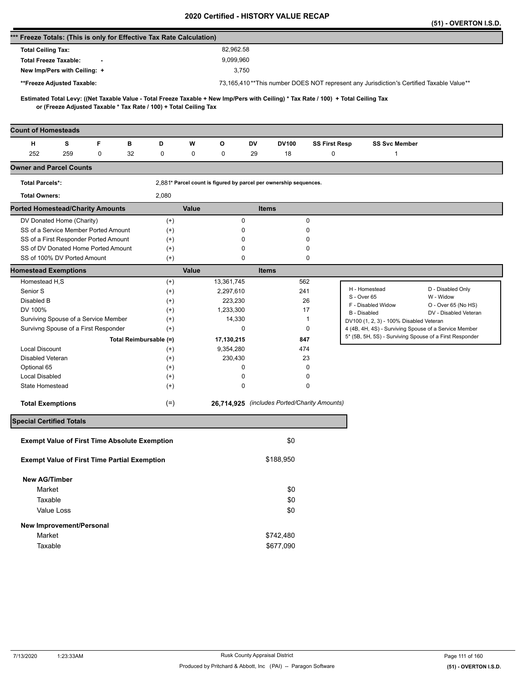|                                                                              |     |             |    |                                                                   |       |                                                                                                                                     |              |              |                                              |                                                                                                  | (51) - OVERTON I.S.D. |
|------------------------------------------------------------------------------|-----|-------------|----|-------------------------------------------------------------------|-------|-------------------------------------------------------------------------------------------------------------------------------------|--------------|--------------|----------------------------------------------|--------------------------------------------------------------------------------------------------|-----------------------|
| *** Freeze Totals: (This is only for Effective Tax Rate Calculation)         |     |             |    |                                                                   |       |                                                                                                                                     |              |              |                                              |                                                                                                  |                       |
| <b>Total Ceiling Tax:</b>                                                    |     |             |    |                                                                   |       | 82,962.58                                                                                                                           |              |              |                                              |                                                                                                  |                       |
| <b>Total Freeze Taxable:</b>                                                 |     |             |    |                                                                   |       | 9,099,960                                                                                                                           |              |              |                                              |                                                                                                  |                       |
| New Imp/Pers with Ceiling: +                                                 |     |             |    |                                                                   |       | 3,750                                                                                                                               |              |              |                                              |                                                                                                  |                       |
| **Freeze Adjusted Taxable:                                                   |     |             |    |                                                                   |       |                                                                                                                                     |              |              |                                              | 73,165,410**This number DOES NOT represent any Jurisdiction's Certified Taxable Value**          |                       |
|                                                                              |     |             |    |                                                                   |       |                                                                                                                                     |              |              |                                              |                                                                                                  |                       |
|                                                                              |     |             |    | or (Freeze Adjusted Taxable * Tax Rate / 100) + Total Ceiling Tax |       | Estimated Total Levy: ((Net Taxable Value - Total Freeze Taxable + New Imp/Pers with Ceiling) * Tax Rate / 100) + Total Ceiling Tax |              |              |                                              |                                                                                                  |                       |
| <b>Count of Homesteads</b>                                                   |     |             |    |                                                                   |       |                                                                                                                                     |              |              |                                              |                                                                                                  |                       |
| н                                                                            | s   | F           | в  | D                                                                 | W     | o                                                                                                                                   | DV           | <b>DV100</b> | <b>SS First Resp</b>                         | <b>SS Svc Member</b>                                                                             |                       |
| 252                                                                          | 259 | $\mathbf 0$ | 32 | 0                                                                 | 0     | 0                                                                                                                                   | 29           | 18           | 0                                            | 1                                                                                                |                       |
| <b>Owner and Parcel Counts</b>                                               |     |             |    |                                                                   |       |                                                                                                                                     |              |              |                                              |                                                                                                  |                       |
| <b>Total Parcels*:</b>                                                       |     |             |    |                                                                   |       | 2,881* Parcel count is figured by parcel per ownership sequences.                                                                   |              |              |                                              |                                                                                                  |                       |
| <b>Total Owners:</b>                                                         |     |             |    | 2,080                                                             |       |                                                                                                                                     |              |              |                                              |                                                                                                  |                       |
| <b>Ported Homestead/Charity Amounts</b>                                      |     |             |    |                                                                   | Value |                                                                                                                                     | <b>Items</b> |              |                                              |                                                                                                  |                       |
| DV Donated Home (Charity)                                                    |     |             |    | $^{(+)}$                                                          |       | $\pmb{0}$                                                                                                                           |              |              | 0                                            |                                                                                                  |                       |
| SS of a Service Member Ported Amount                                         |     |             |    | $^{(+)}$                                                          |       | 0                                                                                                                                   |              |              | 0                                            |                                                                                                  |                       |
| SS of a First Responder Ported Amount                                        |     |             |    | $^{(+)}$                                                          |       | 0                                                                                                                                   |              |              | 0                                            |                                                                                                  |                       |
| SS of DV Donated Home Ported Amount                                          |     |             |    | $^{(+)}$                                                          |       | 0                                                                                                                                   |              |              | 0                                            |                                                                                                  |                       |
| SS of 100% DV Ported Amount                                                  |     |             |    | $^{(+)}$                                                          |       | 0                                                                                                                                   |              |              | 0                                            |                                                                                                  |                       |
| <b>Homestead Exemptions</b>                                                  |     |             |    |                                                                   | Value |                                                                                                                                     | <b>Items</b> |              |                                              |                                                                                                  |                       |
| Homestead H,S                                                                |     |             |    | $^{(+)}$                                                          |       | 13,361,745                                                                                                                          |              |              | 562                                          | H - Homestead                                                                                    | D - Disabled Only     |
| Senior S                                                                     |     |             |    | $^{(+)}$                                                          |       | 2,297,610                                                                                                                           |              | 241          |                                              | S - Over 65                                                                                      | W - Widow             |
| Disabled B                                                                   |     |             |    | $^{(+)}$                                                          |       | 223,230                                                                                                                             |              |              | 26                                           | F - Disabled Widow                                                                               | O - Over 65 (No HS)   |
| DV 100%                                                                      |     |             |    | $^{(+)}$                                                          |       | 1,233,300<br>14,330                                                                                                                 |              |              | 17<br>1                                      | B - Disabled                                                                                     | DV - Disabled Veteran |
| Surviving Spouse of a Service Member<br>Survivng Spouse of a First Responder |     |             |    | $^{(+)}$<br>$^{(+)}$                                              |       | 0                                                                                                                                   |              |              | 0                                            | DV100 (1, 2, 3) - 100% Disabled Veteran<br>4 (4B, 4H, 4S) - Surviving Spouse of a Service Member |                       |
|                                                                              |     |             |    | Total Reimbursable (=)                                            |       | 17,130,215                                                                                                                          |              | 847          |                                              | 5* (5B, 5H, 5S) - Surviving Spouse of a First Responder                                          |                       |
| <b>Local Discount</b>                                                        |     |             |    | $^{(+)}$                                                          |       | 9,354,280                                                                                                                           |              | 474          |                                              |                                                                                                  |                       |
| Disabled Veteran                                                             |     |             |    | $^{(+)}$                                                          |       | 230,430                                                                                                                             |              |              | 23                                           |                                                                                                  |                       |
| Optional 65                                                                  |     |             |    | $^{(+)}$                                                          |       | 0                                                                                                                                   |              |              | 0                                            |                                                                                                  |                       |
| <b>Local Disabled</b>                                                        |     |             |    | $^{(+)}$                                                          |       | 0                                                                                                                                   |              |              | 0                                            |                                                                                                  |                       |
| State Homestead                                                              |     |             |    | $^{(+)}$                                                          |       | 0                                                                                                                                   |              |              | 0                                            |                                                                                                  |                       |
| <b>Total Exemptions</b>                                                      |     |             |    | $(=)$                                                             |       |                                                                                                                                     |              |              | 26,714,925 (includes Ported/Charity Amounts) |                                                                                                  |                       |
| <b>Special Certified Totals</b>                                              |     |             |    |                                                                   |       |                                                                                                                                     |              |              |                                              |                                                                                                  |                       |
|                                                                              |     |             |    |                                                                   |       |                                                                                                                                     |              | \$0          |                                              |                                                                                                  |                       |
| <b>Exempt Value of First Time Absolute Exemption</b>                         |     |             |    |                                                                   |       |                                                                                                                                     |              |              |                                              |                                                                                                  |                       |
| <b>Exempt Value of First Time Partial Exemption</b>                          |     |             |    |                                                                   |       |                                                                                                                                     |              | \$188,950    |                                              |                                                                                                  |                       |
| <b>New AG/Timber</b>                                                         |     |             |    |                                                                   |       |                                                                                                                                     |              |              |                                              |                                                                                                  |                       |
| Market                                                                       |     |             |    |                                                                   |       |                                                                                                                                     |              | \$0          |                                              |                                                                                                  |                       |
| Taxable                                                                      |     |             |    |                                                                   |       |                                                                                                                                     |              | \$0          |                                              |                                                                                                  |                       |
| Value Loss                                                                   |     |             |    |                                                                   |       |                                                                                                                                     |              | \$0          |                                              |                                                                                                  |                       |
| New Improvement/Personal                                                     |     |             |    |                                                                   |       |                                                                                                                                     |              |              |                                              |                                                                                                  |                       |
| Market                                                                       |     |             |    |                                                                   |       |                                                                                                                                     |              | \$742,480    |                                              |                                                                                                  |                       |
| Taxable                                                                      |     |             |    |                                                                   |       |                                                                                                                                     |              | \$677,090    |                                              |                                                                                                  |                       |
|                                                                              |     |             |    |                                                                   |       |                                                                                                                                     |              |              |                                              |                                                                                                  |                       |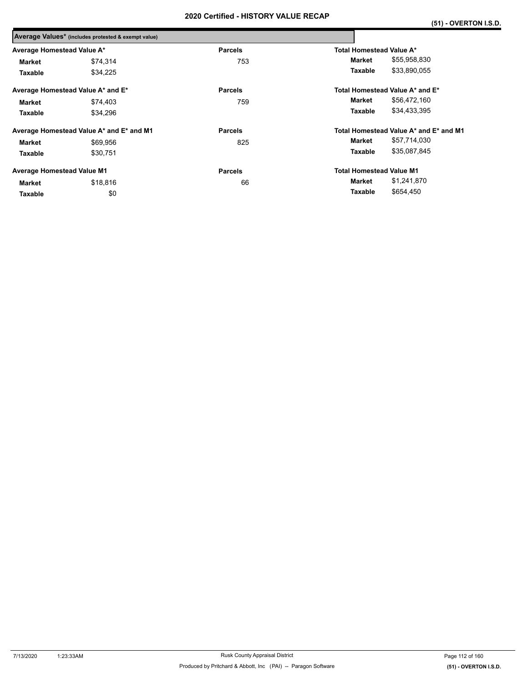|                                   | Average Values* (includes protested & exempt value) |                |                                 |                                        |
|-----------------------------------|-----------------------------------------------------|----------------|---------------------------------|----------------------------------------|
| Average Homestead Value A*        |                                                     | <b>Parcels</b> | Total Homestead Value A*        |                                        |
| <b>Market</b>                     | \$74,314                                            | 753            | Market                          | \$55,958,830                           |
| Taxable                           | \$34.225                                            |                | Taxable                         | \$33,890,055                           |
|                                   | Average Homestead Value A* and E*                   | <b>Parcels</b> |                                 | Total Homestead Value A* and E*        |
| <b>Market</b>                     | \$74,403                                            | 759            | Market                          | \$56,472,160                           |
| Taxable                           | \$34.296                                            |                | Taxable                         | \$34,433,395                           |
|                                   | Average Homestead Value A* and E* and M1            | <b>Parcels</b> |                                 | Total Homestead Value A* and E* and M1 |
| Market                            | \$69,956                                            | 825            | Market                          | \$57,714,030                           |
| Taxable                           | \$30,751                                            |                | Taxable                         | \$35,087,845                           |
| <b>Average Homestead Value M1</b> |                                                     | <b>Parcels</b> | <b>Total Homestead Value M1</b> |                                        |
| Market                            | \$18,816                                            | 66             | Market                          | \$1,241,870                            |
| Taxable                           | \$0                                                 |                | Taxable                         | \$654,450                              |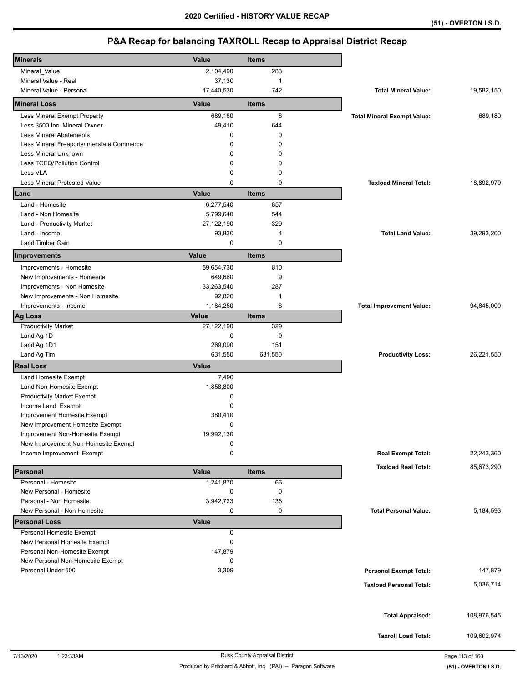| <b>Minerals</b>                            | Value        | <b>Items</b>   |                                    |             |
|--------------------------------------------|--------------|----------------|------------------------------------|-------------|
| Mineral_Value                              | 2,104,490    | 283            |                                    |             |
| Mineral Value - Real                       | 37,130       | $\overline{1}$ |                                    |             |
| Mineral Value - Personal                   | 17,440,530   | 742            | <b>Total Mineral Value:</b>        | 19,582,150  |
| <b>Mineral Loss</b>                        | Value        | <b>Items</b>   |                                    |             |
| Less Mineral Exempt Property               | 689,180      | 8              | <b>Total Mineral Exempt Value:</b> | 689,180     |
| Less \$500 Inc. Mineral Owner              | 49,410       | 644            |                                    |             |
| <b>Less Mineral Abatements</b>             | 0            | $\mathbf 0$    |                                    |             |
| Less Mineral Freeports/Interstate Commerce | 0            | $\Omega$       |                                    |             |
| Less Mineral Unknown                       | 0            | 0              |                                    |             |
| Less TCEQ/Pollution Control                | 0            | $\mathbf 0$    |                                    |             |
| Less VLA                                   | 0            | 0              |                                    |             |
| Less Mineral Protested Value               | $\Omega$     | $\mathbf 0$    | <b>Taxload Mineral Total:</b>      | 18,892,970  |
| Land                                       | Value        | <b>Items</b>   |                                    |             |
| Land - Homesite                            | 6,277,540    | 857            |                                    |             |
| Land - Non Homesite                        | 5,799,640    | 544            |                                    |             |
| Land - Productivity Market                 | 27,122,190   | 329            |                                    |             |
| Land - Income                              | 93,830       | 4              | <b>Total Land Value:</b>           | 39,293,200  |
| Land Timber Gain                           | 0            | $\mathbf 0$    |                                    |             |
| Improvements                               | Value        | <b>Items</b>   |                                    |             |
| Improvements - Homesite                    | 59,654,730   | 810            |                                    |             |
| New Improvements - Homesite                | 649,660      | 9              |                                    |             |
| Improvements - Non Homesite                | 33,263,540   | 287            |                                    |             |
| New Improvements - Non Homesite            | 92,820       | $\overline{1}$ |                                    |             |
| Improvements - Income                      | 1,184,250    | 8              | <b>Total Improvement Value:</b>    | 94,845,000  |
| <b>Ag Loss</b>                             | Value        | <b>Items</b>   |                                    |             |
| <b>Productivity Market</b>                 | 27,122,190   | 329            |                                    |             |
| Land Ag 1D                                 | 0            | 0              |                                    |             |
| Land Ag 1D1                                | 269,090      | 151            |                                    |             |
| Land Ag Tim                                | 631,550      | 631,550        | <b>Productivity Loss:</b>          | 26,221,550  |
| <b>Real Loss</b>                           | <b>Value</b> |                |                                    |             |
| Land Homesite Exempt                       | 7,490        |                |                                    |             |
| Land Non-Homesite Exempt                   | 1,858,800    |                |                                    |             |
| <b>Productivity Market Exempt</b>          | 0            |                |                                    |             |
| Income Land Exempt                         | 0            |                |                                    |             |
| Improvement Homesite Exempt                | 380,410      |                |                                    |             |
| New Improvement Homesite Exempt            | 0            |                |                                    |             |
| Improvement Non-Homesite Exempt            | 19,992,130   |                |                                    |             |
| New Improvement Non-Homesite Exempt        | 0            |                |                                    |             |
| Income Improvement Exempt                  | 0            |                | <b>Real Exempt Total:</b>          | 22,243,360  |
| Personal                                   | Value        | <b>Items</b>   | <b>Taxload Real Total:</b>         | 85,673,290  |
| Personal - Homesite                        | 1,241,870    | 66             |                                    |             |
| New Personal - Homesite                    | 0            | 0              |                                    |             |
| Personal - Non Homesite                    | 3,942,723    | 136            |                                    |             |
| New Personal - Non Homesite                | 0            | 0              | <b>Total Personal Value:</b>       | 5,184,593   |
| <b>Personal Loss</b>                       | <b>Value</b> |                |                                    |             |
| Personal Homesite Exempt                   | 0            |                |                                    |             |
| New Personal Homesite Exempt               | 0            |                |                                    |             |
| Personal Non-Homesite Exempt               | 147,879      |                |                                    |             |
| New Personal Non-Homesite Exempt           | 0            |                |                                    |             |
| Personal Under 500                         | 3,309        |                | <b>Personal Exempt Total:</b>      | 147,879     |
|                                            |              |                | <b>Taxload Personal Total:</b>     | 5,036,714   |
|                                            |              |                |                                    |             |
|                                            |              |                |                                    |             |
|                                            |              |                | <b>Total Appraised:</b>            | 108,976,545 |
|                                            |              |                |                                    |             |
|                                            |              |                | <b>Taxroll Load Total:</b>         | 109,602,974 |
|                                            |              |                |                                    |             |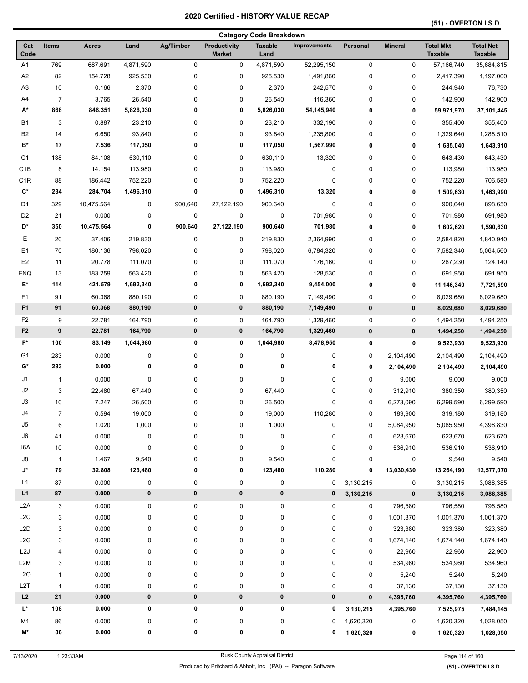**(51) - OVERTON I.S.D.** 

|                      |                |                     |           |                  |                                      | <b>Category Code Breakdown</b> |                    |             |                  |                                    |                                    |
|----------------------|----------------|---------------------|-----------|------------------|--------------------------------------|--------------------------------|--------------------|-------------|------------------|------------------------------------|------------------------------------|
| Cat<br>Code          | <b>Items</b>   | <b>Acres</b>        | Land      | <b>Ag/Timber</b> | <b>Productivity</b><br><b>Market</b> | <b>Taxable</b><br>Land         | Improvements       | Personal    | <b>Mineral</b>   | <b>Total Mkt</b><br><b>Taxable</b> | <b>Total Net</b><br><b>Taxable</b> |
| A <sub>1</sub>       | 769            | 687.691             | 4,871,590 | $\pmb{0}$        | $\pmb{0}$                            | 4,871,590                      | 52,295,150         | $\pmb{0}$   | 0                | 57,166,740                         | 35,684,815                         |
| A2                   | 82             | 154.728             | 925,530   | 0                | $\pmb{0}$                            | 925,530                        | 1,491,860          | 0           | 0                | 2,417,390                          | 1,197,000                          |
| A3                   | 10             | 0.166               | 2,370     | 0                | $\pmb{0}$                            | 2,370                          | 242,570            | 0           | 0                | 244,940                            | 76,730                             |
| A4                   | $\overline{7}$ | 3.765               | 26,540    | 0                | 0                                    | 26,540                         | 116,360            | 0           | 0                | 142,900                            | 142,900                            |
| A*                   | 868            | 846.351             | 5,826,030 | 0                | 0                                    | 5,826,030                      | 54,145,940         | 0           | 0                | 59,971,970                         | 37,101,445                         |
| <b>B1</b>            | 3              | 0.887               | 23,210    | 0                | 0                                    | 23,210                         | 332,190            | 0           | 0                | 355,400                            | 355,400                            |
| B <sub>2</sub>       | 14             | 6.650               | 93,840    | 0                | 0                                    | 93,840                         | 1,235,800          | 0           | 0                | 1,329,640                          | 1,288,510                          |
| $\mathbf{B}^{\star}$ | 17             | 7.536               | 117,050   | 0                | 0                                    | 117,050                        | 1,567,990          | 0           | 0                | 1,685,040                          | 1,643,910                          |
| C <sub>1</sub>       | 138            | 84.108              | 630,110   | 0                | 0                                    | 630,110                        | 13,320             | 0           | 0                | 643,430                            | 643,430                            |
| C <sub>1</sub> B     | 8              | 14.154              | 113,980   | 0                | 0                                    | 113,980                        | 0                  | 0           | 0                | 113,980                            | 113,980                            |
| C <sub>1R</sub>      | 88             | 186.442             | 752,220   | 0                | 0                                    | 752,220                        | 0                  | 0           | 0                | 752,220                            | 706,580                            |
| $\mathbf{C}^\star$   | 234            | 284.704             | 1,496,310 | 0                | 0                                    | 1,496,310                      | 13,320             | 0           | 0                | 1,509,630                          | 1,463,990                          |
| D <sub>1</sub>       | 329            |                     |           |                  | 27,122,190                           |                                | 0                  | 0           | 0                |                                    |                                    |
| D <sub>2</sub>       |                | 10,475.564<br>0.000 | 0         | 900,640<br>0     |                                      | 900,640                        |                    |             |                  | 900,640                            | 898,650                            |
| D*                   | 21<br>350      |                     | 0<br>0    | 900,640          | $\pmb{0}$<br>27,122,190              | $\pmb{0}$<br>900,640           | 701,980<br>701,980 | 0           | 0<br>0           | 701,980                            | 691,980                            |
|                      |                | 10,475.564          |           |                  |                                      |                                |                    | 0           |                  | 1,602,620                          | 1,590,630                          |
| Ε                    | 20             | 37.406              | 219,830   | 0                | 0                                    | 219,830                        | 2,364,990          | 0           | 0                | 2,584,820                          | 1,840,940                          |
| E <sub>1</sub>       | 70             | 180.136             | 798,020   | 0                | 0                                    | 798,020                        | 6,784,320          | 0           | 0                | 7,582,340                          | 5,064,560                          |
| E <sub>2</sub>       | 11             | 20.778              | 111,070   | 0                | 0                                    | 111,070                        | 176,160            | 0           | 0                | 287,230                            | 124,140                            |
| <b>ENQ</b>           | 13             | 183.259             | 563,420   | 0                | 0                                    | 563,420                        | 128,530            | 0           | 0                | 691,950                            | 691,950                            |
| E*                   | 114            | 421.579             | 1,692,340 | 0                | 0                                    | 1,692,340                      | 9,454,000          | 0           | 0                | 11,146,340                         | 7,721,590                          |
| F <sub>1</sub>       | 91             | 60.368              | 880,190   | 0                | 0                                    | 880,190                        | 7,149,490          | 0           | 0                | 8,029,680                          | 8,029,680                          |
| F <sub>1</sub>       | 91             | 60.368              | 880,190   | 0                | $\pmb{0}$                            | 880,190                        | 7,149,490          | $\pmb{0}$   | 0                | 8,029,680                          | 8,029,680                          |
| F <sub>2</sub>       | 9              | 22.781              | 164,790   | 0                | 0                                    | 164,790                        | 1,329,460          | 0           | 0                | 1,494,250                          | 1,494,250                          |
| F <sub>2</sub>       | 9              | 22.781              | 164,790   | 0                | $\pmb{0}$                            | 164,790                        | 1,329,460          | $\pmb{0}$   | $\pmb{0}$        | 1,494,250                          | 1,494,250                          |
| F*                   | 100            | 83.149              | 1,044,980 | 0                | $\pmb{0}$                            | 1,044,980                      | 8,478,950          | 0           | 0                | 9,523,930                          | 9,523,930                          |
| G <sub>1</sub>       | 283            | 0.000               | 0         | 0                | $\pmb{0}$                            | $\pmb{0}$                      | 0                  | 0           | 2,104,490        | 2,104,490                          | 2,104,490                          |
| G*                   | 283            | 0.000               | 0         | 0                | 0                                    | 0                              | 0                  | 0           | 2,104,490        | 2,104,490                          | 2,104,490                          |
| J <sub>1</sub>       | $\mathbf{1}$   | 0.000               | 0         | 0                | 0                                    | $\pmb{0}$                      | 0                  | 0           | 9,000            | 9,000                              | 9,000                              |
| J2                   | 3              | 22.480              | 67,440    | 0                | 0                                    | 67,440                         | 0                  | 0           | 312,910          | 380,350                            | 380,350                            |
| J3                   | 10             | 7.247               | 26,500    | 0                | 0                                    | 26,500                         | 0                  | 0           | 6,273,090        | 6,299,590                          | 6,299,590                          |
| J4                   | $\overline{7}$ | 0.594               | 19,000    | 0                | $\pmb{0}$                            | 19,000                         | 110,280            | 0           | 189,900          | 319,180                            | 319,180                            |
| J5                   | 6              | 1.020               | 1,000     | 0                | 0                                    | 1,000                          | 0                  | 0           | 5,084,950        | 5,085,950                          | 4,398,830                          |
| J6                   | 41             | 0.000               | 0         | 0                | 0                                    | 0                              | 0                  | 0           | 623,670          | 623,670                            | 623,670                            |
| J6A                  | $10$           | 0.000               | 0         | 0                | 0                                    | $\pmb{0}$                      | 0                  | 0           | 536,910          | 536,910                            | 536,910                            |
| J8                   | $\overline{1}$ | 1.467               | 9,540     | 0                | 0                                    | 9,540                          | 0                  | 0           | 0                | 9,540                              | 9,540                              |
| J*                   | 79             | 32.808              | 123,480   | 0                | 0                                    | 123,480                        | 110,280            | 0           | 13,030,430       | 13,264,190                         | 12,577,070                         |
| L1                   | 87             | 0.000               | 0         | 0                | 0                                    | 0                              | 0                  | 3,130,215   | 0                | 3,130,215                          | 3,088,385                          |
| L1                   | 87             | 0.000               | 0         | 0                | $\pmb{0}$                            | 0                              | 0                  | 3,130,215   | $\pmb{0}$        | 3,130,215                          | 3,088,385                          |
| L <sub>2</sub> A     | 3              | 0.000               |           | 0                |                                      | $\pmb{0}$                      |                    | $\pmb{0}$   |                  |                                    |                                    |
| L <sub>2</sub> C     |                |                     | 0         |                  | $\pmb{0}$                            |                                | 0                  |             | 796,580          | 796,580                            | 796,580                            |
|                      | 3              | 0.000               | 0         | 0                | $\pmb{0}$                            | 0                              | 0                  | 0           | 1,001,370        | 1,001,370                          | 1,001,370                          |
| L <sub>2</sub> D     | 3              | 0.000               | 0         | 0                | $\pmb{0}$                            | 0                              | 0                  | 0           | 323,380          | 323,380                            | 323,380                            |
| L2G                  | 3              | 0.000               | 0         | 0                | 0                                    | 0                              | 0                  | 0           | 1,674,140        | 1,674,140                          | 1,674,140                          |
| L2J                  | 4              | 0.000               | 0         | 0                | 0                                    | 0                              | 0                  | 0           | 22,960           | 22,960                             | 22,960                             |
| L2M                  | 3              | 0.000               | 0         | 0                | 0                                    | 0                              | 0                  | 0           | 534,960          | 534,960                            | 534,960                            |
| L2O                  | 1              | 0.000               | 0         | 0                | $\pmb{0}$                            | 0                              | 0                  | 0           | 5,240            | 5,240                              | 5,240                              |
| L2T                  | $\mathbf{1}$   | 0.000               | 0         | 0                | $\pmb{0}$                            | 0                              | 0                  | 0           | 37,130<br>37,130 |                                    | 37,130                             |
| L2                   | ${\bf 21}$     | 0.000               | 0         | 0                | $\pmb{0}$                            | 0                              | 0                  | $\mathbf 0$ | 4,395,760        | 4,395,760                          | 4,395,760                          |
| L*                   | 108            | 0.000               | 0         | 0                | 0                                    | 0                              | 0                  | 3,130,215   | 4,395,760        | 7,525,975                          | 7,484,145                          |
| M1                   | 86             | 0.000               | 0         | 0                | $\pmb{0}$                            | 0                              | 0                  | 1,620,320   | 0                | 1,620,320                          | 1,028,050                          |
| M*                   | 86             | 0.000               | 0         | 0                | 0                                    | 0                              | 0                  | 1,620,320   | 0                | 1,620,320                          | 1,028,050                          |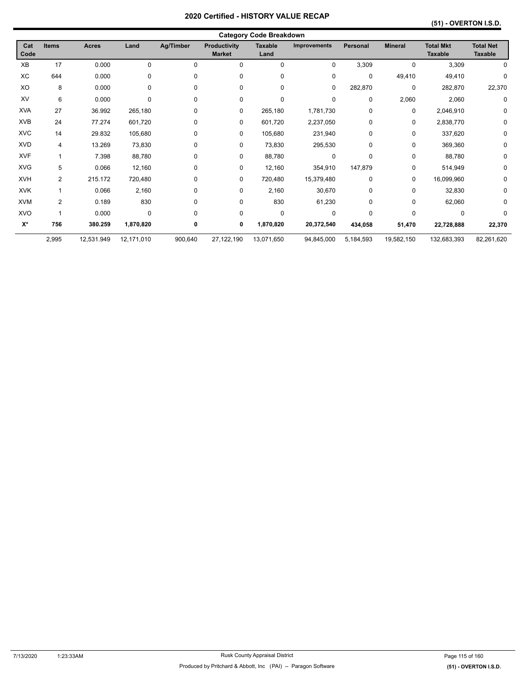|                    | <b>Category Code Breakdown</b> |              |            |           |                                      |                        |                     |                 |                |                                    |                                    |  |  |  |
|--------------------|--------------------------------|--------------|------------|-----------|--------------------------------------|------------------------|---------------------|-----------------|----------------|------------------------------------|------------------------------------|--|--|--|
| Cat<br>Code        | <b>Items</b>                   | <b>Acres</b> | Land       | Ag/Timber | <b>Productivity</b><br><b>Market</b> | <b>Taxable</b><br>Land | <b>Improvements</b> | <b>Personal</b> | <b>Mineral</b> | <b>Total Mkt</b><br><b>Taxable</b> | <b>Total Net</b><br><b>Taxable</b> |  |  |  |
| XB                 | 17                             | 0.000        | 0          | $\Omega$  | 0                                    | 0                      | 0                   | 3,309           | 0              | 3,309                              |                                    |  |  |  |
| XC                 | 644                            | 0.000        | 0          | 0         | $\mathbf 0$                          | 0                      | 0                   | $\mathbf 0$     | 49,410         | 49,410                             | $\Omega$                           |  |  |  |
| XO                 | 8                              | 0.000        | 0          | 0         | $\mathbf 0$                          | 0                      | 0                   | 282,870         | $\mathbf 0$    | 282,870                            | 22,370                             |  |  |  |
| XV                 | 6                              | 0.000        | 0          | 0         | 0                                    | 0                      | $\mathbf 0$         | $\mathbf 0$     | 2,060          | 2,060                              | 0                                  |  |  |  |
| <b>XVA</b>         | 27                             | 36.992       | 265,180    | 0         | 0                                    | 265,180                | 1,781,730           | 0               | 0              | 2,046,910                          | $\mathbf 0$                        |  |  |  |
| <b>XVB</b>         | 24                             | 77.274       | 601,720    | 0         | 0                                    | 601,720                | 2,237,050           | 0               | 0              | 2,838,770                          | $\mathbf 0$                        |  |  |  |
| <b>XVC</b>         | 14                             | 29.832       | 105,680    | 0         | $\mathbf 0$                          | 105,680                | 231,940             | 0               | $\mathbf 0$    | 337,620                            | $\mathbf 0$                        |  |  |  |
| <b>XVD</b>         | 4                              | 13.269       | 73,830     | 0         | 0                                    | 73,830                 | 295,530             | 0               | 0              | 369,360                            | $\mathbf 0$                        |  |  |  |
| <b>XVF</b>         | 1                              | 7.398        | 88,780     | 0         | 0                                    | 88,780                 | 0                   | $\mathbf 0$     | $\mathbf 0$    | 88,780                             | $\mathbf 0$                        |  |  |  |
| <b>XVG</b>         | 5                              | 0.066        | 12,160     | 0         | 0                                    | 12,160                 | 354,910             | 147,879         | 0              | 514,949                            | $\mathbf 0$                        |  |  |  |
| <b>XVH</b>         | 2                              | 215.172      | 720,480    | 0         | $\mathbf 0$                          | 720,480                | 15,379,480          | $\mathbf 0$     | 0              | 16,099,960                         | $\mathbf 0$                        |  |  |  |
| <b>XVK</b>         |                                | 0.066        | 2,160      | 0         | 0                                    | 2,160                  | 30,670              | 0               | $\mathbf 0$    | 32,830                             | $\mathbf 0$                        |  |  |  |
| <b>XVM</b>         | 2                              | 0.189        | 830        | 0         | $\mathbf 0$                          | 830                    | 61,230              | 0               | 0              | 62,060                             | $\mathbf 0$                        |  |  |  |
| <b>XVO</b>         |                                | 0.000        | 0          | $\Omega$  | 0                                    | 0                      | $\mathbf 0$         | 0               | 0              | 0                                  | $\Omega$                           |  |  |  |
| $\mathsf{X}^\star$ | 756                            | 380.259      | 1,870,820  | 0         | 0                                    | 1,870,820              | 20,372,540          | 434,058         | 51,470         | 22,728,888                         | 22,370                             |  |  |  |
|                    | 2,995                          | 12,531.949   | 12,171,010 | 900,640   | 27,122,190                           | 13,071,650             | 94,845,000          | 5,184,593       | 19,582,150     | 132,683,393                        | 82,261,620                         |  |  |  |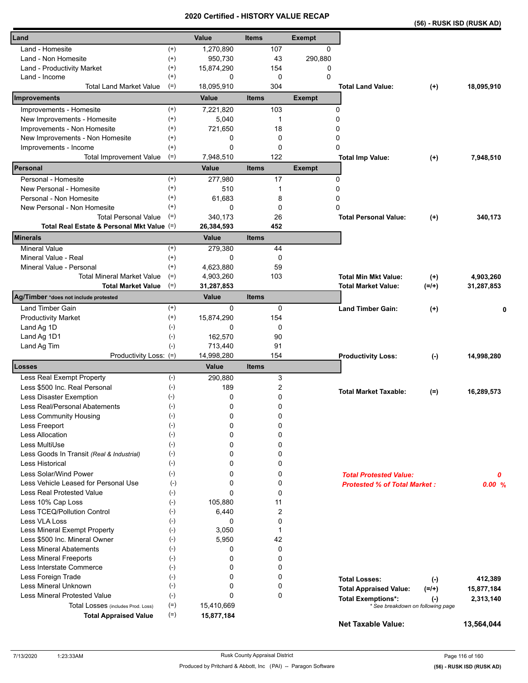|                                                     |       |            |              |     | <b>CEILIIIEU - NIJI URI VALUE RECAP</b> |                                     | (56) - RUSK ISD (RUSK AD)         |            |
|-----------------------------------------------------|-------|------------|--------------|-----|-----------------------------------------|-------------------------------------|-----------------------------------|------------|
| Land                                                | Value |            | <b>Items</b> |     | <b>Exempt</b>                           |                                     |                                   |            |
| Land - Homesite<br>$^{(+)}$                         |       | 1,270,890  |              | 107 | 0                                       |                                     |                                   |            |
| $^{(+)}$<br>Land - Non Homesite                     |       | 950,730    |              | 43  | 290,880                                 |                                     |                                   |            |
| $^{(+)}$<br>Land - Productivity Market              |       | 15,874,290 |              | 154 | 0                                       |                                     |                                   |            |
| $^{(+)}$<br>Land - Income                           |       | 0          |              | 0   | $\Omega$                                |                                     |                                   |            |
| <b>Total Land Market Value</b><br>$(=)$             |       | 18,095,910 |              | 304 |                                         | <b>Total Land Value:</b>            | $(+)$                             | 18,095,910 |
| Improvements                                        |       | Value      | <b>Items</b> |     | <b>Exempt</b>                           |                                     |                                   |            |
| Improvements - Homesite<br>$^{(+)}$                 |       | 7,221,820  |              | 103 |                                         | 0                                   |                                   |            |
| New Improvements - Homesite<br>$^{(+)}$             |       | 5,040      |              | 1   |                                         | 0                                   |                                   |            |
| $^{(+)}$<br>Improvements - Non Homesite             |       | 721,650    |              | 18  |                                         | 0                                   |                                   |            |
| New Improvements - Non Homesite<br>$^{(+)}$         |       | 0          |              | 0   |                                         | 0                                   |                                   |            |
| Improvements - Income<br>$^{(+)}$                   |       | 0          |              | 0   |                                         | 0                                   |                                   |            |
| $(=)$<br><b>Total Improvement Value</b>             |       | 7,948,510  |              | 122 |                                         | <b>Total Imp Value:</b>             | $(+)$                             | 7,948,510  |
| Personal                                            |       | Value      | <b>Items</b> |     | <b>Exempt</b>                           |                                     |                                   |            |
| Personal - Homesite<br>$^{(+)}$                     |       | 277,980    |              | 17  |                                         | 0                                   |                                   |            |
| $^{(+)}$<br>New Personal - Homesite                 |       | 510        |              | 1   |                                         | 0                                   |                                   |            |
| $^{(+)}$<br>Personal - Non Homesite                 |       | 61,683     |              | 8   |                                         | 0                                   |                                   |            |
| $^{(+)}$<br>New Personal - Non Homesite             |       | 0          |              | 0   |                                         | 0                                   |                                   |            |
| <b>Total Personal Value</b><br>$(=)$                |       | 340.173    |              | 26  |                                         | <b>Total Personal Value:</b>        | $(+)$                             | 340,173    |
| Total Real Estate & Personal Mkt Value (=)          |       | 26,384,593 |              | 452 |                                         |                                     |                                   |            |
| Minerals                                            |       | Value      | <b>Items</b> |     |                                         |                                     |                                   |            |
| $^{(+)}$<br><b>Mineral Value</b>                    |       | 279,380    |              | 44  |                                         |                                     |                                   |            |
| Mineral Value - Real<br>$^{(+)}$                    |       | 0          |              | 0   |                                         |                                     |                                   |            |
| Mineral Value - Personal<br>$^{(+)}$                |       | 4,623,880  |              | 59  |                                         |                                     |                                   |            |
| <b>Total Mineral Market Value</b><br>$(=)$          |       | 4,903,260  |              | 103 |                                         | <b>Total Min Mkt Value:</b>         | $^{(+)}$                          | 4,903,260  |
| $(=)$<br><b>Total Market Value</b>                  |       | 31,287,853 |              |     |                                         | <b>Total Market Value:</b>          | $(=/+)$                           | 31,287,853 |
| Ag/Timber *does not include protested               |       | Value      | <b>Items</b> |     |                                         |                                     |                                   |            |
| Land Timber Gain<br>$^{(+)}$                        |       | 0          |              | 0   |                                         | <b>Land Timber Gain:</b>            | $(+)$                             | 0          |
| $^{(+)}$<br><b>Productivity Market</b>              |       | 15,874,290 |              | 154 |                                         |                                     |                                   |            |
| $(-)$<br>Land Ag 1D                                 |       | 0          |              | 0   |                                         |                                     |                                   |            |
| Land Ag 1D1<br>$(-)$                                |       | 162,570    |              | 90  |                                         |                                     |                                   |            |
| $(-)$<br>Land Ag Tim                                |       | 713,440    |              | 91  |                                         |                                     |                                   |            |
| Productivity Loss: (=)                              |       | 14,998,280 |              | 154 |                                         | <b>Productivity Loss:</b>           | $(-)$                             | 14,998,280 |
| Losses                                              |       | Value      | <b>Items</b> |     |                                         |                                     |                                   |            |
| $(-)$<br>Less Real Exempt Property                  |       | 290,880    |              | 3   |                                         |                                     |                                   |            |
| $(-)$<br>Less \$500 Inc. Real Personal              |       | 189        |              | 2   |                                         | <b>Total Market Taxable:</b>        | $(=)$                             | 16,289,573 |
| Less Disaster Exemption<br>$(\text{-})$             |       | 0          |              | 0   |                                         |                                     |                                   |            |
| Less Real/Personal Abatements<br>$(\textnormal{-})$ |       | 0          |              | 0   |                                         |                                     |                                   |            |
| $(-)$<br>Less Community Housing                     |       | 0          |              | 0   |                                         |                                     |                                   |            |
| $(-)$<br>Less Freeport                              |       | 0          |              | 0   |                                         |                                     |                                   |            |
| Less Allocation<br>$(-)$                            |       | 0          |              | 0   |                                         |                                     |                                   |            |
| Less MultiUse<br>$(-)$                              |       | 0          |              | 0   |                                         |                                     |                                   |            |
| $(-)$<br>Less Goods In Transit (Real & Industrial)  |       | 0          |              | 0   |                                         |                                     |                                   |            |
| Less Historical<br>$(-)$                            |       | 0          |              | 0   |                                         |                                     |                                   |            |
| Less Solar/Wind Power<br>$(-)$                      |       | 0          |              | 0   |                                         | <b>Total Protested Value:</b>       |                                   | 0          |
| Less Vehicle Leased for Personal Use<br>$(-)$       |       | 0          |              | 0   |                                         | <b>Protested % of Total Market:</b> |                                   | 0.00%      |
| Less Real Protested Value<br>$(-)$                  |       | 0          |              | 0   |                                         |                                     |                                   |            |
| Less 10% Cap Loss<br>$(-)$                          |       | 105.880    |              | 11  |                                         |                                     |                                   |            |
| Less TCEQ/Pollution Control<br>$(-)$                |       | 6,440      |              | 2   |                                         |                                     |                                   |            |
| Less VLA Loss<br>$(-)$                              |       | 0          |              | 0   |                                         |                                     |                                   |            |
| Less Mineral Exempt Property<br>$(-)$               |       | 3,050      |              | 1   |                                         |                                     |                                   |            |
| Less \$500 Inc. Mineral Owner<br>$(-)$              |       | 5,950      |              | 42  |                                         |                                     |                                   |            |
| <b>Less Mineral Abatements</b><br>$(-)$             |       | 0          |              | 0   |                                         |                                     |                                   |            |
| $(-)$<br><b>Less Mineral Freeports</b>              |       | 0          |              | 0   |                                         |                                     |                                   |            |
| Less Interstate Commerce<br>$(\cdot)$               |       | 0          |              | 0   |                                         |                                     |                                   |            |
| Less Foreign Trade<br>$(-)$                         |       | 0          |              | 0   |                                         | <b>Total Losses:</b>                | $(-)$                             | 412,389    |
| Less Mineral Unknown<br>$(-)$                       |       | 0          |              | 0   |                                         | <b>Total Appraised Value:</b>       | $(=/+)$                           | 15,877,184 |
| Less Mineral Protested Value<br>$(-)$               |       | 0          |              | 0   |                                         | <b>Total Exemptions*:</b>           | $(\cdot)$                         | 2,313,140  |
| $(=)$<br>Total Losses (includes Prod. Loss)         |       | 15,410,669 |              |     |                                         |                                     | * See breakdown on following page |            |
| $(=)$<br><b>Total Appraised Value</b>               |       | 15,877,184 |              |     |                                         |                                     |                                   |            |
|                                                     |       |            |              |     |                                         | <b>Net Taxable Value:</b>           |                                   | 13,564,044 |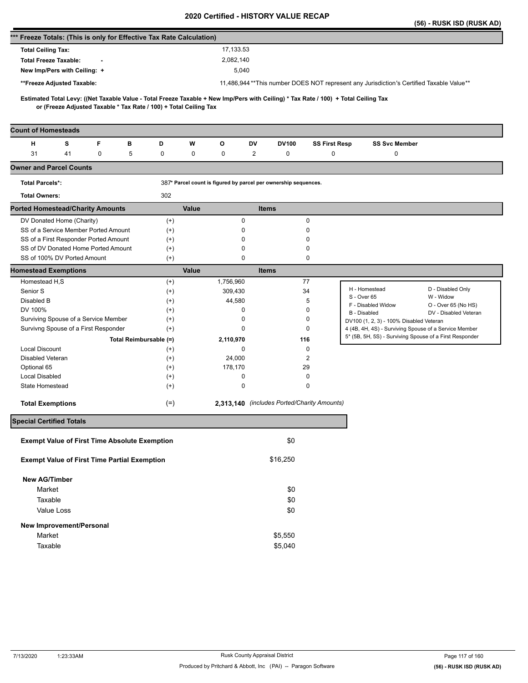|                                                                      |    |   |   |                                                                   |       |                                                                 |              |              |                                                                                                                                     |                                                                                         | (56) - RUSK ISD (RUSK AD)      |
|----------------------------------------------------------------------|----|---|---|-------------------------------------------------------------------|-------|-----------------------------------------------------------------|--------------|--------------|-------------------------------------------------------------------------------------------------------------------------------------|-----------------------------------------------------------------------------------------|--------------------------------|
| *** Freeze Totals: (This is only for Effective Tax Rate Calculation) |    |   |   |                                                                   |       |                                                                 |              |              |                                                                                                                                     |                                                                                         |                                |
| <b>Total Ceiling Tax:</b>                                            |    |   |   |                                                                   |       | 17,133.53                                                       |              |              |                                                                                                                                     |                                                                                         |                                |
| <b>Total Freeze Taxable:</b>                                         |    |   |   |                                                                   |       | 2,082,140                                                       |              |              |                                                                                                                                     |                                                                                         |                                |
| New Imp/Pers with Ceiling: +                                         |    |   |   |                                                                   |       | 5,040                                                           |              |              |                                                                                                                                     |                                                                                         |                                |
| **Freeze Adjusted Taxable:                                           |    |   |   |                                                                   |       |                                                                 |              |              |                                                                                                                                     | 11,486,944**This number DOES NOT represent any Jurisdiction's Certified Taxable Value** |                                |
|                                                                      |    |   |   |                                                                   |       |                                                                 |              |              |                                                                                                                                     |                                                                                         |                                |
|                                                                      |    |   |   | or (Freeze Adjusted Taxable * Tax Rate / 100) + Total Ceiling Tax |       |                                                                 |              |              | Estimated Total Levy: ((Net Taxable Value - Total Freeze Taxable + New Imp/Pers with Ceiling) * Tax Rate / 100) + Total Ceiling Tax |                                                                                         |                                |
| <b>Count of Homesteads</b>                                           |    |   |   |                                                                   |       |                                                                 |              |              |                                                                                                                                     |                                                                                         |                                |
| н                                                                    | s  | F | в | D                                                                 | W     | o                                                               | DV           | <b>DV100</b> | <b>SS First Resp</b>                                                                                                                | <b>SS Svc Member</b>                                                                    |                                |
| 31                                                                   | 41 | 0 | 5 | 0                                                                 | 0     | 0                                                               | 2            | 0            | 0                                                                                                                                   | 0                                                                                       |                                |
| <b>Owner and Parcel Counts</b>                                       |    |   |   |                                                                   |       |                                                                 |              |              |                                                                                                                                     |                                                                                         |                                |
| <b>Total Parcels*:</b>                                               |    |   |   |                                                                   |       | 387* Parcel count is figured by parcel per ownership sequences. |              |              |                                                                                                                                     |                                                                                         |                                |
| <b>Total Owners:</b>                                                 |    |   |   | 302                                                               |       |                                                                 |              |              |                                                                                                                                     |                                                                                         |                                |
| <b>Ported Homestead/Charity Amounts</b>                              |    |   |   |                                                                   | Value |                                                                 | <b>Items</b> |              |                                                                                                                                     |                                                                                         |                                |
| DV Donated Home (Charity)                                            |    |   |   | $^{(+)}$                                                          |       | $\pmb{0}$                                                       |              |              | 0                                                                                                                                   |                                                                                         |                                |
| SS of a Service Member Ported Amount                                 |    |   |   | $^{(+)}$                                                          |       | 0                                                               |              |              | 0                                                                                                                                   |                                                                                         |                                |
| SS of a First Responder Ported Amount                                |    |   |   | $^{(+)}$                                                          |       | 0                                                               |              |              | 0                                                                                                                                   |                                                                                         |                                |
| SS of DV Donated Home Ported Amount                                  |    |   |   | $^{(+)}$                                                          |       | 0                                                               |              |              | 0                                                                                                                                   |                                                                                         |                                |
| SS of 100% DV Ported Amount                                          |    |   |   | $^{(+)}$                                                          |       | $\mathbf 0$                                                     |              |              | 0                                                                                                                                   |                                                                                         |                                |
| <b>Homestead Exemptions</b>                                          |    |   |   |                                                                   | Value |                                                                 | <b>Items</b> |              |                                                                                                                                     |                                                                                         |                                |
| Homestead H,S                                                        |    |   |   | $^{(+)}$                                                          |       | 1,756,960                                                       |              |              | 77                                                                                                                                  |                                                                                         |                                |
| Senior S                                                             |    |   |   | $^{(+)}$                                                          |       | 309,430                                                         |              |              | 34                                                                                                                                  | H - Homestead<br>S - Over 65                                                            | D - Disabled Only<br>W - Widow |
| Disabled B                                                           |    |   |   | $^{(+)}$                                                          |       | 44,580                                                          |              |              | 5                                                                                                                                   | F - Disabled Widow                                                                      | O - Over 65 (No HS)            |
| DV 100%                                                              |    |   |   | $^{(+)}$                                                          |       | 0                                                               |              |              | 0                                                                                                                                   | B - Disabled                                                                            | DV - Disabled Veteran          |
| Surviving Spouse of a Service Member                                 |    |   |   | $^{(+)}$                                                          |       | 0                                                               |              |              | 0                                                                                                                                   | DV100 (1, 2, 3) - 100% Disabled Veteran                                                 |                                |
| Survivng Spouse of a First Responder                                 |    |   |   | $^{(+)}$                                                          |       | 0                                                               |              |              | 0                                                                                                                                   | 4 (4B, 4H, 4S) - Surviving Spouse of a Service Member                                   |                                |
|                                                                      |    |   |   | Total Reimbursable (=)                                            |       | 2,110,970                                                       |              |              | 116                                                                                                                                 | 5* (5B, 5H, 5S) - Surviving Spouse of a First Responder                                 |                                |
| <b>Local Discount</b>                                                |    |   |   | $^{(+)}$                                                          |       | 0                                                               |              |              | 0                                                                                                                                   |                                                                                         |                                |
| Disabled Veteran                                                     |    |   |   | $^{(+)}$                                                          |       | 24,000                                                          |              |              | 2                                                                                                                                   |                                                                                         |                                |
| Optional 65                                                          |    |   |   | $^{(+)}$                                                          |       | 178,170                                                         |              |              | 29                                                                                                                                  |                                                                                         |                                |
| <b>Local Disabled</b><br>State Homestead                             |    |   |   | $^{(+)}$                                                          |       | 0<br>0                                                          |              |              | 0<br>0                                                                                                                              |                                                                                         |                                |
|                                                                      |    |   |   | $^{(+)}$                                                          |       |                                                                 |              |              |                                                                                                                                     |                                                                                         |                                |
| <b>Total Exemptions</b>                                              |    |   |   | $(=)$                                                             |       |                                                                 |              |              | 2,313,140 (includes Ported/Charity Amounts)                                                                                         |                                                                                         |                                |
| <b>Special Certified Totals</b>                                      |    |   |   |                                                                   |       |                                                                 |              |              |                                                                                                                                     |                                                                                         |                                |
| <b>Exempt Value of First Time Absolute Exemption</b>                 |    |   |   |                                                                   |       |                                                                 |              | \$0          |                                                                                                                                     |                                                                                         |                                |
| <b>Exempt Value of First Time Partial Exemption</b>                  |    |   |   |                                                                   |       |                                                                 |              | \$16,250     |                                                                                                                                     |                                                                                         |                                |
| <b>New AG/Timber</b>                                                 |    |   |   |                                                                   |       |                                                                 |              |              |                                                                                                                                     |                                                                                         |                                |
| Market                                                               |    |   |   |                                                                   |       |                                                                 |              | \$0          |                                                                                                                                     |                                                                                         |                                |
| Taxable                                                              |    |   |   |                                                                   |       |                                                                 |              | \$0          |                                                                                                                                     |                                                                                         |                                |
|                                                                      |    |   |   |                                                                   |       |                                                                 |              |              |                                                                                                                                     |                                                                                         |                                |
| Value Loss                                                           |    |   |   |                                                                   |       |                                                                 |              | \$0          |                                                                                                                                     |                                                                                         |                                |
| New Improvement/Personal                                             |    |   |   |                                                                   |       |                                                                 |              |              |                                                                                                                                     |                                                                                         |                                |
| Market                                                               |    |   |   |                                                                   |       |                                                                 |              | \$5,550      |                                                                                                                                     |                                                                                         |                                |
| Taxable                                                              |    |   |   |                                                                   |       |                                                                 |              | \$5,040      |                                                                                                                                     |                                                                                         |                                |
|                                                                      |    |   |   |                                                                   |       |                                                                 |              |              |                                                                                                                                     |                                                                                         |                                |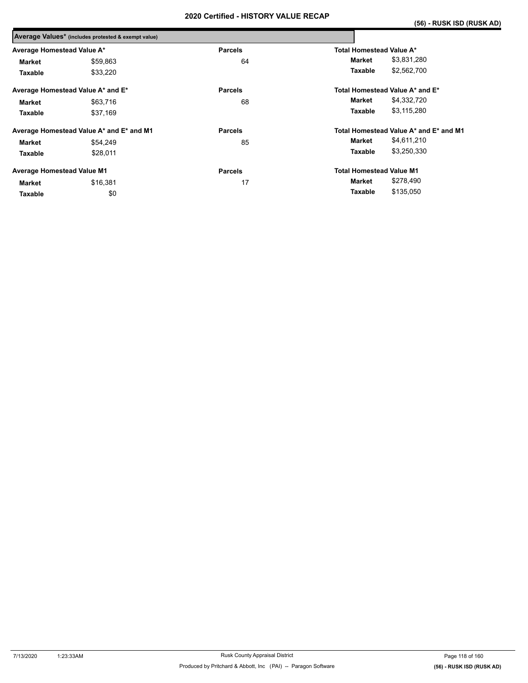|                                   | Average Values* (includes protested & exempt value) |                |                                        |             |
|-----------------------------------|-----------------------------------------------------|----------------|----------------------------------------|-------------|
| Average Homestead Value A*        |                                                     | <b>Parcels</b> | Total Homestead Value A*               |             |
| <b>Market</b>                     | \$59,863                                            | 64             | Market                                 | \$3,831,280 |
| Taxable                           | \$33,220                                            |                | Taxable                                | \$2,562,700 |
|                                   | Average Homestead Value A* and E*                   | <b>Parcels</b> | Total Homestead Value A* and E*        |             |
| <b>Market</b>                     | \$63,716                                            | 68             | Market                                 | \$4,332,720 |
| Taxable                           | \$37.169                                            |                | Taxable                                | \$3,115,280 |
|                                   | Average Homestead Value A* and E* and M1            | <b>Parcels</b> | Total Homestead Value A* and E* and M1 |             |
| Market                            | \$54.249                                            | 85             | Market                                 | \$4,611,210 |
| Taxable                           | \$28,011                                            |                | Taxable                                | \$3,250,330 |
| <b>Average Homestead Value M1</b> |                                                     | <b>Parcels</b> | <b>Total Homestead Value M1</b>        |             |
| Market                            | \$16,381                                            | 17             | Market                                 | \$278,490   |
| Taxable                           | \$0                                                 |                | Taxable                                | \$135,050   |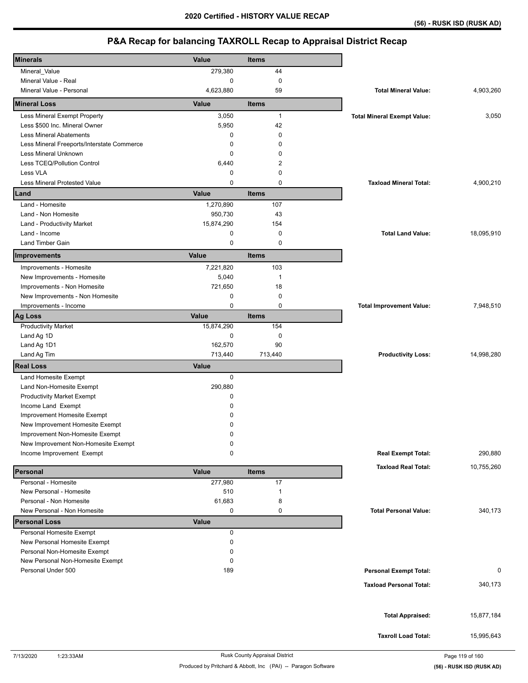| <b>Minerals</b>                            | Value        | <b>Items</b>   |                                    |            |
|--------------------------------------------|--------------|----------------|------------------------------------|------------|
| Mineral_Value                              | 279,380      | 44             |                                    |            |
| Mineral Value - Real                       | 0            | $\mathbf 0$    |                                    |            |
| Mineral Value - Personal                   | 4,623,880    | 59             | <b>Total Mineral Value:</b>        | 4,903,260  |
| <b>Mineral Loss</b>                        | Value        | <b>Items</b>   |                                    |            |
| Less Mineral Exempt Property               | 3,050        | $\mathbf{1}$   | <b>Total Mineral Exempt Value:</b> | 3,050      |
| Less \$500 Inc. Mineral Owner              | 5,950        | 42             |                                    |            |
| <b>Less Mineral Abatements</b>             | 0            | $\mathbf 0$    |                                    |            |
| Less Mineral Freeports/Interstate Commerce | 0            | $\Omega$       |                                    |            |
| <b>Less Mineral Unknown</b>                | 0            | 0              |                                    |            |
| Less TCEQ/Pollution Control                | 6,440        | 2              |                                    |            |
| Less VLA                                   | 0            | 0              |                                    |            |
| Less Mineral Protested Value               | $\mathbf 0$  | $\mathbf 0$    | <b>Taxload Mineral Total:</b>      | 4,900,210  |
| Land                                       | Value        | <b>Items</b>   |                                    |            |
| Land - Homesite                            | 1,270,890    | 107            |                                    |            |
| Land - Non Homesite                        | 950,730      | 43             |                                    |            |
| Land - Productivity Market                 | 15,874,290   | 154            |                                    |            |
| Land - Income                              | 0            | 0              | <b>Total Land Value:</b>           | 18,095,910 |
| <b>Land Timber Gain</b>                    | 0            | 0              |                                    |            |
|                                            |              |                |                                    |            |
| Improvements                               | Value        | <b>Items</b>   |                                    |            |
| Improvements - Homesite                    | 7,221,820    | 103            |                                    |            |
| New Improvements - Homesite                | 5,040        | $\overline{1}$ |                                    |            |
| Improvements - Non Homesite                | 721,650      | 18             |                                    |            |
| New Improvements - Non Homesite            | 0            | $\mathbf 0$    |                                    |            |
| Improvements - Income                      | 0            | $\pmb{0}$      | <b>Total Improvement Value:</b>    | 7,948,510  |
| <b>Ag Loss</b>                             | Value        | <b>Items</b>   |                                    |            |
| <b>Productivity Market</b>                 | 15,874,290   | 154            |                                    |            |
| Land Ag 1D                                 | 0            | 0              |                                    |            |
| Land Ag 1D1                                | 162,570      | 90             |                                    |            |
| Land Ag Tim                                | 713,440      | 713,440        | <b>Productivity Loss:</b>          | 14,998,280 |
| <b>Real Loss</b>                           | Value        |                |                                    |            |
| Land Homesite Exempt                       | 0            |                |                                    |            |
| Land Non-Homesite Exempt                   | 290,880      |                |                                    |            |
| <b>Productivity Market Exempt</b>          | 0            |                |                                    |            |
| Income Land Exempt                         | 0            |                |                                    |            |
| Improvement Homesite Exempt                | 0            |                |                                    |            |
| New Improvement Homesite Exempt            | 0            |                |                                    |            |
| Improvement Non-Homesite Exempt            | 0            |                |                                    |            |
| New Improvement Non-Homesite Exempt        | 0            |                |                                    |            |
| Income Improvement Exempt                  | 0            |                | <b>Real Exempt Total:</b>          | 290,880    |
|                                            |              |                |                                    |            |
| Personal                                   | Value        | <b>Items</b>   | <b>Taxload Real Total:</b>         | 10,755,260 |
| Personal - Homesite                        | 277,980      | 17             |                                    |            |
| New Personal - Homesite                    | 510          | $\mathbf{1}$   |                                    |            |
| Personal - Non Homesite                    | 61,683       | 8              |                                    |            |
| New Personal - Non Homesite                | 0            | 0              | <b>Total Personal Value:</b>       | 340,173    |
| <b>Personal Loss</b>                       | <b>Value</b> |                |                                    |            |
| Personal Homesite Exempt                   | 0            |                |                                    |            |
| New Personal Homesite Exempt               | 0            |                |                                    |            |
| Personal Non-Homesite Exempt               | 0            |                |                                    |            |
| New Personal Non-Homesite Exempt           | 0            |                |                                    |            |
| Personal Under 500                         | 189          |                | <b>Personal Exempt Total:</b>      | 0          |
|                                            |              |                | <b>Taxload Personal Total:</b>     |            |
|                                            |              |                |                                    | 340,173    |
|                                            |              |                |                                    |            |
|                                            |              |                | <b>Total Appraised:</b>            | 15,877,184 |
|                                            |              |                |                                    |            |
|                                            |              |                | <b>Taxroll Load Total:</b>         | 15,995,643 |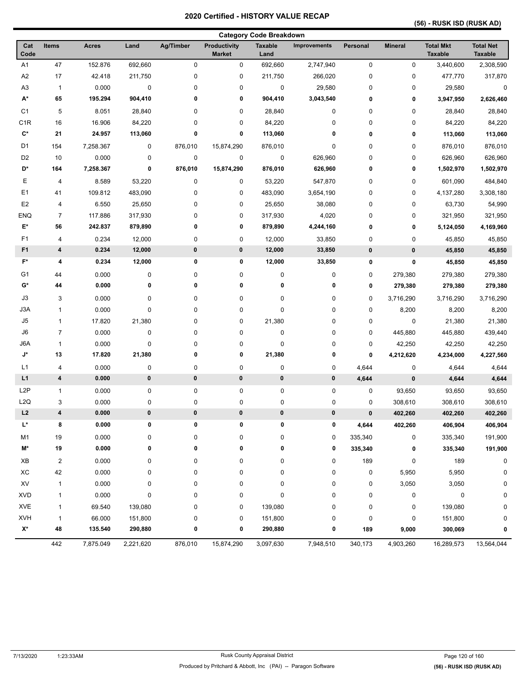### **(56) - RUSK ISD (RUSK AD)**

| <b>Category Code Breakdown</b> |                         |              |           |           |                               |                        |              |             |                |                                    |                                    |
|--------------------------------|-------------------------|--------------|-----------|-----------|-------------------------------|------------------------|--------------|-------------|----------------|------------------------------------|------------------------------------|
| Cat<br>Code                    | Items                   | <b>Acres</b> | Land      | Ag/Timber | Productivity<br><b>Market</b> | <b>Taxable</b><br>Land | Improvements | Personal    | <b>Mineral</b> | <b>Total Mkt</b><br><b>Taxable</b> | <b>Total Net</b><br><b>Taxable</b> |
| A <sub>1</sub>                 | 47                      | 152.876      | 692,660   | $\pmb{0}$ | 0                             | 692,660                | 2,747,940    | $\pmb{0}$   | 0              | 3,440,600                          | 2,308,590                          |
| A <sub>2</sub>                 | 17                      | 42.418       | 211,750   | $\pmb{0}$ | 0                             | 211,750                | 266,020      | $\pmb{0}$   | $\pmb{0}$      | 477,770                            | 317,870                            |
| A <sub>3</sub>                 | $\overline{1}$          | 0.000        | $\pmb{0}$ | $\pmb{0}$ | 0                             | $\pmb{0}$              | 29,580       | $\pmb{0}$   | 0              | 29,580                             | 0                                  |
| A*                             | 65                      | 195.294      | 904,410   | 0         | 0                             | 904,410                | 3,043,540    | 0           | 0              | 3,947,950                          | 2,626,460                          |
| C <sub>1</sub>                 | 5                       | 8.051        | 28,840    | 0         | 0                             | 28,840                 | 0            | $\mathbf 0$ | 0              | 28,840                             | 28,840                             |
| C <sub>1</sub> R               | 16                      | 16.906       | 84,220    | $\pmb{0}$ | 0                             | 84,220                 | 0            | $\pmb{0}$   | $\pmb{0}$      | 84,220                             | 84,220                             |
| $\mathbf{C}^*$                 | 21                      | 24.957       | 113,060   | 0         | 0                             | 113,060                | 0            | 0           | 0              | 113,060                            | 113,060                            |
| D <sub>1</sub>                 | 154                     | 7,258.367    | 0         | 876,010   | 15,874,290                    | 876,010                | 0            | $\pmb{0}$   | 0              | 876,010                            | 876,010                            |
| D <sub>2</sub>                 | 10                      | 0.000        | $\pmb{0}$ | $\pmb{0}$ | $\pmb{0}$                     | $\pmb{0}$              | 626,960      | $\pmb{0}$   | 0              | 626,960                            | 626,960                            |
| D*                             | 164                     | 7,258.367    | 0         | 876,010   | 15,874,290                    | 876,010                | 626,960      | 0           | 0              | 1,502,970                          | 1,502,970                          |
| Е                              | 4                       | 8.589        | 53,220    | 0         | 0                             | 53,220                 | 547,870      | 0           | 0              | 601,090                            | 484,840                            |
| E1                             | 41                      | 109.812      | 483,090   | 0         | 0                             | 483,090                | 3,654,190    | $\pmb{0}$   | $\pmb{0}$      | 4,137,280                          | 3,308,180                          |
| E <sub>2</sub>                 | 4                       | 6.550        | 25,650    | $\pmb{0}$ | 0                             | 25,650                 | 38,080       | $\pmb{0}$   | 0              | 63,730                             | 54,990                             |
| <b>ENQ</b>                     | $\overline{7}$          | 117.886      | 317,930   | $\pmb{0}$ | 0                             | 317,930                | 4,020        | $\pmb{0}$   | 0              | 321,950                            | 321,950                            |
| E*                             | 56                      | 242.837      | 879,890   | 0         | 0                             | 879,890                | 4,244,160    | 0           | 0              | 5,124,050                          | 4,169,960                          |
| F1                             | $\overline{4}$          | 0.234        | 12,000    | $\pmb{0}$ | 0                             | 12,000                 | 33,850       | $\pmb{0}$   | $\pmb{0}$      | 45,850                             | 45,850                             |
| F <sub>1</sub>                 | 4                       | 0.234        | 12,000    | 0         | $\pmb{0}$                     | 12,000                 | 33,850       | $\pmb{0}$   | $\pmb{0}$      | 45,850                             | 45,850                             |
| $F^*$                          | 4                       | 0.234        | 12,000    | 0         | 0                             | 12,000                 | 33,850       | 0           | $\pmb{0}$      | 45,850                             | 45,850                             |
| G <sub>1</sub>                 | 44                      | 0.000        | 0         | 0         | 0                             | 0                      | 0            | 0           | 279,380        | 279,380                            | 279,380                            |
| G*                             | 44                      | 0.000        | 0         | 0         | 0                             | 0                      | 0            | 0           | 279,380        | 279,380                            | 279,380                            |
| J3                             | 3                       | 0.000        | 0         | 0         | 0                             | 0                      | 0            | 0           | 3,716,290      | 3,716,290                          | 3,716,290                          |
| J3A                            | $\mathbf{1}$            | 0.000        | $\pmb{0}$ | $\pmb{0}$ | 0                             | 0                      | 0            | $\pmb{0}$   | 8,200          | 8,200                              | 8,200                              |
| J5                             | 1                       | 17.820       | 21,380    | 0         | $\pmb{0}$                     | 21,380                 | 0            | $\mathbf 0$ | 0              | 21,380                             | 21,380                             |
| J6                             | $\overline{7}$          | 0.000        | $\pmb{0}$ | $\pmb{0}$ | 0                             | 0                      | 0            | $\pmb{0}$   | 445,880        | 445,880                            | 439,440                            |
| J6A                            | $\mathbf{1}$            | 0.000        | $\pmb{0}$ | $\pmb{0}$ | 0                             | 0                      | 0            | $\pmb{0}$   | 42,250         | 42,250                             | 42,250                             |
| J*                             | 13                      | 17.820       | 21,380    | 0         | 0                             | 21,380                 | 0            | 0           | 4,212,620      | 4,234,000                          | 4,227,560                          |
| L1                             | 4                       | 0.000        | 0         | 0         | $\pmb{0}$                     | 0                      | 0            | 4,644       | 0              | 4,644                              | 4,644                              |
| L1                             | 4                       | 0.000        | 0         | 0         | $\pmb{0}$                     | $\pmb{0}$              | $\pmb{0}$    | 4,644       | $\pmb{0}$      | 4,644                              | 4,644                              |
| L <sub>2</sub> P               | 1                       | 0.000        | $\pmb{0}$ | $\pmb{0}$ | 0                             | $\pmb{0}$              | 0            | 0           | 93,650         | 93,650                             | 93,650                             |
| L2Q                            | 3                       | 0.000        | $\pmb{0}$ | $\pmb{0}$ | 0                             | 0                      | 0            | $\mathbf 0$ | 308,610        | 308,610                            | 308,610                            |
| L2                             | 4                       | 0.000        | $\pmb{0}$ | $\pmb{0}$ | $\pmb{0}$                     | 0                      | $\pmb{0}$    | $\bf{0}$    | 402,260        | 402,260                            | 402,260                            |
| L*                             | 8                       | 0.000        | 0         | 0         | 0                             | 0                      | 0            | 4,644       | 402,260        | 406,904                            | 406,904                            |
| M1                             | 19                      | 0.000        | 0         | $\pmb{0}$ | 0                             | 0                      | 0            | 335,340     | $\pmb{0}$      | 335,340                            | 191,900                            |
| M*                             | 19                      | 0.000        | 0         | 0         | 0                             | 0                      | 0            | 335,340     | 0              | 335,340                            | 191,900                            |
| XB                             | $\overline{\mathbf{c}}$ | 0.000        | 0         | 0         | 0                             | 0                      | 0            | 189         | 0              | 189                                | 0                                  |
| XC                             | 42                      | 0.000        | $\pmb{0}$ | 0         | 0                             | 0                      | 0            | $\pmb{0}$   | 5,950          | 5,950                              | 0                                  |
| XV                             | $\mathbf{1}$            | 0.000        | $\pmb{0}$ | $\pmb{0}$ | 0                             | 0                      | 0            | $\pmb{0}$   | 3,050          | 3,050                              | 0                                  |
| <b>XVD</b>                     | $\mathbf{1}$            | 0.000        | 0         | $\pmb{0}$ | 0                             | 0                      | 0            | 0           | 0              | 0                                  | 0                                  |
| <b>XVE</b>                     | $\mathbf{1}$            | 69.540       | 139,080   | 0         | 0                             | 139,080                | 0            | 0           | 0              | 139,080                            | 0                                  |
| <b>XVH</b>                     | $\mathbf{1}$            | 66.000       | 151,800   | 0         | 0                             | 151,800                | 0            | 0           | $\pmb{0}$      | 151,800                            | 0                                  |
| $\mathsf{X}^\star$             | 48                      | 135.540      | 290,880   | 0         | 0                             | 290,880                | 0            | 189         | 9,000          | 300,069                            | 0                                  |
|                                | 442                     | 7,875.049    | 2,221,620 | 876,010   | 15,874,290                    | 3,097,630              | 7,948,510    | 340,173     | 4,903,260      | 16,289,573                         | 13,564,044                         |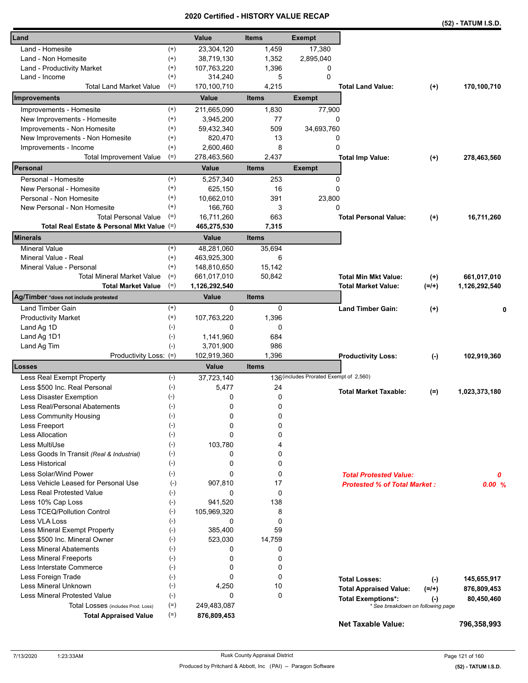| Land                                       |           | Value         | <b>Items</b> | <b>Exempt</b>                           |                                     |          |               |
|--------------------------------------------|-----------|---------------|--------------|-----------------------------------------|-------------------------------------|----------|---------------|
| Land - Homesite                            | $^{(+)}$  | 23,304,120    | 1,459        | 17,380                                  |                                     |          |               |
| Land - Non Homesite                        | $^{(+)}$  | 38,719,130    | 1,352        |                                         |                                     |          |               |
| Land - Productivity Market                 | $^{(+)}$  | 107,763,220   | 1,396        | 2,895,040<br>0                          |                                     |          |               |
| Land - Income                              | $^{(+)}$  | 314,240       | 5            | 0                                       |                                     |          |               |
| <b>Total Land Market Value</b>             | $(=)$     | 170,100,710   | 4,215        |                                         | <b>Total Land Value:</b>            | $(+)$    | 170,100,710   |
| <b>Improvements</b>                        |           | Value         | <b>Items</b> | <b>Exempt</b>                           |                                     |          |               |
| Improvements - Homesite                    | $^{(+)}$  | 211,665,090   | 1,830        | 77,900                                  |                                     |          |               |
| New Improvements - Homesite                | $^{(+)}$  | 3,945,200     | 77           | 0                                       |                                     |          |               |
| Improvements - Non Homesite                | $^{(+)}$  | 59,432,340    | 509          | 34,693,760                              |                                     |          |               |
| New Improvements - Non Homesite            | $^{(+)}$  | 820,470       | 13           | 0                                       |                                     |          |               |
| Improvements - Income                      | $^{(+)}$  | 2,600,460     | 8            | 0                                       |                                     |          |               |
| Total Improvement Value                    | $(=)$     | 278,463,560   | 2,437        |                                         | <b>Total Imp Value:</b>             | $^{(+)}$ | 278,463,560   |
| Personal                                   |           | Value         | <b>Items</b> | <b>Exempt</b>                           |                                     |          |               |
| Personal - Homesite                        | $^{(+)}$  | 5,257,340     | 253          | 0                                       |                                     |          |               |
| New Personal - Homesite                    | $^{(+)}$  | 625,150       | 16           | 0                                       |                                     |          |               |
| Personal - Non Homesite                    | $^{(+)}$  | 10,662,010    | 391          | 23,800                                  |                                     |          |               |
| New Personal - Non Homesite                | $^{(+)}$  | 166,760       | 3            | 0                                       |                                     |          |               |
| <b>Total Personal Value</b>                | $(=)$     | 16,711,260    | 663          |                                         | <b>Total Personal Value:</b>        | $(+)$    | 16,711,260    |
| Total Real Estate & Personal Mkt Value (=) |           | 465,275,530   | 7,315        |                                         |                                     |          |               |
| <b>Minerals</b>                            |           | Value         | <b>Items</b> |                                         |                                     |          |               |
| <b>Mineral Value</b>                       | $^{(+)}$  | 48,281,060    | 35,694       |                                         |                                     |          |               |
| Mineral Value - Real                       | $^{(+)}$  | 463,925,300   | 6            |                                         |                                     |          |               |
| Mineral Value - Personal                   | $(+)$     | 148,810,650   | 15,142       |                                         |                                     |          |               |
| <b>Total Mineral Market Value</b>          | $(=)$     | 661,017,010   | 50,842       |                                         | <b>Total Min Mkt Value:</b>         | $(+)$    | 661,017,010   |
| <b>Total Market Value</b>                  | $(=)$     | 1,126,292,540 |              |                                         | <b>Total Market Value:</b>          | $(=/+)$  | 1,126,292,540 |
| Ag/Timber *does not include protested      |           | Value         | <b>Items</b> |                                         |                                     |          |               |
| <b>Land Timber Gain</b>                    | $^{(+)}$  | 0             | 0            |                                         | <b>Land Timber Gain:</b>            | $(+)$    |               |
| <b>Productivity Market</b>                 | $^{(+)}$  | 107,763,220   | 1,396        |                                         |                                     |          |               |
| Land Ag 1D                                 | $(-)$     | 0             | 0            |                                         |                                     |          |               |
| Land Ag 1D1                                | $(-)$     | 1,141,960     | 684          |                                         |                                     |          |               |
| Land Ag Tim                                | $(-)$     | 3,701,900     | 986          |                                         |                                     |          |               |
| Productivity Loss: (=)                     |           | 102,919,360   | 1,396        |                                         | <b>Productivity Loss:</b>           | $(-)$    | 102,919,360   |
| Losses                                     |           | Value         | Items        |                                         |                                     |          |               |
| Less Real Exempt Property                  | $(-)$     | 37,723,140    |              | 136 (includes Prorated Exempt of 2,560) |                                     |          |               |
| Less \$500 Inc. Real Personal              | $(-)$     | 5,477         | 24           |                                         | <b>Total Market Taxable:</b>        | $(=)$    | 1,023,373,180 |
| Less Disaster Exemption                    | $(-)$     | 0             | 0            |                                         |                                     |          |               |
| Less Real/Personal Abatements              | $(-)$     | 0             | 0            |                                         |                                     |          |               |
| Less Community Housing                     | $(-)$     | 0             | 0            |                                         |                                     |          |               |
| Less Freeport                              | $(-)$     | 0             | 0            |                                         |                                     |          |               |
| <b>Less Allocation</b>                     | $(-)$     | 0             | 0            |                                         |                                     |          |               |
| Less MultiUse                              | $(-)$     | 103,780       | 4            |                                         |                                     |          |               |
| Less Goods In Transit (Real & Industrial)  | $(-)$     | 0             | 0            |                                         |                                     |          |               |
| Less Historical                            | $(-)$     | 0             | 0            |                                         |                                     |          |               |
| Less Solar/Wind Power                      | $(-)$     | 0             | 0            |                                         | <b>Total Protested Value:</b>       |          | 0             |
| Less Vehicle Leased for Personal Use       | $(-)$     | 907,810       | 17           |                                         | <b>Protested % of Total Market:</b> |          | 0.00%         |
| Less Real Protested Value                  | $(-)$     | 0             | $\mathbf 0$  |                                         |                                     |          |               |
| Less 10% Cap Loss                          | $(-)$     | 941,520       | 138          |                                         |                                     |          |               |
| Less TCEQ/Pollution Control                | $(-)$     | 105,969,320   | 8            |                                         |                                     |          |               |
| Less VLA Loss                              | $(-)$     | 0             | 0            |                                         |                                     |          |               |
| Less Mineral Exempt Property               | $(-)$     | 385,400       | 59           |                                         |                                     |          |               |
| Less \$500 Inc. Mineral Owner              | $(-)$     | 523,030       | 14,759       |                                         |                                     |          |               |
| <b>Less Mineral Abatements</b>             | $(-)$     | 0             | 0            |                                         |                                     |          |               |
| <b>Less Mineral Freeports</b>              | $(\cdot)$ | 0             | 0            |                                         |                                     |          |               |
| Less Interstate Commerce                   | $(-)$     | 0             | 0            |                                         |                                     |          |               |
| Less Foreign Trade                         | $(-)$     | 0             | $\mathbf 0$  |                                         | <b>Total Losses:</b>                | $(-)$    | 145,655,917   |
| Less Mineral Unknown                       | $(-)$     | 4,250         | 10           |                                         | <b>Total Appraised Value:</b>       | $(=/+)$  | 876,809,453   |
| Less Mineral Protested Value               | $(-)$     | 0             | $\mathbf 0$  |                                         | <b>Total Exemptions*:</b>           | $(-)$    | 80,450,460    |
| Total Losses (includes Prod. Loss)         | $(=)$     | 249,483,087   |              |                                         | * See breakdown on following page   |          |               |
| <b>Total Appraised Value</b>               | $(=)$     | 876,809,453   |              |                                         | <b>Net Taxable Value:</b>           |          | 796,358,993   |
|                                            |           |               |              |                                         |                                     |          |               |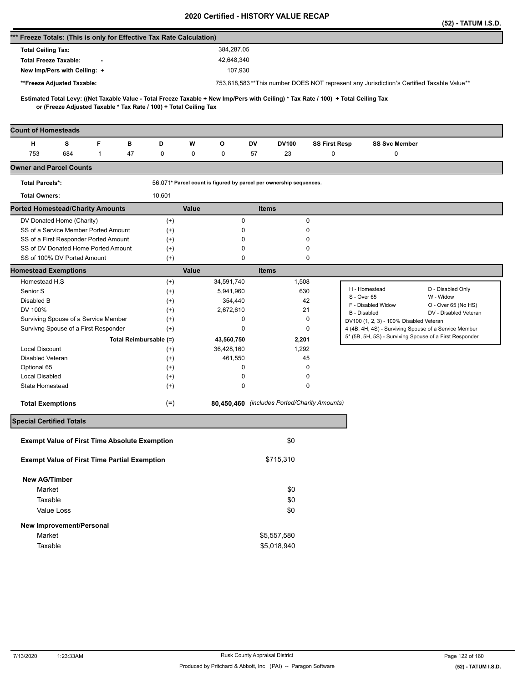|                                                                      |                                                                   |              |    |                        |       |                                                                    |              |           |                      |                                                                                                                                     | (52) - TATUM I.S.D.   |
|----------------------------------------------------------------------|-------------------------------------------------------------------|--------------|----|------------------------|-------|--------------------------------------------------------------------|--------------|-----------|----------------------|-------------------------------------------------------------------------------------------------------------------------------------|-----------------------|
| *** Freeze Totals: (This is only for Effective Tax Rate Calculation) |                                                                   |              |    |                        |       |                                                                    |              |           |                      |                                                                                                                                     |                       |
| <b>Total Ceiling Tax:</b>                                            |                                                                   |              |    |                        |       | 384,287.05                                                         |              |           |                      |                                                                                                                                     |                       |
| <b>Total Freeze Taxable:</b>                                         |                                                                   |              |    |                        |       | 42,648,340                                                         |              |           |                      |                                                                                                                                     |                       |
|                                                                      | New Imp/Pers with Ceiling: +                                      |              |    |                        |       | 107,930                                                            |              |           |                      |                                                                                                                                     |                       |
|                                                                      |                                                                   |              |    |                        |       |                                                                    |              |           |                      | 753,818,583**This number DOES NOT represent any Jurisdiction's Certified Taxable Value**                                            |                       |
|                                                                      | **Freeze Adjusted Taxable:                                        |              |    |                        |       |                                                                    |              |           |                      |                                                                                                                                     |                       |
|                                                                      | or (Freeze Adjusted Taxable * Tax Rate / 100) + Total Ceiling Tax |              |    |                        |       |                                                                    |              |           |                      | Estimated Total Levy: ((Net Taxable Value - Total Freeze Taxable + New Imp/Pers with Ceiling) * Tax Rate / 100) + Total Ceiling Tax |                       |
| <b>Count of Homesteads</b>                                           |                                                                   |              |    |                        |       |                                                                    |              |           |                      |                                                                                                                                     |                       |
| н                                                                    | s                                                                 | F            | в  | D                      | W     | o                                                                  | DV           | DV100     | <b>SS First Resp</b> | <b>SS Svc Member</b>                                                                                                                |                       |
| 753                                                                  | 684                                                               | $\mathbf{1}$ | 47 | 0                      | 0     | 0                                                                  | 57           | 23        | 0                    | 0                                                                                                                                   |                       |
| <b>Owner and Parcel Counts</b>                                       |                                                                   |              |    |                        |       |                                                                    |              |           |                      |                                                                                                                                     |                       |
| <b>Total Parcels*:</b>                                               |                                                                   |              |    |                        |       | 56,071* Parcel count is figured by parcel per ownership sequences. |              |           |                      |                                                                                                                                     |                       |
| <b>Total Owners:</b>                                                 |                                                                   |              |    | 10,601                 |       |                                                                    |              |           |                      |                                                                                                                                     |                       |
| <b>Ported Homestead/Charity Amounts</b>                              |                                                                   |              |    |                        | Value |                                                                    | <b>Items</b> |           |                      |                                                                                                                                     |                       |
|                                                                      | DV Donated Home (Charity)                                         |              |    | $^{(+)}$               |       | 0                                                                  |              |           | 0                    |                                                                                                                                     |                       |
|                                                                      | SS of a Service Member Ported Amount                              |              |    | $^{(+)}$               |       | 0                                                                  |              |           | 0                    |                                                                                                                                     |                       |
|                                                                      | SS of a First Responder Ported Amount                             |              |    | $^{(+)}$               |       | 0                                                                  |              |           | 0                    |                                                                                                                                     |                       |
|                                                                      | SS of DV Donated Home Ported Amount                               |              |    | $^{(+)}$               |       | 0                                                                  |              |           | 0                    |                                                                                                                                     |                       |
|                                                                      | SS of 100% DV Ported Amount                                       |              |    | $^{(+)}$               |       | 0                                                                  |              |           | 0                    |                                                                                                                                     |                       |
| <b>Homestead Exemptions</b>                                          |                                                                   |              |    |                        | Value |                                                                    | <b>Items</b> |           |                      |                                                                                                                                     |                       |
| Homestead H,S                                                        |                                                                   |              |    | $^{(+)}$               |       | 34,591,740                                                         |              | 1,508     |                      | H - Homestead                                                                                                                       | D - Disabled Only     |
| Senior S<br>Disabled B                                               |                                                                   |              |    | $^{(+)}$               |       | 5,941,960                                                          |              | 630       |                      | S - Over 65                                                                                                                         | W - Widow             |
| DV 100%                                                              |                                                                   |              |    | $^{(+)}$               |       | 354,440<br>2,672,610                                               |              | 42<br>21  |                      | F - Disabled Widow                                                                                                                  | O - Over 65 (No HS)   |
|                                                                      | Surviving Spouse of a Service Member                              |              |    | $^{(+)}$<br>$^{(+)}$   |       | 0                                                                  |              |           | 0                    | B - Disabled                                                                                                                        | DV - Disabled Veteran |
|                                                                      | Survivng Spouse of a First Responder                              |              |    | $^{(+)}$               |       | 0                                                                  |              |           | 0                    | DV100 (1, 2, 3) - 100% Disabled Veteran<br>4 (4B, 4H, 4S) - Surviving Spouse of a Service Member                                    |                       |
|                                                                      |                                                                   |              |    | Total Reimbursable (=) |       | 43,560,750                                                         |              | 2,201     |                      | 5* (5B, 5H, 5S) - Surviving Spouse of a First Responder                                                                             |                       |
| Local Discount                                                       |                                                                   |              |    | $^{(+)}$               |       | 36,428,160                                                         |              | 1,292     |                      |                                                                                                                                     |                       |
| <b>Disabled Veteran</b>                                              |                                                                   |              |    | $^{(+)}$               |       | 461,550                                                            |              | 45        |                      |                                                                                                                                     |                       |
| Optional 65                                                          |                                                                   |              |    | $^{(+)}$               |       | 0                                                                  |              |           | 0                    |                                                                                                                                     |                       |
| <b>Local Disabled</b>                                                |                                                                   |              |    | $^{(+)}$               |       | 0                                                                  |              |           | 0                    |                                                                                                                                     |                       |
| State Homestead                                                      |                                                                   |              |    | $^{(+)}$               |       | 0                                                                  |              |           | 0                    |                                                                                                                                     |                       |
| <b>Total Exemptions</b>                                              |                                                                   |              |    | $(=)$                  |       | 80,450,460 (includes Ported/Charity Amounts)                       |              |           |                      |                                                                                                                                     |                       |
| <b>Special Certified Totals</b>                                      |                                                                   |              |    |                        |       |                                                                    |              |           |                      |                                                                                                                                     |                       |
|                                                                      | <b>Exempt Value of First Time Absolute Exemption</b>              |              |    |                        |       |                                                                    |              | \$0       |                      |                                                                                                                                     |                       |
|                                                                      | <b>Exempt Value of First Time Partial Exemption</b>               |              |    |                        |       |                                                                    |              | \$715,310 |                      |                                                                                                                                     |                       |
| <b>New AG/Timber</b>                                                 |                                                                   |              |    |                        |       |                                                                    |              |           |                      |                                                                                                                                     |                       |
| Market                                                               |                                                                   |              |    |                        |       |                                                                    |              | \$0       |                      |                                                                                                                                     |                       |
| Taxable                                                              |                                                                   |              |    |                        |       |                                                                    |              | \$0       |                      |                                                                                                                                     |                       |
|                                                                      | Value Loss                                                        |              |    |                        |       |                                                                    |              | \$0       |                      |                                                                                                                                     |                       |
|                                                                      |                                                                   |              |    |                        |       |                                                                    |              |           |                      |                                                                                                                                     |                       |
|                                                                      | New Improvement/Personal                                          |              |    |                        |       |                                                                    |              |           |                      |                                                                                                                                     |                       |
| Market                                                               |                                                                   |              |    |                        |       |                                                                    | \$5,557,580  |           |                      |                                                                                                                                     |                       |
| Taxable                                                              |                                                                   |              |    |                        |       |                                                                    | \$5,018,940  |           |                      |                                                                                                                                     |                       |
|                                                                      |                                                                   |              |    |                        |       |                                                                    |              |           |                      |                                                                                                                                     |                       |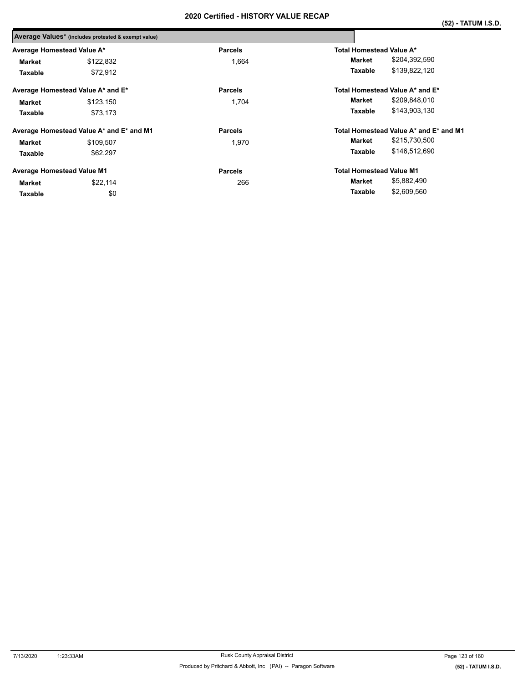|                                   | Average Values* (includes protested & exempt value) |                |                                 |                                        |
|-----------------------------------|-----------------------------------------------------|----------------|---------------------------------|----------------------------------------|
| Average Homestead Value A*        |                                                     | <b>Parcels</b> | Total Homestead Value A*        |                                        |
| Market                            | \$122,832                                           | 1,664          | Market                          | \$204,392,590                          |
| Taxable                           | \$72,912                                            |                | Taxable                         | \$139,822,120                          |
|                                   | Average Homestead Value A* and E*                   | <b>Parcels</b> |                                 | Total Homestead Value A* and E*        |
| <b>Market</b>                     | \$123,150                                           | 1,704          | Market                          | \$209,848,010                          |
| Taxable                           | \$73.173                                            |                | Taxable                         | \$143,903,130                          |
|                                   | Average Homestead Value A* and E* and M1            | <b>Parcels</b> |                                 | Total Homestead Value A* and E* and M1 |
| Market                            | \$109,507                                           | 1.970          | Market                          | \$215,730,500                          |
| Taxable                           | \$62.297                                            |                | Taxable                         | \$146,512,690                          |
| <b>Average Homestead Value M1</b> |                                                     | <b>Parcels</b> | <b>Total Homestead Value M1</b> |                                        |
| <b>Market</b>                     | \$22,114                                            | 266            | Market                          | \$5,882,490                            |
| Taxable                           | \$0                                                 |                | Taxable                         | \$2,609,560                            |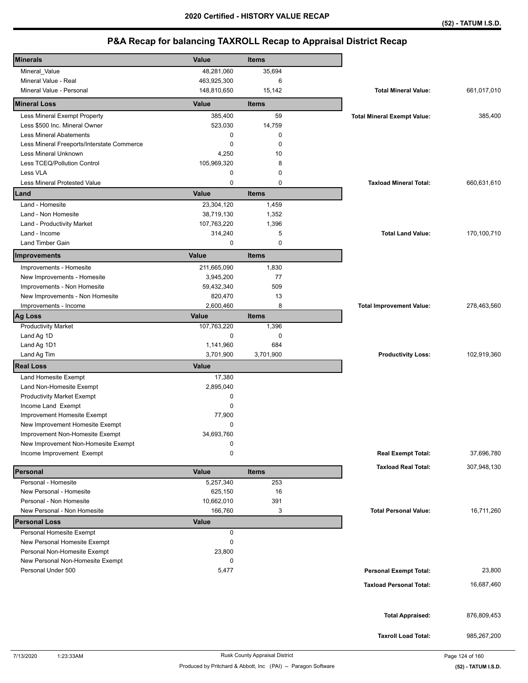| <b>Minerals</b>                                          | <b>Value</b> | <b>Items</b> |                                                |
|----------------------------------------------------------|--------------|--------------|------------------------------------------------|
| Mineral_Value                                            | 48,281,060   | 35,694       |                                                |
| Mineral Value - Real                                     | 463,925,300  | 6            |                                                |
| Mineral Value - Personal                                 | 148,810,650  | 15,142       | 661,017,010<br><b>Total Mineral Value:</b>     |
| <b>Mineral Loss</b>                                      | Value        | <b>Items</b> |                                                |
| Less Mineral Exempt Property                             | 385,400      | 59           | 385,400<br><b>Total Mineral Exempt Value:</b>  |
| Less \$500 Inc. Mineral Owner                            | 523,030      | 14,759       |                                                |
| <b>Less Mineral Abatements</b>                           | 0            | $\mathbf 0$  |                                                |
| Less Mineral Freeports/Interstate Commerce               | 0            | $\mathbf 0$  |                                                |
| Less Mineral Unknown                                     | 4,250        | 10           |                                                |
| Less TCEQ/Pollution Control                              | 105,969,320  | 8            |                                                |
| Less VLA                                                 | 0            | $\mathbf 0$  |                                                |
| <b>Less Mineral Protested Value</b>                      | 0            | 0            | <b>Taxload Mineral Total:</b><br>660,631,610   |
| Land                                                     | Value        | <b>Items</b> |                                                |
| Land - Homesite                                          | 23,304,120   | 1,459        |                                                |
| Land - Non Homesite                                      | 38,719,130   | 1,352        |                                                |
| Land - Productivity Market                               | 107,763,220  | 1,396        |                                                |
| Land - Income                                            | 314,240      | 5            | 170,100,710<br><b>Total Land Value:</b>        |
| Land Timber Gain                                         | 0            | $\mathbf 0$  |                                                |
| Improvements                                             | Value        | <b>Items</b> |                                                |
| Improvements - Homesite                                  | 211,665,090  | 1,830        |                                                |
| New Improvements - Homesite                              | 3,945,200    | 77           |                                                |
| Improvements - Non Homesite                              | 59,432,340   | 509          |                                                |
| New Improvements - Non Homesite                          | 820,470      | 13           |                                                |
| Improvements - Income                                    | 2,600,460    | 8            | 278,463,560<br><b>Total Improvement Value:</b> |
| Ag Loss                                                  | Value        | <b>Items</b> |                                                |
| <b>Productivity Market</b>                               | 107,763,220  | 1,396        |                                                |
| Land Ag 1D                                               | 0            | $\mathbf 0$  |                                                |
| Land Ag 1D1                                              | 1,141,960    | 684          |                                                |
| Land Ag Tim                                              | 3,701,900    | 3,701,900    | 102,919,360<br><b>Productivity Loss:</b>       |
| <b>Real Loss</b>                                         | Value        |              |                                                |
| Land Homesite Exempt                                     | 17,380       |              |                                                |
| Land Non-Homesite Exempt                                 | 2,895,040    |              |                                                |
| <b>Productivity Market Exempt</b>                        | 0            |              |                                                |
| Income Land Exempt                                       | 0            |              |                                                |
| Improvement Homesite Exempt                              | 77,900       |              |                                                |
| New Improvement Homesite Exempt                          | 0            |              |                                                |
| Improvement Non-Homesite Exempt                          | 34,693,760   |              |                                                |
| New Improvement Non-Homesite Exempt                      | 0            |              |                                                |
| Income Improvement Exempt                                | 0            |              | 37,696,780<br><b>Real Exempt Total:</b>        |
| Personal                                                 | Value        | <b>Items</b> | 307,948,130<br><b>Taxload Real Total:</b>      |
| Personal - Homesite                                      | 5,257,340    | 253          |                                                |
| New Personal - Homesite                                  | 625,150      | 16           |                                                |
| Personal - Non Homesite                                  | 10,662,010   | 391          |                                                |
| New Personal - Non Homesite                              | 166,760      | 3            | 16,711,260<br><b>Total Personal Value:</b>     |
| <b>Personal Loss</b>                                     | <b>Value</b> |              |                                                |
| Personal Homesite Exempt<br>New Personal Homesite Exempt | 0            |              |                                                |
| Personal Non-Homesite Exempt                             | 0            |              |                                                |
| New Personal Non-Homesite Exempt                         | 23,800<br>0  |              |                                                |
| Personal Under 500                                       | 5,477        |              | 23,800<br><b>Personal Exempt Total:</b>        |
|                                                          |              |              |                                                |
|                                                          |              |              | <b>Taxload Personal Total:</b><br>16,687,460   |
|                                                          |              |              |                                                |
|                                                          |              |              | 876,809,453<br><b>Total Appraised:</b>         |
|                                                          |              |              |                                                |
|                                                          |              |              | 985,267,200<br><b>Taxroll Load Total:</b>      |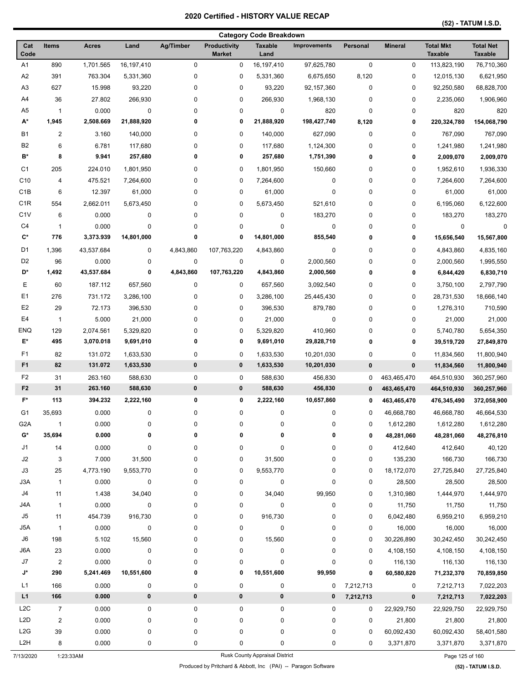**(52) - TATUM I.S.D.** 

|                      | <b>Category Code Breakdown</b> |                        |                        |             |                                      |                        |                       |             |                |                                    |                                    |
|----------------------|--------------------------------|------------------------|------------------------|-------------|--------------------------------------|------------------------|-----------------------|-------------|----------------|------------------------------------|------------------------------------|
| Cat<br>Code          | <b>Items</b>                   | <b>Acres</b>           | Land                   | Ag/Timber   | <b>Productivity</b><br><b>Market</b> | <b>Taxable</b><br>Land | <b>Improvements</b>   | Personal    | <b>Mineral</b> | <b>Total Mkt</b><br><b>Taxable</b> | <b>Total Net</b><br><b>Taxable</b> |
| A1                   | 890                            | 1,701.565              | 16,197,410             | $\mathbf 0$ | 0                                    | 16,197,410             | 97,625,780            | $\pmb{0}$   | 0              | 113,823,190                        | 76,710,360                         |
| A <sub>2</sub>       | 391                            | 763.304                | 5,331,360              | 0           | 0                                    | 5,331,360              | 6,675,650             | 8,120       | 0              | 12,015,130                         | 6,621,950                          |
| A3                   | 627                            | 15.998                 | 93,220                 | 0           | 0                                    | 93,220                 | 92,157,360            | $\mathbf 0$ | 0              | 92,250,580                         | 68,828,700                         |
| A4                   | 36                             | 27.802                 | 266,930                | 0           | 0                                    | 266,930                | 1,968,130             | 0           | 0              | 2,235,060                          | 1,906,960                          |
| A5                   | $\mathbf{1}$                   | 0.000                  | 0                      | 0           | 0                                    | 0                      | 820                   | 0           | 0              | 820                                | 820                                |
| А*                   | 1,945                          | 2,508.669              | 21,888,920             | 0           | 0                                    | 21,888,920             | 198,427,740           | 8,120       | 0              | 220,324,780                        | 154,068,790                        |
| B1                   | $\overline{2}$                 | 3.160                  | 140,000                | 0           | 0                                    | 140,000                | 627,090               | $\mathbf 0$ | 0              | 767,090                            | 767,090                            |
| B <sub>2</sub>       | 6                              | 6.781                  | 117,680                | 0           | 0                                    | 117,680                | 1,124,300             | $\mathbf 0$ | 0              | 1,241,980                          | 1,241,980                          |
| B*                   | 8                              | 9.941                  | 257,680                | 0           | 0                                    | 257,680                | 1,751,390             | 0           | 0              | 2,009,070                          | 2,009,070                          |
| C1                   | 205                            | 224.010                | 1,801,950              | 0           | 0                                    | 1,801,950              | 150,660               | 0           | 0              | 1,952,610                          | 1,936,330                          |
| C <sub>10</sub>      | 4                              | 475.521                | 7,264,600              | 0           | 0                                    | 7,264,600              | 0                     | 0           | 0              | 7,264,600                          | 7,264,600                          |
| C <sub>1</sub> B     | 6                              | 12.397                 | 61,000                 | 0           | 0                                    | 61,000                 | 0                     | 0           | 0              | 61,000                             | 61,000                             |
| C <sub>1</sub> R     | 554                            | 2,662.011              | 5,673,450              | 0           | 0                                    | 5,673,450              | 521,610               | 0           | 0              | 6,195,060                          | 6,122,600                          |
| C <sub>1</sub> V     | 6                              | 0.000                  | 0                      | 0           | 0                                    | 0                      | 183,270               | 0           | 0              | 183,270                            | 183,270                            |
| C <sub>4</sub>       | $\mathbf{1}$                   | 0.000                  | 0                      | 0           | 0                                    | 0                      | 0                     | 0           | 0              | 0                                  | 0                                  |
| C*                   | 776                            | 3,373.939              | 14,801,000             | 0           | 0                                    | 14,801,000             | 855,540               | 0           | 0              | 15,656,540                         | 15,567,800                         |
| D1                   | 1,396                          | 43,537.684             | 0                      | 4,843,860   | 107,763,220                          | 4,843,860              | 0                     | 0           | 0              | 4,843,860                          | 4,835,160                          |
| D <sub>2</sub>       | 96                             | 0.000                  | 0                      | $\mathbf 0$ | 0                                    | 0                      | 2,000,560             | 0           | 0              | 2,000,560                          | 1,995,550                          |
| D*                   | 1,492                          | 43,537.684             | 0                      | 4,843,860   | 107,763,220                          | 4,843,860              | 2,000,560             | 0           | 0              | 6,844,420                          | 6,830,710                          |
| Е                    | 60                             | 187.112                | 657,560                | 0           | 0                                    | 657,560                | 3,092,540             | 0           | 0              | 3,750,100                          | 2,797,790                          |
| E <sub>1</sub>       | 276                            | 731.172                |                        | 0           | 0                                    |                        |                       | 0           | 0              |                                    |                                    |
| E <sub>2</sub>       | 29                             |                        | 3,286,100              | 0           | 0                                    | 3,286,100              | 25,445,430            | 0           | 0              | 28,731,530                         | 18,666,140<br>710,590              |
| E4                   | $\mathbf{1}$                   | 72.173<br>5.000        | 396,530<br>21,000      | 0           |                                      | 396,530                | 879,780<br>0          | 0           | 0              | 1,276,310                          | 21,000                             |
| <b>ENQ</b>           |                                |                        |                        |             | 0                                    | 21,000                 |                       |             |                | 21,000                             |                                    |
| E*                   | 129<br>495                     | 2,074.561<br>3,070.018 | 5,329,820<br>9,691,010 | 0<br>0      | 0<br>0                               | 5,329,820<br>9,691,010 | 410,960<br>29,828,710 | 0<br>0      | 0<br>0         | 5,740,780                          | 5,654,350                          |
|                      |                                |                        |                        |             |                                      |                        |                       |             |                | 39,519,720                         | 27,849,870                         |
| F1<br>F <sub>1</sub> | 82                             | 131.072                | 1,633,530              | 0           | 0                                    | 1,633,530              | 10,201,030            | 0           | 0              | 11,834,560                         | 11,800,940                         |
|                      | 82                             | 131.072                | 1,633,530              | 0           | 0                                    | 1,633,530              | 10,201,030            | $\bf{0}$    | $\pmb{0}$      | 11,834,560                         | 11,800,940                         |
| F <sub>2</sub>       | 31                             | 263.160                | 588,630                | 0           | 0                                    | 588,630                | 456,830               | 0           | 463,465,470    | 464,510,930                        | 360,257,960                        |
| F <sub>2</sub>       | 31                             | 263.160                | 588,630                | $\bf{0}$    | 0                                    | 588,630                | 456,830               | $\bf{0}$    | 463,465,470    | 464,510,930                        | 360,257,960                        |
| F*                   | 113                            | 394.232                | 2,222,160              | 0           | 0                                    | 2,222,160              | 10,657,860            | 0           | 463,465,470    | 476,345,490                        | 372,058,900                        |
| G1                   | 35,693                         | 0.000                  | 0                      | 0           | 0                                    | 0                      | 0                     | 0           | 46,668,780     | 46,668,780                         | 46,664,530                         |
| G <sub>2</sub> A     | $\overline{1}$                 | 0.000                  | 0                      | 0           | 0                                    | 0                      | 0                     | 0           | 1,612,280      | 1,612,280                          | 1,612,280                          |
| G*                   | 35,694                         | 0.000                  | $\pmb{0}$              | 0           | 0                                    | 0                      | 0                     | 0           | 48,281,060     | 48,281,060                         | 48,276,810                         |
| J1                   | 14                             | 0.000                  | $\pmb{0}$              | 0           | 0                                    | 0                      | 0                     | 0           | 412,640        | 412,640                            | 40,120                             |
| J2                   | 3                              | 7.000                  | 31,500                 | 0           | 0                                    | 31,500                 | 0                     | 0           | 135,230        | 166,730                            | 166,730                            |
| J3                   | 25                             | 4,773.190              | 9,553,770              | 0           | 0                                    | 9,553,770              | 0                     | 0           | 18,172,070     | 27,725,840                         | 27,725,840                         |
| J3A                  | $\overline{1}$                 | 0.000                  | $\pmb{0}$              | 0           | 0                                    | $\pmb{0}$              | 0                     | $\pmb{0}$   | 28,500         | 28,500                             | 28,500                             |
| J <sub>4</sub>       | 11                             | 1.438                  | 34,040                 | $\pmb{0}$   | 0                                    | 34,040                 | 99,950                | $\pmb{0}$   | 1,310,980      | 1,444,970                          | 1,444,970                          |
| J4A                  | $\overline{1}$                 | 0.000                  | $\pmb{0}$              | 0           | 0                                    | 0                      | 0                     | 0           | 11,750         | 11,750                             | 11,750                             |
| J5                   | 11                             | 454.739                | 916,730                | 0           | 0                                    | 916,730                | 0                     | 0           | 6,042,480      | 6,959,210                          | 6,959,210                          |
| J5A                  | $\overline{1}$                 | 0.000                  | 0                      | 0           | 0                                    | 0                      | 0                     | 0           | 16,000         | 16,000                             | 16,000                             |
| J6                   | 198                            | 5.102                  | 15,560                 | 0           | 0                                    | 15,560                 | 0                     | 0           | 30,226,890     | 30,242,450                         | 30,242,450                         |
| J6A                  | 23                             | 0.000                  | 0                      | $\pmb{0}$   | 0                                    | 0                      | 0                     | 0           | 4,108,150      | 4,108,150                          | 4,108,150                          |
| J7                   | $\overline{2}$                 | 0.000                  | $\pmb{0}$              | $\pmb{0}$   | 0                                    | 0                      | 0                     | 0           | 116,130        | 116,130                            | 116,130                            |
| J*                   | 290                            | 5,241.469              | 10,551,600             | 0           | 0                                    | 10,551,600             | 99,950                | 0           | 60,580,820     | 71,232,370                         | 70,859,850                         |
| L1                   | 166                            | 0.000                  | 0                      | 0           | 0                                    | 0                      | 0                     | 7,212,713   | 0              | 7,212,713                          | 7,022,203                          |
| L1                   | 166                            | 0.000                  | $\pmb{0}$              | $\bf{0}$    | 0                                    | $\pmb{0}$              | 0                     | 7,212,713   | $\mathbf 0$    | 7,212,713                          | 7,022,203                          |
| L <sub>2</sub> C     | $\overline{7}$                 | 0.000                  | 0                      | 0           | 0                                    | 0                      | 0                     | 0           | 22,929,750     | 22,929,750                         | 22,929,750                         |
| L <sub>2</sub> D     | $\overline{2}$                 | 0.000                  | 0                      | 0           | 0                                    | 0                      | 0                     | 0           | 21,800         | 21,800                             | 21,800                             |
| L2G                  | 39                             | 0.000                  | $\pmb{0}$              | 0           | 0                                    | 0                      | 0                     | 0           | 60,092,430     | 60,092,430                         | 58,401,580                         |
| L <sub>2</sub> H     | 8                              | 0.000                  | $\pmb{0}$              | $\pmb{0}$   | 0                                    | 0                      | 0                     | 0           | 3,371,870      | 3,371,870                          | 3,371,870                          |

Produced by Pritchard & Abbott, Inc (PAI) -- Paragon Software **(52) - TATUM I.S.D.**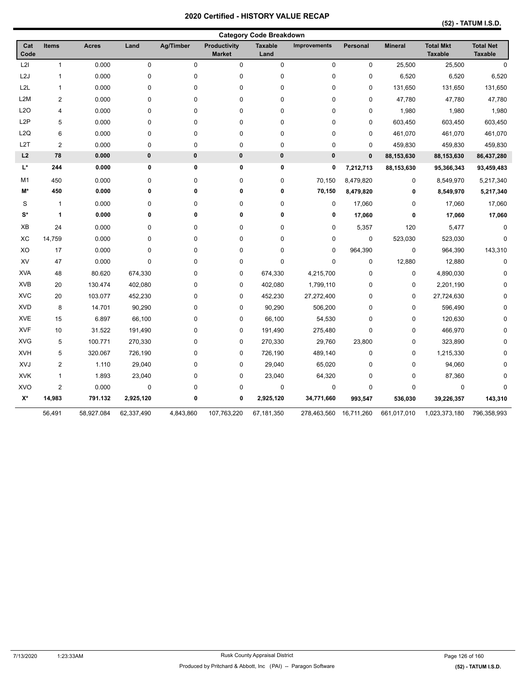|                    | <b>Category Code Breakdown</b> |              |            |                  |                                      |                        |                     |              |                |                                    |                                    |
|--------------------|--------------------------------|--------------|------------|------------------|--------------------------------------|------------------------|---------------------|--------------|----------------|------------------------------------|------------------------------------|
| Cat<br>Code        | <b>Items</b>                   | <b>Acres</b> | Land       | <b>Ag/Timber</b> | <b>Productivity</b><br><b>Market</b> | <b>Taxable</b><br>Land | <b>Improvements</b> | Personal     | <b>Mineral</b> | <b>Total Mkt</b><br><b>Taxable</b> | <b>Total Net</b><br><b>Taxable</b> |
| L2I                | $\mathbf{1}$                   | 0.000        | 0          | 0                | 0                                    | 0                      | 0                   | $\mathbf 0$  | 25,500         | 25,500                             | $\Omega$                           |
| L <sub>2</sub> J   | $\mathbf{1}$                   | 0.000        | 0          | 0                | 0                                    | 0                      | 0                   | 0            | 6,520          | 6,520                              | 6,520                              |
| L <sub>2L</sub>    | $\mathbf{1}$                   | 0.000        | 0          | 0                | 0                                    | 0                      | 0                   | $\mathbf 0$  | 131,650        | 131,650                            | 131,650                            |
| L <sub>2</sub> M   | $\overline{2}$                 | 0.000        | 0          | 0                | 0                                    | 0                      | 0                   | 0            | 47,780         | 47,780                             | 47,780                             |
| L2O                | 4                              | 0.000        | 0          | 0                | 0                                    | 0                      | 0                   | 0            | 1,980          | 1,980                              | 1,980                              |
| L <sub>2</sub> P   | 5                              | 0.000        | 0          | $\mathbf 0$      | 0                                    | 0                      | 0                   | $\mathbf 0$  | 603,450        | 603,450                            | 603,450                            |
| L2Q                | 6                              | 0.000        | 0          | $\mathbf 0$      | 0                                    | 0                      | 0                   | $\mathbf 0$  | 461,070        | 461,070                            | 461,070                            |
| L <sub>2</sub> T   | $\overline{2}$                 | 0.000        | 0          | $\mathbf 0$      | 0                                    | 0                      | 0                   | $\mathbf 0$  | 459,830        | 459,830                            | 459,830                            |
| L2                 | 78                             | 0.000        | 0          | 0                | $\pmb{0}$                            | $\pmb{0}$              | $\pmb{0}$           | $\mathbf{0}$ | 88,153,630     | 88,153,630                         | 86,437,280                         |
| $\mathsf{L}^\star$ | 244                            | 0.000        | 0          | $\pmb{0}$        | 0                                    | 0                      | 0                   | 7,212,713    | 88,153,630     | 95,366,343                         | 93,459,483                         |
| M1                 | 450                            | 0.000        | 0          | 0                | 0                                    | 0                      | 70,150              | 8,479,820    | $\pmb{0}$      | 8,549,970                          | 5,217,340                          |
| M*                 | 450                            | 0.000        | 0          | 0                | 0                                    | 0                      | 70,150              | 8,479,820    | 0              | 8,549,970                          | 5,217,340                          |
| S                  | $\mathbf{1}$                   | 0.000        | 0          | 0                | 0                                    | 0                      | 0                   | 17,060       | 0              | 17,060                             | 17,060                             |
| $S^*$              | $\mathbf{1}$                   | 0.000        | 0          | 0                | 0                                    | 0                      | 0                   | 17,060       | 0              | 17,060                             | 17,060                             |
| XB                 | 24                             | 0.000        | 0          | 0                | 0                                    | 0                      | 0                   | 5,357        | 120            | 5,477                              | 0                                  |
| XC                 | 14,759                         | 0.000        | 0          | 0                | 0                                    | 0                      | 0                   | $\pmb{0}$    | 523,030        | 523,030                            | 0                                  |
| XO                 | 17                             | 0.000        | 0          | 0                | 0                                    | 0                      | 0                   | 964,390      | $\mathbf 0$    | 964,390                            | 143,310                            |
| XV                 | 47                             | 0.000        | 0          | 0                | 0                                    | 0                      | 0                   | $\pmb{0}$    | 12,880         | 12,880                             | 0                                  |
| <b>XVA</b>         | 48                             | 80.620       | 674,330    | 0                | 0                                    | 674,330                | 4,215,700           | $\pmb{0}$    | $\pmb{0}$      | 4,890,030                          | 0                                  |
| <b>XVB</b>         | 20                             | 130.474      | 402,080    | 0                | 0                                    | 402,080                | 1,799,110           | $\mathbf 0$  | 0              | 2,201,190                          | 0                                  |
| <b>XVC</b>         | 20                             | 103.077      | 452,230    | 0                | 0                                    | 452,230                | 27,272,400          | 0            | 0              | 27,724,630                         | $\mathbf 0$                        |
| <b>XVD</b>         | 8                              | 14.701       | 90,290     | 0                | 0                                    | 90,290                 | 506,200             | 0            | 0              | 596,490                            | 0                                  |
| <b>XVE</b>         | 15                             | 6.897        | 66,100     | 0                | 0                                    | 66,100                 | 54,530              | 0            | 0              | 120,630                            | $\Omega$                           |
| <b>XVF</b>         | 10                             | 31.522       | 191,490    | 0                | 0                                    | 191,490                | 275,480             | $\mathbf 0$  | 0              | 466,970                            | $\Omega$                           |
| <b>XVG</b>         | 5                              | 100.771      | 270,330    | 0                | 0                                    | 270,330                | 29,760              | 23,800       | 0              | 323,890                            | $\mathbf 0$                        |
| <b>XVH</b>         | 5                              | 320.067      | 726,190    | 0                | 0                                    | 726,190                | 489,140             | 0            | 0              | 1,215,330                          | $\Omega$                           |
| XVJ                | $\overline{\mathbf{c}}$        | 1.110        | 29,040     | 0                | 0                                    | 29,040                 | 65,020              | 0            | 0              | 94,060                             | $\Omega$                           |
| <b>XVK</b>         | 1                              | 1.893        | 23,040     | 0                | 0                                    | 23,040                 | 64,320              | 0            | 0              | 87,360                             | O                                  |
| XVO                | $\overline{\mathbf{c}}$        | 0.000        | 0          | 0                | 0                                    | 0                      | 0                   | $\mathbf 0$  | 0              | $\pmb{0}$                          | $\mathbf 0$                        |
| X*                 | 14,983                         | 791.132      | 2,925,120  | 0                | 0                                    | 2,925,120              | 34,771,660          | 993,547      | 536,030        | 39,226,357                         | 143,310                            |
|                    | 56,491                         | 58,927.084   | 62,337,490 | 4,843,860        | 107,763,220                          | 67,181,350             | 278,463,560         | 16,711,260   | 661,017,010    | 1,023,373,180                      | 796,358,993                        |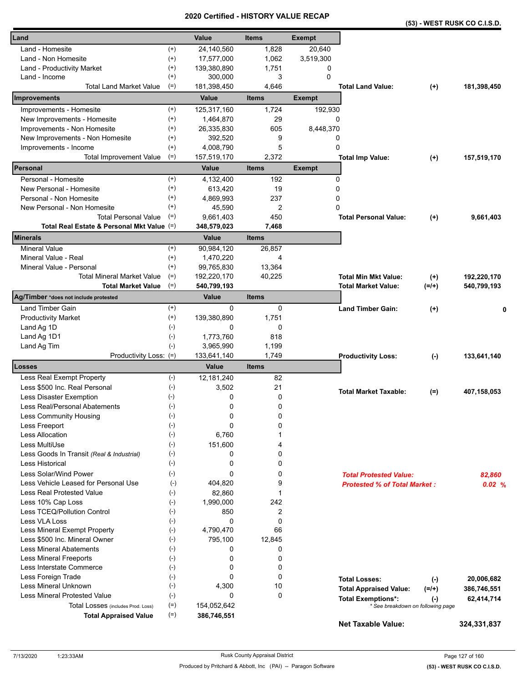|                                                           |                    |             | Certified - HISTORT VALUE RECAP |               |                                     |                                   | (53) - WEST RUSK CO C.I.S.D. |
|-----------------------------------------------------------|--------------------|-------------|---------------------------------|---------------|-------------------------------------|-----------------------------------|------------------------------|
| Land                                                      |                    | Value       | <b>Items</b>                    | <b>Exempt</b> |                                     |                                   |                              |
| Land - Homesite                                           | $^{(+)}$           | 24,140,560  | 1,828                           | 20,640        |                                     |                                   |                              |
| Land - Non Homesite                                       | $^{(+)}$           | 17,577,000  | 1,062                           | 3,519,300     |                                     |                                   |                              |
| Land - Productivity Market                                | $^{(+)}$           | 139,380,890 | 1,751                           | 0             |                                     |                                   |                              |
| Land - Income                                             | $^{(+)}$           | 300,000     | 3                               | $\Omega$      |                                     |                                   |                              |
| <b>Total Land Market Value</b>                            | $(=)$              | 181,398,450 | 4,646                           |               | <b>Total Land Value:</b>            | $^{(+)}$                          | 181,398,450                  |
| Improvements                                              |                    | Value       | <b>Items</b>                    | <b>Exempt</b> |                                     |                                   |                              |
| Improvements - Homesite                                   | $^{(+)}$           | 125,317,160 | 1,724                           | 192,930       |                                     |                                   |                              |
| New Improvements - Homesite                               | $^{(+)}$           | 1,464,870   | 29                              | 0             |                                     |                                   |                              |
| Improvements - Non Homesite                               | $^{(+)}$           | 26,335,830  | 605                             | 8,448,370     |                                     |                                   |                              |
| New Improvements - Non Homesite                           | $^{(+)}$           | 392,520     | 9                               | 0             |                                     |                                   |                              |
| Improvements - Income                                     | $^{(+)}$           | 4,008,790   | 5                               | 0             |                                     |                                   |                              |
| <b>Total Improvement Value</b>                            | $(=)$              | 157,519,170 | 2,372                           |               | <b>Total Imp Value:</b>             | $^{(+)}$                          | 157,519,170                  |
| Personal                                                  |                    | Value       | <b>Items</b>                    | <b>Exempt</b> |                                     |                                   |                              |
| Personal - Homesite                                       | $^{(+)}$           | 4,132,400   | 192                             | 0             |                                     |                                   |                              |
| New Personal - Homesite                                   | $^{(+)}$           | 613,420     | 19                              | 0             |                                     |                                   |                              |
| Personal - Non Homesite                                   | $^{(+)}$           | 4,869,993   | 237                             | 0             |                                     |                                   |                              |
| New Personal - Non Homesite                               | $^{(+)}$           | 45,590      | 2                               | 0             |                                     |                                   |                              |
| <b>Total Personal Value</b>                               | $(=)$              | 9,661,403   | 450                             |               | <b>Total Personal Value:</b>        | $^{(+)}$                          | 9,661,403                    |
| Total Real Estate & Personal Mkt Value (=)                |                    | 348,579,023 | 7,468                           |               |                                     |                                   |                              |
| Minerals                                                  |                    | Value       | <b>Items</b>                    |               |                                     |                                   |                              |
| <b>Mineral Value</b>                                      | $^{(+)}$           | 90,984,120  | 26,857                          |               |                                     |                                   |                              |
| Mineral Value - Real                                      | $^{(+)}$           | 1,470,220   | 4                               |               |                                     |                                   |                              |
| Mineral Value - Personal                                  | $^{(+)}$           | 99,765,830  | 13,364                          |               |                                     |                                   |                              |
| <b>Total Mineral Market Value</b>                         | $(=)$              | 192,220,170 | 40,225                          |               | <b>Total Min Mkt Value:</b>         | $^{(+)}$                          | 192,220,170                  |
| <b>Total Market Value</b>                                 | $(=)$              | 540,799,193 |                                 |               | <b>Total Market Value:</b>          | $(=/+)$                           | 540,799,193                  |
| Ag/Timber *does not include protested                     |                    | Value       | <b>Items</b>                    |               |                                     |                                   |                              |
| Land Timber Gain                                          | $^{(+)}$           | 0           | 0                               |               | <b>Land Timber Gain:</b>            | $^{(+)}$                          | 0                            |
| <b>Productivity Market</b>                                | $^{(+)}$           | 139,380,890 | 1,751                           |               |                                     |                                   |                              |
| Land Ag 1D                                                | $(-)$              | 0           | 0                               |               |                                     |                                   |                              |
| Land Ag 1D1                                               | $(-)$              | 1,773,760   | 818                             |               |                                     |                                   |                              |
| Land Ag Tim                                               | $(-)$              | 3,965,990   | 1,199                           |               |                                     |                                   |                              |
| Productivity Loss: (=)                                    |                    | 133,641,140 | 1,749                           |               | <b>Productivity Loss:</b>           | $(\text{-})$                      | 133,641,140                  |
| Losses                                                    |                    | Value       | <b>Items</b>                    |               |                                     |                                   |                              |
| Less Real Exempt Property                                 | $(-)$              | 12,181,240  | 82                              |               |                                     |                                   |                              |
| Less \$500 Inc. Real Personal                             | $(\text{-})$       | 3,502       | 21                              |               |                                     |                                   |                              |
| Less Disaster Exemption                                   | $(-)$              | 0           | 0                               |               | <b>Total Market Taxable:</b>        | $(=)$                             | 407,158,053                  |
| Less Real/Personal Abatements                             | $(\textnormal{-})$ | 0           | 0                               |               |                                     |                                   |                              |
| Less Community Housing                                    | $(-)$              | 0           | 0                               |               |                                     |                                   |                              |
| Less Freeport                                             | $(-)$              | 0           | 0                               |               |                                     |                                   |                              |
| <b>Less Allocation</b>                                    | $(-)$              | 6,760       | 1                               |               |                                     |                                   |                              |
| Less MultiUse                                             | $(-)$              | 151,600     | 4                               |               |                                     |                                   |                              |
| Less Goods In Transit (Real & Industrial)                 | $(-)$              | 0           | 0                               |               |                                     |                                   |                              |
| <b>Less Historical</b>                                    | $(-)$              | 0           | 0                               |               |                                     |                                   |                              |
| Less Solar/Wind Power                                     | $(-)$              | 0           | 0                               |               | <b>Total Protested Value:</b>       |                                   |                              |
| Less Vehicle Leased for Personal Use                      | $(-)$              | 404,820     | 9                               |               | <b>Protested % of Total Market:</b> |                                   | 82,860                       |
| Less Real Protested Value                                 | $(-)$              | 82,860      | 1                               |               |                                     |                                   | 0.02 %                       |
| Less 10% Cap Loss                                         | $(-)$              | 1,990,000   | 242                             |               |                                     |                                   |                              |
| Less TCEQ/Pollution Control                               | $(-)$              | 850         | 2                               |               |                                     |                                   |                              |
| Less VLA Loss                                             | $(\cdot)$          | 0           | $\Omega$                        |               |                                     |                                   |                              |
| Less Mineral Exempt Property                              | $(-)$              | 4,790,470   | 66                              |               |                                     |                                   |                              |
| Less \$500 Inc. Mineral Owner                             | $(-)$              | 795,100     | 12,845                          |               |                                     |                                   |                              |
| <b>Less Mineral Abatements</b>                            | $(-)$              | 0           | 0                               |               |                                     |                                   |                              |
|                                                           | $(-)$              | 0           | 0                               |               |                                     |                                   |                              |
| <b>Less Mineral Freeports</b><br>Less Interstate Commerce | $(\cdot)$          | 0           | 0                               |               |                                     |                                   |                              |
| Less Foreign Trade                                        | $(-)$              | 0           | 0                               |               |                                     |                                   |                              |
| Less Mineral Unknown                                      | $(-)$              | 4,300       | 10                              |               | <b>Total Losses:</b>                | $(\cdot)$                         | 20,006,682                   |
| Less Mineral Protested Value                              | $(-)$              | 0           | $\mathbf 0$                     |               | <b>Total Appraised Value:</b>       | $(=/+)$                           | 386,746,551                  |
|                                                           |                    | 154,052,642 |                                 |               | <b>Total Exemptions*:</b>           | $(\cdot)$                         | 62,414,714                   |
| Total Losses (includes Prod. Loss)                        | $(=)$<br>$(=)$     |             |                                 |               |                                     | * See breakdown on following page |                              |
| <b>Total Appraised Value</b>                              |                    | 386,746,551 |                                 |               | <b>Net Taxable Value:</b>           |                                   | 324,331,837                  |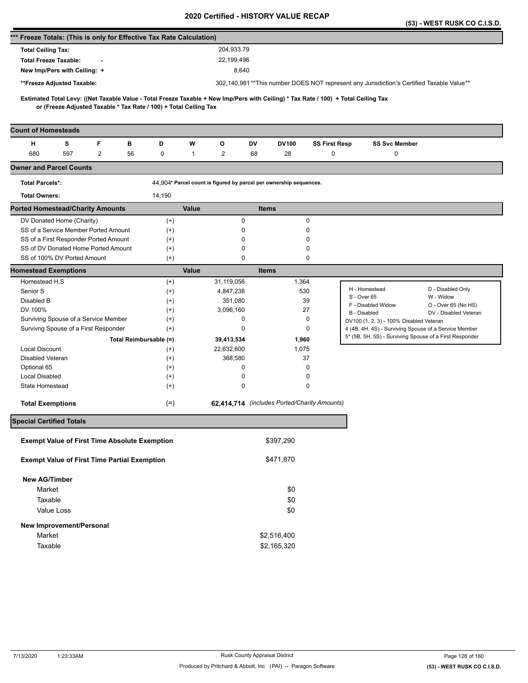|                                                                      |         |   |    |                                                                   |              |                                                                    |              |              |                                              | (53) - WEST RUSK CO C.I.S.D.                                                                                                        |
|----------------------------------------------------------------------|---------|---|----|-------------------------------------------------------------------|--------------|--------------------------------------------------------------------|--------------|--------------|----------------------------------------------|-------------------------------------------------------------------------------------------------------------------------------------|
| *** Freeze Totals: (This is only for Effective Tax Rate Calculation) |         |   |    |                                                                   |              |                                                                    |              |              |                                              |                                                                                                                                     |
| <b>Total Ceiling Tax:</b>                                            |         |   |    |                                                                   |              | 204,933.79                                                         |              |              |                                              |                                                                                                                                     |
| <b>Total Freeze Taxable:</b>                                         |         |   |    |                                                                   |              | 22,199,496                                                         |              |              |                                              |                                                                                                                                     |
| New Imp/Pers with Ceiling: +                                         |         |   |    |                                                                   |              | 8,640                                                              |              |              |                                              |                                                                                                                                     |
| **Freeze Adjusted Taxable:                                           |         |   |    |                                                                   |              |                                                                    |              |              |                                              | 302,140,981**This number DOES NOT represent any Jurisdiction's Certified Taxable Value**                                            |
|                                                                      |         |   |    |                                                                   |              |                                                                    |              |              |                                              |                                                                                                                                     |
|                                                                      |         |   |    | or (Freeze Adjusted Taxable * Tax Rate / 100) + Total Ceiling Tax |              |                                                                    |              |              |                                              | Estimated Total Levy: ((Net Taxable Value - Total Freeze Taxable + New Imp/Pers with Ceiling) * Tax Rate / 100) + Total Ceiling Tax |
| <b>Count of Homesteads</b>                                           |         |   |    |                                                                   |              |                                                                    |              |              |                                              |                                                                                                                                     |
| н                                                                    | s       | F | в  | D                                                                 | W            | o                                                                  | DV           | <b>DV100</b> | <b>SS First Resp</b>                         | <b>SS Svc Member</b>                                                                                                                |
| 680                                                                  | 597     | 2 | 56 | 0                                                                 | $\mathbf{1}$ | 2                                                                  | 68           | 28           | 0                                            | 0                                                                                                                                   |
| <b>Owner and Parcel Counts</b>                                       |         |   |    |                                                                   |              |                                                                    |              |              |                                              |                                                                                                                                     |
| <b>Total Parcels*:</b>                                               |         |   |    |                                                                   |              | 44,904* Parcel count is figured by parcel per ownership sequences. |              |              |                                              |                                                                                                                                     |
| <b>Total Owners:</b>                                                 |         |   |    | 14,190                                                            |              |                                                                    |              |              |                                              |                                                                                                                                     |
| <b>Ported Homestead/Charity Amounts</b>                              |         |   |    |                                                                   | Value        |                                                                    | <b>Items</b> |              |                                              |                                                                                                                                     |
| DV Donated Home (Charity)                                            |         |   |    | $^{(+)}$                                                          |              | $\pmb{0}$                                                          |              |              | 0                                            |                                                                                                                                     |
| SS of a Service Member Ported Amount                                 |         |   |    | $^{(+)}$                                                          |              | 0                                                                  |              |              | 0                                            |                                                                                                                                     |
| SS of a First Responder Ported Amount                                |         |   |    | $^{(+)}$                                                          |              | 0                                                                  |              |              | 0                                            |                                                                                                                                     |
| SS of DV Donated Home Ported Amount                                  |         |   |    | $^{(+)}$                                                          |              | 0                                                                  |              |              | 0                                            |                                                                                                                                     |
| SS of 100% DV Ported Amount                                          |         |   |    | $^{(+)}$                                                          |              | 0                                                                  |              |              | 0                                            |                                                                                                                                     |
| <b>Homestead Exemptions</b>                                          |         |   |    |                                                                   | Value        |                                                                    | <b>Items</b> |              |                                              |                                                                                                                                     |
| Homestead H,S                                                        |         |   |    | $^{(+)}$                                                          |              | 31,119,056                                                         |              | 1,364        |                                              | D - Disabled Only<br>H - Homestead                                                                                                  |
| Senior S<br>Disabled B                                               |         |   |    | $^{(+)}$                                                          |              | 4,847,238                                                          |              | 530          |                                              | W - Widow<br>S - Over 65                                                                                                            |
| DV 100%                                                              |         |   |    | $^{(+)}$                                                          |              | 351,080                                                            |              |              | 39                                           | F - Disabled Widow<br>O - Over 65 (No HS)                                                                                           |
| Surviving Spouse of a Service Member                                 |         |   |    | $^{(+)}$<br>$^{(+)}$                                              |              | 3,096,160<br>0                                                     |              | 27           | 0                                            | B - Disabled<br>DV - Disabled Veteran                                                                                               |
| Survivng Spouse of a First Responder                                 |         |   |    | $^{(+)}$                                                          |              | 0                                                                  |              |              | 0                                            | DV100 (1, 2, 3) - 100% Disabled Veteran<br>4 (4B, 4H, 4S) - Surviving Spouse of a Service Member                                    |
|                                                                      |         |   |    | Total Reimbursable (=)                                            |              | 39,413,534                                                         |              | 1,960        |                                              | 5* (5B, 5H, 5S) - Surviving Spouse of a First Responder                                                                             |
| <b>Local Discount</b>                                                |         |   |    | $^{(+)}$                                                          |              | 22,632,600                                                         |              | 1,075        |                                              |                                                                                                                                     |
| Disabled Veteran                                                     |         |   |    | $^{(+)}$                                                          |              | 368,580                                                            |              | 37           |                                              |                                                                                                                                     |
| Optional 65                                                          |         |   |    | $^{(+)}$                                                          |              | 0                                                                  |              |              | 0                                            |                                                                                                                                     |
| <b>Local Disabled</b>                                                |         |   |    | $^{(+)}$                                                          |              | 0                                                                  |              |              | 0                                            |                                                                                                                                     |
| State Homestead                                                      |         |   |    | $^{(+)}$                                                          |              | 0                                                                  |              |              | 0                                            |                                                                                                                                     |
| <b>Total Exemptions</b>                                              |         |   |    | $(=)$                                                             |              |                                                                    |              |              | 62.414.714 (includes Ported/Charity Amounts) |                                                                                                                                     |
| <b>Special Certified Totals</b>                                      |         |   |    |                                                                   |              |                                                                    |              |              |                                              |                                                                                                                                     |
| <b>Exempt Value of First Time Absolute Exemption</b>                 |         |   |    |                                                                   |              |                                                                    |              | \$397,290    |                                              |                                                                                                                                     |
| <b>Exempt Value of First Time Partial Exemption</b>                  |         |   |    |                                                                   |              |                                                                    |              | \$471,870    |                                              |                                                                                                                                     |
| <b>New AG/Timber</b>                                                 |         |   |    |                                                                   |              |                                                                    |              |              |                                              |                                                                                                                                     |
| Market                                                               |         |   |    |                                                                   |              |                                                                    |              | \$0          |                                              |                                                                                                                                     |
| Taxable                                                              |         |   |    |                                                                   |              |                                                                    |              | \$0          |                                              |                                                                                                                                     |
| Value Loss                                                           |         |   |    |                                                                   |              |                                                                    |              | \$0          |                                              |                                                                                                                                     |
| New Improvement/Personal                                             |         |   |    |                                                                   |              |                                                                    |              |              |                                              |                                                                                                                                     |
| Market                                                               |         |   |    |                                                                   |              |                                                                    |              | \$2,516,400  |                                              |                                                                                                                                     |
|                                                                      | Taxable |   |    |                                                                   |              |                                                                    |              | \$2,165,320  |                                              |                                                                                                                                     |
|                                                                      |         |   |    |                                                                   |              |                                                                    |              |              |                                              |                                                                                                                                     |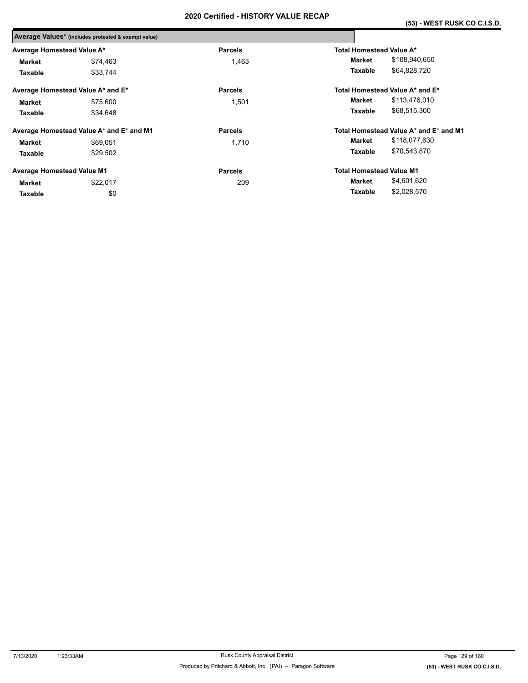|                                   | Average Values* (includes protested & exempt value) |                |                                 |                                        |
|-----------------------------------|-----------------------------------------------------|----------------|---------------------------------|----------------------------------------|
| Average Homestead Value A*        |                                                     | <b>Parcels</b> | Total Homestead Value A*        |                                        |
| Market                            | \$74,463                                            | 1,463          | Market                          | \$108,940,650                          |
| Taxable                           | \$33,744                                            |                | Taxable                         | \$64,828,720                           |
|                                   | Average Homestead Value A* and E*                   | <b>Parcels</b> |                                 | Total Homestead Value A* and E*        |
| Market                            | \$75,600                                            | 1,501          | Market                          | \$113,476,010                          |
| Taxable                           | \$34.648                                            |                | Taxable                         | \$68,515,300                           |
|                                   | Average Homestead Value A* and E* and M1            | <b>Parcels</b> |                                 | Total Homestead Value A* and E* and M1 |
| Market                            | \$69.051                                            | 1.710          | Market                          | \$118,077,630                          |
| Taxable                           | \$29.502                                            |                | Taxable                         | \$70,543,870                           |
| <b>Average Homestead Value M1</b> |                                                     | <b>Parcels</b> | <b>Total Homestead Value M1</b> |                                        |
| Market                            | \$22,017                                            | 209            | Market                          | \$4,601,620                            |
| Taxable                           | \$0                                                 |                | Taxable                         | \$2,028,570                            |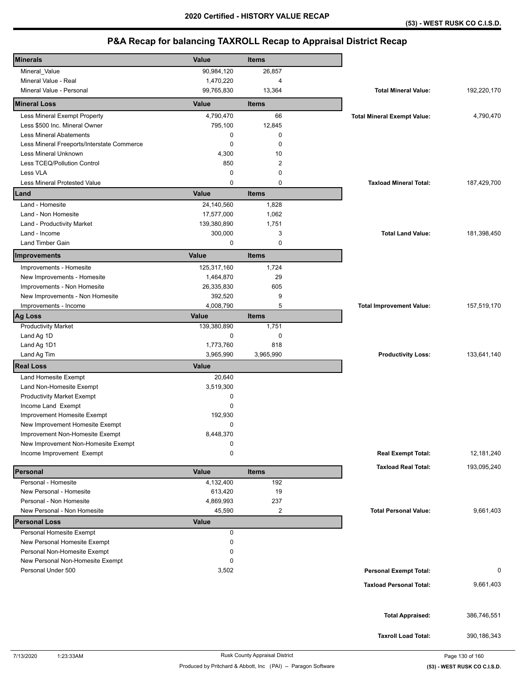| <b>Minerals</b>                            | Value        | <b>Items</b>   |                                    |               |
|--------------------------------------------|--------------|----------------|------------------------------------|---------------|
|                                            | 90,984,120   | 26,857         |                                    |               |
| Mineral_Value<br>Mineral Value - Real      | 1,470,220    | 4              |                                    |               |
| Mineral Value - Personal                   | 99,765,830   | 13,364         | <b>Total Mineral Value:</b>        | 192,220,170   |
| <b>Mineral Loss</b>                        | Value        | <b>Items</b>   |                                    |               |
| Less Mineral Exempt Property               | 4,790,470    | 66             |                                    | 4,790,470     |
| Less \$500 Inc. Mineral Owner              | 795,100      | 12,845         | <b>Total Mineral Exempt Value:</b> |               |
| <b>Less Mineral Abatements</b>             | 0            | $\mathbf 0$    |                                    |               |
| Less Mineral Freeports/Interstate Commerce | $\mathbf 0$  | $\mathbf 0$    |                                    |               |
| Less Mineral Unknown                       | 4,300        | 10             |                                    |               |
| Less TCEQ/Pollution Control                | 850          | $\overline{2}$ |                                    |               |
| Less VLA                                   | 0            | $\mathbf 0$    |                                    |               |
| <b>Less Mineral Protested Value</b>        | $\mathbf 0$  | $\mathbf 0$    | <b>Taxload Mineral Total:</b>      | 187,429,700   |
|                                            |              |                |                                    |               |
| Land                                       | Value        | <b>Items</b>   |                                    |               |
| Land - Homesite                            | 24,140,560   | 1,828          |                                    |               |
| Land - Non Homesite                        | 17,577,000   | 1,062          |                                    |               |
| Land - Productivity Market                 | 139,380,890  | 1,751          |                                    |               |
| Land - Income                              | 300,000      | 3              | <b>Total Land Value:</b>           | 181,398,450   |
| Land Timber Gain                           | 0            | $\mathbf 0$    |                                    |               |
| Improvements                               | <b>Value</b> | <b>Items</b>   |                                    |               |
| Improvements - Homesite                    | 125,317,160  | 1,724          |                                    |               |
| New Improvements - Homesite                | 1,464,870    | 29             |                                    |               |
| Improvements - Non Homesite                | 26,335,830   | 605            |                                    |               |
| New Improvements - Non Homesite            | 392,520      | 9              |                                    |               |
| Improvements - Income                      | 4,008,790    | 5              | <b>Total Improvement Value:</b>    | 157,519,170   |
| <b>Ag Loss</b>                             | Value        | <b>Items</b>   |                                    |               |
| <b>Productivity Market</b>                 | 139,380,890  | 1,751          |                                    |               |
| Land Ag 1D                                 | 0            | $\mathbf 0$    |                                    |               |
| Land Ag 1D1                                | 1,773,760    | 818            |                                    |               |
| Land Ag Tim                                | 3,965,990    | 3,965,990      | <b>Productivity Loss:</b>          | 133,641,140   |
| <b>Real Loss</b>                           | <b>Value</b> |                |                                    |               |
|                                            |              |                |                                    |               |
| Land Homesite Exempt                       | 20,640       |                |                                    |               |
| Land Non-Homesite Exempt                   | 3,519,300    |                |                                    |               |
| <b>Productivity Market Exempt</b>          | 0            |                |                                    |               |
| Income Land Exempt                         | 0            |                |                                    |               |
| Improvement Homesite Exempt                | 192,930      |                |                                    |               |
| New Improvement Homesite Exempt            | 0            |                |                                    |               |
| Improvement Non-Homesite Exempt            | 8,448,370    |                |                                    |               |
| New Improvement Non-Homesite Exempt        | 0            |                |                                    |               |
| Income Improvement Exempt                  | 0            |                | <b>Real Exempt Total:</b>          | 12,181,240    |
| Personal                                   | Value        | <b>Items</b>   | <b>Taxload Real Total:</b>         | 193,095,240   |
| Personal - Homesite                        | 4,132,400    | 192            |                                    |               |
| New Personal - Homesite                    | 613,420      | 19             |                                    |               |
| Personal - Non Homesite                    | 4,869,993    | 237            |                                    |               |
| New Personal - Non Homesite                | 45,590       | $\overline{c}$ | <b>Total Personal Value:</b>       | 9,661,403     |
| <b>Personal Loss</b>                       | <b>Value</b> |                |                                    |               |
| Personal Homesite Exempt                   | $\pmb{0}$    |                |                                    |               |
| New Personal Homesite Exempt               | 0            |                |                                    |               |
| Personal Non-Homesite Exempt               | 0            |                |                                    |               |
| New Personal Non-Homesite Exempt           | 0            |                |                                    |               |
| Personal Under 500                         | 3,502        |                | <b>Personal Exempt Total:</b>      | 0             |
|                                            |              |                |                                    |               |
|                                            |              |                | <b>Taxload Personal Total:</b>     | 9,661,403     |
|                                            |              |                |                                    |               |
|                                            |              |                | <b>Total Appraised:</b>            | 386,746,551   |
|                                            |              |                | <b>Taxroll Load Total:</b>         | 390, 186, 343 |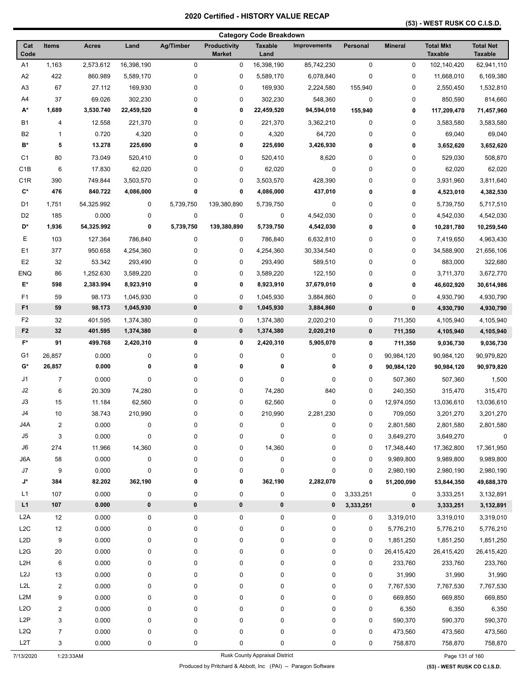## **(53) - WEST RUSK CO C.I.S.D.**

|                      | <b>Category Code Breakdown</b> |              |            |           |                                      |                        |                     |             |                |                                    |                                    |
|----------------------|--------------------------------|--------------|------------|-----------|--------------------------------------|------------------------|---------------------|-------------|----------------|------------------------------------|------------------------------------|
| Cat<br>Code          | <b>Items</b>                   | <b>Acres</b> | Land       | Ag/Timber | <b>Productivity</b><br><b>Market</b> | <b>Taxable</b><br>Land | <b>Improvements</b> | Personal    | <b>Mineral</b> | <b>Total Mkt</b><br><b>Taxable</b> | <b>Total Net</b><br><b>Taxable</b> |
| A <sub>1</sub>       | 1,163                          | 2,573.612    | 16,398,190 | 0         | 0                                    | 16,398,190             | 85,742,230          | $\pmb{0}$   | 0              | 102,140,420                        | 62,941,110                         |
| A <sub>2</sub>       | 422                            | 860.989      | 5,589,170  | 0         | 0                                    | 5,589,170              | 6,078,840           | 0           | 0              | 11,668,010                         | 6,169,380                          |
| A3                   | 67                             | 27.112       | 169,930    | 0         | 0                                    | 169,930                | 2,224,580           | 155,940     | 0              | 2,550,450                          | 1,532,810                          |
| A4                   | 37                             | 69.026       | 302,230    | 0         | 0                                    | 302,230                | 548,360             | $\mathbf 0$ | 0              | 850,590                            | 814,660                            |
| A*                   | 1,689                          | 3,530.740    | 22,459,520 | 0         | 0                                    | 22,459,520             | 94,594,010          | 155,940     | 0              | 117,209,470                        | 71,457,960                         |
| B1                   | 4                              | 12.558       | 221,370    | 0         | 0                                    | 221,370                | 3,362,210           | 0           | 0              | 3,583,580                          | 3,583,580                          |
| B <sub>2</sub>       | $\mathbf 1$                    | 0.720        | 4,320      | 0         | 0                                    | 4,320                  | 64,720              | 0           | 0              | 69,040                             | 69,040                             |
| B*                   | 5                              | 13.278       | 225,690    | 0         | 0                                    | 225,690                | 3,426,930           | 0           | 0              | 3,652,620                          | 3,652,620                          |
| C <sub>1</sub>       | 80                             | 73.049       | 520,410    | 0         | 0                                    | 520,410                | 8,620               | 0           | 0              | 529,030                            | 508,870                            |
| C <sub>1</sub> B     | 6                              | 17.830       | 62,020     | 0         | 0                                    | 62,020                 | 0                   | 0           | 0              | 62,020                             | 62,020                             |
| C <sub>1</sub> R     | 390                            | 749.844      | 3,503,570  | 0         | 0                                    | 3,503,570              | 428,390             | 0           | 0              | 3,931,960                          | 3,811,640                          |
| $\mathbf{C}^{\star}$ | 476                            | 840.722      | 4,086,000  | 0         | 0                                    | 4,086,000              | 437,010             | 0           | 0              | 4,523,010                          | 4,382,530                          |
| D1                   | 1,751                          | 54,325.992   | 0          | 5,739,750 | 139,380,890                          | 5,739,750              | 0                   | 0           | 0              | 5,739,750                          | 5,717,510                          |
| D <sub>2</sub>       | 185                            | 0.000        | 0          | 0         | 0                                    | 0                      | 4,542,030           | 0           | 0              | 4,542,030                          | 4,542,030                          |
| D*                   | 1,936                          | 54,325.992   | 0          | 5,739,750 | 139,380,890                          | 5,739,750              | 4,542,030           | 0           | 0              | 10,281,780                         | 10,259,540                         |
| Е                    |                                |              |            |           |                                      |                        |                     |             |                |                                    |                                    |
| E <sub>1</sub>       | 103                            | 127.364      | 786,840    | 0         | 0                                    | 786,840                | 6,632,810           | 0           | 0              | 7,419,650                          | 4,963,430                          |
|                      | 377                            | 950.658      | 4,254,360  | 0         | 0                                    | 4,254,360              | 30,334,540          | 0           | 0              | 34,588,900                         | 21,656,106                         |
| E <sub>2</sub>       | 32                             | 53.342       | 293,490    | 0         | 0                                    | 293,490                | 589,510             | 0           | 0              | 883,000                            | 322,680                            |
| <b>ENQ</b>           | 86                             | 1,252.630    | 3,589,220  | 0         | 0                                    | 3,589,220              | 122,150             | 0           | 0              | 3,711,370                          | 3,672,770                          |
| E*                   | 598                            | 2,383.994    | 8,923,910  | 0         | 0                                    | 8,923,910              | 37,679,010          | 0           | 0              | 46,602,920                         | 30,614,986                         |
| F <sub>1</sub>       | 59                             | 98.173       | 1,045,930  | 0         | 0                                    | 1,045,930              | 3,884,860           | 0           | 0              | 4,930,790                          | 4,930,790                          |
| F <sub>1</sub>       | 59                             | 98.173       | 1,045,930  | $\bf{0}$  | 0                                    | 1,045,930              | 3,884,860           | $\pmb{0}$   | 0              | 4,930,790                          | 4,930,790                          |
| F <sub>2</sub>       | 32                             | 401.595      | 1,374,380  | 0         | 0                                    | 1,374,380              | 2,020,210           | 0           | 711,350        | 4,105,940                          | 4,105,940                          |
| F <sub>2</sub>       | 32                             | 401.595      | 1,374,380  | $\bf{0}$  | 0                                    | 1,374,380              | 2,020,210           | $\mathbf 0$ | 711,350        | 4,105,940                          | 4,105,940                          |
| F*                   | 91                             | 499.768      | 2,420,310  | 0         | 0                                    | 2,420,310              | 5,905,070           | 0           | 711,350        | 9,036,730                          | 9,036,730                          |
| G1                   | 26,857                         | 0.000        | 0          | 0         | 0                                    | 0                      | 0                   | 0           | 90,984,120     | 90,984,120                         | 90,979,820                         |
| G*                   | 26,857                         | 0.000        | 0          | 0         | 0                                    | 0                      | 0                   | 0           | 90,984,120     | 90,984,120                         | 90,979,820                         |
| J1                   | $\overline{7}$                 | 0.000        | $\pmb{0}$  | 0         | 0                                    | 0                      | 0                   | 0           | 507,360        | 507,360                            | 1,500                              |
| J2                   | 6                              | 20.309       | 74,280     | 0         | 0                                    | 74,280                 | 840                 | 0           | 240,350        | 315,470                            | 315,470                            |
| J3                   | 15                             | 11.184       | 62,560     | 0         | 0                                    | 62,560                 | 0                   | 0           | 12,974,050     | 13,036,610                         | 13,036,610                         |
| J4                   | 10                             | 38.743       | 210,990    | 0         | 0                                    | 210,990                | 2,281,230           | 0           | 709,050        | 3,201,270                          | 3,201,270                          |
| J4A                  | $\overline{2}$                 | 0.000        | $\pmb{0}$  | $\pmb{0}$ | 0                                    | 0                      | 0                   | 0           | 2,801,580      | 2,801,580                          | 2,801,580                          |
| J5                   | 3                              | 0.000        | 0          | 0         | 0                                    | 0                      | 0                   | 0           | 3,649,270      | 3,649,270                          | 0                                  |
| J6                   | 274                            | 11.966       | 14,360     | 0         | 0                                    | 14,360                 | 0                   | 0           | 17,348,440     | 17,362,800                         | 17,361,950                         |
| J6A                  | 58                             | 0.000        | 0          | 0         | 0                                    | 0                      | 0                   | 0           | 9,989,800      | 9,989,800                          | 9,989,800                          |
| J7                   | 9                              | 0.000        | 0          | 0         | 0                                    | 0                      | 0                   | 0           | 2,980,190      | 2,980,190                          | 2,980,190                          |
| J*                   | 384                            | 82.202       | 362,190    | 0         | 0                                    | 362,190                | 2,282,070           | 0           | 51,200,090     | 53,844,350                         | 49,688,370                         |
| L1                   | 107                            | 0.000        | 0          | 0         | 0                                    | 0                      | 0                   | 3,333,251   | 0              | 3,333,251                          | 3,132,891                          |
| L1                   | 107                            | 0.000        | $\pmb{0}$  | $\pmb{0}$ | 0                                    | 0                      | 0                   | 3,333,251   | $\pmb{0}$      | 3,333,251                          | 3,132,891                          |
| L <sub>2</sub> A     | 12                             | 0.000        | 0          | 0         | 0                                    | 0                      | 0                   | 0           | 3,319,010      | 3,319,010                          | 3,319,010                          |
| L <sub>2</sub> C     | 12                             | 0.000        | 0          | 0         | 0                                    | 0                      | 0                   | 0           | 5,776,210      | 5,776,210                          | 5,776,210                          |
| L <sub>2</sub> D     | 9                              | 0.000        | 0          | 0         | 0                                    | 0                      | 0                   | 0           | 1,851,250      | 1,851,250                          | 1,851,250                          |
| L2G                  | $20\,$                         | 0.000        | 0          | 0         | 0                                    | 0                      | 0                   | 0           | 26,415,420     | 26,415,420                         | 26,415,420                         |
| L <sub>2</sub> H     | 6                              | 0.000        | 0          | 0         | 0                                    | 0                      | 0                   | 0           | 233,760        | 233,760                            | 233,760                            |
| L <sub>2</sub> J     | 13                             | 0.000        | 0          | 0         | 0                                    | 0                      | 0                   | 0           | 31,990         | 31,990                             | 31,990                             |
| L <sub>2</sub> L     | $\overline{\mathbf{c}}$        | 0.000        | 0          | 0         | 0                                    | 0                      | 0                   | 0           | 7,767,530      | 7,767,530                          | 7,767,530                          |
| L <sub>2</sub> M     | 9                              | 0.000        | 0          | 0         | 0                                    | 0                      | 0                   | 0           | 669,850        | 669,850                            | 669,850                            |
| L2O                  | $\boldsymbol{2}$               | 0.000        | 0          | 0         | 0                                    | 0                      | 0                   | 0           | 6,350          | 6,350                              | 6,350                              |
| L <sub>2</sub> P     | 3                              | 0.000        | $\pmb{0}$  | 0         | 0                                    | 0                      | 0                   | 0           | 590,370        | 590,370                            | 590,370                            |
|                      |                                |              |            |           |                                      |                        |                     |             |                |                                    |                                    |
| L <sub>2</sub> Q     | $\overline{7}$                 | 0.000        | 0          | 0         | $\boldsymbol{0}$                     | 0                      | $\boldsymbol{0}$    | 0           | 473,560        | 473,560                            | 473,560                            |
| L <sub>2</sub> T     | 3                              | 0.000        | 0          | 0         | 0                                    | 0                      | 0                   | 0           | 758,870        | 758,870                            | 758,870                            |

Page 131 of 123:33AM Rusk County Appraisal District Research 2012 1:23:33AM Rusk County Appraisal District Page 131 of 160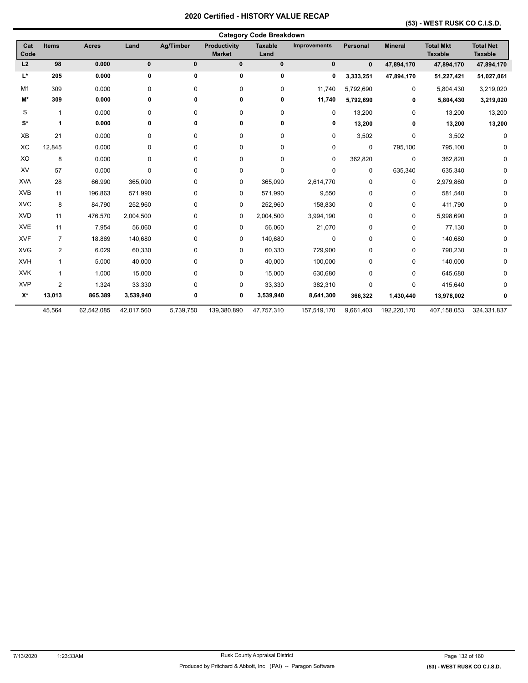## **(53) - WEST RUSK CO C.I.S.D.**

| Cat<br>Code | <b>Items</b>   | <b>Acres</b> | Land         | <b>Ag/Timber</b> | <b>Productivity</b><br><b>Market</b> | <b>Taxable</b><br>Land | <b>Improvements</b> | Personal     | <b>Mineral</b> | <b>Total Mkt</b><br><b>Taxable</b> | <b>Total Net</b><br><b>Taxable</b> |
|-------------|----------------|--------------|--------------|------------------|--------------------------------------|------------------------|---------------------|--------------|----------------|------------------------------------|------------------------------------|
| L2          | 98             | 0.000        | $\mathbf{0}$ | $\mathbf 0$      | $\mathbf 0$                          | $\bf{0}$               | $\mathbf 0$         | $\mathbf{0}$ | 47,894,170     | 47,894,170                         | 47,894,170                         |
| L*          | 205            | 0.000        | 0            | 0                | 0                                    | 0                      | 0                   | 3,333,251    | 47,894,170     | 51,227,421                         | 51,027,061                         |
| M1          | 309            | 0.000        | 0            | 0                | 0                                    | 0                      | 11,740              | 5,792,690    | 0              | 5,804,430                          | 3,219,020                          |
| M*          | 309            | 0.000        | 0            | 0                | 0                                    | 0                      | 11,740              | 5,792,690    | 0              | 5,804,430                          | 3,219,020                          |
| S           | $\mathbf{1}$   | 0.000        | 0            | 0                | 0                                    | 0                      | 0                   | 13,200       | 0              | 13,200                             | 13,200                             |
| $S^*$       | -1             | 0.000        | 0            | 0                | 0                                    | 0                      | 0                   | 13,200       | 0              | 13,200                             | 13,200                             |
| XB          | 21             | 0.000        | 0            | 0                | 0                                    | 0                      | 0                   | 3,502        | 0              | 3,502                              | 0                                  |
| XC          | 12,845         | 0.000        | 0            | 0                | 0                                    | 0                      | 0                   | $\mathbf 0$  | 795,100        | 795,100                            | 0                                  |
| XO          | 8              | 0.000        | 0            | 0                | 0                                    | 0                      | 0                   | 362,820      | 0              | 362,820                            | 0                                  |
| XV          | 57             | 0.000        | 0            | 0                | 0                                    | 0                      | 0                   | 0            | 635,340        | 635,340                            | 0                                  |
| <b>XVA</b>  | 28             | 66.990       | 365,090      | 0                | 0                                    | 365,090                | 2,614,770           | $\mathbf 0$  | 0              | 2,979,860                          | 0                                  |
| <b>XVB</b>  | 11             | 196.863      | 571,990      | 0                | 0                                    | 571,990                | 9,550               | 0            | 0              | 581,540                            | 0                                  |
| <b>XVC</b>  | 8              | 84.790       | 252,960      | 0                | 0                                    | 252,960                | 158,830             | 0            | 0              | 411,790                            | 0                                  |
| <b>XVD</b>  | 11             | 476.570      | 2,004,500    | 0                | 0                                    | 2,004,500              | 3,994,190           | 0            | 0              | 5,998,690                          | 0                                  |
| <b>XVE</b>  | 11             | 7.954        | 56,060       | 0                | 0                                    | 56,060                 | 21,070              | 0            | 0              | 77,130                             | 0                                  |
| <b>XVF</b>  | $\overline{7}$ | 18.869       | 140,680      | 0                | 0                                    | 140,680                | 0                   | 0            | 0              | 140,680                            | 0                                  |
| <b>XVG</b>  | $\overline{2}$ | 6.029        | 60,330       | 0                | 0                                    | 60,330                 | 729,900             | 0            | 0              | 790,230                            | 0                                  |
| <b>XVH</b>  | 1              | 5.000        | 40,000       | 0                | 0                                    | 40,000                 | 100,000             | 0            | 0              | 140,000                            | 0                                  |
| <b>XVK</b>  | $\overline{1}$ | 1.000        | 15,000       | 0                | 0                                    | 15,000                 | 630,680             | $\Omega$     | 0              | 645,680                            | 0                                  |
| <b>XVP</b>  | $\overline{2}$ | 1.324        | 33,330       | 0                | 0                                    | 33,330                 | 382,310             | 0            | 0              | 415,640                            | 0                                  |
| $X^*$       | 13,013         | 865.389      | 3,539,940    | 0                | 0                                    | 3,539,940              | 8,641,300           | 366,322      | 1,430,440      | 13,978,002                         | 0                                  |
|             | 45,564         | 62,542.085   | 42,017,560   | 5,739,750        | 139,380,890                          | 47,757,310             | 157,519,170         | 9,661,403    | 192,220,170    | 407,158,053                        | 324,331,837                        |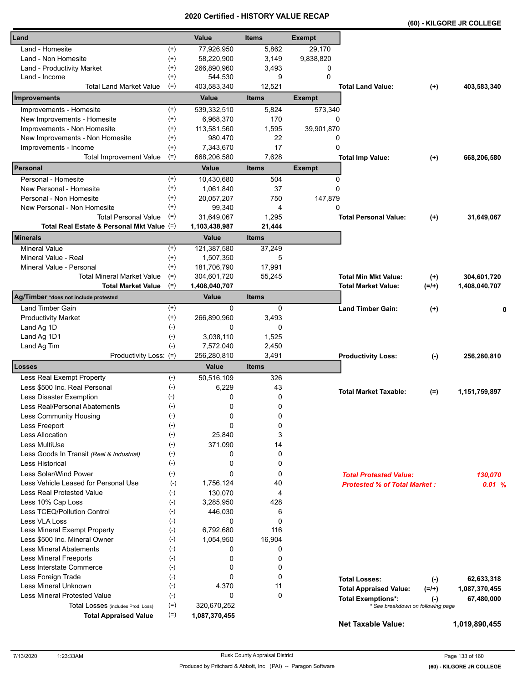|                                                        | a un cu        | ו טווי<br>UNI VALU |               |                                     |                                   | (60) - KILGORE JR COLLEGE |
|--------------------------------------------------------|----------------|--------------------|---------------|-------------------------------------|-----------------------------------|---------------------------|
| Land                                                   | Value          | <b>Items</b>       | <b>Exempt</b> |                                     |                                   |                           |
| Land - Homesite<br>$^{(+)}$                            | 77,926,950     | 5,862              | 29,170        |                                     |                                   |                           |
| $^{(+)}$<br>Land - Non Homesite                        | 58,220,900     | 3,149              | 9,838,820     |                                     |                                   |                           |
| $^{(+)}$<br>Land - Productivity Market                 | 266,890,960    | 3,493              | 0             |                                     |                                   |                           |
| $^{(+)}$<br>Land - Income                              | 544,530        | 9                  | $\mathbf 0$   |                                     |                                   |                           |
| <b>Total Land Market Value</b><br>$(=)$                | 403,583,340    | 12,521             |               | <b>Total Land Value:</b>            | $(+)$                             | 403,583,340               |
| Improvements                                           | Value          | <b>Items</b>       | <b>Exempt</b> |                                     |                                   |                           |
| Improvements - Homesite<br>$^{(+)}$                    | 539,332,510    | 5,824              | 573,340       |                                     |                                   |                           |
| New Improvements - Homesite<br>$^{(+)}$                | 6,968,370      | 170                | 0             |                                     |                                   |                           |
| Improvements - Non Homesite<br>$^{(+)}$                | 113,581,560    | 1,595              | 39,901,870    |                                     |                                   |                           |
| New Improvements - Non Homesite<br>$^{(+)}$            | 980,470        | 22                 | 0             |                                     |                                   |                           |
| $^{(+)}$<br>Improvements - Income                      | 7,343,670      | 17                 | 0             |                                     |                                   |                           |
| $(=)$<br><b>Total Improvement Value</b>                | 668,206,580    | 7,628              |               | <b>Total Imp Value:</b>             | $^{(+)}$                          | 668,206,580               |
| Personal                                               | Value          | <b>Items</b>       | <b>Exempt</b> |                                     |                                   |                           |
| Personal - Homesite<br>$^{(+)}$                        | 10,430,680     | 504                |               | 0                                   |                                   |                           |
| $^{(+)}$<br>New Personal - Homesite                    | 1,061,840      | 37                 | 0             |                                     |                                   |                           |
| $^{(+)}$<br>Personal - Non Homesite                    | 20,057,207     | 750                | 147,879       |                                     |                                   |                           |
| $^{(+)}$<br>New Personal - Non Homesite                | 99,340         | 4                  | $\Omega$      |                                     |                                   |                           |
| <b>Total Personal Value</b><br>$(=)$                   | 31,649,067     | 1,295              |               | <b>Total Personal Value:</b>        | $(+)$                             | 31,649,067                |
| Total Real Estate & Personal Mkt Value (=)             | 1,103,438,987  | 21,444             |               |                                     |                                   |                           |
| Minerals                                               | <b>Value</b>   | <b>Items</b>       |               |                                     |                                   |                           |
| <b>Mineral Value</b><br>$^{(+)}$                       | 121,387,580    | 37,249             |               |                                     |                                   |                           |
| Mineral Value - Real<br>$^{(+)}$                       | 1,507,350      | 5                  |               |                                     |                                   |                           |
| Mineral Value - Personal<br>$^{(+)}$                   | 181,706,790    | 17,991             |               |                                     |                                   |                           |
| <b>Total Mineral Market Value</b><br>$(=)$             | 304,601,720    | 55,245             |               | <b>Total Min Mkt Value:</b>         | $^{(+)}$                          | 304,601,720               |
| $(=)$<br><b>Total Market Value</b>                     | 1,408,040,707  |                    |               | <b>Total Market Value:</b>          | $(=/+)$                           | 1,408,040,707             |
| Ag/Timber *does not include protested                  | Value          | <b>Items</b>       |               |                                     |                                   |                           |
| $^{(+)}$<br>Land Timber Gain                           | 0              | 0                  |               | <b>Land Timber Gain:</b>            | $(+)$                             | 0                         |
| $^{(+)}$<br><b>Productivity Market</b>                 | 266,890,960    | 3,493              |               |                                     |                                   |                           |
| $(-)$<br>Land Ag 1D                                    | 0<br>3,038,110 | 0                  |               |                                     |                                   |                           |
| Land Ag 1D1<br>$(-)$<br>$(-)$                          | 7,572,040      | 1,525<br>2,450     |               |                                     |                                   |                           |
| Land Ag Tim<br>Productivity Loss: (=)                  | 256,280,810    | 3,491              |               | <b>Productivity Loss:</b>           | $(-)$                             | 256,280,810               |
| Losses                                                 | Value          | <b>Items</b>       |               |                                     |                                   |                           |
| $(-)$<br>Less Real Exempt Property                     | 50,516,109     | 326                |               |                                     |                                   |                           |
| Less \$500 Inc. Real Personal<br>$(\cdot)$             | 6,229          | 43                 |               |                                     |                                   |                           |
| Less Disaster Exemption<br>$(-)$                       | 0              | 0                  |               | <b>Total Market Taxable:</b>        | $(=)$                             | 1,151,759,897             |
| Less Real/Personal Abatements<br>$(\textnormal{-})$    | 0              | 0                  |               |                                     |                                   |                           |
| $(-)$<br>Less Community Housing                        | 0              | 0                  |               |                                     |                                   |                           |
| $(-)$<br>Less Freeport                                 | 0              | 0                  |               |                                     |                                   |                           |
| <b>Less Allocation</b><br>$(-)$                        | 25,840         | 3                  |               |                                     |                                   |                           |
| Less MultiUse<br>$(-)$                                 | 371,090        | 14                 |               |                                     |                                   |                           |
| $(\cdot)$<br>Less Goods In Transit (Real & Industrial) | 0              | 0                  |               |                                     |                                   |                           |
| Less Historical<br>$(-)$                               | 0              | 0                  |               |                                     |                                   |                           |
| Less Solar/Wind Power<br>$(-)$                         | 0              | 0                  |               | <b>Total Protested Value:</b>       |                                   | 130,070                   |
| Less Vehicle Leased for Personal Use<br>$(-)$          | 1,756,124      | 40                 |               | <b>Protested % of Total Market:</b> |                                   | 0.01%                     |
| Less Real Protested Value<br>$(-)$                     | 130,070        | 4                  |               |                                     |                                   |                           |
| Less 10% Cap Loss<br>$(-)$                             | 3,285,950      | 428                |               |                                     |                                   |                           |
| Less TCEQ/Pollution Control<br>$(-)$                   | 446,030        | 6                  |               |                                     |                                   |                           |
| Less VLA Loss<br>$(-)$                                 | 0              | 0                  |               |                                     |                                   |                           |
| Less Mineral Exempt Property<br>$(-)$                  | 6,792,680      | 116                |               |                                     |                                   |                           |
| Less \$500 Inc. Mineral Owner<br>$(-)$                 | 1,054,950      | 16,904             |               |                                     |                                   |                           |
| <b>Less Mineral Abatements</b><br>$(-)$                | 0              | 0                  |               |                                     |                                   |                           |
| $(-)$<br><b>Less Mineral Freeports</b>                 | 0              | 0                  |               |                                     |                                   |                           |
| $(-)$<br>Less Interstate Commerce                      | 0              | 0                  |               |                                     |                                   |                           |
| Less Foreign Trade<br>$(-)$                            | 0              | 0                  |               | <b>Total Losses:</b>                | $(-)$                             | 62,633,318                |
| Less Mineral Unknown<br>$(-)$                          | 4,370          | 11                 |               | <b>Total Appraised Value:</b>       | $(=/+)$                           | 1,087,370,455             |
| <b>Less Mineral Protested Value</b><br>$(-)$           | 0              | 0                  |               | <b>Total Exemptions*:</b>           | $(\cdot)$                         | 67,480,000                |
| $(=)$<br>Total Losses (includes Prod. Loss)<br>$(=)$   | 320,670,252    |                    |               |                                     | * See breakdown on following page |                           |
| <b>Total Appraised Value</b>                           | 1,087,370,455  |                    |               | <b>Net Taxable Value:</b>           |                                   | 1,019,890,455             |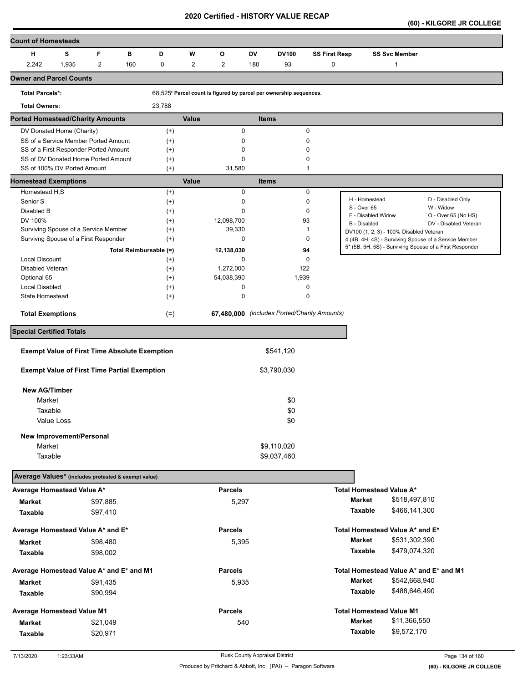**(60) - KILGORE JR COLLEGE** 

| <b>Count of Homesteads</b>                           |   |          |                        |                |                |     |                                                                    |                      |                                                  |                      |                                                         |
|------------------------------------------------------|---|----------|------------------------|----------------|----------------|-----|--------------------------------------------------------------------|----------------------|--------------------------------------------------|----------------------|---------------------------------------------------------|
| н<br>s                                               | F | в        | D                      | W              | o              | DV  | <b>DV100</b>                                                       | <b>SS First Resp</b> |                                                  | <b>SS Svc Member</b> |                                                         |
| 2,242<br>1,935                                       |   | 2<br>160 | 0                      | $\overline{c}$ | 2              | 180 | 93                                                                 | 0                    |                                                  | 1                    |                                                         |
| <b>Owner and Parcel Counts</b>                       |   |          |                        |                |                |     |                                                                    |                      |                                                  |                      |                                                         |
| <b>Total Parcels*:</b>                               |   |          |                        |                |                |     | 68,525* Parcel count is figured by parcel per ownership sequences. |                      |                                                  |                      |                                                         |
| <b>Total Owners:</b>                                 |   |          | 23,788                 |                |                |     |                                                                    |                      |                                                  |                      |                                                         |
| <b>Ported Homestead/Charity Amounts</b>              |   |          |                        | Value          |                |     | <b>Items</b>                                                       |                      |                                                  |                      |                                                         |
| DV Donated Home (Charity)                            |   |          | $^{(+)}$               |                | 0              |     | $\mathbf 0$                                                        |                      |                                                  |                      |                                                         |
| SS of a Service Member Ported Amount                 |   |          | $^{(+)}$               |                | 0              |     | 0                                                                  |                      |                                                  |                      |                                                         |
| SS of a First Responder Ported Amount                |   |          | $^{(+)}$               |                | 0              |     | 0                                                                  |                      |                                                  |                      |                                                         |
| SS of DV Donated Home Ported Amount                  |   |          | $^{(+)}$               |                | 0              |     | 0                                                                  |                      |                                                  |                      |                                                         |
| SS of 100% DV Ported Amount                          |   |          | $^{(+)}$               |                | 31,580         |     | 1                                                                  |                      |                                                  |                      |                                                         |
| <b>Homestead Exemptions</b>                          |   |          |                        | Value          |                |     | <b>Items</b>                                                       |                      |                                                  |                      |                                                         |
| Homestead H,S                                        |   |          | $^{(+)}$               |                | 0              |     | $\pmb{0}$                                                          |                      |                                                  |                      |                                                         |
| Senior S                                             |   |          | $^{(+)}$               |                | 0              |     | 0                                                                  |                      | H - Homestead<br>S - Over 65                     |                      | D - Disabled Only<br>W - Widow                          |
| Disabled B                                           |   |          | $^{(+)}$               |                | 0              |     | 0                                                                  |                      | F - Disabled Widow                               |                      | O - Over 65 (No HS)                                     |
| DV 100%                                              |   |          | $^{(+)}$               |                | 12,098,700     |     | 93                                                                 |                      | B - Disabled                                     |                      | DV - Disabled Veteran                                   |
| Surviving Spouse of a Service Member                 |   |          | $^{(+)}$               |                | 39,330         |     | 1                                                                  |                      | DV100 (1, 2, 3) - 100% Disabled Veteran          |                      |                                                         |
| Survivng Spouse of a First Responder                 |   |          | $^{(+)}$               |                | 0              |     | 0                                                                  |                      |                                                  |                      | 4 (4B, 4H, 4S) - Surviving Spouse of a Service Member   |
|                                                      |   |          | Total Reimbursable (=) |                | 12,138,030     |     | 94                                                                 |                      |                                                  |                      | 5* (5B, 5H, 5S) - Surviving Spouse of a First Responder |
| <b>Local Discount</b>                                |   |          | $^{(+)}$               |                | 0              |     | 0                                                                  |                      |                                                  |                      |                                                         |
| Disabled Veteran                                     |   |          | $^{(+)}$               |                | 1,272,000      |     | 122                                                                |                      |                                                  |                      |                                                         |
| Optional 65                                          |   |          | $^{(+)}$               |                | 54,038,390     |     | 1,939                                                              |                      |                                                  |                      |                                                         |
| Local Disabled                                       |   |          | $^{(+)}$               |                | 0              |     | 0                                                                  |                      |                                                  |                      |                                                         |
| State Homestead                                      |   |          | $^{(+)}$               |                | 0              |     | 0                                                                  |                      |                                                  |                      |                                                         |
| <b>Total Exemptions</b>                              |   |          | $(=)$                  |                |                |     | 67,480,000 (includes Ported/Charity Amounts)                       |                      |                                                  |                      |                                                         |
| <b>Special Certified Totals</b>                      |   |          |                        |                |                |     |                                                                    |                      |                                                  |                      |                                                         |
| <b>Exempt Value of First Time Absolute Exemption</b> |   |          |                        |                |                |     | \$541,120                                                          |                      |                                                  |                      |                                                         |
|                                                      |   |          |                        |                |                |     |                                                                    |                      |                                                  |                      |                                                         |
| <b>Exempt Value of First Time Partial Exemption</b>  |   |          |                        |                |                |     | \$3,790,030                                                        |                      |                                                  |                      |                                                         |
| <b>New AG/Timber</b>                                 |   |          |                        |                |                |     |                                                                    |                      |                                                  |                      |                                                         |
| Market                                               |   |          |                        |                |                |     | \$0                                                                |                      |                                                  |                      |                                                         |
|                                                      |   |          |                        |                |                |     |                                                                    |                      |                                                  |                      |                                                         |
| Taxable                                              |   |          |                        |                |                |     | \$0                                                                |                      |                                                  |                      |                                                         |
| Value Loss                                           |   |          |                        |                |                |     | \$0                                                                |                      |                                                  |                      |                                                         |
| New Improvement/Personal                             |   |          |                        |                |                |     |                                                                    |                      |                                                  |                      |                                                         |
| Market                                               |   |          |                        |                |                |     | \$9,110,020                                                        |                      |                                                  |                      |                                                         |
| Taxable                                              |   |          |                        |                |                |     | \$9,037,460                                                        |                      |                                                  |                      |                                                         |
| Average Values* (includes protested & exempt value)  |   |          |                        |                |                |     |                                                                    |                      |                                                  |                      |                                                         |
| Average Homestead Value A*                           |   |          |                        |                |                |     |                                                                    |                      |                                                  |                      |                                                         |
|                                                      |   |          |                        |                | <b>Parcels</b> |     |                                                                    |                      | <b>Total Homestead Value A*</b><br><b>Market</b> | \$518,497,810        |                                                         |
| Market                                               |   | \$97,885 |                        |                | 5,297          |     |                                                                    |                      |                                                  |                      |                                                         |
| Taxable                                              |   | \$97,410 |                        |                |                |     |                                                                    |                      | Taxable                                          | \$466,141,300        |                                                         |
| Average Homestead Value A* and E*                    |   |          |                        |                | <b>Parcels</b> |     |                                                                    |                      | Total Homestead Value A* and E*                  |                      |                                                         |
| Market                                               |   | \$98,480 |                        |                | 5,395          |     |                                                                    |                      | <b>Market</b>                                    | \$531,302,390        |                                                         |
| Taxable                                              |   | \$98,002 |                        |                |                |     |                                                                    |                      | Taxable                                          | \$479,074,320        |                                                         |
|                                                      |   |          |                        |                |                |     |                                                                    |                      |                                                  |                      |                                                         |
| Average Homestead Value A* and E* and M1             |   |          |                        |                | <b>Parcels</b> |     |                                                                    |                      |                                                  |                      | Total Homestead Value A* and E* and M1                  |
| <b>Market</b>                                        |   | \$91,435 |                        |                | 5,935          |     |                                                                    |                      | <b>Market</b>                                    | \$542,668,940        |                                                         |
| Taxable                                              |   | \$90,994 |                        |                |                |     |                                                                    |                      | Taxable                                          | \$488,646,490        |                                                         |
| <b>Average Homestead Value M1</b>                    |   |          |                        |                | <b>Parcels</b> |     |                                                                    |                      | <b>Total Homestead Value M1</b>                  |                      |                                                         |
|                                                      |   | \$21,049 |                        |                | 540            |     |                                                                    |                      | Market                                           | \$11,366,550         |                                                         |
| Market                                               |   |          |                        |                |                |     |                                                                    |                      | Taxable                                          | \$9,572,170          |                                                         |
| Taxable                                              |   | \$20,971 |                        |                |                |     |                                                                    |                      |                                                  |                      |                                                         |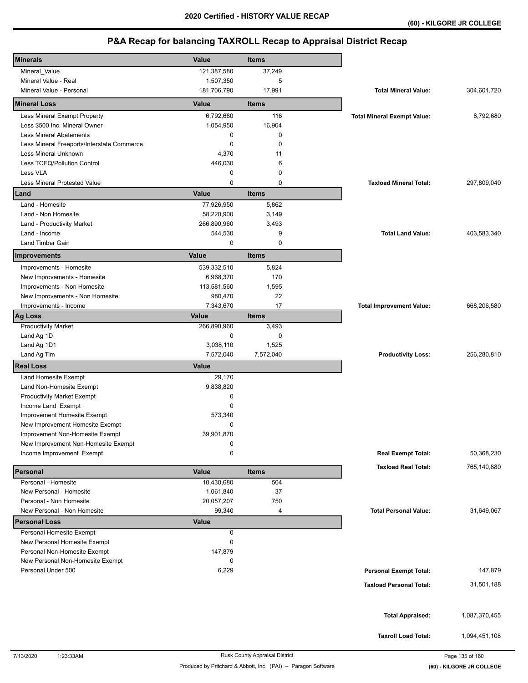| <b>Minerals</b>                            | Value        | <b>Items</b> |                                    |               |
|--------------------------------------------|--------------|--------------|------------------------------------|---------------|
| Mineral_Value                              | 121,387,580  | 37,249       |                                    |               |
| Mineral Value - Real                       | 1,507,350    | 5            |                                    |               |
| Mineral Value - Personal                   | 181,706,790  | 17,991       | <b>Total Mineral Value:</b>        | 304,601,720   |
| <b>Mineral Loss</b>                        | Value        | <b>Items</b> |                                    |               |
| Less Mineral Exempt Property               | 6,792,680    | 116          | <b>Total Mineral Exempt Value:</b> | 6,792,680     |
| Less \$500 Inc. Mineral Owner              | 1,054,950    | 16,904       |                                    |               |
| <b>Less Mineral Abatements</b>             | 0            | $\mathbf 0$  |                                    |               |
| Less Mineral Freeports/Interstate Commerce | $\mathbf 0$  | $\mathbf 0$  |                                    |               |
| Less Mineral Unknown                       | 4,370        | 11           |                                    |               |
| Less TCEQ/Pollution Control                | 446,030      | 6            |                                    |               |
| Less VLA                                   | 0            | $\mathbf 0$  |                                    |               |
| <b>Less Mineral Protested Value</b>        | $\mathbf 0$  | $\mathbf 0$  | <b>Taxload Mineral Total:</b>      | 297,809,040   |
| Land                                       | <b>Value</b> | <b>Items</b> |                                    |               |
| Land - Homesite                            | 77,926,950   | 5,862        |                                    |               |
| Land - Non Homesite                        | 58,220,900   | 3,149        |                                    |               |
| Land - Productivity Market                 | 266,890,960  | 3,493        |                                    |               |
| Land - Income                              | 544,530      | 9            | <b>Total Land Value:</b>           | 403,583,340   |
| Land Timber Gain                           | 0            | $\mathbf 0$  |                                    |               |
| Improvements                               | <b>Value</b> | <b>Items</b> |                                    |               |
| Improvements - Homesite                    | 539,332,510  | 5,824        |                                    |               |
| New Improvements - Homesite                | 6,968,370    | 170          |                                    |               |
| Improvements - Non Homesite                | 113,581,560  | 1,595        |                                    |               |
| New Improvements - Non Homesite            | 980,470      | 22           |                                    |               |
| Improvements - Income                      | 7,343,670    | 17           | <b>Total Improvement Value:</b>    | 668,206,580   |
| <b>Ag Loss</b>                             | Value        | <b>Items</b> |                                    |               |
| <b>Productivity Market</b>                 | 266,890,960  | 3,493        |                                    |               |
| Land Ag 1D                                 | 0            | $\mathbf 0$  |                                    |               |
| Land Ag 1D1                                | 3,038,110    | 1,525        |                                    |               |
| Land Ag Tim                                | 7,572,040    | 7,572,040    | <b>Productivity Loss:</b>          | 256,280,810   |
| <b>Real Loss</b>                           | <b>Value</b> |              |                                    |               |
| Land Homesite Exempt                       | 29,170       |              |                                    |               |
| Land Non-Homesite Exempt                   | 9,838,820    |              |                                    |               |
| <b>Productivity Market Exempt</b>          | 0            |              |                                    |               |
| Income Land Exempt                         | 0            |              |                                    |               |
| Improvement Homesite Exempt                | 573,340      |              |                                    |               |
| New Improvement Homesite Exempt            | 0            |              |                                    |               |
| Improvement Non-Homesite Exempt            | 39,901,870   |              |                                    |               |
| New Improvement Non-Homesite Exempt        | 0            |              |                                    |               |
| Income Improvement Exempt                  | 0            |              | <b>Real Exempt Total:</b>          | 50,368,230    |
| Personal                                   | Value        | <b>Items</b> | <b>Taxload Real Total:</b>         | 765,140,880   |
| Personal - Homesite                        | 10,430,680   | 504          |                                    |               |
| New Personal - Homesite                    | 1,061,840    | 37           |                                    |               |
| Personal - Non Homesite                    | 20,057,207   | 750          |                                    |               |
| New Personal - Non Homesite                | 99,340       | 4            | <b>Total Personal Value:</b>       | 31,649,067    |
| <b>Personal Loss</b>                       | <b>Value</b> |              |                                    |               |
| Personal Homesite Exempt                   | $\pmb{0}$    |              |                                    |               |
| New Personal Homesite Exempt               | 0            |              |                                    |               |
| Personal Non-Homesite Exempt               | 147,879      |              |                                    |               |
| New Personal Non-Homesite Exempt           | 0            |              |                                    |               |
| Personal Under 500                         | 6,229        |              | <b>Personal Exempt Total:</b>      | 147,879       |
|                                            |              |              | <b>Taxload Personal Total:</b>     |               |
|                                            |              |              |                                    | 31,501,188    |
|                                            |              |              |                                    |               |
|                                            |              |              | <b>Total Appraised:</b>            | 1,087,370,455 |
|                                            |              |              |                                    |               |
|                                            |              |              | <b>Taxroll Load Total:</b>         | 1,094,451,108 |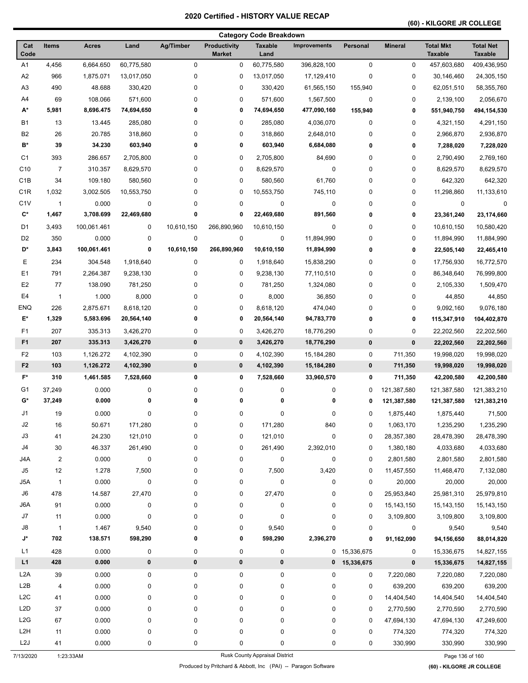## **(60) - KILGORE JR COLLEGE**

|                                  | <b>Category Code Breakdown</b> |                    |            |               |                                      |                        |                     |              |                |                                    |                                    |
|----------------------------------|--------------------------------|--------------------|------------|---------------|--------------------------------------|------------------------|---------------------|--------------|----------------|------------------------------------|------------------------------------|
| Cat<br>Code                      | <b>Items</b>                   | <b>Acres</b>       | Land       | Ag/Timber     | <b>Productivity</b><br><b>Market</b> | <b>Taxable</b><br>Land | <b>Improvements</b> | Personal     | <b>Mineral</b> | <b>Total Mkt</b><br><b>Taxable</b> | <b>Total Net</b><br><b>Taxable</b> |
| A1                               | 4,456                          | 6,664.650          | 60,775,580 | $\mathbf 0$   | 0                                    | 60,775,580             | 396,828,100         | 0            | 0              | 457,603,680                        | 409,436,950                        |
| A2                               | 966                            | 1,875.071          | 13,017,050 | 0             | 0                                    | 13,017,050             | 17,129,410          | $\mathbf 0$  | 0              | 30,146,460                         | 24,305,150                         |
| A <sub>3</sub>                   | 490                            | 48.688             | 330,420    | 0             | 0                                    | 330,420                | 61,565,150          | 155,940      | 0              | 62,051,510                         | 58,355,760                         |
| A4                               | 69                             | 108.066            | 571,600    | 0             | $\pmb{0}$                            | 571,600                | 1,567,500           | 0            | 0              | 2,139,100                          | 2,056,670                          |
| А*                               | 5,981                          | 8,696.475          | 74,694,650 | 0             | 0                                    | 74,694,650             | 477,090,160         | 155,940      | 0              | 551,940,750                        | 494,154,530                        |
| <b>B1</b>                        | 13                             | 13.445             | 285,080    | 0             | 0                                    | 285,080                | 4,036,070           | 0            | 0              | 4,321,150                          | 4,291,150                          |
| B <sub>2</sub>                   | 26                             | 20.785             | 318,860    | 0             | $\pmb{0}$                            | 318,860                | 2,648,010           | 0            | 0              | 2,966,870                          | 2,936,870                          |
| B*                               | 39                             | 34.230             | 603,940    | 0             | 0                                    | 603,940                | 6,684,080           | 0            | 0              | 7,288,020                          | 7,228,020                          |
| C1                               | 393                            | 286.657            | 2,705,800  | 0             | 0                                    | 2,705,800              | 84,690              | 0            | 0              | 2,790,490                          | 2,769,160                          |
| C <sub>10</sub>                  | $\overline{7}$                 | 310.357            | 8,629,570  | 0             | 0                                    | 8,629,570              | 0                   | 0            | 0              | 8,629,570                          | 8,629,570                          |
| C <sub>1</sub> B                 | 34                             | 109.180            | 580,560    | 0             | $\pmb{0}$                            | 580,560                | 61,760              | 0            | 0              | 642,320                            | 642,320                            |
| C <sub>1</sub> R                 | 1,032                          | 3,002.505          | 10,553,750 | 0             | 0                                    | 10,553,750             | 745,110             | 0            | 0              | 11,298,860                         | 11,133,610                         |
| C <sub>1</sub> V                 | $\overline{1}$                 | 0.000              | 0          | 0             | $\pmb{0}$                            | 0                      | 0                   | 0            | 0              | $\mathbf 0$                        | 0                                  |
| $\mathbf{C}^*$                   | 1,467                          | 3,708.699          | 22,469,680 | 0             | 0                                    | 22,469,680             | 891,560             | 0            | 0              | 23,361,240                         | 23,174,660                         |
| D <sub>1</sub>                   | 3,493                          | 100,061.461        | 0          | 10.610.150    | 266,890,960                          | 10,610,150             | $\pmb{0}$           | 0            | 0              | 10,610,150                         | 10,580,420                         |
| D <sub>2</sub>                   | 350                            | 0.000              | 0          | $\pmb{0}$     | $\pmb{0}$                            | 0                      | 11,894,990          | 0            | 0              | 11,894,990                         | 11,884,990                         |
| D*                               | 3,843                          | 100,061.461        | 0          | 10,610,150    | 266,890,960                          | 10,610,150             | 11,894,990          | 0            | 0              | 22,505,140                         | 22,465,410                         |
| Ε                                | 234                            | 304.548            | 1,918,640  | 0             | 0                                    | 1,918,640              | 15,838,290          | 0            | 0              | 17,756,930                         | 16,772,570                         |
| E1                               | 791                            | 2,264.387          | 9,238,130  | 0             | 0                                    | 9,238,130              | 77,110,510          | 0            | 0              | 86,348,640                         | 76,999,800                         |
| E <sub>2</sub>                   | 77                             | 138.090            | 781,250    | 0             | 0                                    | 781,250                | 1,324,080           | 0            | 0              | 2,105,330                          | 1,509,470                          |
| E4                               | $\overline{1}$                 | 1.000              | 8,000      | 0             | 0                                    | 8,000                  | 36,850              | 0            | 0              | 44,850                             | 44,850                             |
| <b>ENQ</b>                       | 226                            | 2,875.671          | 8,618,120  | 0             | 0                                    | 8,618,120              | 474,040             | 0            | 0              | 9,092,160                          | 9,076,180                          |
| E*                               | 1,329                          | 5,583.696          | 20,564,140 | 0             | 0                                    | 20,564,140             | 94,783,770          | 0            | 0              | 115,347,910                        | 104,402,870                        |
|                                  |                                |                    |            |               |                                      |                        |                     |              |                |                                    |                                    |
| F1<br>F <sub>1</sub>             | 207<br>207                     | 335.313<br>335.313 | 3,426,270  | 0<br>$\bf{0}$ | 0<br>0                               | 3,426,270              | 18,776,290          | 0            | 0<br>$\pmb{0}$ | 22,202,560                         | 22,202,560                         |
|                                  |                                |                    | 3,426,270  |               |                                      | 3,426,270              | 18,776,290          | $\pmb{0}$    |                | 22,202,560                         | 22,202,560                         |
| F <sub>2</sub><br>F <sub>2</sub> | 103<br>103                     | 1,126.272          | 4,102,390  | 0<br>0        | 0<br>0                               | 4,102,390              | 15,184,280          | 0            | 711,350        | 19,998,020                         | 19,998,020                         |
|                                  |                                | 1,126.272          | 4,102,390  |               |                                      | 4,102,390              | 15,184,280          | 0            | 711,350        | 19,998,020                         | 19,998,020                         |
| F*                               | 310                            | 1,461.585          | 7,528,660  | 0             | 0                                    | 7,528,660              | 33,960,570          | 0            | 711,350        | 42,200,580                         | 42,200,580                         |
| G1                               | 37,249                         | 0.000              | 0          | 0             | 0                                    | 0                      | 0                   | 0            | 121,387,580    | 121,387,580                        | 121,383,210                        |
| G*                               | 37,249                         | 0.000              | 0          | 0             | 0                                    | 0                      | 0                   | 0            | 121,387,580    | 121,387,580                        | 121,383,210                        |
| J1                               | 19                             | 0.000              | 0          | 0             | 0                                    | 0                      | 0                   | 0            | 1,875,440      | 1,875,440                          | 71,500                             |
| J2                               | 16                             | 50.671             | 171,280    | 0             | $\pmb{0}$                            | 171,280                | 840                 | 0            | 1,063,170      | 1,235,290                          | 1,235,290                          |
| J3                               | 41                             | 24.230             | 121,010    | 0             | 0                                    | 121,010                | $\pmb{0}$           | 0            | 28,357,380     | 28,478,390                         | 28,478,390                         |
| J4                               | 30                             | 46.337             | 261,490    | 0             | 0                                    | 261,490                | 2,392,010           | 0            | 1,380,180      | 4,033,680                          | 4,033,680                          |
| J4A                              | $\overline{2}$                 | 0.000              | 0          | 0             | 0                                    | 0                      | $\pmb{0}$           | 0            | 2,801,580      | 2,801,580                          | 2,801,580                          |
| J5                               | 12                             | 1.278              | 7,500      | 0             | 0                                    | 7,500                  | 3,420               | 0            | 11,457,550     | 11,468,470                         | 7,132,080                          |
| J5A                              | $\mathbf{1}$                   | 0.000              | 0          | 0             | $\pmb{0}$                            | $\pmb{0}$              | $\pmb{0}$           | 0            | 20,000         | 20,000                             | 20,000                             |
| J6                               | 478                            | 14.587             | 27,470     | 0             | 0                                    | 27,470                 | 0                   | 0            | 25,953,840     | 25,981,310                         | 25,979,810                         |
| J6A                              | 91                             | 0.000              | 0          | 0             | 0                                    | 0                      | 0                   | 0            | 15, 143, 150   | 15, 143, 150                       | 15, 143, 150                       |
| J7                               | 11                             | 0.000              | 0          | 0             | 0                                    | 0                      | 0                   | 0            | 3,109,800      | 3,109,800                          | 3,109,800                          |
| ${\sf J}8$                       | $\overline{1}$                 | 1.467              | 9,540      | 0             | $\pmb{0}$                            | 9,540                  | $\pmb{0}$           | 0            | 0              | 9,540                              | 9,540                              |
| J*                               | 702                            | 138.571            | 598,290    | 0             | 0                                    | 598,290                | 2,396,270           | 0            | 91,162,090     | 94,156,650                         | 88,014,820                         |
| L1                               | 428                            | 0.000              | 0          | 0             | 0                                    | 0                      |                     | 0 15,336,675 | 0              | 15,336,675                         | 14,827,155                         |
| L1                               | 428                            | 0.000              | 0          | 0             | 0                                    | 0                      |                     | 0 15,336,675 | 0              | 15,336,675                         | 14,827,155                         |
| L <sub>2</sub> A                 | 39                             | 0.000              | 0          | 0             | $\pmb{0}$                            | 0                      | 0                   | 0            | 7,220,080      | 7,220,080                          | 7,220,080                          |
| L2B                              | 4                              | 0.000              | 0          | 0             | $\pmb{0}$                            | 0                      | $\pmb{0}$           | 0            | 639,200        | 639,200                            | 639,200                            |
| L <sub>2</sub> C                 | 41                             | 0.000              | 0          | 0             | $\pmb{0}$                            | 0                      | 0                   | 0            | 14,404,540     | 14,404,540                         | 14,404,540                         |
| L <sub>2</sub> D                 | 37                             | 0.000              | 0          | 0             | $\pmb{0}$                            | 0                      | 0                   | 0            | 2,770,590      | 2,770,590                          | 2,770,590                          |
| L2G                              | 67                             | 0.000              | 0          | 0             | 0                                    | 0                      | 0                   | 0            | 47,694,130     | 47,694,130                         | 47,249,600                         |
| L <sub>2</sub> H                 | 11                             | 0.000              | 0          | 0             | $\pmb{0}$                            | 0                      | $\pmb{0}$           | 0            | 774,320        | 774,320                            | 774,320                            |
| L <sub>2</sub> J                 | 41                             | 0.000              | 0          | 0             | 0                                    | 0                      | 0                   | 0            | 330,990        | 330,990                            | 330,990                            |

7/13/2020 1:23:33AM Rusk County Appraisal District Page 136 of 160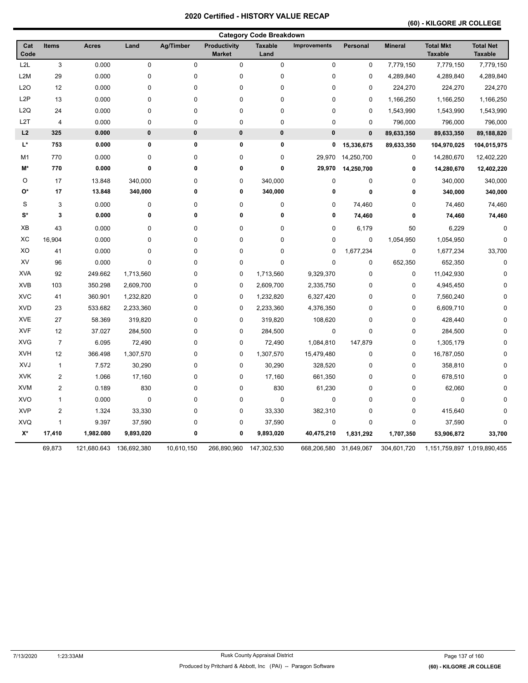### **(60) - KILGORE JR COLLEGE**

|                    | <b>Category Code Breakdown</b> |              |             |             |                               |                        |                     |              |                |                                    |                                    |  |
|--------------------|--------------------------------|--------------|-------------|-------------|-------------------------------|------------------------|---------------------|--------------|----------------|------------------------------------|------------------------------------|--|
| Cat<br>Code        | <b>Items</b>                   | <b>Acres</b> | Land        | Ag/Timber   | Productivity<br><b>Market</b> | <b>Taxable</b><br>Land | <b>Improvements</b> | Personal     | <b>Mineral</b> | <b>Total Mkt</b><br><b>Taxable</b> | <b>Total Net</b><br><b>Taxable</b> |  |
| L <sub>2L</sub>    | $\mathbf{3}$                   | 0.000        | $\mathbf 0$ | $\mathbf 0$ | 0                             | $\pmb{0}$              | 0                   | 0            | 7,779,150      | 7,779,150                          | 7,779,150                          |  |
| L <sub>2</sub> M   | 29                             | 0.000        | 0           | 0           | 0                             | 0                      | 0                   | 0            | 4,289,840      | 4,289,840                          | 4,289,840                          |  |
| L <sub>20</sub>    | 12                             | 0.000        | 0           | 0           | 0                             | 0                      | 0                   | 0            | 224,270        | 224,270                            | 224,270                            |  |
| L <sub>2</sub> P   | 13                             | 0.000        | 0           | 0           | 0                             | 0                      | 0                   | 0            | 1,166,250      | 1,166,250                          | 1,166,250                          |  |
| L2Q                | 24                             | 0.000        | 0           | 0           | 0                             | 0                      | 0                   | 0            | 1,543,990      | 1,543,990                          | 1,543,990                          |  |
| L <sub>2</sub> T   | $\overline{\mathbf{4}}$        | 0.000        | 0           | $\mathbf 0$ | 0                             | 0                      | 0                   | $\mathbf 0$  | 796,000        | 796,000                            | 796,000                            |  |
| L2                 | 325                            | 0.000        | 0           | 0           | $\bf{0}$                      | $\pmb{0}$              | 0                   | $\mathbf{0}$ | 89,633,350     | 89,633,350                         | 89,188,820                         |  |
| L*                 | 753                            | 0.000        | 0           | 0           | 0                             | 0                      | 0                   | 15,336,675   | 89,633,350     | 104,970,025                        | 104,015,975                        |  |
| M1                 | 770                            | 0.000        | 0           | 0           | 0                             | 0                      | 29,970              | 14,250,700   | $\pmb{0}$      | 14,280,670                         | 12,402,220                         |  |
| M*                 | 770                            | 0.000        | 0           | 0           | 0                             | 0                      | 29,970              | 14,250,700   | 0              | 14,280,670                         | 12,402,220                         |  |
| O                  | 17                             | 13.848       | 340,000     | 0           | 0                             | 340,000                | 0                   | $\mathbf 0$  | $\pmb{0}$      | 340,000                            | 340,000                            |  |
| O*                 | 17                             | 13.848       | 340,000     | 0           | 0                             | 340,000                | 0                   | 0            | 0              | 340,000                            | 340,000                            |  |
| S                  | 3                              | 0.000        | 0           | 0           | 0                             | 0                      | 0                   | 74,460       | $\pmb{0}$      | 74,460                             | 74,460                             |  |
| $S^*$              | 3                              | 0.000        | 0           | 0           | 0                             | 0                      | 0                   | 74,460       | 0              | 74,460                             | 74,460                             |  |
| XB                 | 43                             | 0.000        | 0           | 0           | 0                             | 0                      | 0                   | 6,179        | 50             | 6,229                              | 0                                  |  |
| XC                 | 16,904                         | 0.000        | $\pmb{0}$   | 0           | 0                             | 0                      | 0                   | $\pmb{0}$    | 1,054,950      | 1,054,950                          | 0                                  |  |
| XO                 | 41                             | 0.000        | 0           | 0           | 0                             | 0                      | 0                   | 1,677,234    | $\pmb{0}$      | 1,677,234                          | 33,700                             |  |
| XV                 | 96                             | 0.000        | $\mathbf 0$ | 0           | 0                             | $\mathsf 0$            | 0                   | $\mathbf 0$  | 652,350        | 652,350                            | 0                                  |  |
| <b>XVA</b>         | 92                             | 249.662      | 1,713,560   | 0           | 0                             | 1,713,560              | 9,329,370           | $\mathbf 0$  | $\pmb{0}$      | 11,042,930                         | 0                                  |  |
| <b>XVB</b>         | 103                            | 350.298      | 2,609,700   | 0           | 0                             | 2,609,700              | 2,335,750           | $\mathbf 0$  | $\pmb{0}$      | 4,945,450                          | 0                                  |  |
| <b>XVC</b>         | 41                             | 360.901      | 1,232,820   | 0           | 0                             | 1,232,820              | 6,327,420           | $\mathbf 0$  | $\pmb{0}$      | 7,560,240                          | 0                                  |  |
| <b>XVD</b>         | 23                             | 533.682      | 2,233,360   | 0           | 0                             | 2,233,360              | 4,376,350           | $\mathbf 0$  | $\pmb{0}$      | 6,609,710                          | 0                                  |  |
| <b>XVE</b>         | 27                             | 58.369       | 319,820     | 0           | 0                             | 319,820                | 108,620             | 0            | $\pmb{0}$      | 428,440                            | 0                                  |  |
| <b>XVF</b>         | 12                             | 37.027       | 284,500     | 0           | 0                             | 284,500                | 0                   | 0            | $\pmb{0}$      | 284,500                            | 0                                  |  |
| <b>XVG</b>         | $\overline{7}$                 | 6.095        | 72,490      | 0           | 0                             | 72,490                 | 1,084,810           | 147,879      | $\pmb{0}$      | 1,305,179                          | 0                                  |  |
| <b>XVH</b>         | 12                             | 366.498      | 1,307,570   | 0           | 0                             | 1,307,570              | 15,479,480          | 0            | $\pmb{0}$      | 16,787,050                         | 0                                  |  |
| XVJ                | $\mathbf{1}$                   | 7.572        | 30,290      | 0           | 0                             | 30,290                 | 328,520             | 0            | $\pmb{0}$      | 358,810                            | $\overline{0}$                     |  |
| <b>XVK</b>         | $\overline{2}$                 | 1.066        | 17,160      | 0           | 0                             | 17,160                 | 661,350             | 0            | $\pmb{0}$      | 678,510                            | $\overline{0}$                     |  |
| <b>XVM</b>         | $\overline{2}$                 | 0.189        | 830         | 0           | 0                             | 830                    | 61,230              | 0            | $\pmb{0}$      | 62,060                             | $\overline{0}$                     |  |
| <b>XVO</b>         | $\mathbf{1}$                   | 0.000        | $\mathbf 0$ | 0           | 0                             | $\mathbf 0$            | 0                   | 0            | $\mathbf 0$    | $\mathbf 0$                        | O                                  |  |
| <b>XVP</b>         | $\overline{2}$                 | 1.324        | 33,330      | 0           | 0                             | 33,330                 | 382,310             | 0            | 0              | 415,640                            | O                                  |  |
| <b>XVQ</b>         | $\mathbf{1}$                   | 9.397        | 37,590      | 0           | 0                             | 37,590                 | 0                   | 0            | $\pmb{0}$      | 37,590                             | 0                                  |  |
| $\mathsf{X}^\star$ | 17,410                         | 1,982.080    | 9,893,020   | 0           | 0                             | 9,893,020              | 40,475,210          | 1,831,292    | 1,707,350      | 53,906,872                         | 33,700                             |  |
|                    | 69,873                         | 121,680.643  | 136,692,380 | 10,610,150  | 266,890,960                   | 147,302,530            | 668,206,580         | 31,649,067   | 304,601,720    | 1,151,759,897 1,019,890,455        |                                    |  |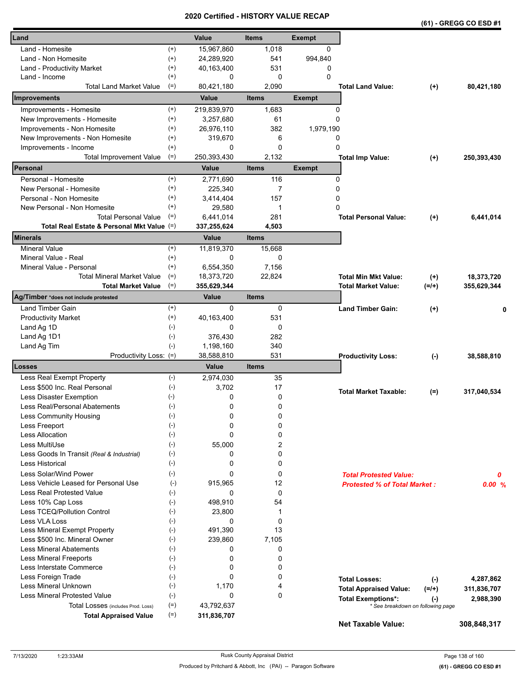|                                                    |                    | serunea     | ו טווי<br>vn i |               |                                                                |           | (61) - GREGG CO ESD #1 |
|----------------------------------------------------|--------------------|-------------|----------------|---------------|----------------------------------------------------------------|-----------|------------------------|
| Land                                               |                    | Value       | <b>Items</b>   | <b>Exempt</b> |                                                                |           |                        |
| Land - Homesite                                    | $^{(+)}$           | 15,967,860  | 1,018          | $\Omega$      |                                                                |           |                        |
| Land - Non Homesite                                | $^{(+)}$           | 24,289,920  | 541            | 994,840       |                                                                |           |                        |
| $^{(+)}$<br>Land - Productivity Market             |                    | 40,163,400  | 531            | 0             |                                                                |           |                        |
| Land - Income                                      | $^{(+)}$           | 0           | 0              | $\Omega$      |                                                                |           |                        |
| <b>Total Land Market Value</b>                     | $(=)$              | 80,421,180  | 2,090          |               | <b>Total Land Value:</b>                                       | $^{(+)}$  | 80,421,180             |
| Improvements                                       |                    | Value       | <b>Items</b>   | <b>Exempt</b> |                                                                |           |                        |
| Improvements - Homesite                            | $^{(+)}$           | 219,839,970 | 1,683          |               | 0                                                              |           |                        |
| New Improvements - Homesite                        | $^{(+)}$           | 3,257,680   | 61             |               | 0                                                              |           |                        |
| Improvements - Non Homesite                        | $^{(+)}$           | 26,976,110  | 382            | 1,979,190     |                                                                |           |                        |
| New Improvements - Non Homesite<br>$^{(+)}$        |                    | 319,670     | 6              |               | 0                                                              |           |                        |
| $^{(+)}$<br>Improvements - Income                  |                    | 0           | 0              |               | 0                                                              |           |                        |
| $(=)$<br><b>Total Improvement Value</b>            |                    | 250,393,430 | 2,132          |               | <b>Total Imp Value:</b>                                        | $^{(+)}$  | 250,393,430            |
| Personal                                           |                    | Value       | <b>Items</b>   | <b>Exempt</b> |                                                                |           |                        |
| Personal - Homesite                                | $^{(+)}$           | 2,771,690   | 116            |               | 0                                                              |           |                        |
| New Personal - Homesite                            | $^{(+)}$           | 225,340     | $\overline{7}$ |               | 0                                                              |           |                        |
| Personal - Non Homesite<br>$^{(+)}$                |                    | 3,414,404   | 157            |               | 0                                                              |           |                        |
| New Personal - Non Homesite                        | $^{(+)}$           | 29,580      | 1              |               | 0                                                              |           |                        |
| <b>Total Personal Value</b>                        | $(=)$              | 6,441,014   | 281            |               | <b>Total Personal Value:</b>                                   |           | 6,441,014              |
| Total Real Estate & Personal Mkt Value (=)         |                    | 337,255,624 | 4,503          |               |                                                                | $(+)$     |                        |
| <b>Minerals</b>                                    |                    | Value       | <b>Items</b>   |               |                                                                |           |                        |
| <b>Mineral Value</b>                               | $^{(+)}$           | 11,819,370  | 15.668         |               |                                                                |           |                        |
| Mineral Value - Real                               | $^{(+)}$           | 0           | $\mathbf{0}$   |               |                                                                |           |                        |
| Mineral Value - Personal                           | $^{(+)}$           | 6,554,350   | 7,156          |               |                                                                |           |                        |
| <b>Total Mineral Market Value</b>                  | $(=)$              | 18,373,720  | 22,824         |               | <b>Total Min Mkt Value:</b>                                    | $(+)$     | 18,373,720             |
| $(=)$<br><b>Total Market Value</b>                 |                    | 355,629,344 |                |               | <b>Total Market Value:</b>                                     | $(=/+)$   | 355,629,344            |
| Ag/Timber *does not include protested              |                    | Value       | <b>Items</b>   |               |                                                                |           |                        |
| Land Timber Gain                                   | $^{(+)}$           | 0           | 0              |               | <b>Land Timber Gain:</b>                                       | $(+)$     | 0                      |
| <b>Productivity Market</b>                         | $^{(+)}$           | 40,163,400  | 531            |               |                                                                |           |                        |
| $(-)$<br>Land Ag 1D                                |                    | 0           | 0              |               |                                                                |           |                        |
| $(-)$<br>Land Ag 1D1                               |                    | 376,430     | 282            |               |                                                                |           |                        |
| Land Ag Tim                                        | $(-)$              | 1,198,160   | 340            |               |                                                                |           |                        |
| Productivity Loss: (=)                             |                    | 38,588,810  | 531            |               | <b>Productivity Loss:</b>                                      | $(\cdot)$ | 38,588,810             |
| Losses                                             |                    | Value       | <b>Items</b>   |               |                                                                |           |                        |
| Less Real Exempt Property                          | $(-)$              | 2,974,030   | 35             |               |                                                                |           |                        |
| $(-)$<br>Less \$500 Inc. Real Personal             |                    | 3,702       | 17             |               |                                                                |           |                        |
| Less Disaster Exemption<br>$(-)$                   |                    | 0           | 0              |               | <b>Total Market Taxable:</b>                                   | (=)       | 317,040,534            |
| Less Real/Personal Abatements                      | $(\textnormal{-})$ | 0           | 0              |               |                                                                |           |                        |
| $(-)$<br>Less Community Housing                    |                    | 0           | 0              |               |                                                                |           |                        |
| $(-)$<br>Less Freeport                             |                    | 0           | 0              |               |                                                                |           |                        |
| <b>Less Allocation</b><br>$(-)$                    |                    | 0           | 0              |               |                                                                |           |                        |
| Less MultiUse<br>$(-)$                             |                    | 55,000      | 2              |               |                                                                |           |                        |
| $(-)$<br>Less Goods In Transit (Real & Industrial) |                    | 0           | 0              |               |                                                                |           |                        |
| <b>Less Historical</b>                             | $(-)$              | 0           | 0              |               |                                                                |           |                        |
| Less Solar/Wind Power                              | $(-)$              | 0           | 0              |               | <b>Total Protested Value:</b>                                  |           | 0                      |
| Less Vehicle Leased for Personal Use               | $(-)$              | 915,965     | 12             |               | <b>Protested % of Total Market:</b>                            |           |                        |
| Less Real Protested Value                          | $(-)$              | $\Omega$    | 0              |               |                                                                |           | 0.00%                  |
| Less 10% Cap Loss                                  | $(-)$              | 498,910     | 54             |               |                                                                |           |                        |
| Less TCEQ/Pollution Control                        | $(-)$              | 23,800      | 1              |               |                                                                |           |                        |
| Less VLA Loss<br>$(-)$                             |                    | 0           | 0              |               |                                                                |           |                        |
| Less Mineral Exempt Property                       | $(-)$              | 491,390     | 13             |               |                                                                |           |                        |
| Less \$500 Inc. Mineral Owner                      | $(-)$              | 239,860     | 7,105          |               |                                                                |           |                        |
| $(-)$<br><b>Less Mineral Abatements</b>            |                    | 0           | 0              |               |                                                                |           |                        |
| <b>Less Mineral Freeports</b>                      | $(-)$              | 0           | 0              |               |                                                                |           |                        |
| Less Interstate Commerce                           | $(-)$              | 0           | 0              |               |                                                                |           |                        |
| Less Foreign Trade                                 | $(-)$              | 0           | 0              |               |                                                                |           |                        |
| Less Mineral Unknown                               | $(-)$              | 1,170       | 4              |               | <b>Total Losses:</b>                                           | $(-)$     | 4,287,862              |
| <b>Less Mineral Protested Value</b>                | $(-)$              | $\Omega$    | 0              |               | <b>Total Appraised Value:</b>                                  | $(=/+)$   | 311,836,707            |
| Total Losses (includes Prod. Loss)                 | $(=)$              | 43,792,637  |                |               | <b>Total Exemptions*:</b><br>* See breakdown on following page | $(-)$     | 2,988,390              |
| <b>Total Appraised Value</b>                       | $(=)$              | 311,836,707 |                |               |                                                                |           |                        |
|                                                    |                    |             |                |               | <b>Net Taxable Value:</b>                                      |           | 308,848,317            |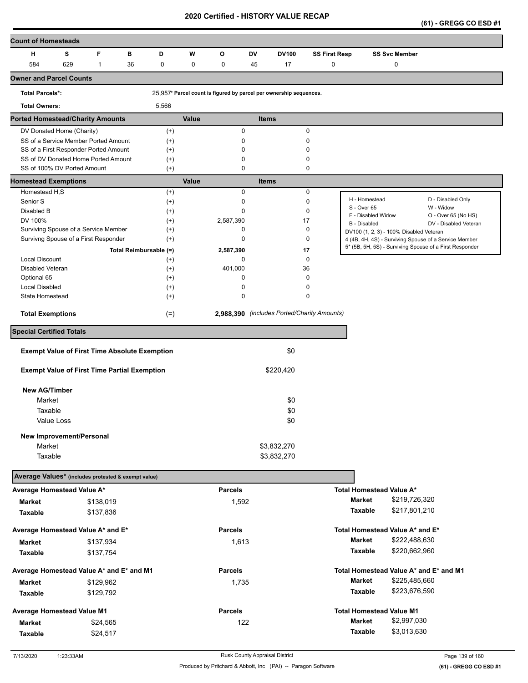**(61) - GREGG CO ESD #1** 

| <b>Count of Homesteads</b>                           |     |              |                        |                      |                                                                    |              |              |                                             |                                         |                      |                                                                                                                  |
|------------------------------------------------------|-----|--------------|------------------------|----------------------|--------------------------------------------------------------------|--------------|--------------|---------------------------------------------|-----------------------------------------|----------------------|------------------------------------------------------------------------------------------------------------------|
| н                                                    | s   | F            | в<br>D                 | W                    | o                                                                  | DV           | <b>DV100</b> | <b>SS First Resp</b>                        |                                         | <b>SS Svc Member</b> |                                                                                                                  |
| 584                                                  | 629 | $\mathbf{1}$ | 36<br>0                | $\mathbf 0$          | 0                                                                  | 45           | 17           | 0                                           |                                         | 0                    |                                                                                                                  |
| <b>Owner and Parcel Counts</b>                       |     |              |                        |                      |                                                                    |              |              |                                             |                                         |                      |                                                                                                                  |
|                                                      |     |              |                        |                      |                                                                    |              |              |                                             |                                         |                      |                                                                                                                  |
| <b>Total Parcels*:</b>                               |     |              |                        |                      | 25,957* Parcel count is figured by parcel per ownership sequences. |              |              |                                             |                                         |                      |                                                                                                                  |
| <b>Total Owners:</b>                                 |     |              | 5,566                  |                      |                                                                    |              |              |                                             |                                         |                      |                                                                                                                  |
| <b>Ported Homestead/Charity Amounts</b>              |     |              |                        | Value                |                                                                    | <b>Items</b> |              |                                             |                                         |                      |                                                                                                                  |
| DV Donated Home (Charity)                            |     |              |                        | $^{(+)}$             | 0                                                                  |              |              | $\mathbf 0$                                 |                                         |                      |                                                                                                                  |
| SS of a Service Member Ported Amount                 |     |              |                        | $^{(+)}$             | 0                                                                  |              |              | 0                                           |                                         |                      |                                                                                                                  |
| SS of a First Responder Ported Amount                |     |              |                        | $^{(+)}$             | 0                                                                  |              |              | 0                                           |                                         |                      |                                                                                                                  |
| SS of DV Donated Home Ported Amount                  |     |              |                        | $^{(+)}$             | 0                                                                  |              |              | 0                                           |                                         |                      |                                                                                                                  |
| SS of 100% DV Ported Amount                          |     |              |                        | $^{(+)}$             | $\mathbf 0$                                                        |              |              | 0                                           |                                         |                      |                                                                                                                  |
| <b>Homestead Exemptions</b>                          |     |              |                        | Value                |                                                                    | <b>Items</b> |              |                                             |                                         |                      |                                                                                                                  |
| Homestead H,S                                        |     |              |                        | $^{(+)}$             | 0                                                                  |              |              | $\mathbf 0$                                 | H - Homestead                           |                      | D - Disabled Only                                                                                                |
| Senior S                                             |     |              |                        | $^{(+)}$             | 0                                                                  |              |              | 0                                           | S - Over 65                             |                      | W - Widow                                                                                                        |
| Disabled B                                           |     |              |                        | $^{(+)}$             | 0                                                                  |              |              | $\Omega$                                    | F - Disabled Widow                      |                      | O - Over 65 (No HS)                                                                                              |
| DV 100%<br>Surviving Spouse of a Service Member      |     |              |                        | $^{(+)}$<br>$^{(+)}$ | 2,587,390<br>0                                                     |              |              | 17<br>0                                     | <b>B</b> - Disabled                     |                      | DV - Disabled Veteran                                                                                            |
| Survivng Spouse of a First Responder                 |     |              |                        | $^{(+)}$             | 0                                                                  |              |              | 0                                           | DV100 (1, 2, 3) - 100% Disabled Veteran |                      |                                                                                                                  |
|                                                      |     |              |                        |                      |                                                                    |              |              |                                             |                                         |                      | 4 (4B, 4H, 4S) - Surviving Spouse of a Service Member<br>5* (5B, 5H, 5S) - Surviving Spouse of a First Responder |
|                                                      |     |              | Total Reimbursable (=) |                      | 2,587,390                                                          |              |              | 17                                          |                                         |                      |                                                                                                                  |
| <b>Local Discount</b>                                |     |              |                        | $^{(+)}$             | 0                                                                  |              |              | 0                                           |                                         |                      |                                                                                                                  |
| Disabled Veteran<br>Optional 65                      |     |              |                        | $^{(+)}$<br>$^{(+)}$ | 401,000<br>0                                                       |              |              | 36<br>0                                     |                                         |                      |                                                                                                                  |
| <b>Local Disabled</b>                                |     |              |                        | $^{(+)}$             | 0                                                                  |              |              | 0                                           |                                         |                      |                                                                                                                  |
| State Homestead                                      |     |              |                        | $^{(+)}$             | 0                                                                  |              |              | 0                                           |                                         |                      |                                                                                                                  |
|                                                      |     |              |                        |                      |                                                                    |              |              |                                             |                                         |                      |                                                                                                                  |
| <b>Total Exemptions</b>                              |     |              |                        | $(=)$                |                                                                    |              |              | 2,988,390 (includes Ported/Charity Amounts) |                                         |                      |                                                                                                                  |
| <b>Special Certified Totals</b>                      |     |              |                        |                      |                                                                    |              |              |                                             |                                         |                      |                                                                                                                  |
|                                                      |     |              |                        |                      |                                                                    |              |              |                                             |                                         |                      |                                                                                                                  |
| <b>Exempt Value of First Time Absolute Exemption</b> |     |              |                        |                      |                                                                    |              | \$0          |                                             |                                         |                      |                                                                                                                  |
| <b>Exempt Value of First Time Partial Exemption</b>  |     |              |                        |                      |                                                                    |              | \$220,420    |                                             |                                         |                      |                                                                                                                  |
|                                                      |     |              |                        |                      |                                                                    |              |              |                                             |                                         |                      |                                                                                                                  |
| <b>New AG/Timber</b>                                 |     |              |                        |                      |                                                                    |              |              |                                             |                                         |                      |                                                                                                                  |
| Market                                               |     |              |                        |                      |                                                                    |              | \$0          |                                             |                                         |                      |                                                                                                                  |
| Taxable                                              |     |              |                        |                      |                                                                    |              | \$0          |                                             |                                         |                      |                                                                                                                  |
| Value Loss                                           |     |              |                        |                      |                                                                    |              | \$0          |                                             |                                         |                      |                                                                                                                  |
|                                                      |     |              |                        |                      |                                                                    |              |              |                                             |                                         |                      |                                                                                                                  |
| New Improvement/Personal<br>Market                   |     |              |                        |                      |                                                                    |              | \$3,832,270  |                                             |                                         |                      |                                                                                                                  |
| Taxable                                              |     |              |                        |                      |                                                                    |              | \$3,832,270  |                                             |                                         |                      |                                                                                                                  |
|                                                      |     |              |                        |                      |                                                                    |              |              |                                             |                                         |                      |                                                                                                                  |
| Average Values* (includes protested & exempt value)  |     |              |                        |                      |                                                                    |              |              |                                             |                                         |                      |                                                                                                                  |
| Average Homestead Value A*                           |     |              |                        |                      | <b>Parcels</b>                                                     |              |              |                                             | Total Homestead Value A*                |                      |                                                                                                                  |
| <b>Market</b>                                        |     | \$138,019    |                        |                      | 1,592                                                              |              |              |                                             | Market                                  | \$219,726,320        |                                                                                                                  |
| Taxable                                              |     | \$137,836    |                        |                      |                                                                    |              |              |                                             | Taxable                                 | \$217,801,210        |                                                                                                                  |
|                                                      |     |              |                        |                      |                                                                    |              |              |                                             |                                         |                      |                                                                                                                  |
| Average Homestead Value A* and E*                    |     |              |                        |                      | <b>Parcels</b>                                                     |              |              |                                             | Total Homestead Value A* and E*         |                      |                                                                                                                  |
| <b>Market</b>                                        |     | \$137,934    |                        |                      | 1,613                                                              |              |              |                                             | <b>Market</b>                           | \$222,488,630        |                                                                                                                  |
| Taxable                                              |     | \$137,754    |                        |                      |                                                                    |              |              |                                             | Taxable                                 | \$220,662,960        |                                                                                                                  |
| Average Homestead Value A* and E* and M1             |     |              |                        |                      | <b>Parcels</b>                                                     |              |              |                                             | Total Homestead Value A* and E* and M1  |                      |                                                                                                                  |
|                                                      |     |              |                        |                      |                                                                    |              |              |                                             | <b>Market</b>                           | \$225,485,660        |                                                                                                                  |
| Market                                               |     | \$129,962    |                        |                      | 1,735                                                              |              |              |                                             |                                         |                      |                                                                                                                  |
| Taxable                                              |     | \$129,792    |                        |                      |                                                                    |              |              |                                             | Taxable                                 | \$223,676,590        |                                                                                                                  |
| Average Homestead Value M1                           |     |              |                        |                      | <b>Parcels</b>                                                     |              |              |                                             | <b>Total Homestead Value M1</b>         |                      |                                                                                                                  |
| Market                                               |     | \$24,565     |                        |                      | 122                                                                |              |              |                                             | <b>Market</b>                           | \$2,997,030          |                                                                                                                  |
|                                                      |     |              |                        |                      |                                                                    |              |              |                                             | Taxable                                 | \$3,013,630          |                                                                                                                  |
| Taxable                                              |     | \$24,517     |                        |                      |                                                                    |              |              |                                             |                                         |                      |                                                                                                                  |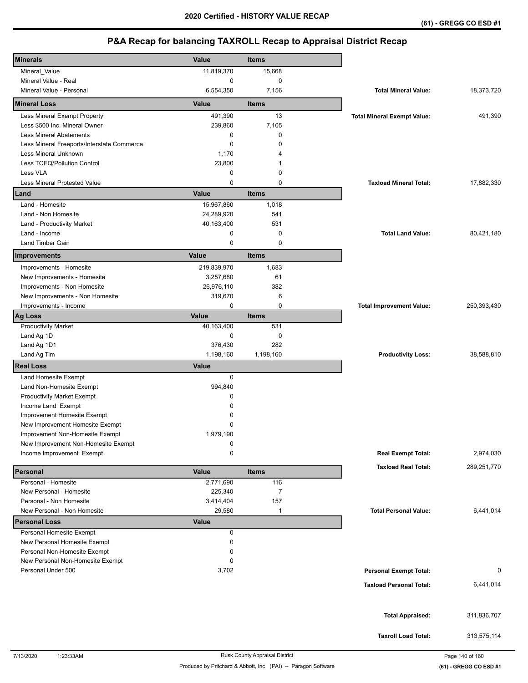| <b>Minerals</b>                            | Value        | <b>Items</b>   |                                    |             |
|--------------------------------------------|--------------|----------------|------------------------------------|-------------|
| Mineral_Value                              | 11,819,370   | 15,668         |                                    |             |
| Mineral Value - Real                       | 0            | 0              |                                    |             |
| Mineral Value - Personal                   | 6,554,350    | 7,156          | <b>Total Mineral Value:</b>        | 18,373,720  |
| <b>Mineral Loss</b>                        | Value        | <b>Items</b>   |                                    |             |
| Less Mineral Exempt Property               | 491,390      | 13             | <b>Total Mineral Exempt Value:</b> | 491,390     |
| Less \$500 Inc. Mineral Owner              | 239,860      | 7,105          |                                    |             |
| <b>Less Mineral Abatements</b>             | 0            | 0              |                                    |             |
| Less Mineral Freeports/Interstate Commerce | 0            | $\mathbf 0$    |                                    |             |
| Less Mineral Unknown                       | 1,170        | 4              |                                    |             |
| Less TCEQ/Pollution Control                | 23,800       |                |                                    |             |
| Less VLA                                   | 0            | 0              |                                    |             |
| Less Mineral Protested Value               | 0            | $\mathbf 0$    | <b>Taxload Mineral Total:</b>      | 17,882,330  |
| Land                                       | Value        | <b>Items</b>   |                                    |             |
| Land - Homesite                            | 15,967,860   | 1,018          |                                    |             |
| Land - Non Homesite                        | 24,289,920   | 541            |                                    |             |
| Land - Productivity Market                 | 40,163,400   | 531            |                                    |             |
| Land - Income                              | 0            | 0              | <b>Total Land Value:</b>           | 80,421,180  |
| <b>Land Timber Gain</b>                    | 0            | $\mathbf 0$    |                                    |             |
| Improvements                               | Value        | <b>Items</b>   |                                    |             |
| Improvements - Homesite                    | 219,839,970  | 1,683          |                                    |             |
| New Improvements - Homesite                | 3,257,680    | 61             |                                    |             |
| Improvements - Non Homesite                | 26,976,110   | 382            |                                    |             |
| New Improvements - Non Homesite            | 319,670      | 6              |                                    |             |
| Improvements - Income                      | 0            | 0              | <b>Total Improvement Value:</b>    | 250,393,430 |
| <b>Ag Loss</b>                             | Value        | <b>Items</b>   |                                    |             |
| <b>Productivity Market</b>                 | 40,163,400   | 531            |                                    |             |
| Land Ag 1D                                 | 0            | $\mathbf 0$    |                                    |             |
| Land Ag 1D1                                | 376,430      | 282            |                                    |             |
| Land Ag Tim                                | 1,198,160    | 1,198,160      | <b>Productivity Loss:</b>          | 38,588,810  |
| <b>Real Loss</b>                           | <b>Value</b> |                |                                    |             |
| Land Homesite Exempt                       | 0            |                |                                    |             |
| Land Non-Homesite Exempt                   | 994,840      |                |                                    |             |
| <b>Productivity Market Exempt</b>          | 0            |                |                                    |             |
| Income Land Exempt                         | 0            |                |                                    |             |
| Improvement Homesite Exempt                | 0            |                |                                    |             |
| New Improvement Homesite Exempt            | 0            |                |                                    |             |
| Improvement Non-Homesite Exempt            | 1,979,190    |                |                                    |             |
| New Improvement Non-Homesite Exempt        | 0            |                |                                    |             |
| Income Improvement Exempt                  | 0            |                | <b>Real Exempt Total:</b>          | 2,974,030   |
| Personal                                   | Value        | <b>Items</b>   | <b>Taxload Real Total:</b>         | 289,251,770 |
| Personal - Homesite                        | 2,771,690    | 116            |                                    |             |
| New Personal - Homesite                    | 225,340      | $\overline{7}$ |                                    |             |
| Personal - Non Homesite                    | 3,414,404    | 157            |                                    |             |
| New Personal - Non Homesite                | 29,580       | $\mathbf 1$    | <b>Total Personal Value:</b>       | 6,441,014   |
| <b>Personal Loss</b>                       | <b>Value</b> |                |                                    |             |
| Personal Homesite Exempt                   | 0            |                |                                    |             |
| New Personal Homesite Exempt               | 0            |                |                                    |             |
| Personal Non-Homesite Exempt               | 0            |                |                                    |             |
| New Personal Non-Homesite Exempt           | 0            |                |                                    |             |
| Personal Under 500                         | 3,702        |                | <b>Personal Exempt Total:</b>      | 0           |
|                                            |              |                | <b>Taxload Personal Total:</b>     | 6,441,014   |
|                                            |              |                |                                    |             |
|                                            |              |                |                                    |             |
|                                            |              |                | <b>Total Appraised:</b>            | 311,836,707 |
|                                            |              |                | <b>Taxroll Load Total:</b>         | 313,575,114 |
|                                            |              |                |                                    |             |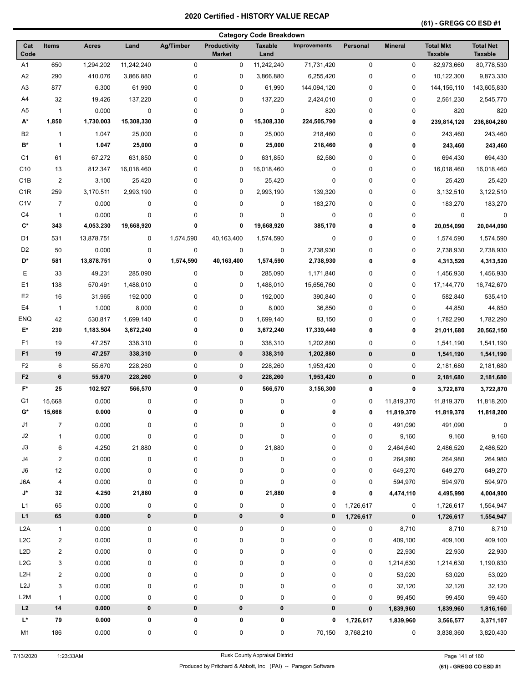## **(61) - GREGG CO ESD #1**

|                  |                         |                |            |             |                                      | <b>Category Code Breakdown</b> |                     |             |                |                                    |                                    |
|------------------|-------------------------|----------------|------------|-------------|--------------------------------------|--------------------------------|---------------------|-------------|----------------|------------------------------------|------------------------------------|
| Cat<br>Code      | <b>Items</b>            | <b>Acres</b>   | Land       | Ag/Timber   | <b>Productivity</b><br><b>Market</b> | <b>Taxable</b><br>Land         | <b>Improvements</b> | Personal    | <b>Mineral</b> | <b>Total Mkt</b><br><b>Taxable</b> | <b>Total Net</b><br><b>Taxable</b> |
| A <sub>1</sub>   | 650                     | 1,294.202      | 11,242,240 | $\mathbf 0$ | 0                                    | 11,242,240                     | 71,731,420          | 0           | 0              | 82,973,660                         | 80,778,530                         |
| A2               | 290                     | 410.076        | 3,866,880  | 0           | 0                                    | 3,866,880                      | 6,255,420           | 0           | 0              | 10,122,300                         | 9,873,330                          |
| A <sub>3</sub>   | 877                     | 6.300          | 61,990     | 0           | $\pmb{0}$                            | 61,990                         | 144,094,120         | 0           | 0              | 144, 156, 110                      | 143,605,830                        |
| A4               | 32                      | 19.426         | 137,220    | 0           | $\pmb{0}$                            | 137,220                        | 2,424,010           | 0           | 0              | 2,561,230                          | 2,545,770                          |
| A <sub>5</sub>   | $\mathbf{1}$            | 0.000          | $\pmb{0}$  | 0           | $\pmb{0}$                            | $\pmb{0}$                      | 820                 | 0           | 0              | 820                                | 820                                |
| A*               | 1,850                   | 1,730.003      | 15,308,330 | 0           | 0                                    | 15,308,330                     | 224,505,790         | 0           | 0              | 239,814,120                        | 236,804,280                        |
| B <sub>2</sub>   | $\mathbf{1}$            | 1.047          | 25,000     | 0           | $\pmb{0}$                            | 25,000                         | 218,460             | 0           | 0              | 243,460                            | 243,460                            |
| B*               | 1                       | 1.047          | 25,000     | 0           | 0                                    | 25,000                         | 218,460             | 0           | 0              | 243,460                            | 243,460                            |
| C1               | 61                      | 67.272         | 631,850    | 0           | 0                                    | 631,850                        | 62,580              | 0           | 0              | 694,430                            | 694,430                            |
| C <sub>10</sub>  | 13                      | 812.347        | 16,018,460 | 0           | 0                                    | 16,018,460                     | 0                   | 0           | 0              | 16,018,460                         | 16,018,460                         |
| C <sub>1</sub> B | $\overline{2}$          | 3.100          | 25,420     | 0           | $\pmb{0}$                            | 25,420                         | $\pmb{0}$           | 0           | 0              | 25,420                             | 25,420                             |
| C <sub>1</sub> R | 259                     | 3,170.511      | 2,993,190  | 0           | $\pmb{0}$                            | 2,993,190                      | 139,320             | 0           | 0              | 3,132,510                          | 3,122,510                          |
| C <sub>1</sub> V | $\overline{7}$          | 0.000          | 0          | 0           | $\pmb{0}$                            | 0                              | 183,270             | 0           | 0              | 183,270                            | 183,270                            |
| C <sub>4</sub>   | $\overline{1}$          | 0.000          | 0          | 0           | 0                                    | 0                              | $\pmb{0}$           | 0           | 0              | 0                                  | $\mathbf 0$                        |
| $C^*$            | 343                     | 4,053.230      | 19,668,920 | 0           | 0                                    | 19,668,920                     | 385,170             | 0           | 0              | 20,054,090                         | 20,044,090                         |
| D1               | 531                     | 13,878.751     | 0          | 1,574,590   | 40,163,400                           | 1,574,590                      | $\pmb{0}$           | 0           | 0              | 1,574,590                          | 1,574,590                          |
| D <sub>2</sub>   | 50                      | 0.000          | 0          | 0           | 0                                    | 0                              | 2,738,930           | 0           | 0              | 2,738,930                          | 2,738,930                          |
| D*               | 581                     | 13,878.751     | 0          | 1,574,590   | 40,163,400                           | 1,574,590                      | 2,738,930           | 0           | 0              | 4,313,520                          | 4,313,520                          |
| Ε                | 33                      | 49.231         | 285,090    | 0           | 0                                    | 285,090                        | 1,171,840           | 0           | 0              | 1,456,930                          | 1,456,930                          |
| E1               | 138                     | 570.491        | 1,488,010  | 0           | 0                                    | 1,488,010                      | 15,656,760          | 0           | 0              | 17, 144, 770                       | 16,742,670                         |
| E <sub>2</sub>   | 16                      | 31.965         | 192,000    | 0           | 0                                    | 192,000                        | 390,840             | 0           | 0              | 582,840                            | 535,410                            |
| E4               | $\mathbf{1}$            | 1.000          | 8,000      | 0           | $\pmb{0}$                            | 8,000                          | 36,850              | 0           | 0              | 44,850                             | 44,850                             |
| <b>ENQ</b>       | 42                      | 530.817        | 1,699,140  | 0           | 0                                    | 1,699,140                      | 83,150              | 0           | 0              | 1,782,290                          | 1,782,290                          |
| E*               | 230                     | 1,183.504      | 3,672,240  | 0           | 0                                    | 3,672,240                      | 17,339,440          | 0           | 0              | 21,011,680                         | 20,562,150                         |
| F <sub>1</sub>   | 19                      | 47.257         | 338,310    | 0           | $\pmb{0}$                            | 338,310                        | 1,202,880           | 0           | 0              | 1,541,190                          | 1,541,190                          |
| F <sub>1</sub>   | 19                      | 47.257         | 338,310    | $\pmb{0}$   | 0                                    | 338,310                        | 1,202,880           | $\pmb{0}$   | 0              | 1,541,190                          | 1,541,190                          |
| F <sub>2</sub>   | 6                       | 55.670         | 228,260    | 0           | 0                                    | 228,260                        | 1,953,420           | 0           | 0              | 2,181,680                          | 2,181,680                          |
| F <sub>2</sub>   | 6                       | 55.670         | 228,260    | $\pmb{0}$   | 0                                    | 228,260                        | 1,953,420           | $\pmb{0}$   | $\pmb{0}$      | 2,181,680                          | 2,181,680                          |
| F*               | 25                      | 102.927        | 566,570    | 0           | 0                                    | 566,570                        | 3,156,300           | 0           | 0              | 3,722,870                          | 3,722,870                          |
| G <sub>1</sub>   |                         |                |            |             |                                      |                                |                     |             |                |                                    |                                    |
| G*               | 15,668<br>15,668        | 0.000<br>0.000 | 0<br>0     | 0<br>0      | 0<br>0                               | 0<br>0                         | 0<br>0              | 0           | 11,819,370     | 11,819,370                         | 11,818,200                         |
|                  |                         |                |            |             |                                      |                                |                     | 0           | 11,819,370     | 11,819,370                         | 11,818,200                         |
| J1               | $\overline{7}$          | 0.000          | 0          | 0           | $\pmb{0}$                            | 0                              | $\pmb{0}$           | 0           | 491,090        | 491,090                            | $\mathbf 0$                        |
| J2               | $\mathbf{1}$            | 0.000          | 0          | 0           | $\pmb{0}$                            | 0                              | $\pmb{0}$           | 0           | 9,160          | 9,160                              | 9,160                              |
| J3               | 6                       | 4.250          | 21,880     | 0           | 0                                    | 21,880                         | $\pmb{0}$           | 0           | 2,464,640      | 2,486,520                          | 2,486,520                          |
| J4               | $\overline{2}$          | 0.000          | 0          | 0           | $\pmb{0}$                            | 0                              | $\pmb{0}$           | 0           | 264,980        | 264,980                            | 264,980                            |
| J6               | 12                      | 0.000          | 0          | 0           | $\pmb{0}$                            | 0                              | $\pmb{0}$           | 0           | 649,270        | 649,270                            | 649,270                            |
| J6A              | $\overline{4}$          | 0.000          | 0          | 0           | $\pmb{0}$                            | 0                              | $\pmb{0}$           | 0           | 594,970        | 594,970                            | 594,970                            |
| J*               | 32                      | 4.250          | 21,880     | 0           | 0                                    | 21,880                         | 0                   | 0           | 4,474,110      | 4,495,990                          | 4,004,900                          |
| L1               | 65                      | 0.000          | 0          | 0           | $\pmb{0}$                            | $\pmb{0}$                      | 0                   | 1,726,617   | 0              | 1,726,617                          | 1,554,947                          |
| L1               | 65                      | 0.000          | 0          | 0           | $\pmb{0}$                            | 0                              | 0                   | 1,726,617   | $\pmb{0}$      | 1,726,617                          | 1,554,947                          |
| L2A              | $\mathbf{1}$            | 0.000          | 0          | 0           | 0                                    | 0                              | $\pmb{0}$           | 0           | 8,710          | 8,710                              | 8,710                              |
| L <sub>2</sub> C | $\overline{\mathbf{c}}$ | 0.000          | 0          | 0           | $\pmb{0}$                            | 0                              | $\pmb{0}$           | 0           | 409,100        | 409,100                            | 409,100                            |
| L <sub>2</sub> D | $\overline{\mathbf{c}}$ | 0.000          | 0          | 0           | $\pmb{0}$                            | 0                              | $\pmb{0}$           | 0           | 22,930         | 22,930                             | 22,930                             |
| L2G              | 3                       | 0.000          | 0          | 0           | $\pmb{0}$                            | 0                              | $\pmb{0}$           | 0           | 1,214,630      | 1,214,630                          | 1,190,830                          |
| L <sub>2</sub> H | $\boldsymbol{2}$        | 0.000          | 0          | 0           | $\pmb{0}$                            | 0                              | $\pmb{0}$           | 0           | 53,020         | 53,020                             | 53,020                             |
| L2J              | 3                       | 0.000          | 0          | 0           | $\pmb{0}$                            | 0                              | $\pmb{0}$           | 0           | 32,120         | 32,120                             | 32,120                             |
| L <sub>2</sub> M | $\mathbf{1}$            | 0.000          | 0          | 0           | $\pmb{0}$                            | 0                              | $\pmb{0}$           | 0           | 99,450         | 99,450                             | 99,450                             |
| L2               | $14$                    | 0.000          | 0          | 0           | $\pmb{0}$                            | $\pmb{0}$                      | 0                   | $\mathbf 0$ | 1,839,960      | 1,839,960                          | 1,816,160                          |
| L*               | 79                      | 0.000          | 0          | 0           | 0                                    | 0                              | 0                   | 1,726,617   | 1,839,960      | 3,566,577                          | 3,371,107                          |
| M1               | 186                     | 0.000          | 0          | 0           | 0                                    | 0                              | 70,150              | 3,768,210   | 0              | 3,838,360                          | 3,820,430                          |

7/13/2020 1:23:33AM Rusk County Appraisal District Page 141 of 160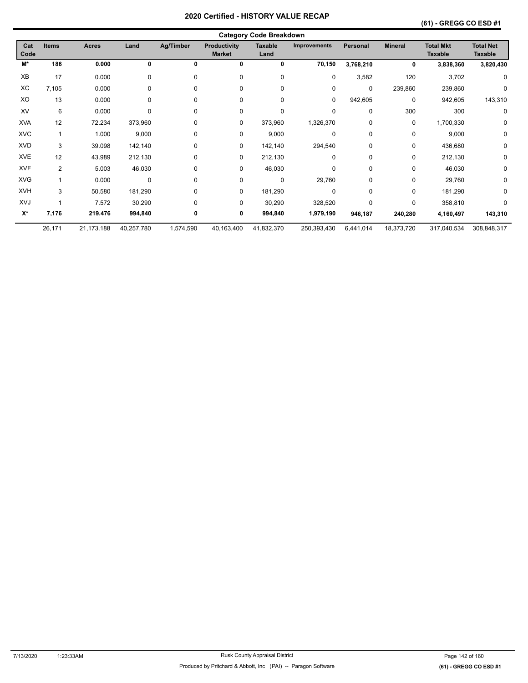### **(61) - GREGG CO ESD #1**

| Cat<br>Code | <b>Items</b> | <b>Acres</b> | Land       | Ag/Timber   | <b>Productivity</b><br><b>Market</b> | <b>Taxable</b><br>Land | <b>Improvements</b> | Personal    | <b>Mineral</b> | <b>Total Mkt</b><br><b>Taxable</b> | <b>Total Net</b><br><b>Taxable</b> |
|-------------|--------------|--------------|------------|-------------|--------------------------------------|------------------------|---------------------|-------------|----------------|------------------------------------|------------------------------------|
| M*          | 186          | 0.000        | 0          | 0           | 0                                    | 0                      | 70,150              | 3,768,210   | 0              | 3,838,360                          | 3,820,430                          |
| XB          | 17           | 0.000        | 0          | $\mathbf 0$ | 0                                    | 0                      | 0                   | 3,582       | 120            | 3,702                              | 0                                  |
| ХC          | 7,105        | 0.000        | 0          | 0           | 0                                    | 0                      | 0                   | 0           | 239,860        | 239,860                            | 0                                  |
| XO          | 13           | 0.000        | 0          | $\Omega$    | 0                                    | 0                      | 0                   | 942,605     | 0              | 942,605                            | 143,310                            |
| XV          | 6            | 0.000        | 0          | 0           | 0                                    | 0                      | $\mathbf 0$         | 0           | 300            | 300                                | 0                                  |
| <b>XVA</b>  | 12           | 72.234       | 373,960    | 0           | 0                                    | 373,960                | 1,326,370           | 0           | 0              | 1,700,330                          | $\mathbf 0$                        |
| <b>XVC</b>  | 1            | 1.000        | 9,000      | 0           | 0                                    | 9,000                  | $\mathbf 0$         | $\mathbf 0$ | 0              | 9,000                              | $\mathbf 0$                        |
| <b>XVD</b>  | 3            | 39.098       | 142,140    | 0           | 0                                    | 142,140                | 294,540             | 0           | 0              | 436,680                            | 0                                  |
| <b>XVE</b>  | 12           | 43.989       | 212,130    | 0           | 0                                    | 212,130                | 0                   | $\Omega$    | $\mathbf 0$    | 212,130                            | 0                                  |
| <b>XVF</b>  | 2            | 5.003        | 46,030     | 0           | 0                                    | 46,030                 | 0                   | 0           | 0              | 46,030                             | 0                                  |
| <b>XVG</b>  | 1            | 0.000        | 0          | $\Omega$    | 0                                    | 0                      | 29,760              | 0           | 0              | 29,760                             | $\mathbf 0$                        |
| <b>XVH</b>  | 3            | 50.580       | 181,290    | $\Omega$    | 0                                    | 181,290                | $\mathbf 0$         | 0           | 0              | 181,290                            | 0                                  |
| XVJ         |              | 7.572        | 30,290     | $\Omega$    | 0                                    | 30,290                 | 328,520             | $\Omega$    | 0              | 358,810                            | $\Omega$                           |
| $X^*$       | 7,176        | 219.476      | 994,840    | 0           | 0                                    | 994,840                | 1,979,190           | 946,187     | 240,280        | 4,160,497                          | 143,310                            |
|             | 26,171       | 21,173.188   | 40,257,780 | 1,574,590   | 40,163,400                           | 41,832,370             | 250,393,430         | 6,441,014   | 18,373,720     | 317,040,534                        | 308,848,317                        |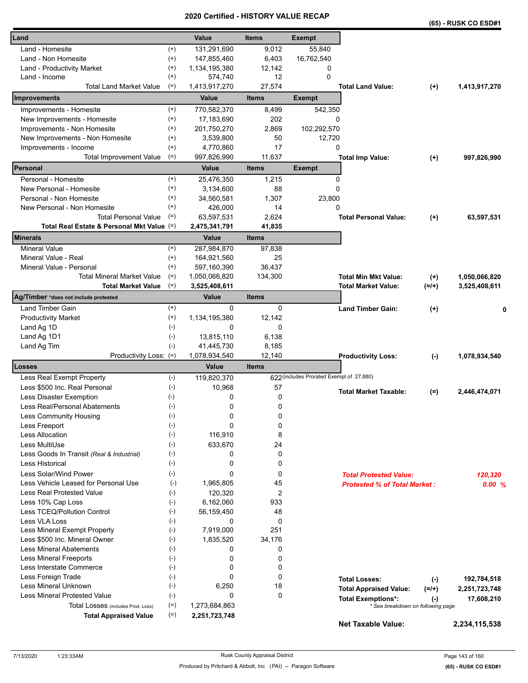|                                                    |           |               |                |                                          |                                                                |           | (65) - RUSK CO ESD#1 |
|----------------------------------------------------|-----------|---------------|----------------|------------------------------------------|----------------------------------------------------------------|-----------|----------------------|
| Land                                               |           | Value         | <b>Items</b>   | Exempt                                   |                                                                |           |                      |
| Land - Homesite                                    | $^{(+)}$  | 131,291,690   | 9,012          | 55,840                                   |                                                                |           |                      |
| Land - Non Homesite                                | $^{(+)}$  | 147,855,460   | 6,403          | 16,762,540                               |                                                                |           |                      |
| Land - Productivity Market                         | $^{(+)}$  | 1,134,195,380 | 12,142         | 0                                        |                                                                |           |                      |
| Land - Income                                      | $^{(+)}$  | 574,740       | 12             | $\Omega$                                 |                                                                |           |                      |
| <b>Total Land Market Value</b>                     | $(=)$     | 1,413,917,270 | 27,574         |                                          | <b>Total Land Value:</b>                                       | $(+)$     | 1,413,917,270        |
| <b>Improvements</b>                                |           | Value         | <b>Items</b>   | <b>Exempt</b>                            |                                                                |           |                      |
| Improvements - Homesite                            | $^{(+)}$  | 770,582,370   | 8,499          | 542,350                                  |                                                                |           |                      |
| New Improvements - Homesite                        | $^{(+)}$  | 17,183,690    | 202            | 0                                        |                                                                |           |                      |
| Improvements - Non Homesite                        | $^{(+)}$  | 201,750,270   | 2,869          | 102,292,570                              |                                                                |           |                      |
| New Improvements - Non Homesite                    | $^{(+)}$  | 3,539,800     | 50             | 12,720                                   |                                                                |           |                      |
| Improvements - Income                              | $^{(+)}$  | 4,770,860     | 17             | 0                                        |                                                                |           |                      |
| Total Improvement Value                            | $(=)$     | 997,826,990   | 11,637         |                                          | Total Imp Value:                                               | $(+)$     | 997,826,990          |
| Personal                                           |           | Value         | <b>Items</b>   | <b>Exempt</b>                            |                                                                |           |                      |
| Personal - Homesite                                | $^{(+)}$  | 25,476,350    | 1,215          | 0                                        |                                                                |           |                      |
| New Personal - Homesite                            | $^{(+)}$  | 3,134,600     | 88             | 0                                        |                                                                |           |                      |
| Personal - Non Homesite                            | $^{(+)}$  | 34,560,581    | 1,307          | 23,800                                   |                                                                |           |                      |
| New Personal - Non Homesite                        | $^{(+)}$  | 426,000       | 14             | $\Omega$                                 |                                                                |           |                      |
| <b>Total Personal Value</b>                        | $(=)$     | 63,597,531    | 2,624          |                                          | <b>Total Personal Value:</b>                                   | $^{(+)}$  | 63,597,531           |
| Total Real Estate & Personal Mkt Value (=)         |           | 2,475,341,791 | 41,835         |                                          |                                                                |           |                      |
| <b>Minerals</b>                                    |           | Value         | <b>Items</b>   |                                          |                                                                |           |                      |
| Mineral Value                                      | $^{(+)}$  | 287,984,870   | 97,838         |                                          |                                                                |           |                      |
| Mineral Value - Real                               | $^{(+)}$  | 164,921,560   | 25             |                                          |                                                                |           |                      |
| Mineral Value - Personal                           | $^{(+)}$  | 597,160,390   | 36,437         |                                          |                                                                |           |                      |
| <b>Total Mineral Market Value</b>                  | $(=)$     | 1,050,066,820 | 134,300        |                                          | <b>Total Min Mkt Value:</b>                                    | $(+)$     | 1,050,066,820        |
| $(=)$<br><b>Total Market Value</b>                 |           | 3,525,408,611 |                |                                          | <b>Total Market Value:</b>                                     | $(=/+)$   | 3,525,408,611        |
| Ag/Timber *does not include protested              |           | Value         | <b>Items</b>   |                                          |                                                                |           |                      |
| Land Timber Gain                                   | $^{(+)}$  | 0             | 0              |                                          | <b>Land Timber Gain:</b>                                       | $^{(+)}$  |                      |
| <b>Productivity Market</b>                         | $^{(+)}$  | 1,134,195,380 | 12,142         |                                          |                                                                |           |                      |
| $(-)$<br>Land Ag 1D                                |           | 0             | 0              |                                          |                                                                |           |                      |
| Land Ag 1D1<br>$(-)$                               |           | 13,815,110    | 6,138          |                                          |                                                                |           |                      |
| Land Ag Tim                                        | $(-)$     | 41,445,730    | 8,185          |                                          |                                                                |           |                      |
| Productivity Loss: (=)                             |           | 1,078,934,540 | 12,140         |                                          | <b>Productivity Loss:</b>                                      | $(-)$     | 1,078,934,540        |
| Losses                                             |           | Value         | <b>Items</b>   |                                          |                                                                |           |                      |
| Less Real Exempt Property                          | $(-)$     | 119,820,370   |                | 622 (includes Prorated Exempt of 27,880) |                                                                |           |                      |
| Less \$500 Inc. Real Personal<br>$(\text{-})$      |           | 10,968        | 57             |                                          |                                                                |           |                      |
| Less Disaster Exemption<br>$(-)$                   |           | 0             | 0              |                                          | <b>Total Market Taxable:</b>                                   | $(=)$     | 2,446,474,071        |
| Less Real/Personal Abatements                      | $(-)$     | 0             | 0              |                                          |                                                                |           |                      |
| $(\text{-})$<br>Less Community Housing             |           | 0             | 0              |                                          |                                                                |           |                      |
| $(-)$<br>Less Freeport                             |           | 0             | 0              |                                          |                                                                |           |                      |
| <b>Less Allocation</b><br>$(-)$                    |           | 116,910       | 8              |                                          |                                                                |           |                      |
| Less MultiUse<br>$(-)$                             |           | 633.670       | 24             |                                          |                                                                |           |                      |
| $(-)$<br>Less Goods In Transit (Real & Industrial) |           | 0             | 0              |                                          |                                                                |           |                      |
| Less Historical                                    | $(-)$     | 0             | 0              |                                          |                                                                |           |                      |
| <b>Less Solar/Wind Power</b>                       | $(-)$     | 0             | 0              |                                          | <b>Total Protested Value:</b>                                  |           | 120,320              |
| Less Vehicle Leased for Personal Use               | $(-)$     | 1,965,805     | 45             |                                          | <b>Protested % of Total Market:</b>                            |           | 0.00%                |
| <b>Less Real Protested Value</b>                   | $(-)$     | 120.320       | $\overline{2}$ |                                          |                                                                |           |                      |
| Less 10% Cap Loss                                  | $(-)$     | 6,162,060     | 933            |                                          |                                                                |           |                      |
| Less TCEQ/Pollution Control                        | $(-)$     | 56,159,450    | 48             |                                          |                                                                |           |                      |
| Less VLA Loss                                      | $(-)$     | 0             | 0              |                                          |                                                                |           |                      |
| Less Mineral Exempt Property                       | $(-)$     | 7,919,000     | 251            |                                          |                                                                |           |                      |
| Less \$500 Inc. Mineral Owner                      | $(-)$     | 1,835,520     | 34,176         |                                          |                                                                |           |                      |
| <b>Less Mineral Abatements</b>                     | $(-)$     | 0             | 0              |                                          |                                                                |           |                      |
| <b>Less Mineral Freeports</b>                      | $(\cdot)$ | 0             | 0              |                                          |                                                                |           |                      |
| Less Interstate Commerce                           | $(-)$     | 0             | 0              |                                          |                                                                |           |                      |
| Less Foreign Trade                                 | $(-)$     | $\Omega$      | $\mathbf 0$    |                                          | <b>Total Losses:</b>                                           |           | 192,784,518          |
| Less Mineral Unknown                               | $(-)$     | 6,250         | 18             |                                          |                                                                | $(-)$     |                      |
| <b>Less Mineral Protested Value</b>                | $(-)$     | 0             | $\mathbf 0$    |                                          | <b>Total Appraised Value:</b>                                  | $(=/+)$   | 2,251,723,748        |
| Total Losses (includes Prod. Loss)                 | $(=)$     | 1,273,684,863 |                |                                          | <b>Total Exemptions*:</b><br>* See breakdown on following page | $(\cdot)$ | 17,608,210           |
| <b>Total Appraised Value</b>                       | $(=)$     | 2,251,723,748 |                |                                          |                                                                |           |                      |
|                                                    |           |               |                |                                          | <b>Net Taxable Value:</b>                                      |           | 2,234,115,538        |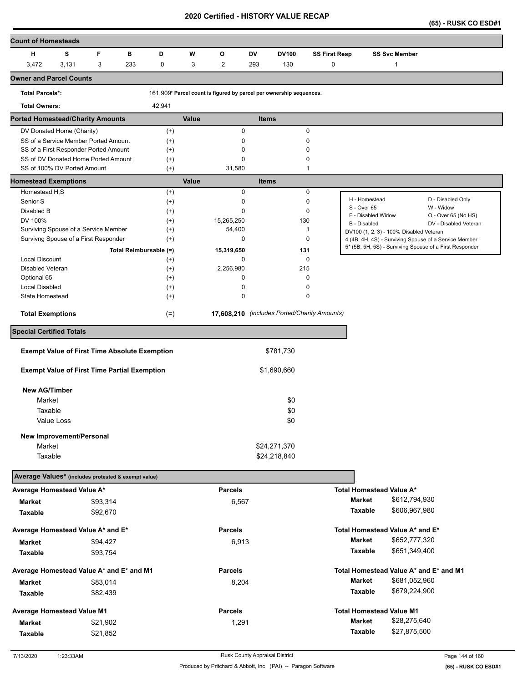**(65) - RUSK CO ESD#1** 

| <b>Count of Homesteads</b>                          |                                                      |          |     |                        |       |                                                                     |              |                                              |                      |                    |                                         |                                                                                                                  |
|-----------------------------------------------------|------------------------------------------------------|----------|-----|------------------------|-------|---------------------------------------------------------------------|--------------|----------------------------------------------|----------------------|--------------------|-----------------------------------------|------------------------------------------------------------------------------------------------------------------|
| н                                                   | s                                                    | F        | в   | D                      | W     | o                                                                   | DV           | DV100                                        | <b>SS First Resp</b> |                    | <b>SS Svc Member</b>                    |                                                                                                                  |
| 3,472                                               | 3,131                                                | 3        | 233 | 0                      | 3     | 2                                                                   | 293          | 130                                          | 0                    |                    | $\mathbf{1}$                            |                                                                                                                  |
| <b>Owner and Parcel Counts</b>                      |                                                      |          |     |                        |       |                                                                     |              |                                              |                      |                    |                                         |                                                                                                                  |
| <b>Total Parcels*:</b>                              |                                                      |          |     |                        |       | 161,909* Parcel count is figured by parcel per ownership sequences. |              |                                              |                      |                    |                                         |                                                                                                                  |
| <b>Total Owners:</b>                                |                                                      |          |     | 42,941                 |       |                                                                     |              |                                              |                      |                    |                                         |                                                                                                                  |
| <b>Ported Homestead/Charity Amounts</b>             |                                                      |          |     |                        | Value |                                                                     | <b>Items</b> |                                              |                      |                    |                                         |                                                                                                                  |
|                                                     | DV Donated Home (Charity)                            |          |     | $^{(+)}$               |       | $\mathbf 0$                                                         |              |                                              | 0                    |                    |                                         |                                                                                                                  |
|                                                     | SS of a Service Member Ported Amount                 |          |     | $^{(+)}$               |       | 0                                                                   |              |                                              | 0                    |                    |                                         |                                                                                                                  |
|                                                     | SS of a First Responder Ported Amount                |          |     | $^{(+)}$               |       | 0                                                                   |              |                                              | 0                    |                    |                                         |                                                                                                                  |
|                                                     | SS of DV Donated Home Ported Amount                  |          |     | $^{(+)}$               |       | 0                                                                   |              |                                              | 0                    |                    |                                         |                                                                                                                  |
|                                                     | SS of 100% DV Ported Amount                          |          |     | $^{(+)}$               |       | 31,580                                                              |              |                                              | 1                    |                    |                                         |                                                                                                                  |
| <b>Homestead Exemptions</b>                         |                                                      |          |     |                        | Value |                                                                     | <b>Items</b> |                                              |                      |                    |                                         |                                                                                                                  |
| Homestead H,S                                       |                                                      |          |     | $^{(+)}$               |       | $\mathbf 0$                                                         |              |                                              | 0                    | H - Homestead      |                                         | D - Disabled Only                                                                                                |
| Senior S                                            |                                                      |          |     | $^{(+)}$               |       | 0                                                                   |              |                                              | 0                    | S - Over 65        |                                         | W - Widow                                                                                                        |
| Disabled B                                          |                                                      |          |     | $^{(+)}$               |       | 0                                                                   |              |                                              | 0                    | F - Disabled Widow |                                         | O - Over 65 (No HS)                                                                                              |
| DV 100%                                             |                                                      |          |     | $^{(+)}$               |       | 15,265,250                                                          |              | 130                                          |                      | B - Disabled       |                                         | DV - Disabled Veteran                                                                                            |
|                                                     | Surviving Spouse of a Service Member                 |          |     | $^{(+)}$               |       | 54,400                                                              |              |                                              | 1                    |                    | DV100 (1, 2, 3) - 100% Disabled Veteran |                                                                                                                  |
|                                                     | Survivng Spouse of a First Responder                 |          |     | $^{(+)}$               |       | 0                                                                   |              |                                              | 0                    |                    |                                         | 4 (4B, 4H, 4S) - Surviving Spouse of a Service Member<br>5* (5B, 5H, 5S) - Surviving Spouse of a First Responder |
|                                                     |                                                      |          |     | Total Reimbursable (=) |       | 15,319,650                                                          |              | 131                                          |                      |                    |                                         |                                                                                                                  |
| <b>Local Discount</b>                               |                                                      |          |     | $^{(+)}$               |       | 0                                                                   |              |                                              | 0                    |                    |                                         |                                                                                                                  |
| Disabled Veteran                                    |                                                      |          |     | $^{(+)}$               |       | 2,256,980                                                           |              | 215                                          |                      |                    |                                         |                                                                                                                  |
| Optional 65                                         |                                                      |          |     | $^{(+)}$               |       | 0                                                                   |              |                                              | 0                    |                    |                                         |                                                                                                                  |
| <b>Local Disabled</b>                               |                                                      |          |     | $^{(+)}$               |       | 0                                                                   |              |                                              | 0                    |                    |                                         |                                                                                                                  |
| <b>State Homestead</b>                              |                                                      |          |     | $^{(+)}$               |       | 0                                                                   |              |                                              | 0                    |                    |                                         |                                                                                                                  |
| <b>Total Exemptions</b>                             |                                                      |          |     | $(=)$                  |       |                                                                     |              | 17,608,210 (includes Ported/Charity Amounts) |                      |                    |                                         |                                                                                                                  |
| <b>Special Certified Totals</b>                     |                                                      |          |     |                        |       |                                                                     |              |                                              |                      |                    |                                         |                                                                                                                  |
|                                                     | <b>Exempt Value of First Time Absolute Exemption</b> |          |     |                        |       |                                                                     |              | \$781,730                                    |                      |                    |                                         |                                                                                                                  |
|                                                     |                                                      |          |     |                        |       |                                                                     |              |                                              |                      |                    |                                         |                                                                                                                  |
|                                                     | <b>Exempt Value of First Time Partial Exemption</b>  |          |     |                        |       |                                                                     |              | \$1,690,660                                  |                      |                    |                                         |                                                                                                                  |
| <b>New AG/Timber</b>                                |                                                      |          |     |                        |       |                                                                     |              |                                              |                      |                    |                                         |                                                                                                                  |
| Market                                              |                                                      |          |     |                        |       |                                                                     |              | \$0                                          |                      |                    |                                         |                                                                                                                  |
| Taxable                                             |                                                      |          |     |                        |       |                                                                     |              | \$0                                          |                      |                    |                                         |                                                                                                                  |
| Value Loss                                          |                                                      |          |     |                        |       |                                                                     |              | \$0                                          |                      |                    |                                         |                                                                                                                  |
|                                                     | New Improvement/Personal                             |          |     |                        |       |                                                                     |              |                                              |                      |                    |                                         |                                                                                                                  |
| Market                                              |                                                      |          |     |                        |       |                                                                     |              | \$24,271,370                                 |                      |                    |                                         |                                                                                                                  |
| Taxable                                             |                                                      |          |     |                        |       |                                                                     |              | \$24,218,840                                 |                      |                    |                                         |                                                                                                                  |
|                                                     |                                                      |          |     |                        |       |                                                                     |              |                                              |                      |                    |                                         |                                                                                                                  |
| Average Values* (includes protested & exempt value) |                                                      |          |     |                        |       |                                                                     |              |                                              |                      |                    |                                         |                                                                                                                  |
| Average Homestead Value A*                          |                                                      |          |     |                        |       | <b>Parcels</b>                                                      |              |                                              |                      |                    | Total Homestead Value A*                |                                                                                                                  |
| <b>Market</b>                                       |                                                      | \$93,314 |     |                        |       | 6,567                                                               |              |                                              |                      | <b>Market</b>      | \$612,794,930                           |                                                                                                                  |
| Taxable                                             |                                                      | \$92,670 |     |                        |       |                                                                     |              |                                              |                      | Taxable            | \$606,967,980                           |                                                                                                                  |
| Average Homestead Value A* and E*                   |                                                      |          |     |                        |       | <b>Parcels</b>                                                      |              |                                              |                      |                    | Total Homestead Value A* and E*         |                                                                                                                  |
|                                                     |                                                      |          |     |                        |       |                                                                     |              |                                              |                      | <b>Market</b>      | \$652,777,320                           |                                                                                                                  |
| <b>Market</b>                                       |                                                      | \$94,427 |     |                        |       | 6,913                                                               |              |                                              |                      | Taxable            | \$651,349,400                           |                                                                                                                  |
| Taxable                                             |                                                      | \$93,754 |     |                        |       |                                                                     |              |                                              |                      |                    |                                         |                                                                                                                  |
| Average Homestead Value A* and E* and M1            |                                                      |          |     |                        |       | <b>Parcels</b>                                                      |              |                                              |                      |                    | Total Homestead Value A* and E* and M1  |                                                                                                                  |
| <b>Market</b>                                       |                                                      | \$83,014 |     |                        |       | 8,204                                                               |              |                                              |                      | <b>Market</b>      | \$681,052,960                           |                                                                                                                  |
| Taxable                                             |                                                      | \$82,439 |     |                        |       |                                                                     |              |                                              |                      | Taxable            | \$679,224,900                           |                                                                                                                  |
| Average Homestead Value M1                          |                                                      |          |     |                        |       | <b>Parcels</b>                                                      |              |                                              |                      |                    | <b>Total Homestead Value M1</b>         |                                                                                                                  |
|                                                     |                                                      |          |     |                        |       |                                                                     |              |                                              |                      | Market             | \$28,275,640                            |                                                                                                                  |
| Market                                              |                                                      | \$21,902 |     |                        |       | 1,291                                                               |              |                                              |                      |                    |                                         |                                                                                                                  |
| <b>Taxable</b>                                      |                                                      | \$21,852 |     |                        |       |                                                                     |              |                                              |                      | Taxable            | \$27,875,500                            |                                                                                                                  |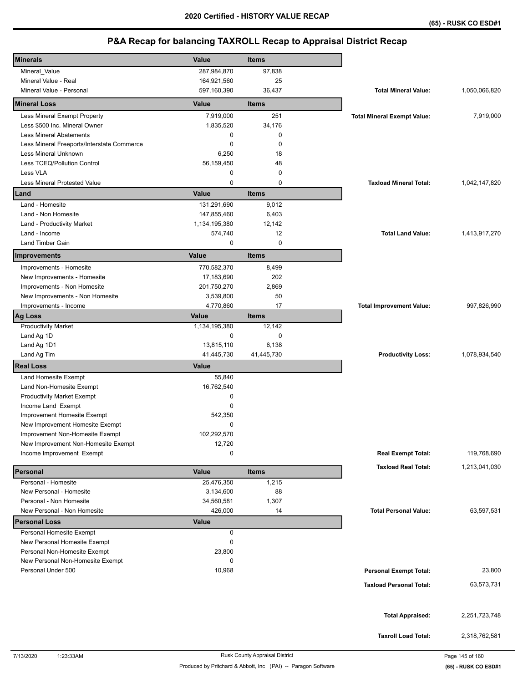| <b>Minerals</b>                                  | Value         | <b>Items</b> |                                    |               |
|--------------------------------------------------|---------------|--------------|------------------------------------|---------------|
| Mineral_Value                                    | 287,984,870   | 97,838       |                                    |               |
| Mineral Value - Real                             | 164,921,560   | 25           |                                    |               |
| Mineral Value - Personal                         | 597,160,390   | 36,437       | <b>Total Mineral Value:</b>        | 1,050,066,820 |
| <b>Mineral Loss</b>                              | Value         | <b>Items</b> |                                    |               |
| Less Mineral Exempt Property                     | 7,919,000     | 251          | <b>Total Mineral Exempt Value:</b> | 7,919,000     |
| Less \$500 Inc. Mineral Owner                    | 1,835,520     | 34,176       |                                    |               |
| <b>Less Mineral Abatements</b>                   | 0             | 0            |                                    |               |
| Less Mineral Freeports/Interstate Commerce       | 0             | $\Omega$     |                                    |               |
| Less Mineral Unknown                             | 6,250         | 18           |                                    |               |
| Less TCEQ/Pollution Control                      | 56,159,450    | 48           |                                    |               |
| Less VLA                                         | 0             | 0            |                                    |               |
| Less Mineral Protested Value                     | $\mathbf 0$   | $\mathbf 0$  | <b>Taxload Mineral Total:</b>      | 1,042,147,820 |
| Land                                             | <b>Value</b>  | <b>Items</b> |                                    |               |
| Land - Homesite                                  | 131,291,690   | 9,012        |                                    |               |
| Land - Non Homesite                              | 147,855,460   | 6,403        |                                    |               |
| Land - Productivity Market                       | 1,134,195,380 | 12,142       |                                    |               |
| Land - Income                                    | 574,740       | 12           | <b>Total Land Value:</b>           | 1,413,917,270 |
| <b>Land Timber Gain</b>                          | 0             | $\mathbf 0$  |                                    |               |
| Improvements                                     | Value         | <b>Items</b> |                                    |               |
| Improvements - Homesite                          | 770,582,370   | 8,499        |                                    |               |
| New Improvements - Homesite                      | 17,183,690    | 202          |                                    |               |
| Improvements - Non Homesite                      | 201,750,270   | 2,869        |                                    |               |
| New Improvements - Non Homesite                  | 3,539,800     | 50           |                                    |               |
| Improvements - Income                            | 4,770,860     | 17           | <b>Total Improvement Value:</b>    | 997,826,990   |
| <b>Ag Loss</b>                                   | Value         | <b>Items</b> |                                    |               |
| <b>Productivity Market</b>                       | 1,134,195,380 | 12,142       |                                    |               |
| Land Ag 1D                                       | 0             | $\mathbf 0$  |                                    |               |
| Land Ag 1D1                                      | 13,815,110    | 6,138        |                                    |               |
| Land Ag Tim                                      | 41,445,730    | 41,445,730   | <b>Productivity Loss:</b>          | 1,078,934,540 |
| <b>Real Loss</b>                                 | <b>Value</b>  |              |                                    |               |
| Land Homesite Exempt                             | 55,840        |              |                                    |               |
| Land Non-Homesite Exempt                         | 16,762,540    |              |                                    |               |
| <b>Productivity Market Exempt</b>                | 0             |              |                                    |               |
| Income Land Exempt                               | $\Omega$      |              |                                    |               |
| Improvement Homesite Exempt                      | 542,350       |              |                                    |               |
| New Improvement Homesite Exempt                  | 0             |              |                                    |               |
| Improvement Non-Homesite Exempt                  | 102,292,570   |              |                                    |               |
| New Improvement Non-Homesite Exempt              | 12,720        |              |                                    |               |
| Income Improvement Exempt                        | 0             |              | <b>Real Exempt Total:</b>          | 119,768,690   |
|                                                  |               |              | <b>Taxload Real Total:</b>         | 1,213,041,030 |
| Personal                                         | Value         | <b>Items</b> |                                    |               |
| Personal - Homesite                              | 25,476,350    | 1,215        |                                    |               |
| New Personal - Homesite                          | 3,134,600     | 88           |                                    |               |
| Personal - Non Homesite                          | 34,560,581    | 1,307        |                                    |               |
| New Personal - Non Homesite                      | 426,000       | 14           | <b>Total Personal Value:</b>       | 63,597,531    |
| <b>Personal Loss</b><br>Personal Homesite Exempt | <b>Value</b>  |              |                                    |               |
| New Personal Homesite Exempt                     | 0<br>0        |              |                                    |               |
| Personal Non-Homesite Exempt                     | 23,800        |              |                                    |               |
| New Personal Non-Homesite Exempt                 | 0             |              |                                    |               |
| Personal Under 500                               | 10,968        |              | <b>Personal Exempt Total:</b>      | 23,800        |
|                                                  |               |              |                                    |               |
|                                                  |               |              | <b>Taxload Personal Total:</b>     | 63,573,731    |
|                                                  |               |              |                                    |               |
|                                                  |               |              |                                    |               |
|                                                  |               |              | <b>Total Appraised:</b>            | 2,251,723,748 |
|                                                  |               |              |                                    |               |
|                                                  |               |              | <b>Taxroll Load Total:</b>         | 2,318,762,581 |
|                                                  |               |              |                                    |               |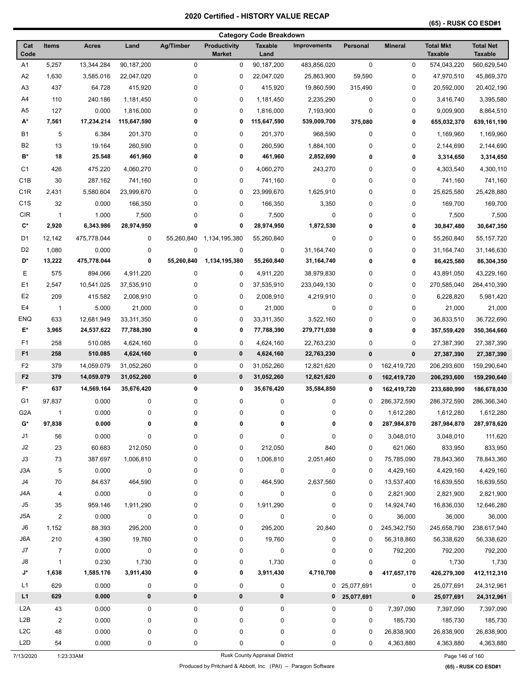# **(65) - RUSK CO ESD#1**

| <b>Category Code Breakdown</b> |                |              |                  |            |                                      |                        |                     |              |                |                                    |                                    |
|--------------------------------|----------------|--------------|------------------|------------|--------------------------------------|------------------------|---------------------|--------------|----------------|------------------------------------|------------------------------------|
| Cat<br>Code                    | <b>Items</b>   | <b>Acres</b> | Land             | Ag/Timber  | <b>Productivity</b><br><b>Market</b> | <b>Taxable</b><br>Land | <b>Improvements</b> | Personal     | <b>Mineral</b> | <b>Total Mkt</b><br><b>Taxable</b> | <b>Total Net</b><br><b>Taxable</b> |
| A1                             | 5,257          | 13,344.284   | 90,187,200       | 0          | 0                                    | 90,187,200             | 483,856,020         | $\mathbf 0$  | 0              | 574,043,220                        | 560,629,540                        |
| A2                             | 1,630          | 3,585.016    | 22,047,020       | 0          | 0                                    | 22,047,020             | 25,863,900          | 59,590       | 0              | 47,970,510                         | 45,869,370                         |
| A <sub>3</sub>                 | 437            | 64.728       | 415,920          | 0          | 0                                    | 415,920                | 19,860,590          | 315,490      | 0              | 20,592,000                         | 20,402,190                         |
| A4                             | 110            | 240.186      | 1,181,450        | 0          | 0                                    | 1,181,450              | 2,235,290           | 0            | 0              | 3,416,740                          | 3,395,580                          |
| A <sub>5</sub>                 | 127            | 0.000        | 1,816,000        | 0          | 0                                    | 1,816,000              | 7,193,900           | 0            | 0              | 9,009,900                          | 8,864,510                          |
| A*                             | 7,561          | 17,234.214   | 115,647,590      | 0          | 0                                    | 115,647,590            | 539,009,700         | 375,080      | 0              | 655,032,370                        | 639,161,190                        |
| <b>B1</b>                      | 5              | 6.384        | 201,370          | 0          | 0                                    | 201,370                | 968,590             | 0            | 0              | 1,169,960                          | 1,169,960                          |
| B <sub>2</sub>                 | 13             | 19.164       | 260,590          | 0          | 0                                    | 260,590                | 1,884,100           | 0            | 0              | 2,144,690                          | 2,144,690                          |
| B*                             | 18             | 25.548       | 461,960          | 0          | 0                                    | 461,960                | 2,852,690           | 0            | 0              | 3,314,650                          | 3,314,650                          |
| C <sub>1</sub>                 | 426            | 475.220      | 4,060,270        | 0          | 0                                    | 4,060,270              | 243,270             | 0            | 0              | 4,303,540                          | 4,300,110                          |
| C <sub>1</sub> B               | 30             | 287.162      | 741,160          | 0          | 0                                    | 741,160                | 0                   | 0            | 0              | 741,160                            | 741,160                            |
| C <sub>1</sub> R               | 2,431          | 5,580.604    | 23,999,670       | 0          | 0                                    | 23,999,670             | 1,625,910           | 0            | 0              | 25,625,580                         | 25,428,880                         |
| C <sub>1</sub> S               | 32             | 0.000        | 166,350          | 0          | 0                                    | 166,350                | 3,350               | 0            | 0              | 169,700                            | 169,700                            |
| <b>CIR</b>                     | $\mathbf{1}$   | 1.000        | 7,500            | 0          | 0                                    | 7,500                  | $\pmb{0}$           | 0            | 0              | 7,500                              | 7,500                              |
| C*                             | 2,920          | 6,343.986    | 28,974,950       | 0          | 0                                    | 28,974,950             | 1,872,530           | 0            | 0              | 30,847,480                         | 30,647,350                         |
|                                |                |              |                  |            |                                      |                        |                     |              |                |                                    |                                    |
| D <sub>1</sub>                 | 12,142         | 475,778.044  | 0                | 55,260,840 | 1,134,195,380                        | 55,260,840             | 0                   | 0            | 0              | 55,260,840                         | 55, 157, 720                       |
| D <sub>2</sub>                 | 1,080          | 0.000        | 0                | 0          | 0                                    | 0                      | 31,164,740          | 0            | 0              | 31,164,740                         | 31,146,630                         |
| D*                             | 13,222         | 475,778.044  | 0                | 55,260,840 | 1,134,195,380                        | 55,260,840             | 31,164,740          | 0            | 0              | 86,425,580                         | 86,304,350                         |
| Е                              | 575            | 894.066      | 4,911,220        | 0          | 0                                    | 4,911,220              | 38,979,830          | 0            | 0              | 43,891,050                         | 43,229,160                         |
| E <sub>1</sub>                 | 2,547          | 10,541.025   | 37,535,910       | 0          | 0                                    | 37,535,910             | 233,049,130         | 0            | 0              | 270,585,040                        | 264,410,390                        |
| E <sub>2</sub>                 | 209            | 415.582      | 2,008,910        | 0          | 0                                    | 2,008,910              | 4,219,910           | 0            | 0              | 6,228,820                          | 5,981,420                          |
| E <sub>4</sub>                 | $\mathbf{1}$   | 5.000        | 21,000           | 0          | 0                                    | 21,000                 | $\pmb{0}$           | 0            | 0              | 21,000                             | 21,000                             |
| <b>ENQ</b>                     | 633            | 12,681.949   | 33,311,350       | 0          | 0                                    | 33,311,350             | 3,522,160           | 0            | 0              | 36,833,510                         | 36,722,690                         |
| E*                             | 3,965          | 24,537.622   | 77,788,390       | 0          | 0                                    | 77,788,390             | 279,771,030         | 0            | 0              | 357,559,420                        | 350,364,660                        |
| F1                             | 258            | 510.085      | 4,624,160        | 0          | 0                                    | 4,624,160              | 22,763,230          | 0            | 0              | 27,387,390                         | 27,387,390                         |
| F <sub>1</sub>                 | 258            | 510.085      | 4,624,160        | $\pmb{0}$  | 0                                    | 4,624,160              | 22,763,230          | $\pmb{0}$    | 0              | 27,387,390                         | 27,387,390                         |
| F2                             | 379            | 14,059.079   | 31,052,260       | 0          | 0                                    | 31,052,260             | 12,821,620          | 0            | 162,419,720    | 206,293,600                        | 159,290,640                        |
| F <sub>2</sub>                 | 379            | 14,059.079   | 31,052,260       | $\bf{0}$   | 0                                    | 31,052,260             | 12,821,620          | $\bf{0}$     | 162,419,720    | 206,293,600                        | 159,290,640                        |
| F*                             | 637            | 14,569.164   | 35,676,420       | 0          | 0                                    | 35,676,420             | 35,584,850          | 0            | 162,419,720    | 233,680,990                        | 186,678,030                        |
| G1                             | 97,837         | 0.000        | 0                | 0          | 0                                    | 0                      | 0                   | $\Omega$     | 286,372,590    | 286,372,590                        | 286,366,340                        |
| G <sub>2</sub> A               | 1              | 0.000        | 0                | 0          | 0                                    | 0                      | 0                   | 0            | 1,612,280      | 1,612,280                          | 1,612,280                          |
| G*                             | 97,838         | 0.000        | 0                | 0          | 0                                    | 0                      | 0                   | 0            | 287,984,870    | 287,984,870                        | 287,978,620                        |
| J1                             | 56             | 0.000        | 0                | 0          | 0                                    | 0                      | $\pmb{0}$           | 0            | 3,048,010      | 3,048,010                          | 111,620                            |
| J2                             | 23             | 60.683       | 212,050          | 0          | 0                                    | 212,050                | 840                 | 0            | 621,060        | 833,950                            | 833,950                            |
| J3                             | 73             | 387.697      | 1,006,810        | 0          | 0                                    | 1,006,810              | 2,051,460           | 0            | 75,785,090     | 78,843,360                         | 78,843,360                         |
| J3A                            | 5              | 0.000        | $\mathbf 0$      | 0          | 0                                    |                        | $\pmb{0}$           | 0            | 4,429,160      | 4,429,160                          | 4,429,160                          |
| J4                             |                |              |                  | $\pmb{0}$  |                                      | 0                      |                     |              | 13,537,400     |                                    |                                    |
| J4A                            | 70             | 84.637       | 464,590          |            | 0                                    | 464,590                | 2,637,560           | 0            |                | 16,639,550                         | 16,639,550                         |
|                                | 4              | 0.000        | $\boldsymbol{0}$ | 0          | 0                                    | 0                      | 0                   | 0            | 2,821,900      | 2,821,900                          | 2,821,900                          |
| J5                             | 35             | 959.146      | 1,911,290        | 0          | 0                                    | 1,911,290              | 0                   | 0            | 14,924,740     | 16,836,030                         | 12,646,280                         |
| J5A                            | $\overline{2}$ | 0.000        | 0                | 0          | 0                                    | 0                      | $\pmb{0}$           | 0            | 36,000         | 36,000                             | 36,000                             |
| J6                             | 1,152          | 88.393       | 295,200          | 0          | 0                                    | 295,200                | 20,840              | 0            | 245,342,750    | 245,658,790                        | 238,617,940                        |
| J6A                            | 210            | 4.390        | 19,760           | 0          | 0                                    | 19,760                 | $\pmb{0}$           | 0            | 56,318,860     | 56,338,620                         | 56,338,620                         |
| J7                             | $\overline{7}$ | 0.000        | $\pmb{0}$        | 0          | 0                                    | $\pmb{0}$              | 0                   | 0            | 792,200        | 792,200                            | 792,200                            |
| J8                             | $\mathbf{1}$   | 0.230        | 1,730            | 0          | 0                                    | 1,730                  | 0                   | 0            | 0              | 1,730                              | 1,730                              |
| J*                             | 1,638          | 1,585.176    | 3,911,430        | 0          | 0                                    | 3,911,430              | 4,710,700           | 0            | 417,657,170    | 426,279,300                        | 412,112,310                        |
| L1                             | 629            | 0.000        | 0                | 0          | 0                                    | 0                      |                     | 0 25,077,691 | 0              | 25,077,691                         | 24,312,961                         |
| L1                             | 629            | 0.000        | $\pmb{0}$        | $\pmb{0}$  | 0                                    | 0                      |                     | 0 25,077,691 | 0              | 25,077,691                         | 24,312,961                         |
| L <sub>2</sub> A               | 43             | 0.000        | 0                | 0          | 0                                    | 0                      | 0                   | 0            | 7,397,090      | 7,397,090                          | 7,397,090                          |
| L2B                            | $\overline{2}$ | 0.000        | 0                | 0          | 0                                    | 0                      | 0                   | 0            | 185,730        | 185,730                            | 185,730                            |
| L2C                            | 48             | 0.000        | 0                | 0          | 0                                    | 0                      | $\pmb{0}$           | 0            | 26,838,900     | 26,838,900                         | 26,838,900                         |
| L <sub>2</sub> D               | 54             | 0.000        | 0                | 0          | 0                                    | 0                      | 0                   | 0            | 4,363,880      | 4,363,880                          | 4,363,880                          |

Page 146 of 123:33AM Rusk County Appraisal District Page 146 of 160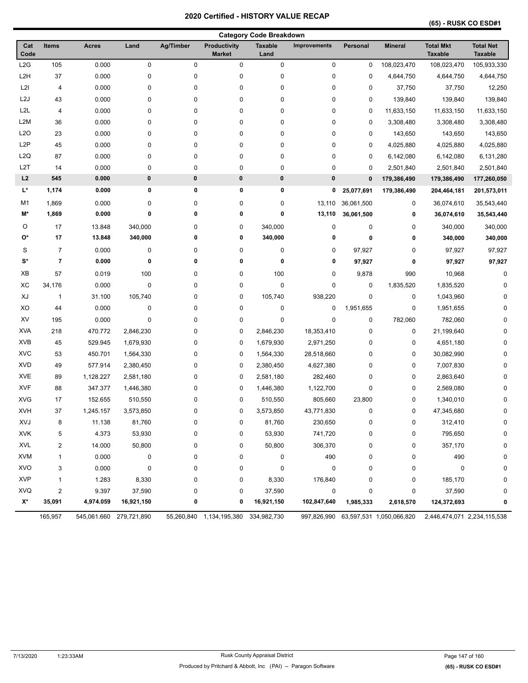| <b>Category Code Breakdown</b> |                |              |                         |             |                                      |                        |              |             |                                      |                                    |                                    |
|--------------------------------|----------------|--------------|-------------------------|-------------|--------------------------------------|------------------------|--------------|-------------|--------------------------------------|------------------------------------|------------------------------------|
| Cat<br>Code                    | <b>Items</b>   | <b>Acres</b> | Land                    | Ag/Timber   | <b>Productivity</b><br><b>Market</b> | <b>Taxable</b><br>Land | Improvements | Personal    | <b>Mineral</b>                       | <b>Total Mkt</b><br><b>Taxable</b> | <b>Total Net</b><br><b>Taxable</b> |
| L2G                            | 105            | 0.000        | 0                       | $\mathbf 0$ | 0                                    | 0                      | 0            | 0           | 108,023,470                          | 108,023,470                        | 105,933,330                        |
| L <sub>2</sub> H               | 37             | 0.000        | $\mathbf 0$             | $\mathbf 0$ | 0                                    | 0                      | 0            | 0           | 4,644,750                            | 4,644,750                          | 4,644,750                          |
| L <sub>2</sub>                 | 4              | 0.000        | 0                       | 0           | 0                                    | 0                      | 0            | 0           | 37,750                               | 37,750                             | 12,250                             |
| L <sub>2</sub> J               | 43             | 0.000        | 0                       | 0           | 0                                    | 0                      | 0            | 0           | 139,840                              | 139,840                            | 139,840                            |
| L <sub>2</sub> L               | 4              | 0.000        | 0                       | 0           | 0                                    | 0                      | 0            | 0           | 11,633,150                           | 11,633,150                         | 11,633,150                         |
| L <sub>2</sub> M               | 36             | 0.000        | $\pmb{0}$               | 0           | 0                                    | 0                      | 0            | $\mathbf 0$ | 3,308,480                            | 3,308,480                          | 3,308,480                          |
| L <sub>20</sub>                | 23             | 0.000        | $\mathbf 0$             | 0           | 0                                    | 0                      | 0            | 0           | 143,650                              | 143,650                            | 143,650                            |
| L <sub>2</sub> P               | 45             | 0.000        | 0                       | 0           | 0                                    | 0                      | 0            | 0           | 4,025,880                            | 4,025,880                          | 4,025,880                          |
| L2Q                            | 87             | 0.000        | 0                       | 0           | 0                                    | 0                      | 0            | 0           | 6,142,080                            | 6,142,080                          | 6,131,280                          |
| L2T                            | 14             | 0.000        | 0                       | 0           | 0                                    | 0                      | 0            | 0           | 2,501,840                            | 2,501,840                          | 2,501,840                          |
| L2                             | 545            | 0.000        | $\pmb{0}$               | $\pmb{0}$   | $\pmb{0}$                            | 0                      | 0            | $\mathbf 0$ | 179,386,490                          | 179,386,490                        | 177,260,050                        |
| L*                             | 1,174          | 0.000        | 0                       | 0           | 0                                    | 0                      | 0            | 25,077,691  | 179,386,490                          | 204,464,181                        | 201,573,011                        |
| M1                             | 1,869          | 0.000        | 0                       | 0           | 0                                    | 0                      | 13,110       | 36,061,500  | 0                                    | 36,074,610                         | 35,543,440                         |
| M*                             | 1,869          | 0.000        | 0                       | 0           | 0                                    | 0                      | 13,110       | 36,061,500  | 0                                    | 36,074,610                         | 35,543,440                         |
| O                              | 17             | 13.848       | 340,000                 | $\mathbf 0$ | 0                                    | 340,000                | 0            | 0           | 0                                    | 340,000                            | 340,000                            |
| 0*                             | 17             | 13.848       | 340,000                 | 0           | 0                                    | 340,000                | 0            | 0           | 0                                    | 340,000                            | 340,000                            |
| S                              | $\overline{7}$ | 0.000        | $\mathbf 0$             | 0           | 0                                    | 0                      | 0            | 97,927      | 0                                    | 97,927                             | 97,927                             |
| S*                             | $\overline{7}$ | 0.000        | 0                       | 0           | 0                                    | 0                      | 0            | 97,927      | 0                                    | 97,927                             | 97,927                             |
| XB                             | 57             | 0.019        | 100                     | 0           | 0                                    | 100                    | 0            | 9,878       | 990                                  | 10,968                             | $\mathbf 0$                        |
| XC                             | 34,176         | 0.000        | $\pmb{0}$               | 0           | 0                                    | 0                      | 0            | $\mathbf 0$ | 1,835,520                            | 1,835,520                          | $\Omega$                           |
| XJ                             | $\mathbf{1}$   | 31.100       | 105,740                 | 0           | 0                                    | 105,740                | 938,220      | 0           | 0                                    | 1,043,960                          | 0                                  |
| XO                             | 44             | 0.000        | $\pmb{0}$               | 0           | 0                                    | 0                      | 0            | 1,951,655   | 0                                    | 1,951,655                          | 0                                  |
| XV                             | 195            | 0.000        | $\pmb{0}$               | 0           | 0                                    | 0                      | 0            | 0           | 782,060                              | 782,060                            | 0                                  |
| <b>XVA</b>                     | 218            | 470.772      | 2,846,230               | 0           | 0                                    | 2,846,230              | 18,353,410   | 0           | 0                                    | 21,199,640                         | $\Omega$                           |
| <b>XVB</b>                     | 45             | 529.945      | 1,679,930               | 0           | 0                                    | 1,679,930              | 2,971,250    | 0           | 0                                    | 4,651,180                          | $\Omega$                           |
| <b>XVC</b>                     | 53             | 450.701      | 1,564,330               | 0           | 0                                    | 1,564,330              | 28,518,660   | 0           | 0                                    | 30,082,990                         | $\Omega$                           |
| <b>XVD</b>                     | 49             | 577.914      | 2,380,450               | 0           | 0                                    | 2,380,450              | 4,627,380    | 0           | 0                                    | 7,007,830                          | $\Omega$                           |
| <b>XVE</b>                     | 89             | 1,128.227    | 2,581,180               | 0           | 0                                    | 2,581,180              | 282,460      | 0           | 0                                    | 2,863,640                          | 0                                  |
| <b>XVF</b>                     | 88             | 347.377      | 1,446,380               | 0           | 0                                    | 1,446,380              | 1,122,700    | 0           | 0                                    | 2,569,080                          | 0                                  |
| <b>XVG</b>                     | 17             | 152.655      | 510,550                 | 0           | 0                                    | 510,550                | 805,660      | 23,800      | 0                                    | 1,340,010                          | 0                                  |
| <b>XVH</b>                     | 37             | 1,245.157    | 3,573,850               | 0           | 0                                    | 3,573,850              | 43,771,830   | 0           | 0                                    | 47,345,680                         | 0                                  |
| XVJ                            | 8              | 11.138       | 81,760                  | 0           | 0                                    | 81,760                 | 230,650      | 0           | 0                                    | 312,410                            | 0                                  |
| <b>XVK</b>                     | 5              | 4.373        | 53,930                  | 0           | 0                                    | 53,930                 | 741,720      | 0           | 0                                    | 795,650                            | 0                                  |
| <b>XVL</b>                     | $\overline{c}$ | 14.000       | 50,800                  | 0           | 0                                    | 50,800                 | 306,370      | 0           | 0                                    | 357,170                            | 0                                  |
| <b>XVM</b>                     | 1              | 0.000        | $\mathbf 0$             | 0           | 0                                    | 0                      | 490          | 0           | 0                                    | 490                                | 0                                  |
| <b>XVO</b>                     | 3              | 0.000        | $\mathbf 0$             | 0           | 0                                    | 0                      | 0            | 0           | 0                                    | 0                                  | 0                                  |
| <b>XVP</b>                     | 1              | 1.283        | 8,330                   | 0           | 0                                    | 8,330                  | 176,840      | 0           | 0                                    | 185,170                            | 0                                  |
| <b>XVQ</b>                     | 2              | 9.397        | 37,590                  | 0           | 0                                    | 37,590                 | 0            | 0           | 0                                    | 37,590                             | 0                                  |
| X*                             | 35,091         | 4,974.059    | 16,921,150              | 0           | 0                                    | 16,921,150             | 102,847,640  | 1,985,333   | 2,618,570                            | 124,372,693                        | 0                                  |
|                                | 165,957        |              | 545,061.660 279,721,890 |             | 55,260,840 1,134,195,380 334,982,730 |                        |              |             | 997,826,990 63,597,531 1,050,066,820 | 2,446,474,071 2,234,115,538        |                                    |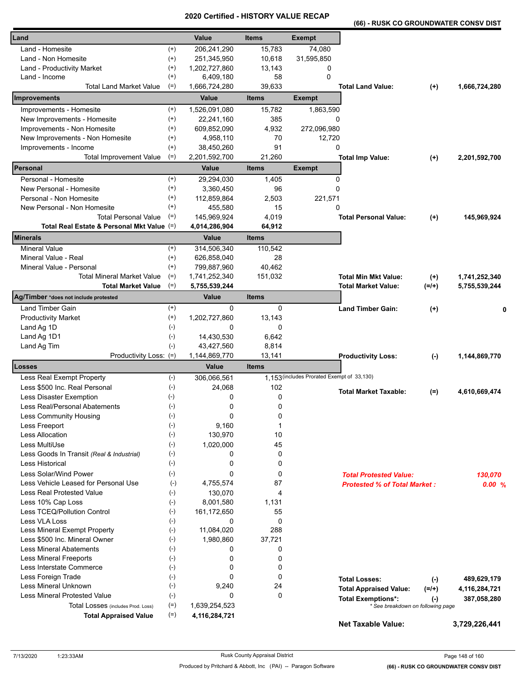**(66) - RUSK CO GROUNDWATER CONSV DIST** 

| Land                                       |                    | Value         | <b>Items</b>   | <b>Exempt</b>                              |                                     |          |               |
|--------------------------------------------|--------------------|---------------|----------------|--------------------------------------------|-------------------------------------|----------|---------------|
| Land - Homesite                            | $^{(+)}$           | 206,241,290   | 15,783         | 74,080                                     |                                     |          |               |
| Land - Non Homesite                        | $^{(+)}$           | 251,345,950   | 10,618         | 31,595,850                                 |                                     |          |               |
| Land - Productivity Market                 | $^{(+)}$           | 1,202,727,860 | 13,143         | 0                                          |                                     |          |               |
| Land - Income                              | $^{(+)}$           | 6,409,180     | 58             | $\mathbf 0$                                |                                     |          |               |
| <b>Total Land Market Value</b>             | $(=)$              | 1,666,724,280 | 39,633         |                                            | <b>Total Land Value:</b>            | $^{(+)}$ | 1,666,724,280 |
| <b>Improvements</b>                        |                    | Value         | <b>Items</b>   | <b>Exempt</b>                              |                                     |          |               |
| Improvements - Homesite                    | $^{(+)}$           | 1,526,091,080 | 15,782         | 1,863,590                                  |                                     |          |               |
| New Improvements - Homesite                | $^{(+)}$           | 22,241,160    | 385            | 0                                          |                                     |          |               |
| Improvements - Non Homesite                | $^{(+)}$           | 609,852,090   | 4,932          | 272,096,980                                |                                     |          |               |
| New Improvements - Non Homesite            | $^{(+)}$           | 4,958,110     | 70             | 12,720                                     |                                     |          |               |
| Improvements - Income                      | $^{(+)}$           | 38,450,260    | 91             | 0                                          |                                     |          |               |
| Total Improvement Value                    | $(=)$              | 2,201,592,700 | 21,260         |                                            | <b>Total Imp Value:</b>             | $^{(+)}$ | 2,201,592,700 |
| Personal                                   |                    | Value         | <b>Items</b>   | <b>Exempt</b>                              |                                     |          |               |
| Personal - Homesite                        | $^{(+)}$           | 29,294,030    | 1,405          | 0                                          |                                     |          |               |
| New Personal - Homesite                    | $^{(+)}$           | 3,360,450     | 96             | 0                                          |                                     |          |               |
| Personal - Non Homesite                    | $^{(+)}$           | 112,859,864   | 2,503          | 221,571                                    |                                     |          |               |
| New Personal - Non Homesite                | $^{(+)}$           | 455,580       | 15             | 0                                          |                                     |          |               |
| <b>Total Personal Value</b>                | $(=)$              | 145,969,924   | 4,019          |                                            | <b>Total Personal Value:</b>        | $(+)$    | 145,969,924   |
| Total Real Estate & Personal Mkt Value (=) |                    | 4,014,286,904 | 64,912         |                                            |                                     |          |               |
| <b>Minerals</b>                            |                    | Value         | <b>Items</b>   |                                            |                                     |          |               |
| <b>Mineral Value</b>                       | $^{(+)}$           | 314,506,340   | 110,542        |                                            |                                     |          |               |
| Mineral Value - Real                       | $^{(+)}$           | 626,858,040   | 28             |                                            |                                     |          |               |
| Mineral Value - Personal                   | $^{(+)}$           | 799,887,960   | 40,462         |                                            |                                     |          |               |
| <b>Total Mineral Market Value</b>          | $(=)$              | 1,741,252,340 | 151,032        |                                            | <b>Total Min Mkt Value:</b>         | $^{(+)}$ | 1,741,252,340 |
| <b>Total Market Value</b>                  | $(=)$              | 5,755,539,244 |                |                                            | <b>Total Market Value:</b>          | $(=/+)$  | 5,755,539,244 |
| Ag/Timber *does not include protested      |                    | Value         | <b>Items</b>   |                                            |                                     |          |               |
| Land Timber Gain                           | $^{(+)}$           | 0             | 0              |                                            | <b>Land Timber Gain:</b>            | $(+)$    |               |
| <b>Productivity Market</b>                 | $^{(+)}$           | 1,202,727,860 | 13,143         |                                            |                                     |          |               |
| Land Ag 1D                                 | $(-)$              | 0             | 0              |                                            |                                     |          |               |
| Land Ag 1D1                                | $(-)$              | 14,430,530    | 6,642          |                                            |                                     |          |               |
| Land Ag Tim                                | $(-)$              | 43,427,560    | 8,814          |                                            |                                     |          |               |
| Productivity Loss: (=)                     |                    | 1,144,869,770 | 13,141         |                                            | <b>Productivity Loss:</b>           | $(-)$    | 1,144,869,770 |
| Losses                                     |                    | Value         | <b>Items</b>   |                                            |                                     |          |               |
| Less Real Exempt Property                  | $(-)$              | 306,066,561   |                | 1,153 (includes Prorated Exempt of 33,130) |                                     |          |               |
| Less \$500 Inc. Real Personal              | $(-)$              | 24,068        | 102            |                                            | <b>Total Market Taxable:</b>        | $(=)$    | 4,610,669,474 |
| Less Disaster Exemption                    | $(-)$              | 0             | 0              |                                            |                                     |          |               |
| Less Real/Personal Abatements              | $(-)$              | 0             | 0              |                                            |                                     |          |               |
| Less Community Housing                     | $(\textnormal{-})$ | 0             | 0              |                                            |                                     |          |               |
| Less Freeport                              | $(-)$              | 9,160         | 1              |                                            |                                     |          |               |
| <b>Less Allocation</b>                     | $(-)$              | 130,970       | 10             |                                            |                                     |          |               |
| Less MultiUse                              | $(-)$              | 1,020,000     | 45             |                                            |                                     |          |               |
| Less Goods In Transit (Real & Industrial)  | $(-)$              | 0             | 0              |                                            |                                     |          |               |
| Less Historical                            | $(-)$              | 0             | 0              |                                            |                                     |          |               |
| <b>Less Solar/Wind Power</b>               | $(-)$              | 0             | 0              |                                            | <b>Total Protested Value:</b>       |          | 130,070       |
| Less Vehicle Leased for Personal Use       | $(-)$              | 4,755,574     | 87             |                                            | <b>Protested % of Total Market:</b> |          | 0.00%         |
| Less Real Protested Value                  | $(-)$              | 130,070       | $\overline{4}$ |                                            |                                     |          |               |
| Less 10% Cap Loss                          | $(-)$              | 8,001,580     | 1,131          |                                            |                                     |          |               |
| Less TCEQ/Pollution Control                | $(-)$              | 161,172,650   | 55             |                                            |                                     |          |               |
| Less VLA Loss                              | $(-)$              | 0             | 0              |                                            |                                     |          |               |
| Less Mineral Exempt Property               | $(-)$              | 11,084,020    | 288            |                                            |                                     |          |               |
| Less \$500 Inc. Mineral Owner              | $(-)$              | 1,980,860     | 37,721         |                                            |                                     |          |               |
| <b>Less Mineral Abatements</b>             | $(-)$              | 0             | 0              |                                            |                                     |          |               |
| <b>Less Mineral Freeports</b>              | $(-)$              | 0             | 0              |                                            |                                     |          |               |
| Less Interstate Commerce                   | $(-)$              | 0             | 0              |                                            |                                     |          |               |
| Less Foreign Trade                         | $(-)$              | 0             | $\mathbf 0$    |                                            | <b>Total Losses:</b>                | $(-)$    | 489,629,179   |
| Less Mineral Unknown                       | $(-)$              | 9,240         | 24             |                                            | <b>Total Appraised Value:</b>       | $(=/+)$  | 4,116,284,721 |
| <b>Less Mineral Protested Value</b>        | $(-)$              | 0             | $\mathbf 0$    |                                            | <b>Total Exemptions*:</b>           | $(-)$    | 387,058,280   |
| Total Losses (includes Prod. Loss)         | $(=)$              | 1,639,254,523 |                |                                            | * See breakdown on following page   |          |               |
| <b>Total Appraised Value</b>               | $(=)$              | 4,116,284,721 |                |                                            | <b>Net Taxable Value:</b>           |          | 3,729,226,441 |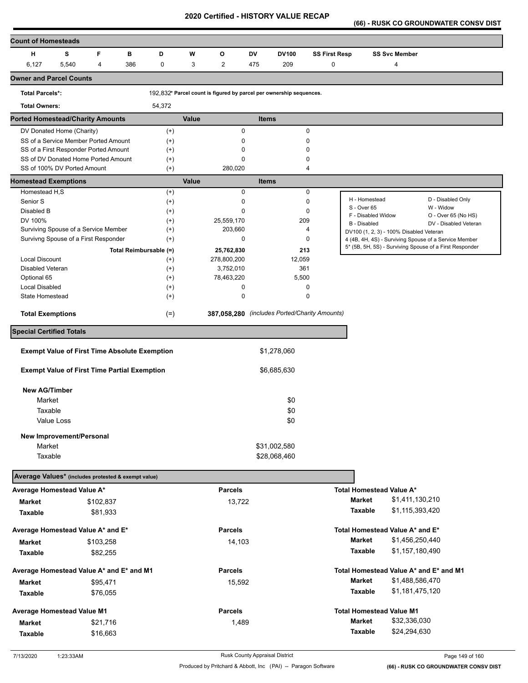**(66) - RUSK CO GROUNDWATER CONSV DIST** 

| <b>Count of Homesteads</b>                                         |       |                |                        |                   |       |                        |     |                                                                     |                      |                                         |                      |                                                         |
|--------------------------------------------------------------------|-------|----------------|------------------------|-------------------|-------|------------------------|-----|---------------------------------------------------------------------|----------------------|-----------------------------------------|----------------------|---------------------------------------------------------|
| н                                                                  | s     | F              | в                      | D                 | W     | O                      | DV  | <b>DV100</b>                                                        | <b>SS First Resp</b> |                                         | <b>SS Svc Member</b> |                                                         |
| 6,127                                                              | 5,540 | $\overline{4}$ | 386                    | 0                 | 3     | $\overline{2}$         | 475 | 209                                                                 | 0                    |                                         | 4                    |                                                         |
| <b>Owner and Parcel Counts</b>                                     |       |                |                        |                   |       |                        |     |                                                                     |                      |                                         |                      |                                                         |
| <b>Total Parcels*:</b>                                             |       |                |                        |                   |       |                        |     | 192,832* Parcel count is figured by parcel per ownership sequences. |                      |                                         |                      |                                                         |
| <b>Total Owners:</b>                                               |       |                |                        | 54,372            |       |                        |     |                                                                     |                      |                                         |                      |                                                         |
| <b>Ported Homestead/Charity Amounts</b>                            |       |                |                        |                   | Value |                        |     | <b>Items</b>                                                        |                      |                                         |                      |                                                         |
| DV Donated Home (Charity)                                          |       |                |                        | $^{(+)}$          |       | $\mathbf 0$            |     | 0                                                                   |                      |                                         |                      |                                                         |
| SS of a Service Member Ported Amount                               |       |                |                        | $^{(+)}$          |       | 0                      |     | 0                                                                   |                      |                                         |                      |                                                         |
| SS of a First Responder Ported Amount                              |       |                |                        | $^{(+)}$          |       | 0                      |     | 0                                                                   |                      |                                         |                      |                                                         |
| SS of DV Donated Home Ported Amount<br>SS of 100% DV Ported Amount |       |                |                        | $^{(+)}$<br>$(+)$ |       | $\mathbf 0$<br>280,020 |     | 0<br>4                                                              |                      |                                         |                      |                                                         |
| <b>Homestead Exemptions</b>                                        |       |                |                        |                   | Value |                        |     | <b>Items</b>                                                        |                      |                                         |                      |                                                         |
| Homestead H,S                                                      |       |                |                        | $^{(+)}$          |       | 0                      |     | 0                                                                   |                      |                                         |                      |                                                         |
| Senior S                                                           |       |                |                        | $^{(+)}$          |       | 0                      |     | 0                                                                   |                      | H - Homestead                           |                      | D - Disabled Only                                       |
| Disabled B                                                         |       |                |                        | $^{(+)}$          |       | $\mathbf 0$            |     | 0                                                                   |                      | S - Over 65                             |                      | W - Widow                                               |
| DV 100%                                                            |       |                |                        | $^{(+)}$          |       | 25,559,170             |     | 209                                                                 |                      | F - Disabled Widow<br>B - Disabled      |                      | O - Over 65 (No HS)<br>DV - Disabled Veteran            |
| Surviving Spouse of a Service Member                               |       |                |                        | $^{(+)}$          |       | 203,660                |     | 4                                                                   |                      | DV100 (1, 2, 3) - 100% Disabled Veteran |                      |                                                         |
| Survivng Spouse of a First Responder                               |       |                |                        | $^{(+)}$          |       | 0                      |     | 0                                                                   |                      |                                         |                      | 4 (4B, 4H, 4S) - Surviving Spouse of a Service Member   |
|                                                                    |       |                | Total Reimbursable (=) |                   |       | 25,762,830             |     | 213                                                                 |                      |                                         |                      | 5* (5B, 5H, 5S) - Surviving Spouse of a First Responder |
| Local Discount                                                     |       |                |                        | $^{(+)}$          |       | 278,800,200            |     | 12,059                                                              |                      |                                         |                      |                                                         |
| Disabled Veteran                                                   |       |                |                        | $^{(+)}$          |       | 3,752,010              |     | 361                                                                 |                      |                                         |                      |                                                         |
| Optional 65                                                        |       |                |                        | $^{(+)}$          |       | 78,463,220             |     | 5,500                                                               |                      |                                         |                      |                                                         |
| Local Disabled                                                     |       |                |                        | $^{(+)}$          |       | 0                      |     | 0                                                                   |                      |                                         |                      |                                                         |
| State Homestead                                                    |       |                |                        | $^{(+)}$          |       | 0                      |     | 0                                                                   |                      |                                         |                      |                                                         |
| <b>Total Exemptions</b>                                            |       |                |                        | $(=)$             |       |                        |     | 387,058,280 (includes Ported/Charity Amounts)                       |                      |                                         |                      |                                                         |
| <b>Special Certified Totals</b>                                    |       |                |                        |                   |       |                        |     |                                                                     |                      |                                         |                      |                                                         |
| <b>Exempt Value of First Time Absolute Exemption</b>               |       |                |                        |                   |       |                        |     | \$1,278,060                                                         |                      |                                         |                      |                                                         |
|                                                                    |       |                |                        |                   |       |                        |     |                                                                     |                      |                                         |                      |                                                         |
| <b>Exempt Value of First Time Partial Exemption</b>                |       |                |                        |                   |       |                        |     | \$6,685,630                                                         |                      |                                         |                      |                                                         |
| <b>New AG/Timber</b>                                               |       |                |                        |                   |       |                        |     |                                                                     |                      |                                         |                      |                                                         |
| Market                                                             |       |                |                        |                   |       |                        |     | \$0                                                                 |                      |                                         |                      |                                                         |
| Taxable                                                            |       |                |                        |                   |       |                        |     | \$0                                                                 |                      |                                         |                      |                                                         |
| Value Loss                                                         |       |                |                        |                   |       |                        |     | \$0                                                                 |                      |                                         |                      |                                                         |
|                                                                    |       |                |                        |                   |       |                        |     |                                                                     |                      |                                         |                      |                                                         |
| <b>New Improvement/Personal</b><br>Market                          |       |                |                        |                   |       |                        |     | \$31,002,580                                                        |                      |                                         |                      |                                                         |
| Taxable                                                            |       |                |                        |                   |       |                        |     | \$28,068,460                                                        |                      |                                         |                      |                                                         |
|                                                                    |       |                |                        |                   |       |                        |     |                                                                     |                      |                                         |                      |                                                         |
| Average Values* (includes protested & exempt value)                |       |                |                        |                   |       |                        |     |                                                                     |                      |                                         |                      |                                                         |
| Average Homestead Value A*                                         |       |                |                        |                   |       | <b>Parcels</b>         |     |                                                                     |                      | Total Homestead Value A*                |                      |                                                         |
| Market                                                             |       | \$102,837      |                        |                   |       | 13,722                 |     |                                                                     |                      | Market                                  | \$1,411,130,210      |                                                         |
| <b>Taxable</b>                                                     |       | \$81,933       |                        |                   |       |                        |     |                                                                     |                      | Taxable                                 | \$1,115,393,420      |                                                         |
| Average Homestead Value A* and E*                                  |       |                |                        |                   |       | <b>Parcels</b>         |     |                                                                     |                      | Total Homestead Value A* and E*         |                      |                                                         |
| <b>Market</b>                                                      |       | \$103,258      |                        |                   |       | 14,103                 |     |                                                                     |                      | Market                                  | \$1,456,250,440      |                                                         |
| Taxable                                                            |       | \$82,255       |                        |                   |       |                        |     |                                                                     |                      | Taxable                                 | \$1,157,180,490      |                                                         |
| Average Homestead Value A* and E* and M1                           |       |                |                        |                   |       | <b>Parcels</b>         |     |                                                                     |                      | Total Homestead Value A* and E* and M1  |                      |                                                         |
| <b>Market</b>                                                      |       | \$95,471       |                        |                   |       | 15,592                 |     |                                                                     |                      | Market                                  | \$1,488,586,470      |                                                         |
| Taxable                                                            |       | \$76,055       |                        |                   |       |                        |     |                                                                     |                      | Taxable                                 | \$1,181,475,120      |                                                         |
|                                                                    |       |                |                        |                   |       |                        |     |                                                                     |                      |                                         |                      |                                                         |
| <b>Average Homestead Value M1</b>                                  |       |                |                        |                   |       | <b>Parcels</b>         |     |                                                                     |                      | <b>Total Homestead Value M1</b>         |                      |                                                         |
| <b>Market</b>                                                      |       | \$21,716       |                        |                   |       | 1,489                  |     |                                                                     |                      | Market                                  | \$32,336,030         |                                                         |
| <b>Taxable</b>                                                     |       | \$16,663       |                        |                   |       |                        |     |                                                                     |                      | <b>Taxable</b>                          | \$24,294,630         |                                                         |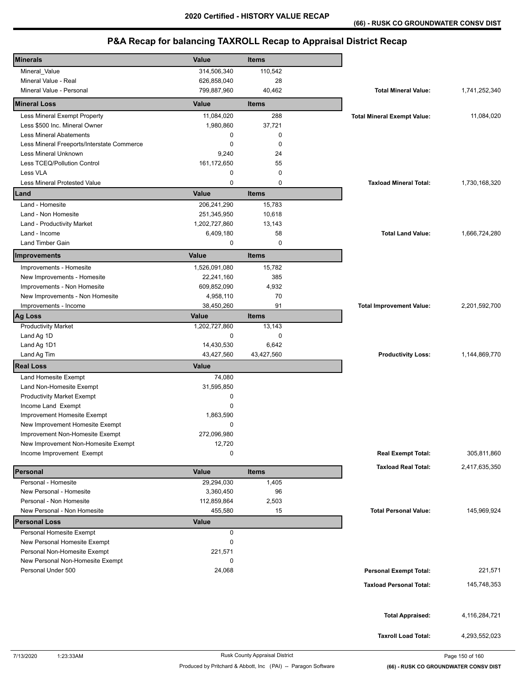# **P&A Recap for balancing TAXROLL Recap to Appraisal District Recap**

| <b>Minerals</b>                            | Value         | <b>Items</b> |                                    |               |
|--------------------------------------------|---------------|--------------|------------------------------------|---------------|
| Mineral_Value                              | 314,506,340   | 110,542      |                                    |               |
| Mineral Value - Real                       | 626,858,040   | 28           |                                    |               |
| Mineral Value - Personal                   | 799,887,960   | 40,462       | <b>Total Mineral Value:</b>        | 1,741,252,340 |
| <b>Mineral Loss</b>                        | <b>Value</b>  | <b>Items</b> |                                    |               |
| Less Mineral Exempt Property               | 11,084,020    | 288          | <b>Total Mineral Exempt Value:</b> | 11,084,020    |
| Less \$500 Inc. Mineral Owner              | 1,980,860     | 37,721       |                                    |               |
| <b>Less Mineral Abatements</b>             | 0             | $\mathbf 0$  |                                    |               |
| Less Mineral Freeports/Interstate Commerce | 0             | $\mathbf 0$  |                                    |               |
| Less Mineral Unknown                       | 9,240         | 24           |                                    |               |
| Less TCEQ/Pollution Control                | 161,172,650   | 55           |                                    |               |
| Less VLA                                   | 0             | 0            |                                    |               |
| <b>Less Mineral Protested Value</b>        | 0             | $\mathbf 0$  | <b>Taxload Mineral Total:</b>      | 1,730,168,320 |
| Land                                       | Value         | <b>Items</b> |                                    |               |
| Land - Homesite                            | 206,241,290   | 15,783       |                                    |               |
| Land - Non Homesite                        | 251,345,950   | 10,618       |                                    |               |
| Land - Productivity Market                 | 1,202,727,860 | 13,143       |                                    |               |
| Land - Income                              | 6,409,180     | 58           | <b>Total Land Value:</b>           | 1,666,724,280 |
| Land Timber Gain                           | 0             | 0            |                                    |               |
| <b>Improvements</b>                        | Value         | <b>Items</b> |                                    |               |
| Improvements - Homesite                    | 1,526,091,080 | 15,782       |                                    |               |
| New Improvements - Homesite                | 22,241,160    | 385          |                                    |               |
| Improvements - Non Homesite                | 609,852,090   | 4,932        |                                    |               |
| New Improvements - Non Homesite            | 4,958,110     | 70           |                                    |               |
| Improvements - Income                      | 38,450,260    | 91           | <b>Total Improvement Value:</b>    | 2,201,592,700 |
| <b>Ag Loss</b>                             | Value         | <b>Items</b> |                                    |               |
| <b>Productivity Market</b>                 | 1,202,727,860 | 13,143       |                                    |               |
| Land Ag 1D                                 | 0             | $\mathbf 0$  |                                    |               |
| Land Ag 1D1                                | 14,430,530    | 6,642        |                                    |               |
| Land Ag Tim                                | 43,427,560    | 43,427,560   | <b>Productivity Loss:</b>          | 1,144,869,770 |
| <b>Real Loss</b>                           | Value         |              |                                    |               |
| Land Homesite Exempt                       | 74,080        |              |                                    |               |
| Land Non-Homesite Exempt                   | 31,595,850    |              |                                    |               |
| <b>Productivity Market Exempt</b>          | 0             |              |                                    |               |
| Income Land Exempt                         | 0             |              |                                    |               |
| Improvement Homesite Exempt                | 1,863,590     |              |                                    |               |
| New Improvement Homesite Exempt            | 0             |              |                                    |               |
| Improvement Non-Homesite Exempt            | 272,096,980   |              |                                    |               |
| New Improvement Non-Homesite Exempt        | 12,720        |              |                                    |               |
| Income Improvement Exempt                  | 0             |              | <b>Real Exempt Total:</b>          | 305,811,860   |
| Personal                                   | Value         | <b>Items</b> | <b>Taxload Real Total:</b>         | 2,417,635,350 |
| Personal - Homesite                        | 29,294,030    | 1,405        |                                    |               |
| New Personal - Homesite                    | 3,360,450     | 96           |                                    |               |
| Personal - Non Homesite                    | 112,859,864   | 2,503        |                                    |               |
| New Personal - Non Homesite                | 455,580       | 15           | <b>Total Personal Value:</b>       | 145,969,924   |
| <b>Personal Loss</b>                       | <b>Value</b>  |              |                                    |               |
| Personal Homesite Exempt                   | 0             |              |                                    |               |
| New Personal Homesite Exempt               | 0             |              |                                    |               |
| Personal Non-Homesite Exempt               | 221,571       |              |                                    |               |
| New Personal Non-Homesite Exempt           | 0             |              |                                    |               |
| Personal Under 500                         | 24,068        |              | <b>Personal Exempt Total:</b>      | 221,571       |
|                                            |               |              | <b>Taxload Personal Total:</b>     | 145,748,353   |
|                                            |               |              |                                    |               |
|                                            |               |              |                                    |               |
|                                            |               |              | <b>Total Appraised:</b>            | 4,116,284,721 |
|                                            |               |              |                                    |               |
|                                            |               |              |                                    |               |
|                                            |               |              | <b>Taxroll Load Total:</b>         | 4,293,552,023 |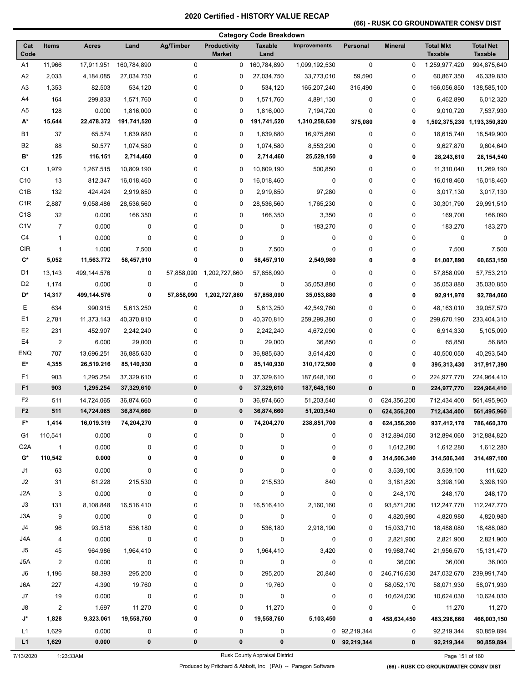### **(66) - RUSK CO GROUNDWATER CONSV DIST**

|                  |                |              |             |            |                                      | <b>Category Code Breakdown</b> |                     |              |                |                                    |                                    |
|------------------|----------------|--------------|-------------|------------|--------------------------------------|--------------------------------|---------------------|--------------|----------------|------------------------------------|------------------------------------|
| Cat<br>Code      | <b>Items</b>   | <b>Acres</b> | Land        | Ag/Timber  | <b>Productivity</b><br><b>Market</b> | <b>Taxable</b><br>Land         | <b>Improvements</b> | Personal     | <b>Mineral</b> | <b>Total Mkt</b><br><b>Taxable</b> | <b>Total Net</b><br><b>Taxable</b> |
| A1               | 11,966         | 17,911.951   | 160,784,890 | 0          | 0                                    | 160,784,890                    | 1,099,192,530       | 0            | 0              | 1,259,977,420                      | 994,875,640                        |
| A2               | 2,033          | 4,184.085    | 27,034,750  | 0          | 0                                    | 27,034,750                     | 33,773,010          | 59,590       | 0              | 60,867,350                         | 46,339,830                         |
| A3               | 1,353          | 82.503       | 534,120     | 0          | 0                                    | 534,120                        | 165,207,240         | 315,490      | 0              | 166,056,850                        | 138,585,100                        |
| A4               | 164            | 299.833      | 1,571,760   | 0          | 0                                    | 1,571,760                      | 4,891,130           | 0            | 0              | 6,462,890                          | 6,012,320                          |
| A <sub>5</sub>   | 128            | 0.000        | 1,816,000   | 0          | 0                                    | 1,816,000                      | 7,194,720           | 0            | 0              | 9,010,720                          | 7,537,930                          |
| A*               | 15,644         | 22,478.372   | 191,741,520 | 0          | 0                                    | 191,741,520                    | 1,310,258,630       | 375,080      | 0              | 1,502,375,230 1,193,350,820        |                                    |
| <b>B1</b>        | 37             | 65.574       | 1,639,880   | 0          | 0                                    | 1,639,880                      | 16,975,860          | $\mathbf 0$  | 0              | 18,615,740                         | 18,549,900                         |
| B <sub>2</sub>   | 88             | 50.577       | 1,074,580   | 0          | 0                                    | 1,074,580                      | 8,553,290           | $\mathbf 0$  | 0              | 9,627,870                          | 9,604,640                          |
| B*               | 125            | 116.151      | 2,714,460   | 0          | 0                                    | 2,714,460                      | 25,529,150          | 0            | 0              | 28,243,610                         | 28,154,540                         |
| C1               | 1,979          | 1,267.515    | 10,809,190  | 0          | 0                                    | 10,809,190                     | 500,850             | 0            | 0              | 11,310,040                         | 11,269,190                         |
| C <sub>10</sub>  | 13             | 812.347      | 16,018,460  | 0          | 0                                    | 16,018,460                     | 0                   | $\mathbf 0$  | 0              | 16,018,460                         | 16,018,460                         |
| C <sub>1</sub> B | 132            | 424.424      | 2,919,850   | 0          | 0                                    | 2,919,850                      | 97,280              | 0            | 0              | 3,017,130                          | 3,017,130                          |
| C <sub>1</sub> R | 2,887          | 9,058.486    | 28,536,560  | 0          | 0                                    | 28,536,560                     | 1,765,230           | 0            | 0              | 30,301,790                         | 29,991,510                         |
| C <sub>1</sub> S | 32             | 0.000        | 166,350     | 0          | 0                                    | 166,350                        | 3,350               | 0            | 0              | 169,700                            | 166,090                            |
| C <sub>1</sub> V | $\overline{7}$ | 0.000        | 0           | 0          | 0                                    | 0                              | 183,270             | 0            | 0              | 183,270                            | 183,270                            |
| C <sub>4</sub>   | $\mathbf{1}$   | 0.000        | 0           | 0          | 0                                    | 0                              | 0                   | $\mathbf 0$  | 0              | 0                                  | 0                                  |
| <b>CIR</b>       | $\mathbf{1}$   | 1.000        | 7,500       | 0          | 0                                    | 7,500                          | 0                   | $\mathbf 0$  | 0              | 7,500                              | 7,500                              |
| C*               | 5,052          | 11,563.772   | 58,457,910  | $\bf{0}$   | 0                                    | 58,457,910                     | 2,549,980           | 0            | 0              | 61,007,890                         | 60,653,150                         |
| D1               | 13,143         | 499,144.576  | 0           | 57,858,090 | 1,202,727,860                        | 57,858,090                     | 0                   | 0            | 0              | 57,858,090                         | 57,753,210                         |
| D <sub>2</sub>   | 1,174          | 0.000        | 0           | 0          | 0                                    | 0                              | 35,053,880          | $\mathbf 0$  | 0              | 35,053,880                         | 35,030,850                         |
| D*               | 14,317         | 499,144.576  | 0           | 57,858,090 | 1,202,727,860                        | 57,858,090                     | 35,053,880          | $\bf{0}$     | 0              | 92,911,970                         | 92,784,060                         |
| Ε                | 634            | 990.915      | 5,613,250   | 0          | 0                                    | 5,613,250                      | 42,549,760          | 0            | 0              | 48,163,010                         | 39,057,570                         |
| E <sub>1</sub>   | 2,781          | 11,373.143   | 40,370,810  | 0          | 0                                    | 40,370,810                     | 259,299,380         | $\mathbf 0$  | 0              | 299,670,190                        | 233,404,310                        |
| E <sub>2</sub>   | 231            | 452.907      | 2,242,240   | 0          | 0                                    | 2,242,240                      | 4,672,090           | $\mathbf 0$  | 0              | 6,914,330                          | 5,105,090                          |
| E <sub>4</sub>   | $\overline{c}$ | 6.000        | 29,000      | 0          | 0                                    | 29,000                         | 36,850              | 0            | 0              | 65,850                             | 56,880                             |
| ENQ              | 707            | 13,696.251   | 36,885,630  | 0          | 0                                    | 36,885,630                     | 3,614,420           | 0            | 0              | 40,500,050                         | 40,293,540                         |
| E*               | 4,355          | 26,519.216   | 85,140,930  | 0          | 0                                    | 85,140,930                     | 310,172,500         | 0            | 0              | 395,313,430                        | 317,917,390                        |
| F <sub>1</sub>   | 903            | 1,295.254    | 37,329,610  | 0          | 0                                    | 37,329,610                     | 187,648,160         | 0            | 0              | 224,977,770                        | 224,964,410                        |
| F <sub>1</sub>   | 903            | 1,295.254    | 37,329,610  | 0          | 0                                    | 37,329,610                     | 187,648,160         | $\bf{0}$     | $\bf{0}$       | 224,977,770                        | 224,964,410                        |
| F <sub>2</sub>   | 511            | 14,724.065   | 36,874,660  | 0          | 0                                    | 36,874,660                     | 51,203,540          | $\mathbf 0$  | 624,356,200    | 712,434,400                        | 561,495,960                        |
| F <sub>2</sub>   | 511            | 14,724.065   | 36,874,660  | 0          | 0                                    | 36,874,660                     | 51,203,540          | 0            | 624,356,200    | 712,434,400                        | 561,495,960                        |
| F*               | 1,414          | 16,019.319   | 74,204,270  | 0          | 0                                    | 74,204,270                     | 238,851,700         | 0            | 624,356,200    | 937,412,170                        | 786,460,370                        |
| G <sub>1</sub>   | 110,541        | 0.000        | 0           | 0          | 0                                    | 0                              | 0                   | 0            | 312,894,060    | 312,894,060                        | 312,884,820                        |
| G <sub>2</sub> A | $\mathbf{1}$   | 0.000        | 0           | 0          | 0                                    | 0                              | 0                   | 0            | 1,612,280      | 1,612,280                          | 1,612,280                          |
| G*               | 110,542        | 0.000        | 0           | 0          | 0                                    | 0                              | 0                   | 0            | 314,506,340    | 314,506,340                        | 314,497,100                        |
| J1               | 63             | 0.000        | 0           | 0          | 0                                    | 0                              | 0                   | 0            | 3,539,100      | 3,539,100                          | 111,620                            |
| J2               | 31             | 61.228       | 215,530     | 0          | 0                                    | 215,530                        | 840                 | 0            | 3,181,820      | 3,398,190                          | 3,398,190                          |
| J2A              | 3              | 0.000        | 0           | 0          | 0                                    | 0                              | 0                   | 0            | 248,170        | 248,170                            | 248,170                            |
| J3               | 131            | 8,108.848    | 16,516,410  | 0          | 0                                    | 16,516,410                     | 2,160,160           | 0            | 93,571,200     | 112,247,770                        | 112,247,770                        |
| J3A              | 9              | 0.000        | 0           | 0          | 0                                    | 0                              | 0                   | $\pmb{0}$    | 4,820,980      | 4,820,980                          | 4,820,980                          |
| J <sub>4</sub>   | 96             | 93.518       | 536,180     | 0          | 0                                    | 536,180                        | 2,918,190           | 0            | 15,033,710     | 18,488,080                         | 18,488,080                         |
| J4A              | 4              | 0.000        | 0           | 0          | 0                                    | 0                              | 0                   | 0            | 2,821,900      | 2,821,900                          | 2,821,900                          |
| J5               | 45             | 964.986      | 1,964,410   | 0          | 0                                    | 1,964,410                      | 3,420               | 0            | 19,988,740     | 21,956,570                         | 15, 131, 470                       |
| J5A              | $\overline{2}$ | 0.000        | 0           | 0          | 0                                    | 0                              | 0                   | 0            | 36,000         | 36,000                             | 36,000                             |
| J6               | 1,196          | 88.393       | 295,200     | 0          | 0                                    | 295,200                        | 20,840              | 0            | 246,716,630    | 247,032,670                        | 239,991,740                        |
| J6A              | 227            | 4.390        | 19,760      | 0          | 0                                    | 19,760                         | 0                   | 0            | 58,052,170     | 58,071,930                         | 58,071,930                         |
| J7               | 19             | 0.000        | 0           | 0          | 0                                    | $\boldsymbol{0}$               | 0                   | 0            | 10,624,030     | 10,624,030                         | 10,624,030                         |
| J8               | $\overline{2}$ | 1.697        | 11,270      | 0          | 0                                    | 11,270                         | 0                   | 0            | 0              | 11,270                             | 11,270                             |
| J*               | 1,828          | 9,323.061    | 19,558,760  | 0          | 0                                    | 19,558,760                     | 5,103,450           | $\mathbf 0$  | 458,634,450    | 483,296,660                        | 466,003,150                        |
| L1               | 1,629          | 0.000        | 0           | 0          | 0                                    | 0                              |                     | 0 92,219,344 | 0              | 92,219,344                         | 90,859,894                         |
| L1               | 1,629          | 0.000        | 0           | 0          | 0                                    | 0                              |                     | 0 92,219,344 | $\pmb{0}$      | 92,219,344                         | 90,859,894                         |

Produced by Pritchard & Abbott, Inc (PAI) -- Paragon Software **(66) - RUSK CO GROUNDWATER CONSV DIST**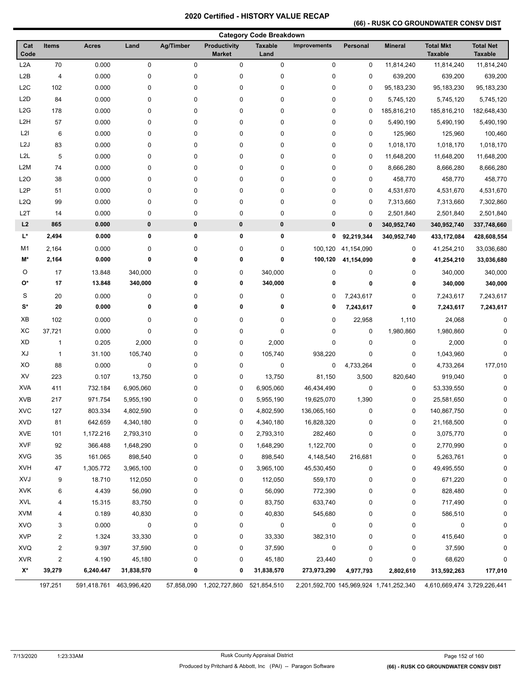### **(66) - RUSK CO GROUNDWATER CONSV DIST**

| <b>Category Code Breakdown</b> |                         |              |                         |             |                                      |                        |                                                                                                          |             |                |                                    |                                    |
|--------------------------------|-------------------------|--------------|-------------------------|-------------|--------------------------------------|------------------------|----------------------------------------------------------------------------------------------------------|-------------|----------------|------------------------------------|------------------------------------|
| Cat<br>Code                    | <b>Items</b>            | <b>Acres</b> | Land                    | Ag/Timber   | <b>Productivity</b><br><b>Market</b> | <b>Taxable</b><br>Land | <b>Improvements</b>                                                                                      | Personal    | <b>Mineral</b> | <b>Total Mkt</b><br><b>Taxable</b> | <b>Total Net</b><br><b>Taxable</b> |
| L <sub>2</sub> A               | 70                      | 0.000        | $\pmb{0}$               | $\pmb{0}$   | 0                                    | 0                      | $\pmb{0}$                                                                                                | $\mathbf 0$ | 11,814,240     | 11,814,240                         | 11,814,240                         |
| L2B                            | 4                       | 0.000        | $\pmb{0}$               | 0           | 0                                    | 0                      | 0                                                                                                        | 0           | 639,200        | 639,200                            | 639,200                            |
| L <sub>2</sub> C               | 102                     | 0.000        | $\pmb{0}$               | $\mathbf 0$ | 0                                    | 0                      | 0                                                                                                        | $\mathbf 0$ | 95,183,230     | 95,183,230                         | 95,183,230                         |
| L <sub>2</sub> D               | 84                      | 0.000        | $\pmb{0}$               | $\pmb{0}$   | 0                                    | 0                      | 0                                                                                                        | $\mathbf 0$ | 5,745,120      | 5,745,120                          | 5,745,120                          |
| L2G                            | 178                     | 0.000        | 0                       | 0           | 0                                    | 0                      | 0                                                                                                        | $\mathbf 0$ | 185,816,210    | 185,816,210                        | 182,648,430                        |
| L <sub>2</sub> H               | 57                      | 0.000        | 0                       | 0           | 0                                    | 0                      | 0                                                                                                        | $\mathbf 0$ | 5,490,190      | 5,490,190                          | 5,490,190                          |
| L <sub>2</sub>                 | 6                       | 0.000        | 0                       | 0           | 0                                    | 0                      | 0                                                                                                        | $\mathbf 0$ | 125,960        | 125,960                            | 100,460                            |
| L <sub>2</sub> J               | 83                      | 0.000        | 0                       | 0           | 0                                    | 0                      | 0                                                                                                        | $\mathbf 0$ | 1,018,170      | 1,018,170                          | 1,018,170                          |
| L <sub>2</sub> L               | 5                       | 0.000        | 0                       | $\pmb{0}$   | 0                                    | 0                      | 0                                                                                                        | $\mathbf 0$ | 11,648,200     | 11,648,200                         | 11,648,200                         |
| L <sub>2</sub> M               | 74                      | 0.000        | $\pmb{0}$               | $\pmb{0}$   | 0                                    | 0                      | 0                                                                                                        | 0           | 8,666,280      | 8,666,280                          | 8,666,280                          |
| L <sub>20</sub>                | 38                      | 0.000        | 0                       | 0           | 0                                    | 0                      | 0                                                                                                        | 0           | 458,770        | 458,770                            | 458,770                            |
| L <sub>2</sub> P               | 51                      | 0.000        | $\pmb{0}$               | $\pmb{0}$   | 0                                    | 0                      | 0                                                                                                        | 0           | 4,531,670      | 4,531,670                          | 4,531,670                          |
| L2Q                            | 99                      | 0.000        | 0                       | 0           | 0                                    | 0                      | 0                                                                                                        | $\mathbf 0$ | 7,313,660      | 7,313,660                          | 7,302,860                          |
| L2T                            | 14                      | 0.000        | $\pmb{0}$               | $\pmb{0}$   | 0                                    | 0                      | 0                                                                                                        | $\mathbf 0$ | 2,501,840      | 2,501,840                          | 2,501,840                          |
| L2                             | 865                     | 0.000        | 0                       | 0           | $\pmb{0}$                            | 0                      | $\pmb{0}$                                                                                                | $\bf{0}$    | 340,952,740    | 340,952,740                        | 337,748,660                        |
| L*                             | 2,494                   | 0.000        | 0                       | 0           | 0                                    | 0                      | 0                                                                                                        | 92,219,344  | 340,952,740    | 433, 172, 084                      | 428,608,554                        |
| M <sub>1</sub>                 | 2,164                   | 0.000        | $\pmb{0}$               | $\pmb{0}$   | 0                                    | 0                      | 100,120                                                                                                  | 41,154,090  | 0              | 41,254,210                         | 33,036,680                         |
| M*                             | 2,164                   | 0.000        | 0                       | 0           | 0                                    | 0                      | 100,120                                                                                                  | 41,154,090  | 0              | 41,254,210                         | 33,036,680                         |
| O                              | 17                      | 13.848       | 340,000                 | $\mathbf 0$ | 0                                    | 340,000                | 0                                                                                                        | 0           | 0              | 340,000                            | 340,000                            |
| О*                             | 17                      | 13.848       | 340,000                 | 0           | 0                                    | 340,000                | 0                                                                                                        | $\mathbf 0$ | 0              | 340,000                            | 340,000                            |
| S                              | 20                      | 0.000        | 0                       | $\pmb{0}$   | 0                                    | 0                      | 0                                                                                                        | 7,243,617   | 0              | 7,243,617                          | 7,243,617                          |
| $S^*$                          | 20                      | 0.000        | 0                       | 0           | 0                                    | 0                      | 0                                                                                                        | 7,243,617   | 0              | 7,243,617                          | 7,243,617                          |
| XB                             | 102                     | 0.000        | 0                       | 0           | 0                                    | 0                      | 0                                                                                                        | 22,958      | 1,110          | 24,068                             | 0                                  |
| XC                             | 37,721                  | 0.000        | $\pmb{0}$               | $\mathbf 0$ | 0                                    | 0                      | 0                                                                                                        | 0           | 1,980,860      | 1,980,860                          | 0                                  |
| XD                             | $\mathbf{1}$            | 0.205        | 2,000                   | $\pmb{0}$   | 0                                    | 2,000                  | 0                                                                                                        | $\mathbf 0$ | 0              | 2,000                              | O                                  |
| XJ                             | $\mathbf{1}$            | 31.100       | 105,740                 | 0           | 0                                    | 105,740                | 938,220                                                                                                  | 0           | 0              | 1,043,960                          | 0                                  |
| XO                             | 88                      | 0.000        | $\pmb{0}$               | 0           | 0                                    | 0                      | 0                                                                                                        | 4,733,264   | 0              | 4,733,264                          | 177,010                            |
| XV                             | 223                     | 0.107        | 13,750                  | 0           | 0                                    | 13,750                 | 81,150                                                                                                   | 3,500       | 820,640        | 919,040                            | 0                                  |
| <b>XVA</b>                     | 411                     | 732.184      | 6,905,060               | 0           | 0                                    | 6,905,060              | 46,434,490                                                                                               | $\mathbf 0$ | 0              | 53,339,550                         | 0                                  |
| <b>XVB</b>                     | 217                     | 971.754      | 5,955,190               | 0           | 0                                    | 5,955,190              | 19,625,070                                                                                               | 1,390       | 0              | 25,581,650                         | O                                  |
| <b>XVC</b>                     | 127                     | 803.334      | 4,802,590               | 0           | 0                                    | 4,802,590              | 136,065,160                                                                                              | 0           | 0              | 140,867,750                        | 0                                  |
| <b>XVD</b>                     | 81                      | 642.659      | 4,340,180               | 0           | 0                                    | 4,340,180              | 16,828,320                                                                                               | 0           | 0              | 21,168,500                         | 0                                  |
| <b>XVE</b>                     | 101                     | 1,172.216    | 2,793,310               | 0           | 0                                    | 2,793,310              | 282,460                                                                                                  | 0           | 0              | 3,075,770                          | 0                                  |
| <b>XVF</b>                     | 92                      | 366.488      | 1,648,290               | 0           | 0                                    | 1,648,290              | 1,122,700                                                                                                | $\mathbf 0$ | 0              | 2,770,990                          | 0                                  |
| <b>XVG</b>                     | 35                      | 161.065      | 898,540                 | 0           | 0                                    | 898,540                | 4,148,540                                                                                                | 216,681     | 0              | 5,263,761                          | 0                                  |
| <b>XVH</b>                     | 47                      | 1,305.772    | 3,965,100               | 0           | 0                                    | 3,965,100              | 45,530,450                                                                                               | $\pmb{0}$   | 0              | 49,495,550                         | 0                                  |
| XVJ                            | 9                       | 18.710       | 112,050                 | 0           | 0                                    | 112,050                | 559,170                                                                                                  | 0           | 0              | 671,220                            |                                    |
| <b>XVK</b>                     | 6                       | 4.439        | 56,090                  | 0           | 0                                    | 56,090                 | 772,390                                                                                                  | 0           | 0              | 828,480                            | 0                                  |
| <b>XVL</b>                     | 4                       | 15.315       | 83,750                  | 0           | 0                                    | 83,750                 | 633,740                                                                                                  | 0           | 0              | 717,490                            | 0                                  |
| <b>XVM</b>                     | 4                       | 0.189        | 40,830                  | 0           | 0                                    | 40,830                 | 545,680                                                                                                  | 0           | 0              | 586,510                            | 0                                  |
| <b>XVO</b>                     | 3                       | 0.000        | 0                       | 0           | 0                                    | 0                      | 0                                                                                                        | 0           | 0              | $\mathbf 0$                        | 0                                  |
| <b>XVP</b>                     | $\overline{\mathbf{c}}$ | 1.324        | 33,330                  | 0           |                                      |                        | 382,310                                                                                                  | 0           | 0              | 415,640                            | 0                                  |
| <b>XVQ</b>                     | $\overline{\mathbf{c}}$ | 9.397        | 37,590                  | 0           | 0<br>0                               | 33,330<br>37,590       | 0                                                                                                        | 0           | 0              | 37,590                             |                                    |
| <b>XVR</b>                     | $\overline{\mathbf{c}}$ | 4.190        | 45,180                  | 0           | 0                                    | 45,180                 | 23,440                                                                                                   | 0           | 0              | 68,620                             | 0                                  |
| X*                             | 39,279                  | 6,240.447    | 31,838,570              | 0           | 0                                    | 31,838,570             | 273,973,290                                                                                              | 4,977,793   | 2,802,610      | 313,592,263                        | 177,010                            |
|                                | 197,251                 |              | 591,418.761 463,996,420 |             |                                      |                        | 57,858,090 1,202,727,860 521,854,510 2,201,592,700 145,969,924 1,741,252,340 4,610,669,474 3,729,226,441 |             |                |                                    |                                    |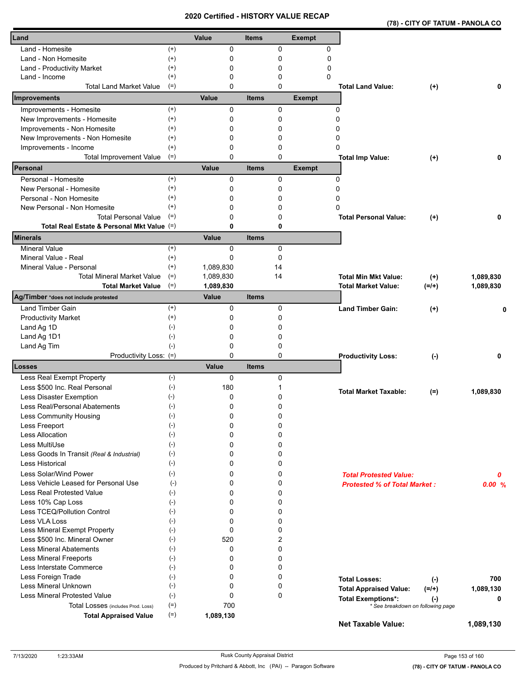| (78) - CITY OF TATUM - PANOLA CO |
|----------------------------------|
|----------------------------------|

| Land                                                          |                    | Value      | <b>Items</b> |             | <b>Exempt</b> |                                                |           |
|---------------------------------------------------------------|--------------------|------------|--------------|-------------|---------------|------------------------------------------------|-----------|
| Land - Homesite                                               | $^{(+)}$           | 0          |              | 0           | $\Omega$      |                                                |           |
| Land - Non Homesite                                           | $^{(+)}$           | 0          |              | $\mathbf 0$ | 0             |                                                |           |
| Land - Productivity Market                                    | $^{(+)}$           | 0          |              | 0           | 0             |                                                |           |
| Land - Income                                                 | $^{(+)}$           | 0          |              | 0           | $\Omega$      |                                                |           |
| <b>Total Land Market Value</b>                                | $(=)$              | 0          |              | 0           |               | <b>Total Land Value:</b><br>$(+)$              | 0         |
| Improvements                                                  |                    | Value      | <b>Items</b> |             | <b>Exempt</b> |                                                |           |
| Improvements - Homesite                                       | $^{(+)}$           | 0          |              | 0           |               | 0                                              |           |
| New Improvements - Homesite                                   | $^{(+)}$           | 0          |              | 0           |               | 0                                              |           |
| Improvements - Non Homesite                                   | $^{(+)}$           | 0          |              | 0           |               | 0                                              |           |
| New Improvements - Non Homesite                               | $^{(+)}$           | 0          |              | 0           |               | 0                                              |           |
| Improvements - Income                                         | $^{(+)}$           | 0          |              | $\Omega$    |               | 0                                              |           |
| <b>Total Improvement Value</b>                                | $(=)$              | 0          |              | 0           |               | <b>Total Imp Value:</b><br>$(+)$               | 0         |
| Personal                                                      |                    | Value      | <b>Items</b> |             | <b>Exempt</b> |                                                |           |
| Personal - Homesite                                           | $^{(+)}$           | 0          |              | 0           |               | 0                                              |           |
| New Personal - Homesite                                       | $^{(+)}$           | 0          |              | $\Omega$    |               | 0                                              |           |
| Personal - Non Homesite                                       | $^{(+)}$           | 0          |              | 0           |               | 0                                              |           |
| New Personal - Non Homesite                                   | $^{(+)}$           | 0          |              | 0           |               | 0                                              |           |
| <b>Total Personal Value</b>                                   | $(=)$              | 0          |              | 0           |               | <b>Total Personal Value:</b><br>$(+)$          | 0         |
| Total Real Estate & Personal Mkt Value (=)<br><b>Minerals</b> |                    | 0<br>Value | <b>Items</b> | 0           |               |                                                |           |
| <b>Mineral Value</b>                                          | $(+)$              | 0          |              | 0           |               |                                                |           |
| Mineral Value - Real                                          | $^{(+)}$           | 0          |              | $\mathbf 0$ |               |                                                |           |
| Mineral Value - Personal                                      | $^{(+)}$           | 1,089,830  |              | 14          |               |                                                |           |
| <b>Total Mineral Market Value</b>                             | $(=)$              | 1,089,830  |              | 14          |               | <b>Total Min Mkt Value:</b><br>$(+)$           | 1,089,830 |
| <b>Total Market Value</b>                                     | $(=)$              | 1,089,830  |              |             |               | Total Market Value:<br>$(=/+)$                 | 1,089,830 |
| Ag/Timber *does not include protested                         |                    | Value      | <b>Items</b> |             |               |                                                |           |
| <b>Land Timber Gain</b>                                       | $^{(+)}$           | 0          |              | 0           |               | <b>Land Timber Gain:</b><br>$^{(+)}$           |           |
| <b>Productivity Market</b>                                    | $^{(+)}$           | 0          |              | 0           |               |                                                |           |
| Land Ag 1D                                                    | $(-)$              | 0          |              | 0           |               |                                                |           |
| Land Ag 1D1                                                   | $(-)$              | 0          |              | 0           |               |                                                |           |
| Land Ag Tim                                                   | $(-)$              | 0          |              | 0           |               |                                                |           |
| Productivity Loss: (=)                                        |                    | 0          |              | 0           |               | <b>Productivity Loss:</b><br>$(\cdot)$         | 0         |
| <b>Losses</b>                                                 |                    | Value      | <b>Items</b> |             |               |                                                |           |
| Less Real Exempt Property                                     | $(-)$              | 0          |              | 0           |               |                                                |           |
| Less \$500 Inc. Real Personal                                 | $(-)$              | 180        |              | 1           |               | <b>Total Market Taxable:</b><br>$(=)$          | 1,089,830 |
| Less Disaster Exemption                                       | $(-)$              | 0          |              | 0           |               |                                                |           |
| Less Real/Personal Abatements                                 | $(-)$              | 0          |              | $\mathbf 0$ |               |                                                |           |
| Less Community Housing                                        | $(\textnormal{-})$ | 0          |              | 0           |               |                                                |           |
| Less Freeport                                                 | $(-)$              | 0          |              | 0           |               |                                                |           |
| Less Allocation                                               | $(-)$              | 0          |              | 0           |               |                                                |           |
| Less MultiUse                                                 | $(-)$              | 0          |              | 0           |               |                                                |           |
| Less Goods In Transit (Real & Industrial)                     | $(-)$              | 0          |              | 0           |               |                                                |           |
| Less Historical                                               | $(-)$              | 0          |              | $\Omega$    |               |                                                |           |
| Less Solar/Wind Power                                         | $(-)$              | 0          |              | $\Omega$    |               | <b>Total Protested Value:</b>                  | 0         |
| Less Vehicle Leased for Personal Use                          | $(-)$              | 0          |              | 0           |               | <b>Protested % of Total Market:</b>            | 0.00%     |
| Less Real Protested Value<br>Less 10% Cap Loss                | $(-)$              | 0          |              | 0<br>0      |               |                                                |           |
| Less TCEQ/Pollution Control                                   | $(-)$<br>$(-)$     | 0<br>0     |              | 0           |               |                                                |           |
| Less VLA Loss                                                 | $(-)$              | 0          |              | 0           |               |                                                |           |
| Less Mineral Exempt Property                                  | $(-)$              | 0          |              | $\Omega$    |               |                                                |           |
| Less \$500 Inc. Mineral Owner                                 | $(-)$              | 520        |              | 2           |               |                                                |           |
| <b>Less Mineral Abatements</b>                                | $(-)$              | 0          |              | 0           |               |                                                |           |
| Less Mineral Freeports                                        | $(-)$              | 0          |              | $\mathbf 0$ |               |                                                |           |
| Less Interstate Commerce                                      | $(-)$              | 0          |              | 0           |               |                                                |           |
| Less Foreign Trade                                            | $(-)$              | 0          |              | $\Omega$    |               | <b>Total Losses:</b><br>$(-)$                  | 700       |
| Less Mineral Unknown                                          | $(-)$              | 0          |              | 0           |               | <b>Total Appraised Value:</b><br>$(=/+)$       | 1,089,130 |
| Less Mineral Protested Value                                  | $(-)$              | 0          |              | $\mathbf 0$ |               | <b>Total Exemptions*:</b>                      | 0         |
| Total Losses (includes Prod. Loss)                            | $(=)$              | 700        |              |             |               | $(\cdot)$<br>* See breakdown on following page |           |
| <b>Total Appraised Value</b>                                  | $(=)$              | 1,089,130  |              |             |               | <b>Net Taxable Value:</b>                      | 1,089,130 |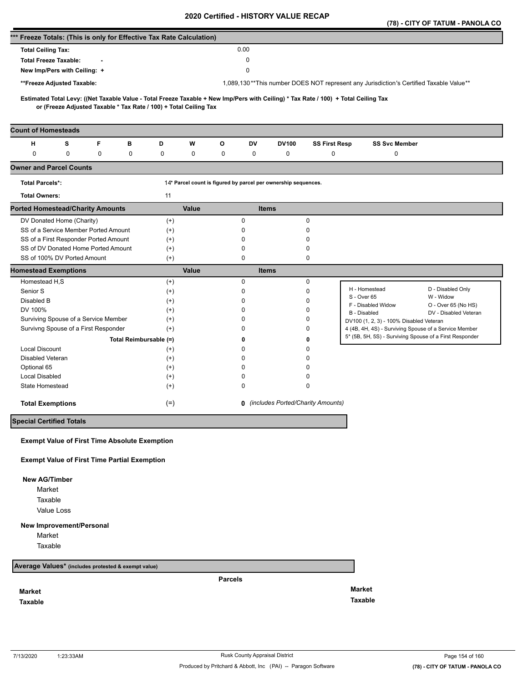|                                                                                            |            |   |                                                                                                             |                                                                   |       |   |                  |                                                                |                      |                                                                                                                                     |                                         | (78) - CITY OF TATUM - PANOLA CO                                                       |
|--------------------------------------------------------------------------------------------|------------|---|-------------------------------------------------------------------------------------------------------------|-------------------------------------------------------------------|-------|---|------------------|----------------------------------------------------------------|----------------------|-------------------------------------------------------------------------------------------------------------------------------------|-----------------------------------------|----------------------------------------------------------------------------------------|
| *** Freeze Totals: (This is only for Effective Tax Rate Calculation)                       |            |   |                                                                                                             |                                                                   |       |   |                  |                                                                |                      |                                                                                                                                     |                                         |                                                                                        |
| <b>Total Ceiling Tax:</b>                                                                  |            |   |                                                                                                             |                                                                   |       |   | 0.00             |                                                                |                      |                                                                                                                                     |                                         |                                                                                        |
| <b>Total Freeze Taxable:</b>                                                               |            |   |                                                                                                             |                                                                   |       |   | $\mathbf 0$      |                                                                |                      |                                                                                                                                     |                                         |                                                                                        |
| New Imp/Pers with Ceiling: +                                                               |            |   |                                                                                                             |                                                                   |       |   | $\mathbf 0$      |                                                                |                      |                                                                                                                                     |                                         |                                                                                        |
| **Freeze Adjusted Taxable:                                                                 |            |   |                                                                                                             |                                                                   |       |   |                  |                                                                |                      |                                                                                                                                     |                                         | 1,089,130**This number DOES NOT represent any Jurisdiction's Certified Taxable Value** |
|                                                                                            |            |   |                                                                                                             |                                                                   |       |   |                  |                                                                |                      |                                                                                                                                     |                                         |                                                                                        |
|                                                                                            |            |   |                                                                                                             | or (Freeze Adjusted Taxable * Tax Rate / 100) + Total Ceiling Tax |       |   |                  |                                                                |                      | Estimated Total Levy: ((Net Taxable Value - Total Freeze Taxable + New Imp/Pers with Ceiling) * Tax Rate / 100) + Total Ceiling Tax |                                         |                                                                                        |
| <b>Count of Homesteads</b>                                                                 |            |   |                                                                                                             |                                                                   |       |   |                  |                                                                |                      |                                                                                                                                     |                                         |                                                                                        |
| н                                                                                          | s          | F | в                                                                                                           | D                                                                 | W     | O | DV               | <b>DV100</b>                                                   | <b>SS First Resp</b> |                                                                                                                                     | <b>SS Svc Member</b>                    |                                                                                        |
| 0                                                                                          | 0          | 0 | 0                                                                                                           | 0                                                                 | 0     | 0 | 0                | 0                                                              | 0                    |                                                                                                                                     | 0                                       |                                                                                        |
| <b>Owner and Parcel Counts</b>                                                             |            |   |                                                                                                             |                                                                   |       |   |                  |                                                                |                      |                                                                                                                                     |                                         |                                                                                        |
| <b>Total Parcels*:</b>                                                                     |            |   |                                                                                                             |                                                                   |       |   |                  | 14* Parcel count is figured by parcel per ownership sequences. |                      |                                                                                                                                     |                                         |                                                                                        |
| <b>Total Owners:</b>                                                                       |            |   |                                                                                                             | 11                                                                |       |   |                  |                                                                |                      |                                                                                                                                     |                                         |                                                                                        |
| <b>Ported Homestead/Charity Amounts</b>                                                    |            |   |                                                                                                             |                                                                   | Value |   |                  | <b>Items</b>                                                   |                      |                                                                                                                                     |                                         |                                                                                        |
| DV Donated Home (Charity)                                                                  |            |   |                                                                                                             | $^{(+)}$                                                          |       |   | 0                |                                                                | $\pmb{0}$            |                                                                                                                                     |                                         |                                                                                        |
| SS of a Service Member Ported Amount                                                       |            |   |                                                                                                             | $^{(+)}$                                                          |       |   | 0                |                                                                | 0                    |                                                                                                                                     |                                         |                                                                                        |
| SS of a First Responder Ported Amount                                                      |            |   |                                                                                                             | $^{(+)}$                                                          |       |   | 0                |                                                                | 0                    |                                                                                                                                     |                                         |                                                                                        |
| SS of DV Donated Home Ported Amount<br>SS of 100% DV Ported Amount                         |            |   |                                                                                                             | $^{(+)}$<br>$^{(+)}$                                              |       |   | 0<br>$\mathbf 0$ |                                                                | 0<br>$\mathbf 0$     |                                                                                                                                     |                                         |                                                                                        |
| <b>Homestead Exemptions</b>                                                                |            |   |                                                                                                             |                                                                   | Value |   |                  | <b>Items</b>                                                   |                      |                                                                                                                                     |                                         |                                                                                        |
| Homestead H,S                                                                              |            |   |                                                                                                             | $^{(+)}$                                                          |       |   | $\pmb{0}$        |                                                                | 0                    |                                                                                                                                     |                                         |                                                                                        |
| Senior S                                                                                   |            |   |                                                                                                             | $^{(+)}$                                                          |       |   | 0                |                                                                | $\mathbf 0$          | H - Homestead                                                                                                                       |                                         | D - Disabled Only                                                                      |
| Disabled B                                                                                 |            |   |                                                                                                             | $^{(+)}$                                                          |       |   | 0                |                                                                | $\mathbf 0$          | S - Over 65                                                                                                                         |                                         | W - Widow                                                                              |
| DV 100%                                                                                    |            |   |                                                                                                             | $^{(+)}$                                                          |       |   | 0                |                                                                | 0                    | F - Disabled Widow<br>B - Disabled                                                                                                  |                                         | O - Over 65 (No HS)<br>DV - Disabled Veteran                                           |
| Surviving Spouse of a Service Member                                                       |            |   |                                                                                                             | $^{(+)}$                                                          |       |   | 0                |                                                                | 0                    |                                                                                                                                     | DV100 (1, 2, 3) - 100% Disabled Veteran |                                                                                        |
| Survivng Spouse of a First Responder                                                       |            |   |                                                                                                             | $^{(+)}$                                                          |       |   | 0                |                                                                | 0                    |                                                                                                                                     |                                         | 4 (4B, 4H, 4S) - Surviving Spouse of a Service Member                                  |
|                                                                                            |            |   | Total Reimbursable (=)                                                                                      |                                                                   |       |   | 0                |                                                                | 0                    |                                                                                                                                     |                                         | 5* (5B, 5H, 5S) - Surviving Spouse of a First Responder                                |
| <b>Local Discount</b>                                                                      |            |   |                                                                                                             | $^{(+)}$                                                          |       |   | 0                |                                                                | $\Omega$             |                                                                                                                                     |                                         |                                                                                        |
| Disabled Veteran                                                                           |            |   |                                                                                                             | $^{(+)}$                                                          |       |   | 0                |                                                                | $\Omega$             |                                                                                                                                     |                                         |                                                                                        |
| Optional 65                                                                                |            |   |                                                                                                             | $^{(+)}$                                                          |       |   | 0                |                                                                | 0                    |                                                                                                                                     |                                         |                                                                                        |
| Local Disabled<br>State Homestead                                                          |            |   |                                                                                                             | $^{(+)}$                                                          |       |   | 0<br>0           |                                                                | 0<br>$\mathbf 0$     |                                                                                                                                     |                                         |                                                                                        |
|                                                                                            |            |   |                                                                                                             | $^{(+)}$                                                          |       |   |                  |                                                                |                      |                                                                                                                                     |                                         |                                                                                        |
| <b>Total Exemptions</b>                                                                    |            |   |                                                                                                             | $(=)$                                                             |       |   |                  | 0 (includes Ported/Charity Amounts)                            |                      |                                                                                                                                     |                                         |                                                                                        |
| <b>Special Certified Totals</b>                                                            |            |   |                                                                                                             |                                                                   |       |   |                  |                                                                |                      |                                                                                                                                     |                                         |                                                                                        |
| <b>New AG/Timber</b><br>Market<br>Taxable<br>New Improvement/Personal<br>Market<br>Taxable | Value Loss |   | <b>Exempt Value of First Time Absolute Exemption</b><br><b>Exempt Value of First Time Partial Exemption</b> |                                                                   |       |   |                  |                                                                |                      |                                                                                                                                     |                                         |                                                                                        |
| Average Values* (includes protested & exempt value)                                        |            |   |                                                                                                             |                                                                   |       |   |                  |                                                                |                      |                                                                                                                                     |                                         |                                                                                        |

**Market**

**Taxable** 

**Parcels**

**Market Taxable**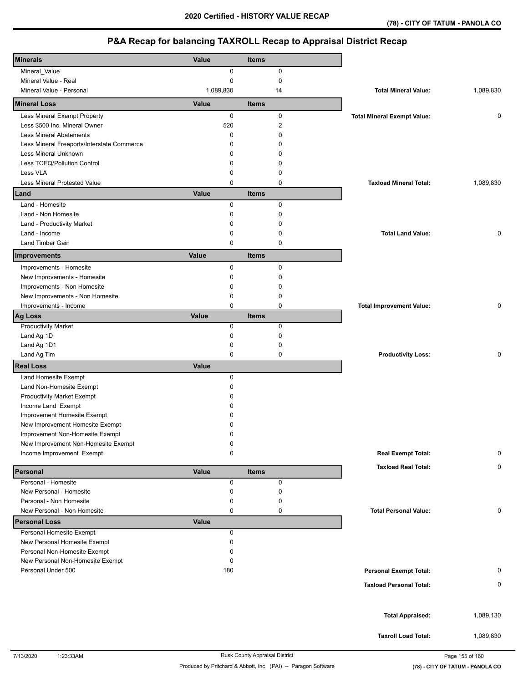# **P&A Recap for balancing TAXROLL Recap to Appraisal District Recap**

| <b>Minerals</b>                                  | Value          |                   |                                    |           |
|--------------------------------------------------|----------------|-------------------|------------------------------------|-----------|
|                                                  |                | <b>Items</b>      |                                    |           |
| Mineral_Value                                    | 0              | 0                 |                                    |           |
| Mineral Value - Real<br>Mineral Value - Personal | 0<br>1,089,830 | $\mathbf 0$<br>14 |                                    |           |
|                                                  |                |                   | <b>Total Mineral Value:</b>        | 1,089,830 |
| <b>Mineral Loss</b>                              | Value          | <b>Items</b>      |                                    |           |
| Less Mineral Exempt Property                     | 0              | 0                 | <b>Total Mineral Exempt Value:</b> | 0         |
| Less \$500 Inc. Mineral Owner                    | 520            | $\boldsymbol{2}$  |                                    |           |
| <b>Less Mineral Abatements</b>                   | 0              | $\Omega$          |                                    |           |
| Less Mineral Freeports/Interstate Commerce       | 0              | $\Omega$          |                                    |           |
| Less Mineral Unknown                             | 0              | 0                 |                                    |           |
| Less TCEQ/Pollution Control                      | 0              | 0                 |                                    |           |
| Less VLA                                         | 0              | 0                 |                                    |           |
| <b>Less Mineral Protested Value</b>              | $\mathbf 0$    | $\mathbf 0$       | <b>Taxload Mineral Total:</b>      | 1,089,830 |
| Land                                             | Value          | Items             |                                    |           |
| Land - Homesite                                  | 0              | 0                 |                                    |           |
| Land - Non Homesite                              | 0              | $\mathbf 0$       |                                    |           |
| Land - Productivity Market                       | 0              | 0                 |                                    |           |
| Land - Income                                    | 0              | 0                 | <b>Total Land Value:</b>           | 0         |
| <b>Land Timber Gain</b>                          | 0              | 0                 |                                    |           |
| Improvements                                     | Value          | <b>Items</b>      |                                    |           |
| Improvements - Homesite                          | 0              | 0                 |                                    |           |
| New Improvements - Homesite                      | 0              | 0                 |                                    |           |
| Improvements - Non Homesite                      | 0              | 0                 |                                    |           |
| New Improvements - Non Homesite                  | 0              | 0                 |                                    |           |
| Improvements - Income                            | $\mathbf 0$    | 0                 | <b>Total Improvement Value:</b>    | 0         |
| <b>Ag Loss</b>                                   | Value          | <b>Items</b>      |                                    |           |
| <b>Productivity Market</b>                       | 0              | 0                 |                                    |           |
| Land Ag 1D                                       | 0              | $\mathbf 0$       |                                    |           |
| Land Ag 1D1                                      | 0              | 0                 |                                    |           |
| Land Ag Tim                                      | $\mathbf 0$    | 0                 | <b>Productivity Loss:</b>          | 0         |
| <b>Real Loss</b>                                 | Value          |                   |                                    |           |
| Land Homesite Exempt                             | $\mathbf 0$    |                   |                                    |           |
| Land Non-Homesite Exempt                         | 0              |                   |                                    |           |
| <b>Productivity Market Exempt</b>                | 0              |                   |                                    |           |
| Income Land Exempt                               | 0              |                   |                                    |           |
| Improvement Homesite Exempt                      | ი              |                   |                                    |           |
| New Improvement Homesite Exempt                  | 0              |                   |                                    |           |
| Improvement Non-Homesite Exempt                  | 0              |                   |                                    |           |
| New Improvement Non-Homesite Exempt              | 0              |                   |                                    |           |
| Income Improvement Exempt                        | 0              |                   | <b>Real Exempt Total:</b>          | 0         |
|                                                  |                |                   | <b>Taxload Real Total:</b>         | 0         |
| Personal<br>Personal - Homesite                  | Value<br>0     | <b>Items</b><br>0 |                                    |           |
| New Personal - Homesite                          | 0              | 0                 |                                    |           |
| Personal - Non Homesite                          | 0              | 0                 |                                    |           |
| New Personal - Non Homesite                      | 0              | 0                 | <b>Total Personal Value:</b>       | 0         |
| <b>Personal Loss</b>                             | Value          |                   |                                    |           |
| Personal Homesite Exempt                         | 0              |                   |                                    |           |
| New Personal Homesite Exempt                     | 0              |                   |                                    |           |
| Personal Non-Homesite Exempt                     | 0              |                   |                                    |           |
| New Personal Non-Homesite Exempt                 | 0              |                   |                                    |           |
| Personal Under 500                               | 180            |                   | <b>Personal Exempt Total:</b>      | 0         |
|                                                  |                |                   |                                    |           |
|                                                  |                |                   | <b>Taxload Personal Total:</b>     | 0         |
|                                                  |                |                   | <b>Total Appraised:</b>            | 1,089,130 |
|                                                  |                |                   |                                    |           |
|                                                  |                |                   | <b>Taxroll Load Total:</b>         | 1,089,830 |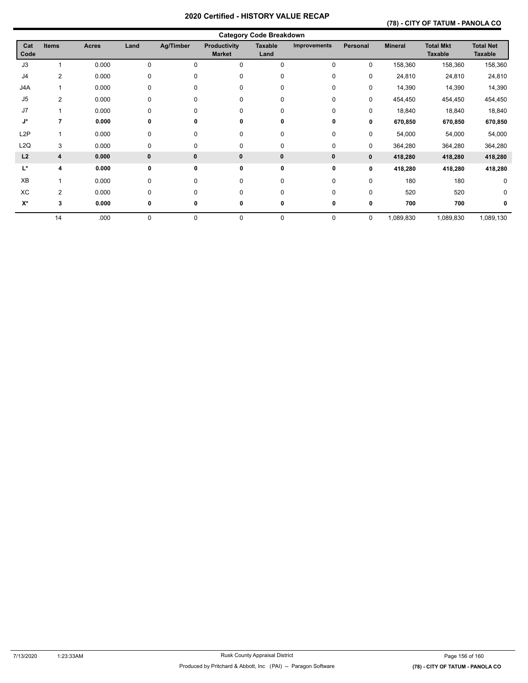# **(78) - CITY OF TATUM - PANOLA CO**

|                  | <b>Category Code Breakdown</b> |              |          |             |                                      |                        |              |              |                |                                    |                             |  |
|------------------|--------------------------------|--------------|----------|-------------|--------------------------------------|------------------------|--------------|--------------|----------------|------------------------------------|-----------------------------|--|
| Cat<br>Code      | <b>Items</b>                   | <b>Acres</b> | Land     | Ag/Timber   | <b>Productivity</b><br><b>Market</b> | <b>Taxable</b><br>Land | Improvements | Personal     | <b>Mineral</b> | <b>Total Mkt</b><br><b>Taxable</b> | <b>Total Net</b><br>Taxable |  |
| J3               |                                | 0.000        | 0        | $\Omega$    | 0                                    | 0                      | 0            | 0            | 158,360        | 158,360                            | 158,360                     |  |
| J <sub>4</sub>   | 2                              | 0.000        | 0        | 0           | 0                                    | 0                      | 0            | 0            | 24,810         | 24,810                             | 24,810                      |  |
| J4A              |                                | 0.000        | 0        | 0           | 0                                    | 0                      | 0            | 0            | 14,390         | 14,390                             | 14,390                      |  |
| J5               | $\overline{2}$                 | 0.000        | 0        | $\Omega$    | 0                                    | 0                      | $\mathbf 0$  | 0            | 454,450        | 454,450                            | 454,450                     |  |
| J7               |                                | 0.000        | 0        | $\Omega$    | 0                                    | 0                      | $\mathbf 0$  | 0            | 18,840         | 18,840                             | 18,840                      |  |
| J*               | 7                              | 0.000        | 0        | 0           | 0                                    | 0                      | 0            | 0            | 670,850        | 670,850                            | 670,850                     |  |
| L <sub>2</sub> P |                                | 0.000        | 0        | $\Omega$    | 0                                    | 0                      | $\mathbf 0$  | 0            | 54,000         | 54,000                             | 54,000                      |  |
| L2Q              | 3                              | 0.000        | 0        | 0           | 0                                    | 0                      | 0            | 0            | 364,280        | 364,280                            | 364,280                     |  |
| L2               | $\overline{\mathbf{4}}$        | 0.000        | $\bf{0}$ | $\mathbf 0$ | $\bf{0}$                             | 0                      | 0            | $\mathbf{0}$ | 418,280        | 418,280                            | 418,280                     |  |
| L*               | 4                              | 0.000        | 0        | 0           | 0                                    | 0                      | 0            | 0            | 418,280        | 418,280                            | 418,280                     |  |
| ХB               |                                | 0.000        | 0        | $\Omega$    | 0                                    | 0                      | $\mathbf 0$  | 0            | 180            | 180                                | 0                           |  |
| XC               | $\overline{2}$                 | 0.000        | 0        | $\Omega$    | $\Omega$                             | 0                      | $\mathbf 0$  | 0            | 520            | 520                                | 0                           |  |
| $X^*$            | 3                              | 0.000        | 0        | 0           | 0                                    | 0                      | 0            | 0            | 700            | 700                                | 0                           |  |
|                  | 14                             | .000         | 0        | 0           | 0                                    | 0                      | 0            | 0            | 1,089,830      | 1,089,830                          | 1,089,130                   |  |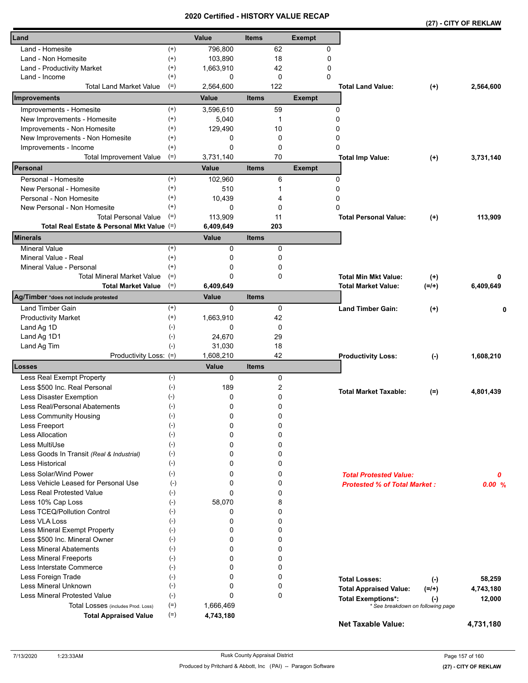|                                            |                    | cerunea   |              |             | <u>- NISIURI VALUE REUAR</u> |                                     | (27) - CITY OF REKLAW |           |  |
|--------------------------------------------|--------------------|-----------|--------------|-------------|------------------------------|-------------------------------------|-----------------------|-----------|--|
| Land                                       |                    | Value     | <b>Items</b> |             | <b>Exempt</b>                |                                     |                       |           |  |
| Land - Homesite                            | $^{(+)}$           | 796,800   |              | 62          | 0                            |                                     |                       |           |  |
| Land - Non Homesite                        | $^{(+)}$           | 103,890   |              | 18          | 0                            |                                     |                       |           |  |
| Land - Productivity Market                 | $^{(+)}$           | 1,663,910 |              | 42          | 0                            |                                     |                       |           |  |
| Land - Income                              | $^{(+)}$           | 0         |              | 0           | $\Omega$                     |                                     |                       |           |  |
| <b>Total Land Market Value</b>             | $(=)$              | 2,564,600 |              | 122         |                              | <b>Total Land Value:</b>            | $^{(+)}$              | 2,564,600 |  |
| Improvements                               |                    | Value     | <b>Items</b> |             | <b>Exempt</b>                |                                     |                       |           |  |
| Improvements - Homesite                    | $^{(+)}$           | 3,596,610 |              | 59          |                              | 0                                   |                       |           |  |
| New Improvements - Homesite                | $^{(+)}$           | 5,040     |              | 1           |                              | 0                                   |                       |           |  |
| Improvements - Non Homesite                | $^{(+)}$           | 129,490   |              | 10          |                              | 0                                   |                       |           |  |
| New Improvements - Non Homesite            | $^{(+)}$           | 0         |              | 0           |                              | 0                                   |                       |           |  |
| Improvements - Income                      | $^{(+)}$           | 0         |              | $\mathbf 0$ |                              | 0                                   |                       |           |  |
| <b>Total Improvement Value</b>             | $(=)$              | 3,731,140 |              | 70          |                              | <b>Total Imp Value:</b>             | $^{(+)}$              | 3,731,140 |  |
| Personal                                   |                    | Value     | <b>Items</b> |             | <b>Exempt</b>                |                                     |                       |           |  |
| Personal - Homesite                        | $^{(+)}$           | 102,960   |              | 6           |                              | 0                                   |                       |           |  |
| New Personal - Homesite                    | $^{(+)}$           | 510       |              | 1           |                              | 0                                   |                       |           |  |
| Personal - Non Homesite                    | $^{(+)}$           | 10,439    |              | 4           |                              | 0                                   |                       |           |  |
| New Personal - Non Homesite                | $^{(+)}$           | 0         |              | 0           |                              | 0                                   |                       |           |  |
| <b>Total Personal Value</b>                | $(=)$              | 113,909   |              | 11          |                              | <b>Total Personal Value:</b>        | $^{(+)}$              | 113,909   |  |
| Total Real Estate & Personal Mkt Value (=) |                    | 6,409,649 |              | 203         |                              |                                     |                       |           |  |
| Minerals                                   |                    | Value     | <b>Items</b> |             |                              |                                     |                       |           |  |
| <b>Mineral Value</b>                       | $^{(+)}$           | 0         |              | 0           |                              |                                     |                       |           |  |
| Mineral Value - Real                       | $^{(+)}$           | 0         |              | 0           |                              |                                     |                       |           |  |
| Mineral Value - Personal                   | $^{(+)}$           | 0         |              | 0           |                              |                                     |                       |           |  |
| <b>Total Mineral Market Value</b>          | $(=)$              | 0         |              | 0           |                              | <b>Total Min Mkt Value:</b>         | $^{(+)}$              | 0         |  |
| <b>Total Market Value</b>                  | $(=)$              | 6,409,649 |              |             |                              | <b>Total Market Value:</b>          | $(=/+)$               | 6,409,649 |  |
| Ag/Timber *does not include protested      |                    | Value     | <b>Items</b> |             |                              |                                     |                       |           |  |
| Land Timber Gain                           | $^{(+)}$           | 0         |              | 0           |                              | <b>Land Timber Gain:</b>            | $(+)$                 | 0         |  |
| <b>Productivity Market</b>                 | $^{(+)}$           | 1,663,910 |              | 42          |                              |                                     |                       |           |  |
| Land Ag 1D                                 | $(-)$              | 0         |              | 0           |                              |                                     |                       |           |  |
| Land Ag 1D1                                | $(-)$              | 24,670    |              | 29          |                              |                                     |                       |           |  |
| Land Ag Tim                                | $(-)$              | 31,030    |              | 18          |                              |                                     |                       |           |  |
| Productivity Loss: (=)                     |                    | 1,608,210 |              | 42          |                              | <b>Productivity Loss:</b>           | $(-)$                 | 1,608,210 |  |
| Losses                                     |                    | Value     | <b>Items</b> |             |                              |                                     |                       |           |  |
| Less Real Exempt Property                  | $(-)$              | 0         |              | 0           |                              |                                     |                       |           |  |
| Less \$500 Inc. Real Personal              | $(-)$              | 189       |              | 2           |                              | <b>Total Market Taxable:</b>        | $(=)$                 | 4,801,439 |  |
| Less Disaster Exemption                    | $(-)$              | 0         |              | 0           |                              |                                     |                       |           |  |
| Less Real/Personal Abatements              | $(\textnormal{-})$ | 0         |              | 0           |                              |                                     |                       |           |  |
| Less Community Housing                     | $(-)$              | 0         |              | 0           |                              |                                     |                       |           |  |
| Less Freeport                              | $(-)$              | 0         |              | 0           |                              |                                     |                       |           |  |
| Less Allocation                            | $(-)$              | 0         |              | 0           |                              |                                     |                       |           |  |
| Less MultiUse                              | $(-)$              | 0         |              | 0           |                              |                                     |                       |           |  |
| Less Goods In Transit (Real & Industrial)  | $(-)$              | 0         |              | 0           |                              |                                     |                       |           |  |
| <b>Less Historical</b>                     | $(-)$              | 0         |              | 0           |                              |                                     |                       |           |  |
| Less Solar/Wind Power                      | $(-)$              | 0         |              | 0           |                              | <b>Total Protested Value:</b>       |                       | 0         |  |
| Less Vehicle Leased for Personal Use       | $(-)$              | 0         |              | 0           |                              | <b>Protested % of Total Market:</b> |                       | 0.00%     |  |
| <b>Less Real Protested Value</b>           | $(-)$              | 0         |              | 0           |                              |                                     |                       |           |  |
| Less 10% Cap Loss                          | $(-)$              | 58.070    |              | 8           |                              |                                     |                       |           |  |
| Less TCEQ/Pollution Control                | $(-)$              | 0         |              | 0           |                              |                                     |                       |           |  |
| Less VLA Loss                              | $(\cdot)$          | 0         |              | 0           |                              |                                     |                       |           |  |
| Less Mineral Exempt Property               | $(-)$              | 0         |              | 0           |                              |                                     |                       |           |  |
| Less \$500 Inc. Mineral Owner              | $(-)$              | 0         |              | 0           |                              |                                     |                       |           |  |
| <b>Less Mineral Abatements</b>             | $(-)$              | 0         |              | 0           |                              |                                     |                       |           |  |
| <b>Less Mineral Freeports</b>              | $(-)$              | 0         |              | 0           |                              |                                     |                       |           |  |
| Less Interstate Commerce                   | $(\cdot)$          | 0         |              | 0           |                              |                                     |                       |           |  |
| Less Foreign Trade                         | $(-)$              | 0         |              | 0           |                              | <b>Total Losses:</b>                | $(-)$                 | 58,259    |  |
| Less Mineral Unknown                       | $(-)$              | 0         |              | 0           |                              | <b>Total Appraised Value:</b>       | $(=/+)$               | 4,743,180 |  |
| Less Mineral Protested Value               | $(-)$              | 0         |              | 0           |                              | <b>Total Exemptions*:</b>           | $(-)$                 | 12,000    |  |
| Total Losses (includes Prod. Loss)         | $(=)$              | 1,666,469 |              |             |                              | * See breakdown on following page   |                       |           |  |
| <b>Total Appraised Value</b>               | $(=)$              | 4,743,180 |              |             |                              | <b>Net Taxable Value:</b>           |                       | 4,731,180 |  |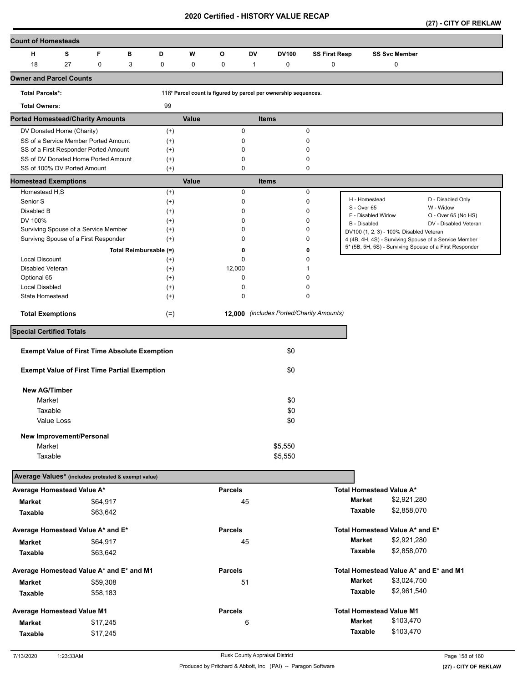**(27) - CITY OF REKLAW** 

| <b>Count of Homesteads</b>                                                                |             |                        |                   |             |                            |              |                    |                                          |               |                                         |                                                         |
|-------------------------------------------------------------------------------------------|-------------|------------------------|-------------------|-------------|----------------------------|--------------|--------------------|------------------------------------------|---------------|-----------------------------------------|---------------------------------------------------------|
| н<br>s                                                                                    | F           | в                      | D                 | W           | O                          | <b>DV</b>    | <b>DV100</b>       | <b>SS First Resp</b>                     |               | <b>SS Svc Member</b>                    |                                                         |
| 18<br>27                                                                                  | $\mathbf 0$ | 3                      | 0                 | $\mathbf 0$ | 0                          | 1            | 0                  | 0                                        |               | 0                                       |                                                         |
| <b>Owner and Parcel Counts</b>                                                            |             |                        |                   |             |                            |              |                    |                                          |               |                                         |                                                         |
| 116* Parcel count is figured by parcel per ownership sequences.<br><b>Total Parcels*:</b> |             |                        |                   |             |                            |              |                    |                                          |               |                                         |                                                         |
| <b>Total Owners:</b>                                                                      |             |                        | 99                |             |                            |              |                    |                                          |               |                                         |                                                         |
| <b>Ported Homestead/Charity Amounts</b>                                                   |             |                        |                   | Value       |                            | <b>Items</b> |                    |                                          |               |                                         |                                                         |
| DV Donated Home (Charity)                                                                 |             |                        | $^{(+)}$          |             | 0                          |              |                    | $\pmb{0}$                                |               |                                         |                                                         |
| SS of a Service Member Ported Amount                                                      |             |                        | $^{(+)}$          |             | 0                          |              |                    | $\mathbf 0$                              |               |                                         |                                                         |
| SS of a First Responder Ported Amount                                                     |             |                        | $^{(+)}$          |             | 0                          |              |                    | 0                                        |               |                                         |                                                         |
| SS of DV Donated Home Ported Amount<br>SS of 100% DV Ported Amount                        |             |                        | $^{(+)}$<br>$(+)$ |             | $\mathbf 0$<br>$\mathbf 0$ |              |                    | 0<br>0                                   |               |                                         |                                                         |
| <b>Homestead Exemptions</b>                                                               |             |                        |                   | Value       |                            | <b>Items</b> |                    |                                          |               |                                         |                                                         |
| Homestead H,S                                                                             |             |                        | $^{(+)}$          |             | 0                          |              |                    | 0                                        |               |                                         |                                                         |
| Senior S                                                                                  |             |                        | $^{(+)}$          |             | 0                          |              |                    | $\mathbf 0$                              | H - Homestead |                                         | D - Disabled Only                                       |
| Disabled B                                                                                |             |                        | $^{(+)}$          |             | 0                          |              |                    | 0                                        | S - Over 65   |                                         | W - Widow                                               |
| DV 100%                                                                                   |             |                        | $^{(+)}$          |             | $\mathbf 0$                |              |                    | 0                                        | B - Disabled  | F - Disabled Widow                      | O - Over 65 (No HS)<br>DV - Disabled Veteran            |
| Surviving Spouse of a Service Member                                                      |             |                        | $^{(+)}$          |             | $\Omega$                   |              |                    | 0                                        |               | DV100 (1, 2, 3) - 100% Disabled Veteran |                                                         |
| Survivng Spouse of a First Responder                                                      |             |                        | $^{(+)}$          |             | 0                          |              |                    | 0                                        |               |                                         | 4 (4B, 4H, 4S) - Surviving Spouse of a Service Member   |
|                                                                                           |             | Total Reimbursable (=) |                   |             | 0                          |              |                    | 0                                        |               |                                         | 5* (5B, 5H, 5S) - Surviving Spouse of a First Responder |
| Local Discount                                                                            |             |                        | $^{(+)}$          |             | 0                          |              |                    | 0                                        |               |                                         |                                                         |
| <b>Disabled Veteran</b>                                                                   |             |                        | $^{(+)}$          |             | 12,000                     |              |                    |                                          |               |                                         |                                                         |
| Optional 65                                                                               |             |                        | $^{(+)}$          |             | 0                          |              |                    | 0                                        |               |                                         |                                                         |
| <b>Local Disabled</b>                                                                     |             |                        | $^{(+)}$          |             | 0                          |              |                    | 0                                        |               |                                         |                                                         |
| State Homestead                                                                           |             |                        | $^{(+)}$          |             | 0                          |              |                    | 0                                        |               |                                         |                                                         |
| <b>Total Exemptions</b>                                                                   |             |                        | $(=)$             |             |                            |              |                    | 12,000 (includes Ported/Charity Amounts) |               |                                         |                                                         |
| <b>Special Certified Totals</b>                                                           |             |                        |                   |             |                            |              |                    |                                          |               |                                         |                                                         |
| <b>Exempt Value of First Time Absolute Exemption</b>                                      |             |                        |                   |             |                            |              | \$0                |                                          |               |                                         |                                                         |
|                                                                                           |             |                        |                   |             |                            |              |                    |                                          |               |                                         |                                                         |
| <b>Exempt Value of First Time Partial Exemption</b>                                       |             |                        |                   |             |                            |              | \$0                |                                          |               |                                         |                                                         |
| <b>New AG/Timber</b>                                                                      |             |                        |                   |             |                            |              |                    |                                          |               |                                         |                                                         |
| Market                                                                                    |             |                        |                   |             |                            |              | \$0                |                                          |               |                                         |                                                         |
| Taxable                                                                                   |             |                        |                   |             |                            |              | \$0                |                                          |               |                                         |                                                         |
| Value Loss                                                                                |             |                        |                   |             |                            |              | \$0                |                                          |               |                                         |                                                         |
|                                                                                           |             |                        |                   |             |                            |              |                    |                                          |               |                                         |                                                         |
| New Improvement/Personal                                                                  |             |                        |                   |             |                            |              |                    |                                          |               |                                         |                                                         |
| Market<br>Taxable                                                                         |             |                        |                   |             |                            |              | \$5,550<br>\$5,550 |                                          |               |                                         |                                                         |
|                                                                                           |             |                        |                   |             |                            |              |                    |                                          |               |                                         |                                                         |
| Average Values* (includes protested & exempt value)                                       |             |                        |                   |             |                            |              |                    |                                          |               |                                         |                                                         |
| Average Homestead Value A*                                                                |             |                        |                   |             | <b>Parcels</b>             |              |                    |                                          |               | Total Homestead Value A*                |                                                         |
| <b>Market</b>                                                                             | \$64,917    |                        |                   |             | 45                         |              |                    |                                          | Market        | \$2,921,280                             |                                                         |
| Taxable                                                                                   | \$63,642    |                        |                   |             |                            |              |                    |                                          | Taxable       | \$2,858,070                             |                                                         |
| Average Homestead Value A* and E*                                                         |             |                        |                   |             | <b>Parcels</b>             |              |                    |                                          |               | Total Homestead Value A* and E*         |                                                         |
| Market                                                                                    | \$64,917    |                        |                   |             | 45                         |              |                    |                                          | <b>Market</b> | \$2,921,280                             |                                                         |
| Taxable                                                                                   | \$63,642    |                        |                   |             |                            |              |                    |                                          | Taxable       | \$2,858,070                             |                                                         |
| Average Homestead Value A* and E* and M1                                                  |             |                        |                   |             | <b>Parcels</b>             |              |                    |                                          |               | Total Homestead Value A* and E* and M1  |                                                         |
|                                                                                           | \$59,308    |                        |                   |             | 51                         |              |                    |                                          | <b>Market</b> | \$3,024,750                             |                                                         |
| Market<br>Taxable                                                                         | \$58,183    |                        |                   |             |                            |              |                    |                                          | Taxable       | \$2,961,540                             |                                                         |
|                                                                                           |             |                        |                   |             |                            |              |                    |                                          |               |                                         |                                                         |
| Average Homestead Value M1                                                                |             |                        |                   |             | <b>Parcels</b>             |              |                    |                                          |               | <b>Total Homestead Value M1</b>         |                                                         |
| <b>Market</b>                                                                             | \$17,245    |                        |                   |             |                            | 6            |                    |                                          | <b>Market</b> | \$103,470                               |                                                         |
| Taxable                                                                                   | \$17,245    |                        |                   |             |                            |              |                    |                                          | Taxable       | \$103,470                               |                                                         |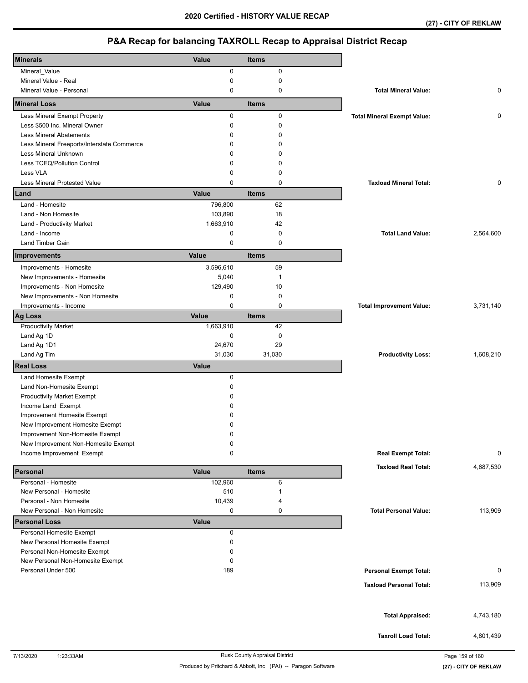# **P&A Recap for balancing TAXROLL Recap to Appraisal District Recap**

| <b>Minerals</b>                                        | <b>Value</b> | Items        |                                    |           |
|--------------------------------------------------------|--------------|--------------|------------------------------------|-----------|
| Mineral_Value                                          | 0            | $\pmb{0}$    |                                    |           |
| Mineral Value - Real                                   | 0            | 0            |                                    |           |
| Mineral Value - Personal                               | 0            | $\pmb{0}$    | <b>Total Mineral Value:</b>        | 0         |
| <b>Mineral Loss</b>                                    | Value        | <b>Items</b> |                                    |           |
| Less Mineral Exempt Property                           | 0            | $\pmb{0}$    | <b>Total Mineral Exempt Value:</b> | 0         |
| Less \$500 Inc. Mineral Owner                          | $\mathbf 0$  | $\mathbf 0$  |                                    |           |
| <b>Less Mineral Abatements</b>                         | 0            | 0            |                                    |           |
| Less Mineral Freeports/Interstate Commerce             | 0            | 0            |                                    |           |
| Less Mineral Unknown                                   | 0            | 0            |                                    |           |
| Less TCEQ/Pollution Control                            | 0            | 0            |                                    |           |
| Less VLA                                               | 0            | $\mathbf 0$  |                                    |           |
| <b>Less Mineral Protested Value</b>                    | $\mathbf 0$  | $\mathbf 0$  | <b>Taxload Mineral Total:</b>      | 0         |
| Land                                                   | Value        | <b>Items</b> |                                    |           |
| Land - Homesite                                        | 796,800      | 62           |                                    |           |
| Land - Non Homesite                                    | 103,890      | 18           |                                    |           |
| Land - Productivity Market                             | 1,663,910    | 42           |                                    |           |
| Land - Income                                          | 0            | 0            | <b>Total Land Value:</b>           | 2,564,600 |
| Land Timber Gain                                       | 0            | $\mathbf 0$  |                                    |           |
| Improvements                                           | Value        | <b>Items</b> |                                    |           |
| Improvements - Homesite                                | 3,596,610    | 59           |                                    |           |
| New Improvements - Homesite                            | 5,040        | $\mathbf 1$  |                                    |           |
| Improvements - Non Homesite                            | 129,490      | 10           |                                    |           |
| New Improvements - Non Homesite                        | 0            | $\mathbf 0$  |                                    |           |
| Improvements - Income                                  | 0            | 0            | <b>Total Improvement Value:</b>    | 3,731,140 |
| Ag Loss                                                | Value        | <b>Items</b> |                                    |           |
| <b>Productivity Market</b>                             | 1,663,910    | 42           |                                    |           |
| Land Ag 1D                                             | 0            | $\pmb{0}$    |                                    |           |
| Land Ag 1D1                                            | 24,670       | 29           |                                    |           |
| Land Ag Tim                                            | 31,030       | 31,030       | <b>Productivity Loss:</b>          | 1,608,210 |
| <b>Real Loss</b>                                       | Value        |              |                                    |           |
| Land Homesite Exempt                                   | 0            |              |                                    |           |
| Land Non-Homesite Exempt                               | 0            |              |                                    |           |
| <b>Productivity Market Exempt</b>                      | 0            |              |                                    |           |
| Income Land Exempt                                     | 0            |              |                                    |           |
| Improvement Homesite Exempt                            | 0            |              |                                    |           |
| New Improvement Homesite Exempt                        | 0            |              |                                    |           |
| Improvement Non-Homesite Exempt                        | $\Omega$     |              |                                    |           |
| New Improvement Non-Homesite Exempt                    | 0            |              |                                    |           |
| Income Improvement Exempt                              | 0            |              | <b>Real Exempt Total:</b>          | 0         |
|                                                        |              |              | <b>Taxload Real Total:</b>         | 4,687,530 |
| Personal                                               | Value        | <b>Items</b> |                                    |           |
| Personal - Homesite                                    | 102,960      | 6            |                                    |           |
| New Personal - Homesite                                | 510          | $\mathbf 1$  |                                    |           |
| Personal - Non Homesite<br>New Personal - Non Homesite | 10,439<br>0  | 4<br>0       | <b>Total Personal Value:</b>       | 113,909   |
| <b>Personal Loss</b>                                   | <b>Value</b> |              |                                    |           |
| Personal Homesite Exempt                               | $\pmb{0}$    |              |                                    |           |
| New Personal Homesite Exempt                           | 0            |              |                                    |           |
| Personal Non-Homesite Exempt                           | 0            |              |                                    |           |
| New Personal Non-Homesite Exempt                       | 0            |              |                                    |           |
| Personal Under 500                                     | 189          |              | <b>Personal Exempt Total:</b>      | 0         |
|                                                        |              |              |                                    |           |
|                                                        |              |              | <b>Taxload Personal Total:</b>     | 113,909   |
|                                                        |              |              |                                    |           |
|                                                        |              |              | <b>Total Appraised:</b>            | 4,743,180 |
|                                                        |              |              | <b>Taxroll Load Total:</b>         | 4,801,439 |